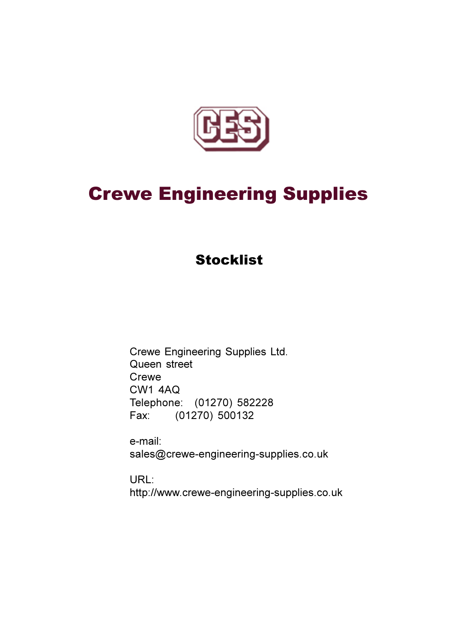

## **Crewe Engineering Supplies**

## **Stocklist**

Crewe Engineering Supplies Ltd. Queen street Crewe **CW1 4AQ** Telephone: (01270) 582228  $(01270) 500132$ Fax:

e-mail: sales@crewe-engineering-supplies.co.uk

URL: http://www.crewe-engineering-supplies.co.uk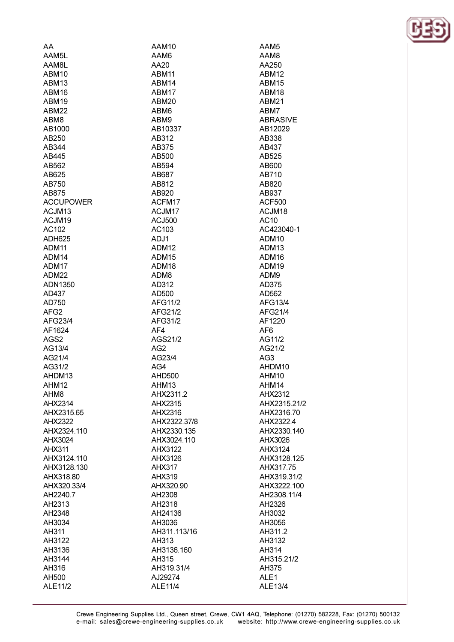| AA                 | AAM10         |
|--------------------|---------------|
| AAM5L              | AAM6          |
| AAM8L              | AA20          |
| ABM10              | ABM11         |
| ABM <sub>13</sub>  | ABM14         |
| ABM16              | ABM17         |
| ABM19              | ABM20         |
| ABM22              | ABM6          |
| ABM8               | ABM9          |
| AB1000             | AB10337       |
| AB250              | AB312         |
| AB344              | AB375         |
| AB445              | AB500         |
| AB562              | AB594         |
| AB625              | AB687         |
| AB750              | AB812         |
| AB875              | AB920         |
| <b>ACCUPOWER</b>   | ACFM17        |
| ACJM <sub>13</sub> | ACJM17        |
| ACJM19             | <b>ACJ500</b> |
| AC102              | AC103         |
| <b>ADH625</b>      | ADJ1          |
|                    |               |
| ADM11              | ADM12         |
| ADM14              | ADM15         |
| ADM17              | ADM18         |
| ADM <sub>22</sub>  | ADM8          |
| ADN1350            | AD312         |
| AD437              | AD500         |
| AD750              | AFG11/2       |
| AFG <sub>2</sub>   | AFG21/2       |
| AFG23/4            | AFG31/2       |
| AF1624             | AF4           |
| AGS2               | AGS21/2       |
| AG13/4             | AG2           |
| AG21/4             | AG23/4        |
| AG31/2             | AG4           |
| AHDM13             | <b>AHD500</b> |
| AHM12              | AHM13         |
| AHM <sub>8</sub>   | AHX2311.2     |
| AHX2314            | AHX2315       |
| AHX2315.65         | AHX2316       |
| AHX2322            | AHX2322.37/8  |
| AHX2324.110        | AHX2330.135   |
| AHX3024            | AHX3024.110   |
| <b>AHX311</b>      | AHX3122       |
| AHX3124.110        | AHX3126       |
| AHX3128.130        | <b>AHX317</b> |
| AHX318.80          | <b>AHX319</b> |
| AHX320.33/4        | AHX320.90     |
| AH2240.7           | AH2308        |
| AH2313             | AH2318        |
| AH2348             | AH24136       |
| AH3034             | AH3036        |
| AH311              | AH311.113/16  |
| AH3122             | AH313         |
| AH3136             | AH3136.160    |
| AH3144             | AH315         |
| AH316              | AH319.31/4    |
| AH500              | AJ29274       |
|                    |               |

ALE11/4

ALE11/2

ABM12 ABM15 ABM18 **ABM21** ABM7 **ABRASIVE** AB12029 AB338 AB437 AB525 AB600 AB710 AB820 AB937 **ACF500** ACJM18 AC10 AC423040-1 ADM10 ADM13 ADM<sub>16</sub> ADM19 ADM9 AD375 AD562 AFG13/4 AFG21/4 AF1220 AF<sub>6</sub> AG11/2 AG21/2 AG<sub>3</sub> AHDM10 AHM10 AHM14 AHX2312 AHX2315.21/2 AHX2316.70 AHX2322.4 AHX2330.140 AHX3026 AHX3124 AHX3128.125 AHX317.75 AHX319.31/2 AHX3222.100 AH2308.11/4 AH2326 AH3032 AH3056 AH311.2 AH3132 AH314 AH315.21/2 AH375 ALE<sub>1</sub> ALE13/4

AAM5 AAM8 AA250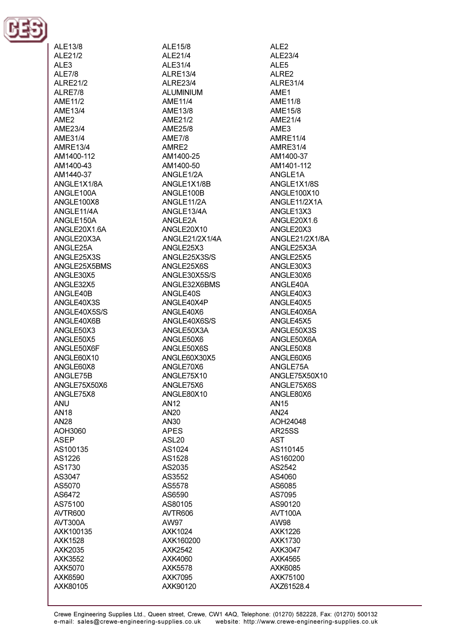

ALE13/8 ALE21/2 AL $F3$ AI F7/8 **ALRE21/2** ALRE7/8 AMF11/2 AME13/4 AME<sub>2</sub> AME23/4  $AMF31/4$ **AMRE13/4** AM1400-112 AM1400-43 AM1440-37 ANGLE1X1/8A ANGLE100A ANGLE100X8 ANGLE11/4A ANGLE150A ANGLE20X1.6A ANGLE20X3A ANGLE25A ANGLE25X3S **ANGLE25X5BMS** ANGLE30X5 ANGLE32X5 ANGLE40B ANGLE40X3S ANGLE40X5S/S ANGLE40X6B ANGLE50X3 ANGLE50X5 ANGLE50X6F ANGLE60X10 ANGLE60X8 ANGLE75B ANGLE75X50X6 ANGLE75X8 **ANU AN18 AN28** AOH3060 **ASEP** AS100135 AS1226 AS1730 AS3047 AS5070 AS6472 AS75100 AVTR600 AVT300A AXK100135 **AXK1528** AXK2035 AXK3552 AXK5070 AXK6590 AXK80105

ALE15/8 ALE21/4 AI F31/4 **ALRE13/4 ALRE23/4 ALUMINIUM**  $AMF11/4$ AME13/8 AME21/2 AME25/8 **AME7/8** AMRE2 AM1400-25 AM1400-50 ANGLE1/2A ANGLE1X1/8B ANGLE100B ANGLE11/2A ANGLE13/4A ANGLE2A ANGLE20X10 ANGLE21/2X1/4A ANGLE25X3 ANGLE25X3S/S ANGLE25X6S ANGLE30X5S/S ANGLE32X6BMS ANGLE40S ANGLE40X4P ANGLE40X6 ANGLE40X6S/S ANGLE50X3A ANGLE50X6 ANGLE50X6S ANGLE60X30X5 ANGLE70X6 ANGLE75X10 ANGLE75X6 ANGLE80X10 **AN12 AN20** AN30 **APES ASL20** AS1024 AS1528 AS2035 AS3552 AS5578 AS6590 AS80105 AVTR606 AW97 AXK1024 AXK160200 **AXK2542** AXK4060 **AXK5578 AXK7095** AXK90120

ALE<sub>2</sub> ALE23/4 **AI F5** AI RF<sub>2</sub> **ALRE31/4** AME1 **AME11/8 AME15/8** AME21/4 AME3 **AMRE11/4 AMRE31/4** AM1400-37 AM1401-112 ANGLE1A ANGLE1X1/8S ANGLE100X10 ANGLE11/2X1A ANGLE13X3 ANGLE20X1.6 ANGLE20X3 ANGLE21/2X1/8A ANGLE25X3A ANGLE25X5 ANGLE30X3 ANGLE30X6 ANGLE40A ANGLE40X3 ANGLE40X5 ANGLE40X6A ANGLE45X5 ANGLE50X3S ANGLE50X6A ANGLE50X8 ANGLE60X6 ANGLE75A ANGLE75X50X10 ANGLE75X6S ANGLE80X6 **AN15 AN24** AOH24048 **AR25SS AST** AS110145 AS160200 AS2542 AS4060 AS6085 AS7095 AS90120 AVT100A AW98 **AXK1226** AXK1730 **AXK3047 AXK4565** AXK6085 AXK75100 AXZ61528.4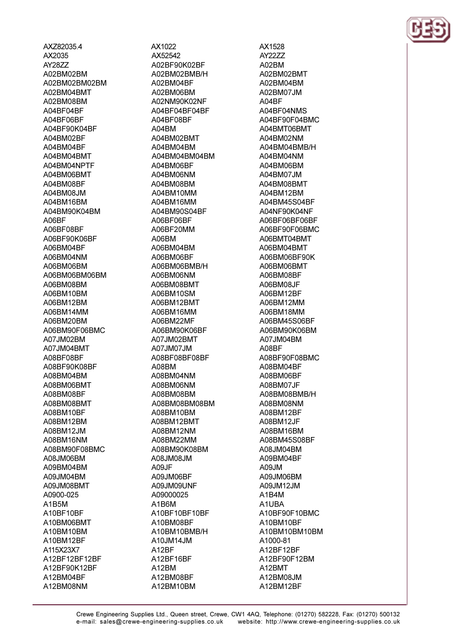AXZ82035.4 AX2035 AY2877 A02BM02BM A02BM02BM02BM A02BM04BMT A02BM08BM A04BF04BF A04BF06BF A04BF90K04BF A04BM02BF A04BM04BF A04RM04RMT A04RM04NPTF A04BM06BMT A04BM08BF A04BM08JM A04BM16BM A04BM90K04BM A06BF A06BF08BF A06BF90K06BF A06BM04BF A06BM04NM A06BM06BM A06BM06BM06BM A06BM08BM A06BM10BM A06BM12BM A06BM14MM A06BM20BM A06BM90F06BMC A07JM02BM A07JM04BMT A08BF08BF A08BF90K08BF A08BM04BM A08BM06BMT A08BM08BF A08BM08BMT A08BM10BF A08BM12BM A08BM12JM A08BM16NM A08BM90F08BMC A08JM06BM A09BM04BM A09JM04BM A09JM08BMT A0900-025 A1B5M A10BF10BF A10BM06BMT A10BM10BM A10BM12BF A115X23X7 A12BF12BF12BF A12BF90K12BF A12BM04BF A12BM08NM

AX1022 AX52542 A02RF90K02RF A02BM02BMB/H A02BM04BF A02BM06BM A02NM90K02NF A04BF04BF04BF A04BF08BF A04BM A04BM02BMT A04BM04BM A04BM04BM04BM A04RM06RF A04BM06NM A04BM08BM A04BM10MM A04BM16MM A04BM90S04BF A06BF06BF A06BF20MM A06BM A06BM04BM A06RM06RF A06BM06BMB/H A06BM06NM A06BM08BMT A06BM10SM A06BM12BMT A06BM16MM A06BM22MF A06BM90K06BF A07JM02BMT A07JM07JM A08BF08BF08BF A08BM A08BM04NM A08BM06NM A08BM08BM A08BM08BM08BM A08BM10BM A08BM12BMT A08BM12NM A08BM22MM A08BM90K08BM **ML80MU80A** A09JF A09JM06BF A09JM09UNF A09000025 A1B6M A10BF10BF10BF A10BM08BF A10BM10BMB/H A10JM14JM A12BF A12BF16BF A12BM A12BM08BF A12BM10BM

AX1528 AY2277 A02RM A02BM02BMT A02BM04BM A02BM07JM  $\triangle$  0ABFA04BF04NMS A04BF90F04BMC A04BMT06BMT A04BM02NM A04BM04BMB/H A04BM04NM A04RM06RM A04BM07JM A04BM08BMT A04BM12BM A04BM45S04BF A04NF90K04NF A06BF06BF06BF A06BF90F06BMC A06BMT04BMT A06BM04BMT A06BM06BF90K A06RM06RMT A06BM08BF A06BM08JF A06BM12BF A06BM12MM A06BM18MM A06BM45S06BF A06BM90K06BM A07JM04BM A08BF A08BF90F08BMC A08BM04BF A08BM06BF A08BM07JF A08BM08BMB/H A08BM08NM A08BM12BF A08BM12JF A08BM16BM A08BM45S08BF A08JM04BM A09BM04BF A09JM A09JM06BM A09JM12JM A1B4M A1UBA A10BF90F10BMC A10BM10BF A10BM10BM10BM A1000-81 A12BF12BF A12BF90F12BM A12BMT A12BM08JM A12BM12BF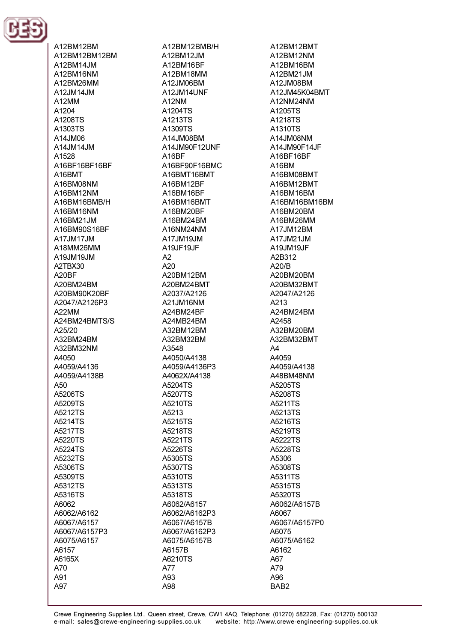

A12BM12BM A12BM12BM12BM A12RM14.IM A12BM16NM A12BM26MM A12.JM14.JM A12MM A1204 A1208TS A1303TS A14, IMO6 A14JM14JM A1528 A16BE16BE16BE A16BMT A16BM08NM A16BM12NM A16BM16BMB/H A16BM16NM A16BM21JM A16BM90S16BF A17JM17JM A18MM26MM A19JM19JM A2TRX30 A20BF A20BM24BM A20BM90K20BF A2047/A2126P3 A22MM A24BM24BMTS/S A25/20 A32BM24BM A32BM32NM A4050 A4059/A4136 A4059/A4138B  $A50$ A5206TS A5209TS A5212TS A5214TS A5217TS A5220TS A5224TS A5232TS A5306TS A5309TS A5312TS A5316TS A6062 A6062/A6162 A6067/A6157 A6067/A6157P3 A6075/A6157 A6157 A6165X A70 A91 A97

A12BM12BMB/H A12BM12JM A12RM16RF A12BM18MM A12JM06BM A12JM14UNF A12NM A1204TS A1213TS A1309TS A14JM08BM A14JM90F12UNF A<sub>16</sub>RF A16BE90E16BMC A16BMT16BMT A16BM12BF A16BM16BF A16BM16BMT A16BM20BF A16BM24BM A16NM24NM A17JM19JM A19JF19JF  $A2$  $A20$ A20BM12BM A20BM24BMT A2037/A2126 A21JM16NM A24BM24BF A24MB24BM A32BM12BM A32BM32BM A3548 A4050/A4138 A4059/A4136P3 A4062X/A4138 A5204TS A5207TS A5210TS A5213 A5215TS A5218TS A5221TS A5226TS A5305TS A5307TS A5310TS A5313TS A5318TS A6062/A6157 A6062/A6162P3 A6067/A6157B A6067/A6162P3 A6075/A6157B A6157B A6210TS A77 A93 A98

A12BM12BMT A12BM12NM A12RM16RM A12BM21.IM A12JM08BM A12JM45K04BMT A12NM24NM A1205TS A1218TS A1310TS A14JM08NM A14JM90F14JF A16BF16BF A16RM A16BM08BMT A16BM12BMT A16BM16BM A16BM16BM16BM A16BM20BM A16BM26MM A17JM12BM A17JM21JM A19JM19JF A2B312  $A20/R$ A20BM20BM A20BM32BMT A2047/A2126 A213 A24BM24BM A2458 A32BM20BM A32BM32BMT  $A<sub>4</sub>$ A4059 A4059/A4138 A48BM48NM A5205TS A5208TS A5211TS A5213TS A5216TS A5219TS A5222TS A5228TS A5306 A5308TS A5311TS A5315TS A5320TS A6062/A6157B A6067 A6067/A6157P0 A6075 A6075/A6162 A6162 A67 A79 A96 BAB<sub>2</sub>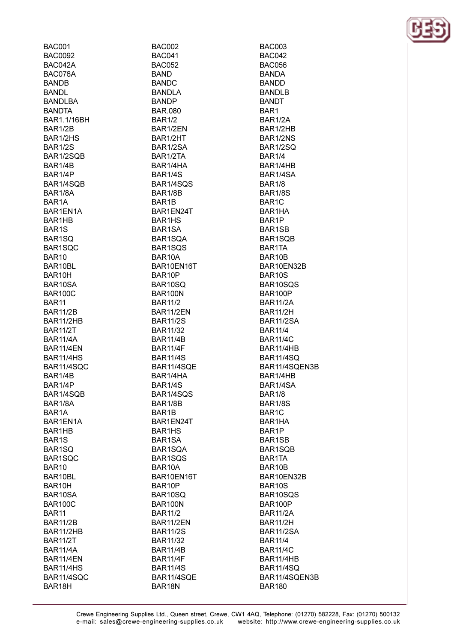**BAC001 BAC0092 BAC042A** BAC076A **BANDB BANDL RANDI RA BANDTA** BAR1.1/16BH **BAR1/2B** BAR1/2HS **BAR1/2S** BAR1/2SOB RAR1/4R **BAR1/4P** BAR1/4SOB **BAR1/8A** BAR<sub>1</sub>A BAR1EN1A BAR1HB BAR<sub>1</sub>S BAR1SO BAR1SOC BAR<sub>10</sub> BAR10BL BAR10H BAR10SA **BAR100C** BAR<sub>11</sub> **BAR11/2B** BAR11/2HB **BAR11/2T BAR11/4A BAR11/4EN BAR11/4HS** BAR11/4SQC BAR1/4B BAR1/4P BAR1/4SQB BAR1/8A BAR<sub>1</sub>A BAR1EN1A BAR1HB BAR<sub>1</sub>S BAR1SQ BAR1SQC BAR10 BAR10BL BAR10H BAR10SA **BAR100C** BAR<sub>11</sub> **BAR11/2B BAR11/2HB BAR11/2T BAR11/4A** BAR11/4EN BAR11/4HS BAR11/4SQC BAR18H

**BAC002 BAC041 BAC052 BAND BANDC BANDLA RANDP BAR.080 BAR1/2** BAR1/2EN BAR1/2HT BAR1/2SA BAR1/2TA RAR1/4HA **BAR1/4S** BAR1/4SOS **BAR1/8B BAR1B** BAR1EN24T BAR1HS BAR1SA BAR1SOA BAR1SOS BAR10A BAR10EN16T BAR10P BAR10SQ **BAR100N BAR11/2** BAR11/2EN **BAR11/2S BAR11/32 BAR11/4B BAR11/4F BAR11/4S** BAR11/4SQE BAR1/4HA BAR1/4S BAR1/4SQS BAR1/8B BAR1B BAR1EN24T BAR1HS BAR1SA BAR1SQA BAR1SQS BAR10A BAR10EN16T BAR10P BAR10SQ **BAR100N BAR11/2 BAR11/2EN BAR11/2S BAR11/32 BAR11/4B BAR11/4F BAR11/4S** BAR11/4SQE BAR18N

**BAC003 BAC042 BAC056 BANDA BANDD BANDLB BANDT** BAR1 BAR1/2A BAR1/2HB BAR1/2NS **BAR1/2SQ BAR1/4** RAR1/4HR BAR1/4SA **BAR1/8 BAR1/8S** BAR1C BAR1HA BAR1P BAR1SB BAR1SOB BAR1TA **BAR10B** BAR10EN32B BAR10S BAR10SQS **BAR100P BAR11/2A BAR11/2H BAR11/2SA BAR11/4 BAR11/4C** BAR11/4HB **BAR11/4SO** BAR11/4SQEN3B BAR1/4HB BAR1/4SA **BAR1/8 BAR1/8S** BAR1C BAR1HA BAR1P BAR1SB BAR1SQB BAR1TA BAR10B BAR10EN32B BAR10S BAR10SQS **BAR100P BAR11/2A BAR11/2H** BAR11/2SA **BAR11/4 BAR11/4C** BAR11/4HB **BAR11/4SQ** BAR11/4SQEN3B **BAR180** 

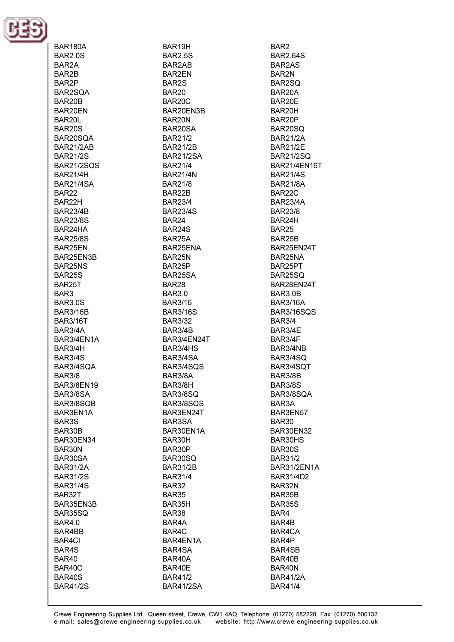

**BAR180A BAR2.0S** RAR<sub>2</sub>A BAR<sub>2</sub>B BAR2P BAR2SOA BAR<sub>20</sub>B BAR20EN BAR20L **BAR20S** BAR20SOA BAR21/2AB **BAR21/2S BAR21/2SOS BAR21/4H BAR21/4SA BAR22** RAR<sub>22</sub>H **BAR23/4B BAR23/8S** BAR24HA **BAR25/8S** BAR25EN BAR25EN3B **BAR25NS BAR25S** BAR25T BAR3 **BAR3.0S BAR3/16B BAR3/16T** BAR3/4A BAR3/4EN1A BAR3/4H **BAR3/4S** BAR3/4SQA **BAR3/8 BAR3/8EN19** BAR3/8SA BAR3/8SQB BAR3EN1A BAR3S BAR30B BAR30EN34 BAR30N BAR30SA **BAR31/2A BAR31/2S BAR31/4S** BAR32T BAR35EN3B BAR35SQ **BAR4.0** BAR4BB **BAR4CI** BAR4S BAR40 BAR40C BAR40S **BAR41/2S** 

BAR19H **BAR2.5S** RAR<sub>2</sub>AR **BAR2FN** BAR2S **BAR20** BAR<sub>20</sub>C BAR20EN3B BAR20N BAR20SA **BAR21/2 BAR21/2B BAR21/2SA BAR21/4 BAR21/4N BAR21/8** BAR22B **BAR23/4 BAR23/4S BAR24** BAR<sub>24</sub>S BAR25A BAR25ENA BAR25N BAR<sub>25</sub>P BAR25SA BAR28 **BAR3.0 BAR3/16 BAR3/16S BAR3/32** BAR3/4B BAR3/4EN24T BAR3/4HS BAR3/4SA BAR3/4SQS BAR3/8A BAR3/8H BAR3/8SQ BAR3/8SQS BAR3EN24T BAR3SA BAR30EN1A BAR30H BAR30P **BAR30SO BAR31/2B BAR31/4 BAR32 BAR35** BAR35H BAR38 BAR4A BAR4C BAR4EN1A BAR4SA BAR40A BAR40E **BAR41/2 BAR41/2SA** 

BAR<sub>2</sub> **BAR2.64S BAR2AS** BAR<sub>2N</sub> BAR2SO BAR20A BAR<sub>20</sub>F BAR20H BAR20P BAR20SO **BAR21/2A BAR21/2E BAR21/2SO** RAR21/4FN16T **BAR21/4S BAR21/8A** BAR22C **BAR23/4A BAR23/8** BAR24H **BAR25 BAR25B** BAR25EN24T BAR25NA BAR25PT BAR25SQ BAR28EN24T **BAR3.0B BAR3/16A** BAR3/16SQS **BAR3/4** BAR3/4E BAR3/4F BAR3/4NB **BAR3/4SO** BAR3/4SQT BAR3/8B **BAR3/8S** BAR3/8SQA BAR3A BAR3EN57 **BAR30** BAR30EN32 BAR30HS BAR30S **BAR31/2** BAR31/2EN1A **BAR31/4D2** BAR32N BAR35B **BAR35S** BAR4 BAR4B BAR4CA BAR4P BAR4SB BAR40B BAR40N **BAR41/2A BAR41/4**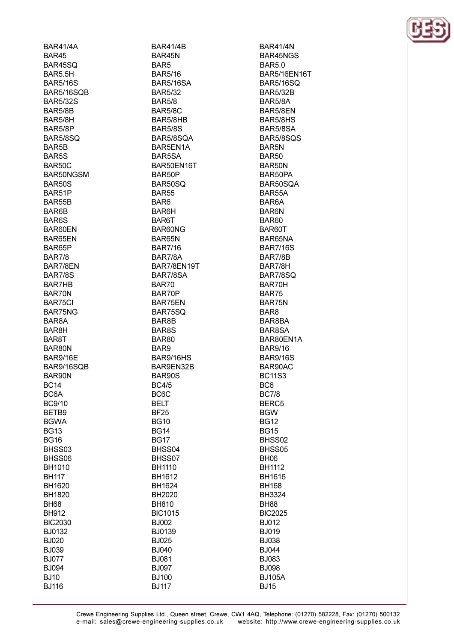**BAR41/4A BAR45** BAR45SO **BAR5.5H BAR5/16S BAR5/16SOB BAR5/32S BAR5/8B** BAR5/8H BAR5/8P **BAR5/8SO** BAR5B BAR5S **BAR50C** BAR50NGSM **BAR50S** BAR51P **BAR55B** BAR6B BAR<sub>6</sub>S BAR60EN BAR65EN BAR65P **BAR7/8 BAR7/8FN BAR7/8S BAR7HB** BAR70N BAR75CI BAR75NG BAR<sub>8</sub>A BAR8H BAR8T BAR80N **BAR9/16E** BAR9/16SQB BAR90N **BC14** BC<sub>6</sub>A **BC9/10** BETB9 **BGWA BG13 BG16** BHSS03 BHSS06 BH1010 **BH117** BH1620 **BH1820 BH68 BH912 BIC2030** BJ0132 **BJ020 BJ039 BJ077 BJ094 BJ10** 

**BJ116** 

**BAR41/4B** BAR45N BAR5 **BAR5/16 BAR5/16SA BAR5/32 BAR5/8** BAR5/8C BAR5/8HB **BAR5/8S** BAR5/8SOA BAR5EN1A BAR5SA BAR50FN16T BAR50P **BAR50SO BAR55** BAR<sub>6</sub> BAR6H BAR6T BAR60NG BAR65N **BAR7/16 BAR7/8A** BAR7/8EN19T BAR7/8SA **BAR70** BAR70P BAR75EN BAR75SQ BAR8B BAR8S **BAR80** BAR9 BAR9/16HS BAR9EN32B BAR90S **BC4/5 BC6C BELT BF25 BG10 BG14 BG17** BHSS04 BHSS07 **BH1110** BH1612 **BH1624 BH2020 BH810 BIC1015 BJ002** BJ0139 **BJ025 BJ040 BJ081 BJ097 BJ100 BJ117** 

**BAR41/4N** BAR45NGS **BAR50 BAR5/16EN16T BAR5/16SO BAR5/32B BAR5/8A** BAR5/8EN BAR5/8HS BAR5/8SA BAR5/8SQS BAR<sub>5N</sub> **BAR50** BAR50N BAR50PA BAR50SOA BAR55A BAR6A **BAR6N BAR60** BAR60T BAR65NA **BAR7/16S BAR7/8B** RAR7/8H BAR7/8SQ BAR70H **BAR75** BAR75N BAR<sub>8</sub> BAR8BA BAR8SA BAR80EN1A **BAR9/16 BAR9/16S** BAR90AC **BC11S3** BC<sub>6</sub> **BC7/8** BERC<sub>5</sub> **BGW BG12 BG15** BHSS02 BHSS05 **BH06 BH1112 BH1616 BH168 BH3324 BH88 BIC2025 BJ012 BJ019 BJ038 BJ044 BJ083 BJ098 BJ105A BJ15** 

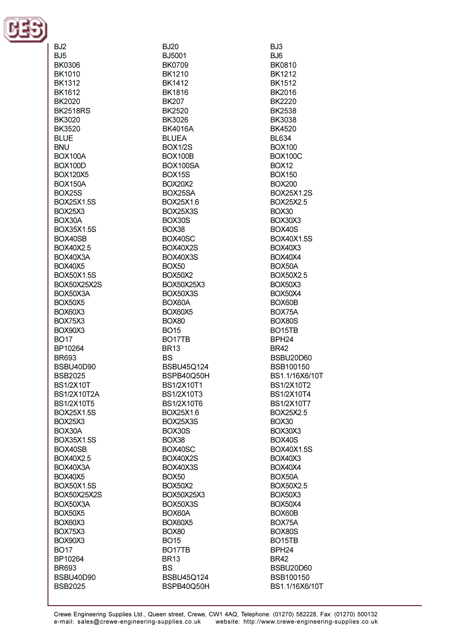

BJ<sub>2</sub>

 $BJ5$ **BK0306 BK1010 BK1312 BK1612 RK2020 BK2518RS** BK3020 **BK3520 BLUE BNU BOX100A BOX100D BOX120X5 BOX150A BOX25S** BOX25X1.5S **BOX25X3** BOX30A BOX35X1.5S BOX40SB BOX40X2.5 **BOX40X3A ROX40X5 BOX50X1.5S BOX50X25X2S** BOX50X3A BOX50X5 BOX60X3 **BOX75X3** BOX90X3 **BO17** BP10264 **BR693 BSBU40D90 BSB2025 BS1/2X10T BS1/2X10T2A BS1/2X10T5 BOX25X1.5S BOX25X3** BOX30A **BOX35X1.5S** BOX40SB BOX40X2.5 BOX40X3A **BOX40X5 BOX50X1.5S BOX50X25X2S** BOX50X3A **BOX50X5 BOX60X3 BOX75X3** BOX90X3 **BO17** BP10264 **BR693** BSBU40D90 **BSB2025** 

**BJ20** BJ5001 **BK0709 BK1210 BK1412 BK1816 RK207 BK2520** BK3026 **BK4016A BLUEA BOX1/2S BOX100B ROX100SA BOX15S BOX20X2** BOX25SA BOX25X1.6 **BOX25X3S** BOX30S **BOX38** BOX40SC BOX40X2S **BOX40X3S BOX50 BOX50X2** BOX50X25X3 BOX50X3S BOX60A BOX60X5 **BOX80 BO15** BO<sub>17</sub>TB **BR13 BS** BSBU45Q124 BSPB40Q50H **BS1/2X10T1 BS1/2X10T3 BS1/2X10T6** BOX25X1.6 **BOX25X3S** BOX30S BOX38 BOX40SC **BOX40X2S BOX40X3S BOX50 BOX50X2** BOX50X25X3 BOX50X3S BOX60A **BOX60X5 BOX80 BO15** BO<sub>17</sub>TB **BR13 BS BSBU45Q124** BSPB40Q50H

BJ3  $B.J6$ **BK0810 BK1212 BK1512** BK2016 **RK2220 BK2538** BK3038 **BK4520** BL634 **BOX100 BOX100C ROX12 BOX150 BOX200 BOX25X1.2S** BOX25X2.5 **BOX30** BOX30X3 **BOX40S BOX40X1.5S BOX40X3 BOX40X4 BOX50A BOX50X2.5 BOX50X3 BOX50X4** BOX60B BOX75A BOX80S BO<sub>15</sub>TB BPH<sub>24</sub> **BR42 BSBU20D60** BSB100150 BS1.1/16X6/10T **BS1/2X10T2 BS1/2X10T4** BS1/2X10T7 BOX25X2.5 **BOX30** BOX30X3 **BOX40S BOX40X1.5S BOX40X3 BOX40X4** BOX50A BOX50X2.5 **BOX50X3 BOX50X4** BOX60B BOX75A BOX80S BO<sub>15</sub>TB BPH<sub>24</sub> **BR42** BSBU20D60 **BSB100150** BS1.1/16X6/10T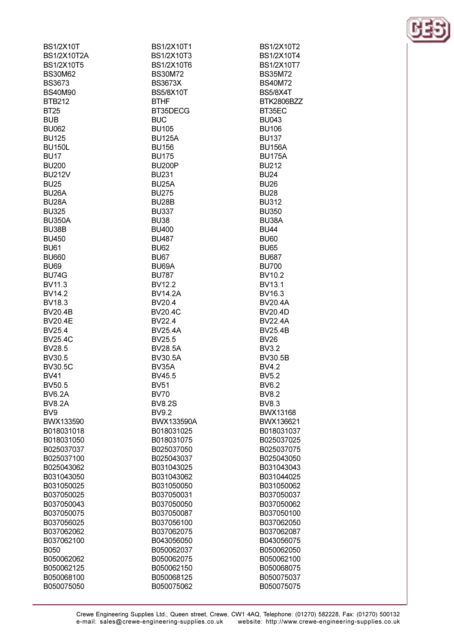| <b>BS1/2X10T</b>   | BS1/2X10T1         | BS1/2X10T2        |
|--------------------|--------------------|-------------------|
| <b>BS1/2X10T2A</b> | BS1/2X10T3         | BS1/2X10T4        |
| <b>BS1/2X10T5</b>  | <b>BS1/2X10T6</b>  | <b>BS1/2X10T7</b> |
| <b>BS30M62</b>     | <b>BS30M72</b>     | <b>BS35M72</b>    |
| <b>BS3673</b>      | <b>BS3673X</b>     | <b>BS40M72</b>    |
| <b>BS40M90</b>     | <b>BS5/8X10T</b>   | <b>BS5/8X4T</b>   |
|                    |                    |                   |
| <b>BTB212</b>      | <b>BTHF</b>        | BTK2806BZZ        |
| <b>BT25</b>        | BT35DECG           | BT35EC            |
| <b>BUB</b>         | <b>BUC</b>         | <b>BU043</b>      |
| <b>BU062</b>       | <b>BU105</b>       | <b>BU106</b>      |
| <b>BU125</b>       | <b>BU125A</b>      | <b>BU137</b>      |
| <b>BU150L</b>      | <b>BU156</b>       | <b>BU156A</b>     |
| <b>BU17</b>        | <b>BU175</b>       | <b>BU175A</b>     |
| <b>BU200</b>       | <b>BU200P</b>      | <b>BU212</b>      |
| <b>BU212V</b>      | <b>BU231</b>       | <b>BU24</b>       |
| <b>BU25</b>        | BU <sub>25</sub> A | <b>BU26</b>       |
| BU <sub>26</sub> A | <b>BU275</b>       | <b>BU28</b>       |
| BU <sub>28</sub> A | BU28B              | <b>BU312</b>      |
| <b>BU325</b>       | <b>BU337</b>       | <b>BU350</b>      |
| <b>BU350A</b>      |                    | BU38A             |
|                    | <b>BU38</b>        |                   |
| BU38B              | <b>BU400</b>       | <b>BU44</b>       |
| <b>BU450</b>       | <b>BU487</b>       | <b>BU60</b>       |
| <b>BU61</b>        | <b>BU62</b>        | <b>BU65</b>       |
| <b>BU660</b>       | <b>BU67</b>        | <b>BU687</b>      |
| <b>BU69</b>        | BU69A              | <b>BU700</b>      |
| <b>BU74G</b>       | <b>BU787</b>       | BV10.2            |
| BV11.3             | <b>BV12.2</b>      | <b>BV13.1</b>     |
| <b>BV14.2</b>      | <b>BV14.2A</b>     | BV16.3            |
| BV18.3             | BV20.4             | <b>BV20.4A</b>    |
| <b>BV20.4B</b>     | <b>BV20.4C</b>     | <b>BV20.4D</b>    |
| <b>BV20.4E</b>     | BV22.4             | <b>BV22.4A</b>    |
| BV25.4             | <b>BV25.4A</b>     | <b>BV25.4B</b>    |
| <b>BV25.4C</b>     | BV25.5             | <b>BV26</b>       |
|                    |                    | <b>BV3.2</b>      |
| BV28.5             | <b>BV28.5A</b>     |                   |
| <b>BV30.5</b>      | <b>BV30.5A</b>     | <b>BV30.5B</b>    |
| <b>BV30.5C</b>     | BV35A              | <b>BV4.2</b>      |
| <b>BV41</b>        | BV45.5             | <b>BV5.2</b>      |
| BV50.5             | BV51               | BV6.2             |
| <b>BV6.2A</b>      | <b>BV70</b>        | <b>BV8.2</b>      |
| <b>BV8.2A</b>      | <b>BV8.2S</b>      | <b>BV8.3</b>      |
| BV9                | <b>BV9.2</b>       | <b>BWX13168</b>   |
| BWX133590          | BWX133590A         | BWX136621         |
| B018031018         | B018031025         | B018031037        |
| B018031050         | B018031075         | B025037025        |
| B025037037         | B025037050         | B025037075        |
| B025037100         | B025043037         | B025043050        |
| B025043062         | B031043025         | B031043043        |
| B031043050         | B031043062         | B031044025        |
| B031050025         | B031050050         | B031050062        |
|                    |                    |                   |
| B037050025         | B037050031         | B037050037        |
| B037050043         | B037050050         | B037050062        |
| B037050075         | B037050087         | B037050100        |
| B037056025         | B037056100         | B037062050        |
| B037062062         | B037062075         | B037062087        |
| B037062100         | B043056050         | B043056075        |
| <b>B050</b>        | B050062037         | B050062050        |
| B050062062         | B050062075         | B050062100        |
| B050062125         | B050062150         | B050068075        |
| B050068100         | B050068125         | B050075037        |
| B050075050         | B050075062         | B050075075        |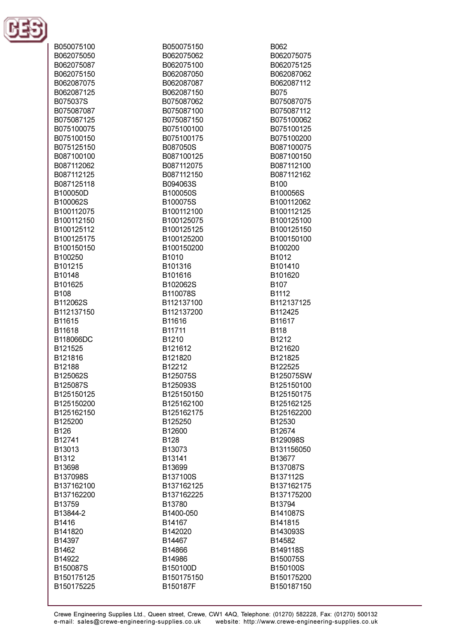

| B050075100        | B050075150        |
|-------------------|-------------------|
| B062075050        | B062075062        |
| B062075087        | B062075100        |
| B062075150        | B062087050        |
| B062087075        | B062087087        |
| B062087125        | B062087150        |
| B075037S          | B075087062        |
| B075087087        | B075087100        |
| B075087125        | B075087150        |
| B075100075        | B075100100        |
| B075100150        | B075100175        |
| B075125150        | B087050S          |
| B087100100        | B087100125        |
| B087112062        | B087112075        |
| B087112125        | B087112150        |
| B087125118        | B094063S          |
| B100050D          | B100050S          |
| B100062S          | B100075S          |
| B100112075        | B100112100        |
| B100112150        | B100125075        |
| B100125112        | B100125125        |
| B100125175        | B100125200        |
| B100150150        | B100150200        |
| B100250           | B1010             |
| B101215           | B101316           |
| B10148            | B101616           |
| B101625           | B102062S          |
| <b>B108</b>       | B110078S          |
| B112062S          | B112137100        |
| B112137150        | B112137200        |
| B11615            | B11616            |
| B11618            | B11711            |
| B118066DC         | B1210             |
| B121525           | B121612           |
| B121816           | B121820           |
| B12188            | B12212            |
| B125062S          | B125075S          |
| B125087S          | B125093S          |
| B125150125        | B125150150        |
| B125150200        | B125162100        |
| B125162150        | B125162175        |
| B125200           | B125250           |
| B126              | B12600            |
| B12741            | B128              |
| B13013            | B13073            |
| B1312             | B13141            |
| B13698            | B13699            |
| B137098S          | B137100S          |
| B137162100        | B137162125        |
| B137162200        | B137162225        |
| B13759            | B13780            |
| B13844-2          | B1400-050         |
| B1416             | B14167            |
| B141820<br>B14397 | B142020<br>B14467 |
|                   | B14866            |
| B1462<br>B14922   | B14986            |
| B150087S          | B150100D          |
| B150175125        | B150175150        |
| B150175225        | B150187F          |
|                   |                   |

B062

B075

B062075075

B062075125

B062087062

B062087112

B075087075

B075087112

B075100062

B075100125

B075100200

B087100075

B087100150

B087112100

B087112162

B100056S

B100112062

B100112125

B100125100

B100125150

B100150100

B100200 B1012 B101410

B101620

B112425 B11617 **B118** B1212 B121620 B121825 B122525

B112137125

B125075SW

B125150100

B125150175

B125162125

B125162200 B12530 B12674 B129098S B131156050 B13677 B137087S

B137112S

B137162175

B137175200 B13794

B141087S B141815

B107

B1112

**B100**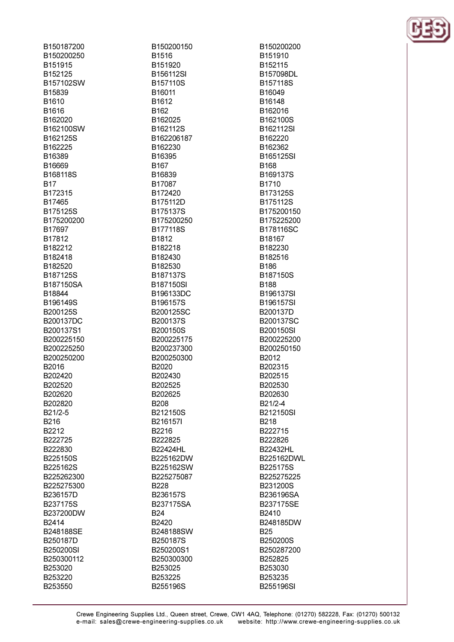B150187200 B150200250 R151915 B152125 B157102SW B15839 **B1610** B1616 B162020 B162100SW B162125S B162225 B16389 **B16669** B168118S **B17** B172315 R17465 B175125S B175200200 B17697 B17812 B182212 B182418 B182520 B187125S B187150SA B18844 B196149S B200125S B200137DC B200137S1 B200225150 B200225250 B200250200 B2016 B202420 B202520 B202620 B202820 B21/2-5 B216 B<sub>2212</sub> B222725 B222830 B225150S B225162S B225262300 B225275300 B236157D B237175S B237200DW B<sub>2414</sub> B248188SE B250187D **B250200SI** B250300112 B253020 B253220 B253550

B150200150 B1516 B151920 B156112SI B157110S B16011 B1612 B<sub>162</sub> B162025 B162112S B162206187 B162230 B16395 **B167** B16839 B17087 B172420 B175112D B175137S B175200250 B177118S B1812 B182218 B182430 B182530 B187137S B187150SI B196133DC B196157S B200125SC B200137S B200150S B200225175 B200237300 B200250300 B2020 B202430 B202525 B202625 **B208** B212150S B216157I B2216 B222825 **B22424HL** B225162DW B225162SW B225275087 **B228** B236157S B237175SA **B24** B2420 B248188SW B250187S B250200S1 B250300300 B253025 B253225 B255196S

B150200200 B151910 R<sub>152115</sub> B157098DL B157118S B16049 R16148 B162016 B162100S B162112SI B162220 B162362 B165125SI **B168** B169137S B1710 B173125S R175112S B175200150 B175225200 B178116SC B18167 B182230 B182516 **B186** B187150S **B188** B196137SI **B196157SI** B200137D B200137SC **B200150SI** B200225200 B200250150 B2012 B202315 B202515 B202530 B202630 B21/2-4 **B212150SI B218** B222715 B222826 **B22432HL** B225162DWL B225175S B225275225 B231200S B236196SA B237175SE B2410 B248185DW **B25** B250200S B250287200 B252825 B253030 B253235 **B255196SI** 

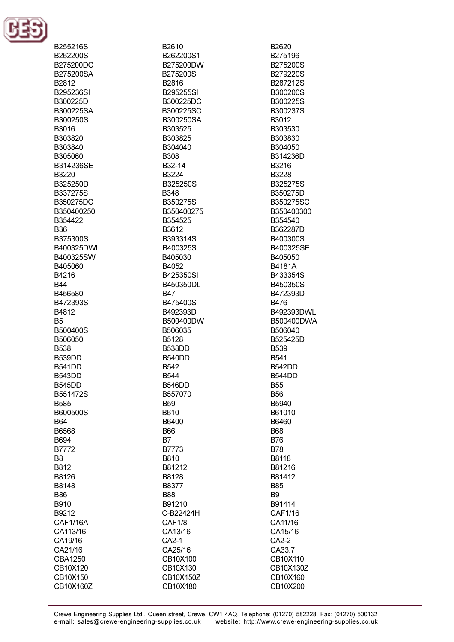

B255216S B262200S B275200DC B275200SA B2812 B295236SI B300225D B300225SA B300250S B3016 B303820 B303840 B305060 **B314236SE** B3220 B325250D B337275S B350275DC B350400250 B354422 **B36** B375300S B400325DWL B400325SW B405060 B4216 **B44** B456580 B472393S B4812 **B5** B500400S B506050 **B538 B539DD B541DD B543DD B545DD** B551472S **B585** B600500S **B64** B6568 **B694 B7772** B<sub>8</sub> B812 B8126 B8148 **B86** B910 B9212 **CAF1/16A** CA113/16 CA19/16 CA21/16 CBA1250 CB10X120 CB10X150 CB10X160Z

B2610 B262200S1 **R275200DW** B275200SI B2816 B295255SI B300225DC B300225SC B300250SA B303525 B303825 B304040 **B308** R32-14 B3224 B325250S **B348** B350275S B350400275 B354525 B3612 B393314S B400325S B405030 **B4052** B425350SI B450350DL **B47** B475400S B492393D B500400DW B506035 B5128 **B538DD B540DD** B542 **B544 B546DD** B557070 **B59** B610 B6400 **B66 B7** B7773 **B810** B81212 B8128 B8377 **B88** B91210 C-B22424H CAF1/8 CA13/16 CA2-1 CA25/16 CB10X100 CB10X130 CB10X150Z CB10X180

B2620 B275196 B275200S B279220S B287212S B300200S B300225S B300237S B3012 B303530 B303830 B304050 B314236D **B3216** B3228 B325275S B350275D B350275SC B350400300 B354540 B362287D B400300S B400325SE B405050 **R4181A** B433354S B450350S B472393D **B476** B492393DWL B500400DWA B506040 B525425D **B539 B541 B542DD B544DD B55 B56** B5940 B61010 B6460 **B68 B76 B78** B8118 B81216 B81412 **B85 B9** B91414 CAF1/16 CA11/16 CA15/16 CA2-2 CA33.7 CB10X110 CB10X130Z CB10X160 CB10X200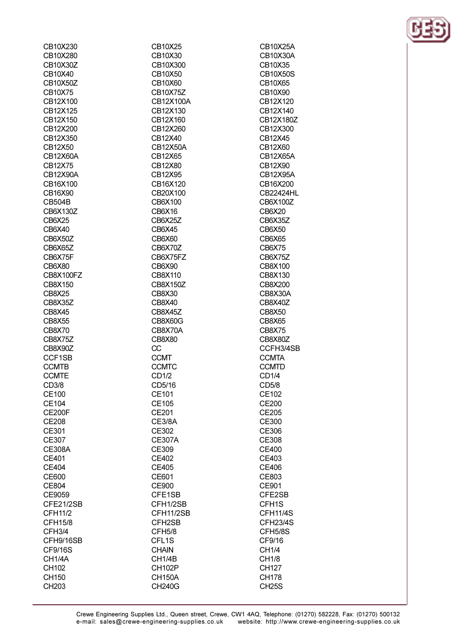| CB10X230        | CB10X25             |
|-----------------|---------------------|
| CB10X280        | CB10X30             |
| CB10X30Z        | CB10X300            |
| CB10X40         | CB10X50             |
| CB10X50Z        | CB10X60             |
| CB10X75         | <b>CB10X75Z</b>     |
| CB12X100        | CB12X100A           |
| CB12X125        | CB12X130            |
| CB12X150        | CB12X160            |
| CB12X200        | CB12X260            |
| CB12X350        | CB12X40             |
| CB12X50         | <b>CB12X50A</b>     |
| <b>CB12X60A</b> | CB12X65             |
| CB12X75         | CB12X80             |
| <b>CB12X90A</b> | CB12X95             |
| CB16X100        | CB16X120            |
| CB16X90         | CB20X100            |
| <b>CB504B</b>   | CB6X100             |
| CB6X130Z        | CB6X16              |
| CB6X25          | <b>CB6X25Z</b>      |
| CB6X40          | CB6X45              |
| CB6X50Z         | <b>CB6X60</b>       |
| CB6X65Z         | CB6X70Z             |
| CB6X75F         | CB6X75FZ            |
| CB6X80          | CB6X90              |
| CB8X100FZ       | CB8X110             |
| CB8X150         | CB8X150Z            |
| CB8X25          | CB8X30              |
| CB8X35Z         | <b>CB8X40</b>       |
| <b>CB8X45</b>   | CB8X45Z             |
| <b>CB8X55</b>   | <b>CB8X60G</b>      |
| <b>CB8X70</b>   | CB8X70A             |
| CB8X75Z         | <b>CB8X80</b>       |
| CB8X90Z         | CC                  |
| CCF1SB          | <b>CCMT</b>         |
| <b>CCMTB</b>    | <b>CCMTC</b>        |
| <b>CCMTE</b>    | CD1/2               |
| CD3/8           | CD5/16              |
| <b>CE100</b>    | CE101               |
| CE104           | CE105               |
| <b>CE200F</b>   | CE201               |
| <b>CE208</b>    | <b>CE3/8A</b>       |
| CE301           | CE302               |
| CE307           | <b>CE307A</b>       |
| <b>CE308A</b>   | CE309               |
| CE401           | CE402               |
| CE404           | <b>CE405</b>        |
| CE600           | CE601               |
| CE804           | CE900               |
| CE9059          | CFE1SB              |
| CFE21/2SB       | CFH1/2SB            |
| CFH11/2         | CFH11/2SB           |
| CFH15/8         | CFH <sub>2</sub> SB |
| CFH3/4          | CFH5/8              |
| CFH9/16SB       | CFL <sub>1</sub> S  |
| CF9/16S         | <b>CHAIN</b>        |
| CH1/4A          | CH <sub>1/4</sub> B |
| CH102           | <b>CH102P</b>       |
| CH150           | <b>CH150A</b>       |
| CH203           | <b>CH240G</b>       |

CB10X25A CB10X30A CB10X35 **CB10X50S** CB10X65 CB10X90 CB12X120 CB12X140 CB12X180Z CB12X300 CB12X45 CB12X60 CB12X65A CB12X90 CB12X95A CB16X200 **CB22424HL** CB6X100Z CB6X20 CB6X35Z CB6X50 **CB6X65** CB6X75 CB6X75Z CB8X100 CB8X130 CB8X200 CB8X30A CB8X40Z CB8X50 **CB8X65 CB8X75** CB8X80Z CCFH3/4SB **CCMTA CCMTD** CD1/4 CD5/8 CE102 CE200 CE205 CE300 CE306 CE308 **CE400** CE403 **CE406** CE803 CE901 CFE2SB CFH1S **CFH11/4S CFH23/4S** CFH5/8S CF9/16 CH1/4 **CH1/8 CH127 CH178 CH25S** 

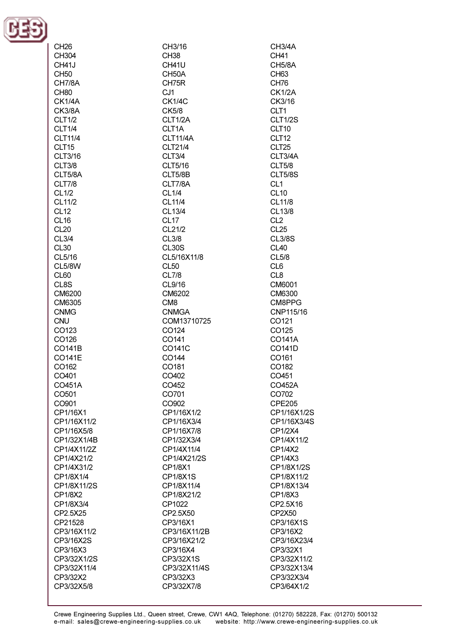

| CH <sub>26</sub>  | CH3/16             |
|-------------------|--------------------|
| CH304             | CH <sub>38</sub>   |
| CH41J             | CH41U              |
| <b>CH50</b>       | CH <sub>50</sub> A |
| <b>CH7/8A</b>     | CH75R              |
| CH <sub>80</sub>  | CJ <sub>1</sub>    |
| <b>CK1/4A</b>     | <b>CK1/4C</b>      |
| <b>CK3/8A</b>     | CK5/8              |
| <b>CLT1/2</b>     | CLT1/2A            |
| <b>CLT1/4</b>     | CLT <sub>1</sub> A |
| CLT11/4           | <b>CLT11/4A</b>    |
| CLT15             | CLT21/4            |
| CLT3/16           | CLT3/4             |
| <b>CLT3/8</b>     | CLT5/16            |
| CLT5/8A           | CLT5/8B            |
| <b>CLT7/8</b>     | CLT7/8A            |
| CL1/2             | CL1/4              |
| CL11/2            | CL11/4             |
| <b>CL12</b>       | CL13/4             |
| CL <sub>16</sub>  | CL <sub>17</sub>   |
| CL <sub>20</sub>  | CL21/2             |
| <b>CL3/4</b>      | <b>CL3/8</b>       |
| CL <sub>30</sub>  | CL <sub>30</sub> S |
|                   | CL5/16X11/8        |
| CL5/16            |                    |
| <b>CL5/8W</b>     | CL <sub>50</sub>   |
| CL60              | CL7/8              |
| CL8S              | CL9/16             |
| CM6200            | CM6202             |
| CM6305            | CM <sub>8</sub>    |
| <b>CNMG</b>       | <b>CNMGA</b>       |
| <b>CNU</b>        | COM13710725        |
| CO123             | CO <sub>124</sub>  |
| CO126             | CO <sub>141</sub>  |
| CO141B            | CO141C             |
| CO141E            | CO144              |
| CO162             | CO <sub>181</sub>  |
| CO401             | CO402              |
| CO451A            | CO452              |
| CO <sub>501</sub> | CO701              |
| CO <sub>901</sub> | CO902              |
| CP1/16X1          | CP1/16X1/2         |
| CP1/16X11/2       | CP1/16X3/4         |
| CP1/16X5/8        | CP1/16X7/8         |
| CP1/32X1/4B       | CP1/32X3/4         |
| CP1/4X11/2Z       | CP1/4X11/4         |
| CP1/4X21/2        | CP1/4X21/2S        |
| CP1/4X31/2        | CP1/8X1            |
| CP1/8X1/4         | CP1/8X1S           |
| CP1/8X11/2S       | CP1/8X11/4         |
| CP1/8X2           | CP1/8X21/2         |
| CP1/8X3/4         | CP1022             |
| CP2.5X25          | CP2.5X50           |
| CP21528           | CP3/16X1           |
| CP3/16X11/2       | CP3/16X11/2B       |
| CP3/16X2S         | CP3/16X21/2        |
| CP3/16X3          | CP3/16X4           |
| CP3/32X1/2S       | CP3/32X1S          |
| CP3/32X11/4       | CP3/32X11/4S       |
| CP3/32X2          | CP3/32X3           |
| CP3/32X5/8        | CP3/32X7/8         |
|                   |                    |

CH3/4A **CH41 CH5/8A** CH<sub>63</sub> **CH76 CK1/2A** CK3/16 CLT1 **CLT1/2S** CLT10 CLT12 CLT<sub>25</sub> CLT3/4A **CLT5/8 CLT5/8S** CL<sub>1</sub> **CL10** CL11/8 CL13/8 CL<sub>2</sub>  $CL25$ **CL3/8S CL40**  $CL5/8$  $CL6$ CL8 CM6001 CM6300 CM8PPG CNP115/16 CO121 CO125 CO141A CO141D CO161 CO182 CO451 CO452A CO702 **CPE205** CP1/16X1/2S CP1/16X3/4S CP1/2X4 CP1/4X11/2 CP1/4X2 CP1/4X3 CP1/8X1/2S CP1/8X11/2 CP1/8X13/4 CP1/8X3 CP2.5X16 CP2X50 CP3/16X1S CP3/16X2 CP3/16X23/4 CP3/32X1 CP3/32X11/2 CP3/32X13/4 CP3/32X3/4 CP3/64X1/2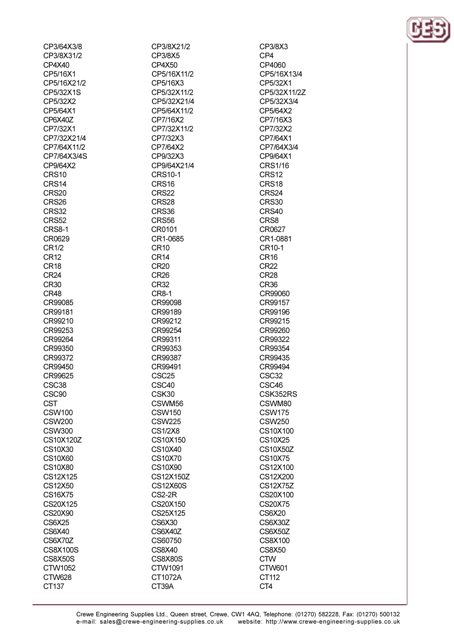| CP3/64X3/8           |
|----------------------|
| CP3/8X31/2           |
| CP4X40               |
| CP5/16X1             |
| CP5/16X21/2          |
| CP5/32X1S            |
| CP5/32X2             |
| CP5/64X1             |
| CP6X40Z              |
| CP7/32X1             |
| CP7/32X21/4          |
| CP7/64X11/2          |
| CP7/64X3/4S          |
| CP9/64X2             |
| <b>CRS10</b>         |
| CRS14                |
| CRS20                |
| CRS26                |
| CRS32                |
| CRS52                |
| CRS8-1               |
| CR0629               |
| CR1/2                |
| CR <sub>12</sub>     |
| CR <sub>18</sub>     |
| CR24                 |
| <b>CR30</b>          |
| CR48                 |
| CR99085              |
| CR99181              |
| CR99210              |
| CR99253              |
| CR99264              |
| CR99350              |
| CR99372              |
| CR99450              |
| CR99625              |
|                      |
| SC38                 |
| CSC90                |
| <b>CST</b>           |
| <b>CSW100</b>        |
| <b>CSW200</b>        |
| <b>CSW300</b>        |
| CS10X120Z<br>CS10X30 |
| CS10X60              |
| CS10X80              |
|                      |
| CS12X125             |
| CS12X50<br>CS16X75   |
| CS20X125             |
| CS20X90              |
| <b>CS6X25</b>        |
| CS6X40               |
| CS6X70Z              |
| CS8X100S             |
| <b>CS8X50S</b>       |
| CTW1052              |
| CTW628               |
| CT137                |
|                      |

CP3/8X21/2 CP3/8X5  $CP4X50$ CP5/16X11/2 CP5/16X3 CP5/32X11/2 CP5/32X21/4 CP5/64X11/2 CP7/16X2 CP7/32X11/2 CP7/32X3 CP7/64X2 CP9/32X3 CP9/64X21/4 **CRS10-1** CRS<sub>16</sub> CRS22 CRS<sub>28</sub> CRS36 CRS56 CR0101 CR1-0685 **CR10**  $CR14$  $CR20$ CR<sub>26</sub> **CR32 CR8-1** CR99098 CR99189 CR99212 CR99254 CR99311 CR99353 CR99387 CR99491 CSC<sub>25</sub> CSC40 CSK30 CSWM56 **CSW150 CSW225 CS1/2X8** CS10X150 CS10X40 **CS10X70** CS10X90 CS12X150Z **CS12X60S**  $CS2-2R$ CS20X150 CS25X125 CS6X30 CS6X40Z CS60750 **CS8X40 CS8X80S** CTW1091 CT1072A CT39A

CP3/8X3 CP4 CP4060 CP5/16X13/4 CP5/32X1 CP5/32X11/2Z CP5/32X3/4 CP5/64X2 CP7/16X3 CP7/32X2 CP7/64X1 CP7/64X3/4 CP9/64X1 CRS1/16 CRS12 CRS18 CRS24 CRS<sub>30</sub> CRS40 CRS8 CR0627 CR1-0881 CR10-1 CR<sub>16</sub>  $CR22$ **CR28** CR<sub>36</sub> CR99060 CR99157 CR99196 CR99215 CR99260 CR99322 CR99354 CR99435 CR99494 CSC<sub>32</sub> CSC46 CSK352RS CSWM80 **CSW175 CSW250** CS10X100 CS10X25 **CS10X50Z CS10X75** CS12X100 CS12X200 **CS12X75Z** CS20X100 **CS20X75** CS6X20 CS6X30Z **CS6X50Z CS8X100 CS8X50 CTW CTW601** CT112 CT4

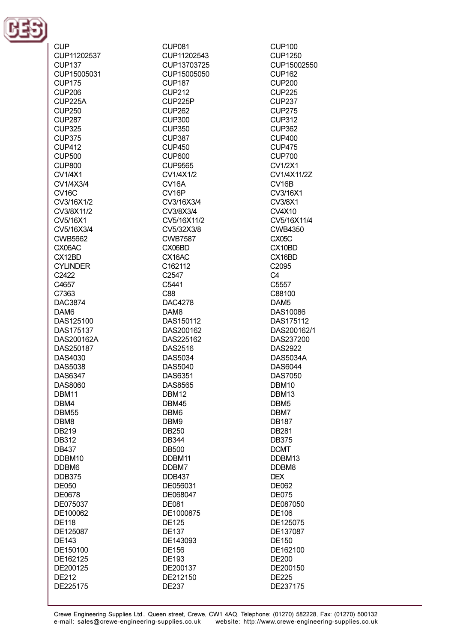

**CUP** CUP11202537 CLIP137 CUP15005031 **CUP175 CUP206** CLIP225A **CUP250 CUP287 CUP325 CUP375 CUP412 CUP500** CLIP800 **CV1/4X1** CV1/4X3/4 CV<sub>16</sub>C CV3/16X1/2 CV3/8X11/2 CV5/16X1 CV5/16X3/4 CWB5662 CX06AC CX12BD **CYLINDER** C2422 C4657 C7363 **DAC3874** DAM<sub>6</sub> DAS125100 DAS175137 DAS200162A DAS250187 DAS4030 DAS5038 **DAS6347** DAS8060 DBM11 DBM4 DBM55 DBM8 DB219 **DB312 DB437** DDBM10 DDBM6 **DDB375 DE050 DE0678** DE075037 DE100062 **DE118** DE125087 **DE143** DE150100 DE162125 DE200125 **DE212** DE225175

**CUP081** CUP11202543 CUP13703725 CUP15005050 **CUP187 CUP212** CUP225P **CUP262 CUP300 CUP350 CUP387 CUP450** CUP600 CLIP9565 CV1/4X1/2 CV<sub>16</sub>A CV<sub>16P</sub> CV3/16X3/4 CV3/8X3/4 CV5/16X11/2 CV5/32X3/8 **CWB7587** CX06BD CX16AC  $C.162112$ C<sub>2547</sub> C5441 C88 DAC4278 DAM<sub>8</sub> DAS150112 DAS200162 DAS225162 **DAS2516** DAS5034 **DAS5040** DAS6351 **DAS8565** DBM12 DBM45 DBM<sub>6</sub> DBM9 **DB250 DB344 DB500** DDBM11 DDBM7 **DDB437** DE056031 DE068047 DE081 DE1000875 **DE125 DE137** DE143093 **DE156** DE193 DE200137 DE212150

**CUP100 CUP1250** CUP15002550 **CUP162 CUP200 CUP225 CUP237 CUP275 CUP312 CUP362 CUP400 CUP475 CUP700**  $C<sub>1</sub>/1/2X1$ CV1/4X11/2Z **CV16B** CV3/16X1 CV3/8X1 **CV4X10** CV5/16X11/4 **CWB4350** CX05C CX10BD CX16BD  $C2095$ C<sub>4</sub> C5557 C88100 DAM<sub>5</sub> DAS10086 DAS175112 DAS200162/1 DAS237200 **DAS2922 DAS5034A** DAS6044 **DAS7050** DBM10 DBM13 DBM<sub>5</sub> DBM7 **DB187 DB281 DB375 DCMT** DDBM13 DDBM8 **DEX** DE062 **DE075** DE087050 DE106 DE125075 DE137087 **DE150** DE162100 **DE200** DE200150 **DE225** DE237175

**DE237**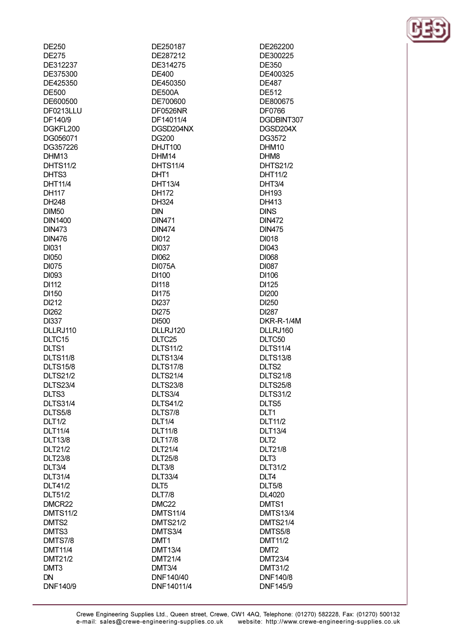| DEZ50           |  |
|-----------------|--|
| DE275           |  |
| DE312237        |  |
| DE375300        |  |
| DE425350        |  |
| DE500           |  |
| DE600500        |  |
| DF0213LLU       |  |
| DF140/9         |  |
| DGKFL200        |  |
| DG056071        |  |
| DG357226        |  |
|                 |  |
| DHM13           |  |
| <b>DHTS11/2</b> |  |
| DHTS3           |  |
| DHT11/4         |  |
| DH117           |  |
| DH248           |  |
| <b>DIM50</b>    |  |
| <b>DIN1400</b>  |  |
| <b>DIN473</b>   |  |
| <b>DIN476</b>   |  |
| <b>DI031</b>    |  |
| <b>DI050</b>    |  |
| <b>DI075</b>    |  |
| DI093           |  |
|                 |  |
| DI112           |  |
| DI150           |  |
| DI212           |  |
| DI262           |  |
| DI337           |  |
| DLLRJ110        |  |
| DLTC15          |  |
| DLTS1           |  |
| <b>DLTS11/8</b> |  |
| <b>DLTS15/8</b> |  |
| <b>DLTS21/2</b> |  |
| <b>DLTS23/4</b> |  |
|                 |  |
| DLTS3           |  |
| <b>DLTS31/4</b> |  |
| DLTS5/8         |  |
| <b>DLT1/2</b>   |  |
| <b>DLT11/4</b>  |  |
| DLT13/8         |  |
| DLT21/2         |  |
| <b>DLT23/8</b>  |  |
| <b>DLT3/4</b>   |  |
| <b>DLT31/4</b>  |  |
| DLT41/2         |  |
| DLT51/2         |  |
| DMCR22          |  |
| <b>DMTS11/2</b> |  |
|                 |  |
| DMTS2           |  |
| DMTS3           |  |
| <b>DMTS7/8</b>  |  |
| DMT11/4         |  |
| DMT21/2         |  |
| DMT3            |  |
| DN              |  |
| DNF140/9        |  |

 $R = 25$ 

DE250187 DE287212 DE314275 **DE400** DE450350 **DE500A** DE700600 **DF0526NR** DF14011/4 DGSD204NX **DG200** DHJT100 DHM14 **DHTS11/4** DHT1 **DHT13/4 DH172** DH324 **DIN DIN471 DIN474 DI012 DI037** DI062 **DI075A DI100 DI118 DI175 DI237** DI275 **DI500** DLLRJ120 DLTC<sub>25</sub> **DLTS11/2 DLTS13/4 DLTS17/8 DLTS21/4 DLTS23/8** DLTS3/4 **DLTS41/2** DLTS7/8 **DLT1/4 DLT11/8 DLT17/8 DLT21/4 DLT25/8 DLT3/8 DLT33/4** DLT5 **DLT7/8** DMC<sub>22</sub> **DMTS11/4 DMTS21/2** DMTS3/4 DMT<sub>1</sub> **DMT13/4 DMT21/4 DMT3/4** DNF140/40 DNF14011/4

DE262200 DE300225 DE350 DE400325 **DE487 DE512** DE800675 **DF0766** DGDBINT307 DGSD204X DG3572 DHM<sub>10</sub> DHM<sub>8</sub> **DHTS21/2 DHT11/2** DHT3/4 DH193 DH413 **DINS DIN472 DIN475 DI018 DI043 DI068 DI087** DI106 **DI125 DI200** DI250 DI287 DKR-R-1/4M DLLRJ160 DLTC50 **DLTS11/4 DLTS13/8** DLTS2 **DLTS21/8 DLTS25/8 DLTS31/2** DLTS5 DLT1 **DLT11/2 DLT13/4** DLT<sub>2</sub> **DLT21/8** DLT<sub>3</sub> **DLT31/2** DLT4 **DLT5/8 DL4020** DMTS1 **DMTS13/4 DMTS21/4** DMTS5/8 **DMT11/2** DMT<sub>2</sub> **DMT23/4 DMT31/2 DNF140/8 DNF145/9** 

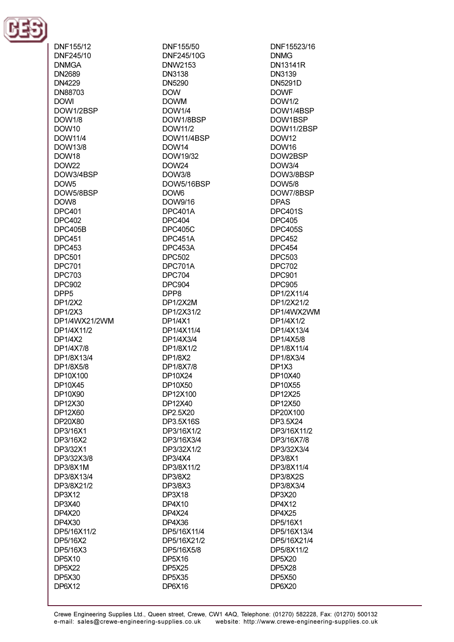

DNF155/12 DNF245/10 **DNMGA DN2689 DN4229** DN88703 **DOWI** DOW1/2BSP **DOW1/8 DOW10 DOW11/4 DOW13/8 DOW18** DOW22 DOW3/4BSP DOW<sub>5</sub> DOW5/8BSP **DOW8 DPC401 DPC402 DPC405B DPC451 DPC453 DPC501 DPC701 DPC703 DPC902** DPP<sub>5</sub> DP1/2X2 DP1/2X3 DP1/4WX21/2WM DP1/4X11/2 DP1/4X2 DP1/4X7/8 DP1/8X13/4 DP1/8X5/8 DP10X100 DP10X45 DP10X90 DP12X30 DP12X60 DP20X80 DP3/16X1 DP3/16X2 DP3/32X1 DP3/32X3/8 DP3/8X1M DP3/8X13/4 DP3/8X21/2 DP3X12 DP3X40 **DP4X20** DP4X30 DP5/16X11/2 DP5/16X2 DP5/16X3 DP5X10 **DP5X22 DP5X30 DP6X12** 

DNF155/50 DNF245/10G **DNW2153 DN3138** DN5290 **DOW DOWM DOW1/4** DOW1/8BSP **DOW11/2** DOW11/4BSP DOW14 DOW19/32 **DOW24 DOW3/8** DOW5/16BSP DOW<sub>6</sub> DOW9/16 DPC401A **DPC404 DPC405C** DPC451A DPC453A DPC502 DPC701A **DPC704 DPC904** DPP8 DP1/2X2M DP1/2X31/2 **DP1/4X1** DP1/4X11/4 DP1/4X3/4 DP1/8X1/2 DP1/8X2 DP1/8X7/8 DP10X24 DP10X50 DP12X100 DP12X40 DP2.5X20 DP3.5X16S DP3/16X1/2 DP3/16X3/4 DP3/32X1/2 DP3/4X4 DP3/8X11/2 DP3/8X2 DP3/8X3 **DP3X18 DP4X10 DP4X24** DP4X36 DP5/16X11/4 DP5/16X21/2 DP5/16X5/8 **DP5X16 DP5X25 DP5X35 DP6X16** 

DNF15523/16 **DNMG DN13141R** DN3139 **DN5291D DOWF DOW1/2** DOW1/4BSP DOW1BSP DOW11/2BSP **DOW12** DOW16 DOW2BSP **DOW3/4** DOW3/8BSP **DOW5/8** DOW7/8BSP **DPAS DPC401S DPC405 DPC405S DPC452 DPC454** DPC503 DPC702 **DPC901 DPC905** DP1/2X11/4 DP1/2X21/2 DP1/4WX2WM DP1/4X1/2 DP1/4X13/4 DP1/4X5/8 DP1/8X11/4 DP1/8X3/4 DP1X3 DP10X40 DP10X55 DP12X25 DP12X50 DP20X100 DP3.5X24 DP3/16X11/2 DP3/16X7/8 DP3/32X3/4 DP3/8X1 DP3/8X11/4 **DP3/8X2S** DP3/8X3/4 DP3X20 **DP4X12 DP4X25** DP5/16X1 DP5/16X13/4 DP5/16X21/4 DP5/8X11/2 **DP5X20 DP5X28 DP5X50 DP6X20**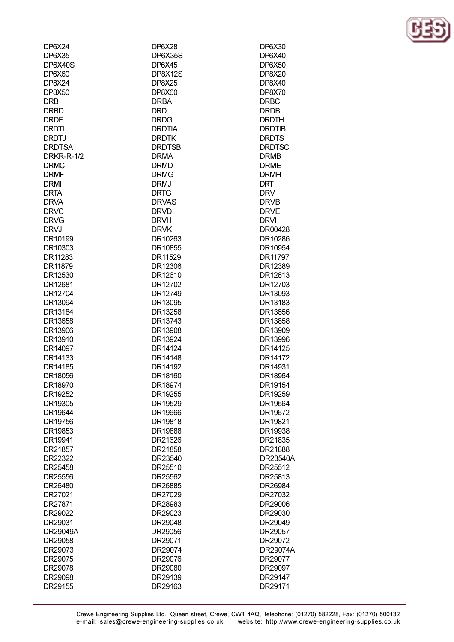| DP6X24            | DP6X28        | DP6X30        |
|-------------------|---------------|---------------|
| <b>DP6X35</b>     | DP6X35S       | <b>DP6X40</b> |
| DP6X40S           | <b>DP6X45</b> | <b>DP6X50</b> |
| <b>DP6X60</b>     | DP8X12S       | <b>DP8X20</b> |
| <b>DP8X24</b>     | <b>DP8X25</b> | DP8X40        |
| <b>DP8X50</b>     | <b>DP8X60</b> | <b>DP8X70</b> |
| <b>DRB</b>        | <b>DRBA</b>   | <b>DRBC</b>   |
| <b>DRBD</b>       | <b>DRD</b>    | <b>DRDB</b>   |
| <b>DRDF</b>       | <b>DRDG</b>   | <b>DRDTH</b>  |
| <b>DRDTI</b>      | <b>DRDTIA</b> | <b>DRDTIB</b> |
| <b>DRDTJ</b>      | <b>DRDTK</b>  | <b>DRDTS</b>  |
| <b>DRDTSA</b>     | <b>DRDTSB</b> | <b>DRDTSC</b> |
| <b>DRKR-R-1/2</b> | <b>DRMA</b>   | <b>DRMB</b>   |
| <b>DRMC</b>       | <b>DRMD</b>   | <b>DRME</b>   |
| <b>DRMF</b>       | <b>DRMG</b>   | <b>DRMH</b>   |
| <b>DRMI</b>       | <b>DRMJ</b>   | <b>DRT</b>    |
| <b>DRTA</b>       | <b>DRTG</b>   | <b>DRV</b>    |
| <b>DRVA</b>       | <b>DRVAS</b>  | <b>DRVB</b>   |
| <b>DRVC</b>       | <b>DRVD</b>   | <b>DRVE</b>   |
| <b>DRVG</b>       | <b>DRVH</b>   | <b>DRVI</b>   |
| <b>DRVJ</b>       | <b>DRVK</b>   | DR00428       |
| DR10199           | DR10263       | DR10286       |
| DR10303           | DR10855       | DR10954       |
| DR11283           | DR11529       | DR11797       |
| DR11879           | DR12306       | DR12389       |
| DR12530           | DR12610       | DR12613       |
| DR12681           | DR12702       | DR12703       |
| DR12704           | DR12749       | DR13093       |
| DR13094           | DR13095       | DR13183       |
| DR13184           | DR13258       | DR13656       |
| DR13658           | DR13743       | DR13858       |
| DR13906           | DR13908       | DR13909       |
| DR13910           | DR13924       | DR13996       |
| DR14097           | DR14124       | DR14125       |
| DR14133           | DR14148       | DR14172       |
| DR14185           | DR14192       | DR14931       |
| DR18056           | DR18160       | DR18964       |
| DR18970           | DR18974       | DR19154       |
| DR19252           | DR19255       | DR19259       |
| DR19305           | DR19529       | DR19564       |
| DR19644           | DR19666       | DR19672       |
| DR19756           | DR19818       | DR19821       |
| DR19853           | DR19888       | DR19938       |
| DR19941           | DR21626       | DR21835       |
| DR21857           | DR21858       | DR21888       |
| DR22322           | DR23540       | DR23540A      |
| DR25458           | DR25510       | DR25512       |
| DR25556           | DR25562       | DR25813       |
| DR26480           | DR26885       | DR26984       |
| DR27021           | DR27029       | DR27032       |
| DR27871           | DR28983       | DR29006       |
| DR29022           | DR29023       | DR29030       |
| DR29031           | DR29048       | DR29049       |
| DR29049A          | DR29056       | DR29057       |
| DR29058           | DR29071       | DR29072       |
| DR29073           | DR29074       | DR29074A      |
| DR29075           | DR29076       | DR29077       |
| DR29078           | DR29080       | DR29097       |
| DR29098           | DR29139       | DR29147       |
| DR29155           | DR29163       | DR29171       |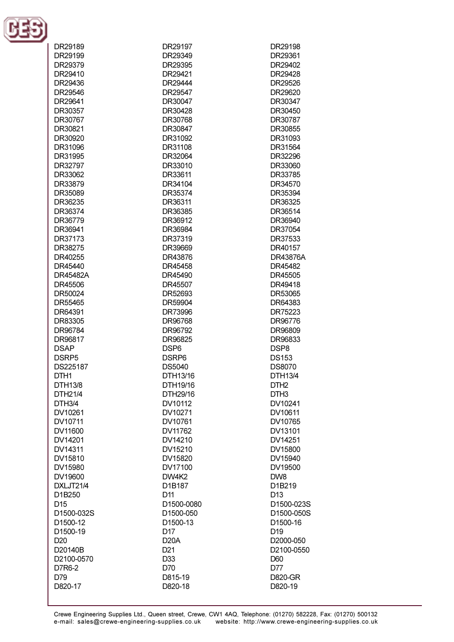

| DR29189              | DR29197           | DR29198          |
|----------------------|-------------------|------------------|
| DR29199              | DR29349           | DR29361          |
| DR29379              | DR29395           | DR29402          |
| DR29410              | DR29421           | DR29428          |
| DR29436              | DR29444           | DR29526          |
|                      | DR29547           |                  |
| DR29546              |                   | DR29620          |
| DR29641              | DR30047           | DR30347          |
| DR30357              | DR30428           | DR30450          |
| DR30767              | DR30768           | DR30787          |
| DR30821              | DR30847           | DR30855          |
| DR30920              | DR31092           | DR31093          |
| DR31096              | DR31108           | DR31564          |
| DR31995              | DR32064           | DR32296          |
| DR32797              | DR33010           | DR33060          |
| DR33062              | DR33611           | DR33785          |
| DR33879              | DR34104           | DR34570          |
| DR35089              | DR35374           | DR35394          |
| DR36235              | DR36311           | DR36325          |
| DR36374              | DR36385           | DR36514          |
| DR36779              | DR36912           | DR36940          |
| DR36941              | DR36984           | DR37054          |
| DR37173              | DR37319           | DR37533          |
| DR38275              | DR39669           | DR40157          |
| DR40255              | DR43876           | <b>DR43876A</b>  |
| DR45440              | DR45458           | DR45482          |
| DR45482A             | DR45490           | DR45505          |
| DR45506              | DR45507           | DR49418          |
| DR50024              | DR52693           | DR53065          |
| DR55465              | DR59904           | DR64383          |
| DR64391              | DR73996           | DR75223          |
| DR83305              | DR96768           | DR96776          |
|                      |                   |                  |
| DR96784<br>DR96817   | DR96792           | DR96809          |
|                      | DR96825           | DR96833          |
| <b>DSAP</b>          | DSP <sub>6</sub>  | DSP8             |
| DSRP <sub>5</sub>    | DSRP6             | <b>DS153</b>     |
| DS225187             | DS5040            | DS8070           |
| DTH <sub>1</sub>     | DTH13/16          | DTH13/4          |
| DTH13/8              | DTH19/16          | DTH <sub>2</sub> |
| DTH21/4              | DTH29/16          | DTH <sub>3</sub> |
| DTH <sub>3/4</sub>   | DV10112           | DV10241          |
| DV10261              | DV10271           | DV10611          |
| DV10711              | DV10761           | DV10765          |
| DV11600              | DV11762           | DV13101          |
| DV14201              | DV14210           | DV14251          |
| DV14311              | DV15210           | DV15800          |
| DV15810              | DV15820           | DV15940          |
| DV15980              | DV17100           | DV19500          |
| DV19600              | DW4K2             | DW8              |
| DXLJT21/4            | D1B187            | D1B219           |
| D1B250               | D <sub>11</sub>   | D <sub>13</sub>  |
| D <sub>15</sub>      | D1500-0080        | D1500-023S       |
| D1500-032S           | D1500-050         | D1500-050S       |
| D <sub>1500-12</sub> | D1500-13          | D1500-16         |
| D1500-19             | D17               | D <sub>19</sub>  |
| D <sub>20</sub>      | D <sub>20</sub> A | D2000-050        |
| D20140B              | D <sub>21</sub>   | D2100-0550       |
| D2100-0570           | D33               | D60              |
| D7R6-2               | D70               | D77              |
| D79                  | D815-19           | <b>D820-GR</b>   |
| D820-17              | D820-18           | D820-19          |
|                      |                   |                  |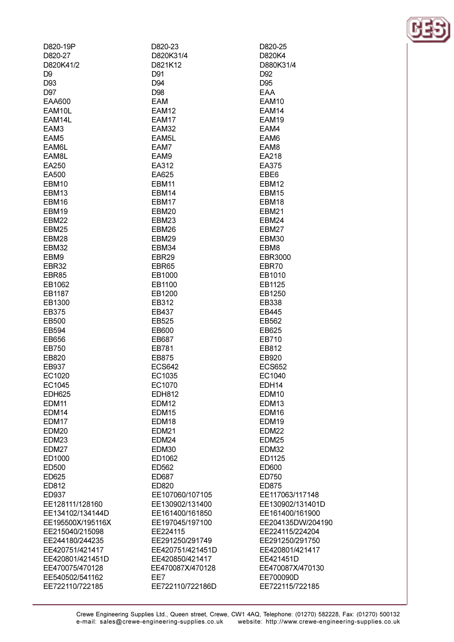| D820-19P               | D820-23                            | D820-25                                |
|------------------------|------------------------------------|----------------------------------------|
| D820-27                | D820K31/4                          | D820K4                                 |
| D820K41/2              | D821K12                            | D880K31/4                              |
| D9                     | D91                                | D <sub>92</sub>                        |
| D93                    | D94                                | D <sub>95</sub>                        |
| D97                    | D98                                | EAA                                    |
| <b>EAA600</b>          | EAM                                | EAM10                                  |
| EAM10L                 | EAM12                              | EAM14                                  |
| EAM14L                 | EAM17                              | EAM19                                  |
| EAM3                   | <b>EAM32</b>                       | EAM4                                   |
| EAM <sub>5</sub>       | EAM5L                              | EAM6                                   |
| EAM6L                  | EAM7                               | EAM <sub>8</sub>                       |
| EAM8L                  | EAM9                               | EA218                                  |
| EA250                  | EA312                              | EA375                                  |
| EA500                  | EA625                              | EBE <sub>6</sub>                       |
| EBM10                  | EBM <sub>11</sub>                  | EBM <sub>12</sub>                      |
| EBM13                  | EBM14                              | EBM15                                  |
| EBM16                  | EBM17                              | EBM18                                  |
| EBM19                  | EBM20                              | EBM21                                  |
| <b>EBM22</b>           | EBM <sub>23</sub>                  | EBM24                                  |
| EBM25                  | EBM26                              | EBM27                                  |
| EBM28                  | EBM29                              | EBM30                                  |
| <b>EBM32</b>           | EBM34                              | EBM8                                   |
| EBM9                   | EBR29                              | <b>EBR3000</b>                         |
| EBR32                  | EBR65                              | EBR70                                  |
| EBR85                  | EB1000                             | EB1010                                 |
| EB1062                 | EB1100                             | EB1125                                 |
| EB1187                 | EB1200                             | EB1250                                 |
| EB1300                 | EB312                              | EB338                                  |
| EB375                  | EB437                              | EB445                                  |
| EB500                  | EB525                              | EB562                                  |
| EB594                  | EB600                              | EB625                                  |
| EB656                  | EB687                              | EB710                                  |
| EB750                  | EB781                              | EB812                                  |
| EB820                  | EB875                              | EB920                                  |
| EB937                  | <b>ECS642</b>                      | <b>ECS652</b>                          |
| EC1020                 | EC1035                             | EC1040                                 |
| EC1045                 | EC1070                             | EDH14                                  |
| <b>EDH625</b><br>EDM11 | <b>EDH812</b><br>EDM <sub>12</sub> | EDM <sub>10</sub><br>EDM <sub>13</sub> |
| EDM14                  | EDM <sub>15</sub>                  | EDM <sub>16</sub>                      |
| EDM17                  | EDM <sub>18</sub>                  | EDM <sub>19</sub>                      |
| EDM <sub>20</sub>      | EDM <sub>21</sub>                  | EDM <sub>22</sub>                      |
| EDM23                  | EDM24                              | EDM <sub>25</sub>                      |
| EDM <sub>27</sub>      | EDM30                              | EDM32                                  |
| ED1000                 | ED1062                             | ED1125                                 |
| ED500                  | ED562                              | ED600                                  |
| ED625                  | ED687                              | ED750                                  |
| ED812                  | ED820                              | ED875                                  |
| ED937                  | EE107060/107105                    | EE117063/117148                        |
| EE128111/128160        | EE130902/131400                    | EE130902/131401D                       |
| EE134102/134144D       | EE161400/161850                    | EE161400/161900                        |
| EE195500X/195116X      | EE197045/197100                    | EE204135DW/2041                        |
| EE215040/215098        | EE224115                           | EE224115/224204                        |
| EE244180/244235        | EE291250/291749                    | EE291250/291750                        |
| EE420751/421417        | EE420751/421451D                   | EE420801/421417                        |
| EE420801/421451D       | EE420850/421417                    | EE421451D                              |
| EE470075/470128        | EE470087X/470128                   | EE470087X/470130                       |
| EE540502/541162        | EE7                                | EE700090D                              |
| EE722110/722185        | EE722110/722186D                   | EE722115/722185                        |
|                        |                                    |                                        |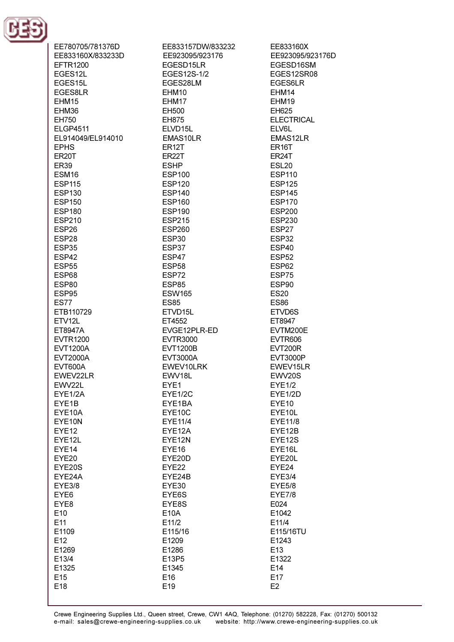

| EE780705/781376D   | EE833157DW/833232  |
|--------------------|--------------------|
| EE833160X/833233D  | EE923095/923176    |
| <b>EFTR1200</b>    | EGESD15LR          |
| EGES12L            | EGES12S-1/2        |
| EGES15L            | EGES28LM           |
| EGES8LR            | EHM10              |
| EHM15              | EHM17              |
| EHM36              | EH500              |
| EH750              | EH875              |
| <b>ELGP4511</b>    | ELVD15L            |
| EL914049/EL914010  | EMAS10LR           |
| <b>EPHS</b>        | ER <sub>12</sub> T |
|                    | <b>ER22T</b>       |
| ER <sub>20</sub> T |                    |
| <b>ER39</b>        | <b>ESHP</b>        |
| ESM <sub>16</sub>  | <b>ESP100</b>      |
| <b>ESP115</b>      | <b>ESP120</b>      |
| <b>ESP130</b>      | <b>ESP140</b>      |
| <b>ESP150</b>      | <b>ESP160</b>      |
| <b>ESP180</b>      | <b>ESP190</b>      |
| <b>ESP210</b>      | <b>ESP215</b>      |
| ESP <sub>26</sub>  | <b>ESP260</b>      |
| ESP28              | ESP30              |
| ESP35              | ESP37              |
| ESP42              | ESP47              |
| <b>ESP55</b>       | ESP <sub>58</sub>  |
| ESP68              | ESP72              |
| <b>ESP80</b>       | ESP85              |
| ESP95              | <b>ESW165</b>      |
| ES77               | <b>ES85</b>        |
| ETB110729          | ETVD15L            |
| ETV12L             | ET4552             |
| ET8947A            | EVGE12PLR-ED       |
| <b>EVTR1200</b>    | <b>EVTR3000</b>    |
| <b>EVT1200A</b>    | <b>EVT1200B</b>    |
| <b>EVT2000A</b>    | <b>EVT3000A</b>    |
| <b>EVT600A</b>     | EWEV10LRK          |
| EWEV22LR           | EWV18L             |
| EWV22L             | EYE1               |
| EYE1/2A            | <b>EYE1/2C</b>     |
| EYE1B              | EYE1BA             |
| EYE10A             | EYE10C             |
| EYE10N             | <b>EYE11/4</b>     |
| <b>EYE12</b>       | EYE12A             |
| EYE12L             | EYE12N             |
| EYE14              | EYE <sub>16</sub>  |
| EYE20              | EYE20D             |
| EYE20S             | EYE22              |
| EYE24A             | EYE24B             |
| <b>EYE3/8</b>      | EYE30              |
|                    |                    |
| EYE <sub>6</sub>   | EYE6S              |
| EYE8               | EYE8S              |
| E10                | <b>E10A</b>        |
| E11                | E11/2              |
| E1109              | E115/16            |
| E12                | E1209              |
| E1269              | E1286              |
| E13/4              | E13P5              |
| E1325              | E1345              |
| E <sub>15</sub>    | E16                |
| E18                | E19                |

EE833160X EE923095/923176D EGESD16SM EGES12SR08 EGES6LR EHM14 EHM19 EH625 **ELECTRICAL** ELV6L EMAS12LR ER<sub>16</sub>T ER<sub>24</sub>T **ESL20 ESP110 ESP125 ESP145 ESP170 ESP200 ESP230** ESP27 ESP32 ESP40 **ESP52** ESP62 ESP75 ESP90 **ES20 ES86** ETVD6S ET8947 EVTM200E **EVTR606 EVT200R EVT3000P** EWEV15LR EWV20S **EYE1/2** EYE1/2D EYE10 EYE10L **EYE11/8** EYE12B EYE12S EYE16L EYE20L EYE24 **EYE3/4 EYE5/8 EYE7/8** E024 E1042 E11/4 E115/16TU E1243 E<sub>13</sub> E1322

> E14 E17  $E2$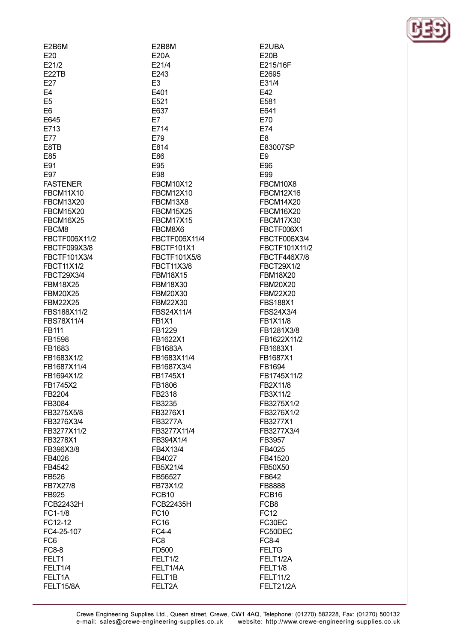| E2B6M             |
|-------------------|
| E20               |
| E21/2             |
| E22TB             |
|                   |
| E27               |
| E4                |
| E5                |
| E6                |
| E645              |
| E713              |
| E77               |
| E8TB              |
| E85               |
| E91               |
| E97               |
|                   |
| <b>FASTENER</b>   |
| <b>FBCM11X10</b>  |
| <b>FBCM13X20</b>  |
| <b>FBCM15X20</b>  |
| <b>FBCM16X25</b>  |
| FBCM8             |
| FBCTF006X11/2     |
| FBCTF099X3/8      |
| FBCTF101X3/4      |
| FBCT11X1/2        |
| <b>FBCT29X3/4</b> |
| <b>FBM18X25</b>   |
| <b>FBM20X25</b>   |
| <b>FBM22X25</b>   |
| FBS188X11/2       |
| FBS78X11/4        |
|                   |
| FB111             |
| FB1598            |
| FB1683            |
| FB1683X1/2        |
| FB1687X11/4       |
| FB1694X1/2        |
| FB1745X2          |
| FB2204            |
| FB3084            |
| FB3275X5/8        |
| FB3276X3/4        |
| FB3277X11/2       |
| FB3278X1          |
| FB396X3/8         |
|                   |
| FB4026            |
| FB4542            |
| FB526             |
| FB7X27/8          |
| FB925             |
| FCB22432H         |
| FC1-1/8           |
| FC12-12           |
| FC4-25-107        |
| FC6               |
| FC8-8             |
| FELT1             |
| FELT1/4           |
| FELT1A            |

FELT15/8A

E2B8M  $E20A$ F21/4 E243 E<sub>3</sub> E401 E521 E637 E7 E714 E79 E814 E86 F95 E98 **FBCM10X12 FBCM12X10** FBCM13X8 **FBCM15X25 FBCM17X15** FBCM8X6 FBCTF006X11/4 **FBCTF101X1** FBCTF101X5/8 **FBCT11X3/8 FBM18X15** FBM18X30 FBM20X30 FBM22X30 FBS24X11/4 **FB1X1** FB1229 FB1622X1 FB1683A FB1683X11/4 FB1687X3/4 FB1745X1 FB1806 FB2318 FB3235 FB3276X1 **FB3277A** FB3277X11/4 FB394X1/4 FB4X13/4 FB4027 FB5X21/4 FB56527 FB73X1/2 FCB<sub>10</sub> FCB22435H **FC10 FC16**  $FC4-4$ FC<sub>8</sub> FD500 FELT1/2 FELT1/4A FELT1B FELT2A

E2UBA  $E20B$ F215/16F F<sub>2695</sub> E31/4 E42 E581 E641 E70 E74 E<sub>8</sub> E83007SP E<sub>9</sub> F96 E99 FBCM10X8 **FBCM12X16 FBCM14X20 FBCM16X20 FBCM17X30** FBCTF006X1 FBCTF006X3/4 FBCTF101X11/2 FBCTF446X7/8 FBCT29X1/2 **FBM18X20 FBM20X20 FBM22X20 FBS188X1** FBS24X3/4 FB1X11/8 FB1281X3/8 FB1622X11/2 FB1683X1 FB1687X1 FB1694 FB1745X11/2 FB2X11/8 FB3X11/2 FB3275X1/2 FB3276X1/2 FB3277X1 FB3277X3/4 FB3957 FB4025 FB41520 FB50X50 FB642 FB8888 FCB<sub>16</sub> FCB8 **FC12** FC30EC FC50DEC **FC8-4 FELTG** FELT1/2A FELT1/8 **FELT11/2** FELT21/2A

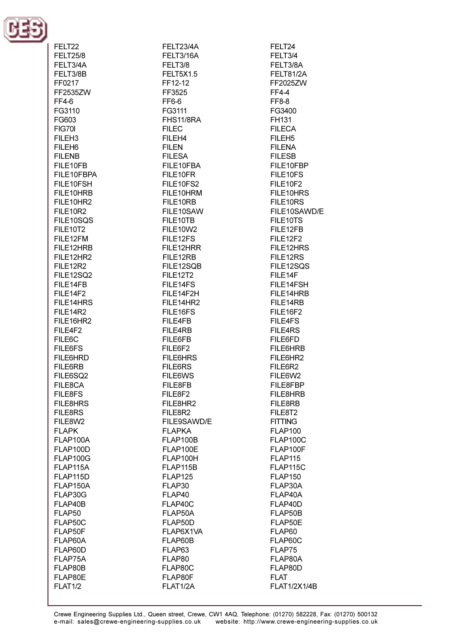

| FELT22             | FELT23/4A        | FELT24              |
|--------------------|------------------|---------------------|
| <b>FELT25/8</b>    | FELT3/16A        | FELT3/4             |
| FELT3/4A           | FELT3/8          | FELT3/8A            |
| FELT3/8B           | <b>FELT5X1.5</b> | FELT81/2A           |
|                    |                  |                     |
| FF0217             | FF12-12          | FF2025ZW            |
| FF2535ZW           | FF3525           | FF4-4               |
| FF4-6              | FF6-6            | FF8-8               |
| FG3110             | FG3111           | FG3400              |
| FG603              | FHS11/8RA        | FH131               |
|                    |                  |                     |
| FIG70I             | <b>FILEC</b>     | <b>FILECA</b>       |
| FILEH <sub>3</sub> | FILEH4           | FILEH <sub>5</sub>  |
| FILEH <sub>6</sub> | <b>FILEN</b>     | <b>FILENA</b>       |
| <b>FILENB</b>      | <b>FILESA</b>    | <b>FILESB</b>       |
|                    |                  |                     |
| FILE10FB           | FILE10FBA        | FILE10FBP           |
| FILE10FBPA         | FILE10FR         | FILE10FS            |
| FILE10FSH          | FILE10FS2        | FILE10F2            |
| FILE10HRB          | FILE10HRM        | FILE10HRS           |
| FILE10HR2          | FILE10RB         | FILE10RS            |
|                    |                  |                     |
| <b>FILE10R2</b>    | FILE10SAW        | FILE10SAWD/E        |
| FILE10SQS          | FILE10TB         | FILE10TS            |
| FILE10T2           | FILE10W2         | FILE12FB            |
| FILE12FM           | FILE12FS         | FILE12F2            |
| FILE12HRB          | FILE12HRR        | FILE12HRS           |
|                    |                  |                     |
| FILE12HR2          | FILE12RB         | FILE12RS            |
| <b>FILE12R2</b>    | FILE12SQB        | FILE12SQS           |
| FILE12SQ2          | <b>FILE12T2</b>  | FILE14F             |
| FILE14FB           | FILE14FS         | FILE14FSH           |
| FILE14F2           | FILE14F2H        | FILE14HRB           |
| FILE14HRS          | FILE14HR2        | FILE14RB            |
|                    |                  |                     |
| FILE14R2           | FILE16FS         | FILE16F2            |
| FILE16HR2          | FILE4FB          | FILE4FS             |
| FILE4F2            | <b>FILE4RB</b>   | FILE4RS             |
| FILE6C             | FILE6FB          | FILE6FD             |
| FILE6FS            | FILE6F2          | FILE6HRB            |
| <b>FILE6HRD</b>    | <b>FILE6HRS</b>  | FILE6HR2            |
|                    |                  |                     |
| FILE6RB            | FILE6RS          | FILE6R2             |
| FILE6SQ2           | FILE6WS          | FILE6W2             |
| FILE8CA            | FILE8FB          | FILE8FBP            |
| FILE8FS            | FILE8F2          | FILE8HRB            |
| <b>FILE8HRS</b>    | FILE8HR2         | FILE8RB             |
| <b>FILE8RS</b>     | FILE8R2          | FILE8T2             |
|                    |                  |                     |
| FILE8W2            | FILE9SAWD/E      | <b>FITTING</b>      |
| <b>FLAPK</b>       | <b>FLAPKA</b>    | <b>FLAP100</b>      |
| FLAP100A           | FLAP100B         | FLAP100C            |
| FLAP100D           | FLAP100E         | FLAP100F            |
| FLAP100G           | FLAP100H         | FLAP115             |
| FLAP115A           | FLAP115B         | FLAP115C            |
|                    |                  |                     |
| FLAP115D           | <b>FLAP125</b>   | <b>FLAP150</b>      |
| FLAP150A           | FLAP30           | FLAP30A             |
| FLAP30G            | FLAP40           | FLAP40A             |
| FLAP40B            | FLAP40C          | FLAP40D             |
| FLAP50             | FLAP50A          | FLAP50B             |
|                    | FLAP50D          |                     |
| FLAP50C            |                  | FLAP50E             |
| FLAP50F            | FLAP6X1VA        | FLAP60              |
| FLAP60A            | FLAP60B          | FLAP60C             |
| FLAP60D            | FLAP63           | FLAP75              |
| FLAP75A            | FLAP80           | FLAP80A             |
| FLAP80B            | FLAP80C          | FLAP80D             |
|                    |                  |                     |
| FLAP80E            | FLAP80F          | FLAT                |
| <b>FLAT1/2</b>     | FLAT1/2A         | <b>FLAT1/2X1/4B</b> |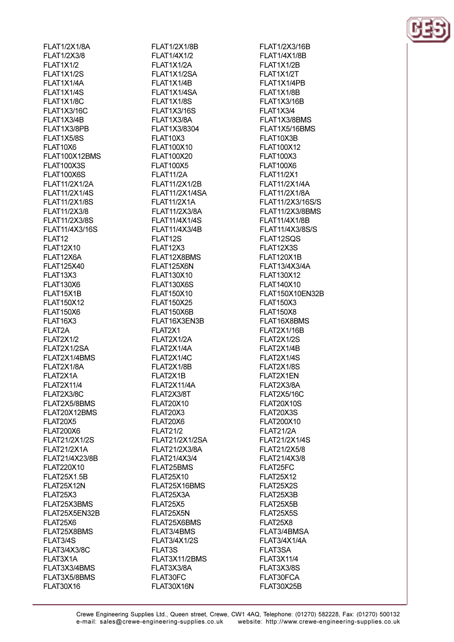**FLAT1/2X1/8A** FLAT1/2X3/8 FI AT1X1/2 **FI AT1X1/2S** FLAT1X1/4A FLAT1X1/4S **FI AT1X1/8C FLAT1X3/16C** FLAT1X3/4B FLAT1X3/8PB FLAT1X5/8S FLAT10X6 FLAT100X12BMS **FI AT100X3S FLAT100X6S** FLAT11/2X1/2A **FLAT11/2X1/4S** FLAT11/2X1/8S FLAT11/2X3/8 **FLAT11/2X3/8S** FLAT11/4X3/16S FLAT<sub>12</sub> **FLAT12X10** FI AT12X6A FI AT125X40 FLAT13X3 **FLAT130X6** FLAT15X1B **FLAT150X12 FLAT150X6** FLAT16X3 FLAT2A **FLAT2X1/2** FLAT2X1/2SA FLAT2X1/4BMS FLAT2X1/8A FLAT2X1A **FLAT2X11/4** FLAT2X3/8C FLAT2X5/8BMS FLAT20X12BMS FLAT20X5 **FLAT200X6** FLAT21/2X1/2S **FLAT21/2X1A** FLAT21/4X23/8B FLAT220X10 **FLAT25X1.5B FLAT25X12N** FLAT25X3 FLAT25X3BMS FLAT25X5EN32B FLAT25X6 FLAT25X8BMS FLAT3/4S **FLAT3/4X3/8C** FLAT3X1A FLAT3X3/4BMS FLAT3X5/8BMS **FLAT30X16** 

**FLAT1/2X1/8B** FLAT1/4X1/2 **FI AT1X1/2A** FLAT1X1/2SA FLAT1X1/4B FLAT1X1/4SA **FI AT1X1/8S FLAT1X3/16S** FLAT1X3/8A FLAT1X3/8304 **FLAT10X3** FLAT100X10 FI AT100X20 FI AT100X5 **FLAT11/2A** FLAT11/2X1/2B **FLAT11/2X1/4SA FLAT11/2X1A** FLAT11/2X3/8A **FLAT11/4X1/4S** FLAT11/4X3/4B FLAT12S FLAT12X3 FLAT12X8BMS FI AT125X6N FLAT130X10 FLAT130X6S FLAT150X10 **FLAT150X25** FLAT150X6B FLAT16X3EN3B FLAT2X1 FLAT2X1/2A FLAT2X1/4A FLAT2X1/4C FLAT2X1/8B FLAT2X1B FLAT2X11/4A FLAT2X3/8T **FLAT20X10** FLAT20X3 FLAT20X6 **FLAT21/2 FLAT21/2X1/2SA** FLAT21/2X3/8A FLAT21/4X3/4 FLAT25BMS **FLAT25X10** FLAT25X16BMS FLAT25X3A FLAT25X5 FLAT25X5N FLAT25X6BMS FLAT3/4BMS **FLAT3/4X1/2S** FLAT3S FLAT3X11/2BMS FLAT3X3/8A FLAT30FC FLAT30X16N

FLAT1/2X3/16B **FLAT1/4X1/8B FI AT1X1/2R FI AT1X1/2T** FLAT1X1/4PB FLAT1X1/8B **FLAT1X3/16B FLAT1X3/4** FLAT1X3/8BMS FLAT1X5/16BMS FLAT10X3B FLAT100X12 FI AT100X3 FI AT100X6 **FLAT11/2X1** FLAT11/2X1/4A FLAT11/2X1/8A FLAT11/2X3/16S/S **FLAT11/2X3/8BMS FLAT11/4X1/8B** FLAT11/4X3/8S/S FLAT12SOS FLAT12X3S FI AT120X1R FLAT13/4X3/4A FLAT130X12 **FLAT140X10** FLAT150X10EN32B **FLAT150X3 FLAT150X8** FLAT16X8BMS **FLAT2X1/16B** FLAT2X1/2S FLAT2X1/4B FLAT2X1/4S FLAT2X1/8S FLAT2X1EN FLAT2X3/8A FLAT2X5/16C **FLAT20X10S** FLAT20X3S FLAT200X10 **FLAT21/2A** FLAT21/2X1/4S FLAT21/2X5/8 FLAT21/4X3/8 FLAT25FC **FLAT25X12** FLAT25X2S FLAT25X3B FLAT25X5B FLAT25X5S FLAT25X8 FLAT3/4BMSA **FLAT3/4X1/4A** FLAT3SA **FLAT3X11/4** FLAT3X3/8S FLAT30FCA FLAT30X25B

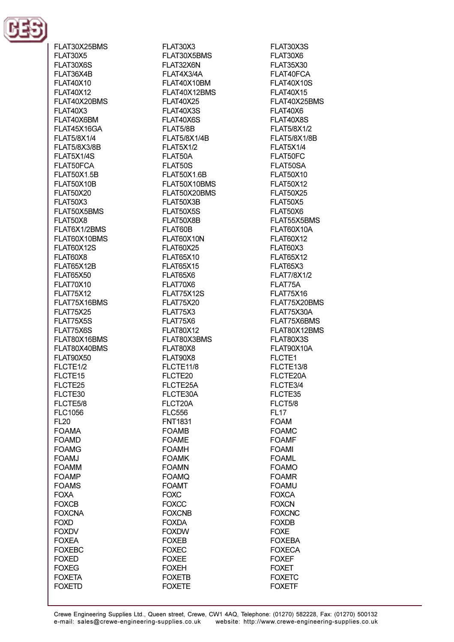

FLAT30X25BMS **FLAT30X5** FLAT30X6S FLAT36X4B **FLAT40X10 FLAT40X12** FI AT40X20BMS **FLAT40X3** FLAT40X6BM FLAT45X16GA FLAT5/8X1/4 **FLAT5/8X3/8B FI AT5X1/4S** FI AT50FCA **FLAT50X1.5B FLAT50X10B FLAT50X20 FLAT50X3** FLAT50X5BMS FLAT50X8 FLAT6X1/2BMS FLAT60X10BMS **FLAT60X12S** FI AT60X8 FI AT65X12R **FLAT65X50 FLAT70X10 FLAT75X12** FLAT75X16BMS **FLAT75X25** FLAT75X5S FLAT75X6S FLAT80X16BMS FLAT80X40BMS **FLAT90X50** FLCTE1/2 FLCTE<sub>15</sub> FLCTE25 FLCTE30 FLCTE5/8 **FLC1056 FL20 FOAMA FOAMD FOAMG** FOAMJ **FOAMM FOAMP FOAMS FOXA FOXCB FOXCNA FOXD FOXDV FOXEA FOXEBC FOXED FOXEG FOXETA FOXETD** 

FLAT30X3 FLAT30X5BMS FI AT32X6N FLAT4X3/4A FLAT40X10BM FLAT40X12BMS **FLAT40X25** FLAT40X3S FLAT40X6S FLAT5/8B **FLAT5/8X1/4B FLAT5X1/2** FI AT50A FI AT50S **FLAT50X1.6B** FLAT50X10BMS FLAT50X20BMS FLAT50X3B FLAT50X5S FLAT50X8B FLAT60B FLAT60X10N **FLAT60X25 FLAT65X10 FLAT65X15** FLAT65X6 FLAT70X6 **FLAT75X12S FLAT75X20** FLAT75X3 FLAT75X6 **FLAT80X12** FLAT80X3BMS FLAT80X8 FLAT90X8 FLCTE11/8 FLCTE20 FLCTE25A FLCTE30A FLCT20A **FLC556 FNT1831 FOAMB FOAME FOAMH FOAMK FOAMN FOAMQ FOAMT FOXC FOXCC FOXCNB FOXDA FOXDW FOXEB FOXEC FOXEE FOXEH FOXETB FOXETE** 

FLAT30X3S FLAT30X6 FLAT35X30 FLAT40FCA **FLAT40X10S FLAT40X15** FI AT40X25BMS FLAT40X6 FLAT40X8S FLAT5/8X1/2 **FLAT5/8X1/8B FLAT5X1/4** FI AT50FC FI AT50SA **FLAT50X10 FLAT50X12 FLAT50X25 FLAT50X5** FLAT50X6 FLAT55X5BMS FLAT60X10A FLAT60X12 FLAT60X3 **FLAT65X12** FLAT65X3 **FLAT7/8X1/2** FLAT75A **FLAT75X16** FLAT75X20BMS FLAT75X30A FLAT75X6BMS FLAT80X12BMS FLAT80X3S FLAT90X10A FLCTE1 FLCTE13/8 FLCTE20A FLCTE3/4 FLCTE35 FLCT5/8 **FL17 FOAM FOAMC FOAMF FOAMI FOAML FOAMO FOAMR FOAMU FOXCA FOXCN FOXCNC FOXDB FOXE FOXEBA FOXECA FOXEF FOXET FOXETC FOXETF**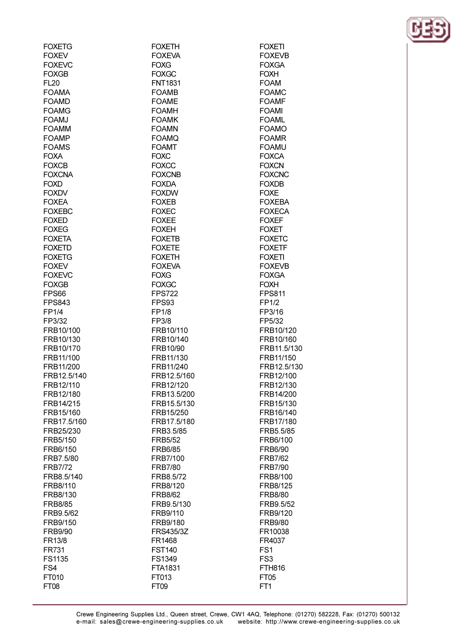| <b>FOXETG</b>            | <b>FOXETH</b>            | <b>FOXETI</b>            |
|--------------------------|--------------------------|--------------------------|
| <b>FOXEV</b>             | <b>FOXEVA</b>            | <b>FOXEVB</b>            |
| <b>FOXEVC</b>            | <b>FOXG</b>              | <b>FOXGA</b>             |
| <b>FOXGB</b>             | <b>FOXGC</b>             | <b>FOXH</b>              |
| <b>FL20</b>              | <b>FNT1831</b>           | <b>FOAM</b>              |
| <b>FOAMA</b>             | <b>FOAMB</b>             | <b>FOAMC</b>             |
| <b>FOAMD</b>             | <b>FOAME</b>             | <b>FOAMF</b>             |
| <b>FOAMG</b>             | <b>FOAMH</b>             | <b>FOAMI</b>             |
| <b>FOAMJ</b>             | <b>FOAMK</b>             | <b>FOAML</b>             |
| <b>FOAMM</b>             | <b>FOAMN</b>             | <b>FOAMO</b>             |
| <b>FOAMP</b>             | <b>FOAMQ</b>             | <b>FOAMR</b>             |
| <b>FOAMS</b>             | <b>FOAMT</b>             | <b>FOAMU</b>             |
| <b>FOXA</b>              | <b>FOXC</b>              | <b>FOXCA</b>             |
| <b>FOXCB</b>             | <b>FOXCC</b>             | <b>FOXCN</b>             |
| <b>FOXCNA</b>            | <b>FOXCNB</b>            | <b>FOXCNC</b>            |
| <b>FOXD</b>              | <b>FOXDA</b>             | <b>FOXDB</b>             |
| <b>FOXDV</b>             | <b>FOXDW</b>             | <b>FOXE</b>              |
| <b>FOXEA</b>             | <b>FOXEB</b>             | <b>FOXEBA</b>            |
| <b>FOXEBC</b>            | <b>FOXEC</b>             | <b>FOXECA</b>            |
| <b>FOXED</b>             | <b>FOXEE</b>             | <b>FOXEF</b>             |
| <b>FOXEG</b>             | <b>FOXEH</b>             | <b>FOXET</b>             |
| <b>FOXETA</b>            | <b>FOXETB</b>            | <b>FOXETC</b>            |
| <b>FOXETD</b>            | <b>FOXETE</b>            | <b>FOXETF</b>            |
| <b>FOXETG</b>            | <b>FOXETH</b>            | <b>FOXETI</b>            |
| <b>FOXEV</b>             | <b>FOXEVA</b>            | <b>FOXEVB</b>            |
| <b>FOXEVC</b>            | <b>FOXG</b>              | <b>FOXGA</b>             |
| <b>FOXGB</b>             | <b>FOXGC</b>             | <b>FOXH</b>              |
| FPS66                    | <b>FPS722</b>            | <b>FPS811</b>            |
| <b>FPS843</b>            | FPS93                    | FP1/2                    |
| <b>FP1/4</b>             | <b>FP1/8</b>             | FP3/16                   |
| FP3/32                   | FP3/8                    | FP5/32                   |
| FRB10/100                | FRB10/110                | FRB10/120                |
| FRB10/130                | FRB10/140                | FRB10/160                |
| FRB10/170                | FRB10/90                 | FRB11.5/130              |
| FRB11/100                | FRB11/130                | FRB11/150<br>FRB12.5/130 |
| FRB11/200<br>FRB12.5/140 | FRB11/240<br>FRB12.5/160 | FRB12/100                |
| FRB12/110                | FRB12/120                | FRB12/130                |
| FRB12/180                | FRB13.5/200              | FRB14/200                |
| FRB14/215                | FRB15.5/130              | FRB15/130                |
| FRB15/160                | FRB15/250                | FRB16/140                |
| FRB17.5/160              | FRB17.5/180              | FRB17/180                |
| FRB25/230                | FRB3.5/85                | FRB5.5/85                |
| FRB5/150                 | <b>FRB5/52</b>           | FRB6/100                 |
| FRB6/150                 | <b>FRB6/85</b>           | <b>FRB6/90</b>           |
| FRB7.5/80                | FRB7/100                 | <b>FRB7/62</b>           |
| <b>FRB7/72</b>           | <b>FRB7/80</b>           | <b>FRB7/90</b>           |
| FRB8.5/140               | FRB8.5/72                | FRB8/100                 |
| FRB8/110                 | FRB8/120                 | FRB8/125                 |
| FRB8/130                 | <b>FRB8/62</b>           | <b>FRB8/80</b>           |
| <b>FRB8/85</b>           | FRB9.5/130               | FRB9.5/52                |
| FRB9.5/62                | FRB9/110                 | FRB9/120                 |
| FRB9/150                 | FRB9/180                 | <b>FRB9/80</b>           |
| <b>FRB9/90</b>           | FRS435/3Z                | FR10038                  |
| FR13/8                   | FR1468                   | FR4037                   |
| FR731                    | <b>FST140</b>            | FS <sub>1</sub>          |
| FS1135                   | FS1349                   | FS <sub>3</sub>          |
| FS4                      | FTA1831                  | <b>FTH816</b>            |
| FT010                    | FT013                    | FT <sub>05</sub>         |
| <b>FT08</b>              | FT <sub>09</sub>         | FT1                      |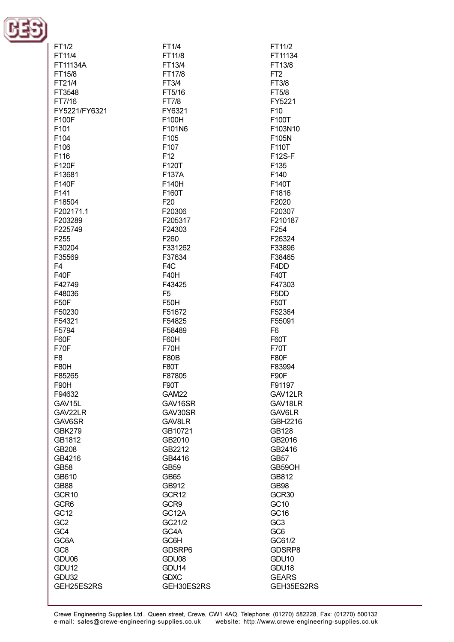

| FT1/2            | FT1/4            | FT11/2                        |
|------------------|------------------|-------------------------------|
| FT11/4           | FT11/8           | FT11134                       |
| FT11134A         | FT13/4           | FT13/8                        |
|                  |                  |                               |
| FT15/8           | FT17/8           | FT <sub>2</sub>               |
| FT21/4           | FT3/4            | FT3/8                         |
|                  |                  |                               |
| FT3548           | FT5/16           | FT5/8                         |
| FT7/16           | FT7/8            | FY5221                        |
|                  |                  |                               |
| FY5221/FY6321    | FY6321           | F10                           |
| F100F            | F100H            | F100T                         |
| F101             | F101N6           | F103N10                       |
|                  |                  |                               |
| F104             | F105             | F105N                         |
| F106             | F107             | F110T                         |
| F116             | F12              | <b>F12S-F</b>                 |
|                  |                  |                               |
| F120F            | F120T            | F135                          |
| F13681           | F137A            | F140                          |
| F140F            | F140H            | F140T                         |
|                  |                  |                               |
| F141             | F160T            | F1816                         |
| F18504           | F <sub>20</sub>  | F2020                         |
| F202171.1        | F20306           | F20307                        |
|                  |                  |                               |
| F203289          | F205317          | F210187                       |
| F225749          | F24303           | F <sub>254</sub>              |
| F <sub>255</sub> | F <sub>260</sub> | F26324                        |
|                  |                  |                               |
| F30204           | F331262          | F33896                        |
| F35569           | F37634           | F38465                        |
| F <sub>4</sub>   | F <sub>4</sub> C | F4DD                          |
|                  |                  |                               |
| <b>F40F</b>      | F40H             | F40T                          |
| F42749           | F43425           | F47303                        |
| F48036           | F <sub>5</sub>   | F <sub>5</sub> D <sub>D</sub> |
|                  |                  |                               |
| F50F             | F50H             | <b>F50T</b>                   |
| F50230           | F51672           | F52364                        |
| F54321           | F54825           | F55091                        |
|                  |                  |                               |
| F5794            | F58489           | F <sub>6</sub>                |
| F60F             | F60H             | F60T                          |
| F70F             | F70H             | <b>F70T</b>                   |
|                  |                  |                               |
| F <sub>8</sub>   | F80B             | <b>F80F</b>                   |
| <b>F80H</b>      | <b>F80T</b>      | F83994                        |
|                  |                  | F90F                          |
| F85265           | F87805           |                               |
| F90H             | F90T             | F91197                        |
| F94632           | GAM22            | GAV12LR                       |
| GAV15L           | GAV16SR          | GAV18LR                       |
|                  |                  |                               |
| GAV22LR          | GAV30SR          | GAV6LR                        |
| GAV6SR           | GAV8LR           | GBH2216                       |
| GBK279           | GB10721          | GB128                         |
|                  |                  |                               |
| GB1812           | GB2010           | GB2016                        |
| GB208            | GB2212           | GB2416                        |
| GB4216           | GB4416           | GB57                          |
|                  |                  |                               |
| GB58             | GB59             | GB59OH                        |
| GB610            | GB65             | GB812                         |
| GB88             | GB912            | <b>GB98</b>                   |
|                  |                  |                               |
| GCR10            | GCR12            | GCR30                         |
| GCR6             | GCR9             | GC10                          |
| GC12             | GC12A            | GC16                          |
|                  |                  |                               |
| GC <sub>2</sub>  | GC21/2           | GC <sub>3</sub>               |
| GC4              | GC4A             | GC <sub>6</sub>               |
| GC6A             | GC6H             | GC61/2                        |
|                  |                  |                               |
| GC8              | GDSRP6           | GDSRP8                        |
| GDU06            | GDU08            | GDU <sub>10</sub>             |
| GDU12            | GDU14            | GDU <sub>18</sub>             |
|                  |                  |                               |
| GDU32            | <b>GDXC</b>      | <b>GEARS</b>                  |
| GEH25ES2RS       | GEH30ES2RS       | GEH35ES2RS                    |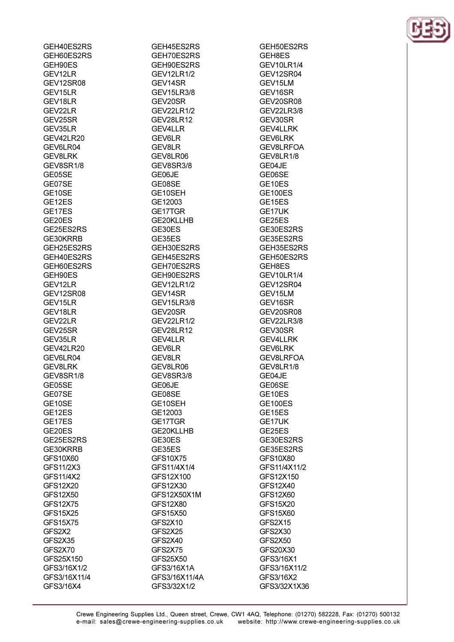| GEH60ES2RS      |
|-----------------|
|                 |
|                 |
| GEH90ES         |
| GEV12LR         |
|                 |
| GEV12SR08       |
| GEV15LR         |
|                 |
| GEV18LR         |
|                 |
| GEV22LR         |
| GEV25SR         |
|                 |
| GEV35LR         |
| GEV42LR20       |
|                 |
| GEV6LR04        |
| <b>GEV8LRK</b>  |
|                 |
| GEV8SR1/8       |
| GE05SE          |
|                 |
| GE07SE          |
| GE10SE          |
|                 |
| GE12ES          |
| GE17ES          |
|                 |
| GE20ES          |
| GE25ES2RS       |
|                 |
| GE30KRRB        |
| GEH25ES2RS      |
|                 |
| GEH40ES2RS      |
| GEH60ES2RS      |
|                 |
| GEH90ES         |
| GEV12LR         |
|                 |
| GEV12SR08       |
| GEV15LR         |
|                 |
| GEV18LR         |
| GEV22LR         |
|                 |
|                 |
|                 |
| GEV25SR         |
| GEV35LR         |
|                 |
| GEV42LR20       |
| GEV6LR04        |
|                 |
| GEV8LRK         |
| GEV8SR1/8       |
|                 |
| GE05SE          |
| GE07SE          |
|                 |
| GE10SE          |
| GE12ES          |
|                 |
| GE17ES          |
| GE20ES          |
|                 |
| GE25ES2RS       |
| GE30KRRB        |
|                 |
| GFS10X60        |
| GFS11/2X3       |
|                 |
| GFS11/4X2       |
| GFS12X20        |
|                 |
| GFS12X50        |
| GFS12X75        |
|                 |
| <b>GFS15X25</b> |
| GFS15X75        |
|                 |
| GFS2X2          |
| GFS2X35         |
|                 |
| GFS2X70         |
| GFS25X150       |
|                 |
| GFS3/16X1/2     |
| GFS3/16X11/4    |
| GFS3/16X4       |

 $-$ - $-$ 

GEH45ES2RS GEH70ES2RS GFH90FS2RS **GEV12LR1/2** GEV14SR **GEV15LR3/8** GEV20SR **GEV22LR1/2 GEV28LR12 GEV4LLR GEV6LR GEV8LR** GEV8LR06 GEV8SR3/8 GE06JE GE08SE GE10SEH GE12003 GE17TGR GE20KLLHB GE30ES GE35ES GEH30ES2RS GEH45ES2RS GEH70ES2RS GEH90ES2RS **GEV12LR1/2** GEV14SR **GEV15LR3/8** GEV20SR **GEV22LR1/2 GEV28LR12 GEV4LLR** GEV6LR GEV8LR GEV8LR06 GEV8SR3/8 GE06JE GE08SE GE10SEH GE12003 GE17TGR GE20KLLHB GE30ES GE35ES **GFS10X75** GFS11/4X1/4 GFS12X100 GFS12X30 GFS12X50X1M GFS12X80 GFS15X50 GFS2X10 GFS2X25 GFS2X40 GFS2X75 GFS25X50 GFS3/16X1A GFS3/16X11/4A GFS3/32X1/2

GEH50ES2RS **GEH8ES GEV10LR1/4** GEV12SR04 GEV15LM GEV16SR GEV20SR08 **GEV22LR3/8** GEV30SR **GEV4LLRK GEV6LRK** GEV8LRFOA GEV8LR1/8 GF04.IF GE06SE GE<sub>10ES</sub> **GE100ES** GE<sub>15ES</sub> GE17UK GE25ES GE30ES2RS GE35ES2RS GEH35ES2RS GEH50ES2RS GEH8ES **GEV10LR1/4** GEV12SR04 GEV15LM GEV16SR GEV20SR08 **GEV22LR3/8** GEV30SR **GEV4LLRK GEV6LRK** GEV8LRFOA GEV8LR1/8 GE04JE GE06SE GE10ES **GE100ES** GE15ES GE17UK GE25ES GE30ES2RS GE35ES2RS GFS10X80 GFS11/4X11/2 GFS12X150 GFS12X40 GFS12X60 GFS15X20 GFS15X60 **GFS2X15** GFS2X30 GFS2X50 GFS20X30 GFS3/16X1 GFS3/16X11/2 GFS3/16X2 GFS3/32X1X36

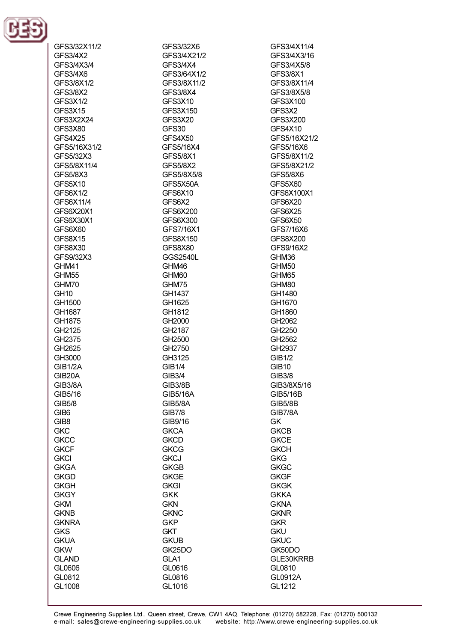

| GFS3/32X11/2     | GFS3/32X6      | GFS3/4X11/4     |
|------------------|----------------|-----------------|
| GFS3/4X2         | GFS3/4X21/2    | GFS3/4X3/16     |
| GFS3/4X3/4       | GFS3/4X4       | GFS3/4X5/8      |
| GFS3/4X6         | GFS3/64X1/2    | GFS3/8X1        |
| GFS3/8X1/2       | GFS3/8X11/2    | GFS3/8X11/4     |
| GFS3/8X2         | GFS3/8X4       | GFS3/8X5/8      |
| GFS3X1/2         | GFS3X10        | GFS3X100        |
| GFS3X15          | GFS3X150       | GFS3X2          |
| GFS3X2X24        | GFS3X20        | GFS3X200        |
| GFS3X80          | GFS30          | GFS4X10         |
| GFS4X25          | GFS4X50        | GFS5/16X21/2    |
| GFS5/16X31/2     | GFS5/16X4      | GFS5/16X6       |
| GFS5/32X3        | GFS5/8X1       | GFS5/8X11/2     |
| GFS5/8X11/4      | GFS5/8X2       | GFS5/8X21/2     |
| GFS5/8X3         | GFS5/8X5/8     | <b>GFS5/8X6</b> |
| GFS5X10          | GFS5X50A       | GFS5X60         |
| GFS6X1/2         | GFS6X10        | GFS6X100X1      |
| GFS6X11/4        | GFS6X2         | GFS6X20         |
| GFS6X20X1        | GFS6X200       | GFS6X25         |
| GFS6X30X1        | GFS6X300       | GFS6X50         |
| GFS6X60          | GFS7/16X1      | GFS7/16X6       |
| GFS8X15          | GFS8X150       | GFS8X200        |
| GFS8X30          | GFS8X80        | GFS9/16X2       |
| GFS9/32X3        | GGS2540L       | GHM36           |
| GHM41            | GHM46          | GHM50           |
| GHM55            | GHM60          | GHM65           |
| GHM70            | GHM75          | GHM80           |
| <b>GH10</b>      | GH1437         | GH1480          |
| GH1500           | GH1625         | GH1670          |
| GH1687           | GH1812         | GH1860          |
| GH1875           | GH2000         | GH2062          |
| GH2125           | GH2187         | GH2250          |
| GH2375           | GH2500         | GH2562          |
| GH2625           | GH2750         | GH2937          |
| GH3000           | GH3125         | <b>GIB1/2</b>   |
| <b>GIB1/2A</b>   | <b>GIB1/4</b>  | <b>GIB10</b>    |
| GIB20A           | GIB3/4         | GIB3/8          |
| GIB3/8A          | <b>GIB3/8B</b> | GIB3/8X5/16     |
| GIB5/16          | GIB5/16A       | GIB5/16B        |
| GIB5/8           | <b>GIB5/8A</b> | <b>GIB5/8B</b>  |
| GIB <sub>6</sub> | <b>GIB7/8</b>  | GIB7/8A         |
| GIB <sub>8</sub> | GIB9/16        | GK              |
| <b>GKC</b>       | <b>GKCA</b>    | <b>GKCB</b>     |
| <b>GKCC</b>      | <b>GKCD</b>    | <b>GKCE</b>     |
| <b>GKCF</b>      | <b>GKCG</b>    | <b>GKCH</b>     |
| <b>GKCI</b>      | <b>GKCJ</b>    | <b>GKG</b>      |
| <b>GKGA</b>      | <b>GKGB</b>    | <b>GKGC</b>     |
| <b>GKGD</b>      | <b>GKGE</b>    | <b>GKGF</b>     |
| <b>GKGH</b>      | <b>GKGI</b>    | <b>GKGK</b>     |
| <b>GKGY</b>      | <b>GKK</b>     | <b>GKKA</b>     |
| <b>GKM</b>       | <b>GKN</b>     | <b>GKNA</b>     |
| <b>GKNB</b>      | <b>GKNC</b>    | <b>GKNR</b>     |
| <b>GKNRA</b>     | <b>GKP</b>     | <b>GKR</b>      |
| <b>GKS</b>       | <b>GKT</b>     | <b>GKU</b>      |
| <b>GKUA</b>      | <b>GKUB</b>    | <b>GKUC</b>     |
| <b>GKW</b>       | GK25DO         | GK50DO          |
| <b>GLAND</b>     | GLA1           | GLE30KRRB       |
| GL0606           | GL0616         | GL0810          |
| GL0812           | GL0816         | GL0912A         |
| GL1008           | GL1016         | GL1212          |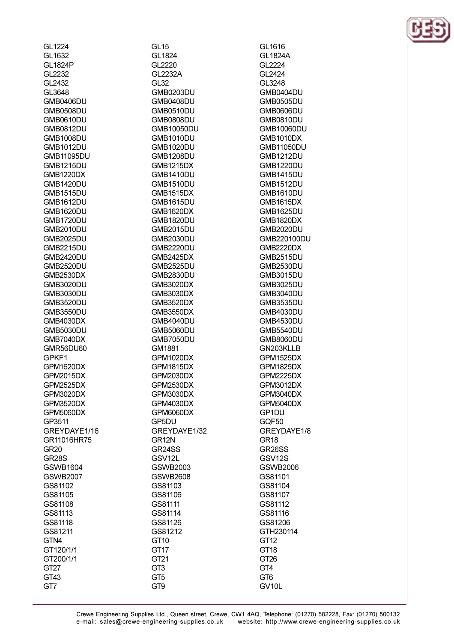| GL1224            | GL <sub>15</sub>  |
|-------------------|-------------------|
| GL1632            | GL1824            |
| GL1824P           | GL2220            |
| GL2232            | GL2232A           |
| GL2432            | GL32              |
| GL3648            | GMB0203DU         |
| <b>GMB0406DU</b>  | GMB0408DU         |
| <b>GMB0508DU</b>  | GMB0510DU         |
| GMB0610DU         | <b>GMB0808DU</b>  |
| <b>GMB0812DU</b>  | GMB10050DU        |
| <b>GMB1008DU</b>  | GMB1010DU         |
| <b>GMB1012DU</b>  | <b>GMB1020DU</b>  |
| <b>GMB11095DU</b> | <b>GMB1208DU</b>  |
| <b>GMB1215DU</b>  | <b>GMB1215DX</b>  |
| GMB1220DX         | <b>GMB1410DU</b>  |
| <b>GMB1420DU</b>  | GMB1510DU         |
| <b>GMB1515DU</b>  | <b>GMB1515DX</b>  |
| <b>GMB1612DU</b>  | <b>GMB1615DU</b>  |
| <b>GMB1620DU</b>  | <b>GMB1620DX</b>  |
|                   |                   |
| GMB1720DU         | GMB1820DU         |
| <b>GMB2010DU</b>  | <b>GMB2015DU</b>  |
| <b>GMB2025DU</b>  | <b>GMB2030DU</b>  |
| <b>GMB2215DU</b>  | <b>GMB2220DU</b>  |
| <b>GMB2420DU</b>  | <b>GMB2425DX</b>  |
| <b>GMB2520DU</b>  | <b>GMB2525DU</b>  |
| <b>GMB2530DX</b>  | <b>GMB2830DU</b>  |
| <b>GMB3020DU</b>  | <b>GMB3020DX</b>  |
| <b>GMB3030DU</b>  | <b>GMB3030DX</b>  |
| <b>GMB3520DU</b>  | <b>GMB3520DX</b>  |
| <b>GMB3550DU</b>  | GMB3550DX         |
| GMB4030DX         | GMB4040DU         |
| <b>GMB5030DU</b>  | <b>GMB5060DU</b>  |
| <b>GMB7040DX</b>  | GMB7050DU         |
| GMR56DU60         | GM1881            |
| GPKF1             | <b>GPM1020DX</b>  |
| <b>GPM1620DX</b>  | <b>GPM1815DX</b>  |
| GPM2015DX         | <b>GPM2030DX</b>  |
| GPM2525DX         | GPM2530DX         |
| <b>GPM3020DX</b>  | GPM3030DX         |
| <b>GPM3520DX</b>  | GPM4030DX         |
| <b>GPM5060DX</b>  | GPM6060DX         |
| GP3511            | GP5DU             |
| GREYDAYE1/16      | GREYDAYE1/32      |
| GR11016HR75       | GR <sub>12N</sub> |
| <b>GR20</b>       | GR24SS            |
| <b>GR28S</b>      | GSV12L            |
| <b>GSWB1604</b>   | GSWB2003          |
| <b>GSWB2007</b>   | <b>GSWB2608</b>   |
| GS81102           | GS81103           |
| GS81105           | GS81106           |
| GS81108           | GS81111           |
| GS81113           | GS81114           |
| GS81118           | GS81126           |
| GS81211           | GS81212           |
| GTN4              | GT10              |
| GT120/1/1         | GT17              |
| GT200/1/1         | GT <sub>21</sub>  |
| GT <sub>27</sub>  | GT <sub>3</sub>   |
| GT43              | GT <sub>5</sub>   |
| GT7               | GT9               |
|                   |                   |

GL1616 **GL1824A** GI 2224 GL2424 GL3248 **GMB0404DU GMB0505DU** GMB0606DU **GMB0810DU** GMB10060DU **GMB1010DX** GMB11050DU **GMB1212DU GMB1220DU GMB1415DU GMB1512DU GMB1610DU GMB1615DX GMB1625DU GMB1820DX GMB2020DU** GMB220100DU **GMB2220DX GMB2515DU GMB2530DU GMB3015DU GMB3025DU GMB3040DU GMB3535DU GMB4030DU GMB4530DU GMB5540DU GMB8060DU** GN203KLLB GPM1525DX **GPM1825DX** GPM2225DX **GPM3012DX** GPM3040DX **GPM5040DX** GP1DU GQF50 GREYDAYE1/8 GR<sub>18</sub> **GR26SS** GSV12S **GSWB2006** GS81101 GS81104 GS81107 GS81112 GS81116 GS81206 GTH230114 GT<sub>12</sub> GT18 GT<sub>26</sub> GT4 GT<sub>6</sub> GV<sub>10</sub>L

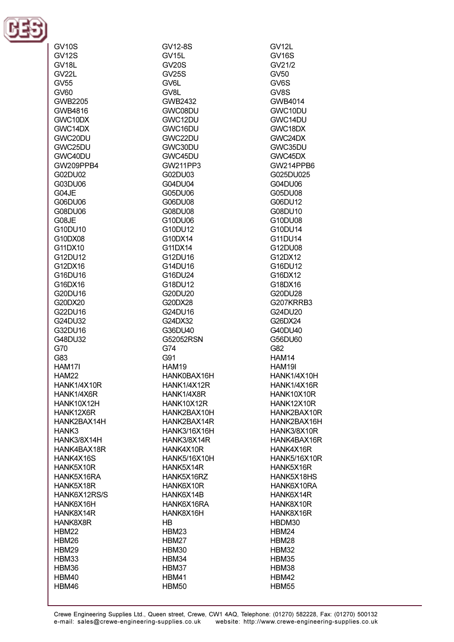

**GV10S** 

| GV12S              |
|--------------------|
| GV18L              |
| GV22L              |
| GV55               |
| GV60               |
| GWB2205            |
| GWB4816            |
|                    |
| GWC10DX<br>GWC14DX |
|                    |
| GWC20DU<br>GWC25DU |
|                    |
| GWC40DU            |
| GW209PPB4          |
| G02DU02            |
| G03DU06            |
| G04JE              |
| G06DU06            |
| G08DU06            |
| G08JE              |
| G10DU10            |
| G10DX08            |
| G11DX10            |
| G12DU12            |
| G12DX16            |
| G16DU16            |
| G16DX16            |
| G20DU16            |
| G20DX20            |
| G22DU16            |
|                    |
| G24DU32<br>G32DU16 |
| G48DU32            |
| G70                |
| G83                |
| HAM17I             |
|                    |
| HAM22              |
| HANK1/4X10R        |
| HANK1/4X6R         |
| HANK10X12H         |
| HANK12X6R          |
| HANK2BAX14H        |
| HANK3              |
| HANK3/8X14H        |
| HANK4BAX18R        |
| HANK4X16S          |
| HANK5X10R          |
| HANK5X16RA         |
| HANK5X18R          |
| HANK6X12RS/S       |
| HANK6X16H          |
| HANK8X14R          |
| HANK8X8R           |
| HBM22              |
| HBM26              |
| HBM29              |
| HBM33              |
| HBM36              |
|                    |
|                    |
| HBM40<br>HBM46     |

GV12-8S GV<sub>15L</sub>  $GV20S$ **GV25S** GV6L GV<sub>8L</sub> **GWB2432** GWC08DU GWC12DU GWC<sub>16</sub>DU GWC22DU GWC30DU GWC45DU GW211PP3 G02DU03 G04DU04 G05DU06 G06DU08 G08DU08 G10DU06 G10DU12 G10DX14 G11DX14 G12DU16 G14DU16 G16DU24 G18DU12 G20DU20 G20DX28 G24DU16 G24DX32 G36DU40 G52052RSN G74  $G91$ **HAM19** HANK0BAX16H **HANK1/4X12R** HANK1/4X8R HANK10X12R HANK2BAX10H HANK2BAX14R HANK3/16X16H HANK3/8X14R HANK4X10R **HANK5/16X10H** HANK5X14R HANK5X16RZ HANK6X10R HANK6X14B HANK6X16RA HANK8X16H  $HB$ HBM23 HBM27 HBM30 HBM34 HBM37 HBM41 **HBM50** 

GV12L **GV16S**  $G<sub>V</sub>21/2$  $GV50$ GV<sub>6</sub>S GV<sub>8</sub>S GWB4014 GWC10DU GWC14DU GWC18DX GWC24DX GWC35DU GWC45DX GW214PPR6 G025DU025 G04DU06 G05DU08 G06DU12 G08DU10 G10DU08 G10DU14 G11DU14 G12DU08 G12DX12 G16DU12 G16DX12 G18DX16 G20DU28 G207KRRB3 G24DU20 G26DX24 G40DU40 G56DU60 G82 **HAM14** HAM19I HANK1/4X10H HANK1/4X16R HANK10X10R HANK12X10R HANK2BAX10R HANK2BAX16H HANK3/8X10R HANK4BAX16R HANK4X16R **HANK5/16X10R** HANK5X16R HANK5X18HS HANK6X10RA HANK6X14R HANK8X10R HANK8X16R HBDM30 HBM24 HBM28 HBM32 HBM35 HBM38 HBM42 **HBM55**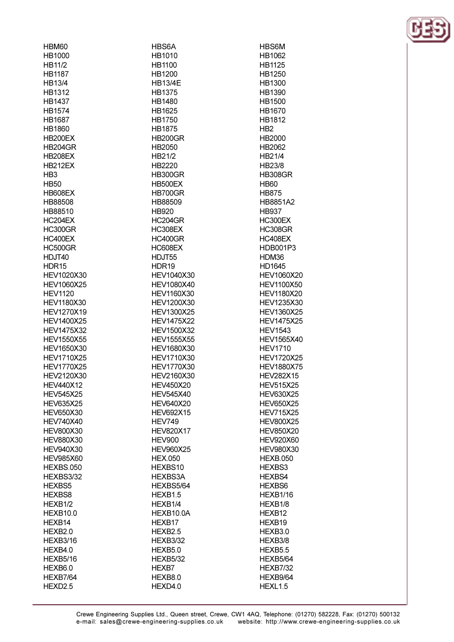| HBM60               | HBS6A               |
|---------------------|---------------------|
| HB1000              | HB1010              |
| HB11/2              | HB1100              |
| <b>HB1187</b>       | HB1200              |
| HB13/4              | <b>HB13/4E</b>      |
| HB1312              | HB1375              |
| HB1437              | HB1480              |
| HB1574              | HB1625              |
| <b>HB1687</b>       | HB1750              |
| HB1860              | <b>HB1875</b>       |
| <b>HB200EX</b>      | <b>HB200GR</b>      |
| <b>HB204GR</b>      | HB2050              |
| <b>HB208EX</b>      | HB21/2              |
| <b>HB212EX</b>      | HB2220              |
| HB <sub>3</sub>     | <b>HB300GR</b>      |
| <b>HB50</b>         | HB500EX             |
| <b>HB608EX</b>      | <b>HB700GR</b>      |
| HB88508             | HB88509             |
| HB88510             | HB920               |
| HC204EX             | HC204GR             |
| HC300GR             | <b>HC308EX</b>      |
| HC400EX             | HC400GR             |
| HC500GR             | HC608EX             |
| HDJT40              | HDJT55              |
| HDR15               | HDR19               |
| HEV1020X30          | HEV1040X30          |
| HEV1060X25          | HEV1080X40          |
| <b>HEV1120</b>      | <b>HEV1160X30</b>   |
| HEV1180X30          | HEV1200X30          |
| HEV1270X19          | HEV1300X25          |
| <b>HEV1400X25</b>   | <b>HEV1475X22</b>   |
| HEV1475X32          | HEV1500X32          |
| <b>HEV1550X55</b>   | <b>HEV1555X55</b>   |
| HEV1650X30          | HEV1680X30          |
| HEV1710X25          | HEV1710X30          |
| <b>HEV1770X25</b>   | HEV1770X30          |
| HEV2120X30          | HEV2160X30          |
| <b>HEV440X12</b>    | <b>HEV450X20</b>    |
| <b>HEV545X25</b>    | <b>HEV545X40</b>    |
| <b>HEV635X25</b>    | <b>HEV640X20</b>    |
| <b>HEV650X30</b>    | <b>HEV692X15</b>    |
| <b>HEV740X40</b>    | <b>HEV749</b>       |
| <b>HEV800X30</b>    | <b>HEV820X17</b>    |
| <b>HEV880X30</b>    | <b>HEV900</b>       |
| <b>HEV940X30</b>    | <b>HEV960X25</b>    |
| <b>HEV985X60</b>    | <b>HEX.050</b>      |
| HEXBS.050           | HEXBS10             |
| HEXBS3/32           | HEXBS3A             |
| HEXBS5              | HEXBS5/64           |
| HEXBS8              | HEXB <sub>1.5</sub> |
| HEXB1/2             | HEXB <sub>1/4</sub> |
| <b>HEXB10.0</b>     | HEXB10.0A           |
| HEXB14              | HEXB17              |
| HEXB2.0             | HEXB <sub>2.5</sub> |
| HEXB3/16            | <b>HEXB3/32</b>     |
| HEXB4.0             | HEXB5.0             |
| HEXB5/16            | <b>HEXB5/32</b>     |
| HEXB6.0             | HEXB7               |
| HEXB7/64            | HEXB8.0             |
| HEXD <sub>2.5</sub> | HEXD4.0             |
|                     |                     |

HBS6M HB1062 HR1125 HB1250 HB1300 HB1390 HB1500 HB1670 HB1812 H<sub>B2</sub> HB2000 HB2062 HB21/4 HR23/8 **HB308GR HB60 HB875** HB8851A2 **HB937 HC300EX HC308GR HC408EX** HDB001P3 HDM36 HD1645 HEV1060X20 **HEV1100X50 HEV1180X20** HEV1235X30 HEV1360X25 **HEV1475X25 HEV1543** HEV1565X40 **HEV1710 HEV1720X25 HEV1880X75 HEV282X15 HEV515X25 HEV630X25 HEV650X25 HEV715X25 HEV800X25 HEV850X20 HEV920X60 HEV980X30 HEXB.050** HEXBS3 HEXBS4 HEXBS6 HEXB1/16 HEXB1/8 HEXB12 HEXB19 HEXB3.0 HEXB3/8 HEXB5.5 **HEXB5/64 HEXB7/32** HEXB9/64 HEXL1.5

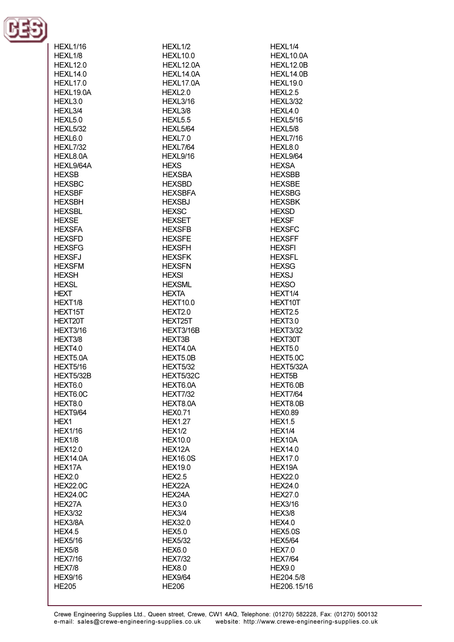

| HEXL1/16        | HEXL1/2             | HEXL1/4             |
|-----------------|---------------------|---------------------|
| HEXL1/8         | <b>HEXL10.0</b>     | HEXL10.0A           |
| <b>HEXL12.0</b> | HEXL12.0A           | HEXL12.0B           |
|                 |                     |                     |
| <b>HEXL14.0</b> | HEXL14.0A           | HEXL14.0B           |
| <b>HEXL17.0</b> | HEXL17.0A           | <b>HEXL19.0</b>     |
|                 |                     |                     |
| HEXL19.0A       | HEXL2.0             | HEXL <sub>2.5</sub> |
| HEXL3.0         | <b>HEXL3/16</b>     | <b>HEXL3/32</b>     |
| HEXL3/4         | HEXL3/8             | HEXL4.0             |
| HEXL5.0         | HEXL <sub>5.5</sub> | <b>HEXL5/16</b>     |
|                 |                     |                     |
| <b>HEXL5/32</b> | HEXL5/64            | HEXL5/8             |
| HEXL6.0         | HEXL7.0             | <b>HEXL7/16</b>     |
| <b>HEXL7/32</b> | <b>HEXL7/64</b>     | HEXL8.0             |
|                 |                     |                     |
| HEXL8.0A        | HEXL9/16            | HEXL9/64            |
| HEXL9/64A       | <b>HEXS</b>         | <b>HEXSA</b>        |
| <b>HEXSB</b>    | <b>HEXSBA</b>       | <b>HEXSBB</b>       |
|                 |                     |                     |
| <b>HEXSBC</b>   | <b>HEXSBD</b>       | <b>HEXSBE</b>       |
| <b>HEXSBF</b>   | <b>HEXSBFA</b>      | <b>HEXSBG</b>       |
| <b>HEXSBH</b>   | <b>HEXSBJ</b>       | <b>HEXSBK</b>       |
| <b>HEXSBL</b>   | <b>HEXSC</b>        | <b>HEXSD</b>        |
|                 |                     |                     |
| <b>HEXSE</b>    | <b>HEXSET</b>       | <b>HEXSF</b>        |
| <b>HEXSFA</b>   | <b>HEXSFB</b>       | <b>HEXSFC</b>       |
| <b>HEXSFD</b>   | <b>HEXSFE</b>       | <b>HEXSFF</b>       |
|                 |                     |                     |
| <b>HEXSFG</b>   | <b>HEXSFH</b>       | <b>HEXSFI</b>       |
| <b>HEXSFJ</b>   | <b>HEXSFK</b>       | <b>HEXSFL</b>       |
| <b>HEXSFM</b>   | <b>HEXSFN</b>       | <b>HEXSG</b>        |
| <b>HEXSH</b>    | <b>HEXSI</b>        | <b>HEXSJ</b>        |
|                 |                     |                     |
| <b>HEXSL</b>    | <b>HEXSML</b>       | <b>HEXSO</b>        |
| HEXT            | <b>HEXTA</b>        | HEXT1/4             |
| HEXT1/8         | <b>HEXT10.0</b>     | HEXT10T             |
| HEXT15T         | HEXT2.0             | HEXT2.5             |
|                 |                     |                     |
| HEXT20T         | HEXT25T             | HEXT3.0             |
| <b>HEXT3/16</b> | HEXT3/16B           | <b>HEXT3/32</b>     |
| HEXT3/8         | <b>HEXT3B</b>       | HEXT30T             |
| HEXT4.0         | HEXT4.0A            | HEXT5.0             |
|                 |                     |                     |
| HEXT5.0A        | HEXT5.0B            | HEXT5.0C            |
| <b>HEXT5/16</b> | <b>HEXT5/32</b>     | HEXT5/32A           |
| HEXT5/32B       | HEXT5/32C           | <b>HEXT5B</b>       |
| HEXT6.0         | HEXT6.0A            | HEXT6.0B            |
|                 |                     |                     |
| HEXT6.0C        | <b>HEXT7/32</b>     | <b>HEXT7/64</b>     |
| HEXT8.0         | HEXT8.0A            | HEXT8.0B            |
| HEXT9/64        | <b>HEX0.71</b>      | <b>HEX0.89</b>      |
| HEX1            | <b>HEX1.27</b>      | <b>HEX1.5</b>       |
|                 |                     |                     |
| <b>HEX1/16</b>  | <b>HEX1/2</b>       | HEX1/4              |
| HEX1/8          | <b>HEX10.0</b>      | HEX10A              |
| <b>HEX12.0</b>  | HEX12A              | <b>HEX14.0</b>      |
| <b>HEX14.0A</b> | <b>HEX16.0S</b>     | <b>HEX17.0</b>      |
|                 |                     |                     |
| HEX17A          | <b>HEX19.0</b>      | HEX19A              |
| HEX2.0          | <b>HEX2.5</b>       | <b>HEX22.0</b>      |
| <b>HEX22.0C</b> | HEX22A              | <b>HEX24.0</b>      |
| <b>HEX24.0C</b> | HEX24A              | <b>HEX27.0</b>      |
|                 |                     |                     |
| HEX27A          | <b>HEX3.0</b>       | <b>HEX3/16</b>      |
| <b>HEX3/32</b>  | HEX3/4              | <b>HEX3/8</b>       |
| HEX3/8A         | <b>HEX32.0</b>      | <b>HEX4.0</b>       |
| <b>HEX4.5</b>   |                     |                     |
|                 | <b>HEX5.0</b>       | <b>HEX5.0S</b>      |
| <b>HEX5/16</b>  | <b>HEX5/32</b>      | <b>HEX5/64</b>      |
| <b>HEX5/8</b>   | <b>HEX6.0</b>       | <b>HEX7.0</b>       |
| <b>HEX7/16</b>  | <b>HEX7/32</b>      | <b>HEX7/64</b>      |
| <b>HEX7/8</b>   | <b>HEX8.0</b>       | <b>HEX9.0</b>       |
|                 |                     |                     |
| <b>HEX9/16</b>  | <b>HEX9/64</b>      | HE204.5/8           |
| <b>HE205</b>    | <b>HE206</b>        | HE206.15/16         |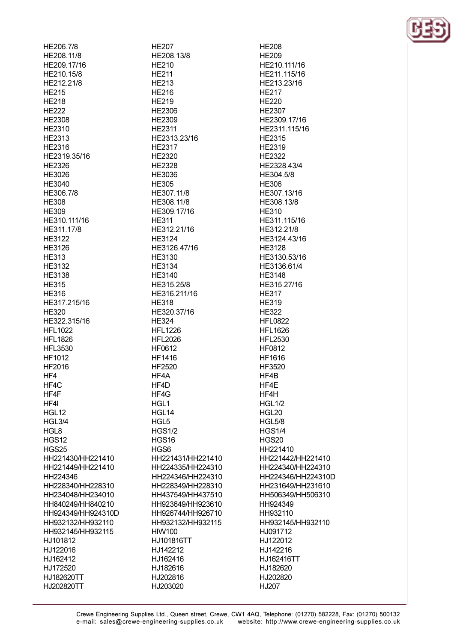HE206.7/8 HE208.11/8 HF209 17/16 HE210.15/8 HE212.21/8 **HE215 HF218 HF222** HE2308 HE2310 HE2313 **HE2316** HE2319.35/16 HF2326 HE3026 HE3040 HE306.7/8 **HE308 HE309** HE310.111/16 HE311.17/8 HE3122 HE3126 **HE313** HF3132 **HE3138 HE315 HE316** HE317.215/16 **HE320** HE322.315/16 **HFL1022 HFL1826 HFL3530** HF1012 HF2016 HF4 HF4C HF4F HF4I HGL12 **HGL3/4** HGL<sub>8</sub> **HGS12 HGS25** HH221430/HH221410 HH221449/HH221410 HH224346 HH228340/HH228310 HH234048/HH234010 HH840249/HH840210 HH924349/HH924310D HH932132/HH932110 HH932145/HH932115 HJ101812 HJ122016 HJ162412 HJ172520 HJ182620TT HJ202820TT

**HE207** HE208.13/8 **HF210 HF211 HE213 HE216 HF219 HE2306** HE2309 **HE2311** HE2313.23/16 **HE2317** HF2320 **HF2328** HE3036 **HE305** HE307.11/8 HE308.11/8 HE309.17/16 **HE311** HE312.21/16 **HE3124** HE3126.47/16 HE3130 HF3134 HE3140 HE315.25/8 HE316.211/16 **HE318** HE320.37/16 **HE324 HFL1226 HFL2026 HF0612 HF1416** HF2520 HF4A HF4D HF4G HGL1 HGL14 HGL<sub>5</sub> **HGS1/2 HGS16** HGS<sub>6</sub> HH221431/HH221410 HH224335/HH224310 HH224346/HH224310 HH228349/HH228310 HH437549/HH437510 HH923649/HH923610 HH926744/HH926710 HH932132/HH932115 **HIW100** HJ101816TT HJ142212 HJ162416 HJ182616 HJ202816 HJ203020

**HE208 HE209** HF210 111/16 HE211.115/16 HE213.23/16 **HF217 HF220** HE2307 HE2309.17/16 HE2311.115/16 HE2315 HE2319 HF2322 HF2328 43/4 HE304.5/8 HE306 HE307.13/16 HE308.13/8 **HE310** HE311.115/16 HE312.21/8 HE3124.43/16 **HE3128** HE3130.53/16 HF3136 61/4 **HE3148** HE315.27/16 **HE317 HE319 HE322 HFL0822 HFL1626 HFL2530 HF0812** HF1616 HF3520 HF4B HF4E **HF4H HGL1/2** HGL20 **HGL5/8 HGS1/4** HGS20 HH221410 HH221442/HH221410 HH224340/HH224310 HH224346/HH224310D HH231649/HH231610 HH506349/HH506310 HH924349 HH932110 HH932145/HH932110 HJ091712 HJ122012 HJ142216 HJ162416TT HJ182620 HJ202820 HJ207

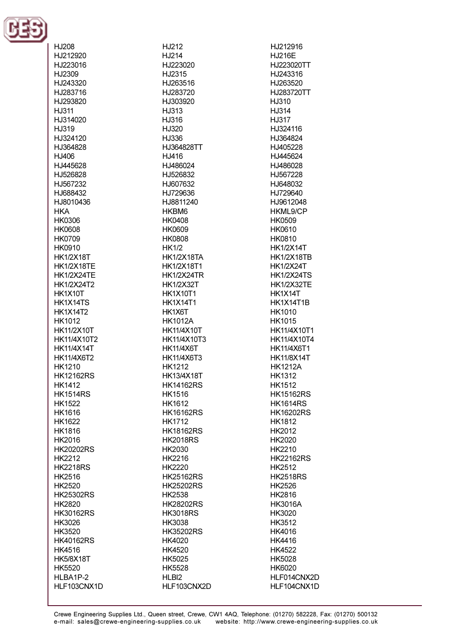

HJ208 HJ212920 H.1223016 H.12309 HJ243320 HJ283716 HJ293820 HJ311 HJ314020 HJ319 H.I324120 HJ364828  $H.I406$ H.1445628 HJ526828 HJ567232 HJ688432 HJ8010436 **HKA HK0306 HK0608 HK0709 HK0910 HK1/2X18T HK1/2X18TF HK1/2X24TE** HK1/2X24T2 **HK1X10T** HK1X14TS **HK1X14T2** HK1012 **HK11/2X10T** HK11/4X10T2 **HK11/4X14T** HK11/4X6T2 HK1210 **HK12162RS HK1412 HK1514RS HK1522 HK1616 HK1622** HK1816 HK2016 **HK20202RS** HK2212 **HK2218RS** HK2516 HK2520 **HK25302RS** HK2820 **HK30162RS** HK3026 HK3520 **HK40162RS HK4516 HK5/8X18T** HK5520 HLBA1P-2 HLF103CNX1D

HJ212 HJ214 H.1223020 H.I2315 HJ263516 HJ283720 HJ303920 HJ313 HJ316 HJ320 HJ336 HJ364828TT  $H.1416$ H.1486024 HJ526832 HJ607632 HJ729636 HJ8811240 HKBM6 **HK0408 HK0609 HK0808 HK1/2 HK1/2X18TA** HK1/2X18T1 **HK1/2X24TR HK1/2X32T HK1X10T1 HK1X14T1** HK1X6T **HK1012A HK11/4X10T** HK11/4X10T3 **HK11/4X6T** HK11/4X6T3 **HK1212 HK13/4X18T HK14162RS** HK1516 HK1612 **HK16162RS HK1712 HK18162RS HK2018RS** HK2030 HK2216 HK2220 **HK25162RS HK25202RS HK2538 HK28202RS HK3018RS** HK3038 **HK35202RS** HK4020 **HK4520 HK5025 HK5528** HLBI<sub>2</sub> HLF103CNX2D HJ212916 **HJ216E** H.I223020TT HJ243316 HJ263520 HJ283720TT H.I310 HJ314 HJ317 HJ324116 HJ364824 HJ405228 H.1445624 H.I486028 HJ567228 HJ648032 HJ729640 HJ9612048 HKML9/CP **HK0509** HK0610 **HK0810 HK1/2X14T HK1/2X18TB HK1/2X24T HK1/2X24TS HK1/2X32TE** HK1X14T HK1X14T1B HK1010 **HK1015** HK11/4X10T1 HK11/4X10T4 HK11/4X6T1 **HK11/8X14T HK1212A HK1312 HK1512 HK15162RS HK1614RS HK16202RS HK1812** HK2012 HK2020 HK2210 **HK22162RS** HK2512 **HK2518RS** HK2526 HK2816 **HK3016A** HK3020 HK3512 HK4016 **HK4416 HK4522 HK5028** HK6020 HLF014CNX2D HLF104CNX1D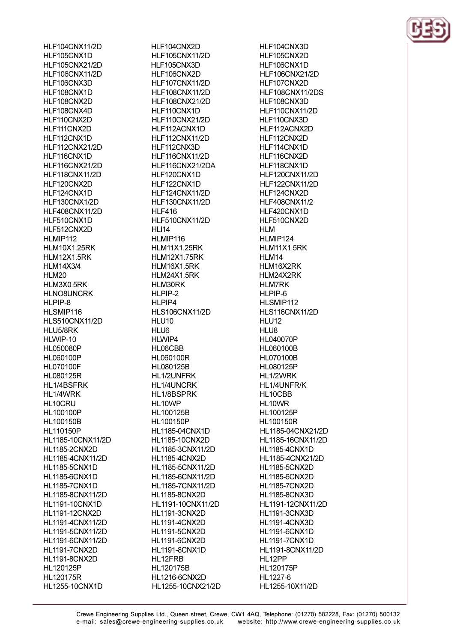HLF104CNX11/2D HLF105CNX1D HI F105CNX21/2D **HLF106CNX11/2D** HLF106CNX3D HLF108CNX1D HI F108CNX2D HLF108CNX4D HLF110CNX2D HLF111CNX2D HLF112CNX1D **HLF112CNX21/2D** HLF116CNX1D **HI F116CNX21/2D** HLF118CNX11/2D HLF120CNX2D HLF124CNX1D HLF130CNX1/2D **HLF408CNX11/2D** HLF510CNX1D HLF512CNX2D HLMIP112 **HLM10X1.25RK HLM12X1.5RK** HI M14X3/4 HLM20 HLM3X0.5RK **HLNO8UNCRK** HLPIP-8 HLSMIP116 **HLS510CNX11/2D** HLU5/8RK HLWIP-10 **HL050080P** HL060100P **HL070100F HL080125R** HL1/4BSFRK HL1/4WRK HL10CRU **HL100100P HL100150B HL110150P** HL1185-10CNX11/2D **HL1185-2CNX2D** HL1185-4CNX11/2D **HL1185-5CNX1D HL1185-6CNX1D HL1185-7CNX1D** HL1185-8CNX11/2D **HL1191-10CNX1D** HL1191-12CNX2D HL1191-4CNX11/2D HL1191-5CNX11/2D HL1191-6CNX11/2D **HL1191-7CNX2D HL1191-8CNX2D** HL120125P **HL120175R** HL1255-10CNX1D

HLF104CNX2D **HLF105CNX11/2D** HI F105CNX3D HLF106CNX2D **HLF107CNX11/2D HLF108CNX11/2D HLF108CNX21/2D** HLF110CNX1D **HLF110CNX21/2D** HLF112ACNX1D HLF112CNX11/2D HLF112CNX3D HLF116CNX11/2D HI F116CNX21/2DA HLF120CNX1D HLF122CNX1D **HLF124CNX11/2D** HLF130CNX11/2D **HI F416 HLF510CNX11/2D HLI14** HLMIP116 **HLM11X1.25RK HLM12X1.75RK** HI M16X1 5RK HLM24X1.5RK HLM30RK HLPIP-2 HLPIP4 **HLS106CNX11/2D HLU10** HLU6 HLWIP4 HL06CBB HL060100R HL080125B HL1/2UNFRK **HL1/4UNCRK** HL1/8BSPRK HL10WP HL100125B **HL100150P HL1185-04CNX1D HL1185-10CNX2D** HL1185-3CNX11/2D **HL1185-4CNX2D** HL1185-5CNX11/2D HL1185-6CNX11/2D HL1185-7CNX11/2D **HL1185-8CNX2D** HL1191-10CNX11/2D **HL1191-3CNX2D HL1191-4CNX2D HL1191-5CNX2D HL1191-6CNX2D HL1191-8CNX1D** HL12FRB HL120175B **HL1216-6CNX2D** HL1255-10CNX21/2D HLF104CNX3D HLF105CNX2D HI F106CNX1D **HLF106CNX21/2D** HLF107CNX2D HLF108CNX11/2DS HLF108CNX3D HLF110CNX11/2D HLF110CNX3D HLF112ACNX2D HLF112CNX2D HLF114CNX1D HLF116CNX2D HI F118CNX1D **HLF120CNX11/2D HLF122CNX11/2D** HLF124CNX2D **HLF408CNX11/2** HLF420CNX1D HLF510CNX2D **HLM** HLMIP124 HLM11X1.5RK **HI M14** HI M16X2RK HLM24X2RK **HLM7RK** HLPIP-6 HLSMIP112 HLS116CNX11/2D **HLU12** HLU8 **HL040070P HL060100B HL070100B** HL080125P HL1/2WRK HL1/4UNFR/K HL10CBB HL10WR HL100125P **HL100150R** HL1185-04CNX21/2D HL1185-16CNX11/2D **HL1185-4CNX1D** HL1185-4CNX21/2D **HL1185-5CNX2D HL1185-6CNX2D HL1185-7CNX2D HL1185-8CNX3D** HL1191-12CNX11/2D **HL1191-3CNX3D HL1191-4CNX3D HL1191-6CNX1D HL1191-7CNX1D** HL1191-8CNX11/2D HL12PP HL120175P HL1227-6 HL1255-10X11/2D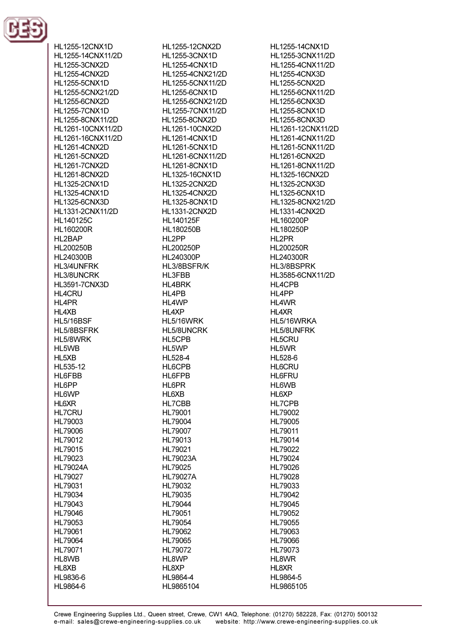

HL1255-12CNX1D HL1255-14CNX11/2D HI 1255-3CNX2D **HL1255-4CNX2D HL1255-5CNX1D** HL1255-5CNX21/2D HI 1255-6CNX2D **HL1255-7CNX1D** HL1255-8CNX11/2D HL1261-10CNX11/2D HL1261-16CNX11/2D **HL1261-4CNX2D** HI 1261-5CNX2D HI 1261-7CNX2D **HL1261-8CNX2D HL1325-2CNX1D HL1325-4CNX1D HL1325-6CNX3D** HL1331-2CNX11/2D **HL140125C HL160200R** HL2BAP HL200250B HI 240300B HI 3/4I INFRK HL3/8UNCRK **HL3591-7CNX3D HL4CRU** HL4PR HL4XB **HL5/16BSF** HL5/8BSFRK HL5/8WRK HL5WB HL<sub>5</sub>XB HL535-12 HL6FBB HL6PP **HL6WP HL6XR HL7CRU** HL79003 HL79006 HL79012 HL79015 HL79023 **HL79024A** HL79027 HL79031 HL79034 HL79043 HL79046 HL79053 HL79061 HL79064 HL79071 HL8WB HL8XB HL9836-6 HL9864-6

HL1255-12CNX2D **HL1255-3CNX1D** HI 1255-4CNX1D HL1255-4CNX21/2D HL1255-5CNX11/2D **HL1255-6CNX1D** HL1255-6CNX21/2D HL1255-7CNX11/2D **HL1255-8CNX2D HL1261-10CNX2D HL1261-4CNX1D HL1261-5CNX1D** HL1261-6CNX11/2D **HI 1261-8CNX1D HL1325-16CNX1D HL1325-2CNX2D HL1325-4CNX2D HL1325-8CNX1D HL1331-2CNX2D HL140125F** HL180250B HL2PP HL200250P HL240300P HL3/8BSFR/K HL3FBB **HL4BRK** HL4PB HL4WP HL4XP HL5/16WRK HL5/8UNCRK HL5CPB HL5WP HL528-4 HL6CPB **HL6FPB** HL6PR HL6XB **HL7CBB** HL79001 HL79004 HL79007 HL79013 HL79021 **HL79023A** HL79025 **HL79027A** HL79032 HL79035 HL79044 HL79051 HL79054 HL79062 HL79065 HL79072 HL8WP HL8XP

HL1255-14CNX1D HL1255-3CNX11/2D HI 1255-4CNX11/2D **HL1255-4CNX3D HL1255-5CNX2D** HL1255-6CNX11/2D **HL1255-6CNX3D HL1255-8CNX1D HL1255-8CNX3D** HL1261-12CNX11/2D HL1261-4CNX11/2D HL1261-5CNX11/2D **HL1261-6CNX2D** HI 1261-8CNX11/2D **HL1325-16CNX2D HL1325-2CNX3D HL1325-6CNX1D** HL1325-8CNX21/2D **HL1331-4CNX2D** HL160200P HL180250P HL2PR **HL200250R** HL240300R HI 3/8RSPRK HL3585-6CNX11/2D **HL4CPB** HL4PP HL4WR HL4XR HL5/16WRKA HL5/8UNFRK **HL5CRU** HL5WR HL528-6 **HL6CRU HL6FRU** HL6WB HL6XP **HL7CPB** HL79002 HL79005 HL79011 HL79014 HL79022 HL79024 HL79026 HL79028 HL79033 HL79042 HL79045 HL79052 HL79055 HL79063 HL79066 HL79073 HL8WR HL8XR

HL9864-5

HL9865105

HL9864-4

HL9865104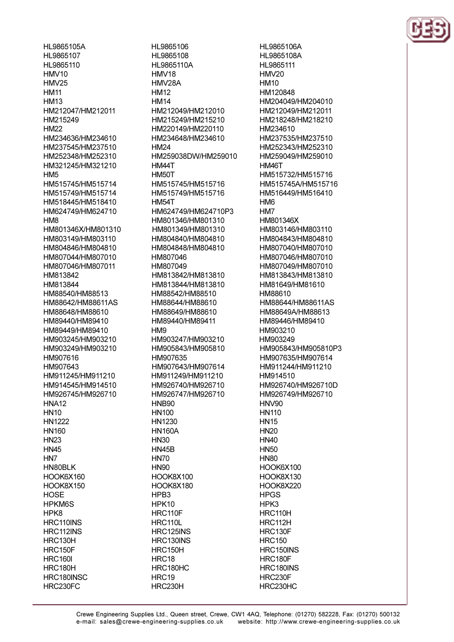HL9865105A HL9865107 HI 9865110  $HMV10$  $HMV25$ **HM11 HM13** HM212047/HM212011 HM215249 HM<sub>22</sub> HM234636/HM234610 HM237545/HM237510 HM252348/HM252310 HM321245/HM321210 **HM5** HM515745/HM515714 HM515749/HM515714 HM518445/HM518410 HM624749/HM624710 HM<sub>8</sub> HM801346X/HM801310 HM803149/HM803110 HM804846/HM804810 HM807044/HM807010 HM807046/HM807011 HM813842 HM813844 HM88540/HM88513 HM88642/HM88611AS HM88648/HM88610 HM89440/HM89410 HM89449/HM89410 HM903245/HM903210 HM903249/HM903210 HM907616 HM907643 HM911245/HM911210 HM914545/HM914510 HM926745/HM926710 **HNA12 HN10 HN1222** HN160 **HN23 HN45** HN<sub>7</sub> HN80BLK HOOK6X160 HOOK8X150 **HOSE HPKM6S** HPK8 HRC110INS HRC112INS HRC130H HRC150F **HRC160I** HRC180H HRC180INSC

HRC230FC

HL9865106 HL9865108 HI 9865110A HMV<sub>18</sub> HMV28A **HM12 HM14** HM212049/HM212010 HM215249/HM215210 HM220149/HM220110 HM234648/HM234610 **HM24** HM259038DW/HM259010 HM44T HM<sub>50</sub>T HM515745/HM515716 HM515749/HM515716 **HM54T** HM624749/HM624710P3 HM801346/HM801310 HM801349/HM801310 HM804840/HM804810 HM804848/HM804810 HM807046 HM807049 HM813842/HM813810 HM813844/HM813810 HM88542/HM88510 HM88644/HM88610 HM88649/HM88610 HM89440/HM89411 HM<sub>9</sub> HM903247/HM903210 HM905843/HM905810 HM907635 HM907643/HM907614 HM911249/HM911210 HM926740/HM926710 HM926747/HM926710 **HNB90 HN100** HN1230 **HN160A HN30 HN45B HN70 HN90** HOOK8X100 HOOK8X180 HPB<sub>3</sub> HPK10 HRC110F **HRC110L** HRC125INS HRC130INS HRC150H HRC18 HRC180HC HRC19 HRC230H

HL9865106A HL9865108A HI 9865111 HMV<sub>20</sub> **HM10** HM120848 HM204049/HM204010 HM212049/HM212011 HM218248/HM218210 HM234610 HM237535/HM237510 HM252343/HM252310 HM259049/HM259010 HM46T HM515732/HM515716 HM515745A/HM515716 HM516449/HM516410 **HM6** HM<sub>7</sub> HM801346X HM803146/HM803110 HM804843/HM804810 HM807040/HM807010 HM807046/HM807010 HM807049/HM807010 HM813843/HM813810 HM81649/HM81610 HM88610 HM88644/HM88611AS HM88649A/HM88613 HM89446/HM89410 HM903210 HM903249 HM905843/HM905810P3 HM907635/HM907614 HM911244/HM911210 HM914510 HM926740/HM926710D HM926749/HM926710 **HNV90 HN110 HN15 HN20 HN40 HN50 HN80** HOOK6X100 HOOK8X130 HOOK8X220 **HPGS** HPK3 HRC110H HRC112H **HRC130F HRC150** HRC150INS **HRC180F** HRC180INS HRC230F HRC230HC

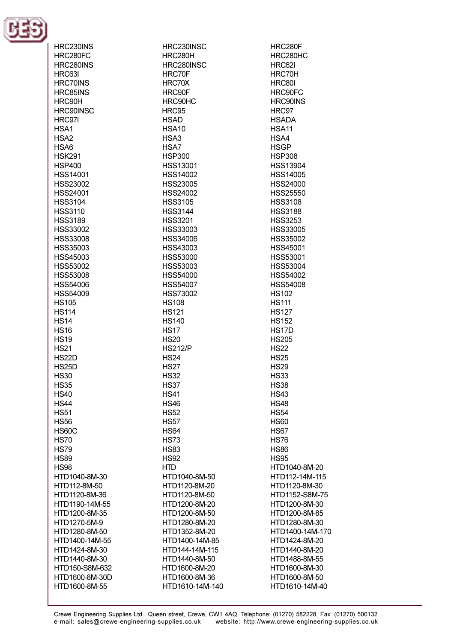

| HRC230INS        | HRC230INSC      | HRC280F            |
|------------------|-----------------|--------------------|
| HRC280FC         | HRC280H         | HRC280HC           |
| HRC280INS        | HRC280INSC      | HRC62I             |
| HRC63I           | HRC70F          | HRC70H             |
| <b>HRC70INS</b>  | HRC70X          | <b>HRC80I</b>      |
| HRC85INS         | HRC90F          | HRC90FC            |
|                  |                 |                    |
| HRC90H           | HRC90HC         | HRC90INS           |
| HRC90INSC        | HRC95           | HRC97              |
| HRC97I           | <b>HSAD</b>     | <b>HSADA</b>       |
| HSA <sub>1</sub> | <b>HSA10</b>    | <b>HSA11</b>       |
| HSA <sub>2</sub> | HSA3            | HSA4               |
| HSA6             | HSA7            | <b>HSGP</b>        |
| <b>HSK291</b>    | <b>HSP300</b>   | <b>HSP308</b>      |
| <b>HSP400</b>    | HSS13001        | <b>HSS13904</b>    |
| HSS14001         | <b>HSS14002</b> | <b>HSS14005</b>    |
| <b>HSS23002</b>  | HSS23005        | <b>HSS24000</b>    |
| HSS24001         | <b>HSS24002</b> | <b>HSS25550</b>    |
| <b>HSS3104</b>   | <b>HSS3105</b>  | <b>HSS3108</b>     |
| <b>HSS3110</b>   | <b>HSS3144</b>  | <b>HSS3188</b>     |
| <b>HSS3189</b>   | <b>HSS3201</b>  | <b>HSS3253</b>     |
| HSS33002         | HSS33003        | HSS33005           |
|                  |                 |                    |
| HSS33008         | HSS34006        | <b>HSS35002</b>    |
| HSS35003         | HSS43003        | <b>HSS45001</b>    |
| HSS45003         | HSS53000        | <b>HSS53001</b>    |
| HSS53002         | HSS53003        | <b>HSS53004</b>    |
| <b>HSS53008</b>  | HSS54000        | <b>HSS54002</b>    |
| <b>HSS54006</b>  | <b>HSS54007</b> | <b>HSS54008</b>    |
| <b>HSS54009</b>  | <b>HSS73002</b> | <b>HS102</b>       |
| <b>HS105</b>     | <b>HS108</b>    | <b>HS111</b>       |
| <b>HS114</b>     | <b>HS121</b>    | <b>HS127</b>       |
| <b>HS14</b>      | <b>HS140</b>    | <b>HS152</b>       |
| <b>HS16</b>      | <b>HS17</b>     | HS <sub>17</sub> D |
| <b>HS19</b>      | <b>HS20</b>     | <b>HS205</b>       |
| <b>HS21</b>      | <b>HS212/P</b>  | <b>HS22</b>        |
| <b>HS22D</b>     | <b>HS24</b>     | <b>HS25</b>        |
| <b>HS25D</b>     | <b>HS27</b>     | <b>HS29</b>        |
| <b>HS30</b>      | <b>HS32</b>     | <b>HS33</b>        |
| <b>HS35</b>      | HS37            | <b>HS38</b>        |
| <b>HS40</b>      | <b>HS41</b>     | <b>HS43</b>        |
| <b>HS44</b>      | <b>HS46</b>     | <b>HS48</b>        |
|                  |                 |                    |
| <b>HS51</b>      | <b>HS52</b>     | <b>HS54</b>        |
| <b>HS56</b>      | <b>HS57</b>     | <b>HS60</b>        |
| <b>HS60C</b>     | <b>HS64</b>     | <b>HS67</b>        |
| <b>HS70</b>      | <b>HS73</b>     | <b>HS76</b>        |
| <b>HS79</b>      | <b>HS83</b>     | <b>HS86</b>        |
| <b>HS89</b>      | <b>HS92</b>     | <b>HS95</b>        |
| <b>HS98</b>      | <b>HTD</b>      | HTD1040-8M-20      |
| HTD1040-8M-30    | HTD1040-8M-50   | HTD112-14M-115     |
| HTD112-8M-50     | HTD1120-8M-20   | HTD1120-8M-30      |
| HTD1120-8M-36    | HTD1120-8M-50   | HTD1152-S8M-75     |
| HTD1190-14M-55   | HTD1200-8M-20   | HTD1200-8M-30      |
| HTD1200-8M-35    | HTD1200-8M-50   | HTD1200-8M-85      |
| HTD1270-5M-9     | HTD1280-8M-20   | HTD1280-8M-30      |
| HTD1280-8M-50    | HTD1352-8M-20   | HTD1400-14M-170    |
| HTD1400-14M-55   | HTD1400-14M-85  | HTD1424-8M-20      |
| HTD1424-8M-30    | HTD144-14M-115  | HTD1440-8M-20      |
| HTD1440-8M-30    | HTD1440-8M-50   | HTD1488-8M-55      |
| HTD150-S8M-632   |                 | HTD1600-8M-30      |
|                  | HTD1600-8M-20   |                    |
| HTD1600-8M-30D   | HTD1600-8M-36   | HTD1600-8M-50      |
| HTD1600-8M-55    | HTD1610-14M-140 | HTD1610-14M-40     |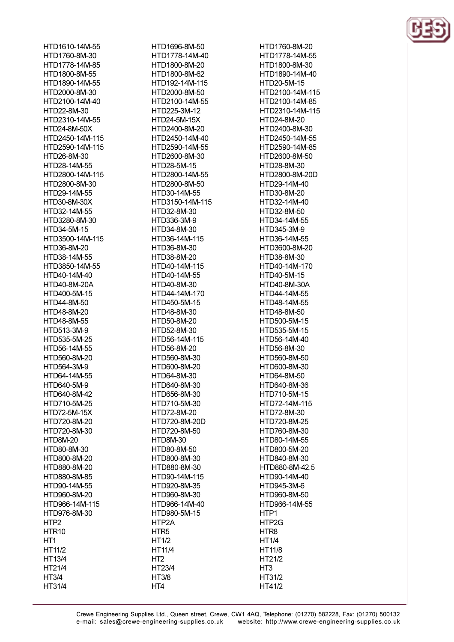HTD1610-14M-55 HTD1760-8M-30 HTD1778-14M-85 HTD1800-8M-55 HTD1890-14M-55 HTD2000-8M-30 HTD2100-14M-40 HTD22-8M-30 HTD2310-14M-55 HTD24-8M-50X HTD2450-14M-115 HTD2590-14M-115 HTD26-8M-30 HTD28-14M-55 HTD2800-14M-115 HTD2800-8M-30 HTD29-14M-55 HTD30-8M-30X HTD32-14M-55 HTD3280-8M-30 HTD34-5M-15 HTD3500-14M-115 HTD36-8M-20 HTD38-14M-55 HTD3850-14M-55 HTD40-14M-40 HTD40-8M-20A HTD400-5M-15 HTD44-8M-50 HTD48-8M-20 HTD48-8M-55 HTD513-3M-9 HTD535-5M-25 HTD56-14M-55 HTD560-8M-20 HTD564-3M-9 HTD64-14M-55 HTD640-5M-9 HTD640-8M-42 HTD710-5M-25 HTD72-5M-15X HTD720-8M-20 HTD720-8M-30 HTD8M-20 HTD80-8M-30 HTD800-8M-20 HTD880-8M-20 HTD880-8M-85 HTD90-14M-55 HTD960-8M-20 HTD966-14M-115 HTD976-8M-30 HTP<sub>2</sub> HTR<sub>10</sub> HT<sub>1</sub> HT11/2 HT13/4 HT21/4 **HT3/4** 

HT31/4

HTD1696-8M-50 HTD1778-14M-40 HTD1800-8M-20 HTD1800-8M-62 HTD192-14M-115 HTD2000-8M-50 HTD2100-14M-55 HTD225-3M-12 HTD24-5M-15X HTD2400-8M-20 HTD2450-14M-40 HTD2590-14M-55 HTD2600-8M-30 HTD28-5M-15 HTD2800-14M-55 HTD2800-8M-50 HTD30-14M-55 HTD3150-14M-115 HTD32-8M-30 HTD336-3M-9 HTD34-8M-30 HTD36-14M-115 HTD36-8M-30 HTD38-8M-20 HTD40-14M-115 HTD40-14M-55 HTD40-8M-30 HTD44-14M-170 HTD450-5M-15 HTD48-8M-30 HTD50-8M-20 HTD52-8M-30 HTD56-14M-115 HTD56-8M-20 HTD560-8M-30 HTD600-8M-20 HTD64-8M-30 HTD640-8M-30 HTD656-8M-30 HTD710-5M-30 HTD72-8M-20 HTD720-8M-20D HTD720-8M-50 HTD8M-30 HTD80-8M-50 HTD800-8M-30 HTD880-8M-30 HTD90-14M-115 HTD920-8M-35 HTD960-8M-30 HTD966-14M-40 HTD980-5M-15 HTP2A HTR<sub>5</sub> HT1/2 **HT11/4** HT<sub>2</sub> HT23/4 **HT3/8** 

HT4

HTD1760-8M-20 HTD1778-14M-55 HTD1800-8M-30 HTD1890-14M-40 HTD20-5M-15 HTD2100-14M-115 HTD2100-14M-85 HTD2310-14M-115 HTD24-8M-20 HTD2400-8M-30 HTD2450-14M-55 HTD2590-14M-85 HTD2600-8M-50 **HTD28-8M-30** HTD2800-8M-20D HTD29-14M-40 HTD30-8M-20 HTD32-14M-40 HTD32-8M-50 HTD34-14M-55 HTD345-3M-9 HTD36-14M-55 HTD3600-8M-20 HTD38-8M-30 HTD40-14M-170 HTD40-5M-15 **HTD40-8M-30A** HTD44-14M-55 HTD48-14M-55 HTD48-8M-50 HTD500-5M-15 HTD535-5M-15 HTD56-14M-40 HTD56-8M-30 HTD560-8M-50 HTD600-8M-30 HTD64-8M-50 HTD640-8M-36 HTD710-5M-15 HTD72-14M-115 HTD72-8M-30 HTD720-8M-25 HTD760-8M-30 HTD80-14M-55 HTD800-5M-20 HTD840-8M-30 HTD880-8M-42.5 HTD90-14M-40 HTD945-3M-6 HTD960-8M-50 HTD966-14M-55 HTP1 HTP2G HTR<sub>8</sub> **HT1/4 HT11/8** HT21/2 HT<sub>3</sub> HT31/2 HT41/2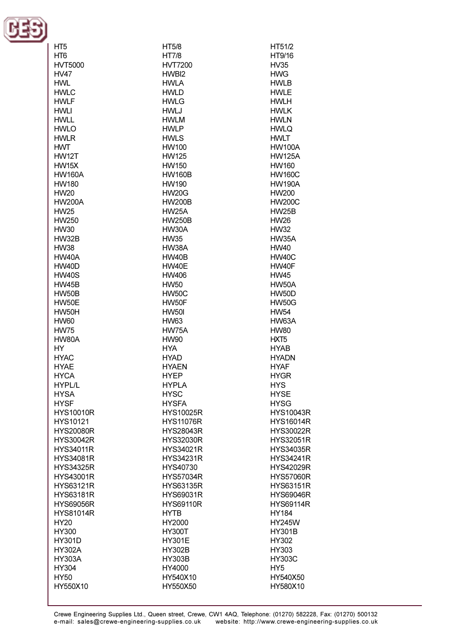

| HT <sub>5</sub>  | HT5/8            | HT51/2           |
|------------------|------------------|------------------|
| HT <sub>6</sub>  | <b>HT7/8</b>     | HT9/16           |
| <b>HVT5000</b>   | <b>HVT7200</b>   | HV35             |
| <b>HV47</b>      | HWBI2            | <b>HWG</b>       |
| <b>HWL</b>       | <b>HWLA</b>      | <b>HWLB</b>      |
|                  |                  |                  |
| <b>HWLC</b>      | <b>HWLD</b>      | <b>HWLE</b>      |
| <b>HWLF</b>      | <b>HWLG</b>      | <b>HWLH</b>      |
| <b>HWLI</b>      | <b>HWLJ</b>      | <b>HWLK</b>      |
| <b>HWLL</b>      | <b>HWLM</b>      | <b>HWLN</b>      |
| <b>HWLO</b>      | <b>HWLP</b>      | <b>HWLQ</b>      |
| <b>HWLR</b>      | <b>HWLS</b>      | <b>HWLT</b>      |
| <b>HWT</b>       | <b>HW100</b>     | <b>HW100A</b>    |
| <b>HW12T</b>     | <b>HW125</b>     | <b>HW125A</b>    |
| <b>HW15X</b>     | <b>HW150</b>     | <b>HW160</b>     |
| <b>HW160A</b>    | <b>HW160B</b>    | <b>HW160C</b>    |
| <b>HW180</b>     | <b>HW190</b>     | <b>HW190A</b>    |
| <b>HW20</b>      | <b>HW20G</b>     | <b>HW200</b>     |
| <b>HW200A</b>    | <b>HW200B</b>    | <b>HW200C</b>    |
| <b>HW25</b>      | HW25A            | <b>HW25B</b>     |
| HW250            | <b>HW250B</b>    | <b>HW26</b>      |
| <b>HW30</b>      | HW30A            | <b>HW32</b>      |
|                  |                  |                  |
| HW32B            | <b>HW35</b>      | HW35A            |
| <b>HW38</b>      | HW38A            | <b>HW40</b>      |
| <b>HW40A</b>     | <b>HW40B</b>     | <b>HW40C</b>     |
| <b>HW40D</b>     | HW40E            | HW40F            |
| <b>HW40S</b>     | <b>HW406</b>     | <b>HW45</b>      |
| <b>HW45B</b>     | <b>HW50</b>      | HW50A            |
| HW50B            | <b>HW50C</b>     | <b>HW50D</b>     |
| HW50E            | HW50F            | <b>HW50G</b>     |
| HW50H            | <b>HW50I</b>     | <b>HW54</b>      |
| <b>HW60</b>      | <b>HW63</b>      | HW63A            |
| <b>HW75</b>      | HW75A            | <b>HW80</b>      |
| HW80A            | <b>HW90</b>      | HXT <sub>5</sub> |
| HY               | <b>HYA</b>       | <b>HYAB</b>      |
| <b>HYAC</b>      | <b>HYAD</b>      | <b>HYADN</b>     |
| <b>HYAE</b>      | <b>HYAEN</b>     | <b>HYAF</b>      |
| <b>HYCA</b>      | <b>HYEP</b>      | <b>HYGR</b>      |
| HYPL/L           | <b>HYPLA</b>     | <b>HYS</b>       |
| <b>HYSA</b>      | <b>HYSC</b>      | <b>HYSE</b>      |
| <b>HYSF</b>      | <b>HYSFA</b>     | <b>HYSG</b>      |
| <b>HYS10010R</b> | <b>HYS10025R</b> | <b>HYS10043R</b> |
| HYS10121         | <b>HYS11076R</b> | <b>HYS16014R</b> |
| <b>HYS20080R</b> | <b>HYS28043R</b> | <b>HYS30022R</b> |
|                  |                  | <b>HYS32051R</b> |
| <b>HYS30042R</b> | <b>HYS32030R</b> |                  |
| <b>HYS34011R</b> | HYS34021R        | <b>HYS34035R</b> |
| <b>HYS34081R</b> | <b>HYS34231R</b> | <b>HYS34241R</b> |
| <b>HYS34325R</b> | HYS40730         | <b>HYS42029R</b> |
| <b>HYS43001R</b> | <b>HYS57034R</b> | <b>HYS57060R</b> |
| HYS63121R        | <b>HYS63135R</b> | <b>HYS63151R</b> |
| HYS63181R        | HYS69031R        | <b>HYS69046R</b> |
| <b>HYS69056R</b> | <b>HYS69110R</b> | <b>HYS69114R</b> |
| <b>HYS81014R</b> | <b>HYTB</b>      | <b>HY184</b>     |
| HY20             | HY2000           | <b>HY245W</b>    |
| HY300            | <b>HY300T</b>    | <b>HY301B</b>    |
| <b>HY301D</b>    | <b>HY301E</b>    | HY302            |
| <b>HY302A</b>    | <b>HY302B</b>    | HY303            |
| <b>HY303A</b>    | <b>HY303B</b>    | <b>HY303C</b>    |
| HY304            | HY4000           | HY <sub>5</sub>  |
| <b>HY50</b>      | HY540X10         | HY540X50         |
| HY550X10         | HY550X50         | HY580X10         |
|                  |                  |                  |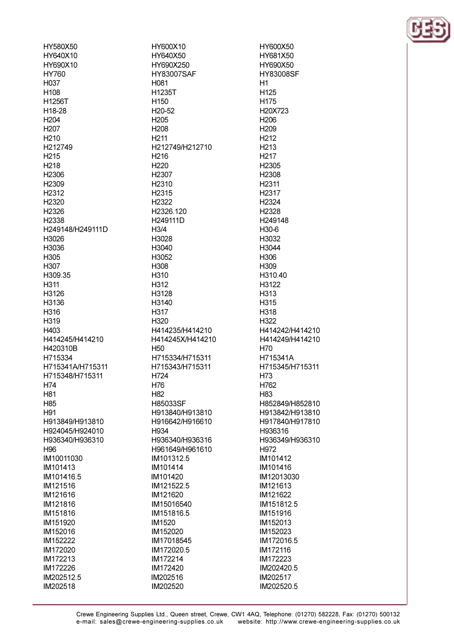| HY580X50          | HY600X10           |
|-------------------|--------------------|
| HY640X10          | HY640X50           |
| HY690X10          | HY690X250          |
| HY760             | <b>HY83007SAF</b>  |
| H037              | H <sub>081</sub>   |
| H <sub>108</sub>  | H1235T             |
| H1256T            | H <sub>150</sub>   |
| H18-28            | H <sub>20-52</sub> |
| H <sub>204</sub>  | H <sub>205</sub>   |
| H <sub>20</sub> 7 | H <sub>208</sub>   |
| H <sub>210</sub>  | H <sub>211</sub>   |
|                   |                    |
| H212749           | H212749/H212710    |
| H <sub>215</sub>  | H <sub>216</sub>   |
| H <sub>218</sub>  | H <sub>220</sub>   |
| H <sub>2306</sub> | H <sub>2307</sub>  |
| H <sub>2309</sub> | H <sub>2310</sub>  |
| H2312             | H <sub>2315</sub>  |
| H <sub>2320</sub> | H <sub>2322</sub>  |
| H <sub>2326</sub> | H2326.120          |
| H <sub>2338</sub> | H249111D           |
| H249148/H249111D  | H3/4               |
| H3026             | H3028              |
| H3036             | H3040              |
| H305              | H3052              |
| H307              | H308               |
| H309.35           | H310               |
| H311              | H312               |
|                   |                    |
| H3126             | H3128              |
| H3136             | H3140              |
| H316              | H317               |
| H319              | H320               |
| H403              | H414235/H414210    |
| H414245/H414210   | H414245X/H414210   |
| H420310B          | H50.               |
| H715334           | H715334/H715311    |
| H715341A/H715311  | H715343/H715311    |
| H715348/H715311   | H724               |
| H74               | H76                |
| H81               | H82                |
| H <sub>85</sub>   | H85033SF           |
| H91               | H913840/H913810    |
| H913849/H913810   | H916642/H916610    |
| H924045/H924010   | H934               |
| H936340/H936310   | H936340/H936316    |
| H96               | H961649/H961610    |
| IM10011030        | IM101312.5         |
| IM101413          | IM101414           |
|                   |                    |
| IM101416.5        | IM101420           |
| IM121516          | IM121522.5         |
| IM121616          | IM121620           |
| IM121816          | IM15016540         |
| IM151816          | IM151816.5         |
| IM151920          | IM1520             |
| IM152016          | IM152020           |
| IM152222          | IM17018545         |
| IM172020          | IM172020.5         |
| IM172213          | IM172214           |
| IM172226          | IM172420           |
| IM202512.5        | IM202516           |
| IM202518          | IM202520           |
|                   |                    |

HY600X50 HY681X50 HY690X50 **HY83008SF**  $H1$ H<sub>125</sub> H<sub>175</sub> H20X723 H<sub>206</sub> H<sub>209</sub> H<sub>212</sub> H<sub>213</sub> H<sub>217</sub> H<sub>2305</sub> H<sub>2308</sub> H<sub>2311</sub> H<sub>2317</sub> H<sub>2324</sub> H<sub>2328</sub> H249148 H<sub>30-6</sub> H3032 H3044 H<sub>306</sub> H309 H310.40 H3122 H313 H315 H318 H322 H414242/H414210 H414249/H414210 H70 H715341A H715345/H715311 H73 H762 H83 H852849/H852810 H913842/H913810 H917840/H917810 H936316 H936349/H936310 H972 IM101412 IM101416 IM12013030 IM121613 IM121622 IM151812.5 IM151916 IM152013 IM152023 IM172016.5 IM172116 IM172223 IM202420.5 IM202517 IM202520.5

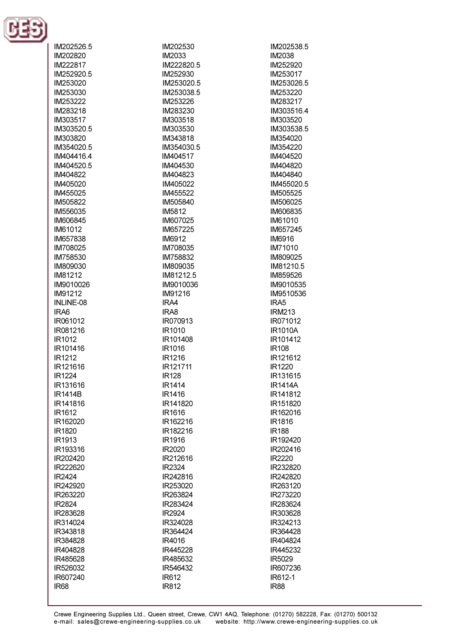

| IM202526.5         | IM202530           | IM202538.5               |
|--------------------|--------------------|--------------------------|
| IM202820           | <b>IM2033</b>      | <b>IM2038</b>            |
| IM222817           | IM222820.5         | IM252920                 |
| IM252920.5         | IM252930           | IM253017                 |
| IM253020           | IM253020.5         | IM253026.5               |
| IM253030           | IM253038.5         | IM253220                 |
| IM253222           | IM253226           | IM283217                 |
| IM283218           | IM283230           | IM303516.4               |
| IM303517           | IM303518           | IM303520                 |
| IM303520.5         | IM303530           | IM303538.5               |
| IM303820           | IM343818           | IM354020                 |
| IM354020.5         | IM354030.5         | IM354220                 |
| IM404416.4         | IM404517           | IM404520                 |
| IM404520.5         | IM404530           | IM404820                 |
| IM404822           | IM404823           | IM404840                 |
| IM405020           | IM405022           | IM455020.5               |
| IM455025           | IM455522           | IM505525                 |
| IM505822           | IM505840           | IM506025                 |
| IM556035           | IM5812             | IM606835                 |
| IM606845           | IM607025           | IM61010                  |
| IM61012            | IM657225           | IM657245                 |
| IM657838           | <b>IM6912</b>      | <b>IM6916</b>            |
| IM708025           | IM708035           | IM71010                  |
| IM758530           | IM758832           | IM809025                 |
| IM809030           | IM809035           | IM81210.5                |
| IM81212            | IM81212.5          | IM859526                 |
| IM9010026          | IM9010036          | IM9010535                |
| IM91212            | IM91216            | IM9510536                |
| INLINE-08          | IRA4               | IRA5                     |
| IRA6               | IRA8               | <b>IRM213</b>            |
| IR061012           | IR070913           | IR071012                 |
| IR081216           | IR1010             | <b>IR1010A</b>           |
| IR1012             | IR101408           | IR101412                 |
| IR101416           | IR1016             | <b>IR108</b>             |
| IR1212             | IR1216             | IR121612                 |
| IR121616           | IR121711           | IR1220                   |
| <b>IR1224</b>      | <b>IR128</b>       | IR131615                 |
| IR131616           | IR1414             | <b>IR1414A</b>           |
| <b>IR1414B</b>     | <b>IR1416</b>      | IR141812                 |
| IR141816           | IR141820           | IR151820                 |
| IR <sub>1612</sub> | <b>IR1616</b>      | IR162016                 |
| IR162020           | IR162216           | <b>IR1816</b>            |
| IR1820<br>IR1913   | IR182216<br>IR1916 | <b>IR188</b><br>IR192420 |
| IR193316           | IR2020             | IR202416                 |
| IR202420           | IR212616           | IR2220                   |
| IR222620           | <b>IR2324</b>      | IR232820                 |
| IR2424             | IR242816           | IR242820                 |
| IR242920           | IR253020           | IR263120                 |
| IR263220           | IR263824           | IR273220                 |
| IR2824             | IR283424           | IR283624                 |
| IR283628           | IR2924             | IR303628                 |
| IR314024           | IR324028           | IR324213                 |
| IR343818           | IR364424           | IR364428                 |
| IR384828           | IR4016             | IR404824                 |
| IR404828           | IR445228           | IR445232                 |
| IR485628           | IR485632           | IR5029                   |
| IR526032           | IR546432           | IR607236                 |
| IR607240           | <b>IR612</b>       | IR612-1                  |
| <b>IR68</b>        | <b>IR812</b>       | <b>IR88</b>              |
|                    |                    |                          |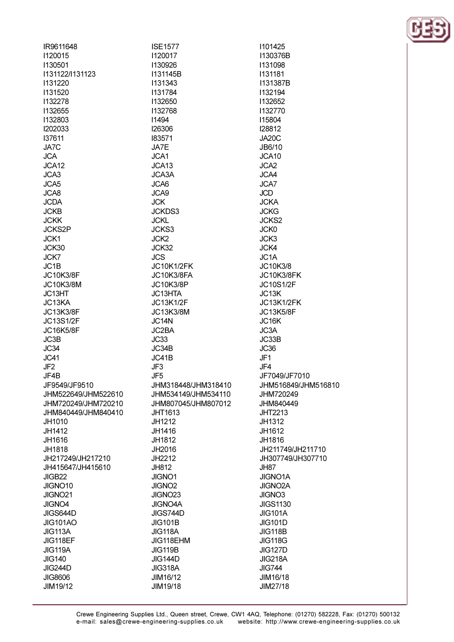| IR9611648           | <b>ISE1577</b>      | 1101425             |
|---------------------|---------------------|---------------------|
| <b>I120015</b>      | 1120017             | I130376B            |
| 1130501             | 1130926             | 1131098             |
| 1131122/1131123     | I131145B            | 1131181             |
| 1131220             | 1131343             | I131387B            |
| 1131520             | 1131784             | 1132194             |
| 1132278             | 1132650             | 1132652             |
| <b>I132655</b>      | 1132768             | 1132770             |
| 1132803             | 11494               | 115804              |
| <b>I202033</b>      | 126306              | 128812              |
| 137611              | 183571              | JA20C               |
| JA7C                | JA7E                | JB6/10              |
| <b>JCA</b>          | JCA1                | JCA <sub>10</sub>   |
| JCA12               | JCA <sub>13</sub>   | JCA <sub>2</sub>    |
| JCA3                |                     |                     |
|                     | JCA3A               | JCA4                |
| JCA5                | JCA6                | JCA7                |
| JCA8                | JCA9                | <b>JCD</b>          |
| <b>JCDA</b>         | <b>JCK</b>          | <b>JCKA</b>         |
| <b>JCKB</b>         | <b>JCKDS3</b>       | <b>JCKG</b>         |
| <b>JCKK</b>         | <b>JCKL</b>         | JCKS <sub>2</sub>   |
| <b>JCKS2P</b>       | JCKS3               | <b>JCK0</b>         |
| JCK1                | JCK <sub>2</sub>    | JCK3                |
| JCK30               | JCK32               | JCK4                |
| JCK7                | <b>JCS</b>          | JC <sub>1</sub> A   |
| JC <sub>1</sub> B   | JC10K1/2FK          | JC10K3/8            |
| JC10K3/8F           | JC10K3/8FA          | JC10K3/8FK          |
| <b>JC10K3/8M</b>    | <b>JC10K3/8P</b>    | <b>JC10S1/2F</b>    |
| JC13HT              | JC13HTA             | JC13K               |
| JC13KA              | <b>JC13K1/2F</b>    | JC13K1/2FK          |
| JC13K3/8F           | JC13K3/8M           | <b>JC13K5/8F</b>    |
| JC13S1/2F           | JC14N               | JC16K               |
| JC16K5/8F           | JC2BA               | JC3A                |
| JC3B                | JC33                | JC33B               |
| JC34                | JC34B               | JC36                |
| JC41                | JC41B               | JF <sub>1</sub>     |
|                     |                     |                     |
| JF <sub>2</sub>     | JF3                 | JF4                 |
| JF4B                | JF5                 | JF7049/JF7010       |
| JF9549/JF9510       | JHM318448/JHM318410 | JHM516849/JHM516810 |
| JHM522649/JHM522610 | JHM534149/JHM534110 | JHM720249           |
| JHM720249/JHM720210 | JHM807045/JHM807012 | JHM840449           |
| JHM840449/JHM840410 | <b>JHT1613</b>      | <b>JHT2213</b>      |
| JH1010              | JH1212              | JH1312              |
| JH1412              | JH1416              | JH1612              |
| JH1616              | JH1812              | JH1816              |
| JH1818              | JH2016              | JH211749/JH211710   |
| JH217249/JH217210   | JH2212              | JH307749/JH307710   |
| JH415647/JH415610   | JH812               | JH87                |
| JIGB22              | <b>JIGNO1</b>       | <b>JIGNO1A</b>      |
| JIGNO10             | JIGNO <sub>2</sub>  | <b>JIGNO2A</b>      |
| JIGNO21             | JIGNO <sub>23</sub> | <b>JIGNO3</b>       |
| JIGNO4              | <b>JIGNO4A</b>      | <b>JIGS1130</b>     |
| JIGS644D            | JIGS744D            | <b>JIG101A</b>      |
| <b>JIG101AO</b>     | <b>JIG101B</b>      | <b>JIG101D</b>      |
| JIG113A             | <b>JIG118A</b>      | <b>JIG118B</b>      |
|                     |                     |                     |
| JIG118EF            | JIG118EHM           | <b>JIG118G</b>      |
| JIG119A             | <b>JIG119B</b>      | <b>JIG127D</b>      |
| <b>JIG140</b>       | <b>JIG144D</b>      | <b>JIG218A</b>      |
| <b>JIG244D</b>      | JIG318A             | <b>JIG744</b>       |
| <b>JIG8606</b>      | JIM16/12            | JIM16/18            |
| JIM19/12            | JIM19/18            | JIM27/18            |
|                     |                     |                     |

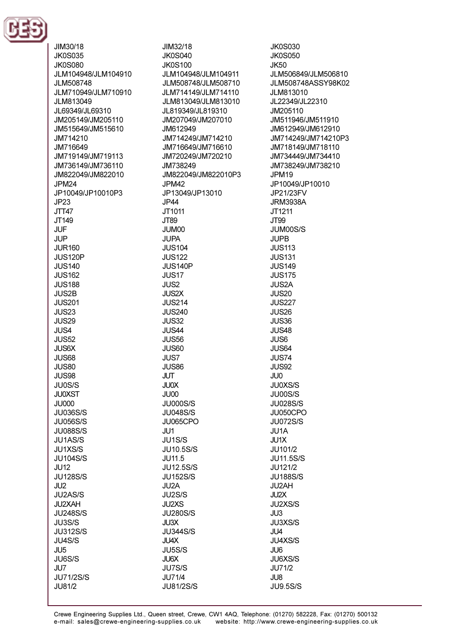

JIM30/18 JIM32/18 **JK0S035 JK0S040** JK0S080 **JK0S100** JLM104948/JLM104910 JLM104948/JLM104911 JLM508748 JLM508748/JLM508710 JLM710949/JLM710910 JLM714149/JLM714110 .II M813049 JLM813049/JLM813010 JL69349/JL69310 JL819349/JL819310 JM205149/JM205110 JM207049/JM207010 JM515649/JM515610 JM612949 JM714210 JM714249/JM714210 JM716649 JM716649/JM716610 JM719149/JM719113 JM720249/JM720210 .IM736149/.IM736110 **IM738249** JM822049/JM822010 JM822049/JM822010P3 **JPM24** JPM42 JP10049/JP10010P3 JP13049/JP13010  $JP23$ JP44 JTT47 JT1011 JT149 JT89 **JUF** JUM00 **JUP JUPA JUR160 JUS104 JUS120P JUS122 ILIS140 JUS140P JUS162** JUS<sub>17</sub> **JUS188** JUS<sub>2</sub> **JUS2B JUS2X JUS201 JUS214 JUS23 JUS240** JUS29 **JUS32 JUS4** JUS44 **JUS52 JUS56 JUS6X JUS60** JUS68 JUS7 **JUS80 JUS86** JUS98 **JUT** JU0S/S **JU0X JU0XST** JU00 **JU000 JU000S/S JU036S/S JU048S/S JU056S/S** JU065CPO **JU088S/S**  $J<sub>U</sub>11$ JU1AS/S JU1S/S **JU1XS/S JU10.5S/S JU104S/S JU11.5 JU12.5S/S JU12 JU128S/S JU152S/S** JU2A JU<sub>2</sub> JU2AS/S JU2S/S JU2XAH JU2XS **JU248S/S JU280S/S** JU3S/S JU3X **JU312S/S JU344S/S** JU4S/S **JU4X** JU<sub>5</sub> JU5S/S JU6S/S **JU6X** JU7 JU7S/S **JU71/2S/S JU71/4** JU81/2 **JU81/2S/S** 

**JK0S030 JK0S050**  $IK50$ JLM506849/JLM506810 JLM508748ASSY98K02 JLM813010 JL22349/JL22310 JM205110 JM511946/JM511910 JM612949/JM612910 JM714249/JM714210P3 JM718149/JM718110 JM734449/JM734410 .IM738249/.IM738210 JPM<sub>19</sub> JP10049/JP10010 JP21/23FV **JRM3938A** JT1211 JT99 JUM00S/S **JUPB JUS113 JUS131 JUS149 JUS175 JUS2A JUS20 JUS227 JUS26** JUS36 JUS48 JUS<sub>6</sub> JUS64 JUS74 **JUS92** JU<sub>0</sub> JU0XS/S JU00S/S **JU028S/S** JU050CPO **JU072S/S** JU1A **JU1X** JU101/2 **JU11.5S/S** JU121/2 **JU188S/S** JU2AH JU2X JU2XS/S JU3 JU3XS/S  $JU4$ **JU4XS/S** JU<sub>6</sub> JU6XS/S JU71/2 JU8

**JU9.5S/S**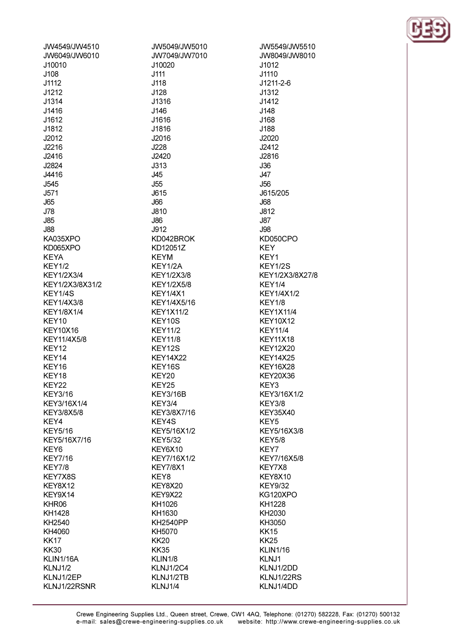| JW4549/JW4510     | JW5049/JW5010     |
|-------------------|-------------------|
| JW6049/JW6010     | JW7049/JW7010     |
| J10010            | J10020            |
| J108              | J111              |
| J1112             | J118              |
| J1212             | J128              |
| J1314             | J1316             |
| J1416             | J146              |
| J1612             | J1616             |
| J1812             | J1816             |
| J2012             | J2016             |
|                   |                   |
| J2216             | J228              |
| J2416             | J2420             |
| J2824             | J313              |
| J4416             | J45               |
| J545              | <b>J55</b>        |
| J571              | J615              |
| J65               | <b>J66</b>        |
| J78               | J810              |
| J85               | <b>J86</b>        |
| <b>J88</b>        | J912              |
| KA035XPO          | KD042BROK         |
| KD065XPO          | KD12051Z          |
| <b>KEYA</b>       | <b>KEYM</b>       |
| <b>KEY1/2</b>     | KEY1/2A           |
| <b>KEY1/2X3/4</b> | <b>KEY1/2X3/8</b> |
| KEY1/2X3/8X31/2   | <b>KEY1/2X5/8</b> |
| KEY1/4S           | <b>KEY1/4X1</b>   |
|                   |                   |
| <b>KEY1/4X3/8</b> | KEY1/4X5/16       |
| <b>KEY1/8X1/4</b> | <b>KEY1X11/2</b>  |
| KEY10             | KEY10S            |
| <b>KEY10X16</b>   | <b>KEY11/2</b>    |
| KEY11/4X5/8       | <b>KEY11/8</b>    |
| KEY12             | KEY12S            |
| KEY14             | <b>KEY14X22</b>   |
| KEY16             | KEY16S            |
| KEY18             | KEY20             |
| KEY22             | KEY25             |
| <b>KEY3/16</b>    | <b>KEY3/16B</b>   |
| KEY3/16X1/4       | <b>KEY3/4</b>     |
| KEY3/8X5/8        | KEY3/8X7/16       |
| KEY4              | KEY4S             |
| <b>KEY5/16</b>    | KEY5/16X1/2       |
| KEY5/16X7/16      | <b>KEY5/32</b>    |
|                   |                   |
| KEY <sub>6</sub>  | KEY6X10           |
| <b>KEY7/16</b>    | KEY7/16X1/2       |
| <b>KEY7/8</b>     | <b>KEY7/8X1</b>   |
| KEY7X8S           | KEY8              |
| KEY8X12           | KEY8X20           |
| KEY9X14           | KEY9X22           |
| KHR06             | KH1026            |
| KH1428            | KH1630            |
| KH2540            | <b>KH2540PP</b>   |
| KH4060            | KH5070            |
| KK17              | <b>KK20</b>       |
| <b>KK30</b>       | <b>KK35</b>       |
| KLIN1/16A         | KLIN1/8           |
| KLNJ1/2           | KLNJ1/2C4         |
| KLNJ1/2EP         | KLNJ1/2TB         |
|                   |                   |
| KLNJ1/22RSNR      | KLNJ1/4           |

JW5549/JW5510 JW8049/JW8010  $J1012$ J1110 J1211-2-6  $J1312$  $J1412$ J148 J168 J188 J2020 J2412 J2816  $J36$  $J47$ **J56** J615/205 **J68** J812 **J87 J98** KD050CPO **KEY** KEY1 **KEY1/2S** KEY1/2X3/8X27/8 KEY1/4 **KEY1/4X1/2 KEY1/8 KEY1X11/4 KEY10X12 KEY11/4 KEY11X18 KEY12X20 KEY14X25 KEY16X28 KEY20X36** KEY3 KEY3/16X1/2 KEY3/8 **KEY35X40** KEY<sub>5</sub> KEY5/16X3/8 **KEY5/8** KEY7 KEY7/16X5/8 KEY7X8 KEY8X10 **KEY9/32** KG120XPO KH1228 KH2030 KH3050 **KK15 KK25 KLIN1/16** KLNJ1 KLNJ1/2DD KLNJ1/22RS KLNJ1/4DD

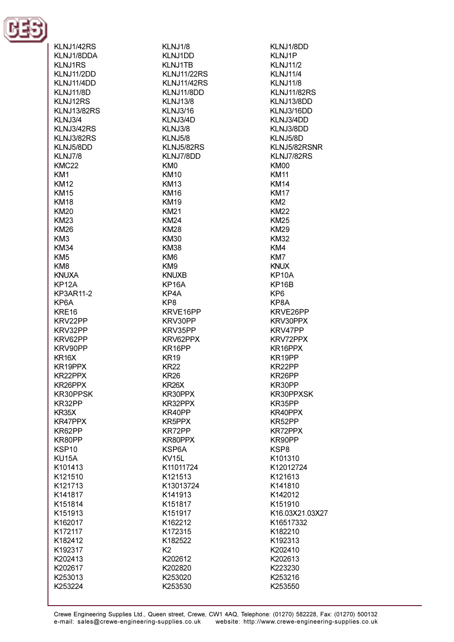

 $\cdot \cdot \cdot \cdot \cdot$ 

KLNJ1/8 KLNJ1DD KI N.I1TR **KLNJ11/22RS KLNJ11/42RS** KLNJ11/8DD **KLNJ13/8 KLNJ3/16** KLNJ3/4D **KLNJ3/8 KLNJ5/8** KLNJ5/82RS KLNJ7/8DD KMO **KM10 KM13 KM16 KM19 KM21 KM24 KM28 KM30 KM38** KM<sub>6</sub> KM9 **KNUXB** KP<sub>16</sub>A KP4A KP8 KRVE16PP KRV30PP KRV35PP KRV62PPX KR16PP **KR19 KR22 KR26** KR<sub>26</sub>X KR30PPX KR32PPX KR40PP KR5PPX KR72PP KR80PPX KSP6A **KV15L** K11011724 K121513 K13013724 K141913 K151817 K151917 K162212 K172315 K182522 K<sub>2</sub> K202612 K202820 K253020

KLNJ1/8DD KLNJ1P KI N.111/2 **KLNJ11/4 KLNJ11/8 KLNJ11/82RS** KLNJ13/8DD KLNJ3/16DD KLNJ3/4DD KLNJ3/8DD KLNJ5/8D KLNJ5/82RSNR **KLNJ7/82RS** KMOO **KM11 KM14 KM17** KM<sub>2</sub> **KM22 KM25 KM29 KM32** KM4 KM7 KNUX **KP10A** KP<sub>16</sub>B KP<sub>6</sub> KP8A KRVE26PP KRV30PPX KRV47PP KRV72PPX KR16PPX KR19PP KR22PP KR26PP KR30PP KR30PPXSK KR35PP KR40PPX KR52PP KR72PPX KR90PP KSP8 K101310 K12012724 K121613 K141810 K142012 K151910 K16.03X21.03X27 K16517332 K182210 K192313 K202410 K202613 K223230 K253216 K253550

K253530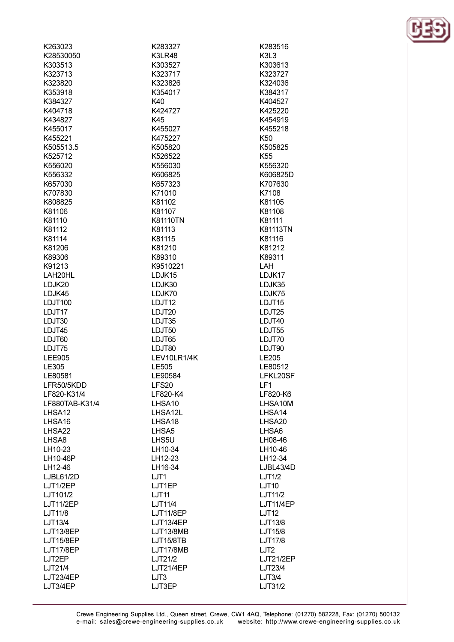| K263023            | K283327            | K283516            |
|--------------------|--------------------|--------------------|
| K28530050          | K3LR48             | K3L3               |
| K303513            | K303527            | K303613            |
| K323713            | K323717            | K323727            |
| K323820            | K323826            | K324036            |
| K353918            | K354017            | K384317            |
| K384327            | K40                | K404527            |
| K404718            | K424727            | K425220            |
| K434827            | K45                | K454919            |
| K455017            | K455027            | K455218            |
| K455221            | K475227            | K <sub>50</sub>    |
| K505513.5          | K505820            | K505825            |
| K525712            |                    |                    |
|                    | K526522            | K <sub>55</sub>    |
| K556020            | K556030            | K556320            |
| K556332            | K606825            | K606825D           |
| K657030            | K657323            | K707630            |
| K707830            | K71010             | K7108              |
| K808825            | K81102             | K81105             |
| K81106             | K81107             | K81108             |
| K81110             | <b>K81110TN</b>    | K81111             |
| K81112             | K81113             | K81113TN           |
| K81114             | K81115             | K81116             |
| K81206             | K81210             | K81212             |
| K89306             | K89310             | K89311             |
| K91213             | K9510221           | <b>LAH</b>         |
| LAH20HL            | LDJK15             | LDJK17             |
| LDJK20             | LDJK30             | LDJK35             |
| LDJK45             | LDJK70             | LDJK75             |
| <b>LDJT100</b>     | LDJT12             | LDJT <sub>15</sub> |
| LDJT17             | LDJT20             | LDJT25             |
| LDJT30             | LDJT35             | LDJT40             |
| LDJT45             | LDJT50             | LDJT55             |
| LDJT60             | LDJT65             | LDJT70             |
| LDJT75             | LDJT80             | LDJT90             |
| <b>LEE905</b>      | LEV10LR1/4K        | LE205              |
| LE305              | LE505              | LE80512            |
| LE80581            | LE90584            | LFKL20SF           |
| LFR50/5KDD         | LFS20              | LF1                |
| LF820-K31/4        | LF820-K4           | LF820-K6           |
| LF880TAB-K31/4     | LHSA10             | LHSA10M            |
| LHSA <sub>12</sub> | LHSA12L            | LHSA14             |
| LHSA16             | LHSA <sub>18</sub> | LHSA <sub>20</sub> |
| LHSA22             | LHSA <sub>5</sub>  | LHSA6              |
|                    |                    |                    |
| LHSA8              | LHS5U              | LH08-46            |
| LH10-23            | LH10-34            | LH10-46            |
| LH10-46P           | LH12-23            | LH12-34            |
| LH12-46            | LH16-34            | LJBL43/4D          |
| LJBL61/2D          | LJT1               | LJT1/2             |
| LJT1/2EP           | LJT1EP             | <b>LJT10</b>       |
| LJT101/2           | LJT <sub>11</sub>  | LJT11/2            |
| LJT11/2EP          | LJT11/4            | <b>LJT11/4EP</b>   |
| LJT11/8            | <b>LJT11/8EP</b>   | LJT12              |
| LJT13/4            | LJT13/4EP          | LJT13/8            |
| LJT13/8EP          | LJT13/8MB          | LJT15/8            |
| <b>LJT15/8EP</b>   | <b>LJT15/8TB</b>   | LJT17/8            |
| LJT17/8EP          | LJT17/8MB          | LJT <sub>2</sub>   |
| LJT2EP             | LJT21/2            | <b>LJT21/2EP</b>   |
| LJT21/4            | <b>LJT21/4EP</b>   | LJT23/4            |
| <b>LJT23/4EP</b>   | LJT3               | LJT3/4             |
| LJT3/4EP           | LJT3EP             | LJT31/2            |
|                    |                    |                    |

Crewe Engineering Supplies Ltd., Queen street, Crewe, CW1 4AQ, Telephone: (01270) 582228, Fax: (01270) 500132<br>e-mail: sales@crewe-engineering-supplies.co.uk website: http://www.crewe-engineering-supplies.co.uk

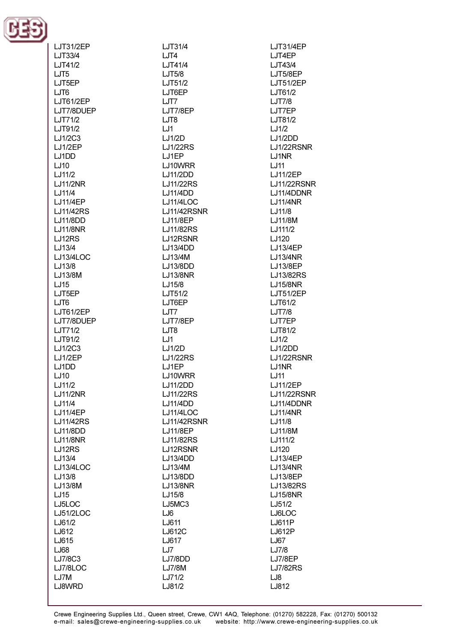

| LJT31/2EP        |
|------------------|
| LJT33/4          |
| LJT41/2          |
| LJT5             |
| LJT5EP           |
| LJT6             |
| LJT61/2EP        |
| LJT7/8DUEP       |
| LJT71/2          |
| LJT91/2          |
| LJ1/2C3          |
| LJ1/2EP          |
| LJ1DD            |
| LJ10             |
| LJ11/2           |
| <b>LJ11/2NR</b>  |
| LJ11/4           |
| LJ11/4EP         |
| <b>LJ11/42RS</b> |
| <b>LJ11/8DD</b>  |
| <b>LJ11/8NR</b>  |
| LJ12RS           |
| LJ13/4           |
| LJ13/4LOC        |
| LJ13/8           |
| LJ13/8M          |
| LJ15             |
| LJT5EP           |
| LJT6             |
| LJT61/2EP        |
| LJT7/8DUEP       |
| LJT71/2          |
| LJT91/2          |
| LJ1/2C3          |
| LJ1/2EP          |
| LJ1DD            |
| LJ10             |
| LJ11/2           |
| LJ11/2NR         |
| LJ11/4           |
| LJ11/4EP         |
| <b>LJ11/42RS</b> |
| <b>LJ11/8DD</b>  |
| <b>LJ11/8NR</b>  |
| LJ12RS           |
| LJ13/4           |
| <b>LJ13/4LOC</b> |
| LJ13/8           |
| LJ13/8M          |
| LJ15             |
| LJ5LOC           |
| LJ51/2LOC        |
|                  |
| LJ61/2           |
| LJ612            |
| LJ615            |
| LJ68             |
| LJ7/8C3          |
| LJ7/8LOC         |
| LJ7M<br>LJ8WRD   |

LJT31/4  $LJT4$  $I.IT41/4$  $LJT5/8$ LJT51/2 LJT6EP LJT7 LJT7/8EP LJT8  $LJ1$  $LJ1/2D$ **LJ1/22RS** LJ1EP LJ10WRR **LJ11/2DD LJ11/22RS LJ11/4DD** LJ11/4LOC **LJ11/42RSNR LJ11/8EP LJ11/82RS** LJ12RSNR LJ13/4DD LJ13/4M LJ13/8DD **LJ13/8NR** LJ15/8 LJT51/2 LJT6EP LJT7 LJT7/8EP LJT8 LJ1 LJ1/2D **LJ1/22RS** LJ1EP LJ10WRR LJ11/2DD LJ11/22RS **LJ11/4DD LJ11/4LOC LJ11/42RSNR LJ11/8EP** LJ11/82RS LJ12RSNR LJ13/4DD LJ13/4M LJ13/8DD **LJ13/8NR** LJ15/8 LJ5MC3 LJ6 LJ611 LJ612C LJ617 LJ7 LJ7/8DD **LJ7/8M** 

**LJT31/4EP** LJT4EP  $I.IT43/4$ LJT5/8EP **LJT51/2EP** LJT61/2  $LJT7/8$ LJT7EP LJT81/2  $LJ1/2$  $LJ1/2DD$ LJ1/22RSNR LJ1NR  $1.111$ **LJ11/2EP LJ11/22RSNR** LJ11/4DDNR **LJ11/4NR** LJ11/8 LJ11/8M LJ111/2 LJ120 **LJ13/4EP LJ13/4NR** LJ13/8EP LJ13/82RS **LJ15/8NR LJT51/2EP** LJT61/2 **LJT7/8** LJT7EP LJT81/2  $LJ1/2$ LJ1/2DD LJ1/22RSNR LJ1NR LJ11 **LJ11/2EP** LJ11/22RSNR LJ11/4DDNR **LJ11/4NR** LJ11/8 LJ11/8M LJ111/2 LJ120 LJ13/4EP **LJ13/4NR** LJ13/8EP LJ13/82RS **LJ15/8NR** LJ51/2 LJ6LOC LJ611P LJ612P LJ67 LJ7/8 **LJ7/8EP LJ7/82RS** LJ8 LJ812

LJ71/2

LJ81/2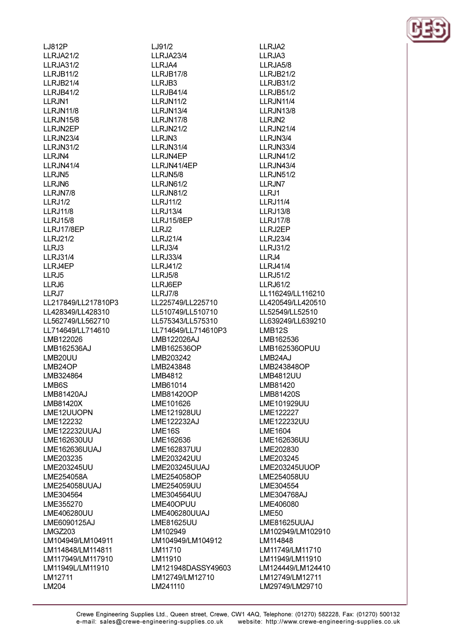**LJ812P LLRJA21/2 IIR.IA31/2 LLRJB11/2 LLRJB21/4 LLRJB41/2 IIR.IN1** LLRJN11/8 **LLRJN15/8** LLRJN2EP LLRJN23/4 **LLRJN31/2** LLRJN4 **IIR.IN41/4** LLRJN<sub>5</sub> LLRJN6 LLRJN7/8  $LLRJ1/2$ **LLRJ11/8 LLRJ15/8** LLRJ17/8EP LLRJ21/2 LLRJ3 **IIR.131/4** LLRJ4EP LLRJ5 LLRJ6 LLRJ7 LL217849/LL217810P3 LL428349/LL428310 LL562749/LL562710 LL714649/LL714610 LMB122026 LMB162536AJ LMB20UU LMB24OP LMB324864 LMB6S LMB81420AJ LMB81420X LME12UUOPN LME122232 LME122232UUAJ LME162630UU LME162636UUAJ LME203235 LME203245UU LME254058A LME254058UUAJ LME304564 LME355270 LME406280UU LME6090125AJ LMGZ203 LM104949/LM104911 LM114848/LM114811 LM117949/LM117910 LM11949L/LM11910 LM12711 LM204

LJ91/2 **LLRJA23/4**  $II$  R.IA4 LLRJB17/8 LLRJB3 LLRJB41/4 **IIR.IN11/2** LLRJN13/4 **LLRJN17/8 LLRJN21/2** LLRJN3 LLRJN31/4 **IIR.IN4FP IIR.IN41/4FP** LLRJN5/8 **LLRJN61/2** LLRJN81/2 **LLRJ11/2 LLRJ13/4** LLRJ15/8EP  $LLRJ2$ **LLRJ21/4** LLRJ3/4 **LLRJ33/4 LLRJ41/2 LLRJ5/8** LLRJ6EP LLRJ7/8 LL225749/LL225710 LL510749/LL510710 LL575343/LL575310 LL714649/LL714610P3 LMB122026AJ LMB162536OP LMB203242 LMB243848 LMB4812 LMB61014 LMB81420OP LME101626 LME121928UU LME122232AJ LME16S LME162636 LME162837UU LME203242UU LME203245UUAJ LME254058OP LME254059UU LME304564UU LME40OPUU LME406280UUAJ LME81625UU LM102949 LM104949/LM104912 LM11710 LM11910 LM121948DASSY49603 LM12749/LM12710 LM241110

LLRJA2 LLRJA3 **IIR.IA5/8 IIRJB21/2 LLRJB31/2 LLRJB51/2 IIR.IN11/4** LLRJN13/8 LLRJN<sub>2</sub> **LLRJN21/4** LLRJN3/4 LLRJN33/4 **LLRJN41/2** 11 R.IN43/4 LLRJN51/2 LLRJN7 LLRJ1 **IIR.111/4 LLRJ13/8 LLRJ17/8** LLRJ2EP **LLRJ23/4 LLRJ31/2**  $IIR.I4$ **LLRJ41/4 LLRJ51/2 LLRJ61/2** LL116249/LL116210 LL420549/LL420510 LL52549/LL52510 LL639249/LL639210 LMB12S LMB162536 LMB162536OPUU LMB<sub>24</sub>AJ LMB243848OP **LMB4812UU** LMB81420 LMB81420S LME101929UU LME122227 LME122232UU **LME1604** LME162636UU LME202830 LME203245 LME203245UUOP LME254058UU LME304554 LME304768AJ LME406080 **LME50** LME81625UUAJ LM102949/LM102910 LM114848 LM11749/LM11710 LM11949/LM11910 LM124449/LM124410 LM12749/LM12711 LM29749/LM29710

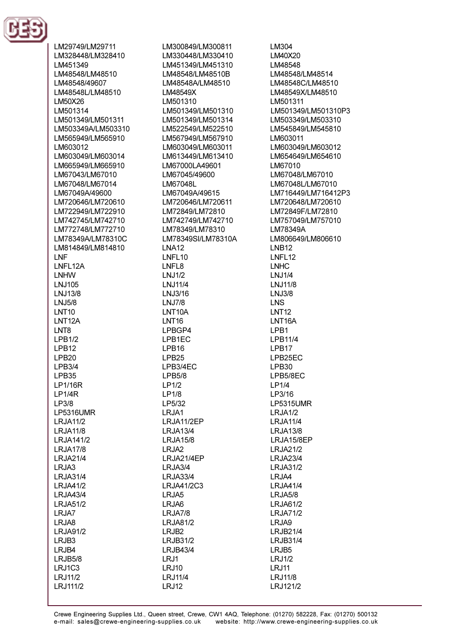

LM29749/LM29711 LM328448/LM328410 IM451349 LM48548/LM48510 LM48548/49607 LM48548L/LM48510 **IM50X26** LM501314 LM501349/LM501311 LM503349A/LM503310 LM565949/LM565910 LM603012 LM603049/LM603014 LM665949/LM665910 LM67043/LM67010 LM67048/LM67014 LM67049A/49600 LM720646/LM720610 LM722949/LM722910 LM742745/LM742710 LM772748/LM772710 LM78349A/LM78310C LM814849/LM814810 **INF I NFI 12A LNHW LNJ105** LNJ13/8 **LNJ5/8 LNT10** LNT<sub>12</sub>A LNT8  $LPB1/2$ LPB<sub>12</sub> LPB<sub>20</sub>  $LPB3/4$ LPB35 LP1/16R  $LP1/4R$ LP3/8 **LP5316UMR LRJA11/2 LRJA11/8 LRJA141/2 LRJA17/8 LRJA21/4** LRJA3 **LRJA31/4 LRJA41/2**  $LRJAA3/4$ **LRJA51/2** LRJA7 LRJA8 **LRJA91/2** LRJB3 LRJB4  $LRJB5/8$ LRJ1C3 **LRJ11/2** 

LRJ111/2

LM300849/LM300811 LM330448/LM330410 I M451349/I M451310 LM48548/LM48510B LM48548A/LM48510 LM48549X LM501310 LM501349/LM501310 LM501349/LM501314 LM522549/LM522510 LM567949/LM567910 LM603049/LM603011 LM613449/LM613410 LM67000LA49601 LM67045/49600 LM67048L LM67049A/49615 LM720646/LM720611 LM72849/LM72810 LM742749/LM742710 LM78349/LM78310 LM78349SI/LM78310A **LNA12 I NFI 10** I NFI 8 **LNJ1/2 LNJ11/4** LNJ3/16 **LNJ7/8** LNT10A **LNT16** LPBGP4 LPB1EC LPB<sub>16</sub> LPB<sub>25</sub> LPB3/4EC  $LPB5/8$  $LP1/2$  $LP1/8$ LP5/32 LRJA1 LRJA11/2EP **LRJA13/4 LRJA15/8** LRJA2 LRJA21/4EP LRJA3/4 **LRJA33/4** LRJA41/2C3 LRJA5 LRJA6 LRJA7/8 LRJA81/2 LRJB<sub>2</sub> **LRJB31/2 LRJB43/4**  $LRJ1$ **LRJ10** 

LM304 LM40X20 I M48548 LM48548/LM48514 LM48548C/LM48510 LM48549X/LM48510 I M501311 LM501349/LM501310P3 LM503349/LM503310 LM545849/LM545810 LM603011 LM603049/LM603012 LM654649/LM654610 LM67010 LM67048/LM67010 LM67048L/LM67010 LM716449/LM716412P3 LM720648/LM720610 LM72849F/LM72810 LM757049/LM757010 LM78349A I M806649/LM806610 **INR12 I NFI 12** I NHC **LNJ1/4 LNJ11/8 LNJ3/8 LNS LNT12** LNT<sub>16</sub>A LPB1 LPB11/4 LPB17 LPB25EC LPB30 LPB5/8EC  $LP1/4$ LP3/16 LP5315UMR LRJA1/2 **LRJA11/4 LRJA13/8** LRJA15/8EP **LRJA21/2 LRJA23/4 LRJA31/2** LRJA4 **LRJA41/4**  $LRJA5/8$ **LRJA61/2 LRJA71/2** LRJA9 **LRJB21/4 LRJB31/4** LRJB<sub>5</sub> LRJ1/2 **LRJ11 LRJ11/8** 

LRJ121/2

**LRJ11/4** 

LRJ12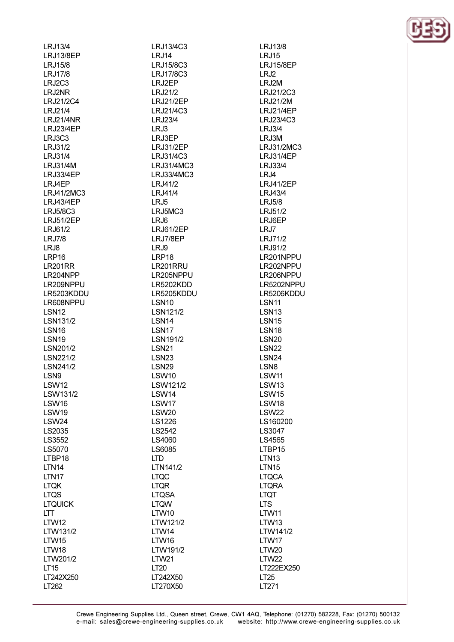| LRJ13/4           |
|-------------------|
|                   |
| LRJ13/8EP         |
| LRJ15/8           |
| <b>LRJ17/8</b>    |
| LRJ2C3            |
|                   |
| LRJ2NR            |
| LRJ21/2C4         |
| LRJ21/4           |
| LRJ21/4NR         |
|                   |
| LRJ23/4EP         |
| LRJ3C3            |
| LRJ31/2           |
| LRJ31/4           |
|                   |
| <b>LRJ31/4M</b>   |
| LRJ33/4EP         |
| LRJ4EP            |
| LRJ41/2MC3        |
|                   |
| LRJ43/4EP         |
| <b>LRJ5/8C3</b>   |
| <b>LRJ51/2EP</b>  |
| LRJ61/2           |
|                   |
| <b>LRJ7/8</b>     |
| LRJ8              |
| LRP16             |
| LR201RR           |
| LR204NPP          |
|                   |
| LR209NPPU         |
| LR5203KDDU        |
| LR608NPPU         |
| LSN <sub>12</sub> |
|                   |
| LSN131/2          |
| LSN <sub>16</sub> |
|                   |
|                   |
| LSN <sub>19</sub> |
| LSN201/2          |
| LSN221/2          |
| LSN241/2          |
| LSN <sub>9</sub>  |
|                   |
| LSW12             |
| LSW131/2          |
| LSW16             |
|                   |
| LSW19             |
| LSW24             |
| LS2035            |
| LS3552            |
|                   |
| LS5070            |
| LTBP18            |
| LTN <sub>14</sub> |
| LTN <sub>17</sub> |
| LTQK              |
|                   |
| LTQS              |
| LTQUICK           |
| LTT               |
| LTW12             |
|                   |
| LTW131/2          |
| LTW15             |
| LTW18             |
| LTW201/2          |
| LT <sub>15</sub>  |

LT262

LRJ13/4C3 **LRJ14** LR.115/8C3 LRJ17/8C3 LRJ2EP LRJ21/2 **LRJ21/2EP** LRJ21/4C3 **LRJ23/4**  $LRJ3$ LRJ3EP **LRJ31/2EP** LRJ31/4C3 I R.I31/4MC3 LRJ33/4MC3 **LRJ41/2 LRJ41/4**  $LRJ5$ LRJ5MC3 LRJ6 LRJ61/2EP LRJ7/8EP LRJ9 LRP18 LR201RRU LR205NPPU LR5202KDD LR5205KDDU **LSN10** LSN121/2 LSN<sub>14</sub> LSN<sub>17</sub> LSN191/2 **LSN21 LSN23 LSN29** LSW<sub>10</sub> LSW121/2 LSW14 LSW17 LSW20 LS1226 LS2542 LS4060 LS6085 **LTD** LTN141/2 **LTQC LTQR LTQSA LTQW LTW10** LTW121/2 LTW14 LTW16 LTW191/2 **LTW21 LT20** 

LT242X50

LT270X50

**LRJ13/8 LRJ15** I R.I15/8FP LRJ2 LRJ2M LRJ21/2C3 LRJ21/2M **LRJ21/4EP** LRJ23/4C3 LRJ3/4 LRJ3M LRJ31/2MC3 **LRJ31/4EP** LRJ33/4 LRJ4 LRJ41/2EP LRJ43/4 LRJ5/8 LRJ51/2 LRJ6EP  $LRJ7$ LRJ71/2 LRJ91/2 LR201NPPU LR202NPPU LR206NPPU LR5202NPPU LR5206KDDU LSN11 LSN<sub>13</sub> **LSN15 LSN18 LSN20 LSN22** LSN<sub>24</sub> LSN<sub>8</sub> LSW11 **LSW13 LSW15** LSW18 LSW22 LS160200 LS3047 LS4565 LTBP15 **LTN13 LTN15 LTQCA LTQRA LTQT LTS LTW11** LTW13 LTW141/2 LTW17 **LTW20 LTW22** LT222EX250 LT25 LT271

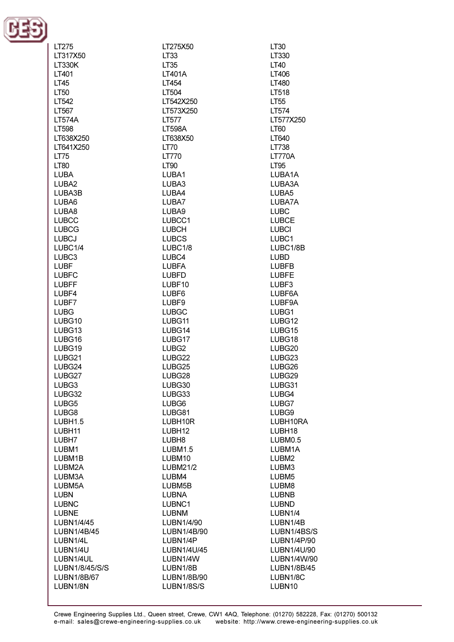

| LT275             | LT275X50          | LT30              |
|-------------------|-------------------|-------------------|
| LT317X50          | LT <sub>33</sub>  | LT330             |
| <b>LT330K</b>     | LT35              | LT40              |
| LT401             | LT401A            | LT406             |
| <b>LT45</b>       | LT454             | LT480             |
|                   |                   |                   |
| LT50              | LT504             | LT518             |
| LT542             | LT542X250         | LT <sub>55</sub>  |
| LT567             | LT573X250         | LT574             |
| <b>LT574A</b>     | <b>LT577</b>      | LT577X250         |
| LT598             | <b>LT598A</b>     | LT60              |
| LT638X250         | LT638X50          | LT640             |
| LT641X250         | LT70              | LT738             |
| <b>LT75</b>       | <b>LT770</b>      | <b>LT770A</b>     |
| <b>LT80</b>       | <b>LT90</b>       | LT95              |
| <b>LUBA</b>       | LUBA1             | LUBA1A            |
| LUBA2             | LUBA3             | LUBA3A            |
| LUBA3B            | LUBA4             | LUBA5             |
| LUBA6             | LUBA7             | LUBA7A            |
|                   |                   |                   |
| LUBA8             | LUBA9             | <b>LUBC</b>       |
| <b>LUBCC</b>      | LUBCC1            | <b>LUBCE</b>      |
| <b>LUBCG</b>      | <b>LUBCH</b>      | <b>LUBCI</b>      |
| <b>LUBCJ</b>      | <b>LUBCS</b>      | LUBC1             |
| LUBC1/4           | LUBC1/8           | LUBC1/8B          |
| LUBC <sub>3</sub> | LUBC4             | <b>LUBD</b>       |
| <b>LUBF</b>       | <b>LUBFA</b>      | <b>LUBFB</b>      |
| <b>LUBFC</b>      | <b>LUBFD</b>      | <b>LUBFE</b>      |
| <b>LUBFF</b>      | LUBF10            | LUBF3             |
| LUBF4             | LUBF6             | LUBF6A            |
| LUBF7             | LUBF9             | LUBF9A            |
| <b>LUBG</b>       | <b>LUBGC</b>      | LUBG1             |
| LUBG10            | LUBG11            | LUBG12            |
| LUBG13            | LUBG14            | LUBG15            |
| LUBG16            | LUBG17            | LUBG18            |
| LUBG19            | LUBG <sub>2</sub> | LUBG20            |
| LUBG21            | LUBG22            | LUBG23            |
| LUBG24            | LUBG25            | LUBG26            |
|                   | LUBG28            |                   |
| LUBG27            |                   | LUBG29            |
| LUBG3             | LUBG30            | LUBG31            |
| LUBG32            | LUBG33            | LUBG4             |
| LUBG5             | LUBG6             | LUBG7             |
| LUBG8             | LUBG81            | LUBG9             |
| LUBH1.5           | LUBH10R           | LUBH10RA          |
| LUBH11            | LUBH12            | LUBH18            |
| LUBH7             | LUBH <sub>8</sub> | LUBM0.5           |
| LUBM1             | <b>LUBM1.5</b>    | LUBM1A            |
| LUBM1B            | LUBM10            | LUBM2             |
| LUBM2A            | LUBM21/2          | LUBM3             |
| LUBM3A            | LUBM4             | LUBM <sub>5</sub> |
| LUBM5A            | LUBM5B            | LUBM8             |
| <b>LUBN</b>       | <b>LUBNA</b>      | <b>LUBNB</b>      |
| <b>LUBNC</b>      | LUBNC1            | <b>LUBND</b>      |
| <b>LUBNE</b>      | <b>LUBNM</b>      | LUBN1/4           |
| LUBN1/4/45        | LUBN1/4/90        | LUBN1/4B          |
| LUBN1/4B/45       | LUBN1/4B/90       |                   |
|                   |                   | LUBN1/4BS/S       |
| LUBN1/4L          | LUBN1/4P          | LUBN1/4P/90       |
| LUBN1/4U          | LUBN1/4U/45       | LUBN1/4U/90       |
| LUBN1/4UL         | LUBN1/4W          | LUBN1/4W/90       |
| LUBN1/8/45/S/S    | LUBN1/8B          | LUBN1/8B/45       |
| LUBN1/8B/67       | LUBN1/8B/90       | LUBN1/8C          |
| LUBN1/8N          | LUBN1/8S/S        | LUBN10            |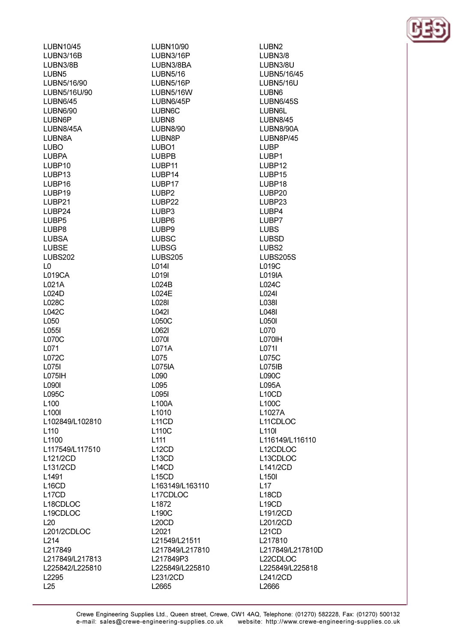| LUBN10/45          | LUBN10/90          |
|--------------------|--------------------|
| LUBN3/16B          | LUBN3/16P          |
| LUBN3/8B           | LUBN3/8BA          |
| LUBN <sub>5</sub>  | <b>LUBN5/16</b>    |
| LUBN5/16/90        | LUBN5/16P          |
| LUBN5/16U/90       | LUBN5/16W          |
| <b>LUBN6/45</b>    | LUBN6/45P          |
| <b>LUBN6/90</b>    | LUBN6C             |
| LUBN6P             | LUBN <sub>8</sub>  |
| LUBN8/45A          | <b>LUBN8/90</b>    |
| LUBN8A             | LUBN8P             |
| <b>LUBO</b>        | LUBO <sub>1</sub>  |
| <b>LUBPA</b>       | <b>LUBPB</b>       |
| LUBP10             | LUBP11             |
| LUBP <sub>13</sub> | LUBP14             |
| LUBP16             | LUBP17             |
| LUBP19             | LUBP <sub>2</sub>  |
| LUBP21             | LUBP22             |
|                    |                    |
| LUBP24             | LUBP3              |
| LUBP <sub>5</sub>  | LUBP <sub>6</sub>  |
| LUBP8              | LUBP <sub>9</sub>  |
| <b>LUBSA</b>       | <b>LUBSC</b>       |
| <b>LUBSE</b>       | <b>LUBSG</b>       |
| <b>LUBS202</b>     | <b>LUBS205</b>     |
| L0                 | L014I              |
| <b>L019CA</b>      | L019I              |
| L021A              | L024B              |
| L024D              | L024E              |
| L028C              | L028I              |
| L042C              | L042I              |
| L050               | L050C              |
| L055I              | L062I              |
| L070C              | L070I              |
| L071               | L071A              |
| L072C              | L075               |
| L075I              | <b>L075IA</b>      |
| L075IH             | L090               |
| L090I              | L095               |
| L095C              | L095I              |
| L100               | L100A              |
| L <sub>100</sub>   | L1010              |
| L102849/L102810    | L <sub>11</sub> CD |
| L <sub>110</sub>   | L110C              |
| L1100              | L111               |
| L117549/L117510    | L <sub>12</sub> CD |
| L121/2CD           | L <sub>13</sub> CD |
| L131/2CD           | L <sub>14</sub> CD |
| L <sub>1491</sub>  | L <sub>15</sub> CD |
| L <sub>16</sub> CD | L163149/L163110    |
| L <sub>17</sub> CD | L17CDLOC           |
| L18CDLOC           | L1872              |
| L19CDLOC           | L190C              |
|                    |                    |
| L20                | L <sub>20</sub> CD |
| L201/2CDLOC        | L <sub>2021</sub>  |
| L214               | L21549/L21511      |
| L217849            | L217849/L217810    |
| L217849/L217813    | L217849P3          |
| L225842/L225810    | L225849/L225810    |
| L2295              | L231/2CD           |
| L25                | L2665              |

LUBN<sub>2</sub> LUBN3/8 LUBN3/8U LUBN5/16/45 **LUBN5/16U** LUBN<sub>6</sub> **LUBN6/45S LUBN6L LUBN8/45** LUBN8/90A LUBN8P/45 **LUBP** LUBP1 LUBP12 LUBP15 LUBP18 LUBP20 LUBP23 LUBP4 LUBP7 **LUBS LUBSD** LUBS2 **LUBS205S** L019C L019IA L024C L024I L038I L048I L050I L070 L070IH L0711 L075C L075IB L090C L095A L<sub>10</sub>CD L100C L1027A L11CDLOC L<sub>110</sub> L116149/L116110 L<sub>12</sub>CDLOC L13CDLOC L141/2CD L<sub>150</sub>  $L17$ L<sub>18</sub>CD L<sub>19</sub>CD L191/2CD L201/2CD L<sub>21</sub>CD L217810 L217849/L217810D L22CDLOC L225849/L225818 L241/2CD L2666

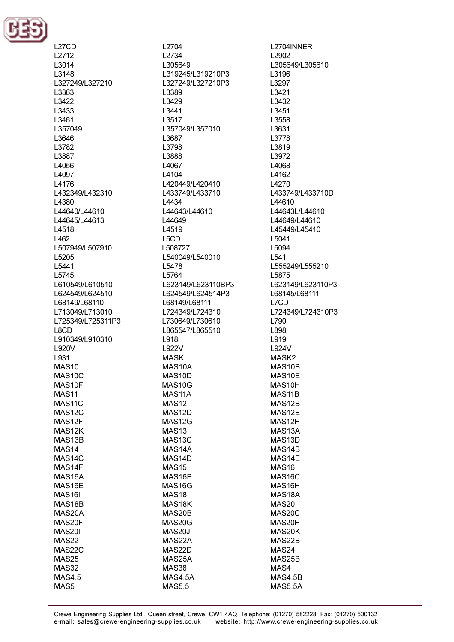

L<sub>27</sub>CD L<sub>2712</sub>  $1,3014$ 13148 L327249/L327210 L3363 1.3422 L3433 L3461 L357049 L3646 L3782 L3887 14056 L4097 L4176 L432349/L432310 L4380 L44640/L44610 L44645/L44613 L4518  $1462$ L507949/L507910 L5205 15441 L5745 L610549/L610510 L624549/L624510 L68149/L68110 L713049/L713010 L725349/L725311P3 L8CD L910349/L910310 L920V L931 **MAS10** MAS<sub>10</sub>C MAS10F **MAS11** MAS11C MAS12C MAS12F MAS12K MAS13B MAS<sub>14</sub> MAS<sub>14</sub>C MAS14F MAS<sub>16</sub>A MAS16E MAS<sub>16</sub> MAS18B MAS20A MAS20F **MAS20I MAS22** MAS22C **MAS25 MAS32 MAS4.5** 

MAS5

L2704 L<sub>2734</sub> 1305649 L319245/L319210P3 L327249/L327210P3 L3389 L3429 L3441 L3517 L357049/L357010 L3687 L3798 L3888 14067 L4104 L420449/L420410 L433749/L433710 L4434 L44643/L44610 L44649 L4519 L<sub>5</sub>C<sub>D</sub> L508727 L540049/L540010 15478 L5764 L623149/L623110BP3 L624549/L624514P3 L68149/L68111 L724349/L724310 L730649/L730610 L865547/L865510 L918 L922V **MASK** MAS10A MAS<sub>10</sub>D MAS10G MAS<sub>11</sub>A **MAS12** MAS12D MAS12G **MAS13** MAS13C MAS<sub>14</sub>A MAS14D MAS<sub>15</sub> MAS<sub>16</sub>B MAS16G MAS<sub>18</sub> MAS18K MAS20B MAS20G MAS20J MAS22A MAS22D MAS25A MAS38

L2704INNER L2902 L305649/L305610 L3196 L3297 L3421 1.3432 L3451 L3558 L3631 L3778 L3819 1.3972 14068 L4162 L4270 L433749/L433710D L44610 L44643L/L44610 L44649/L44610 L45449/L45410 L5041 L5094 1541 L555249/L555210 L5875 L623149/L623110P3 L68145/L68111 L7CD L724349/L724310P3 L790 L898 L919 L924V MASK<sub>2</sub> MAS10B MAS10E MAS10H MAS<sub>11</sub>B MAS12B MAS12E MAS12H MAS<sub>13</sub>A MAS<sub>13</sub>D MAS14B MAS14E MAS16 MAS<sub>16</sub>C MAS16H MAS18A MAS20 MAS20C MAS20H MAS20K MAS22B MAS24 MAS25B MAS4

MAS4.5B

**MAS5.5A** 

**MAS4.5A** 

**MAS5.5**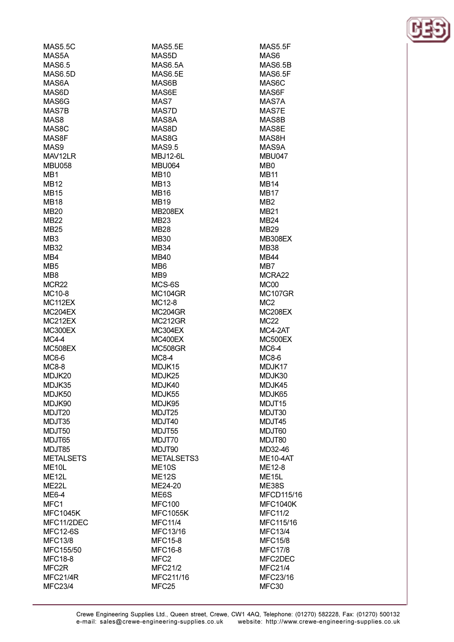| MAS5.5C            | MAS5.5E          |
|--------------------|------------------|
| MAS5A              | MAS5D            |
| <b>MAS6.5</b>      | <b>MAS6.5A</b>   |
| <b>MAS6.5D</b>     | <b>MAS6.5E</b>   |
| MAS6A              | MAS6B            |
| MAS6D              | MAS6E            |
| MAS6G              | MAS7             |
| MAS7B              | MAS7D            |
|                    |                  |
| MAS8               | MAS8A            |
| MAS8C              | MAS8D            |
| MAS8F              | MAS8G            |
| MAS9               | <b>MAS9.5</b>    |
| MAV12LR            | <b>MBJ12-6L</b>  |
| <b>MBU058</b>      | <b>MBU064</b>    |
| MB <sub>1</sub>    | <b>MB10</b>      |
| MB12               | <b>MB13</b>      |
| <b>MB15</b>        | <b>MB16</b>      |
| <b>MB18</b>        | <b>MB19</b>      |
| MB20               | <b>MB208EX</b>   |
| MB22               | MB <sub>23</sub> |
|                    |                  |
| <b>MB25</b>        | <b>MB28</b>      |
| MB3                | <b>MB30</b>      |
| MB32               | MB34             |
| MB4                | <b>MB40</b>      |
| MB5                | MB <sub>6</sub>  |
| MB8                | MB <sub>9</sub>  |
| MCR22              | MCS-6S           |
| MC10-8             | <b>MC104GR</b>   |
| MC112EX            | MC12-8           |
| MC204EX            | MC204GR          |
| MC212EX            | MC212GR          |
| <b>MC300EX</b>     | MC304EX          |
|                    |                  |
| $MC4-4$            | MC400EX          |
| MC508EX            | <b>MC508GR</b>   |
| MC6-6              | <b>MC8-4</b>     |
| <b>MC8-8</b>       | MDJK15           |
| MDJK20             | MDJK25           |
| MDJK35             | MDJK40           |
| MDJK50             | MDJK55           |
| MDJK90             | MDJK95           |
| MDJT20             | MDJT25           |
| MDJT35             | MDJT40           |
| MDJT50             | MDJT55           |
| MDJT65             | MDJT70           |
| MDJT85             | MDJT90           |
| <b>METALSETS</b>   | METALSETS3       |
|                    |                  |
| ME <sub>10</sub> L | <b>ME10S</b>     |
| ME <sub>12L</sub>  | <b>ME12S</b>     |
| ME <sub>22</sub> L | ME24-20          |
| ME6-4              | ME6S             |
| MFC1               | <b>MFC100</b>    |
| <b>MFC1045K</b>    | <b>MFC1055K</b>  |
| MFC11/2DEC         | <b>MFC11/4</b>   |
| <b>MFC12-6S</b>    | MFC13/16         |
| <b>MFC13/8</b>     | <b>MFC15-8</b>   |
| MFC155/50          | <b>MFC16-8</b>   |
| <b>MFC18-8</b>     | MFC <sub>2</sub> |
| MFC2R              | <b>MFC21/2</b>   |
|                    |                  |
| MFC21/4R           | MFC211/16        |
| <b>MFC23/4</b>     | MFC25            |

**MAS5.5F** MAS6 **MAS6.5B** MAS6.5F MAS6C MAS6F MAS7A MAS7E MAS8B MAS8E MAS8H MAS9A **MBU047 MR0 MB11 MB14 MB17**  $MB2$ **MB21 MB24 MB29 MB308EX MB38 MB44**  $MB7$ MCRA22 MC<sub>00</sub> **MC107GR** MC<sub>2</sub> **MC208EX MC22** MC4-2AT MC500EX **MC6-4 MC8-6** MDJK17 MDJK30 MDJK45 MDJK65 MDJT15 MDJT30 MDJT45 MDJT60 MDJT80 MD32-46 **ME10-4AT** ME12-8 ME<sub>15</sub>L **ME38S** MFCD115/16 **MFC1040K MFC11/2** MFC115/16 **MFC13/4 MFC15/8 MFC17/8** MFC2DEC **MFC21/4** MFC23/16 MFC30

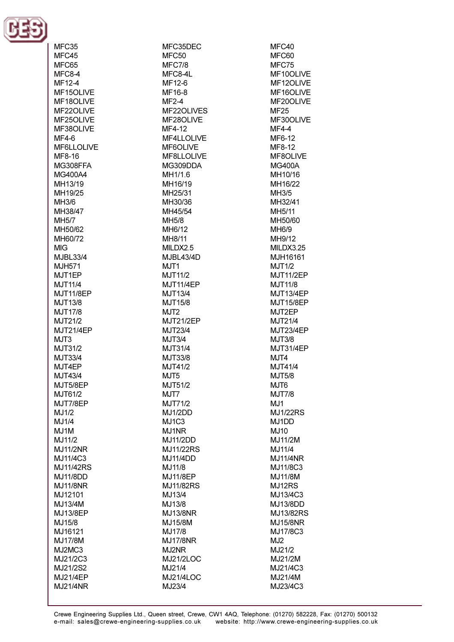

MFC35 MFC45 MFC65  $MFC8-4$ MF12-4 MF15OLIVE ME18OLIVE MF22OLIVE MF25OLIVE MF38OLIVE  $MF4-6$ MF6LLOLIVE **MF8-16** MG308FFA MG400A4 MH13/19 MH19/25  $MH3/6$ MH38/47 **MH5/7** MH50/62 MH60/72 **MIG** M.IRI 33/4 M.IH571 MJT1EP **MJT11/4 MJT11/8EP** MJT13/8 **MJT17/8** MJT21/2 MJT21/4EP  $MJT3$ MJT31/2 MJT33/4 MJT4EP **MJT43/4** MJT5/8EP MJT61/2 MJT7/8EP MJ1/2 MJ1/4 MJ1M MJ11/2 **MJ11/2NR** MJ11/4C3 **MJ11/42RS MJ11/8DD MJ11/8NR** MJ12101 MJ13/4M MJ13/8EP MJ15/8 MJ16121 **MJ17/8M** MJ2MC3 MJ21/2C3 MJ21/2S2 **MJ21/4EP MJ21/4NR** 

MFC35DEC MFC<sub>50</sub>  $MFC.7/8$ MFC8-4L MF12-6 MF16-8  $MF2-4$ MF22OLIVES MF28OLIVE MF4-12 MF4LLOLIVE MF6OLIVE **MF8LLOLIVE**  $MG309DDA$ MH1/1.6 MH16/19 MH25/31 MH30/36 MH45/54 **MH5/8** MH6/12 **MH8/11** MILDX2.5 **MJBL43/4D**  $M<sub>1</sub>TT1$ MJT11/2 MJT11/4EP MJT13/4 MJT15/8 MJT<sub>2</sub> MJT21/2EP MJT23/4  $MJT3/4$ MJT31/4 MJT33/8 MJT41/2 MJT<sub>5</sub> MJT51/2 MJT7 MJT71/2 MJ1/2DD MJ<sub>1C3</sub> MJ1NR **MJ11/2DD MJ11/22RS MJ11/4DD** MJ11/8 **MJ11/8EP** MJ11/82RS MJ13/4 MJ13/8 **MJ13/8NR** MJ15/8M MJ17/8 **MJ17/8NR** MJ2NR **MJ21/2LOC** MJ21/4 MJ21/4LOC MJ23/4

MFC40 MFC60  $MEC.75$ MF10OLIVE MF12OLIVE MF16OLIVE MF20OLIVE **MF25** MF30OLIVE **MF4-4 MF6-12** MF8-12 **MF8OLIVE MG400A** MH10/16 MH16/22 MH3/5 MH32/41 MH5/11 MH50/60 MH<sub>6/9</sub> MH9/12 MILDX3.25 MJH16161  $M.IT1/2$ **MJT11/2EP MJT11/8 MJT13/4EP MJT15/8EP** MJT2EP MJT21/4 MJT23/4EP **MJT3/8** MJT31/4EP MJT4 MJT41/4 **MJT5/8** MJT6 **MJT7/8** MJ1 **MJ1/22RS** MJ1DD MJ10 MJ11/2M MJ11/4 **MJ11/4NR** MJ11/8C3 **MJ11/8M** MJ12RS MJ13/4C3 MJ13/8DD MJ13/82RS MJ15/8NR MJ17/8C3 MJ<sub>2</sub> MJ21/2 MJ21/2M MJ21/4C3 MJ21/4M MJ23/4C3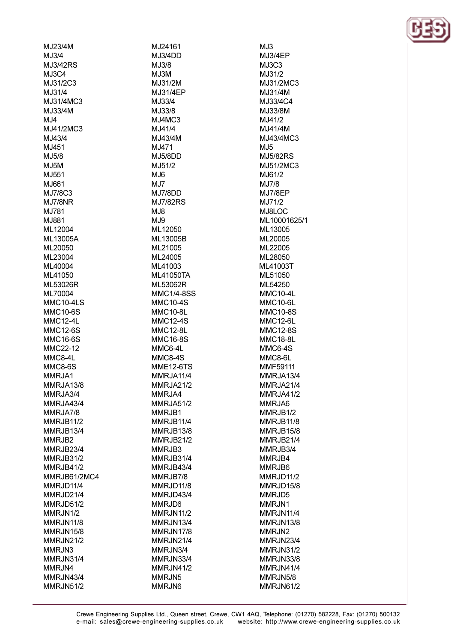MJ23/4M  $MJ3/4$ M.I3/42RS **MJ3C4** MJ31/2C3 MJ31/4 M.I31/4MC3 MJ33/4M  $MJ4$ MJ41/2MC3 MJ43/4 MJ451 M.15/8 **M.I5M** M.1551 MJ661 MJ7/8C3 **MJ7/8NR** MJ781 MJ881 ML12004 ML13005A MI 20050 MI 23004 MI 40004 ML41050 ML53026R ML70004 MMC10-4LS **MMC10-6S MMC12-4L MMC12-6S MMC16-6S** MMC22-12 MMC8-4L MMC8-6S MMRJA1 MMRJA13/8 MMRJA3/4 MMRJA43/4 MMRJA7/8 MMRJB11/2 MMRJB13/4 MMRJB2 MMRJB23/4 **MMRJB31/2** MMRJB41/2 MMRJB61/2MC4 MMRJD11/4 MMRJD21/4 MMRJD51/2 MMRJN1/2 **MMRJN11/8** MMRJN15/8 MMRJN21/2 MMRJN3 MMRJN31/4 MMRJN4 MMRJN43/4 MMRJN51/2

MJ24161 **MJ3/4DD** M.I3/8  $M.I3M$ MJ31/2M MJ31/4EP M.I33/4 MJ33/8  $MJ4MC3$ M.J41/4 MJ43/4M MJ471 **M.I5/8DD** M.151/2  $M.H6$  $MJ7$ MJ7/8DD **M.I7/82RS**  $M.J.8$ MJ9 ML12050 ML13005B ML21005 ML24005 MI 41003 **ML41050TA** ML53062R **MMC1/4-8SS MMC10-4S MMC10-8L MMC12-4S MMC12-8L MMC16-8S** MMC6-4L MMC8-4S **MME12-6TS** MMRJA11/4 MMRJA21/2 MMRJA4 MMRJA51/2 MMRJB1 MMRJB11/4 MMRJB13/8 MMRJB21/2 MMRJB3 MMRJB31/4 MMRJB43/4 MMRJB7/8 MMRJD11/8 MMRJD43/4 MMRJD6 MMRJN11/2 **MMRJN13/4** MMRJN17/8 MMRJN21/4 MMRJN3/4 MMRJN33/4 MMRJN41/2 MMRJN5 MMRJN6

 $MJ3$ **MJ3/4EP** M.I3C3 M.I31/2 MJ31/2MC3 MJ31/4M M.133/4C4 MJ33/8M MJ41/2 MJ41/4M MJ43/4MC3  $M.I5$ **M.I5/82RS** M.151/2MC3 M.I61/2 MJ7/8 MJ7/8EP MJ71/2 MJ8LOC ML10001625/1 ML13005 ML20005 ML22005 ML28050 MI 41003T ML51050 ML54250 **MMC10-4L** MMC10-6L **MMC10-8S MMC12-6L MMC12-8S MMC18-8L** MMC6-4S MMC8-6L MMF59111 MMRJA13/4 MMRJA21/4 MMRJA41/2 MMRJA6 MMRJB1/2 MMRJB11/8 **MMRJB15/8** MMRJB21/4 MMRJB3/4 MMRJB4 MMRJB6 MMRJD11/2 MMRJD15/8 MMRJD5 MMRJN1 MMRJN11/4 **MMRJN13/8** MMRJN2 MMRJN23/4 MMRJN31/2 MMRJN33/8 MMRJN41/4 MMRJN5/8 MMRJN61/2

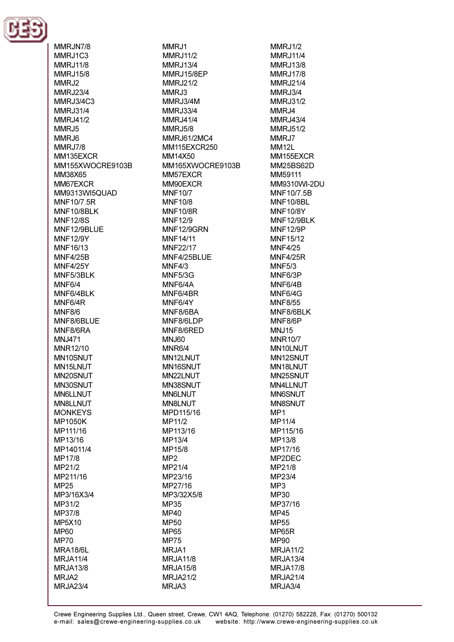

MMRJN7/8 MMRJ1C3 **MMR.111/8 MMRJ15/8** MMRJ2 **MMRJ23/4** MMR.I3/4C3 **MMRJ31/4 MMRJ41/2** MMRJ5 MMR.I6 MMRJ7/8 MM135FXCR MM155XWOCRE9103B MM38X65 MM67EXCR MM9313WI5QUAD MNF10/7.5R MNF10/8BLK **MNF12/8S** MNF12/9BLUE **MNF12/9Y** MNF16/13 **MNF4/25B MNF4/25Y** MNF5/3BLK MNF6/4 MNF6/4BLK MNF6/4R **MNF8/6** MNF8/6BLUE MNF8/6RA **MNJ471** MNR12/10 MN10SNUT MN15LNUT MN20SNUT MN30SNUT **MN6LLNUT** MN8LLNUT **MONKEYS MP1050K** MP111/16 MP13/16 MP14011/4 MP17/8 MP21/2 MP211/16 **MP25** MP3/16X3/4 MP31/2 MP37/8 MP5X10 **MP60 MP70 MRA18/6L MRJA11/4** MRJA13/8 MRJA2 **MRJA23/4** 

MMRJ1 **MMRJ11/2** MMR.113/4 **MMRJ15/8EP** MMRJ21/2 MMRJ3 **MMR.I3/4M MMRJ33/4 MMRJ41/4 MMRJ5/8 MMRJ61/2MC4** MM115EXCR250 MM14X50 MM165XWOCRE9103B MM57EXCR MM90EXCR **MNF10/7 MNF10/8 MNF10/8R MNF12/9** MNF12/9GRN **MNF14/11 MNF22/17** MNF4/25BLUE  $MNF4/3$ MNF5/3G MNF6/4A MNF6/4BR MNF6/4Y MNF8/6BA MNF8/6LDP MNF8/6RED MNJ60 MNR<sub>6</sub>/4 MN12LNUT MN16SNUT MN22LNUT MN38SNUT **MN6LNUT** MN8LNUT MPD115/16 MP11/2 MP113/16 MP13/4 MP15/8  $MP2$ MP21/4 MP23/16 MP27/16 MP3/32X5/8 **MP35 MP40** MP50 **MP65 MP75** MRJA1 **MRJA11/8** MRJA15/8 **MRJA21/2** 

MMRJ1/2 **MMRJ11/4** MMR.113/8 **MMR.I17/8** MMRJ21/4 **MMRJ3/4 MMRJ31/2** MMRJ4 MMRJ43/4 MMRJ51/2 MMRJ7 **MM12L MM155FXCR MM25BS62D** MM59111 MM9310WI-2DU MNF10/7.5B **MNF10/8BL MNF10/8Y** MNF12/9BLK **MNF12/9P MNF15/12 MNF4/25 MNF4/25R MNF5/3** MNF6/3P MNF6/4B MNF6/4G **MNF8/55** MNF8/6BLK MNF8/6P MNJ15 **MNR10/7** MN10LNUT MN12SNUT MN18LNUT MN25SNUT MN4LLNUT **MN6SNUT** MN8SNUT MP1 MP11/4 MP115/16 MP13/8 MP17/16 MP2DEC MP21/8 MP23/4 MP3 MP30 MP37/16 **MP45 MP55** MP65R **MP90 MRJA11/2 MRJA13/4** MRJA17/8 **MRJA21/4** MRJA3/4

MRJA3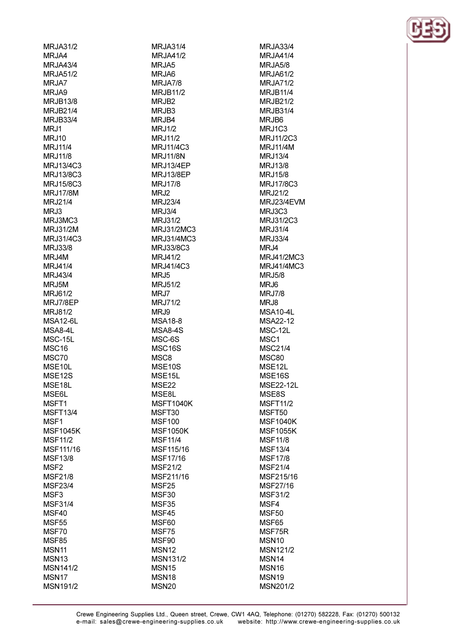**MRJA31/2** MRJA4 MR.IA43/4 **MRJA51/2** MRJA7 MRJA9 **MR.IR13/8 MRJB21/4 MRJB33/4** MRJ1 **MRJ10 MRJ11/4** MRJ11/8 MR.113/4C3 **MRJ13/8C3** MRJ15/8C3 **MRJ17/8M** MRJ21/4 MRJ3 MRJ3MC3 MRJ31/2M MRJ31/4C3 **MRJ33/8** MRJ4M MR.141/4 **MRJ43/4** MRJ5M MRJ61/2 MRJ7/8EP **MRJ81/2 MSA12-6L** MSA8-4L MSC-15L MSC<sub>16</sub> MSC70 MSE10L MSE<sub>12</sub>S MSE18L **MSE6L** MSFT1 **MSFT13/4** MSF1 **MSF1045K MSF11/2** MSF111/16 **MSF13/8** MSF<sub>2</sub> **MSF21/8 MSF23/4** MSF<sub>3</sub> **MSF31/4** MSF40 MSF<sub>55</sub> MSF70 **MSF85 MSN11 MSN13** MSN141/2 MSN<sub>17</sub>

**MSN191/2** 

**MRJA31/4 MRJA41/2** MR.IA5 MRJA6 MRJA7/8 **MRJB11/2** MR.IR<sub>2</sub> MRJB3 MRJB4 MRJ1/2 MRJ11/2 MRJ11/4C3 **MRJ11/8N** MR.113/4FP **MRJ13/8EP** MRJ17/8 MRJ2 MRJ23/4 MRJ3/4 **MRJ31/2** MRJ31/2MC3 MRJ31/4MC3 **MRJ33/8C3** MRJ41/2 MRJ41/4C3 MRJ<sub>5</sub> **MRJ51/2** MRJ7 **MRJ71/2** MRJ9 **MSA18-8 MSA8-4S** MSC-6S MSC16S MSC<sub>8</sub> MSE10S MSE15L **MSE22 MSE8L MSFT1040K** MSFT30 **MSF100 MSF1050K MSF11/4** MSF115/16 MSF17/16 **MSF21/2** MSF211/16 MSF<sub>25</sub> MSF<sub>30</sub> MSF35 MSF45 MSF60 MSF75 MSF90 **MSN12 MSN131/2** MSN<sub>15</sub> MSN<sub>18</sub> **MSN20** 

**MRJA33/4 MRJA41/4 MR.IA5/8** MRJA61/2 **MRJA71/2 MRJB11/4** MR.IR21/2 MRJB31/4 MRJB6 **MRJ1C3** MRJ11/2C3 **MRJ11/4M** MRJ13/4 MR.113/8 **MRJ15/8** MRJ17/8C3 MRJ21/2 **MRJ23/4EVM** MRJ3C3 MRJ31/2C3 MRJ31/4 MRJ33/4 MRJ4 MRJ41/2MC3 MR.141/4MC3 **MRJ5/8** MRJ6 **MRJ7/8** MRJ8 **MSA10-4L MSA22-12** MSC-12L MSC<sub>1</sub> **MSC21/4** MSC80 MSE12L MSE<sub>16</sub>S **MSE22-12L** MSE8S **MSFT11/2** MSFT50 **MSF1040K MSF1055K MSF11/8 MSF13/4 MSF17/8 MSF21/4** MSF215/16 MSF27/16 **MSF31/2** MSF4 MSF50 MSF65 MSF75R MSN<sub>10</sub> **MSN121/2** MSN<sub>14</sub> MSN<sub>16</sub> MSN<sub>19</sub> MSN201/2

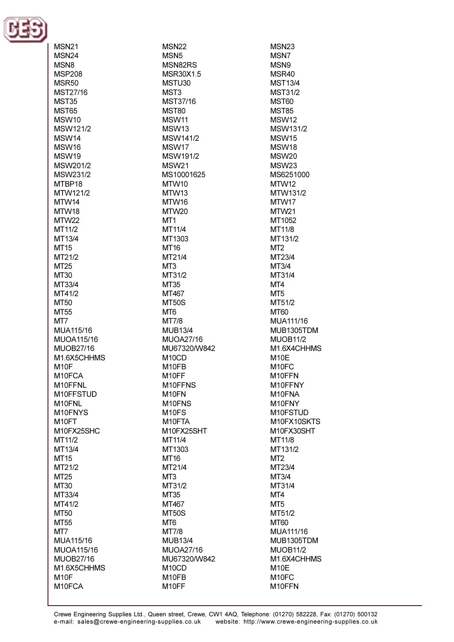

| MSN21                           |
|---------------------------------|
| MSN24                           |
| MSN8                            |
| <b>MSP208</b>                   |
| MSR50                           |
| MST27/16                        |
| <b>MST35</b>                    |
| <b>MST65</b><br>MSW10           |
| MSW121/2                        |
| MSW14                           |
| MSW16                           |
| MSW19                           |
| MSW201/2                        |
| MSW231/2                        |
| MTBP18                          |
| MTW121/2                        |
| MTW14                           |
| MTW18                           |
| MTW22                           |
| MT11/2                          |
| MT13/4                          |
| MT15                            |
| MT21/2                          |
| MT25                            |
| MT30                            |
| MT33/4<br>MT41/2                |
| MT50                            |
| MT55                            |
|                                 |
|                                 |
| MT7                             |
| MUA115/16                       |
| MUOA115/16                      |
| <b>MUOB27/16</b><br>M1.6X5CHHMS |
| M <sub>10F</sub>                |
| M10FCA                          |
| M10FFNL                         |
| M10FFSTUD                       |
| M10FNL                          |
| M10FNYS                         |
| M10FT                           |
| M10FX25SHC                      |
| MT11/2                          |
| MT13/4                          |
| MT15                            |
| MT21/2                          |
| MT25                            |
| MT30                            |
| MT33/4                          |
| MT41/2                          |
| MT50                            |
| MT55                            |
| MT7                             |
| MUA115/16<br>MUOA115/16         |
| <b>MUOB27/16</b>                |
| M1.6X5CHHMS                     |
| M <sub>10F</sub>                |
| M10FCA                          |

**MSN22** MSN<sub>5</sub> MSN82RS MSR30X1.5 MSTU30 MST<sub>3</sub> MST37/16 MST80 MSW11 MSW<sub>13</sub> **MSW141/2** MSW17 MSW191/2 **MSW21** MS10001625 MTW10 MTW13 MTW16 MTW20 MT<sub>1</sub> MT11/4 MT1303 **MT16** MT21/4  $MT3$ MT31/2 **MT35** MT467 **MT50S** MT<sub>6</sub> **MT7/8 MUB13/4 MUOA27/16** MU67320/W842 M<sub>10</sub>CD M10FB M<sub>10FF</sub> M10FFNS M<sub>10</sub>FN M10FNS M<sub>10FS</sub> M10FTA M10FX25SHT MT11/4 MT1303 MT16 MT21/4 MT<sub>3</sub> MT31/2 MT35 MT467 **MT50S** M<sub>T6</sub> **MT7/8 MUB13/4 MUOA27/16** MU67320/W842 M<sub>10</sub>CD M<sub>10FB</sub> M10FF

**MSN23** MSN7 MSN9 MSR40 **MST13/4 MST31/2 MST60 MST85** MSW<sub>12</sub> **MSW131/2 MSW15** MSW18 MSW<sub>20</sub> **MSW23** MS6251000 MTW12 MTW131/2 MTW17 MTW21 MT1052 MT11/8 MT131/2 MT<sub>2</sub> MT23/4  $MT3/4$ MT31/4 MT4 MT<sub>5</sub> MT51/2 MT60 MUA111/16 MUB1305TDM **MUOB11/2** M1.6X4CHHMS M<sub>10</sub>E M<sub>10FC</sub> M10FFN M10FFNY M10FNA M10FNY M10FSTUD M10FX10SKTS M10FX30SHT MT11/8 MT131/2 MT<sub>2</sub> MT23/4 MT3/4 MT31/4 MT4 MT<sub>5</sub> MT51/2 **MT60** MUA111/16 MUB1305TDM **MUOB11/2** M1.6X4CHHMS M<sub>10</sub>E M<sub>10FC</sub> M10FFN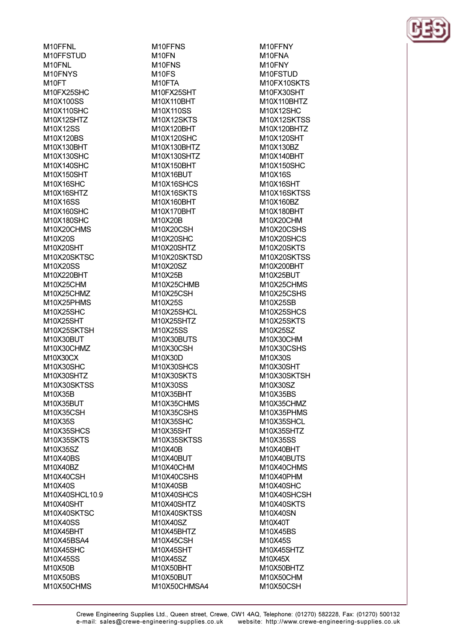M10FFNL M10FFSTUD M<sub>10</sub>FNI M10FNYS M<sub>10FT</sub> M10FX25SHC M10X100SS M10X110SHC M10X12SHTZ M10X12SS M10X120BS M10X130BHT M10X130SHC M10X140SHC M10X150SHT M10X16SHC M10X16SHTZ M10X16SS M10X160SHC M10X180SHC M10X20CHMS M10X20S M10X20SHT M10X20SKTSC M10X20SS M10X220BHT M10X25CHM M10X25CHMZ M10X25PHMS M10X25SHC M10X25SHT M10X25SKTSH M10X30BUT M10X30CHMZ M10X30CX M10X30SHC M10X30SHTZ M10X30SKTSS M10X35B M10X35BUT M10X35CSH M10X35S M10X35SHCS M10X35SKTS M10X35SZ M10X40BS M10X40BZ M10X40CSH M10X40S M10X40SHCL10.9 M10X40SHT M10X40SKTSC M10X40SS M10X45BHT M10X45BSA4 M10X45SHC M10X45SS M10X50B M10X50BS M10X50CHMS

M10FFNS M<sub>10</sub>FN M<sub>10</sub>FN<sub>S</sub> M<sub>10</sub>FS M10FTA M10FX25SHT M10X110BHT M10X110SS M10X12SKTS M10X120BHT M10X120SHC M10X130BHTZ M10X130SHTZ M10X150RHT M10X16BUT M10X16SHCS M10X16SKTS M10X160BHT M10X170BHT M10X20B M10X20CSH M10X20SHC M10X20SHTZ M10X20SKTSD M10X20SZ M10X25B M10X25CHMB M10X25CSH M10X25S M10X25SHCL M10X25SHTZ M10X25SS M10X30BUTS M10X30CSH M10X30D M10X30SHCS M10X30SKTS M10X30SS M10X35BHT M10X35CHMS M10X35CSHS M10X35SHC M10X35SHT M10X35SKTSS M10X40B M10X40BUT M10X40CHM M10X40CSHS M10X40SB M10X40SHCS M10X40SHTZ M10X40SKTSS M10X40SZ M10X45BHTZ M10X45CSH M10X45SHT M10X45SZ M10X50BHT M10X50BUT M10X50CHMSA4

M10FFNY M10FNA M<sub>10</sub>FNY M10FSTUD M10FX10SKTS M10FX30SHT M10X110BHTZ M10X12SHC M10X12SKTSS M10X120BHTZ M10X120SHT M10X130BZ M10X140BHT M10X150SHC M10X16S M10X16SHT M10X16SKTSS M10X160BZ M10X180BHT M10X20CHM M10X20CSHS M10X20SHCS M10X20SKTS M10X20SKTSS M10X200RHT M10X25BUT M10X25CHMS M10X25CSHS M10X25SB M10X25SHCS M10X25SKTS M10X25SZ M10X30CHM M10X30CSHS M10X30S M10X30SHT M10X30SKTSH M10X30SZ M10X35BS M10X35CHMZ M10X35PHMS M10X35SHCL M10X35SHTZ M10X35SS M10X40BHT M10X40BUTS M10X40CHMS M10X40PHM M10X40SHC M10X40SHCSH M10X40SKTS M10X40SN M10X40T M10X45BS M10X45S M10X45SHTZ M10X45X M10X50BHTZ M10X50CHM M10X50CSH

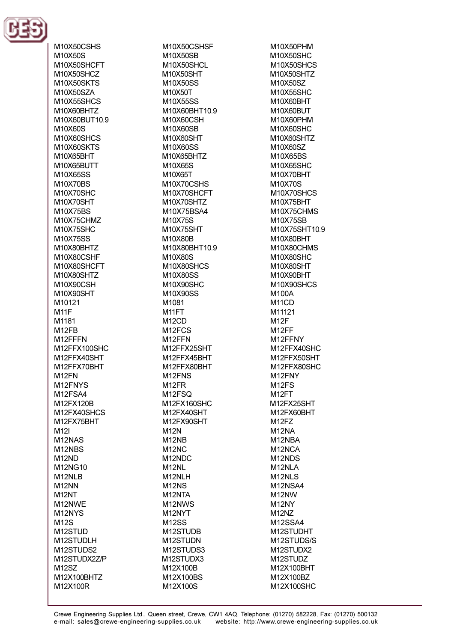

M10X50CSHS M10X50S M10X50SHCFT M10X50SHCZ **M10X50SKTS** M10X50SZA M10X55SHCS M10X60BHTZ M10X60BUT10.9 M10X60S M10X60SHCS M10X60SKTS M10X65RHT M10X65RLITT M10X65SS M10X70BS M10X70SHC M10X70SHT M10X75BS M10X75CHMZ M10X75SHC M10X75SS M10X80BHTZ M10X80CSHE M10X80SHCFT M10X80SHTZ M10X90CSH M10X90SHT M10121 **M11F** M1181 M<sub>12FB</sub> M12FFFN M12FFX100SHC M12FFX40SHT M12FFX70BHT M<sub>12</sub>FN M12FNYS M12FSA4 M12FX120B M12FX40SHCS M12FX75BHT M<sub>12</sub> M12NAS M<sub>12NBS</sub> M<sub>12</sub>ND M12NG10 M<sub>12</sub>NLB M12NN M<sub>12N</sub>T M12NWE M12NYS **M12S** M12STUD M12STUDLH M12STUDS2 M12STUDX2Z/P M<sub>12</sub>SZ M12X100BHTZ M12X100R

M10X50CSHSF M10X50SB **M10X50SHCL** M10X50SHT M10X50SS M10X50T M10X55SS M10X60BHT10.9 M10X60CSH M10X60SB M10X60SHT M10X60SS M10X65BHTZ M10X65S M10X65T M10X70CSHS M10X70SHCFT M10X70SHTZ M10X75BSA4 M10X75S M10X75SHT M10X80B M10X80BHT10.9 M10X80S M10X80SHCS M10X80SS M10X90SHC M10X90SS M1081 M<sub>11</sub>FT M<sub>12</sub>CD M<sub>12</sub>FCS M<sub>12</sub>FFN M12FFX25SHT M12FFX45BHT M12FFX80BHT M<sub>12</sub>FNS M<sub>12FR</sub> M<sub>12</sub>FSQ M12FX160SHC M12FX40SHT M12FX90SHT **M12N** M<sub>12NB</sub> M<sub>12</sub>N<sub>C</sub> M<sub>12</sub>NDC M<sub>12NL</sub> M<sub>12</sub>NLH M<sub>12NS</sub> M<sub>12NTA</sub> M12NWS M12NYT **M12SS** M12STUDB M12STUDN M12STUDS3 M12STUDX3 M12X100B M12X100BS M12X100S

M10X50PHM M10X50SHC M10X50SHCS M10X50SHTZ M10X50SZ M10X55SHC M10X60RHT M10X60BUT M10X60PHM M10X60SHC M10X60SHTZ M10X60SZ **M10X65BS** M<sub>10</sub>X65SHC M10X70BHT M10X70S M10X70SHCS M10X75BHT M10X75CHMS M10X75SB M10X75SHT10.9 M10X80BHT M10X80CHMS M10X80SHC M10X80SHT M10X90BHT M10X90SHCS **M100A** M<sub>11</sub>CD M11121 M<sub>12</sub>F M<sub>12FF</sub> M12FFNY M12FFX40SHC M12FFX50SHT M12FFX80SHC M<sub>12</sub>FNY M<sub>12FS</sub> M<sub>12FT</sub> M12FX25SHT M12FX60BHT M<sub>12FZ</sub> M<sub>12NA</sub> M12NBA M12NCA M<sub>12</sub>N<sub>DS</sub> M12NLA M<sub>12</sub>NLS M12NSA4 M<sub>12</sub>NW M<sub>12NY</sub> M<sub>12</sub>N<sub>Z</sub> **M12SSA4** M12STUDHT M12STUDS/S M12STUDX2 M12STUDZ M12X100BHT M12X100BZ M12X100SHC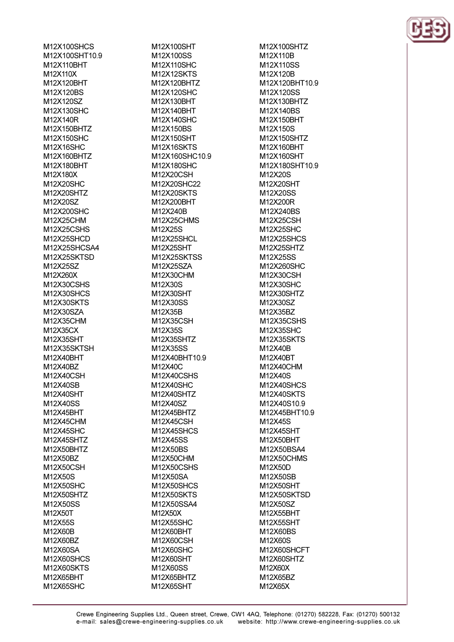M12X100SHCS M12X100SHT10.9 M12X110RHT M12X110X M12X120BHT M12X120BS M12X120SZ M12X130SHC M12X140R M12X150BHTZ M12X150SHC M12X16SHC M12X160BHTZ M12X180RHT M12X180X M12X20SHC M12X20SHTZ M12X20SZ M12X200SHC M12X25CHM M12X25CSHS M12X25SHCD M12X25SHCSA4 M12X25SKTSD M12X25SZ M12X260X M12X30CSHS M12X30SHCS M12X30SKTS M12X30SZA M12X35CHM M12X35CX M12X35SHT M12X35SKTSH M12X40BHT M12X40BZ M12X40CSH M12X40SB M12X40SHT M12X40SS M12X45BHT M12X45CHM M12X45SHC M12X45SHTZ M12X50BHTZ M12X50BZ M12X50CSH M12X50S M12X50SHC M12X50SHTZ M12X50SS M12X50T M12X55S M12X60B M12X60BZ M12X60SA M12X60SHCS M12X60SKTS M12X65BHT M12X65SHC

M12X100SHT M12X100SS M12X110SHC M12X12SKTS M12X120BHTZ M12X120SHC M12X130RHT M12X140BHT M12X140SHC M12X150BS M12X150SHT **M12X16SKTS** M12X160SHC10.9 M12X180SHC M12X20CSH M12X20SHC22 M12X20SKTS M12X200BHT M12X240B M12X25CHMS M12X25S M12X25SHCL M12X25SHT M12X25SKTSS M12X25SZA M12X30CHM M12X30S M12X30SHT M12X30SS M12X35B M12X35CSH M12X35S M12X35SHTZ M12X35SS M12X40BHT10.9 M12X40C M12X40CSHS M12X40SHC M12X40SHTZ M12X40SZ M12X45BHTZ M12X45CSH M12X45SHCS M12X45SS M12X50BS M12X50CHM M12X50CSHS M12X50SA M12X50SHCS M12X50SKTS M12X50SSA4 M12X50X M12X55SHC M12X60BHT M12X60CSH M12X60SHC M12X60SHT M12X60SS M12X65BHTZ M12X65SHT

M12X100SHTZ M12X110B M12X110SS M12X120B M12X120BHT10.9 M12X120SS M12X130BHTZ M12X140BS M12X150BHT M12X150S M12X150SHTZ M12X160BHT M12X160SHT M12X180SHT109 M12X20S M12X20SHT M12X20SS M12X200R M12X240BS M12X25CSH M12X25SHC M12X25SHCS M12X25SHTZ M12X25SS M12X260SHC M12X30CSH M12X30SHC M12X30SHTZ M12X30SZ M12X35BZ M12X35CSHS M12X35SHC M12X35SKTS M12X40B M12X40BT M12X40CHM M12X40S M12X40SHCS M12X40SKTS M12X40S10.9 M12X45BHT10.9 M12X45S M12X45SHT M12X50BHT M12X50BSA4 M12X50CHMS M12X50D M12X50SB M12X50SHT M12X50SKTSD M12X50SZ M12X55BHT M12X55SHT M12X60BS M12X60S M12X60SHCFT M12X60SHTZ M12X60X M12X65BZ M12X65X

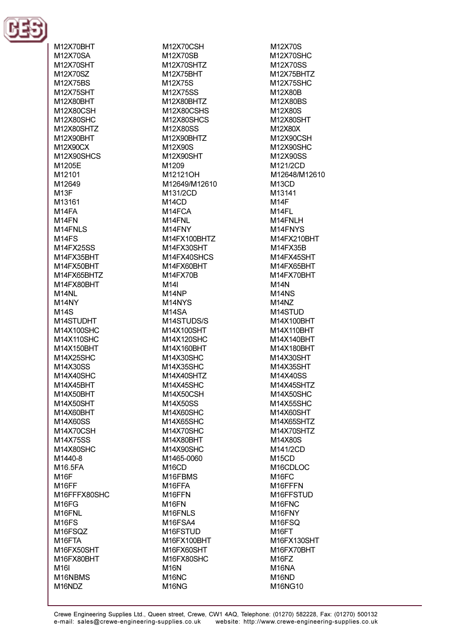

M12X70BHT M12X70SA M12X70SHT M12X70SZ M12X75BS M12X75SHT M12X80RHT M12X80CSH M12X80SHC M12X80SHTZ M12X90BHT M12X90CX M12X90SHCS M1205F M12101 M12649  $M13F$ M13161 M<sub>14FA</sub> M<sub>14</sub>FN M14FNLS  $M14FS$ M14FX25SS M14FX35RHT M14FX50RHT M14FX65BHTZ M14FX80BHT M<sub>14</sub>NL M14NY **M14S** M14STUDHT M14X100SHC M14X110SHC M14X150BHT M14X25SHC M14X30SS M14X40SHC M14X45BHT M14X50BHT M14X50SHT M14X60BHT M14X60SS M14X70CSH **M14X75SS** M14X80SHC M1440-8 M16.5FA M<sub>16</sub>F M16FF M16FFFX80SHC M<sub>16FG</sub> M16FNL M<sub>16FS</sub> M16FSQZ M<sub>16FTA</sub> M16FX50SHT M16FX80BHT **M16I** M16NBMS M16NDZ

M12X70CSH M12X70SB M12X70SHTZ M12X75BHT M12X75S M12X75SS M12X80RHTZ M12X80CSHS M12X80SHCS M12X80SS M12X90BHTZ M12X90S M12X90SHT M1209 M12121OH M12649/M12610 M131/2CD  $M14CD$ M14FCA M14FNL M14FNY M14FX100BHTZ M14FX30SHT M14FX40SHCS M14FX60RHT **M14FX70B** M14I M<sub>14</sub>NP M14NYS M14SA M14STUDS/S M14X100SHT M14X120SHC M14X160BHT M14X30SHC M14X35SHC M14X40SHTZ M14X45SHC M14X50CSH M14X50SS M14X60SHC M14X65SHC **M14X70SHC** M14X80BHT M14X90SHC M1465-0060 M<sub>16</sub>CD M16FBMS M16FFA M16FFN M<sub>16FN</sub> M16FNLS M16FSA4 M16FSTUD M16FX100BHT M16FX60SHT M16FX80SHC **M16N** M<sub>16</sub>N<sub>C</sub> M16NG

M12X70S M12X70SHC M12X70SS M12X75BHTZ M12X75SHC M12X80B M12X80BS M12X80S M12X80SHT M12X80X M12X90CSH M12X90SHC M12X90SS M121/2CD M12648/M12610 M<sub>13</sub>CD M13141 **M14F** M<sub>14FL</sub> M14FNLH M14FNYS M14FX210BHT M14FX35B M14FX45SHT M14FX65RHT M14FX70BHT **M14N** M<sub>14</sub>N<sub>S</sub> M<sub>14</sub>N<sub>Z</sub> M14STUD M14X100BHT M14X110BHT M14X140BHT M14X180BHT M14X30SHT M14X35SHT M14X40SS M14X45SHTZ M14X50SHC M14X55SHC M14X60SHT M14X65SHTZ M14X70SHTZ M14X80S M141/2CD  $M15CD$ M16CDLOC M<sub>16FC</sub> M16FFFN M16FFSTUD M16FNC M16FNY M<sub>16</sub>FSQ M<sub>16FT</sub> M16FX130SHT M16FX70BHT M<sub>16FZ</sub> M<sub>16NA</sub> M<sub>16</sub>ND M16NG10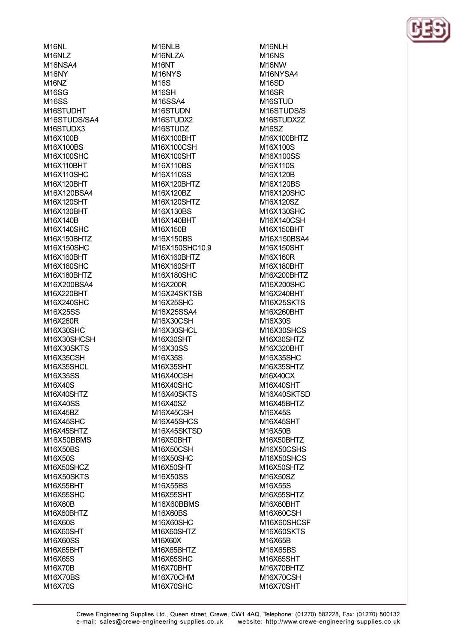M<sub>16NL</sub> M<sub>16NLZ</sub> M16NSA4 M<sub>16NY</sub> M<sub>16</sub>N<sub>Z</sub> M<sub>16</sub>SG **M16SS** M16STUDHT M16STUDS/SA4 M16STUDX3 M16X100B M16X100BS M16X100SHC M16X110RHT M16X110SHC M16X120BHT M16X120BSA4 M16X120SHT M16X130BHT M16X140B M16X140SHC M16X150BHTZ M16X150SHC M16X160BHT M16X160SHC M16X180BHTZ M16X200BSA4 M16X220BHT M16X240SHC M16X25SS M16X260R M16X30SHC M16X30SHCSH M16X30SKTS M16X35CSH M16X35SHCL M16X35SS M16X40S M16X40SHTZ M16X40SS M16X45BZ M16X45SHC M16X45SHTZ M16X50BBMS M16X50BS M16X50S M16X50SHCZ M16X50SKTS M16X55BHT M16X55SHC M16X60B M16X60BHTZ M16X60S M16X60SHT M16X60SS M16X65BHT M16X65S M16X70B M16X70BS M16X70S

M16NLB M<sub>16NLZA</sub> M<sub>16</sub>NT M<sub>16</sub>NY<sub>S</sub> M<sub>16</sub>S M<sub>16</sub>SH **M16SSA4** M16STUDN M16STUDX2 M16STUDZ M16X100BHT M16X100CSH M16X100SHT M16X110BS M16X110SS M16X120BHTZ M16X120BZ M16X120SHTZ M16X130BS M16X140BHT M16X150B M16X150BS M16X150SHC10.9 M16X160BHTZ M16X160SHT M16X180SHC M16X200R M16X24SKTSB M16X25SHC M16X25SSA4 M16X30CSH M16X30SHCL M16X30SHT M16X30SS M16X35S M16X35SHT M16X40CSH M16X40SHC M16X40SKTS M16X40SZ M16X45CSH M16X45SHCS M16X45SKTSD M16X50BHT M16X50CSH M16X50SHC M16X50SHT M16X50SS M16X55BS M16X55SHT M16X60BBMS M16X60BS M16X60SHC M16X60SHTZ M16X60X M16X65BHTZ M16X65SHC M16X70BHT M16X70CHM M16X70SHC

M16NLH **M16NS** M<sub>16</sub>NW M16NYSA4 M<sub>16</sub>SD M<sub>16</sub>SR M<sub>16</sub>STUD M16STUDS/S M16STUDX2Z M16SZ M16X100BHTZ M16X100S M16X100SS M16X110S M16X120B M16X120BS M16X120SHC M16X120SZ M16X130SHC M16X140CSH M16X150BHT M16X150BSA4 M16X150SHT M16X160R M16X180BHT M16X200BHTZ M16X200SHC M16X240BHT M16X25SKTS M16X260BHT M16X30S M16X30SHCS M16X30SHTZ M16X320BHT M16X35SHC M16X35SHTZ M16X40CX M16X40SHT M16X40SKTSD M16X45BHTZ M16X45S M16X45SHT M16X50B M16X50BHTZ M16X50CSHS M16X50SHCS M16X50SHTZ M16X50SZ M16X55S M16X55SHTZ M16X60BHT M16X60CSH M16X60SHCSF M16X60SKTS M16X65B M16X65BS M16X65SHT M16X70BHTZ M16X70CSH M16X70SHT

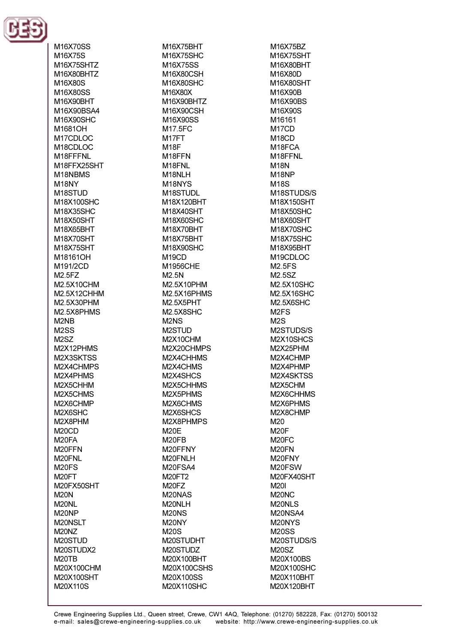

M16X70SS M16X75S **M16X75SHT7** M16X80BHTZ M16X80S M16X80SS M16X90RHT M16X90BSA4 M16X90SHC M1681OH M17CDLOC M18CDLOC M18FFFNI M18FFX25SHT M18NBMS M<sub>18NY</sub> M18STUD M18X100SHC M18X35SHC M18X50SHT M18X65BHT M18X70SHT M18X75SHT M18161OH M191/2CD M2.5FZ M2.5X10CHM M2.5X12CHHM M2.5X30PHM M2.5X8PHMS M<sub>2</sub>N<sub>B</sub> M<sub>2</sub>SS M<sub>2</sub>S<sub>Z</sub> M2X12PHMS M2X3SKTSS M2X4CHMPS M2X4PHMS M2X5CHHM M2X5CHMS M2X6CHMP M2X6SHC M2X8PHM M<sub>20</sub>CD M<sub>20FA</sub> M20FFN M20FNL M<sub>20FS</sub> M<sub>20FT</sub> M20FX50SHT **M20N** M<sub>20NL</sub> M<sub>20</sub>NP M20NSLT M<sub>20</sub>N<sub>Z</sub> M20STUD M20STUDX2 M<sub>20</sub>TB M20X100CHM M20X100SHT M20X110S

M16X75BHT M16X75SHC M16X75SS M16X80CSH M16X80SHC M16X80X M16X90RHTZ M16X90CSH M16X90SS M17.5FC M<sub>17FT</sub> M<sub>18</sub>F M18FFN M<sub>18</sub>FNI M18NLH M<sub>18</sub>NY<sub>S</sub> M18STUDL M18X120BHT M18X40SHT M18X60SHC M18X70BHT M18X75BHT M18X90SHC **M19CD** M1956CHF  $M2.5N$ M2.5X10PHM M2.5X16PHMS M2.5X5PHT M2.5X8SHC M<sub>2</sub>N<sub>S</sub> M2STUD M2X10CHM M2X20CHMPS M2X4CHHMS M2X4CHMS M2X4SHCS M2X5CHHMS M2X5PHMS M2X6CHMS M2X6SHCS M2X8PHMPS **M20E** M<sub>20FB</sub> M20FFNY M20FNLH M20FSA4 **M20FT2** M<sub>20FZ</sub> M<sub>20</sub>NAS M20NLH **M20NS** M20NY **M20S** M20STUDHT M20STUDZ M20X100BHT M20X100CSHS M20X100SS M20X110SHC

M16X75BZ M16X75SHT M16X80RHT M16X80D M16X80SHT M16X90B M16X90BS M16X90S M16161 M<sub>17</sub>CD M<sub>18</sub>CD M18FCA M18FFNL **M18N** M<sub>18</sub>NP **M18S** M18STUDS/S M18X150SHT M18X50SHC M18X60SHT M18X70SHC M18X75SHC M18X95BHT M19CDLOC **M2 5FS** M2.5SZ M2.5X10SHC M2.5X16SHC M2.5X6SHC M<sub>2FS</sub>  $M2S$ M2STUDS/S M2X10SHCS M2X25PHM M2X4CHMP M2X4PHMP M2X4SKTSS M2X5CHM M2X6CHHMS M2X6PHMS M2X8CHMP M20 **M20F** M<sub>20FC</sub> M<sub>20FN</sub> M20FNY M20FSW M20FX40SHT **M20I** M<sub>20</sub>N<sub>C</sub> M20NLS M20NSA4 M20NYS **M20SS** M20STUDS/S **M20SZ** M20X100BS M20X100SHC M20X110BHT M20X120BHT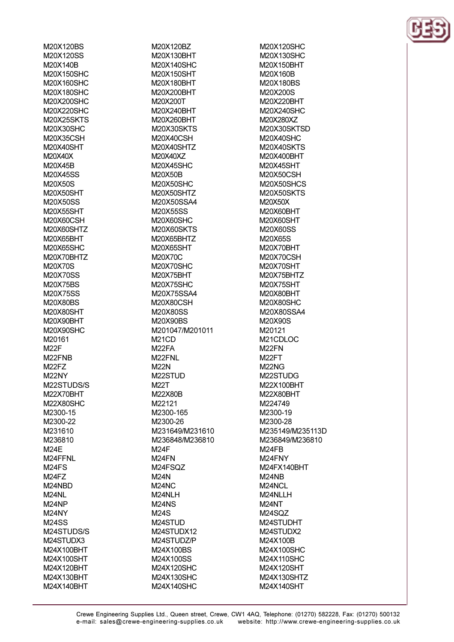M20X120BS M20X120SS M20X140R M20X150SHC M20X160SHC M20X180SHC M20X200SHC M20X220SHC M20X25SKTS M20X30SHC M20X35CSH M20X40SHT M20X40X M20X45R M20X45SS M20X50S M20X50SHT M20X50SS M20X55SHT M20X60CSH M20X60SHTZ M20X65BHT M20X65SHC M20X70BHTZ **M20X70S** M20X70SS M20X75BS M20X75SS M20X80BS M20X80SHT M20X90BHT M20X90SHC M20161 **M22F** M<sub>22</sub>FNB M<sub>22</sub>FZ M22NY M22STUDS/S M22X70BHT M22X80SHC M2300-15 M2300-22 M231610 M236810 M24F M24FFNL M<sub>24</sub>FS M<sub>24</sub>FZ M24NBD M<sub>24NL</sub> M<sub>24</sub>NP M24NY **M24SS** M24STUDS/S M24STUDX3 M24X100BHT M24X100SHT M24X120BHT M24X130BHT M24X140BHT

M20X120BZ M20X130BHT M20X140SHC M20X150SHT M20X180BHT M20X200BHT M20X200T M20X240BHT M20X260BHT **M20X30SKTS** M20X40CSH M20X40SHTZ M20X40XZ M20X45SHC M20X50B M20X50SHC M20X50SHTZ M20X50SSA4 M20X55SS **M20X60SHC** M20X60SKTS M20X65BHTZ M20X65SHT M20X70C M20X70SHC M20X75BHT **M20X75SHC** M20X75SSA4 M20X80CSH M20X80SS M20X90BS M201047/M201011 M<sub>21</sub>CD M<sub>22</sub>FA M22FNL **M22N** M22STUD **M22T** M22X80B M22121 M2300-165 M2300-26 M231649/M231610 M236848/M236810 **M24F** M<sub>24</sub>FN M24FSQZ **M24N** M<sub>24</sub>NC M24NLH **M24NS M24S** M24STUD M24STUDX12 M24STUDZ/P M24X100BS M24X100SS M24X120SHC M24X130SHC M24X140SHC

M20X120SHC M20X130SHC M20X150RHT **M20X160B** M20X180BS M20X200S M20X220RHT M20X240SHC M20X280XZ M20X30SKTSD M20X40SHC M20X40SKTS M20X400BHT M20X45SHT M20X50CSH M20X50SHCS M20X50SKTS M20X50X M20X60BHT M20X60SHT M20X60SS M20X65S M20X70BHT M20X70CSH M20X70SHT M20X75BHTZ M20X75SHT M20X80BHT M20X80SHC M20X80SSA4 M20X90S M20121 M21CDLOC M<sub>22</sub>FN M<sub>22</sub>FT M<sub>22</sub>N<sub>G</sub> M22STUDG M22X100BHT M22X80BHT M224749 M2300-19 M2300-28 M235149/M235113D M236849/M236810 M<sub>24FB</sub> M24FNY M24FX140BHT M24NB M24NCL M24NLLH M<sub>24</sub>NT M24SQZ M24STUDHT M24STUDX2 M24X100B M24X100SHC M24X110SHC M24X120SHT M24X130SHTZ M24X140SHT

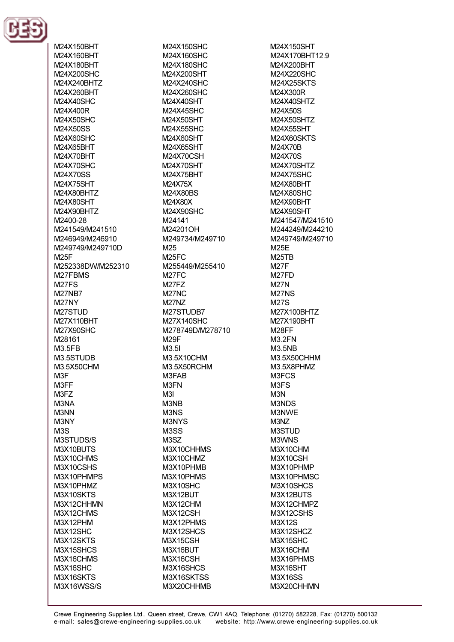

M24X150BHT M24X160BHT M24X180RHT M24X200SHC M24X240BHTZ M24X260BHT M24X40SHC M24X400R M24X50SHC M24X50SS M24X60SHC M24X65BHT M24X70RHT M24X70SHC M24X70SS M24X75SHT M24X80BHTZ M24X80SHT M24X90BHTZ M2400-28 M241549/M241510 M246949/M246910 M249749/M249710D **M25F** M252338DW/M252310 M27FBMS M<sub>27FS</sub> **M27NB7** M27NY M27STUD M27X110BHT M27X90SHC M28161 M3.5FB M3.5STUDB M3.5X50CHM M<sub>3</sub>F M3FF M3FZ M3NA M3NN M3NY  $M3S$ M3STUDS/S M3X10BUTS M3X10CHMS M3X10CSHS M3X10PHMPS M3X10PHMZ M3X10SKTS M3X12CHHMN M3X12CHMS M3X12PHM **M3X12SHC** M3X12SKTS M3X15SHCS M3X16CHMS M3X16SHC M3X16SKTS M3X16WSS/S

M24X150SHC M24X160SHC M24X180SHC M24X200SHT M24X240SHC M24X260SHC M24X40SHT M24X45SHC M24X50SHT M24X55SHC M24X60SHT M24X65SHT M24X70CSH M24X70SHT M24X75BHT M24X75X M24X80BS M24X80X M24X90SHC M24141 M24201OH M249734/M249710 M<sub>25</sub> **M25FC** M255449/M255410 M<sub>27FC</sub> M<sub>27FZ</sub> M<sub>27</sub>NC M<sub>27</sub>N<sub>Z</sub> M27STUDB7 M27X140SHC M278749D/M278710 **M29F**  $M3.5I$ M3.5X10CHM M3.5X50RCHM M3FAB M3FN M3I M3NB M3NS M3NYS M<sub>3</sub>SS M<sub>3</sub>SZ M3X10CHHMS M3X10CHMZ M3X10PHMB M3X10PHMS M3X10SHC M3X12BUT M3X12CHM M3X12CSH M3X12PHMS M3X12SHCS M3X15CSH M3X16BUT **M3X16CSH** M3X16SHCS M3X16SKTSS M3X20CHHMB

M24X150SHT M24X170BHT12.9 M24X200RHT M24X220SHC **M24X25SKTS** M24X300R M24X40SHT7 M24X50S M24X50SHTZ M24X55SHT M24X60SKTS M24X70B M24X70S M24X70SHT7 **M24X75SHC** M24X80BHT M24X80SHC M24X90BHT M24X90SHT M241547/M241510 M244249/M244210 M249749/M249710 **M25F M25TR M27F** M<sub>27FD</sub> **M27N M27NS M27S** M27X100BHTZ M27X190BHT M28FF **M3.2FN M3.5NB** M3.5X50CHHM M3.5X8PHMZ M3FCS M<sub>3F</sub>S M<sub>3</sub>N M3NDS M3NWE M3NZ M3STUD M3WNS M3X10CHM M3X10CSH M3X10PHMP M3X10PHMSC M3X10SHCS M3X12BUTS M3X12CHMPZ M3X12CSHS M3X12S M3X12SHCZ M3X15SHC M3X16CHM M3X16PHMS M3X16SHT M3X16SS M3X20CHHMN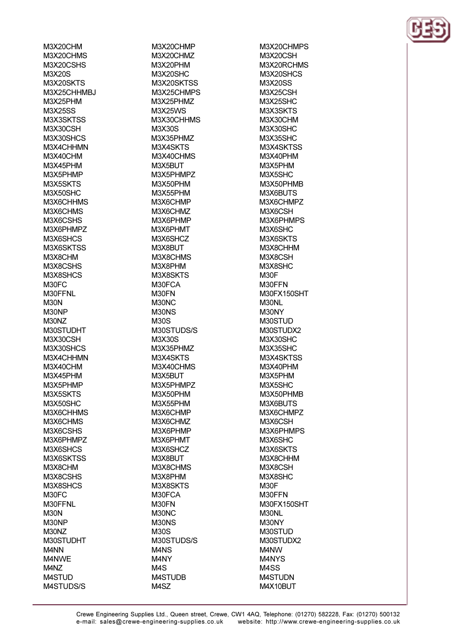M3X20CHM M3X20CHMS M3X20CSHS M3X20S M3X20SKTS M3X25CHHMBJ **M3X25PHM M3X25SS** M3X3SKTSS M3X30CSH M3X30SHCS M3X4CHHMN M3X40CHM M3X45PHM M3X5PHMP M3X5SKTS M3X50SHC M3X6CHHMS M3X6CHMS M3X6CSHS M3X6PHMPZ M3X6SHCS M3X6SKTSS M3X8CHM M3X8CSHS M3X8SHCS M30FC M30FFNL M30N M30NP M30NZ M30STUDHT M3X30CSH M3X30SHCS M3X4CHHMN M3X40CHM M3X45PHM M3X5PHMP M3X5SKTS M3X50SHC M3X6CHHMS M3X6CHMS M3X6CSHS M3X6PHMPZ M3X6SHCS M3X6SKTSS M3X8CHM M3X8CSHS M3X8SHCS M30FC M30FFNL **M30N** M30NP M30NZ M30STUDHT M<sub>4</sub>N<sub>N</sub> M4NWE M4NZ M4STUD M4STUDS/S

M3X20CHMP M3X20CHMZ M3X20PHM M3X20SHC M3X20SKTSS M3X25CHMPS M3X25PHM7 M3X25WS M3X30CHHMS M3X30S M3X35PHMZ M3X4SKTS M3X40CHMS M3X5RLIT M3X5PHMPZ M3X50PHM M3X55PHM M3X6CHMP M3X6CHMZ M3X6PHMP M3X6PHMT M3X6SHCZ M3X8BUT M3X8CHMS M3X8PHM M3X8SKTS M30FCA M30FN M30NC M30NS **M30S** M30STUDS/S **M3X30S** M3X35PHMZ M3X4SKTS M3X40CHMS M3X5BUT M3X5PHMPZ M3X50PHM M3X55PHM M3X6CHMP M3X6CHMZ M3X6PHMP M3X6PHMT M3X6SHCZ M3X8BUT M3X8CHMS M3X8PHM M3X8SKTS M30FCA M30FN M30NC M30NS M30S M30STUDS/S M<sub>4</sub>N<sub>S</sub> M4NY M<sub>4</sub>S **M4STUDB** M4SZ

M3X20CHMPS M3X20CSH M3X20RCHMS M3X20SHCS M3X20SS **M3X25CSH M3X25SHC** M3X3SKTS M3X30CHM M3X30SHC **M3X35SHC** M3X4SKTSS M3X40PHM M3X5PHM M3X5SHC M3X50PHMB M3X6BUTS M3X6CHMPZ M3X6CSH M3X6PHMPS M3X6SHC M3X6SKTS M3X8CHHM M3X8CSH M3X8SHC M30F M30FFN M30FX150SHT M30NL M30NY M30STUD M30STUDX2 M3X30SHC M3X35SHC M3X4SKTSS M3X40PHM M3X5PHM M3X5SHC M3X50PHMB M3X6BUTS M3X6CHMPZ M3X6CSH M3X6PHMPS M3X6SHC M3X6SKTS M3X8CHHM M3X8CSH M3X8SHC M30F M30FFN M30FX150SHT M30NL M30NY M30STUD M30STUDX2 M4NW M4NYS M4SS **M4STUDN** M4X10BUT

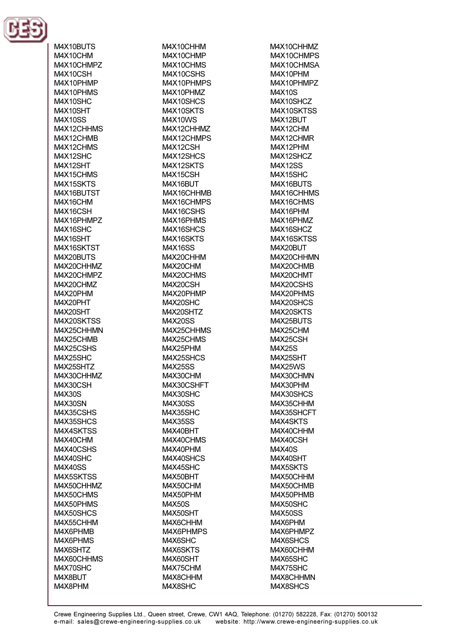

M4X10BUTS M4X10CHM M4X10CHMP7 M4X10CSH M4X10PHMP M4X10PHMS M4X10SHC M4X10SHT **M4X10SS** M4X12CHHMS M4X12CHMB M4X12CHMS M4X12SHC M4X12SHT M4X15CHMS M4X15SKTS M4X16BUTST M4X16CHM M4X16CSH M4X16PHMPZ M4X16SHC M4X16SHT M4X16SKTST M4X20RLITS M4X20CHHM7 M4X20CHMPZ M4X20CHMZ M4X20PHM M4X20PHT M4X20SHT M4X20SKTSS M4X25CHHMN M4X25CHMB M4X25CSHS M4X25SHC M4X25SHTZ M4X30CHHMZ M4X30CSH M4X30S M4X30SN M4X35CSHS M4X35SHCS M4X4SKTSS M4X40CHM M4X40CSHS M4X40SHC **M4X40SS** M4X5SKTSS M4X50CHHMZ M4X50CHMS M4X50PHMS M4X50SHCS M4X55CHHM M4X6PHMB M4X6PHMS M4X6SHTZ M4X60CHHMS M4X70SHC M4X8BUT M4X8PHM

M4X10CHHM M4X10CHMP M4X10CHMS M4X10CSHS M4X10PHMPS M4X10PHMZ M4X10SHCS M4X10SKTS **M4X10WS** M4X12CHHMZ M4X12CHMPS M4X12CSH M4X12SHCS M4X12SKTS M4X15CSH M4X16BUT M4X16CHHMB M4X16CHMPS M4X16CSHS M4X16PHMS M4X16SHCS M4X16SKTS **M4X16SS** M4X20CHHM M4X20CHM M4X20CHMS M4X20CSH M4X20PHMP M4X20SHC M4X20SHTZ **M4X20SS** M4X25CHHMS M4X25CHMS M4X25PHM M4X25SHCS **M4X25SS** M4X30CHM M4X30CSHFT M4X30SHC **M4X30SS** M4X35SHC **M4X35SS** M4X40BHT M4X40CHMS M4X40PHM M4X40SHCS M4X45SHC M4X50BHT M4X50CHM M4X50PHM **M4X50S** M4X50SHT M4X6CHHM M4X6PHMPS M4X6SHC M4X6SKTS M4X60SHT M4X75CHM M4X8CHHM M4X8SHC

M4X10CHHMZ M4X10CHMPS M4X10CHMSA M4X10PHM M4X10PHMPZ M4X10S M4X10SHCZ M4X10SKTSS M4X12BUT M4X12CHM M4X12CHMR M4X12PHM M4X12SHCZ M4X12SS M4X15SHC M4X16BUTS M4X16CHHMS M4X16CHMS M4X16PHM M4X16PHMZ M4X16SHCZ M4X16SKTSS M4X20BUT M4X20CHHMN M4X20CHMR M4X20CHMT M4X20CSHS M4X20PHMS M4X20SHCS M4X20SKTS M4X25BUTS M4X25CHM M4X25CSH M4X25S **M4X25SHT** M4X25WS M4X30CHMN M4X30PHM M4X30SHCS M4X35CHHM M4X35SHCFT M4X4SKTS M4X40CHHM M4X40CSH M4X40S M4X40SHT M4X5SKTS M4X50CHHM M4X50CHMB M4X50PHMB M4X50SHC **M4X50SS** M4X6PHM M4X6PHMPZ M4X6SHCS M4X60CHHM M4X65SHC M4X75SHC M4X8CHHMN M4X8SHCS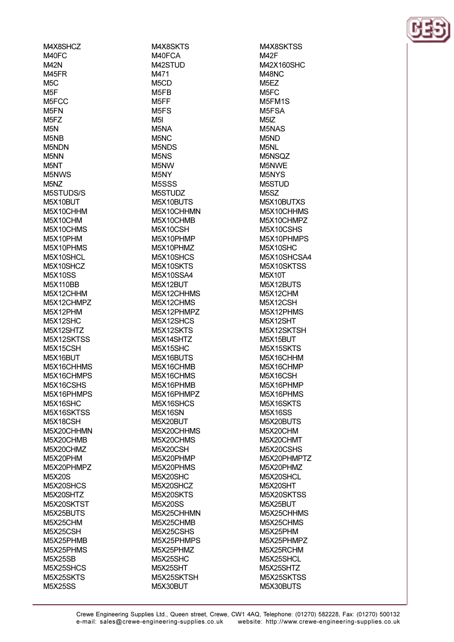M4X8SHCZ M40FC **M42N** M45FR  $M5C$  $M5F$ M5FCC M<sub>5</sub>FN M<sub>5</sub>FZ  $M5N$ M<sub>5</sub>N<sub>R</sub> M5NDN M<sub>5</sub>N<sub>N</sub> M<sub>5</sub>NT M5NWS M<sub>5</sub>N<sub>Z</sub> M5STUDS/S M5X10BUT M5X10CHHM M5X10CHM M5X10CHMS M5X10PHM M5X10PHMS M5X10SHCL **M5X10SHCZ M5X10SS** M5X110BB M5X12CHHM M5X12CHMPZ M5X12PHM M5X12SHC M5X12SHTZ M5X12SKTSS M5X15CSH M5X16BUT M5X16CHHMS M5X16CHMPS M5X16CSHS M5X16PHMPS M5X16SHC M5X16SKTSS M5X18CSH M5X20CHHMN M5X20CHMB M5X20CHMZ M5X20PHM M5X20PHMPZ **M5X20S** M5X20SHCS M5X20SHTZ M5X20SKTST M5X25BUTS M5X25CHM M5X25CSH M5X25PHMB M5X25PHMS **M5X25SB** M5X25SHCS M5X25SKTS **M5X25SS** 

M4X8SKTS M40FCA M42STI ID M471 M<sub>5</sub>C<sub>D</sub> M<sub>5FB</sub> M<sub>5</sub>FF M<sub>5</sub>F<sub>S</sub>  $M5I$ M<sub>5</sub>NA  $M5NC$ M5NDS M<sub>5NS</sub> M<sub>5</sub>N<sub>W</sub> M<sub>5</sub>NY M<sub>5</sub>SSS M5STUDZ M5X10BUTS M5X10CHHMN M5X10CHMB M5X10CSH M5X10PHMP M5X10PHMZ M5X10SHCS M5X10SKTS **M5X10SSA4** M5X12BUT M5X12CHHMS M5X12CHMS M5X12PHMPZ M5X12SHCS M5X12SKTS M5X14SHTZ M5X15SHC M5X16BUTS M5X16CHMB M5X16CHMS M5X16PHMB M5X16PHMPZ M5X16SHCS M5X16SN M5X20BUT M5X20CHHMS M5X20CHMS M5X20CSH M5X20PHMP M5X20PHMS M5X20SHC M5X20SHCZ M5X20SKTS **M5X20SS** M5X25CHHMN M5X25CHMB M5X25CSHS M5X25PHMPS M5X25PHMZ M5X25SHC M5X25SHT M5X25SKTSH M5X30BUT

M4X8SKTSS **M42F** M42X160SHC M48NC M<sub>5</sub>F<sub>Z</sub> M<sub>5</sub>FC M5FM1S M5FSA  $M5IZ$ M<sub>5</sub>N<sub>AS</sub> M<sub>5</sub>N<sub>D</sub> M5NL M5NSOZ **M5NWF** M<sub>5</sub>NY<sub>S</sub> M5STUD M<sub>5</sub>SZ M5X10BLITXS M5X10CHHMS M5X10CHMPZ M5X10CSHS M5X10PHMPS M5X10SHC M5X10SHCSA4 M5X10SKTSS **M5X10T** M5X12BUTS M5X12CHM M5X12CSH M5X12PHMS M5X12SHT M5X12SKTSH M5X15BUT M5X15SKTS M5X16CHHM M5X16CHMP M5X16CSH M5X16PHMP M5X16PHMS M5X16SKTS **M5X16SS** M5X20BUTS M5X20CHM M5X20CHMT M5X20CSHS M5X20PHMPTZ M5X20PHMZ M5X20SHCL M5X20SHT M5X20SKTSS M5X25BUT M5X25CHHMS M5X25CHMS M5X25PHM M5X25PHMPZ M5X25RCHM M5X25SHCL M5X25SHTZ M5X25SKTSS M5X30BUTS

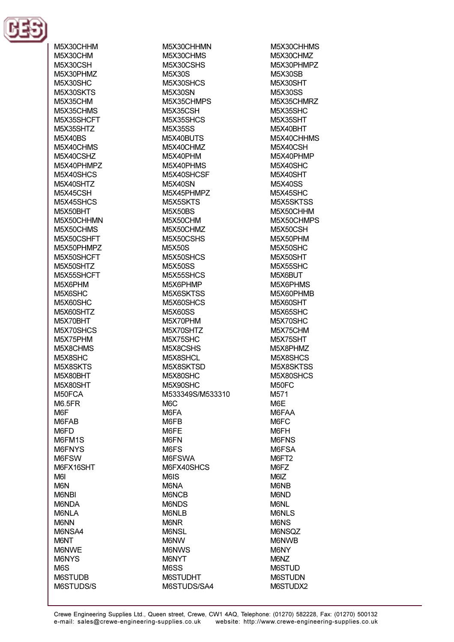

M5X30CHHM M5X30CHM **M5X30CSH** M5X30PHMZ M5X30SHC M5X30SKTS **M5X35CHM** M5X35CHMS M5X35SHCFT M5X35SHTZ **M5X40BS** M5X40CHMS M5X40CSH7 M5X40PHMP7 M5X40SHCS M5X40SHTZ M5X45CSH M5X45SHCS M5X50BHT M5X50CHHMN M5X50CHMS M5X50CSHFT M5X50PHMPZ M5X50SHCFT **M5X50SHTZ** M5X55SHCFT M5X6PHM M5X6SHC M5X60SHC M5X60SHTZ M5X70BHT M5X70SHCS M5X75PHM M5X8CHMS M5X8SHC M5X8SKTS M5X80BHT M5X80SHT M50FCA **M6.5FR** M<sub>6</sub>F M6FAB M6FD M6FM1S M6FNYS M6FSW M6FX16SHT M<sub>6</sub> M6N **M6NBI** M6NDA M6NLA **M6NN** M6NSA4 **M6NT** M6NWE **M6NYS** M<sub>6</sub>S **M6STUDB** M6STUDS/S

M5X30CHHMN M5X30CHMS M5X30CSHS M5X30S M5X30SHCS **M5X30SN** M5X35CHMPS **M5X35CSH** M5X35SHCS **M5X35SS** M5X40BUTS M5X40CHMZ M5X40PHM M5X40PHMS M5X40SHCSF **M5X40SN** M5X45PHMPZ M5X5SKTS **M5X50BS** M5X50CHM M5X50CHMZ M5X50CSHS **M5X50S** M5X50SHCS **M5X50SS** M5X55SHCS M5X6PHMP M5X6SKTSS M5X60SHCS **M5X60SS** M5X70PHM M5X70SHTZ M5X75SHC M5X8CSHS M5X8SHCL M5X8SKTSD M5X80SHC M5X90SHC M533349S/M533310 M<sub>6</sub>C M6FA M6FB M6FE M6FN M6FS M6FSWA M6FX40SHCS M6IS M6NA M6NCB M6NDS M6NLB **M6NR M6NSL** M6NW **M6NWS M6NYT** M6SS **M6STUDHT** M6STUDS/SA4

M5X30CHHMS M5X30CHMZ M5X30PHMP7 **M5X30SB M5X30SHT M5X30SS** M5X35CHMRZ M5X35SHC **M5X35SHT** M5X40BHT M5X40CHHMS M5X40CSH M5X40PHMP M5X40SHC M5X40SHT **M5X40SS** M5X45SHC M5X5SKTSS M5X50CHHM M5X50CHMPS **M5X50CSH** M5X50PHM M5X50SHC **M5X50SHT M5X55SHC** M5X6BUT M5X6PHMS M5X60PHMB M5X60SHT M5X65SHC M5X70SHC M5X75CHM M5X75SHT M5X8PHMZ M5X8SHCS M5X8SKTSS M5X80SHCS M50FC M571 M6E M6FAA M6FC M6FH M6FNS M6FSA M6FT2 M6FZ M6IZ M6NB M6ND M6NL M6NLS **M6NS M6NSOZ** M6NWB M6NY M<sub>6</sub>N<sub>Z</sub> **M6STUD M6STUDN** M6STUDX2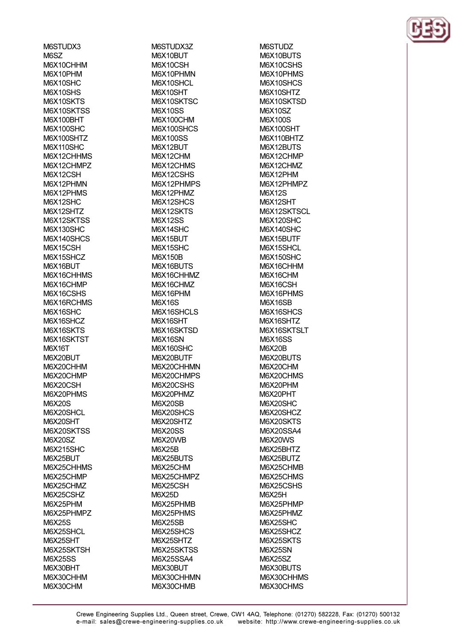M6STUDX3 M6SZ M6X10CHHM M6X10PHM M6X10SHC M6X10SHS M6X10SKTS M6X10SKTSS **M6X100BHT M6X100SHC** M6X100SHTZ **M6X110SHC** M6X12CHHMS M6X12CHMP7 M6X12CSH M6X12PHMN M6X12PHMS M6X12SHC M6X12SHTZ M6X12SKTSS **M6X130SHC** M6X140SHCS M6X15CSH M6X15SHCZ M6X16BLIT M6X16CHHMS M6X16CHMP M6X16CSHS M6X16RCHMS M6X16SHC M6X16SHCZ M6X16SKTS M6X16SKTST M6X16T M6X20BUT M6X20CHHM M6X20CHMP M6X20CSH M6X20PHMS M6X20S M6X20SHCL M6X20SHT M6X20SKTSS **M6X20SZ M6X215SHC** M6X25BUT M6X25CHHMS M6X25CHMP M6X25CHMZ M6X25CSHZ M6X25PHM M6X25PHMPZ M6X25S M6X25SHCL M6X25SHT M6X25SKTSH **M6X25SS** M6X30BHT M6X30CHHM M6X30CHM

M6STUDX3Z M6X10BUT M6X10CSH M6X10PHMN M6X10SHCL M6X10SHT M6X10SKTSC **M6X10SS** M6X100CHM M6X100SHCS **M6X100SS** M6X12BUT M6X12CHM M6X12CHMS M6X12CSHS M6X12PHMPS M6X12PHMZ M6X12SHCS M6X12SKTS **M6X12SS** M6X14SHC M6X15BUT M6X15SHC M6X150B M6X16BLITS M6X16CHHMZ M6X16CHMZ M6X16PHM **M6X16S** M6X16SHCLS M6X16SHT M6X16SKTSD **M6X16SN** M6X160SHC M6X20BUTF M6X20CHHMN M6X20CHMPS M6X20CSHS M6X20PHMZ M6X20SB M6X20SHCS M6X20SHTZ **M6X20SS** M6X20WB **M6X25B** M6X25BUTS M6X25CHM M6X25CHMPZ M6X25CSH **M6X25D** M6X25PHMB M6X25PHMS **M6X25SB** M6X25SHCS M6X25SHTZ M6X25SKTSS **M6X25SSA4** M6X30BUT M6X30CHHMN M6X30CHMB

**M6STUDZ** M6X10BUTS M6X10CSHS M6X10PHMS M6X10SHCS M6X10SHTZ M6X10SKTSD **M6X10SZ** M6X100S **M6X100SHT** M6X110BHTZ M6X12BUTS M6X12CHMP M6X12CHM7 M6X12PHM M6X12PHMPZ **M6X12S** M6X12SHT M6X12SKTSCL **M6X120SHC M6X140SHC** M6X15BUTF M6X15SHCL **M6X150SHC** M6X16CHHM M6X16CHM M6X16CSH M6X16PHMS M6X16SB M6X16SHCS M6X16SHTZ M6X16SKTSLT **M6X16SS M6X20B** M6X20BUTS M6X20CHM M6X20CHMS M6X20PHM M6X20PHT M6X20SHC M6X20SHCZ M6X20SKTS M6X20SSA4 M6X20WS M6X25BHTZ M6X25BUTZ M6X25CHMB M6X25CHMS M6X25CSHS **M6X25H** M6X25PHMP M6X25PHMZ M6X25SHC M6X25SHCZ M6X25SKTS **M6X25SN** M6X25SZ M6X30BUTS M6X30CHHMS M6X30CHMS

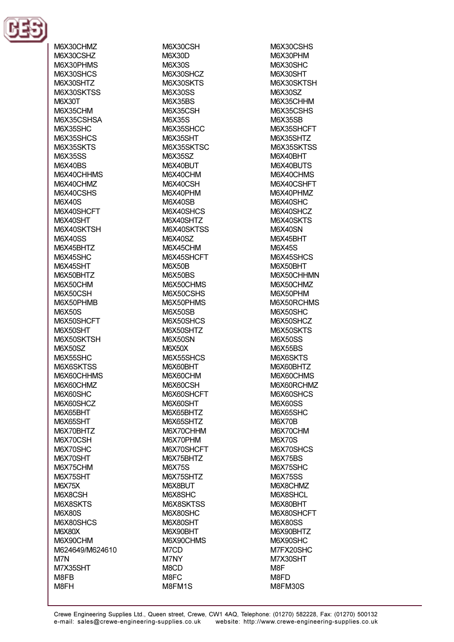

M6X30CHMZ M6X30CSHZ M6X30PHMS M6X30SHCS M6X30SHTZ M6X30SKTSS **M6X30T** M6X35CHM M6X35CSHSA **M6X35SHC** M6X35SHCS M6X35SKTS **M6X35SS** M6X40RS M6X40CHHMS M6X40CHMZ M6X40CSHS M6X40S M6X40SHCFT M6X40SHT M6X40SKTSH **M6X40SS** M6X45BHTZ M6X45SHC M6X45SHT M6X50BHTZ M6X50CHM M6X50CSH M6X50PHMB **M6X50S** M6X50SHCFT M6X50SHT M6X50SKTSH **M6X50SZ** M6X55SHC M6X6SKTSS M6X60CHHMS M6X60CHMZ M6X60SHC M6X60SHCZ M6X65BHT M6X65SHT M6X70BHTZ M6X70CSH M6X70SHC M6X70SHT M6X75CHM M6X75SHT **M6X75X** M6X8CSH M6X8SKTS **M6X80S** M6X80SHCS **M6X80X** M6X90CHM M624649/M624610 M7N M7X35SHT M8FB M8FH

M6X30CSH **M6X30D M6X30S** M6X30SHCZ M6X30SKTS **M6X30SS M6X35BS** M6X35CSH M6X35S M6X35SHCC **M6X35SHT** M6X35SKTSC **M6X35SZ** M6X40RLIT M6X40CHM M6X40CSH M6X40PHM **M6X40SB** M6X40SHCS M6X40SHTZ M6X40SKTSS **M6X40SZ** M6X45CHM M6X45SHCFT **M6X50B** M6X50BS M6X50CHMS M6X50CSHS M6X50PHMS **M6X50SB** M6X50SHCS M6X50SHTZ M6X50SN **M6X50X** M6X55SHCS M6X60BHT M6X60CHM M6X60CSH M6X60SHCFT M6X60SHT M6X65BHTZ M6X65SHTZ M6X70CHHM M6X70PHM M6X70SHCFT M6X75BHTZ **M6X75S** M6X75SHTZ M6X8BUT M6X8SHC M6X8SKTSS M6X80SHC M6X80SHT M6X90BHT M6X90CHMS M7CD M7NY M8CD M8FC M8FM1S

M6X30CSHS M6X30PHM M6X30SHC M6X30SHT M6X30SKTSH **M6X30SZ** M6X35CHHM M6X35CSHS **M6X35SB** M6X35SHCFT M6X35SHTZ M6X35SKTSS M6X40BHT M6X40BLITS M6X40CHMS M6X40CSHFT M6X40PHMZ M6X40SHC M6X40SHCZ M6X40SKTS **M6X40SN** M6X45BHT **M6X45S** M6X45SHCS M6X50RHT M6X50CHHMN M6X50CHMZ M6X50PHM M6X50RCHMS M6X50SHC M6X50SHCZ M6X50SKTS **M6X50SS M6X55BS M6X6SKTS** M6X60BHTZ M6X60CHMS M6X60RCHMZ M6X60SHCS **M6X60SS** M6X65SHC **M6X70B** M6X70CHM **M6X70S** M6X70SHCS **M6X75BS** M6X75SHC **M6X75SS** M6X8CHMZ M6X8SHCL M6X80BHT M6X80SHCFT **M6X80SS** M6X90BHTZ M6X90SHC M7FX20SHC M7X30SHT M<sub>8</sub>F M8FD M8FM30S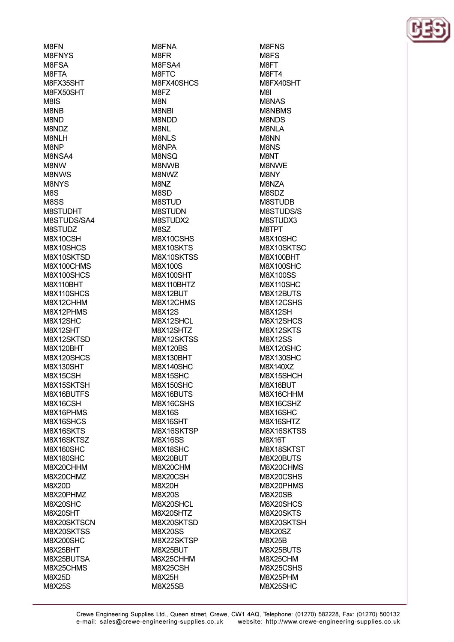**M<sub>REN</sub> M8FNYS M8FSA** M8FTA M8FX35SHT M8FX50SHT **M<sub>8</sub>IS** M8NB M8ND M8NDZ M8NLH M8NP M8NSA4 **M<sub>8</sub>NW M8NWS** M8NYS M8S **M8SS** M8STUDHT M8STUDS/SA4 **M8STUDZ** M8X10CSH M8X10SHCS M8X10SKTSD M8X100CHMS M8X100SHCS **M8X110BHT** M8X110SHCS M8X12CHHM M8X12PHMS M8X12SHC M8X12SHT M8X12SKTSD **M8X120BHT** M8X120SHCS **M8X130SHT** M8X15CSH M8X15SKTSH M8X16BUTFS M8X16CSH M8X16PHMS M8X16SHCS M8X16SKTS M8X16SKTSZ **M8X160SHC M8X180SHC** M8X20CHHM M8X20CHMZ **M8X20D** M8X20PHMZ M8X20SHC M8X20SHT M8X20SKTSCN M8X20SKTSS **M8X200SHC** M8X25BHT M8X25BUTSA M8X25CHMS **M8X25D M8X25S** 

M8FNA M8FR M8FSA4 M8FTC M8FX40SHCS M8FZ **M<sub>8</sub>N** M8NBI **M8NDD** M8NL M<sub>8NI</sub>S M8NPA **M<sub>8</sub>N<sub>SO</sub> M<sub>8</sub>NWR** M8NWZ M8NZ M8SD **M8STUD M8STUDN** M8STUDX2 M8SZ M8X10CSHS M8X10SKTS M8X10SKTSS **M8X100S M8X100SHT** M8X110BHTZ M8X12BUT M8X12CHMS M8X12S M8X12SHCL M8X12SHTZ M8X12SKTSS **M8X120BS M8X130BHT** M8X140SHC M8X15SHC M8X150SHC M8X16BUTS M8X16CSHS **M8X16S** M8X16SHT M8X16SKTSP **M8X16SS** M8X18SHC M8X20BUT M8X20CHM M8X20CSH **M8X20H M8X20S** M8X20SHCL M8X20SHTZ M8X20SKTSD **M8X20SS** M8X22SKTSP M8X25BUT M8X25CHHM M8X25CSH **M8X25H M8X25SB** 

M8FNS M8FS **M<sub>8</sub>FT** M8FT4 M8FX40SHT **M<sub>RI</sub> M8NAS M8NBMS** M8NDS M8NLA M8NN M8NS **M<sub>8</sub>NT M8NWF M<sub>8</sub>NY** M8NZA M8SDZ **M8STUDB** M8STUDS/S M8STUDX3 M8TPT M8X10SHC M8X10SKTSC **M8X100BHT M8X100SHC M8X100SS** M8X110SHC M8X12BUTS M8X12CSHS M8X12SH M8X12SHCS M8X12SKTS **M8X12SS M8X120SHC M8X130SHC** M8X140XZ M8X15SHCH M8X16BUT M8X16CHHM M8X16CSHZ M8X16SHC M8X16SHTZ M8X16SKTSS M8X16T M8X18SKTST M8X20BUTS M8X20CHMS M8X20CSHS M8X20PHMS **M8X20SB** M8X20SHCS M8X20SKTS M8X20SKTSH M8X20SZ **M8X25B** M8X25BUTS M8X25CHM M8X25CSHS M8X25PHM M8X25SHC

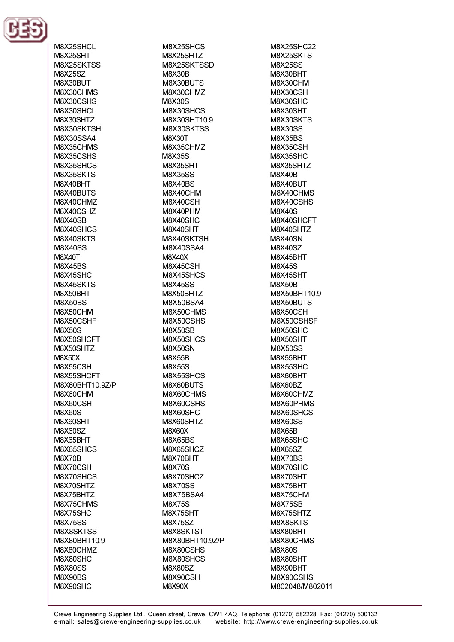

M8X25SHCL **M8X25SHT** M8X25SKTSS **M8X25SZ** M8X30BUT M8X30CHMS M8X30CSHS M8X30SHCL M8X30SHTZ M8X30SKTSH M8X30SSA4 M8X35CHMS **M8X35CSHS M8X35SHCS** M8X35SKTS M8X40BHT M8X40BUTS M8X40CHMZ M8X40CSHZ **M8X40SB** M8X40SHCS M8X40SKTS **M8X40SS** M8X40T **M8X45BS** M8X45SHC M8X45SKTS M8X50BHT M8X50BS M8X50CHM M8X50CSHF **M8X50S** M8X50SHCFT M8X50SHTZ **M8X50X** M8X55CSH M8X55SHCFT M8X60BHT10.9Z/P M8X60CHM M8X60CSH **M8X60S** M8X60SHT **M8X60SZ** M8X65BHT M8X65SHCS **M8X70B** M8X70CSH M8X70SHCS M8X70SHTZ M8X75BHTZ M8X75CHMS M8X75SHC **M8X75SS** M8X8SKTSS M8X80BHT10.9 M8X80CHMZ M8X80SHC **M8X80SS** M8X90BS M8X90SHC

M8X25SHCS M8X25SHTZ M8X25SKTSSD **M8X30B** M8X30BUTS M8X30CHMZ **M8X30S** M8X30SHCS M8X30SHT10.9 M8X30SKTSS **M8X30T** M8X35CHMZ **M8X35S M8X35SHT M8X35SS M8X40BS** M8X40CHM M8X40CSH M8X40PHM M8X40SHC M8X40SHT M8X40SKTSH **M8X40SSA4** M8X40X M8X45CSH M8X45SHCS **M8X45SS** M8X50BHTZ M8X50BSA4 M8X50CHMS M8X50CSHS **M8X50SB** M8X50SHCS **M8X50SN M8X55B M8X55S** M8X55SHCS M8X60BUTS M8X60CHMS M8X60CSHS M8X60SHC M8X60SHTZ **M8X60X M8X65BS** M8X65SHCZ M8X70BHT **M8X70S** M8X70SHCZ **M8X70SS** M8X75BSA4 **M8X75S** M8X75SHT **M8X75SZ** M8X8SKTST M8X80BHT10.9Z/P M8X80CSHS M8X80SHCS **M8X80SZ** M8X90CSH **M8X90X** 

**M8X25SHC22** M8X25SKTS **M8X25SS** M8X30BHT M8X30CHM M8X30CSH M8X30SHC M8X30SHT M8X30SKTS **M8X30SS M8X35BS** M8X35CSH **M8X35SHC M8X35SHTZ M8X40B** M8X40BUT M8X40CHMS M8X40CSHS **M8X40S** M8X40SHCFT M8X40SHTZ **M8X40SN M8X40SZ** M8X45BHT **M8X45S** M8X45SHT **M8X50B** M8X50BHT10.9 M8X50BUTS M8X50CSH M8X50CSHSF M8X50SHC M8X50SHT **M8X50SS** M8X55BHT M8X55SHC M8X60BHT M8X60BZ M8X60CHMZ M8X60PHMS M8X60SHCS **M8X60SS M8X65B** M8X65SHC **M8X65SZ** M8X70BS M8X70SHC M8X70SHT M8X75BHT M8X75CHM **M8X75SB** M8X75SHTZ M8X8SKTS M8X80BHT M8X80CHMS **M8X80S** M8X80SHT M8X90BHT M8X90CSHS M802048/M802011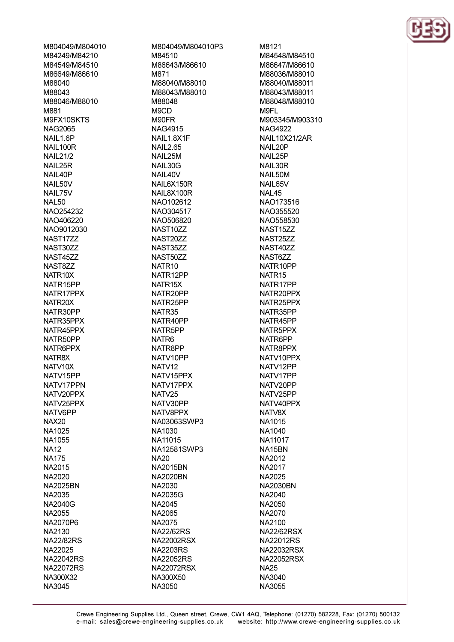M804049/M804010 M84249/M84210 M84549/M84510 M86649/M86610 M88040 M88043 M88046/M88010 M881 M9FX10SKTS NAG2065 NAIL1.6P NAIL100R **NAII 21/2 NAIL 25R** NAIL40P NAIL50V NAIL75V **NAI 50** NAO254232 NAO406220 NAO9012030 NAST17ZZ NAST30ZZ **NAST45ZZ** NAST877 NATR<sub>10X</sub> NATR15PP NATR17PPX NATR20X NATR30PP NATR35PPX NATR45PPX NATR50PP NATR6PPX NATR8X NATV10X NATV15PP NATV17PPN NATV20PPX NATV25PPX NATV6PP **NAX20** NA1025 NA1055 **NA12 NA175** NA2015 NA2020 **NA2025BN** NA2035 **NA2040G** NA2055 NA2070P6 NA2130 **NA22/82RS** NA22025 **NA22042RS NA22072RS** NA300X32 NA3045

M804049/M804010P3 M84510 M86643/M86610 M871 M88040/M88010 M88043/M88010 **M88048** M<sub>9</sub>C<sub>D</sub> M90FR **NAG4915** NAIL1.8X1F **NAIL2.65 NAIL 25M NAIL30G** NAIL40V NAIL6X150R NAIL8X100R NAO102612 NAO304517 NAO506820 NAST10ZZ NAST20ZZ NAST35ZZ NAST50ZZ NATR<sub>10</sub> NATR12PP NATR<sub>15</sub>X NATR20PP NATR25PP NATR35 NATR40PP NATR5PP NATR<sub>6</sub> NATR8PP NATV10PP NATV12 NATV15PPX NATV17PPX NATV<sub>25</sub> NATV30PP NATV8PPX NA03063SWP3 NA1030 NA11015 NA12581SWP3 **NA20 NA2015BN NA2020BN** NA2030 **NA2035G** NA2045 NA2065 NA2075 **NA22/62RS NA22002RSX NA2203RS NA22052RS NA22072RSX** NA300X50 NA3050

M8121 M84548/M84510 M86647/M86610 M88036/M88010 M88040/M88011 M88043/M88011 M88048/M88010 M9FI M903345/M903310 **NAG4922 NAIL10X21/2AR** NAIL20P NAIL25P NAIL30R NAIL50M NAIL65V NAL45 NAO173516 NAO355520 NAO558530 NAST<sub>15</sub>ZZ NAST25ZZ NAST40ZZ NAST6ZZ NATR10PP NATR<sub>15</sub> NATR17PP NATR20PPX NATR25PPX NATR35PP NATR45PP NATR5PPX NATR6PP NATR8PPX NATV10PPX NATV12PP NATV17PP NATV20PP NATV25PP NATV40PPX NATV8X NA1015 NA1040 NA11017 NA15BN NA2012 NA2017 NA2025 **NA2030BN** NA2040 NA2050 NA2070 NA2100 **NA22/62RSX NA22012RS NA22032RSX NA22052RSX NA25** NA3040 NA3055

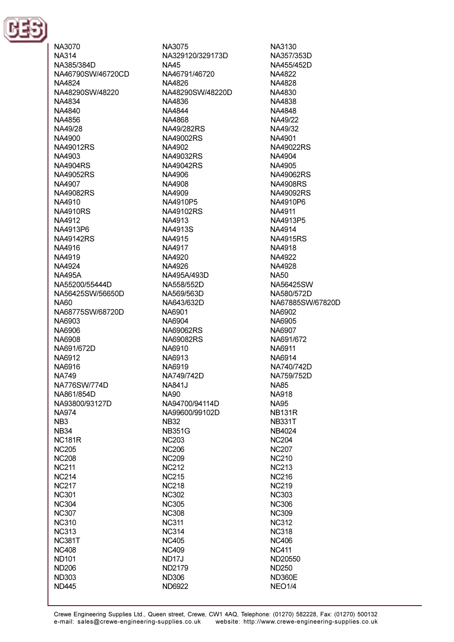

NA3070 **NA314** NA385/384D NA46790SW/46720CD NA4824 NA48290SW/48220 NA4834 NA4840 NA4856 NA49/28 NA4900 **NA49012RS** NA4903 **NA4904RS** NA49052RS NA4907 **NA49082RS** NA4910 **NA4910RS** NA4912 NA4913P6 **NA49142RS** NA4916 NA4919 NA4924 **NA495A** NA55200/55444D NA56425SW/56650D NA60 NA68775SW/68720D NA6903 NA6906 NA6908 NA691/672D NA6912 NA6916 **NA749** NA776SW/774D NA861/854D NA93800/93127D **NA974** NB<sub>3</sub> **NB34 NC181R NC205 NC208 NC211 NC214 NC217 NC301 NC304 NC307 NC310 NC313 NC381T NC408 ND101 ND206 ND303 ND445** 

NA3075 NA329120/329173D **NA45** NA46791/46720 NA4826 NA48290SW/48220D NA4836 NA4844 NA4868 NA49/282RS NA49002RS NA4902 NA49032RS NA49042RS NA4906 NA4908 NA4909 NA4910P5 **NA49102RS** NA4913 NA4913S NA4915 NA4917 NA4920 NA4926 NA495A/493D NA558/552D NA569/563D NA643/632D NA6901 NA6904 NA69062RS **NA69082RS** NA6910 NA6913 NA6919 NA749/742D **NA841J NA90** NA94700/94114D NA99600/99102D **NB32 NB351G NC203 NC206 NC209 NC212 NC215 NC218 NC302 NC305 NC308 NC311 NC314 NC405 NC409 ND17J ND2179 ND306** ND6922

NA3130 NA357/353D NA455/452D NA4822 NA4828 NA4830 NA4838 NA4848 NA49/22 NA49/32 NA4901 **NA49022RS** NA4904 NA4905 **NA49062RS NA4908RS NA49092RS** NA4910P6 NA4911 NA4913P5 NA4914 **NA4915RS** NA4918 NA4922 NA4928 **NA50** NA56425SW NA580/572D NA67885SW/67820D NA6902 **NA6905** NA6907 NA691/672 NA6911 NA6914 NA740/742D NA759/752D **NA85 NA918 NA95 NB131R NB331T** NB4024 **NC204 NC207 NC210 NC213 NC216 NC219 NC303 NC306 NC309 NC312 NC318 NC406 NC411** ND20550 **ND250 ND360E** 

**NEO1/4**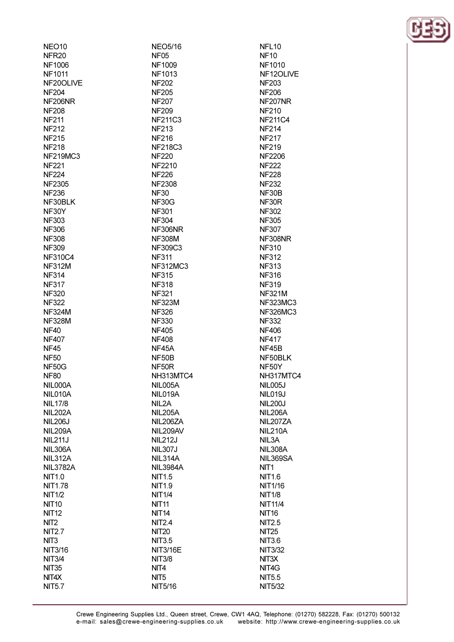| NEO <sub>10</sub> | <b>NEO5/16</b>   | NFL <sub>10</sub>  |
|-------------------|------------------|--------------------|
| NFR <sub>20</sub> | <b>NF05</b>      | <b>NF10</b>        |
| <b>NF1006</b>     | NF1009           | <b>NF1010</b>      |
| <b>NF1011</b>     | <b>NF1013</b>    | <b>NF1201</b>      |
| NF20OLIVE         | <b>NF202</b>     | <b>NF203</b>       |
| <b>NF204</b>      | <b>NF205</b>     | <b>NF206</b>       |
| NF206NR           | <b>NF207</b>     | <b>NF207N</b>      |
| <b>NF208</b>      | <b>NF209</b>     | <b>NF210</b>       |
| <b>NF211</b>      | <b>NF211C3</b>   | <b>NF211C</b>      |
| <b>NF212</b>      | <b>NF213</b>     | <b>NF214</b>       |
| <b>NF215</b>      | <b>NF216</b>     | <b>NF217</b>       |
| <b>NF218</b>      | <b>NF218C3</b>   | <b>NF219</b>       |
| <b>NF219MC3</b>   | <b>NF220</b>     | <b>NF2206</b>      |
| <b>NF221</b>      | <b>NF2210</b>    | <b>NF222</b>       |
| <b>NF224</b>      | <b>NF226</b>     | <b>NF228</b>       |
| <b>NF2305</b>     | <b>NF2308</b>    | <b>NF232</b>       |
| <b>NF236</b>      | <b>NF30</b>      | NF30B              |
| NF30BLK           | NF30G            | NF30R              |
| NF30Y             | <b>NF301</b>     | <b>NF302</b>       |
|                   |                  | <b>NF305</b>       |
| <b>NF303</b>      | <b>NF304</b>     |                    |
| <b>NF306</b>      | NF306NR          | <b>NF307</b>       |
| <b>NF308</b>      | <b>NF308M</b>    | <b>NF308N</b>      |
| <b>NF309</b>      | NF309C3          | <b>NF310</b>       |
| <b>NF310C4</b>    | <b>NF311</b>     | <b>NF312</b>       |
| <b>NF312M</b>     | <b>NF312MC3</b>  | <b>NF313</b>       |
| <b>NF314</b>      | <b>NF315</b>     | <b>NF316</b>       |
| <b>NF317</b>      | <b>NF318</b>     | <b>NF319</b>       |
| <b>NF320</b>      | <b>NF321</b>     | <b>NF321M</b>      |
| <b>NF322</b>      | <b>NF323M</b>    | <b>NF323N</b>      |
| <b>NF324M</b>     | <b>NF326</b>     | <b>NF326N</b>      |
| <b>NF328M</b>     | <b>NF330</b>     | <b>NF332</b>       |
| <b>NF40</b>       | <b>NF405</b>     | <b>NF406</b>       |
| <b>NF407</b>      | <b>NF408</b>     | <b>NF417</b>       |
| <b>NF45</b>       | NF45A            | NF45B              |
| <b>NF50</b>       | NF50B            | NF50BI             |
| NF50G             | NF50R            | NF50Y              |
| <b>NF80</b>       | NH313MTC4        | <b>NH317N</b>      |
| NIL000A           | NIL005A          | <b>NIL005.</b>     |
| NIL010A           | NIL019A          | <b>NIL019J</b>     |
| <b>NIL17/8</b>    | NIL2A            | <b>NIL200.</b>     |
| <b>NIL202A</b>    | <b>NIL205A</b>   | <b>NIL206/</b>     |
| <b>NIL206J</b>    | NIL206ZA         | <b>NIL2072</b>     |
| <b>NIL209A</b>    | NIL209AV         | NIL210/            |
| <b>NIL211J</b>    | <b>NIL212J</b>   | NIL3A              |
| NIL306A           | <b>NIL307J</b>   | NIL308/            |
| <b>NIL312A</b>    | NIL314A          | <b>NIL3699</b>     |
| <b>NIL3782A</b>   | <b>NIL3984A</b>  | NIT <sub>1</sub>   |
| <b>NIT1.0</b>     | <b>NIT1.5</b>    | <b>NIT1.6</b>      |
| <b>NIT1.78</b>    | <b>NIT1.9</b>    | NIT1/16            |
| <b>NIT1/2</b>     | <b>NIT1/4</b>    | <b>NIT1/8</b>      |
| <b>NIT10</b>      | <b>NIT11</b>     | <b>NIT11/4</b>     |
| <b>NIT12</b>      | <b>NIT14</b>     | <b>NIT16</b>       |
| NIT <sub>2</sub>  | <b>NIT2.4</b>    | <b>NIT2.5</b>      |
| <b>NIT2.7</b>     | <b>NIT20</b>     | <b>NIT25</b>       |
| NIT <sub>3</sub>  | <b>NIT3.5</b>    | <b>NIT3.6</b>      |
| <b>NIT3/16</b>    | <b>NIT3/16E</b>  | <b>NIT3/32</b>     |
|                   |                  | NIT <sub>3</sub> X |
| <b>NIT3/4</b>     | <b>NIT3/8</b>    |                    |
| <b>NIT35</b>      | NIT <sub>4</sub> | NIT4G              |
| NIT4X             | NIT <sub>5</sub> | <b>NIT5.5</b>      |
| <b>NIT5.7</b>     | NIT5/16          | <b>NIT5/32</b>     |

010 12OLIVE  $203$ 206 207NR  $210$ 211C4  $214$  $217$  $219$ 206  $22$  $28$  $232$ 30B 30R  $302$ 805 807 308NR 310  $312$  $313$ 316 319 321M 323MC3 326MC3 332 106  $117$  $15B$ 50BLK  $50Y$ 317MTC4 005J 019J  $200J$ 206A 207ZA 210A ЗA 308A 369SA 1 1.6  $1/16$  $1/8$  $11/4$ 16  $2.5$ 25 3.6 3/32 ЗX 4G  $5.5$ 

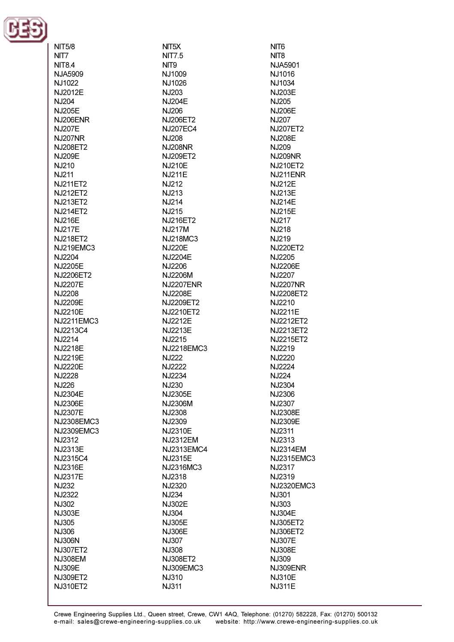

| NIT5/8                            |
|-----------------------------------|
| NIT7                              |
| NIT8.4                            |
| <b>NJA5909</b><br>NJ1022          |
| NJ2012E                           |
| NJ204                             |
| NJ205E                            |
| NJ206ENR                          |
| <b>NJ207E</b>                     |
| <b>NJ207NR</b>                    |
| <b>NJ208ET2</b><br><b>NJ209E</b>  |
| NJ210                             |
| NJ211                             |
| <b>NJ211ET2</b>                   |
| <b>NJ212ET2</b>                   |
| NJ213ET2                          |
| NJ214ET2                          |
| <b>NJ216E</b>                     |
| NJ217E                            |
| <b>NJ218ET2</b>                   |
| NJ219EMC3<br>NJ2204               |
| NJ2205E                           |
| NJ2206ET2                         |
| <b>NJ2207E</b>                    |
| NJ2208                            |
| NJ2209E                           |
| NJ2210E                           |
| NJ2211EMC3                        |
| NJ2213C4                          |
| NJ2214<br>NJ2218E                 |
| NJ2219E                           |
| <b>NJ2220E</b>                    |
| NJ2228                            |
| <b>NJ226</b>                      |
| NJ2304E                           |
| NJ2306E                           |
| NJ2307E                           |
| NJ2308EMC3                        |
| NJ2309EMC3                        |
| NJ2312                            |
| NJ2313E<br>NJ2315C4               |
| NJ2316E                           |
| NJ2317E                           |
| <b>NJ232</b>                      |
| NJ2322                            |
| NJ302                             |
| <b>NJ303E</b>                     |
| <b>NJ305</b>                      |
| <b>NJ306</b>                      |
| <b>NJ306N</b>                     |
| <b>NJ307ET2</b><br><b>NJ308EM</b> |
| <b>NJ309E</b>                     |
| <b>NJ309ET2</b>                   |
| NJ310ET2                          |
|                                   |

NIT5X **NIT7.5** NIT<sub>9</sub> N.11009 NJ1026 NJ203 **NJ204E NJ206** NJ206ET2 NJ207EC4 NJ208 **NJ208NR** NJ209ET2 N.1210F **NJ211E** NJ212 NJ213 **NJ214 NJ215** NJ216ET2 **NJ217M** NJ218MC3 **NJ220E** NJ2204E NJ2206 **NJ2206M NJ2207ENR NJ2208E** NJ2209ET2 NJ2210ET2 NJ2212E NJ2213E NJ2215 NJ2218EMC3 NJ222 NJ2222 NJ2234 NJ230 NJ2305E NJ2306M NJ2308 NJ2309 NJ2310E **NJ2312EM NJ2313EMC4** NJ2315E NJ2316MC3 NJ2318 NJ2320 **NJ234 NJ302E NJ304** NJ305E **NJ306E NJ307 NJ308** NJ308ET2 NJ309EMC3 **NJ310 NJ311** 

NIT<sub>6</sub> NIT<sub>8</sub> N.IA5901 NJ1016 NJ1034 NJ203E N.J205 **NJ206E NJ207** NJ207ET2 **NJ208E NJ209 NJ209NR** N.1210FT2 NJ211ENR **NJ212E NJ213E NJ214E NJ215E NJ217** NJ218 NJ219 **NJ220ET2** NJ2205 NJ2206E NJ2207 **NJ2207NR** NJ2208ET2 NJ2210 NJ2211E NJ2212ET2 NJ2213ET2 NJ2215ET2 NJ2219 NJ2220 NJ2224 **NJ224** NJ2304 NJ2306 NJ2307 **NJ2308E** NJ2309E **NJ2311** NJ2313 **NJ2314EM** NJ2315EMC3 NJ2317 NJ2319 NJ2320EMC3 **NJ301** NJ303 **NJ304E** NJ305ET2 NJ306ET2 **NJ307E NJ308E NJ309** NJ309ENR **NJ310E NJ311E**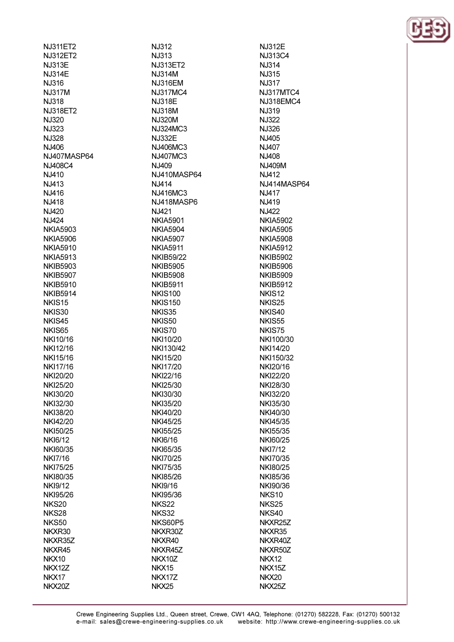| NJ311ET2        |
|-----------------|
|                 |
| NJ312ET2        |
| NJ313E          |
| <b>NJ314E</b>   |
| NJ316           |
| <b>NJ317M</b>   |
| NJ318           |
| NJ318ET2        |
|                 |
| NJ320           |
| NJ323           |
| NJ328           |
| NJ406           |
| NJ407MASP64     |
| NJ408C4         |
| NJ410           |
| NJ413           |
|                 |
| NJ416           |
| NJ418           |
| NJ420           |
| NJ424           |
| NKIA5903        |
| <b>NKIA5906</b> |
| NKIA5910        |
| NKIA5913        |
|                 |
| <b>NKIB5903</b> |
| <b>NKIB5907</b> |
| <b>NKIB5910</b> |
| NKIB5914        |
| NKIS15          |
| NKIS30          |
| NKIS45          |
| NKIS65          |
| NKI10/16        |
|                 |
| NKI12/16        |
| NKI15/16        |
| NKI17/16        |
| NKI20/20        |
| NKI25/20        |
| NKI30/20        |
| NKI32/30        |
| NKI38/20        |
|                 |
| NKI42/20        |
| NKI50/25        |
| NK16/12         |
| NKI60/35        |
| NKI7/16         |
| NKI75/25        |
| NKI80/35        |
| NKI9/12         |
|                 |
| NKI95/26        |
| <b>NKS20</b>    |
| NKS28           |
| NKS50           |
| NKXR30          |
| NKXR35Z         |
| NKXR45          |
| NKX10           |
|                 |
| NKX12Z          |
| NKX17           |

NKX20Z

**NJ312** NJ313 N.I313FT2 **NJ314M NJ316EM NJ317MC4** N.I318F **NJ318M NJ320M** NJ324MC3 **NJ332E** NJ406MC3 NJ407MC3  $N.1409$ NJ410MASP64 N.J414 **NJ416MC3** NJ418MASP6 NJ421 **NKIA5901 NKIA5904 NKIA5907 NKIA5911 NKIB59/22 NKIB5905 NKIB5908 NKIB5911 NKIS100 NKIS150** NKIS35 NKIS50 NKIS70 NKI10/20 NKI130/42 NKI15/20 **NKI17/20** NKI22/16 NKI25/30 NKI30/30 **NKI35/20** NKI40/20 **NKI45/25 NKI55/25 NKI6/16 NKI65/35 NKI70/25 NKI75/35 NKI85/26 NKI9/16** NKI95/36 **NKS22 NKS32 NKS60P5** NKXR30Z NKXR40 NKXR45Z NKX10Z NKX15 NKX17Z

NKX25

**NJ312E** NJ313C4 N.I314 NJ315 **NJ317 NJ317MTC4 NJ318EMC4 NJ319 NJ322** NJ326 N.J405 NJ407 N.J408 N.I409M **NJ412** NJ414MASP64 **NJ417** N.J419 **NJ422 NKIA5902 NKIA5905 NKIA5908 NKIA5912 NKIB5902 NKIB5906 NKIB5909 NKIB5912** NKIS<sub>12</sub> NKIS<sub>25</sub> NKIS40 **NKIS55** NKIS75 NKI100/30 NKI14/20 NKI150/32 NKI20/16 NKI22/20 NKI28/30 NKI32/20 NKI35/30 NKI40/30 NKI45/35 NKI55/35 NKI60/25 **NKI7/12** NKI70/35 NKI80/25 NKI85/36 NKI90/36 **NKS10 NKS25** NKS40 NKXR25Z NKXR35 NKXR40Z NKXR50Z NKX12 NKX15Z NKX20 NKX25Z

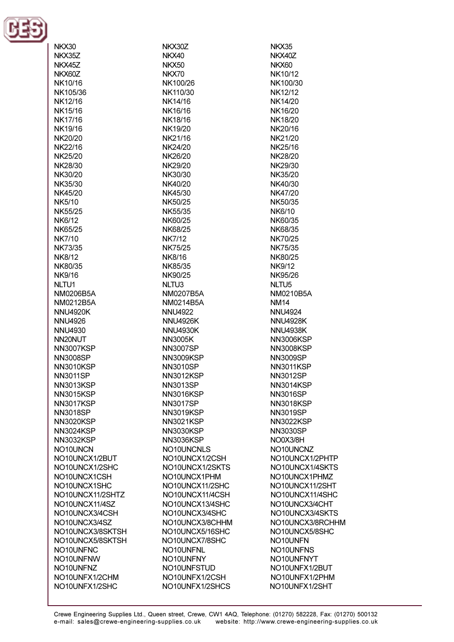

NKX30

| NKX35Z           |
|------------------|
| NKX45Z           |
| NKX60Z           |
| NK10/16          |
| NK105/36         |
| NK12/16          |
| NK15/16          |
| NK17/16          |
| NK19/16          |
| NK20/20          |
| NK22/16          |
| NK25/20          |
| NK28/30          |
| NK30/20          |
|                  |
| NK35/30          |
| NK45/20          |
| NK5/10           |
| NK55/25          |
| NK6/12           |
| NK65/25          |
| NK7/10           |
| NK73/35          |
| NK8/12           |
| NK80/35          |
| NK9/16           |
| NLTU1            |
| NM0206B5A        |
| NM0212B5A        |
| <b>NNU4920K</b>  |
| <b>NNU4926</b>   |
| <b>NNU4930</b>   |
| NN20NUT          |
| <b>NN3007KSP</b> |
| <b>NN3008SP</b>  |
| <b>NN3010KSP</b> |
| <b>NN3011SP</b>  |
| <b>NN3013KSP</b> |
| <b>NN3015KSF</b> |
| <b>NN3017KSP</b> |
| <b>NN3018SP</b>  |
|                  |
| <b>NN3020KSP</b> |
| <b>NN3024KSP</b> |
| <b>NN3032KSP</b> |
| NO10UNCN         |
| NO10UNCX1/2BUT   |
| NO10UNCX1/2SHC   |
| NO10UNCX1CSH     |
| NO10UNCX1SHC     |
| NO10UNCX11/2SHTZ |
| NO10UNCX11/4SZ   |
| NO10UNCX3/4CSH   |
| NO10UNCX3/4SZ    |
| NO10UNCX3/8SKTSH |
| NO10UNCX5/8SKTSH |
| NO10UNFNC        |
| NO10UNFNW        |
| NO10UNFNZ        |
| NO10UNFX1/2CHM   |
| NO10UNFX1/2SHC   |
|                  |

NKX30Z NKX40 NKX50 NKX70 NK100/26 NK110/30 NK14/16 NK16/16 NK18/16 NK19/20 NK21/16 NK24/20 NK26/20 **NK29/20** NK30/30 NK40/20 NK45/30 NK50/25 NK55/35 NK60/25 **NK68/25 NK7/12 NK75/25 NK8/16** NK85/35 NK90/25 NLTU<sub>3</sub> NM0207B5A NM0214B5A **NNU4922 NNU4926K NNU4930K NN3005K NN3007SP NN3009KSP NN3010SP** NN3012KSP **NN3013SP NN3016KSP NN3017SP NN3019KSP NN3021KSP NN3030KSP NN3036KSP** NO10UNCNLS NO10UNCX1/2CSH NO10UNCX1/2SKTS NO10UNCX1PHM NO10UNCX11/2SHC NO10UNCX11/4CSH NO10UNCX13/4SHC NO10UNCX3/4SHC NO10UNCX3/8CHHM NO10UNCX5/16SHC NO10UNCX7/8SHC NO10UNFNL NO10UNFNY NO10UNFSTUD NO10UNFX1/2CSH NO10UNFX1/2SHCS

NKX35 NKX40Z **NKX60** NK10/12 NK100/30 NK12/12 NK14/20 NK16/20 NK18/20 NK20/16 NK21/20 NK25/16 NK28/20 NK29/30 NK35/20 NK40/30 NK47/20 NK50/35 NK6/10 NK60/35 **NK68/35** NK70/25 NK75/35 NK80/25 **NK9/12** NK95/26 NLTU<sub>5</sub> NM0210B5A **NM14 NNU4924 NNU4928K NNU4938K NN3006KSP NN3008KSP** NN3009SP NN3011KSP **NN3012SP** NN3014KSP **NN3016SP NN3018KSP NN3019SP NN3022KSP NN3030SP** NO0X3/8H NO10UNCNZ NO10UNCX1/2PHTP NO10UNCX1/4SKTS NO10UNCX1PHMZ NO10UNCX11/2SHT NO10UNCX11/4SHC NO10UNCX3/4CHT NO10UNCX3/4SKTS NO10UNCX3/8RCHHM NO10UNCX5/8SHC NO10UNFN NO10UNFNS NO10UNFNYT NO10UNFX1/2BUT NO10UNFX1/2PHM NO10UNFX1/2SHT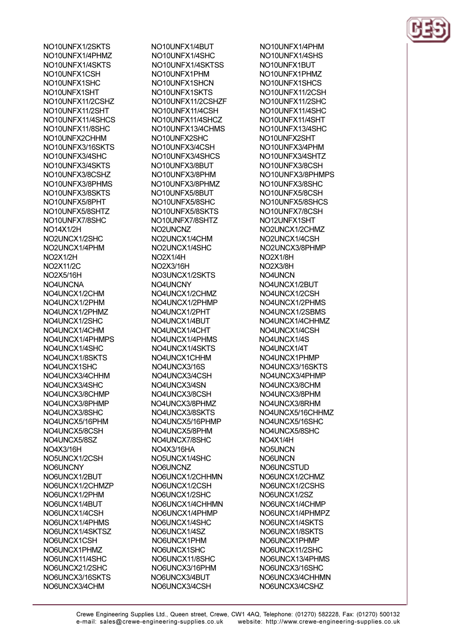NO10UNFX1/2SKTS NO10UNFX1/4PHMZ NO10UNFX1/4SKTS NO10UNFX1CSH NO10UNFX1SHC NO10UNFX1SHT NO10UNFX11/2CSHZ NO10UNFX11/2SHT NO10UNFX11/4SHCS NO10UNFX11/8SHC NO10UNFX2CHHM NO10UNFX3/16SKTS NO10UNFX3/4SHC NO10UNFX3/4SKTS NO10UNFX3/8CSHZ NO10UNFX3/8PHMS NO10UNFX3/8SKTS NO10UNFX5/8PHT NO10UNFX5/8SHTZ NO10UNFX7/8SHC **NO14X1/2H** NO2UNCX1/2SHC NO2UNCX1/4PHM **NO2X1/2H** NO2X11/2C **NO2X5/16H** NO4UNCNA NO4UNCX1/2CHM NO4UNCX1/2PHM NO4UNCX1/2PHMZ NO4UNCX1/2SHC NO4UNCX1/4CHM NO4UNCX1/4PHMPS NO4UNCX1/4SHC NO4UNCX1/8SKTS NO4UNCX1SHC NO4UNCX3/4CHHM NO4UNCX3/4SHC NO4UNCX3/8CHMP NO4UNCX3/8PHMP NO4UNCX3/8SHC NO4UNCX5/16PHM NO4UNCX5/8CSH NO4UNCX5/8SZ NO4X3/16H NO5UNCX1/2CSH **NO6UNCNY** NO6UNCX1/2BUT NO6UNCX1/2CHMZP NO6UNCX1/2PHM NO6UNCX1/4BUT NO6UNCX1/4CSH NO6UNCX1/4PHMS NO6UNCX1/4SKTSZ NO6UNCX1CSH NO6UNCX1PHMZ NO6UNCX11/4SHC NO6UNCX21/2SHC NO6UNCX3/16SKTS NO6UNCX3/4CHM

NO10UNFX1/4BUT NO10UNFX1/4SHC NO10UNEX1/4SKTSS NO10UNFX1PHM NO10UNFX1SHCN NO10UNFX1SKTS NO10UNFX11/2CSHZF NO10UNFX11/4CSH NO10UNFX11/4SHCZ NO10UNFX13/4CHMS NO10UNFX2SHC NO10UNFX3/4CSH NO10UNFX3/4SHCS NO10LINEX3/8RLIT NO10UNFX3/8PHM NO10UNFX3/8PHMZ NO10UNFX5/8BUT NO10UNFX5/8SHC NO10UNFX5/8SKTS NO10UNFX7/8SHTZ NO2UNCNZ NO2UNCX1/4CHM NO2UNCX1/4SHC NO<sub>2X1/4H</sub> NO2X3/16H NO3UNCX1/2SKTS NO4UNCNY NO4UNCX1/2CHMZ NO4UNCX1/2PHMP NO4UNCX1/2PHT NO4UNCX1/4BUT NO4UNCX1/4CHT NO4UNCX1/4PHMS NO4UNCX1/4SKTS NO4UNCX1CHHM NO4UNCX3/16S NO4UNCX3/4CSH NO4UNCX3/4SN NO4UNCX3/8CSH NO4UNCX3/8PHMZ NO4UNCX3/8SKTS NO4UNCX5/16PHMP NO4UNCX5/8PHM NO4UNCX7/8SHC NO4X3/16HA NO5UNCX1/4SHC NO6UNCNZ NO6UNCX1/2CHHMN NO6UNCX1/2CSH NO6UNCX1/2SHC NO6UNCX1/4CHHMN NO6UNCX1/4PHMP NO6UNCX1/4SHC NO6UNCX1/4SZ NO6UNCX1PHM NO6UNCX1SHC NO6UNCX11/8SHC NO6UNCX3/16PHM NO6UNCX3/4BUT NO6UNCX3/4CSH

NO10UNFX1/4PHM NO10UNFX1/4SHS NO10LINEX1BLIT NO10UNFX1PHMZ NO10UNFX1SHCS NO10UNFX11/2CSH NO10UNFX11/2SHC NO10UNFX11/4SHC NO10UNFX11/4SHT NO10UNFX13/4SHC NO10UNFX2SHT NO10UNFX3/4PHM NO10UNFX3/4SHTZ NO10LINEX3/8CSH NO10UNFX3/8PHMPS NO10UNFX3/8SHC NO10UNFX5/8CSH NO10UNFX5/8SHCS NO10UNFX7/8CSH NO12UNFX1SHT NO2UNCX1/2CHMZ NO2UNCX1/4CSH NO2UNCX3/8PHMP NO<sub>2X1/8H</sub> NO<sub>2X3/8</sub>H NO4UNCN NO4UNCX1/2BUT NO4UNCX1/2CSH NO4UNCX1/2PHMS NO4UNCX1/2SBMS NO4UNCX1/4CHHMZ NO4UNCX1/4CSH NO4UNCX1/4S NO4UNCX1/4T NO4UNCX1PHMP NO4UNCX3/16SKTS NO4UNCX3/4PHMP NO4UNCX3/8CHM NO4UNCX3/8PHM NO4UNCX3/8RHM NO4UNCX5/16CHHMZ NO4UNCX5/16SHC NO4UNCX5/8SHC NO4X1/4H NO<sub>5</sub>UNCN **NO6UNCN** NO6UNCSTUD NO6UNCX1/2CHMZ NO6UNCX1/2CSHS NO6UNCX1/2SZ NO6UNCX1/4CHMP NO6UNCX1/4PHMPZ NO6UNCX1/4SKTS NO6UNCX1/8SKTS NO6UNCX1PHMP NO6UNCX11/2SHC NO6UNCX13/4PHMS NO6UNCX3/16SHC NO6UNCX3/4CHHMN NO6UNCX3/4CSHZ

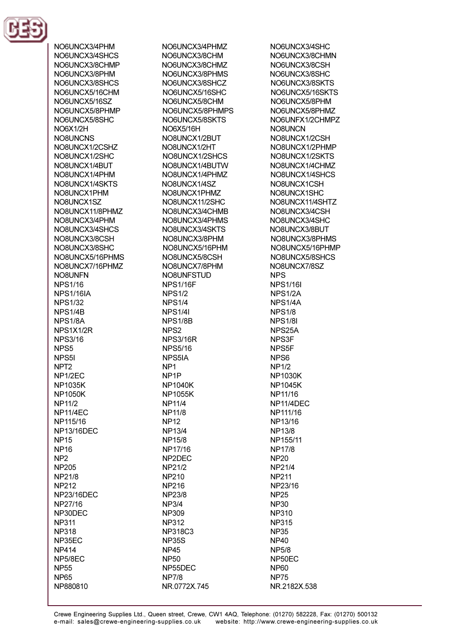

NO6UNCX3/4PHM NO6UNCX3/4SHCS NO6LINCX3/8CHMP NO6UNCX3/8PHM NO6UNCX3/8SHCS NO6UNCX5/16CHM NO6LINCX5/16SZ NO6UNCX5/8PHMP NO6UNCX5/8SHC **NO6X1/2H NO8UNCNS** NO8UNCX1/2CSHZ NO8UNCX1/2SHC NORLINCX1/4RLIT NO8UNCX1/4PHM NO8UNCX1/4SKTS NO8UNCX1PHM NO8UNCX1SZ NO8UNCX11/8PHMZ NO8UNCX3/4PHM NO8UNCX3/4SHCS NO8UNCX3/8CSH NO8UNCX3/8SHC NO8UNCX5/16PHMS NO8UNCX7/16PHMZ NO8UNFN **NPS1/16 NPS1/16IA NPS1/32** NPS1/4B NPS1/8A NPS1X1/2R **NPS3/16** NPS<sub>5</sub> NPS<sub>51</sub> NPT<sub>2</sub> NP<sub>1/2EC</sub> **NP1035K NP1050K NP11/2 NP11/4EC** NP115/16 **NP13/16DEC NP15 NP16** NP<sub>2</sub> **NP205** NP21/8 **NP212 NP23/16DEC** NP27/16 NP30DEC **NP311 NP318** NP35EC **NP414** NP5/8EC **NP55 NP65** NP880810

NO6UNCX3/4PHMZ NO6UNCX3/8CHM NO6LINCX3/8CHMZ NO6UNCX3/8PHMS NO6UNCX3/8SHCZ NO6UNCX5/16SHC NO6UNCX5/8CHM NO6UNCX5/8PHMPS NO6UNCX5/8SKTS NO6X5/16H NO8UNCX1/2BUT NO8UNCX1/2HT NO8UNCX1/2SHCS NORLINCX1/4RLITW NO8UNCX1/4PHMZ NO8UNCX1/4SZ NO8UNCX1PHMZ NO8UNCX11/2SHC NO8UNCX3/4CHMB NO8UNCX3/4PHMS NO8UNCX3/4SKTS NO8UNCX3/8PHM NO8UNCX5/16PHM NO8UNCX5/8CSH NO8UNCX7/8PHM NO8UNFSTUD **NPS1/16F NPS1/2 NPS1/4 NPS1/4I** NPS1/8B NPS<sub>2</sub> **NPS3/16R NPS5/16** NPS5IA NP<sub>1</sub> NP<sub>1</sub>P **NP1040K NP1055K NP11/4 NP11/8 NP12 NP13/4 NP15/8** NP17/16 NP2DEC NP21/2 **NP210 NP216 NP23/8 NP3/4 NP309 NP312 NP318C3 NP35S NP45 NP50** NP55DEC **NP7/8** NR.0772X.745

NO6UNCX3/4SHC NO6UNCX3/8CHMN NO6LINCX3/8CSH NO6UNCX3/8SHC NO6UNCX3/8SKTS NO6UNCX5/16SKTS NO6UNCX5/8PHM NO6UNCX5/8PHMZ NO6UNFX1/2CHMPZ **NO8UNCN** NO8UNCX1/2CSH NO8UNCX1/2PHMP NO8UNCX1/2SKTS NO8LINCX1/4CHMZ NO8UNCX1/4SHCS NO8UNCX1CSH NO8UNCX1SHC NO8UNCX11/4SHTZ NO8UNCX3/4CSH NO8UNCX3/4SHC NO8UNCX3/8BUT NO8UNCX3/8PHMS NO8UNCX5/16PHMP NO8UNCX5/8SHCS NO8UNCX7/8SZ **NPS NPS1/16I** NPS1/2A NPS1/4A **NPS1/8 NPS1/81** NPS25A NPS3F NPS<sub>5F</sub> NPS<sub>6</sub> **NP1/2 NP1030K NP1045K** NP11/16 NP11/4DEC NP111/16 NP13/16 **NP13/8** NP155/11 **NP17/8 NP20** NP21/4 **NP211** NP23/16 **NP25 NP30 NP310 NP315 NP35 NP40 NP5/8** NP50EC **NP60 NP75** NR.2182X.538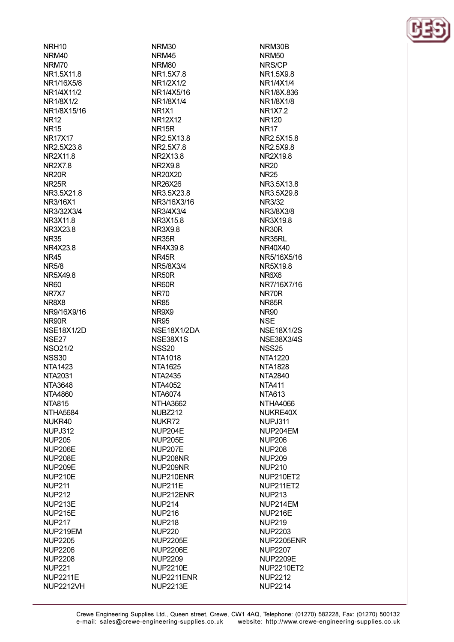NRH<sub>10</sub> NRM40 NRM70 NR15X118 NR1/16X5/8 NR1/4X11/2 NR1/8X1/2 NR1/8X15/16 **NR12 NR15 NR17X17** NR2.5X23.8 **NR2X118 NR2X78** NR<sub>20</sub>R **NR25R** NR3.5X21.8 NR3/16X1 NR3/32X3/4 NR3X11.8 NR3X23.8 **NR35** NR4X23.8 **NR45 NR5/8** NR5X49.8 **NR60** NR7X7 NR8X8 NR9/16X9/16 NR90R **NSE18X1/2D** NSE27 **NSO21/2 NSS30 NTA1423** NTA2031 **NTA3648 NTA4860 NTA815** NTHA5684 NUKR40 **NUPJ312 NUP205 NUP206E** NUP208E **NUP209E NUP210E NUP211 NUP212** NUP213E **NUP215E NUP217** NUP219EM **NUP2205 NUP2206 NUP2208 NUP221 NUP2211E** 

**NUP2212VH** 

NRM30 NRM45 NRM<sub>80</sub> NR15X78 NR1/2X1/2 NR1/4X5/16 NR1/8X1/4 NR<sub>1X1</sub> **NR12X12** NR<sub>15R</sub> NR2.5X13.8 NR2.5X7.8 NR2X13.8 NR<sub>2X98</sub> **NR20X20** NR26X26 NR3.5X23.8 NR3/16X3/16 NR3/4X3/4 NR3X15.8 **NR3X9.8 NR35R** NR4X39.8 NR45R NR5/8X3/4 NR50R NR60R **NR70 NR85** NR9X9 **NR95** NSE18X1/2DA NSE38X1S **NSS20 NTA1018 NTA1625 NTA2435** NTA4052 NTA6074 NTHA3662 NUBZ212 NUKR72 NUP204E **NUP205E NUP207E** NUP208NR NUP209NR NUP210ENR **NUP211E** NUP212ENR **NUP214 NUP216 NUP218 NUP220 NUP2205E NUP2206E NUP2209 NUP2210E** NUP2211ENR **NUP2213E** 

NRM30B **NRM50** NRS/CP NR1.5X9.8 NR1/4X1/4 NR1/8X 836 NR1/8X1/8 **NR1X7.2 NR120 NR17** NR2.5X15.8 NR2.5X9.8 NR2X19.8 **NR20 NR25** NR3.5X13.8 NR3.5X29.8 NR3/32 NR3/8X3/8 NR3X19.8 NR30R NR35RL NR40X40 NR5/16X5/16 NR5X198 NR6X6 NR7/16X7/16 NR70R NR85R **NR90 NSE NSE18X1/2S NSE38X3/4S NSS25 NTA1220 NTA1828** NTA2840 **NTA411 NTA613** NTHA4066 NUKRE40X NUPJ311 NUP204EM **NUP206 NUP208 NUP209 NUP210** NUP210ET2 **NUP211ET2 NUP213** NUP214EM NUP216E **NUP219 NUP2203** NUP2205ENR **NUP2207 NUP2209E NUP2210ET2 NUP2212 NUP2214** 

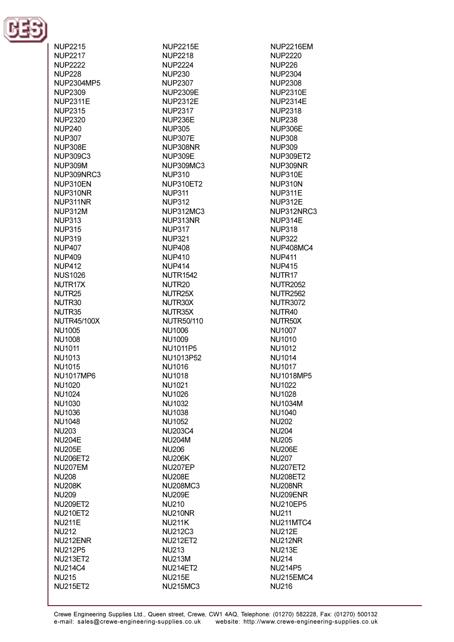

| NUP2215                         |
|---------------------------------|
| <b>NUP2217</b>                  |
| <b>NUP2222</b>                  |
| <b>NUP228</b>                   |
| NUP2304MP5                      |
| <b>NUP2309</b>                  |
| NUP2311E                        |
| NUP2315                         |
| <b>NUP2320</b>                  |
| <b>NUP240</b>                   |
| <b>NUP307</b>                   |
| NUP308E                         |
|                                 |
| NUP309C3                        |
| NUP309M                         |
| NUP309NRC3                      |
| NUP310EN                        |
| NUP310NR                        |
| NUP311NR                        |
| <b>NUP312M</b>                  |
| NUP313                          |
| <b>NUP315</b>                   |
| <b>NUP319</b>                   |
| NUP407                          |
| NUP409                          |
| <b>NUP412</b>                   |
| <b>NUS1026</b>                  |
|                                 |
| NUTR17X                         |
| NUTR25                          |
| NUTR30                          |
| NUTR35                          |
| NUTR45/100X                     |
| NU1005                          |
| NU1008                          |
| NU1011                          |
| NU1013                          |
| NU1015                          |
| NU1017MP6                       |
| <b>NU1020</b>                   |
| <b>NU1024</b>                   |
| NU1030                          |
|                                 |
| NU1036                          |
|                                 |
| NU1048                          |
| <b>NU203</b>                    |
| <b>NU204E</b>                   |
| <b>NU205E</b>                   |
| <b>NU206ET2</b>                 |
| NU207EM                         |
| <b>NU208</b>                    |
|                                 |
| <b>NU208K</b>                   |
| <b>NU209</b>                    |
| <b>NU209ET2</b>                 |
| <b>NU210ET2</b>                 |
| <b>NU211E</b>                   |
| <b>NU212</b>                    |
| NU212ENR                        |
| <b>NU212P5</b>                  |
| <b>NU213ET2</b>                 |
| <b>NU214C4</b>                  |
| <b>NU215</b><br><b>NU215ET2</b> |

**NUP2215E NUP2218** NI IP<sub>2224</sub> **NUP230 NUP2307 NUP2309E NUP2312E NUP2317** NUP236E **NUP305 NUP307E** NUP308NR **NUP309E** NUP309MC3 **NUP310 NUP310ET2 NUP311 NUP312 NUP312MC3** NUP313NR **NUP317 NUP321 NUP408 NUP410 NUP414 NUTR1542** NUTR<sub>20</sub> NUTR25X NUTR30X NUTR35X **NUTR50/110 NU1006 NU1009** NU1011P5 NU1013P52 NU1016 **NU1018 NU1021 NU1026 NU1032 NU1038 NU1052 NU203C4 NU204M NU206 NU206K** NU207EP **NU208E NU208MC3 NU209E NU210** NU210NR **NU211K NU212C3 NU212ET2 NU213 NU213M NU214ET2 NU215E NU215MC3** 

**NUP2216EM NUP2220 NUP226 NUP2304 NUP2308 NUP2310E NUP2314E NUP2318 NUP238** NUP306E **NUP308 NUP309 NUP309ET2** NUP309NR **NUP310E NUP310N** NUP311E **NUP312E** NUP312NRC3 NUP314E **NUP318 NUP322 NUP408MC4 NUP411 NUP415** NUTR<sub>17</sub> **NUTR2052 NUTR2562 NUTR3072** NUTR40 NUTR50X **NU1007 NU1010 NU1012 NU1014 NU1017 NU1018MP5 NU1022 NU1028 NU1034M NU1040 NU202 NU204 NU205 NU206E NU207 NU207ET2 NU208ET2 NU208NR** NU209ENR **NU210EP5 NU211** NU211MTC4 **NU212E NU212NR NU213E NU214 NU214P5** NU215EMC4 **NU216**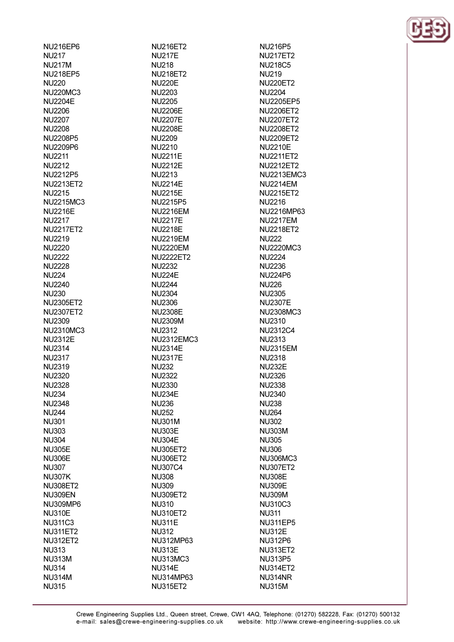| NU216EP6         |
|------------------|
| <b>NU217</b>     |
| <b>NU217M</b>    |
| <b>NU218EP5</b>  |
| <b>NU220</b>     |
| <b>NU220MC3</b>  |
| <b>NU2204E</b>   |
|                  |
| <b>NU2206</b>    |
| <b>NU2207</b>    |
| <b>NU2208</b>    |
| NU2208P5         |
| NU2209P6         |
| <b>NU2211</b>    |
| <b>NU2212</b>    |
| NU2212P5         |
| <b>NU2213ET2</b> |
|                  |
| <b>NU2215</b>    |
| <b>NU2215MC3</b> |
| <b>NU2216E</b>   |
| <b>NU2217</b>    |
| <b>NU2217ET2</b> |
| <b>NU2219</b>    |
| <b>NU2220</b>    |
|                  |
| <b>NU2222</b>    |
| <b>NU2228</b>    |
| <b>NU224</b>     |
| <b>NU2240</b>    |
| <b>NU230</b>     |
| <b>NU2305ET2</b> |
| <b>NU2307ET2</b> |
| <b>NU2309</b>    |
| <b>NU2310MC3</b> |
|                  |
|                  |
| <b>NU2312E</b>   |
| <b>NU2314</b>    |
| NU2317           |
| <b>NU2319</b>    |
|                  |
| <b>NU2320</b>    |
| NU2328           |
| NU234            |
| <b>NU2348</b>    |
| <b>NU244</b>     |
| <b>NU301</b>     |
| <b>NU303</b>     |
| <b>NU304</b>     |
|                  |
| <b>NU305E</b>    |
| <b>NU306E</b>    |
| <b>NU307</b>     |
| <b>NU307K</b>    |
| <b>NU308ET2</b>  |
| <b>NU309EN</b>   |
| <b>NU309MP6</b>  |
| <b>NU310E</b>    |
|                  |
| <b>NU311C3</b>   |
| <b>NU311ET2</b>  |
| <b>NU312ET2</b>  |
| <b>NU313</b>     |
| <b>NU313M</b>    |
| <b>NU314</b>     |
| <b>NU314M</b>    |

**NU216ET2 NU217E NI I218 NU218ET2 NU220E NU2203 NU2205 NU2206E NU2207E NU2208E** NU2209 **NU2210 NU2211E NI I2212F NU2213 NU2214E NU2215E** NU2215P5 **NU2216EM NU2217E NU2218E NU2219EM NU2220EM NU2222ET2 NU2232 NU224E NU2244 NU2304 NU2306 NU2308E NU2309M NU2312 NU2312EMC3 NU2314E NU2317E NU232 NU2322 NU2330 NU234E NU236 NU252 NU301M NU303E NU304E NU305ET2 NU306ET2 NU307C4 NU308 NU309 NU309ET2 NU310 NU310ET2 NU311E NU312** NU312MP63 **NU313E NU313MC3 NU314E** NU314MP63 **NU315ET2** 

**NU216P5 NU217ET2** NU218C5 **NU219 NU220ET2 NU2204 NU2205EP5 NU2206ET2 NU2207ET2 NU2208ET2 NU2209ET2 NU2210E NU2211ET2** NU2212FT2 **NU2213EMC3 NU2214EM NU2215ET2 NU2216** NU2216MP63 **NU2217EM NU2218ET2 NU222 NU2220MC3 NU2224** NLI2236 **NU224P6 NU226 NU2305 NU2307E NU2308MC3 NU2310** NU2312C4 **NU2313 NU2315EM NU2318 NU232E NU2326 NU2338 NU2340 NU238 NU264 NU302 NU303M NU305 NU306 NU306MC3 NU307ET2 NU308E NU309E NU309M NU310C3 NU311 NU311EP5 NU312E NU312P6 NU313ET2 NU313P5 NU314ET2** NU314NR **NU315M** 

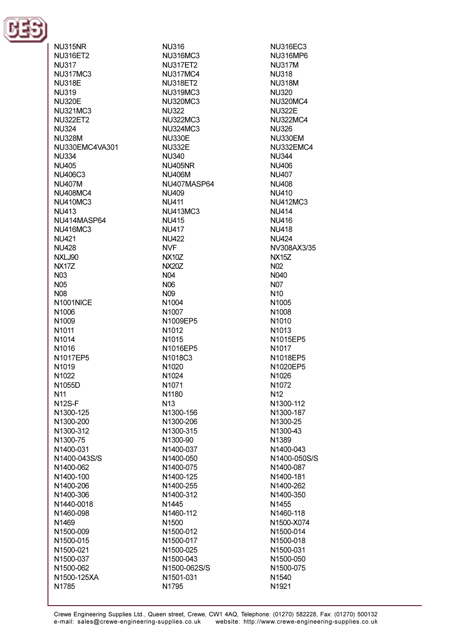

NU315NR **NU316ET2 NU317 NU317MC3 NU318E NU319 NU320F NU321MC3 NU322ET2 NU324 NLI328M** NU330EMC4VA301 NU334 NI 1405 **NU406C3 NU407M NU408MC4 NU410MC3 NU413** NU414MASP64 **NU416MC3** NI 1421 **NU428 NXL.I90 NX177 N03 N05 N08** N1001NICE N1006 N1009 N<sub>1011</sub> N<sub>1014</sub> N<sub>1016</sub> N1017EP5 N1019 N<sub>1022</sub> N1055D **N11** N<sub>12</sub>S-F N1300-125 N1300-200 N1300-312 N1300-75 N1400-031 N1400-043S/S N1400-062 N1400-100 N1400-206 N1400-306 N1440-0018 N1460-098 N<sub>1469</sub> N1500-009 N1500-015 N1500-021 N1500-037 N1500-062 N1500-125XA N1785

**NU316 NU316MC3 NU317FT2 NU317MC4 NU318ET2 NU319MC3 NU320MC3 NU322 NU322MC3 NU324MC3 NU330E NU332E** NI 1340 **NI I405NR NU406M** NU407MASP64 **NU409 NU411 NU413MC3 NU415 NU417 NU422 NVF NX10Z NX207** N04 N<sub>06</sub> N<sub>09</sub> N<sub>1004</sub> N1007 N1009EP5 N1012 N<sub>1015</sub> N1016EP5 N1018C3 N1020 N<sub>1024</sub> N1071 N1180 N<sub>13</sub> N1300-156 N1300-206 N1300-315 N1300-90 N1400-037 N1400-050 N1400-075 N1400-125 N1400-255 N1400-312 N1445 N1460-112 N<sub>1500</sub> N1500-012 N1500-017 N1500-025 N1500-043 N1500-062S/S N1501-031

**NU316EC3 NU316MP6 NU317M NU318 NU318M NU320 NU320MC4 NU322E NU322MC4 NU326 NU330EM** NU332EMC4 **NU344** NI 1406 **NU407 NU408 NU410 NU412MC3 NU414 NU416 NU418 NU424** NV308AX3/35 **NX15Z**  $N()$ N040 **N07** N<sub>10</sub> N<sub>1005</sub> N1008 N1010 N1013 N1015EP5 N<sub>1017</sub> N1018EP5 N1020EP5 N<sub>1026</sub> N1072 N<sub>12</sub> N1300-112 N1300-187 N1300-25 N1300-43 N1389 N1400-043 N1400-050S/S N1400-087 N1400-181 N1400-262 N1400-350 N1455 N1460-118 N1500-X074 N1500-014 N1500-018 N1500-031 N1500-050 N1500-075 N<sub>1540</sub> N1921

N1795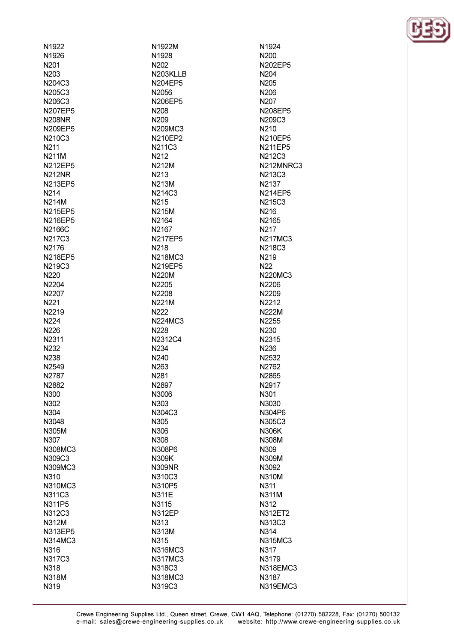| N <sub>1922</sub> | N1922M            | N <sub>1924</sub> |
|-------------------|-------------------|-------------------|
| N1926             | N <sub>1928</sub> | N200              |
| N <sub>201</sub>  | N <sub>202</sub>  | N202EP5           |
| N <sub>203</sub>  | N203KLLB          | N204              |
| N204C3            | N204EP5           | N205              |
| N205C3            | N2056             | N <sub>206</sub>  |
| N206C3            | N206EP5           | N <sub>207</sub>  |
| <b>N207EP5</b>    | N208              | N208EP5           |
| <b>N208NR</b>     | N <sub>209</sub>  | N209C3            |
| N209EP5           | N209MC3           | N <sub>210</sub>  |
| N210C3            | N210EP2           | N210EP5           |
| N <sub>2</sub> 11 | N211C3            | <b>N211EP5</b>    |
| <b>N211M</b>      | N <sub>2</sub> 12 | N212C3            |
| <b>N212EP5</b>    | <b>N212M</b>      | N212MNRC          |
| <b>N212NR</b>     | N <sub>2</sub> 13 | N213C3            |
| N213EP5           | N213M             | N2137             |
| N <sub>2</sub> 14 | N214C3            | <b>N214EP5</b>    |
| <b>N214M</b>      | N <sub>215</sub>  | N215C3            |
|                   |                   |                   |
| N215EP5           | <b>N215M</b>      | N <sub>216</sub>  |
| <b>N216EP5</b>    | N2164             | N2165             |
| N2166C            | N <sub>2167</sub> | N <sub>2</sub> 17 |
| N217C3            | <b>N217EP5</b>    | <b>N217MC3</b>    |
| N2176             | N <sub>2</sub> 18 | N218C3            |
| <b>N218EP5</b>    | N218MC3           | N <sub>2</sub> 19 |
| N219C3            | N219EP5           | N <sub>22</sub>   |
| N220              | <b>N220M</b>      | N220MC3           |
| N2204             | N2205             | N2206             |
| N2207             | N2208             | N2209             |
| N <sub>221</sub>  | N221M             | N2212             |
| N2219             | N <sub>222</sub>  | <b>N222M</b>      |
| N <sub>224</sub>  | N224MC3           | N2255             |
| N226              | N228              | N230              |
| N2311             | N2312C4           | N2315             |
| N <sub>2</sub> 32 | N <sub>2</sub> 34 | N236              |
| N <sub>2</sub> 38 | N240              | N2532             |
| N <sub>2549</sub> | N <sub>263</sub>  | N2762             |
| N2787             | N <sub>2</sub> 81 | N2865             |
| N2882             | N2897             | N2917             |
| N300              | N3006             | N301              |
| N302              | N303              | N3030             |
| N304              | N304C3            | N304P6            |
| N3048             | N305              | N305C3            |
| N305M             | N306              | <b>N306K</b>      |
| N307              | N308              | N308M             |
| N308MC3           | N308P6            | N309              |
| N309C3            | N309K             | N309M             |
| N309MC3           | <b>N309NR</b>     | N3092             |
| N310              | N310C3            | <b>N310M</b>      |
| N310MC3           | N310P5            | N311              |
| N311C3            | <b>N311E</b>      | <b>N311M</b>      |
| N311P5            | N3115             | N312              |
| N312C3            | <b>N312EP</b>     | N312ET2           |
| N312M             | N313              | N313C3            |
| N313EP5           | <b>N313M</b>      | N314              |
| N314MC3           | N315              | N315MC3           |
| N316              | N316MC3           | N317              |
| N317C3            | N317MC3           | N3179             |
| N318              | N318C3            | N318EMC3          |
| <b>N318M</b>      | N318MC3           | N3187             |
|                   |                   |                   |
| N319              | N319C3            | N319EMC3          |

5. 5. 5. RC3 ╮ 3 3 3 C3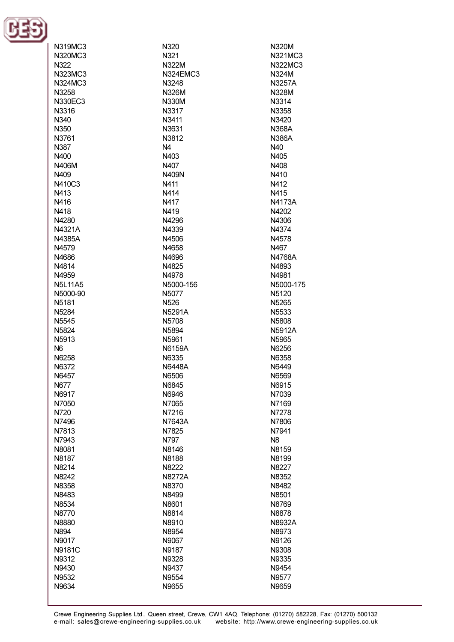

| N319MC3        | N320              | N320M          |
|----------------|-------------------|----------------|
| N320MC3        | N321              | N321MC3        |
|                |                   |                |
| N322           | N322M             | N322MC3        |
| N323MC3        | N324EMC3          | N324M          |
| N324MC3        | N3248             | N3257A         |
|                |                   |                |
| N3258          | N326M             | <b>N328M</b>   |
| N330EC3        | N330M             | N3314          |
| N3316          | N3317             | N3358          |
| N340           | N3411             | N3420          |
|                |                   |                |
| N350           | N3631             | <b>N368A</b>   |
| N3761          | N3812             | <b>N386A</b>   |
| N387           | N <sub>4</sub>    | N40            |
| N400           | N403              | N405           |
|                | N407              | N408           |
| N406M          |                   |                |
| N409           | N409N             | N410           |
| N410C3         | N411              | N412           |
| N413           | N414              | N415           |
| N416           | N417              | N4173A         |
|                |                   |                |
| N418           | N419              | N4202          |
| N4280          | N4296             | N4306          |
| N4321A         | N4339             | N4374          |
| N4385A         | N4506             | N4578          |
|                |                   |                |
| N4579          | N4658             | N467           |
| N4686          | N4696             | N4768A         |
| N4814          | N4825             | N4893          |
| N4959          | N4978             | N4981          |
| <b>N5L11A5</b> | N5000-156         | N5000-175      |
|                |                   |                |
| N5000-90       | N <sub>5077</sub> | N5120          |
| N5181          | N <sub>526</sub>  | N5265          |
| N5284          | N5291A            | N5533          |
| N5545          | N5708             | N5808          |
| N5824          | N5894             | <b>N5912A</b>  |
|                |                   | N5965          |
| N5913          | N5961             |                |
| N <sub>6</sub> | N6159A            | N6256          |
| N6258          | N6335             | N6358          |
| N6372          | N6448A            | N6449          |
| N6457          | N6506             | N6569          |
| N677           | N6845             | N6915          |
|                |                   |                |
| N6917          | N6946             | N7039          |
| N7050          | N7065             | N7169          |
| N720           | N7216             | N7278          |
| N7496          | N7643A            | N7806          |
| N7813          | N7825             | N7941          |
|                |                   |                |
| N7943          | N797              | N <sub>8</sub> |
| N8081          | N8146             | N8159          |
| N8187          | N8188             | N8199          |
| N8214          | N8222             | N8227          |
| N8242          | N8272A            | N8352          |
|                |                   |                |
| N8358          | N8370             | N8482          |
| N8483          | N8499             | N8501          |
| N8534          | N8601             | N8769          |
| N8770          | N8814             | N8878          |
| N8880          | N8910             | N8932A         |
|                |                   |                |
| N894           | N8954             | N8973          |
| N9017          | N9067             | N9126          |
| N9181C         | N9187             | N9308          |
| N9312          | N9328             | N9335          |
| N9430          | N9437             | N9454          |
|                |                   |                |
| N9532          | N9554             | N9577          |
| N9634          | N9655             | N9659          |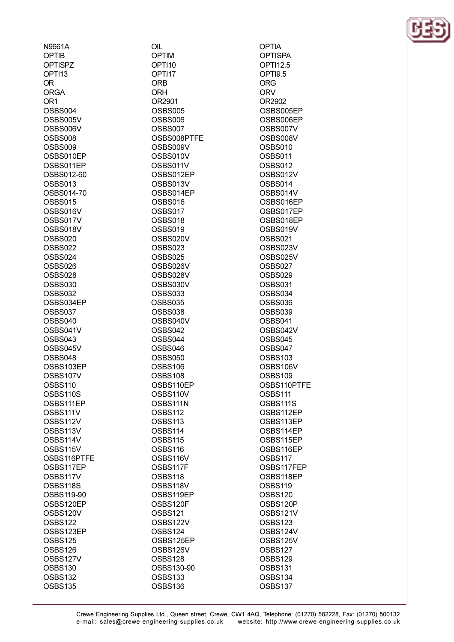| N9661A         |
|----------------|
| OPTIB          |
| <b>OPTISPZ</b> |
| OPTI13         |
| OR             |
| <b>ORGA</b>    |
| OR1            |
| OSBS004        |
| OSBS005V       |
| OSBS006V       |
| <b>OSBS008</b> |
| <b>OSBS009</b> |
| OSBS010EP      |
| OSBS011EP      |
| OSBS012-60     |
| OSBS013        |
| OSBS014-70     |
| OSBS015        |
| OSBS016V       |
| OSBS017V       |
|                |
| OSBS018V       |
| <b>OSBS020</b> |
| OSBS022        |
| OSBS024        |
| OSBS026        |
| OSBS028        |
| <b>OSBS030</b> |
| OSBS032        |
| OSBS034EP      |
| OSBS037        |
| OSBS040        |
| OSBS041V       |
| OSBS043        |
| OSBS045V       |
| OSBS048        |
| OSBS103EP      |
| OSBS107V       |
| <b>OSBS110</b> |
| OSBS110S       |
| OSBS111EP      |
| OSBS111V       |
| OSBS112V       |
| OSBS113V       |
| OSBS114V       |
| OSBS115V       |
| OSBS116PTFE    |
| OSBS117EP      |
| OSBS117V       |
| OSBS118S       |
| OSBS119-90     |
| OSBS120EP      |
| OSBS120V       |
| OSBS122        |
| OSBS123EP      |
| OSBS125        |
| OSBS126        |
| OSBS127V       |
| OSBS130        |
| OSBS132        |
| OSBS135        |
|                |

OIL **OPTIM** OPTI10 OPTI17 **ORB ORH** OR2901 OSBS005 OSBS006 OSBS007 OSBS008PTFE OSBS009V OSBS010V OSBS011V OSBS012EP OSBS013V OSBS014EP OSBS016 OSBS017 OSBS018 OSBS019 OSBS020V OSBS023 **OSBS025** OSBS026V OSBS028V OSBS030V OSBS033 OSBS035 OSBS038 OSBS040V OSBS042 OSBS044 OSBS046 **OSBS050** OSBS106 OSBS108 OSBS110EP OSBS110V OSBS111N OSBS112 OSBS113 OSBS114 OSBS115 OSBS116 OSBS116V OSBS117F OSBS118 OSBS118V OSBS119EP OSBS120F **OSBS121** OSBS122V OSBS124 OSBS125EP OSBS126V OSBS128 OSBS130-90 OSBS133 OSBS136

**OPTIA OPTISPA** OPTI12.5 OPTI9.5 ORG ORV OR2902 OSBS005EP OSBS006EP OSBS007V OSBS008V OSBS010 OSBS011 **OSBS012** OSBS012V OSBS014 OSBS014V OSBS016EP OSBS017EP OSBS018EP OSBS019V **OSBS021** OSBS023V OSBS025V OSBS027 OSBS029 OSBS031 OSBS034 OSBS036 OSBS039 OSBS041 OSBS042V OSBS045 OSBS047 OSBS103 OSBS106V OSBS109 OSBS110PTFE OSBS111 OSBS111S OSBS112EP OSBS113EP OSBS114EP OSBS115EP OSBS116EP OSBS117 OSBS117FEP OSBS118EP OSBS119 OSBS120 OSBS120P OSBS121V **OSBS123** OSBS124V OSBS125V OSBS127 OSBS129 OSBS131 OSBS134 OSBS137

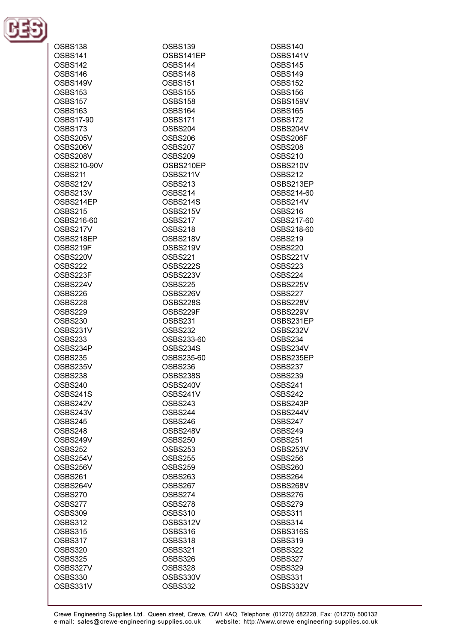

| OSBS138        | OSBS139        | OSBS140                 |
|----------------|----------------|-------------------------|
| OSBS141        | OSBS141EP      | OSBS141V                |
| OSBS142        | OSBS144        | OSBS145                 |
| OSBS146        | OSBS148        | OSBS149                 |
| OSBS149V       | <b>OSBS151</b> | OSBS152                 |
| OSBS153        | OSBS155        | OSBS156                 |
| OSBS157        | OSBS158        | OSBS159V                |
| OSBS163        | OSBS164        | OSBS165                 |
| OSBS17-90      | OSBS171        | OSBS172                 |
| OSBS173        | OSBS204        | OSBS204V                |
| OSBS205V       | OSBS206        | OSBS206F                |
| OSBS206V       | OSBS207        | OSBS208                 |
| OSBS208V       | OSBS209        | <b>OSBS210</b>          |
| OSBS210-90V    | OSBS210EP      | OSBS210V                |
| OSBS211        | OSBS211V       | OSBS212                 |
|                |                |                         |
| OSBS212V       | OSBS213        | OSBS213EP<br>OSBS214-60 |
| OSBS213V       | OSBS214        |                         |
| OSBS214EP      | OSBS214S       | OSBS214V                |
| OSBS215        | OSBS215V       | OSBS216                 |
| OSBS216-60     | OSBS217        | OSBS217-60              |
| OSBS217V       | OSBS218        | OSBS218-60              |
| OSBS218EP      | OSBS218V       | OSBS219                 |
| OSBS219F       | OSBS219V       | OSBS220                 |
| OSBS220V       | OSBS221        | OSBS221V                |
| OSBS222        | OSBS222S       | OSBS223                 |
| OSBS223F       | OSBS223V       | OSBS224                 |
| OSBS224V       | OSBS225        | OSBS225V                |
| OSBS226        | OSBS226V       | OSBS227                 |
| OSBS228        | OSBS228S       | OSBS228V                |
| OSBS229        | OSBS229F       | OSBS229V                |
| OSBS230        | OSBS231        | OSBS231EP               |
| OSBS231V       | OSBS232        | OSBS232V                |
| OSBS233        | OSBS233-60     | OSBS234                 |
| OSBS234P       | OSBS234S       | OSBS234V                |
| OSBS235        | OSBS235-60     | OSBS235EP               |
| OSBS235V       | OSBS236        | OSBS237                 |
| OSBS238        | OSBS238S       | OSBS239                 |
| OSBS240        | OSBS240V       | OSBS241                 |
| OSBS241S       | OSBS241V       | OSBS242                 |
| OSBS242V       | OSBS243        | OSBS243P                |
| OSBS243V       | OSBS244        | OSBS244V                |
| OSBS245        | OSBS246        | OSBS247                 |
| OSBS248        | OSBS248V       | OSBS249                 |
| OSBS249V       | OSBS250        | OSBS251                 |
| OSBS252        | OSBS253        | OSBS253V                |
| OSBS254V       | OSBS255        | OSBS256                 |
| OSBS256V       | OSBS259        | OSBS260                 |
| OSBS261        | OSBS263        | OSBS264                 |
| OSBS264V       | OSBS267        | OSBS268V                |
| OSBS270        | OSBS274        | OSBS276                 |
| OSBS277        | OSBS278        | OSBS279                 |
| OSBS309        | <b>OSBS310</b> | OSBS311                 |
| OSBS312        | OSBS312V       | OSBS314                 |
| <b>OSBS315</b> | OSBS316        | OSBS316S                |
| OSBS317        | OSBS318        | OSBS319                 |
| <b>OSBS320</b> | OSBS321        | OSBS322                 |
| OSBS325        | OSBS326        | OSBS327                 |
| OSBS327V       | OSBS328        | OSBS329                 |
| <b>OSBS330</b> | OSBS330V       | OSBS331                 |
| OSBS331V       | OSBS332        | OSBS332V                |
|                |                |                         |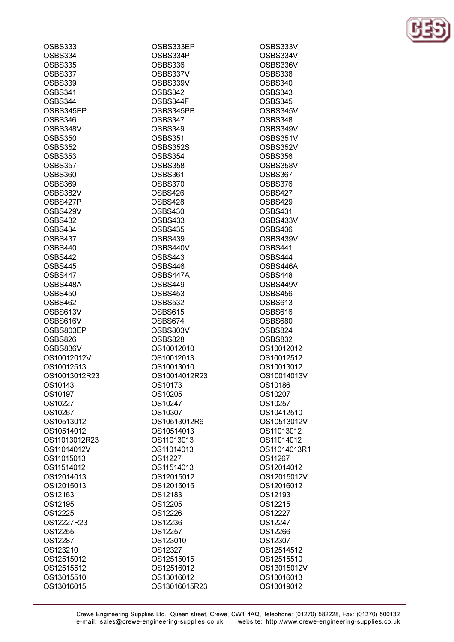| OSBS333        | OSBS333EP     |
|----------------|---------------|
| OSBS334        | OSBS334P      |
| OSBS335        | OSBS336       |
| OSBS337        | OSBS337V      |
| OSBS339        | OSBS339V      |
| OSBS341        | OSBS342       |
| OSBS344        | OSBS344F      |
| OSBS345EP      | OSBS345PB     |
| OSBS346        | OSBS347       |
| OSBS348V       | OSBS349       |
| <b>OSBS350</b> | OSBS351       |
| OSBS352        | OSBS352S      |
| OSBS353        | OSBS354       |
| OSBS357        | OSBS358       |
| OSBS360        | OSBS361       |
|                |               |
| OSBS369        | OSBS370       |
| OSBS382V       | OSBS426       |
| OSBS427P       | OSBS428       |
| OSBS429V       | OSBS430       |
| OSBS432        | OSBS433       |
| OSBS434        | OSBS435       |
| OSBS437        | OSBS439       |
| OSBS440        | OSBS440V      |
| OSBS442        | OSBS443       |
| OSBS445        | OSBS446       |
| OSBS447        | OSBS447A      |
| OSBS448A       | OSBS449       |
| OSBS450        | OSBS453       |
| OSBS462        | OSBS532       |
| OSBS613V       | OSBS615       |
| OSBS616V       | OSBS674       |
| OSBS803EP      | OSBS803V      |
| OSBS826        | OSBS828       |
| OSBS836V       | OS10012010    |
| OS10012012V    | OS10012013    |
| OS10012513     | OS10013010    |
| OS10013012R23  | OS10014012R23 |
| OS10143        | OS10173       |
| OS10197        | OS10205       |
| OS10227        | OS10247       |
| OS10267        | OS10307       |
| OS10513012     | OS10513012R6  |
| OS10514012     | OS10514013    |
| OS11013012R23  | OS11013013    |
| OS11014012V    | OS11014013    |
| OS11015013     | OS11227       |
| OS11514012     | OS11514013    |
| OS12014013     | OS12015012    |
| OS12015013     | OS12015015    |
|                |               |
| OS12163        | OS12183       |
| OS12195        | OS12205       |
| OS12225        | OS12226       |
| OS12227R23     | OS12236       |
| OS12255        | OS12257       |
| OS12287        | OS123010      |
| OS123210       | OS12327       |
| OS12515012     | OS12515015    |
| OS12515512     | OS12516012    |
| OS13015510     | OS13016012    |
| OS13016015     | OS13016015R23 |
|                |               |

OSBS333V OSBS334V OSBS336V OSBS338 OSBS340 **OSBS343** OSBS345 OSBS345V OSBS348 OSBS349V OSBS351V OSBS352V **OSBS356** OSBS358V OSBS367 OSBS376 OSBS427 OSBS429 OSBS431 OSBS433V OSBS436 OSBS439V OSBS441 OSBS444 OSBS446A OSBS448 OSBS449V OSBS456 OSBS613 OSBS616 **OSBS680** OSBS824 OSBS832 OS10012012 OS10012512 OS10013012 OS10014013V OS10186 OS10207 OS10257 OS10412510 OS10513012V OS11013012 OS11014012 OS11014013R1 OS11267 OS12014012 OS12015012V OS12016012 OS12193 OS12215 OS12227 OS12247 OS12266 OS12307 OS12514512 OS12515510 OS13015012V OS13016013 OS13019012

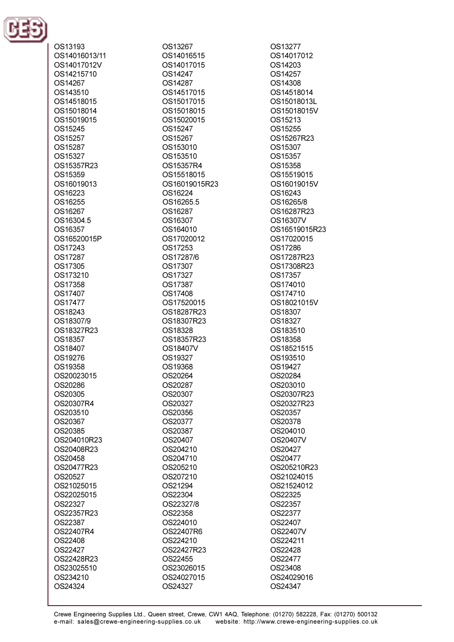

OS13193 OS14016013/11 OS14017012V OS14215710 OS14267 OS143510 OS14518015 OS15018014 OS15019015 OS15245 OS15257 OS15287 OS15327 OS15357R23 OS15359 OS16019013 OS16223 OS16255 OS16267 OS16304.5 OS16357 OS16520015P OS17243 OS17287 OS17305 OS173210 OS17358 OS17407 OS17477 OS18243 OS18307/9 OS18327R23 OS18357 OS18407 OS19276 OS19358 OS20023015 OS20286 OS20305 OS20307R4 OS203510 OS20367 OS20385 OS204010R23 OS20408R23 OS20458 OS20477R23 OS20527 OS21025015 OS22025015 OS22327 OS22357R23 OS22387 OS22407R4 OS22408 OS22427 OS22428R23 OS23025510 OS234210 OS24324

OS13267 OS14016515 OS14017015 OS14247 OS14287 OS14517015 OS15017015 OS15018015 OS15020015 OS15247 OS15267 OS153010 OS153510 OS15357R4 OS15518015 OS16019015R23 OS16224 OS16265.5 OS16287 OS16307 OS164010 OS17020012 OS17253 OS17287/6 OS17307 OS17327 OS17387 OS17408 OS17520015 OS18287R23 OS18307R23 OS18328 OS18357R23 OS18407V OS19327 OS19368 OS20264 OS20287 OS20307 OS20327 OS20356 OS20377 OS20387 OS20407 OS204210 OS204710 OS205210 OS207210 OS21294 OS22304 OS22327/8 OS22358 OS224010 OS22407R6 OS224210 OS22427R23 OS22455 OS23026015 OS24027015 OS24327

OS13277 OS14017012 OS14203 OS14257 OS14308 OS14518014 OS15018013L OS15018015V OS15213 OS15255 OS15267R23 OS15307 OS15357 OS15358 OS15519015 OS16019015V OS16243 OS16265/8 OS16287R23 OS16307V OS16519015R23 OS17020015 OS17286 OS17287R23 OS17308R23 OS17357 OS174010 OS174710 OS18021015V OS18307 OS18327 OS183510 OS18358 OS18521515 OS193510 OS19427 OS20284 OS203010 OS20307R23 OS20327R23 OS20357 OS20378 OS204010 OS20407V OS20427 OS20477 OS205210R23 OS21024015 OS21524012 OS22325 OS22357 OS22377 OS22407 OS22407V OS224211 OS22428 OS22477 OS23408 OS24029016 OS24347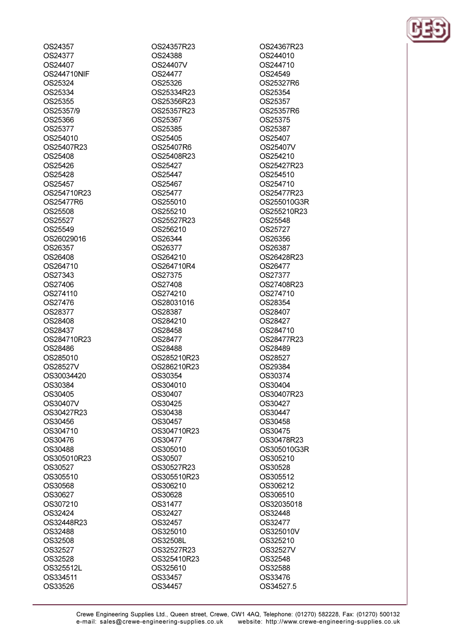OS24357 OS24377 OS24407 **OS244710NIF** OS25324 OS25334 OS25355 OS25357/9 OS25366 OS25377 OS254010 OS25407R23 OS25408 OS25426 OS25428 OS25457 OS254710R23 OS25477R6 OS25508 OS25527 OS25549 OS26029016 OS26357 OS26408 OS264710 OS27343 OS27406 OS274110 OS27476 OS28377 OS28408 OS28437 OS284710R23 OS28486 OS285010 OS28527V OS30034420 OS30384 OS30405 OS30407V OS30427R23 OS30456 OS304710 OS30476 OS30488 OS305010R23 OS30527 OS305510 OS30568 OS30627 OS307210 OS32424 OS32448R23 OS32488 OS32508 OS32527 OS32528 OS325512L OS334511 OS33526

OS24357R23 OS24388 **OS24407V** OS24477 OS25326 OS25334R23 OS25356R23 OS25357R23 OS25367 OS25385 OS25405 OS25407R6 OS25408R23 OS25427 OS25447 OS25467 OS25477 OS255010 OS255210 OS25527R23 OS256210 OS26344 OS26377 OS264210 OS264710R4 OS27375 OS27408 OS274210 OS28031016 OS28387 OS284210 OS28458 OS28477 OS28488 OS285210R23 OS286210R23 OS30354 OS304010 OS30407 OS30425 OS30438 OS30457 OS304710R23 OS30477 OS305010 OS30507 OS30527R23 OS305510R23 OS306210 OS30628 OS31477 OS32427 OS32457 OS325010 OS32508L OS32527R23 OS325410R23 OS325610 OS33457 OS34457

OS24367R23 OS244010 OS244710 OS24549 OS25327R6 OS25354 OS25357 OS25357R6 OS25375 OS25387 OS25407 OS25407V OS254210 OS25427R23 OS254510 OS254710 OS25477R23 OS255010G3R OS255210R23 OS25548 OS25727 OS26356 OS26387 OS26428R23 **OS26477** OS27377 OS27408R23 OS274710 OS28354 OS28407 OS28427 OS284710 OS28477R23 OS28489 OS28527 OS29384 OS30374 OS30404 OS30407R23 OS30427 OS30447 OS30458 OS30475 OS30478R23 OS305010G3R OS305210 OS30528 OS305512 OS306212 OS306510 OS32035018 OS32448 OS32477 OS325010V OS325210 OS32527V OS32548 OS32588 OS33476 OS34527.5

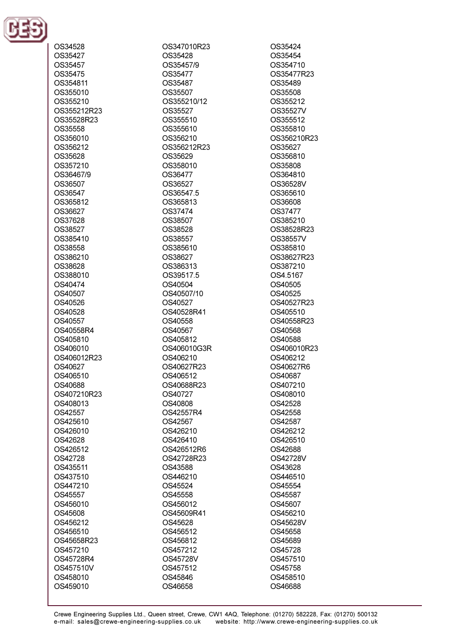

| OS34528     |
|-------------|
| OS35427     |
| OS35457     |
| OS35475     |
| OS354811    |
| OS355010    |
| OS355210    |
| OS355212R23 |
| OS35528R23  |
| OS35558     |
| OS356010    |
| OS356212    |
| OS35628     |
| OS357210    |
| OS36467/9   |
| OS36507     |
| OS36547     |
| OS365812    |
| OS36627     |
| OS37628     |
| OS38527     |
| OS385410    |
| OS38558     |
| OS386210    |
| OS38628     |
| OS388010    |
| OS40474     |
| OS40507     |
| OS40526     |
| OS40528     |
| OS40557     |
| OS40558R4   |
|             |
|             |
| OS405810    |
| OS406010    |
| OS406012R23 |
| OS40627     |
| OS406510    |
| OS40688     |
| OS407210R23 |
| OS408013    |
| OS42557     |
| OS425610    |
| OS426010    |
| OS42628     |
| OS426512    |
| OS42728     |
| OS435511    |
| OS437510    |
| OS447210    |
| OS45557     |
| OS456010    |
| OS45608     |
| OS456212    |
| OS456510    |
| OS45658R23  |
| OS457210    |
| OS45728R4   |
| OS457510V   |
| OS458010    |
| OS459010    |

OS347010R23 OS35428 OS35457/9 OS35477 OS35487 OS35507 OS355210/12 OS35527 OS355510 OS355610 OS356210 OS356212R23 OS35629 OS358010 OS36477 OS36527 OS36547.5 OS365813 OS37474 OS38507 OS38528 OS38557 OS385610 OS38627 OS386313 OS39517.5 OS40504 OS40507/10 OS40527 OS40528R41 OS40558 OS40567 OS405812 OS406010G3R OS406210 OS40627R23 OS406512 OS40688R23 OS40727 OS40808 OS42557R4 OS42567 OS426210 OS426410 OS426512R6 OS42728R23 OS43588 OS446210 OS45524 OS45558 OS456012 OS45609R41 OS45628 OS456512 OS456812 OS457212 OS45728V OS457512 OS45846 OS46658

OS35424 OS35454 OS354710 OS35477R23 OS35489 OS35508 OS355212 OS35527V OS355512 OS355810 OS356210R23 OS35627 OS356810 OS35808 OS364810 OS36528V OS365610 OS36608 OS37477 OS385210 OS38528R23 OS38557V OS385810 OS38627R23 OS387210 OS4.5167 OS40505 OS40525 OS40527R23 OS405510 OS40558R23 OS40568 OS40588 OS406010R23 OS406212 OS40627R6 OS40687 OS407210 OS408010 OS42528 OS42558 OS42587 OS426212 OS426510 OS42688 OS42728V OS43628 OS446510 OS45554 OS45587 OS45607 OS456210 OS45628V OS45658 OS45689 OS45728 OS457510 OS45758 OS458510 OS46688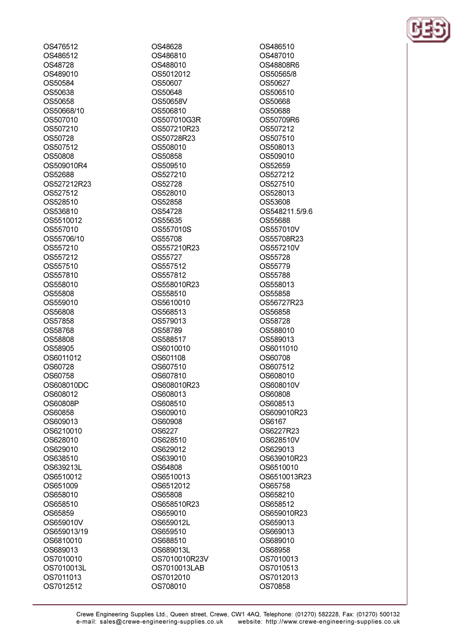OS476512 OS486512 **OS48728** OS489010 OS50584 OS50638 OS50658 OS50668/10 OS507010 OS507210 OS50728 OS507512 OS50808 OS509010R4 OS52688 OS527212R23 OS527512 OS528510 OS536810 OS5510012 OS557010 OS55706/10 OS557210 OS557212 OS557510 OS557810 OS558010 OS55808 OS559010 OS56808 OS57858 OS58768 OS58808 OS58905 OS6011012 OS60728 OS60758 OS608010DC OS608012 OS60808P OS60858 OS609013 OS6210010 OS628010 OS629010 OS638510 OS639213L OS6510012 OS651009 OS658010 OS658510 OS65859 OS659010V OS659013/19 OS6810010 OS689013 OS7010010 OS7010013L OS7011013 OS7012512

OS48628 OS486810 OS488010 OS5012012 OS50607 OS50648 OS50658V OS506810 OS507010G3R OS507210R23 OS50728R23 OS508010 OS50858 OS509510 OS527210 OS52728 OS528010 OS52858 OS54728 OS55635 OS557010S OS55708 OS557210R23 OS55727 OS557512 OS557812 OS558010R23 OS558510 OS5610010 OS568513 OS579013 OS58789 OS588517 OS6010010 OS601108 OS607510 OS607810 OS608010R23 OS608013 OS608510 OS609010 OS60908 OS6227 OS628510 OS629012 OS639010 OS64808 OS6510013 OS6512012 OS65808 OS658510R23 OS659010 OS659012L OS659510 OS688510 OS689013L OS7010010R23V OS7010013LAB OS7012010 OS708010

OS486510 OS487010 **OS48808R6** OS50565/8 OS50627 OS506510 OS50668 OS50688 OS50709R6 OS507212 OS507510 OS508013 OS509010 OS52659 OS527212 OS527510 OS528013 OS53608 OS548211.5/9.6 OS55688 OS557010V OS55708R23 OS557210V OS55728 OS55779 OS55788 OS558013 OS55858 OS56727R23 OS56858 OS58728 OS588010 OS589013 OS6011010 OS60708 OS607512 OS608010 OS608010V OS60808 OS608513 OS609010R23 OS6167 OS6227R23 OS628510V OS629013 OS639010R23 OS6510010 OS6510013R23 OS65758 OS658210 OS658512 OS659010R23 OS659013 OS669013 OS689010 OS68958 OS7010013 OS7010513 OS7012013 OS70858

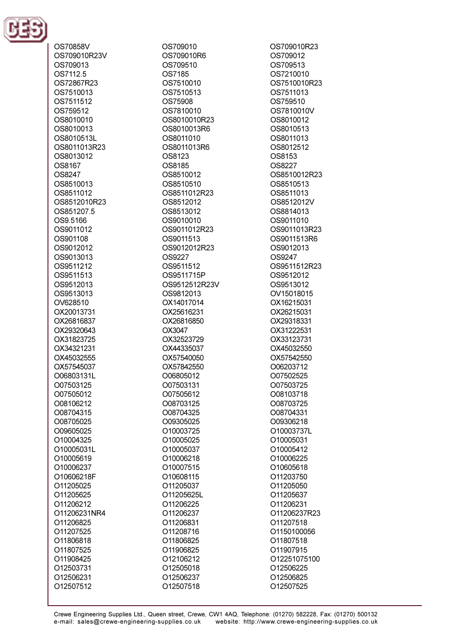

OS70858V OS709010R23V OS709013 OS7112.5 OS72867R23 OS7510013 OS7511512 OS759512 OS8010010 OS8010013 OS8010513L OS8011013R23 OS8013012 **OS8167** OS8247 OS8510013 OS8511012 OS8512010R23 OS851207.5 OS9.5166 OS9011012 OS901108 OS9012012 OS9013013 OS9511212 OS9511513 OS9512013 OS9513013 OV628510 OX20013731 OX26816837 OX29320643 OX31823725 OX34321231 OX45032555 OX57545037 O06803131L O07503125 O07505012 O08106212 O08704315 O08705025 O09605025 O10004325 O10005031L O10005619 O10006237 O10606218F O11205025 O11205625 O11206212 O11206231NR4 O11206825 O11207525 O11806818 O11807525 O11908425 O12503731 O12506231 O12507512

OS709010 OS709010R6 OS709510 OS7185 OS7510010 OS7510513 OS75908 OS7810010 OS8010010R23 OS8010013R6 OS8011010 OS8011013R6 OS8123 **OS8185** OS8510012 OS8510510 OS8511012R23 OS8512012 OS8513012 OS9010010 OS9011012R23 OS9011513 OS9012012R23 OS9227 OS9511512 OS9511715P OS9512512R23V OS9812013 OX14017014 OX25616231 OX26816850 OX3047 OX32523729 OX44335037 OX57540050 OX57842550 O06805012 O07503131 O07505612 O08703125 O08704325 O09305025 O10003725 O10005025 O10005037 O10006218 O10007515 O10608115 O11205037 O11205625L O11206225 O11206237 O11206831 O11208716 O11806825 O11906825 O12106212 O12505018 O12506237

OS709010R23 OS709012 OS709513 OS7210010 OS7510010R23 OS7511013 OS759510 OS7810010V OS8010012 OS8010513 OS8011013 OS8012512 OS8153 **OS8227** OS8510012R23 OS8510513 OS8511013 OS8512012V OS8814013 OS9011010 OS9011013R23 OS9011513R6 OS9012013 **OS9247** OS9511512R23 OS9512012 OS9513012 OV15018015 OX16215031 OX26215031 OX29318331 OX31222531 OX33123731 OX45032550 OX57542550 O06203712 O07502525 O07503725 O08103718 O08703725 O08704331 O09306218 O10003737L O10005031 O10005412 O10006225 O10605618 O11203750 O11205050 O11205637 O11206231 O11206237R23 O11207518 O1150100056 O11807518 O11907915 O12251075100 O12506225 O12506825 O12507525

O12507518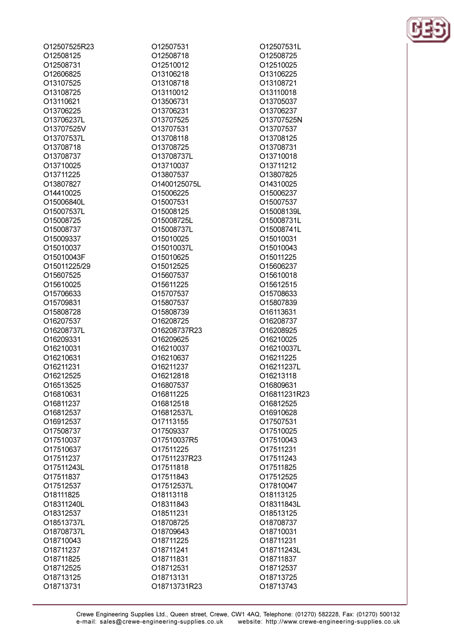| O12507525R23 |
|--------------|
| O12508125    |
| O12508731    |
| O12606825    |
| O13107525    |
| O13108725    |
|              |
| O13110621    |
| O13706225    |
| O13706237L   |
| O13707525V   |
| O13707537L   |
| O13708718    |
| O13708737    |
| O13710025    |
| O13711225    |
| O13807827    |
| O14410025    |
| O15006840L   |
| O15007537L   |
| O15008725    |
| O15008737    |
| O15009337    |
| O15010037    |
| O15010043F   |
| O15011225/29 |
| O15607525    |
| O15610025    |
|              |
| O15706633    |
| O15709831    |
| O15808728    |
| O16207537    |
| O16208737L   |
| O16209331    |
| O16210031    |
| O16210631    |
| O16211231    |
| O16212525    |
| O16513525    |
| O16810631    |
| O16811237    |
| O16812537    |
| O16912537    |
| O17508737    |
| O17510037    |
| O17510637    |
| O17511237    |
| O17511243L   |
|              |
| O17511837    |
| O17512537    |
| O18111825    |
| O18311240L   |
| O18312537    |
| O18513737L   |
| O18708737L   |
| O18710043    |
| O18711237    |
| O18711825    |
| O18712525    |
| O18713125    |

O18713731

| O12507531    |  |
|--------------|--|
| O12508718    |  |
| O12510012    |  |
| O13106218    |  |
| O13108718    |  |
| O13110012    |  |
|              |  |
| O13506731    |  |
| O13706231    |  |
| O13707525    |  |
| O13707531    |  |
| O13708118    |  |
| O13708725    |  |
| O13708737L   |  |
| O13710037    |  |
| O13807537    |  |
|              |  |
| O1400125075L |  |
| O15006225    |  |
| O15007531    |  |
| O15008125    |  |
| O15008725L   |  |
| O15008737L   |  |
| O15010025    |  |
| O15010037L   |  |
| O15010625    |  |
| O15012525    |  |
|              |  |
| O15607537    |  |
| O15611225    |  |
| O15707537    |  |
| O15807537    |  |
| O15808739    |  |
| O16208725    |  |
| O16208737R23 |  |
| O16209625    |  |
| O16210037    |  |
| O16210637    |  |
| O16211237    |  |
|              |  |
| 016212818    |  |
| O16807537    |  |
| 016811225    |  |
| O16812518    |  |
| O16812537L   |  |
| O17113155    |  |
| O17509337    |  |
| O17510037R5  |  |
| 017511225    |  |
|              |  |
| O17511237R23 |  |
| 017511818    |  |
| O17511843    |  |
| O17512537L   |  |
| O18113118    |  |
| O18311843    |  |
| 018511231    |  |
| O18708725    |  |
| O18709643    |  |
| 018711225    |  |
|              |  |
| 018711241    |  |
| O18711831    |  |
| O18712531    |  |
| O18713131    |  |
| O18713731R23 |  |

O12507531L O12508725 O12510025 O13106225 O13108721 O13110018 O13705037 O13706237 O13707525N O13707537 O13708125 O13708731 O13710018 O13711212 O13807825 O14310025 O15006237 O15007537 O15008139L O15008731L O15008741L O15010031 O15010043 O15011225 O15606237 O15610018 O15612515 O15708633 O15807839 O16113631 O16208737 O16208925 O16210025 O16210037L O16211225 O16211237L O16213118 O16809631 O16811231R23 O16812525 O16910628 O17507531 O17510025 O17510043 O17511231 O17511243 O17511825 O17512525 O17810047 O18113125 O18311843L O18513125 O18708737 O18710031 O18711231 O18711243L O18711837 O18712537 O18713725 O18713743

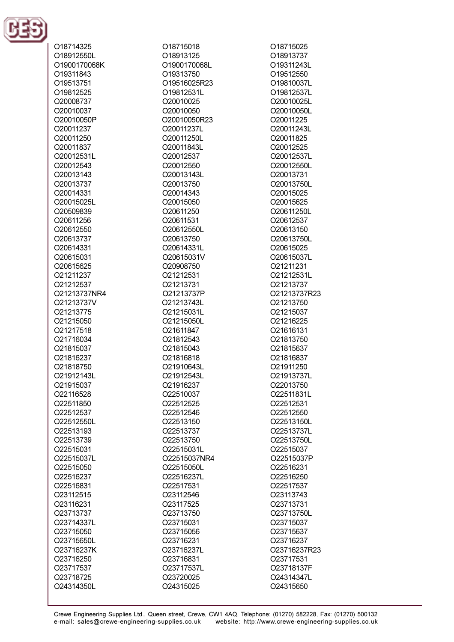

| O18714325    | O18715018    | O18715025    |
|--------------|--------------|--------------|
| O18912550L   | O18913125    | O18913737    |
| O1900170068K | O1900170068L | O19311243L   |
| O19311843    | O19313750    | O19512550    |
| O19513751    | O19516025R23 | O19810037L   |
| O19812525    | O19812531L   | O19812537L   |
| O20008737    | O20010025    | O20010025L   |
|              |              |              |
| O20010037    | O20010050    | O20010050L   |
| O20010050P   | O20010050R23 | O20011225    |
| O20011237    | O20011237L   | O20011243L   |
| O20011250    | O20011250L   | O20011825    |
| O20011837    | O20011843L   | O20012525    |
| O20012531L   | O20012537    | O20012537L   |
| O20012543    | O20012550    | O20012550L   |
| O20013143    | O20013143L   | O20013731    |
| O20013737    | O20013750    | O20013750L   |
| O20014331    | O20014343    | O20015025    |
| O20015025L   | O20015050    | O20015625    |
| O20509839    | O20611250    | O20611250L   |
| O20611256    | O20611531    | O20612537    |
| O20612550    | O20612550L   | O20613150    |
| O20613737    | O20613750    | O20613750L   |
| O20614331    | O20614331L   | O20615025    |
| O20615031    | O20615031V   | O20615037L   |
| O20615625    | O20908750    | O21211231    |
| O21211237    | O21212531    | O21212531L   |
| O21212537    | O21213731    | O21213737    |
| O21213737NR4 | O21213737P   | O21213737R23 |
| O21213737V   | O21213743L   | O21213750    |
| O21213775    | O21215031L   | O21215037    |
| O21215050    | O21215050L   | O21216225    |
| O21217518    | O21611847    | O21616131    |
| O21716034    | O21812543    | O21813750    |
| O21815037    | O21815043    | O21815637    |
| O21816237    | O21816818    | O21816837    |
| O21818750    | O21910643L   | O21911250    |
| O21912143L   | O21912543L   | O21913737L   |
|              |              | O22013750    |
| O21915037    | O21916237    | O22511831L   |
| O22116528    | O22510037    |              |
| O22511850    | O22512525    | O22512531    |
| O22512537    | O22512546    | O22512550    |
| O22512550L   | O22513150    | O22513150L   |
| O22513193    | O22513737    | O22513737L   |
| O22513739    | O22513750    | O22513750L   |
| O22515031    | O22515031L   | O22515037    |
| O22515037L   | O22515037NR4 | O22515037P   |
| O22515050    | O22515050L   | O22516231    |
| O22516237    | O22516237L   | O22516250    |
| O22516831    | O22517531    | O22517537    |
| O23112515    | O23112546    | O23113743    |
| O23116231    | O23117525    | O23713731    |
| O23713737    | O23713750    | O23713750L   |
| O23714337L   | O23715031    | O23715037    |
| O23715050    | O23715056    | O23715637    |
| O23715650L   | O23716231    | O23716237    |
| O23716237K   | O23716237L   | O23716237R23 |
| O23716250    | O23716831    | O23717531    |
| O23717537    | O23717537L   | O23718137F   |
| O23718725    | O23720025    | O24314347L   |
| O24314350L   | O24315025    | O24315650    |
|              |              |              |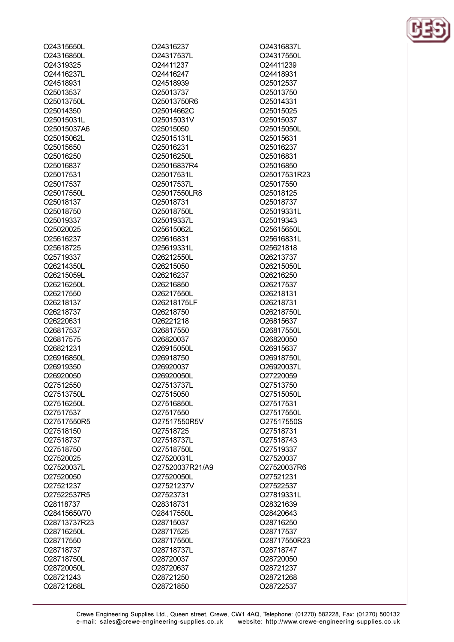O24315650L O24316850L O24319325 O24416237L O24518931 O<sub>25013537</sub> O25013750L O25014350 O25015031L O25015037A6 O25015062L O25015650 O25016250 O25016837 O25017531 O<sub>25017537</sub> O25017550L O25018137 O25018750 O25019337 O25020025 O25616237 O25618725 O25719337 O26214350L O26215059L O26216250L O26217550 O26218137 O26218737 O26220631 O26817537 O26817575 O26821231 O26916850L O26919350 O26920050 O27512550 O27513750L O27516250L O27517537 O27517550R5 O27518150 O27518737 O27518750 O27520025 O27520037L O27520050 O27521237 O27522537R5 O28118737 O28415650/70 O28713737R23 O28716250L O28717550 O28718737 O28718750L O28720050L O28721243

O28721268L

O24316237 O24317537L O24411237 O24416247 O24518939 O25013737 O25013750R6 O25014662C O25015031V O25015050 O25015131L O25016231 O25016250L O25016837R4 O25017531L O25017537L O25017550LR8 O25018731 O25018750L O25019337L O25615062L O25616831 O25619331L O26212550L O26215050 O26216237 O26216850 O26217550L O26218175LF O26218750 O26221218 O26817550 O26820037 O26915050L O26918750 O26920037 O26920050L O27513737L O27515050 O27516850L O27517550 O27517550R5V O27518725 O27518737L O27518750L O27520031L O27520037R21/A9 O27520050L O27521237V O27523731 O28318731 O28417550L O28715037 O28717525 O28717550L O28718737L O28720037 O28720637 O28721250 O28721850

O24316837L O24317550L 024411239 O24418931 O25012537 O<sub>25013750</sub> O25014331 O25015025 O25015037 O25015050L O25015631 O25016237 O25016831 O25016850 O25017531R23 O25017550 O25018125 O25018737 O25019331L O25019343 O25615650L O25616831L O25621818 O26213737 O26215050L O26216250 O26217537 O26218131 O26218731 O26218750L O26815637 O26817550L O26820050 O26915637 O26918750L O26920037L O27220059 O27513750 O27515050L O27517531 O27517550L O27517550S O27518731 O27518743 O27519337 O27520037 O27520037R6 O27521231 O27522537 O27819331L O28321639 O28420643 O28716250 O28717537 O28717550R23 O28718747 O28720050 O28721237 O28721268 O28722537

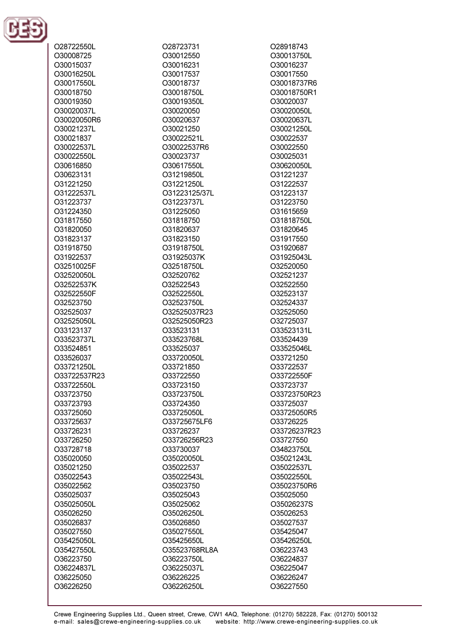

| O28722550L             |
|------------------------|
| O30008725              |
| O30015037              |
| O30016250L             |
| O30017550L             |
| O30018750              |
| O30019350              |
|                        |
| O30020037L             |
| O30020050R6            |
| O30021237L             |
| O30021837              |
| O30022537L             |
| O30022550L             |
| O30616850              |
| O30623131              |
| O31221250              |
| O31222537L             |
|                        |
| O31223737              |
| O31224350              |
| O31817550              |
| O31820050              |
| O31823137              |
| O31918750              |
| O31922537              |
| O32510025F             |
| O32520050L             |
| O32522537K             |
|                        |
| O32522550F             |
| O32523750              |
| O32525037              |
| O32525050L             |
| O33123137              |
| O33523737L             |
| O33524851              |
| O33526037              |
| O33721250L             |
| O33722537R23           |
| O33722550L             |
|                        |
| O33723750              |
| O33723793              |
| O33725050              |
| O33725637              |
| O33726231              |
| O33726250              |
| O33728718              |
|                        |
|                        |
| O35020050              |
| O35021250              |
| O35022543              |
| O35022562              |
| O35025037              |
| O35025050L             |
| O35026250              |
| O35026837              |
| O35027550              |
| O35425050L             |
| O35427550L             |
|                        |
| O36223750              |
| O36224837L             |
| O36225050<br>O36226250 |

O28723731 O30012550 O30016231 O30017537 O30018737 O30018750L O30019350L O30020050 O30020637 O30021250 O30022521L O30022537R6 O30023737 030617550L O31219850L O31221250L O31223125/37L O31223737L O31225050 O31818750 O31820637 O31823150 O31918750L O31925037K O32518750L O32520762 O32522543 O32522550L O32523750L O32525037R23 O32525050R23 O33523131 O33523768L O33525037 O33720050L O33721850 O33722550 O33723150 O33723750L O33724350 O33725050L O33725675LF6 O33726237 O33726256R23 O33730037 O35020050L O35022537 O35022543L O35023750 O35025043 O35025062 O35026250L O35026850 O35027550L O35425650L O35523768RL8A O36223750L O36225037L O36226225 O36226250L

O28918743 O30013750L O30016237 O30017550 O30018737R6 O30018750R1 O30020037 O30020050L O30020637L O30021250L O30022537 O30022550 O30025031 O30620050L O31221237 O31222537 O31223137 O31223750 O31615659 O31818750L O31820645 O31917550 O31920687 O31925043L O32520050 O32521237 O32522550 O32523137 O32524337 O32525050 O32725037 O33523131L O33524439 O33525046L O33721250 O33722537 O33722550F O33723737 O33723750R23 O33725037 O33725050R5 O33726225 O33726237R23 O33727550 O34823750L O35021243L O35022537L O35022550L O35023750R6 O35025050 O35026237S O35026253 O35027537 O35425047 O35426250L O36223743 O36224837 O36225047 O36226247 O36227550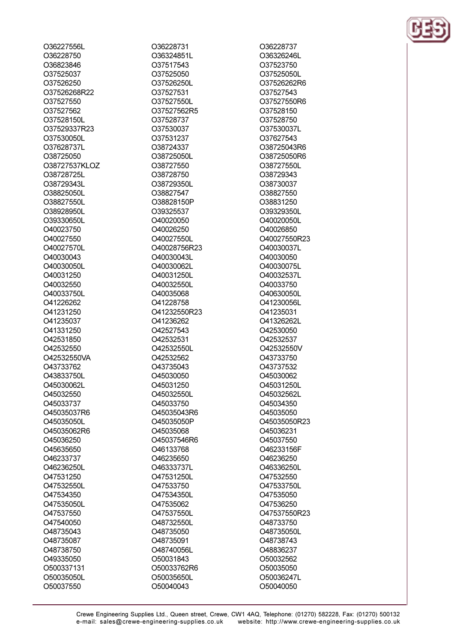O36227556L O36228750 036823846 O37525037 O37526250 O37526268R22 O37527550 O37527562 O37528150L O37529337R23 O37530050L O37628737L O38725050 O38727537KLOZ O38728725L O38729343L O38825050L O38827550L O38928950L O39330650L O40023750 O40027550 O40027570L O40030043 O40030050L O40031250 O40032550 O40033750L O41226262 O41231250 O41235037 O41331250 O42531850 O42532550 O42532550VA O43733762 O43833750L O45030062L O45032550 O45033737 O45035037R6 O45035050L O45035062R6 O45036250 O45635650 O46233737 O46236250L O47531250 O47532550L O47534350 O47535050L O47537550 O47540050 O48735043 O48735087 O48738750 O49335050 O500337131 O50035050L O50037550

O36228731 O36324851L O37517543 O37525050 O37526250L O37527531 O37527550L O37527562R5 O37528737 O37530037 O37531237 O38724337 O38725050L O38727550 O38728750 O38729350L O38827547 O38828150P O39325537 O40020050 O40026250 O40027550L O40028756R23 O40030043L 0400300621 O40031250L O40032550L O40035068 O41228758 O41232550R23 O41236262 O42527543 O42532531 O42532550L O42532562 O43735043 O45030050 O45031250 O45032550L O45033750 O45035043R6 O45035050P O45035068 O45037546R6 O46133768 O46235650 O46333737L O47531250L O47533750 O47534350L O47535062 O47537550L O48732550L O48735050 O48735091 O48740056L O50031843 O50033762R6 O50035650L O50040043

O36228737 O36326246L O37523750 O37525050L O37526262R6 O37527543 O37527550R6 O37528150 O37528750 O37530037L O37627543 O38725043R6 O38725050R6 038727550L O38729343 O38730037 O38827550 O38831250 O39329350L O40020050L O40026850 O40027550R23 O40030037L O40030050 040030075L O40032537L O40033750 O40630050L O41230056L O41235031 O41326262L O42530050 O42532537 O42532550V O43733750 O43737532 O45030062 O45031250L O45032562L O45034350 O45035050 O45035050R23 O45036231 O45037550 O46233156F O46236250 O46336250L O47532550 O47533750L O47535050 O47536250 O47537550R23 O48733750 O48735050L O48738743 O48836237 O50032562 O50035050 O50036247L O50040050

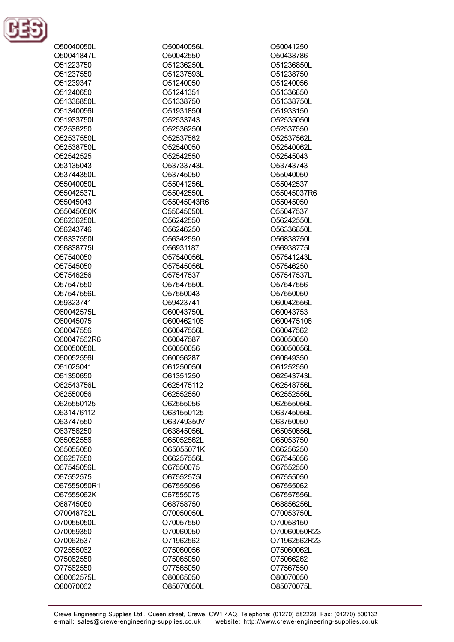

| O50040050L  | O50040056L  | O50041250    |
|-------------|-------------|--------------|
| O50041847L  | O50042550   | O50438786    |
| O51223750   | O51236250L  | O51236850L   |
| O51237550   | O51237593L  | O51238750    |
| O51239347   | O51240050   | O51240056    |
| O51240650   | O51241351   | O51336850    |
| O51336850L  | O51338750   | O51338750L   |
| O51340056L  | O51931850L  | O51933150    |
| O51933750L  | O52533743   | O52535050L   |
| O52536250   | O52536250L  | O52537550    |
| O52537550L  | O52537562   | O52537562L   |
| O52538750L  | O52540050   | O52540062L   |
| O52542525   | O52542550   | O52545043    |
| O53135043   | O53733743L  | O53743743    |
| O53744350L  | O53745050   | O55040050    |
| O55040050L  | O55041256L  | O55042537    |
|             | O55042550L  |              |
| O55042537L  |             | O55045037R6  |
| O55045043   | O55045043R6 | O55045050    |
| O55045050K  | O55045050L  | O55047537    |
| O56236250L  | O56242550   | O56242550L   |
| O56243746   | O56246250   | O56336850L   |
| O56337550L  | O56342550   | O56838750L   |
| O56838775L  | O56931187   | O56938775L   |
| O57540050   | O57540056L  | O57541243L   |
| O57545050   | O57545056L  | O57546250    |
| O57546256   | O57547537   | O57547537L   |
| O57547550   | O57547550L  | O57547556    |
| O57547556L  | O57550043   | O57550050    |
| O59323741   | O59423741   | O60042556L   |
| O60042575L  | O60043750L  | O60043753    |
| O60045075   | O600462106  | O600475106   |
| O60047556   | O60047556L  | O60047562    |
| O60047562R6 | O60047587   | O60050050    |
| O60050050L  | O60050056   | O60050056L   |
| O60052556L  | O60056287   | O60649350    |
| O61025041   | O61250050L  | O61252550    |
| O61350650   | O61351250   | O62543743L   |
| O62543756L  | O625475112  | O62548756L   |
| O62550056   | O62552550   | O62552556L   |
| O625550125  | O62555056   | O62555056L   |
| O631476112  | O631550125  | O63745056L   |
| O63747550   | O63749350V  | O63750050    |
| O63756250   | O63845056L  | O65050656L   |
| O65052556   | O65052562L  | O65053750    |
| O65055050   | O65055071K  | O66256250    |
| O66257550   | O66257556L  | O67545056    |
| O67545056L  | O67550075   | O67552550    |
| O67552575   | O67552575L  | O67555050    |
| O67555050R1 | O67555056   | O67555062    |
| O67555062K  | O67555075   | O67557556L   |
| O68745050   | O68758750   | O68856256L   |
|             |             |              |
| O70048762L  | O70050050L  | O70053750L   |
| O70055050L  | O70057550   | O70058150    |
| O70059350   | O70060050   | O70060050R23 |
| O70062537   | O71962562   | O71962562R23 |
| O72555062   | O75060056   | O75060062L   |
| O75062550   | O75065050   | O75066262    |
| O77562550   | O77565050   | O77567550    |
| O80062575L  | O80065050   | O80070050    |
| O80070062   | O85070050L  | O85070075L   |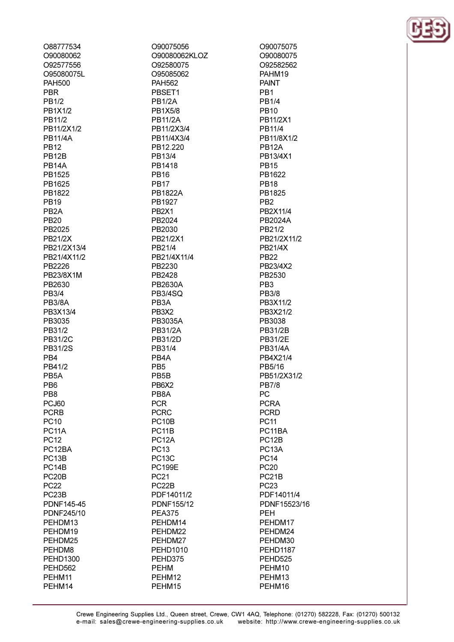| O88777534          |
|--------------------|
| O90080062          |
|                    |
| O92577556          |
| O95080075L         |
| <b>PAH500</b>      |
| PBR                |
| <b>PB1/2</b>       |
| PB1X1/2            |
| PB11/2             |
|                    |
| PB11/2X1/2         |
| <b>PB11/4A</b>     |
| <b>PB12</b>        |
| PB12B              |
| PB14A              |
| PB1525             |
| PB1625             |
| PB1822             |
| PB19               |
| PB <sub>2</sub> A  |
| <b>PB20</b>        |
|                    |
| PB2025             |
| PB21/2X            |
| PB21/2X13/4        |
| PB21/4X11/2        |
| PB2226             |
| PB23/8X1M          |
| PB2630             |
| PB3/4              |
| <b>PB3/8A</b>      |
| PB3X13/4           |
|                    |
| PB3035             |
| PB31/2             |
| PB31/2C            |
| PB31/2S            |
| PB4                |
| PB41/2             |
| PB <sub>5</sub> A  |
| PB6                |
|                    |
| PB8                |
| PCJ60              |
| <b>PCRB</b>        |
| <b>PC10</b>        |
| PC11A              |
| <b>PC12</b>        |
| PC12BA             |
| PC13B              |
| PC14B              |
| PC <sub>20</sub> B |
|                    |
| <b>PC22</b>        |
| PC <sub>23</sub> B |
| PDNF145-45         |
| PDNF245/10         |
| PEHDM13            |
| PEHDM19            |
| PEHDM25            |
| PEHDM8             |
| <b>PEHD1300</b>    |
| PEHD562            |
|                    |
| PEHM11             |
| PEHM14             |

O90075056 O90080062KLOZ O92580075 O95085062 **PAH562** PBSET1 **PB1/2A PB1X5/8 PB11/2A** PB11/2X3/4 PB11/4X3/4 PB12.220 PB13/4 PR1418 **PR16 PB17 PB1822A** PB1927 PB<sub>2</sub>X<sub>1</sub> PB2024 PB2030 PB21/2X1 PB21/4 PB21/4X11/4 PR2230 PB2428 PB2630A **PB3/4SQ** PB<sub>3</sub>A PB<sub>3</sub>X<sub>2</sub> PB3035A **PB31/2A** PB31/2D PB31/4 PB<sub>4</sub>A PB<sub>5</sub> PB<sub>5</sub>B PB<sub>6</sub>X<sub>2</sub> PB8A **PCR PCRC** PC<sub>10</sub>B PC<sub>11</sub>B PC<sub>12</sub>A **PC13 PC13C PC199E PC21** PC<sub>22</sub>B PDF14011/2 PDNF155/12 **PEA375** PEHDM14 PEHDM22 PEHDM27 **PEHD1010** PEHD375 **PEHM** PEHM12

PEHM15

O90075075 O90080075 O92582562 PAHM19 **PAINT** PB<sub>1</sub> **PB1/4 PB10** PB11/2X1 PB11/4 PB11/8X1/2 **PB12A** PB13/4X1 **PR15** PB1622 **PB18** PB1825 PB<sub>2</sub> PB2X11/4 **PB2024A** PB21/2 PB21/2X11/2 **PB21/4X PB22** PB23/4X2 PB2530 PB<sub>3</sub> **PB3/8** PB3X11/2 PB3X21/2 PB3038 PB31/2B PB31/2E **PB31/4A** PB4X21/4 PB5/16 PB51/2X31/2 **PB7/8** PC **PCRA PCRD PC11** PC11BA PC<sub>12</sub>B PC<sub>13</sub>A **PC14 PC20** PC<sub>21</sub>B **PC23** PDF14011/4 PDNF15523/16 **PEH** PEHDM17 PEHDM24 PEHDM30 **PEHD1187** PEHD525 PEHM10 PEHM13 PEHM16

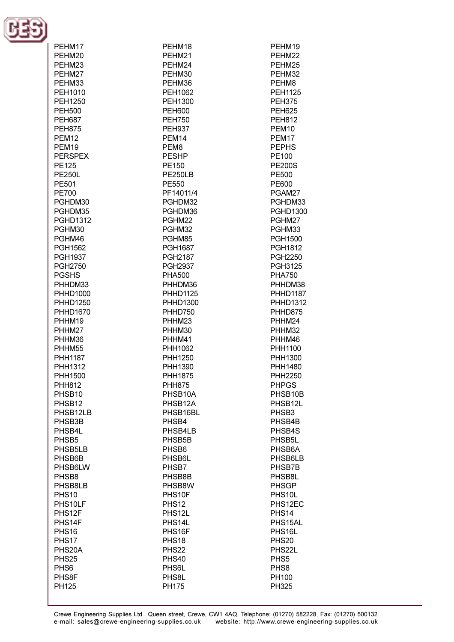

| PEHM17             | PEHM <sub>18</sub>  | PEHM19               |
|--------------------|---------------------|----------------------|
| PEHM20             | PEHM21              | PEHM22               |
| PEHM23             | PEHM24              | PEHM25               |
| PEHM27             | PEHM30              | PEHM32               |
| PEHM33             | PEHM36              | PEHM8                |
| PEH1010            | PEH1062             | <b>PEH1125</b>       |
| PEH1250            | PEH1300             | <b>PEH375</b>        |
| <b>PEH500</b>      | <b>PEH600</b>       | <b>PEH625</b>        |
| <b>PEH687</b>      | <b>PEH750</b>       | <b>PEH812</b>        |
| <b>PEH875</b>      | <b>PEH937</b>       | PEM <sub>10</sub>    |
| <b>PEM12</b>       | PEM <sub>14</sub>   | PEM17                |
| PEM19              | PEM <sub>8</sub>    | <b>PEPHS</b>         |
| <b>PERSPEX</b>     | <b>PESHP</b>        | PE100                |
| <b>PE125</b>       | PE150               | <b>PE200S</b>        |
| <b>PE250L</b>      | PE250LB             | PE500                |
| PE501              |                     |                      |
| <b>PE700</b>       | PE550<br>PF14011/4  | PE600<br>PGAM27      |
|                    |                     |                      |
| PGHDM30            | PGHDM32             | PGHDM33              |
| PGHDM35            | PGHDM36             | <b>PGHD1300</b>      |
| <b>PGHD1312</b>    | PGHM22              | PGHM27               |
| PGHM30             | PGHM32              | PGHM33               |
| PGHM46             | PGHM85              | <b>PGH1500</b>       |
| <b>PGH1562</b>     | <b>PGH1687</b>      | PGH1812              |
| <b>PGH1937</b>     | <b>PGH2187</b>      | <b>PGH2250</b>       |
| <b>PGH2750</b>     | <b>PGH2937</b>      | <b>PGH3125</b>       |
| <b>PGSHS</b>       | <b>PHA500</b>       | <b>PHA750</b>        |
| PHHDM33            | PHHDM36             | PHHDM38              |
| <b>PHHD1000</b>    | <b>PHHD1125</b>     | <b>PHHD1187</b>      |
| <b>PHHD1250</b>    | PHHD1300            | <b>PHHD1312</b>      |
| <b>PHHD1670</b>    | PHHD750             | PHHD875              |
| PHHM19             | PHHM23              | PHHM24               |
| PHHM27             | PHHM30              | PHHM32               |
| PHHM36             | PHHM41              | PHHM46               |
| PHHM55             | PHH1062             | PHH1100              |
| <b>PHH1187</b>     | PHH1250             | PHH1300              |
| PHH1312            | PHH1390             | <b>PHH1480</b>       |
| PHH1500            | PHH1875             | PHH2250              |
| <b>PHH812</b>      | <b>PHH875</b>       | <b>PHPGS</b>         |
| PHSB <sub>10</sub> | PHSB10A             | PHSB10B              |
| PHSB <sub>12</sub> | PHSB12A             | PHSB <sub>12</sub> L |
| PHSB12LB           | PHSB16BL            | PHSB <sub>3</sub>    |
| PHSB3B             | PHSB4               | PHSB4B               |
| PHSB4L             | PHSB4LB             | PHSB4S               |
| PHSB <sub>5</sub>  | PHSB <sub>5</sub> B | PHSB5L               |
| PHSB5LB            | PHSB6               | PHSB6A               |
| PHSB6B             | PHSB6L              | PHSB6LB              |
| PHSB6LW            | PHSB7               | PHSB7B               |
| PHSB8              | PHSB8B              | PHSB8L               |
| PHSB8LB            | PHSB8W              | <b>PHSGP</b>         |
| <b>PHS10</b>       | PHS10F              | PHS10L               |
| PHS10LF            | <b>PHS12</b>        | PHS12EC              |
| PHS12F             | PHS12L              | PHS <sub>14</sub>    |
| PHS14F             | PHS14L              | PHS15AL              |
| PHS <sub>16</sub>  | PHS16F              | PHS <sub>16</sub> L  |
| PHS17              | PHS <sub>18</sub>   | <b>PHS20</b>         |
| PHS20A             | <b>PHS22</b>        | PHS22L               |
| PHS <sub>25</sub>  | <b>PHS40</b>        | PHS <sub>5</sub>     |
| PHS <sub>6</sub>   | PHS6L               | PHS <sub>8</sub>     |
| PHS8F              | PHS8L               | PH100                |
| PH125              | <b>PH175</b>        | PH325                |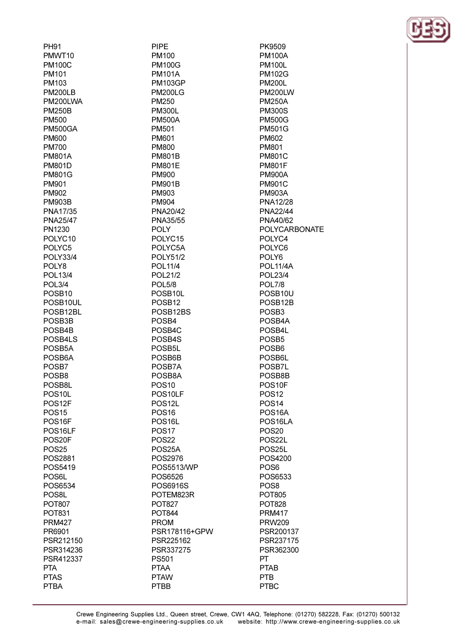| <b>PH91</b>         | PIPE                |
|---------------------|---------------------|
| PMWT10              | PM100               |
| <b>PM100C</b>       | <b>PM100G</b>       |
| PM101               | <b>PM101A</b>       |
| PM103               | <b>PM103GP</b>      |
| <b>PM200LB</b>      | <b>PM200LG</b>      |
| PM200LWA            | <b>PM250</b>        |
| <b>PM250B</b>       | <b>PM300L</b>       |
| <b>PM500</b>        | <b>PM500A</b>       |
| <b>PM500GA</b>      | PM501               |
| <b>PM600</b>        | PM601               |
| <b>PM700</b>        | <b>PM800</b>        |
| <b>PM801A</b>       | <b>PM801B</b>       |
| <b>PM801D</b>       | <b>PM801E</b>       |
| <b>PM801G</b>       | PM900               |
| PM901               | <b>PM901B</b>       |
| PM902               | PM903               |
| <b>PM903B</b>       | PM904               |
| PNA17/35            | PNA20/42            |
| <b>PNA25/47</b>     | PNA35/55            |
| PN1230              | <b>POLY</b>         |
| POLYC10             | POLYC15             |
| POLYC <sub>5</sub>  | POLYC5A             |
| <b>POLY33/4</b>     | <b>POLY51/2</b>     |
| POLY8               | POL11/4             |
| POL13/4             | POL21/2             |
| POL3/4              | <b>POL5/8</b>       |
| POSB <sub>10</sub>  | POSB10L             |
| POSB10UL            | POSB <sub>12</sub>  |
| POSB12BL            | POSB12BS            |
| POSB3B              | POSB4               |
| POSB4B              | POSB4C              |
| POSB4LS             | POSB4S              |
| POSB <sub>5</sub> A | POSB5L              |
| POSB <sub>6</sub> A | POSB6B              |
| POSB7               | POSB7A              |
| POSB8               | POSB8A              |
| POSB8L              | <b>POS10</b>        |
| POS <sub>10</sub> L | POS10LF             |
| POS12F              | POS <sub>12</sub> L |
| <b>POS15</b>        | <b>POS16</b>        |
| POS <sub>16F</sub>  | POS <sub>16</sub> L |
| POS16LF             | <b>POS17</b>        |
| POS20F              | <b>POS22</b>        |
|                     |                     |
| <b>POS25</b>        | POS25A<br>POS2976   |
| POS2881             |                     |
| POS5419             | POS5513/WP          |
| POS6L               | POS6526             |
| POS6534             | POS6916S            |
| POS8L               | POTEM823R           |
| <b>POT807</b>       | <b>POT827</b>       |
| <b>POT831</b>       | <b>POT844</b>       |
| <b>PRM427</b>       | <b>PROM</b>         |
| PR6901              | PSR178116+GPW       |
| PSR212150           | PSR225162           |
| PSR314236           | PSR337275           |
| PSR412337           | <b>PS501</b>        |
| <b>PTA</b>          | <b>PTAA</b>         |
| <b>PTAS</b>         | <b>PTAW</b>         |
| <b>PTBA</b>         | <b>PTBB</b>         |

**PM100A PM100L PM102G PM200L PM200LW PM250A PM300S PM500G PM501G PM602 PM801 PM801C PM801F PM900A PM901C PM903A PNA12/28 PNA22/44** PNA40/62 **POLYCARBONATE** POLYC4 POLYC6 POLY6 **POL11/4A POL23/4 POL7/8** POSB10U POSB12B POSB<sub>3</sub> POSB4A POSB4L POSB<sub>5</sub> POSB<sub>6</sub> POSB6L POSB7L POSB8B POS10F **POS12 POS14** POS<sub>16</sub>A POS<sub>16LA</sub> **POS20** POS22L POS25L POS4200 POS<sub>6</sub> POS6533 POS<sub>8</sub> **POT805 POT828 PRM417 PRW209** PSR200137 PSR237175 PSR362300 **PT PTAB** PTB **PTBC** 

PK9509

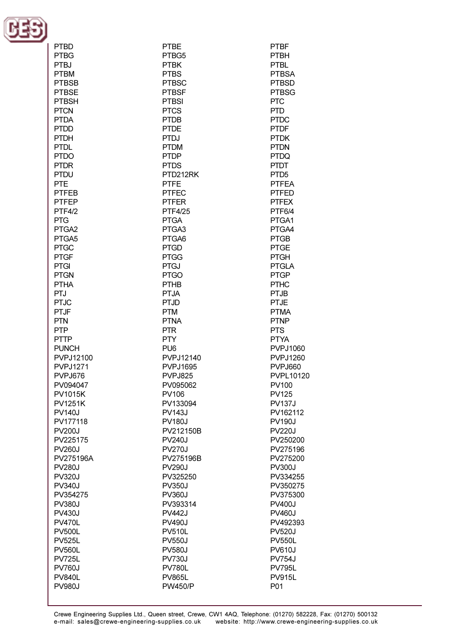

| <b>PTBD</b>     | <b>PTBE</b>     | <b>PTBF</b>      |
|-----------------|-----------------|------------------|
| <b>PTBG</b>     | PTBG5           | PTBH             |
| <b>PTBJ</b>     | <b>PTBK</b>     | <b>PTBL</b>      |
| <b>PTBM</b>     | <b>PTBS</b>     | <b>PTBSA</b>     |
| <b>PTBSB</b>    | <b>PTBSC</b>    | <b>PTBSD</b>     |
| <b>PTBSE</b>    | <b>PTBSF</b>    | <b>PTBSG</b>     |
| <b>PTBSH</b>    | <b>PTBSI</b>    | <b>PTC</b>       |
| <b>PTCN</b>     | <b>PTCS</b>     | <b>PTD</b>       |
| <b>PTDA</b>     | <b>PTDB</b>     | <b>PTDC</b>      |
| <b>PTDD</b>     | <b>PTDE</b>     | <b>PTDF</b>      |
| <b>PTDH</b>     | <b>PTDJ</b>     | <b>PTDK</b>      |
| <b>PTDL</b>     | <b>PTDM</b>     | <b>PTDN</b>      |
| <b>PTDO</b>     | <b>PTDP</b>     | <b>PTDQ</b>      |
| <b>PTDR</b>     | <b>PTDS</b>     | <b>PTDT</b>      |
| <b>PTDU</b>     | PTD212RK        | PTD <sub>5</sub> |
| <b>PTE</b>      | <b>PTFE</b>     | <b>PTFEA</b>     |
| <b>PTFEB</b>    | <b>PTFEC</b>    | <b>PTFED</b>     |
| <b>PTFEP</b>    | <b>PTFER</b>    | <b>PTFEX</b>     |
| <b>PTF4/2</b>   | <b>PTF4/25</b>  | PTF6/4           |
| <b>PTG</b>      | <b>PTGA</b>     | PTGA1            |
| PTGA2           | PTGA3           | PTGA4            |
| PTGA5           | PTGA6           | <b>PTGB</b>      |
| <b>PTGC</b>     | <b>PTGD</b>     | <b>PTGE</b>      |
| <b>PTGF</b>     | <b>PTGG</b>     | <b>PTGH</b>      |
| <b>PTGI</b>     | <b>PTGJ</b>     | <b>PTGLA</b>     |
| <b>PTGN</b>     | <b>PTGO</b>     | <b>PTGP</b>      |
| <b>PTHA</b>     | <b>PTHB</b>     | <b>PTHC</b>      |
| PTJ             | <b>PTJA</b>     | <b>PTJB</b>      |
| <b>PTJC</b>     | <b>PTJD</b>     | <b>PTJE</b>      |
| <b>PTJF</b>     | <b>PTM</b>      | <b>PTMA</b>      |
| <b>PTN</b>      | <b>PTNA</b>     | <b>PTNP</b>      |
| <b>PTP</b>      | <b>PTR</b>      | <b>PTS</b>       |
| <b>PTTP</b>     | <b>PTY</b>      | <b>PTYA</b>      |
| <b>PUNCH</b>    | PU <sub>6</sub> | <b>PVPJ1060</b>  |
| PVPJ12100       | PVPJ12140       | <b>PVPJ1260</b>  |
| <b>PVPJ1271</b> | <b>PVPJ1695</b> | PVPJ660          |
| PVPJ676         | PVPJ825         | PVPL10120        |
| PV094047        | PV095062        | PV100            |
| <b>PV1015K</b>  | PV106           | <b>PV125</b>     |
| <b>PV1251K</b>  | PV133094        | <b>PV137J</b>    |
| <b>PV140J</b>   | <b>PV143J</b>   | PV162112         |
| PV177118        | <b>PV180J</b>   | <b>PV190J</b>    |
| <b>PV200J</b>   | PV212150B       | <b>PV220J</b>    |
| PV225175        | <b>PV240J</b>   | PV250200         |
| <b>PV260J</b>   | <b>PV270J</b>   | PV275196         |
| PV275196A       | PV275196B       | PV275200         |
| <b>PV280J</b>   | <b>PV290J</b>   | <b>PV300J</b>    |
| <b>PV320J</b>   | PV325250        | PV334255         |
| <b>PV340J</b>   | <b>PV350J</b>   | PV350275         |
| PV354275        | <b>PV360J</b>   | PV375300         |
| <b>PV380J</b>   | PV393314        | <b>PV400J</b>    |
| <b>PV430J</b>   | <b>PV442J</b>   | <b>PV460J</b>    |
| <b>PV470L</b>   | <b>PV490J</b>   | PV492393         |
| <b>PV500L</b>   | <b>PV510L</b>   | <b>PV520J</b>    |
| <b>PV525L</b>   | <b>PV550J</b>   | <b>PV550L</b>    |
| <b>PV560L</b>   | <b>PV580J</b>   | <b>PV610J</b>    |
| <b>PV725L</b>   | <b>PV730J</b>   | <b>PV754J</b>    |
| <b>PV760J</b>   | <b>PV780L</b>   | <b>PV795L</b>    |
| <b>PV840L</b>   | <b>PV865L</b>   | <b>PV915L</b>    |
| <b>PV980J</b>   | <b>PW450/P</b>  | P01              |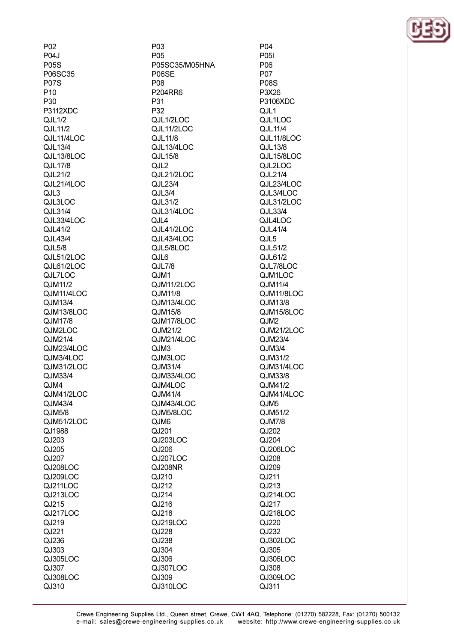P<sub>02</sub> P04. **P05S** P06SC35 **P07S** P<sub>10</sub> **P30** P3112XDC  $QJL1/2$ QJL11/2 **QJL11/4LOC** QJL13/4 QJL13/8LOC  $Q<sub>II</sub> 17/8$ QJL21/2 **QJL21/4LOC** QJL3 QJL3LOC QJL31/4 QJL33/4LOC  $QJL41/2$ QJL43/4 QJL5/8 **QJL51/2LOC QJL61/2LOC** QJL7LOC QJM11/2 QJM11/4LOC QJM13/4 QJM13/8LOC QJM17/8 QJM2LOC QJM21/4 QJM23/4LOC  $QJM3/4LOC$ QJM31/2LOC QJM33/4 QJM4 QJM41/2LOC QJM43/4 QJM5/8 QJM51/2LOC QJ1988 QJ203 QJ205  $QJ207$ QJ208LOC QJ209LOC QJ211LOC QJ213LOC QJ215 QJ217LOC  $QJ219$ QJ221 QJ236 QJ303 QJ305LOC QJ307 QJ308LOC QJ310

P<sub>0</sub>3 P<sub>05</sub> P05SC35/M05HNA P06SE P<sub>08</sub> **P204RR6** P31 P32 QJL1/2LOC **QJL11/2LOC** QJL11/8 QJL13/4LOC QJL15/8  $Q.H.2$ QJL21/2LOC  $QJL23/4$ QJL3/4 QJL31/2 QJL31/4LOC QJL4 QJL41/2LOC **QJL43/4LOC** QJL5/8LOC  $QJL6$  $QJL7/8$ QJM1 QJM11/2LOC QJM11/8 QJM13/4LOC QJM15/8 QJM17/8LOC QJM21/2 QJM21/4LOC QJM3 QJM3LOC QJM31/4 QJM33/4LOC QJM4LOC QJM41/4 QJM43/4LOC QJM5/8LOC QJM6  $O.J201$ QJ203LOC QJ206 QJ207LOC QJ208NR QJ210 QJ212 QJ214 QJ216 QJ218 QJ219LOC QJ228 QJ238 QJ304 QJ306 QJ307LOC QJ309 QJ310LOC

P<sub>04</sub> P05I **P<sub>06</sub> P07 P08S** P3X26 P3106XDC QJL1 QJL1LOC  $QJL11/4$ QJL11/8LOC QJL13/8 QJL15/8LOC  $0.1121$  OC QJL21/4 QJL23/4LOC QJL3/4LOC QJL31/2LOC QJL33/4 QJL4LOC QJL41/4  $QJL5$ QJL51/2  $0.1161/2$ **O.II 7/8I OC.** QJM1LOC QJM11/4 QJM11/8LOC QJM13/8 QJM15/8LOC QJM<sub>2</sub> QJM21/2LOC QJM23/4  $QJM3/4$ QJM31/2 QJM31/4LOC QJM33/8 QJM41/2 QJM41/4LOC QJM<sub>5</sub> QJM51/2 **QJM7/8**  $QJ202$ QJ204 QJ206LOC  $O.J208$ QJ209 QJ211 QJ213 QJ214LOC QJ217 QJ218LOC  $QJ220$ QJ232 QJ302LOC QJ305 QJ306LOC QJ308 QJ309LOC QJ311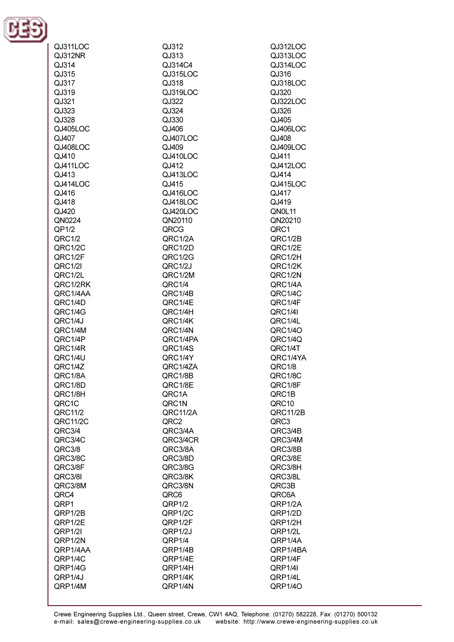

| QJ311LOC | QJ312    | QJ312LOC |
|----------|----------|----------|
|          |          |          |
| QJ312NR  | QJ313    | QJ313LOC |
| QJ314    | QJ314C4  | QJ314LOC |
|          |          |          |
| QJ315    | QJ315LOC | QJ316    |
| QJ317    | QJ318    | QJ318LOC |
|          |          |          |
| QJ319    | QJ319LOC | QJ320    |
| QJ321    | QJ322    | QJ322LOC |
|          |          |          |
| QJ323    | QJ324    | QJ326    |
| QJ328    | QJ330    | QJ405    |
|          |          |          |
| QJ405LOC | QJ406    | QJ406LOC |
| QJ407    | QJ407LOC | QJ408    |
|          |          |          |
| QJ408LOC | QJ409    | QJ409LOC |
| QJ410    | QJ410LOC | QJ411    |
| QJ411LOC | QJ412    | QJ412LOC |
|          |          |          |
| QJ413    | QJ413LOC | QJ414    |
| QJ414LOC | QJ415    | QJ415LOC |
|          |          |          |
| QJ416    | QJ416LOC | QJ417    |
| QJ418    | QJ418LOC | QJ419    |
|          |          |          |
| QJ420    | QJ420LOC | QN0L11   |
| QN0224   | QN20110  | QN20210  |
|          |          |          |
| QP1/2    | QRCG     | QRC1     |
| QRC1/2   | QRC1/2A  | QRC1/2B  |
| QRC1/2C  | QRC1/2D  | QRC1/2E  |
|          |          |          |
| QRC1/2F  | QRC1/2G  | QRC1/2H  |
| QRC1/2I  | QRC1/2J  | QRC1/2K  |
|          |          |          |
| QRC1/2L  | QRC1/2M  | QRC1/2N  |
| QRC1/2RK | QRC1/4   | QRC1/4A  |
|          |          |          |
| QRC1/4AA | QRC1/4B  | QRC1/4C  |
| QRC1/4D  | QRC1/4E  | QRC1/4F  |
| QRC1/4G  | QRC1/4H  | QRC1/4I  |
|          |          |          |
| QRC1/4J  | QRC1/4K  | QRC1/4L  |
| QRC1/4M  | QRC1/4N  | QRC1/40  |
|          |          |          |
| QRC1/4P  | QRC1/4PA | QRC1/4Q  |
| QRC1/4R  | QRC1/4S  | QRC1/4T  |
| QRC1/4U  | QRC1/4Y  |          |
|          |          | QRC1/4YA |
| QRC1/4Z  | QRC1/4ZA | QRC1/8   |
| QRC1/8A  | QRC1/8B  | QRC1/8C  |
|          |          |          |
| QRC1/8D  | QRC1/8E  | QRC1/8F  |
| QRC1/8H  | QRC1A    | QRC1B    |
| QRC1C    | QRC1N    | QRC10    |
|          |          |          |
| QRC11/2  | QRC11/2A | QRC11/2B |
| QRC11/2C | QRC2     | QRC3     |
|          |          |          |
| QRC3/4   | QRC3/4A  | QRC3/4B  |
| QRC3/4C  | QRC3/4CR | QRC3/4M  |
|          |          |          |
| QRC3/8   | QRC3/8A  | QRC3/8B  |
| QRC3/8C  | QRC3/8D  | QRC3/8E  |
| QRC3/8F  | QRC3/8G  | QRC3/8H  |
|          |          |          |
| QRC3/8I  | QRC3/8K  | QRC3/8L  |
| QRC3/8M  | QRC3/8N  | QRC3B    |
|          |          |          |
| QRC4     | QRC6     | QRC6A    |
| QRP1     | QRP1/2   | QRP1/2A  |
| QRP1/2B  | QRP1/2C  | QRP1/2D  |
|          |          |          |
| QRP1/2E  | QRP1/2F  | QRP1/2H  |
| QRP1/2I  | QRP1/2J  | QRP1/2L  |
|          |          |          |
| QRP1/2N  | QRP1/4   | QRP1/4A  |
| QRP1/4AA | QRP1/4B  | QRP1/4BA |
|          |          |          |
| QRP1/4C  | QRP1/4E  | QRP1/4F  |
| QRP1/4G  | QRP1/4H  | QRP1/4I  |
| QRP1/4J  | QRP1/4K  | QRP1/4L  |
|          |          |          |
| QRP1/4M  | QRP1/4N  | QRP1/4O  |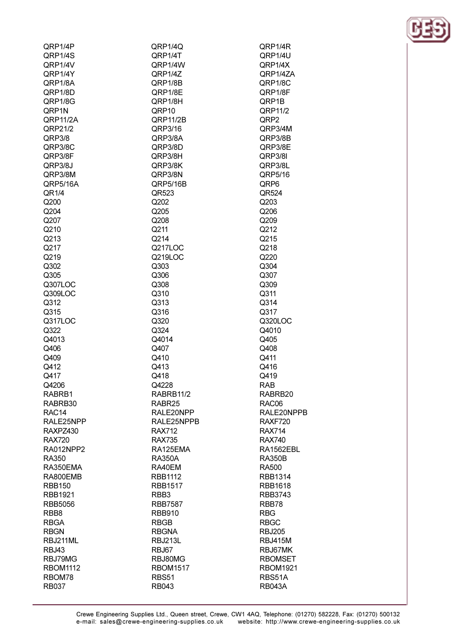| QRP1/4P                    | QRP1/4Q                        | QRP1/4R                        |
|----------------------------|--------------------------------|--------------------------------|
| QRP1/4S                    | QRP1/4T                        | QRP1/4U                        |
| QRP1/4V                    | QRP1/4W                        | QRP1/4X                        |
| QRP1/4Y                    | QRP1/4Z                        | QRP1/4ZA                       |
| QRP1/8A                    | QRP1/8B                        | QRP1/8C                        |
| QRP1/8D                    | QRP1/8E                        | QRP1/8F                        |
| QRP1/8G                    | QRP1/8H                        | QRP1B                          |
| QRP1N                      | QRP10                          | QRP11/2                        |
| QRP11/2A                   | QRP11/2B                       | QRP2                           |
| QRP21/2                    | QRP3/16                        | QRP3/4M                        |
| QRP3/8                     | QRP3/8A                        | QRP3/8B                        |
| QRP3/8C                    | QRP3/8D                        | QRP3/8E                        |
| QRP3/8F<br>QRP3/8J         | QRP3/8H<br>QRP3/8K             | QRP3/8I<br>QRP3/8L             |
| QRP3/8M                    | QRP3/8N                        | QRP5/16                        |
| QRP5/16A                   | QRP5/16B                       | QRP6                           |
| QR1/4                      | QR523                          | QR524                          |
| Q200                       | Q202                           | Q203                           |
| Q204                       | Q205                           | Q206                           |
| Q207                       | Q208                           | Q209                           |
| Q210                       | Q211                           | Q212                           |
| Q213                       | Q214                           | Q215                           |
| Q217                       | Q217LOC                        | Q218                           |
| Q219                       | Q219LOC                        | Q220                           |
| Q302                       | Q303                           | Q304                           |
| Q305                       | Q306                           | Q307                           |
| Q307LOC                    | Q308                           | Q309                           |
| Q309LOC                    | Q310                           | Q311                           |
| Q312                       | Q313                           | Q314                           |
| Q315                       | Q316                           | Q317                           |
| Q317LOC                    | Q320                           | Q320LOC                        |
| Q322                       | Q324                           | Q4010                          |
| Q4013                      | Q4014                          | Q405                           |
| Q406                       | Q407                           | Q408                           |
| Q409                       | Q410                           | Q411                           |
| Q412                       | Q413                           | Q416                           |
| Q417                       | Q418                           | Q419                           |
| Q4206                      | Q4228                          | RAB                            |
| RABRB1                     | RABRB11/2                      | RABRB20                        |
| RABRB30                    | RABR25                         | RAC06                          |
| RAC <sub>14</sub>          | RALE20NPP                      | RALE20NF                       |
| RALE25NPP                  | RALE25NPPB                     | RAXF720                        |
| RAXPZ430                   | <b>RAX712</b><br><b>RAX735</b> | <b>RAX714</b><br><b>RAX740</b> |
| <b>RAX720</b><br>RA012NPP2 | RA125EMA                       | <b>RA1562EB</b>                |
| RA350                      | <b>RA350A</b>                  | <b>RA350B</b>                  |
| RA350EMA                   | RA40EM                         | <b>RA500</b>                   |
| RA800EMB                   | <b>RBB1112</b>                 | RBB1314                        |
| <b>RBB150</b>              | <b>RBB1517</b>                 | <b>RBB1618</b>                 |
| <b>RBB1921</b>             | RBB <sub>3</sub>               | RBB3743                        |
| <b>RBB5056</b>             | <b>RBB7587</b>                 | RBB78                          |
| RBB8                       | <b>RBB910</b>                  | <b>RBG</b>                     |
| <b>RBGA</b>                | <b>RBGB</b>                    | <b>RBGC</b>                    |
| <b>RBGN</b>                | <b>RBGNA</b>                   | <b>RBJ205</b>                  |
| RBJ211ML                   | <b>RBJ213L</b>                 | <b>RBJ415M</b>                 |
| <b>RBJ43</b>               | RBJ67                          | RBJ67MK                        |
| RBJ79MG                    | RBJ80MG                        | <b>RBOMSET</b>                 |
| <b>RBOM1112</b>            | <b>RBOM1517</b>                | <b>RBOM1921</b>                |
| RBOM78                     | RBS51                          | RBS51A                         |
| <b>RB037</b>               | <b>RB043</b>                   | <b>RB043A</b>                  |
|                            |                                |                                |

RAC06 RALE20NPPB RAXF720 **RAX714 RAX740** RA1562EBL **RA350B RA500** RBB1314 RBB1618 RBB3743 RBB78 **RBG RBGC RBJ205 RBJ415M** RBJ67MK **RBOMSET RBOM1921** RBS51A **RB043A** 

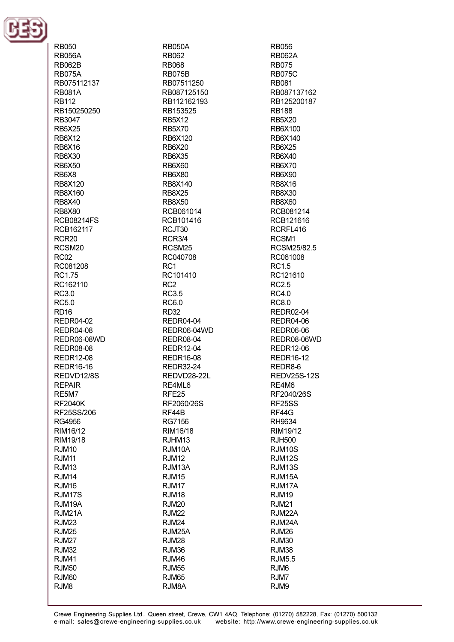

**RB050 RB056A** RB062B **RB075A** RB075112137 **RB081A RR112** RB150250250 RB3047 **RB5X25 RB6X12 RB6X16 RB6X30 RB6X50** RB6X8 RB8X120 **RB8X160** RB8X40 **RB8X80 RCB08214FS** RCB162117 RCR<sub>20</sub> RCSM<sub>20</sub> **RC02** RC081208 RC1.75 RC162110 **RC3.0** RC5.0 **RD16 REDR04-02 REDR04-08** REDR06-08WD **REDR08-08 REDR12-08 REDR16-16** REDVD12/8S **REPAIR** RE5M7 **RF2040K** RF25SS/206 **RG4956** RIM16/12 RIM19/18 **RJM10 R.IM11 RJM13 RJM14** RJM16 **RJM17S** RJM19A RJM21A **RJM23 R.IM25 RJM27 RJM32 R.IM41 RJM50 RJM60** RJM8

**RB050A** RB062 **RB068 RB075B** RB07511250 RB087125150 RB112162193 RB153525 **RB5X12 RB5X70** RB6X120 **RB6X20 RB6X35 RB6X60 RB6X80** RB8X140 **RB8X25 RB8X50** RCB061014 RCB101416 RCJT30 **RCR3/4** RCSM<sub>25</sub> RC040708  $RC1$ RC101410 RC<sub>2</sub> **RC3.5** RC6.0 **RD32 REDR04-04** REDR06-04WD **REDR08-04 REDR12-04 REDR16-08 REDR32-24** REDVD28-22L RE4ML6 RFE<sub>25</sub> RF2060/26S RF44B **RG7156** RIM16/18 RJHM13 RJM10A **RJM12** RJM13A **RJM15** RJM17 **RJM18 RJM20 RJM22 RJM24 RJM25A RJM28** RJM36 **R.IM46 RJM55 RJM65** RJM8A

**RB056 RB062A RB075 RB075C** RB081 RB087137162 RB125200187 **RB188 RB5X20** RB6X100 RB6X140 **RB6X25 RB6X40** RB6X70 **RB6X90 RB8X16 RB8X30 RB8X60** RCB081214 RCB121616 RCRFL416 RCSM<sub>1</sub> RCSM25/82.5 RC061008 **RC15** RC121610 **RC2.5 RC4.0 RC8.0 REDR02-04 REDR04-06 REDR06-06** REDR08-06WD **REDR12-06 REDR16-12** REDR8-6 **REDV25S-12S** RE4M6 RF2040/26S RF25SS RF44G **RH9634** RIM19/12 **RJH500 RJM10S RJM12S RJM13S** RJM<sub>15</sub>A RJM17A **R.IM19 RJM21** RJM22A RJM24A **RJM26 RJM30 RJM38** RJM<sub>5.5</sub> RJM<sub>6</sub> RJM7 RJM9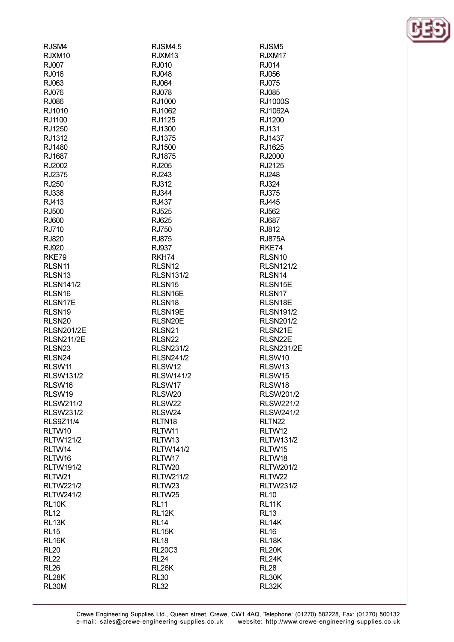| RJSM4              | RJSM4.5            | RJSM <sub>5</sub>  |
|--------------------|--------------------|--------------------|
| RJXM10             | RJXM <sub>13</sub> | RJXM17             |
| RJ007              | RJ010              | RJ014              |
| RJ016              | RJ048              | RJ056              |
| RJ063              | RJ064              | RJ075              |
| <b>RJ076</b>       | <b>RJ078</b>       | RJ085              |
| RJ086              | RJ1000             | <b>RJ1000S</b>     |
| RJ1010             | RJ1062             | <b>RJ1062A</b>     |
| RJ1100             | RJ1125             | RJ1200             |
| RJ1250             | RJ1300             | RJ131              |
| RJ1312             | RJ1375             | RJ1437             |
| RJ1480             | RJ1500             | RJ1625             |
| RJ1687             | RJ1875             | RJ2000             |
| RJ2002             | RJ205              | RJ2125             |
|                    |                    |                    |
| RJ2375             | RJ243              | <b>RJ248</b>       |
| RJ250              | RJ312              | RJ324              |
| RJ338              | <b>RJ344</b>       | RJ375              |
| RJ413              | RJ437              | <b>RJ445</b>       |
| RJ500              | RJ525              | RJ562              |
| RJ600              | RJ625              | <b>RJ687</b>       |
| RJ710              | RJ750              | RJ812              |
| RJ820              | <b>RJ875</b>       | <b>RJ875A</b>      |
| RJ920              | RJ937              | RKE74              |
| RKE79              | RKH74              | RLSN <sub>10</sub> |
| RLSN11             | RLSN <sub>12</sub> | <b>RLSN121/2</b>   |
| RLSN <sub>13</sub> | <b>RLSN131/2</b>   | RLSN <sub>14</sub> |
| <b>RLSN141/2</b>   | RLSN <sub>15</sub> | RLSN15E            |
| RLSN <sub>16</sub> | RLSN16E            | RLSN <sub>17</sub> |
| RLSN17E            | RLSN <sub>18</sub> | RLSN18E            |
| RLSN <sub>19</sub> | RLSN19E            | <b>RLSN191/2</b>   |
| RLSN <sub>20</sub> | RLSN20E            | <b>RLSN201/2</b>   |
| <b>RLSN201/2E</b>  | RLSN <sub>21</sub> | RLSN21E            |
| <b>RLSN211/2E</b>  | RLSN <sub>22</sub> | RLSN22E            |
| RLSN <sub>23</sub> | <b>RLSN231/2</b>   | <b>RLSN231/2E</b>  |
| RLSN24             | <b>RLSN241/2</b>   | RLSW10             |
| RLSW11             | RLSW12             | RLSW13             |
| <b>RLSW131/2</b>   | <b>RLSW141/2</b>   | RLSW15             |
| RLSW16             | RLSW17             | RLSW18             |
| RLSW19             | RLSW <sub>20</sub> | RLSW201/2          |
| <b>RLSW211/2</b>   | RLSW22             | <b>RLSW221/2</b>   |
|                    |                    |                    |
| <b>RLSW231/2</b>   | RLSW24             | <b>RLSW241/2</b>   |
| <b>RLS9Z11/4</b>   | RLTN <sub>18</sub> | RLTN <sub>22</sub> |
| RLTW10             | RLTW11             | RLTW12             |
| <b>RLTW121/2</b>   | RLTW13             | <b>RLTW131/2</b>   |
| RLTW14             | <b>RLTW141/2</b>   | RLTW15             |
| RLTW16             | RLTW17             | RLTW18             |
| <b>RLTW191/2</b>   | RLTW20             | <b>RLTW201/2</b>   |
| RLTW21             | RLTW211/2          | RLTW22             |
| <b>RLTW221/2</b>   | RLTW23             | <b>RLTW231/2</b>   |
| <b>RLTW241/2</b>   | RLTW25             | <b>RL10</b>        |
| RL <sub>10</sub> K | <b>RL11</b>        | RL11K              |
| <b>RL12</b>        | RL <sub>12</sub> K | <b>RL13</b>        |
| RL13K              | <b>RL14</b>        | RL14K              |
| <b>RL15</b>        | RL <sub>15</sub> K | <b>RL16</b>        |
| RL16K              | <b>RL18</b>        | RL18K              |
| <b>RL20</b>        | <b>RL20C3</b>      | <b>RL20K</b>       |
| <b>RL22</b>        | <b>RL24</b>        | RL24K              |
| <b>RL26</b>        | RL <sub>26</sub> K | <b>RL28</b>        |
| RL28K              | <b>RL30</b>        | RL30K              |
| <b>RL30M</b>       | <b>RL32</b>        | RL32K              |
|                    |                    |                    |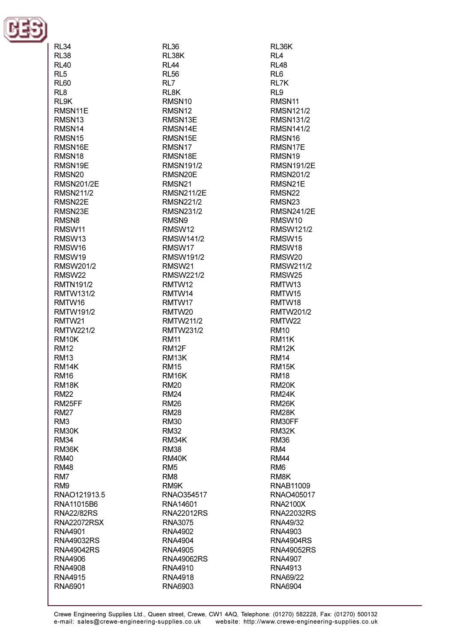

RL34

**RL38 RI 40**  $RI<sub>5</sub>$ **RL60**  $RL8$ RI 9K RMSN11E RMSN<sub>13</sub> RMSN14 RMSN<sub>15</sub> RMSN16E RMSN<sub>18</sub> RMSN19F RMSN<sub>20</sub> **RMSN201/2E RMSN211/2** RMSN<sub>22</sub>F RMSN23E RMSN<sub>8</sub> RMSW11 RMSW13 RMSW16 RMSW19 RMSW201/2 RMSW22 **RMTN191/2 RMTW131/2** RMTW16 RMTW191/2 RMTW21 **RMTW221/2** RM<sub>10</sub>K **RM12 RM13** RM14K **RM16** RM<sub>18</sub>K **RM22** RM25FF **RM27** RM<sub>3</sub> **RM30K RM34** RM36K **RM40 RM48** RM<sub>7</sub> RM<sub>9</sub> RNAO121913.5 RNA11015B6 **RNA22/82RS RNA22072RSX** RNA4901 **RNA49032RS RNA49042RS** RNA4906 **RNA4908 RNA4915** RNA6901

**RL36** RL38K **RI 44 RL56**  $RL7$ RL<sub>8</sub>K RMSN<sub>10</sub> RMSN<sub>12</sub> RMSN13E RMSN14E RMSN15E RMSN17 RMSN18F **RMSN191/2** RMSN20E RMSN<sub>21</sub> **RMSN211/2E RMSN221/2 RMSN231/2** RMSN9 RMSW12 **RMSW141/2** RMSW17 RMSW191/2 RMSW<sub>21</sub> **RMSW221/2** RMTW12 RMTW14 RMTW17 RMTW20 **RMTW211/2 RMTW231/2 RM11** RM<sub>12</sub>F **RM13K RM15** RM<sub>16</sub>K **RM20 RM24 RM26 RM28 RM30 RM32** RM34K **RM38** RM40K RM<sub>5</sub> RM<sub>8</sub> RM9K RNAO354517 RNA14601 **RNA22012RS** RNA3075 **RNA4902 RNA4904 RNA4905 RNA49062RS** RNA4910 **RNA4918** RNA6903

RL36K  $R<sub>L</sub>4$ **RI 48**  $RI6$ RL7K RL9 RMSN<sub>11</sub> **RMSN121/2 RMSN131/2 RMSN141/2** RMSN<sub>16</sub> RMSN17E RMSN<sub>19</sub> **RMSN191/2F RMSN201/2** RMSN21E RMSN22 RMSN<sub>23</sub> **RMSN241/2E** RMSW10 **RMSW121/2** RMSW15 RMSW18 RMSW<sub>20</sub> **RMSW211/2** RMSW25 RMTW13 RMTW15 RMTW18 **RMTW201/2** RMTW22 **RM10** RM<sub>11</sub>K **RM12K RM14** RM<sub>15</sub>K **RM18 RM20K RM24K** RM<sub>26</sub>K **RM28K** RM30FF **RM32K RM36** RM4 **RM44** RM<sub>6</sub> RM<sub>8</sub>K RNAB11009 RNAO405017 **RNA2100X RNA22032RS** RNA49/32 RNA4903 **RNA4904RS RNA49052RS** RNA4907 RNA4913 RNA69/22 RNA6904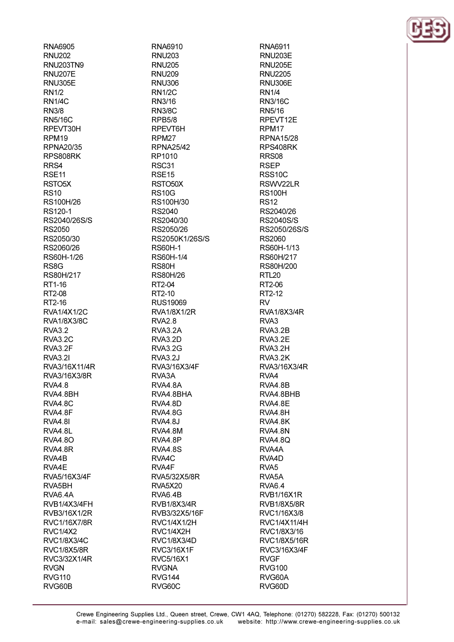**RNA6905 RNU202 RNI J203TN9 RNU207E RNU305E RN1/2 RN1/4C RN3/8 RN5/16C** RPEVT30H RPM<sub>19</sub> **RPNA20/35** RPS808RK RRS4 RSE<sub>11</sub> RSTO<sub>5</sub>X **RS10** RS100H/26 RS120-1 RS2040/26S/S RS2050 RS2050/30 RS2060/26 RS60H-1/26 **RS8G** RS80H/217 RT1-16 RT2-08 RT2-16 **RVA1/4X1/2C RVA1/8X3/8C RVA3.2 RVA3.2C** RVA3.2F **RVA3.21** RVA3/16X11/4R RVA3/16X3/8R **RVA4.8** RVA4.8BH RVA4.8C RVA4.8F **RVA4.8I** RVA4.8L **RVA4.80** RVA4.8R RVA4B RVA4E RVA5/16X3/4F RVA5BH RVA6.4A RVB1/4X3/4FH RVB3/16X1/2R RVC1/16X7/8R **RVC1/4X2** RVC1/8X3/4C **RVC1/8X5/8R** RVC3/32X1/4R **RVGN RVG110** RVG60B

RNA6910 **RNU203 RNU205 RNU209 RNU306 RN1/2C** RN3/16 **RN3/8C RPB5/8** RPEVT6H RPM<sub>27</sub> **RPNA25/42** RP1010 **RSC31** RSE<sub>15</sub> RSTO<sub>50</sub>X **RS10G** RS100H/30 **RS2040** RS2040/30 RS2050/26 RS2050K1/26S/S **RS60H-1** RS60H-1/4 **RS80H RS80H/26** RT2-04 RT2-10 **RUS19069 RVA1/8X1/2R RVA2.8** RVA3.2A **RVA3.2D RVA3.2G RVA3.2J** RVA3/16X3/4F RVA3A RVA4.8A RVA4.8BHA RVA4.8D **RVA4.8G** RVA4.8J RVA4.8M RVA4.8P **RVA4.8S** RVA4C RVA4F RVA5/32X5/8R **RVA5X20** RVA6.4B **RVB1/8X3/4R** RVB3/32X5/16F **RVC1/4X1/2H** RVC1/4X2H RVC1/8X3/4D **RVC3/16X1F** RVC5/16X1 **RVGNA RVG144** RVG60C

RNA6911 **RNU203E RNU205F RNU2205 RNU306E RN1/4** RN3/16C RN5/16 RPEVT12E RPM<sub>17</sub> **RPNA15/28** RPS408RK **RRS08 RSFP RSS10C** RSWV22LR **RS100H RS12** RS2040/26 **RS2040S/S** RS2050/26S/S RS2060 RS60H-1/13 RS60H/217 **RS80H/200 RTL20** RT2-06 RT2-12 **RV RVA1/8X3/4R** RVA<sub>3</sub> RVA3.2B RVA3.2E RVA3.2H RVA3.2K RVA3/16X3/4R RVA4 RVA4.8B RVA4.8BHB RVA4.8E RVA4.8H RVA4.8K RVA4.8N **RVA4.8Q** RVA4A RVA4D RVA<sub>5</sub> RVA<sub>5</sub>A **RVA6.4 RVB1/16X1R RVB1/8X5/8R** RVC1/16X3/8 **RVC1/4X11/4H** RVC1/8X3/16 RVC1/8X5/16R RVC3/16X3/4F **RVGF RVG100** RVG60A RVG60D

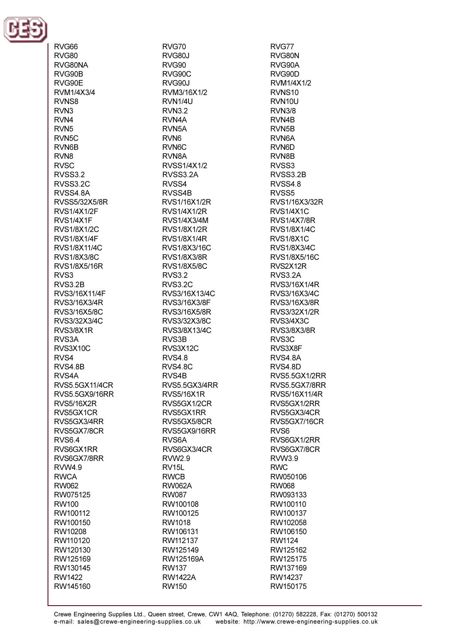

RVG66 **RVG80** RVG80NA RVG90B RVG90E RVM1/4X3/4 RVNS8 RVN<sub>3</sub> RVN4 RVN<sub>5</sub> RVN<sub>5C</sub> RVN6B RVN<sub>8</sub> RVSC. RVSS3.2 RVSS3.2C RVSS4.8A RVSS5/32X5/8R **RVS1/4X1/2F** RVS1/4X1F RVS1/8X1/2C **RVS1/8X1/4F** RVS1/8X11/4C **RVS1/8X3/8C** RVS1/8X5/16R RVS3 **RVS3.2B** RVS3/16X11/4F RVS3/16X3/4R RVS3/16X5/8C RVS3/32X3/4C RVS3/8X1R RVS3A RVS3X10C RVS4 RVS4.8B RVS4A **RVS5.5GX11/4CR** RVS5.5GX9/16RR **RVS5/16X2R** RVS5GX1CR RVS5GX3/4RR RVS5GX7/8CR **RVS6.4** RVS6GX1RR RVS6GX7/8RR **RVW4.9 RWCA RW062** RW075125 **RW100** RW100112 RW100150 RW10208 RW110120 RW120130 RW125169 RW130145 RW1422 RW145160

RVG70 **RVG80J RVG90** RVG90C **RVG90J** RVM3/16X1/2 RVN<sub>1/4U</sub> **RVN3.2** RVN4A RVN<sub>5</sub>A RVN<sub>6</sub> RVN<sub>6</sub>C **RVN8A** RVSS1/4X1/2 RVSS3.2A RVSS4 RVSS4B RVS1/16X1/2R **RVS1/4X1/2R** RVS1/4X3/4M **RVS1/8X1/2R RVS1/8X1/4R** RVS1/8X3/16C **RVS1/8X3/8R RVS1/8X5/8C RVS3.2 RVS3.2C** RVS3/16X13/4C RVS3/16X3/8F RVS3/16X5/8R RVS3/32X3/8C RVS3/8X13/4C RVS3B RVS3X12C RVS4.8 **RVS4.8C** RVS4B RVS5.5GX3/4RR RVS5/16X1R RVS5GX1/2CR RVS5GX1RR RVS5GX5/8CR RVS5GX9/16RR RVS<sub>6</sub>A RVS6GX3/4CR **RVW2.9** RV<sub>15</sub>L **RWCB RW062A RW087** RW100108 RW100125 RW1018 RW106131 RW112137 RW125149 RW125169A **RW137 RW1422A RW150** 

RVG77 RVG80N RVG90A RVG90D RVM1/4X1/2 RVNS<sub>10</sub> **RVN10U RVN3/8** RVN4B RVN<sub>5</sub>B RVN<sub>6</sub>A RVN<sub>6</sub>D RVN8B RVSS3 RVSS3.2B RVSS4.8 RVSS<sub>5</sub> RVS1/16X3/32R **RVS1/4X1C RVS1/4X7/8R RVS1/8X1/4C RVS1/8X1C** RVS1/8X3/4C RVS1/8X5/16C RVS2X12R RVS3.2A RVS3/16X1/4R RVS3/16X3/4C RVS3/16X3/8R RVS3/32X1/2R RVS3/4X3C **RVS3/8X3/8R** RVS<sub>3</sub>C RVS3X8F RVS4.8A RVS4.8D RVS5.5GX1/2RR RVS5.5GX7/8RR RVS5/16X11/4R RVS5GX1/2RR RVS5GX3/4CR RVS5GX7/16CR RVS<sub>6</sub> RVS6GX1/2RR RVS6GX7/8CR **RVW3.9 RWC** RW050106 **RW068** RW093133 RW100110 RW100137 RW102058 RW106150 RW1124 RW125162 RW125175 RW137169 RW14237 RW150175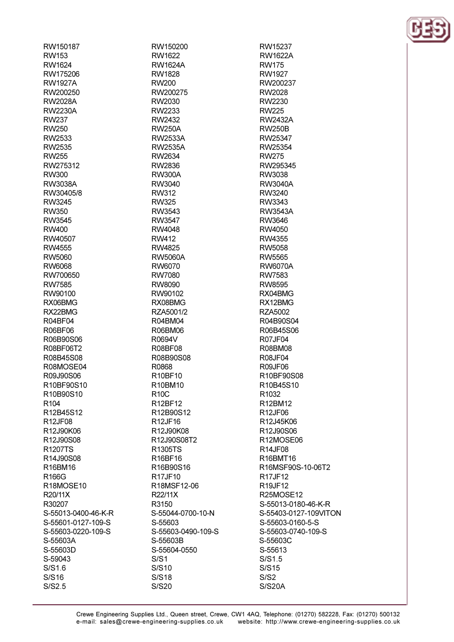RW150200 RW1622 **RW1624A** RW1828 **RW200** RW200275 RW2030 RW2233 RW2432 **RW250A** RW2533A **RW2535A** RW2634 RW2836 **RW300A** RW3040 **RW312 RW325** RW3543 **RW3547** RW4048 **RW412 RW4825** RW5060A RW6070 **RW7080** RW8090 RW90102 RX08BMG RZA5001/2 R04BM04 R06BM06 R0694V **R08BF08** R08B90S08 R0868 R10BF10 R10BM10 **R10C** R12BF12 R12B90S12 R12JF16 R12J90K08 R12J90S08T2 R1305TS R16BF16 R16B90S16 R17JF10 R18MSF12-06 R22/11X R3150 S-55044-0700-10-N S-55603 S-55603-0490-109-S S-55603B S-55604-0550  $S/S1$ S/S10 S/S18 **S/S20** 

RW15237 **RW1622A RW175** RW1927 RW200237 RW2028 RW2230 **RW225 RW2432A RW250B** RW25347 RW25354 **RW275** RW295345 RW3038 **RW3040A RW3240** RW3343 **RW3543A** RW3646 RW4050 RW4355 **RW5058** RW5565 **RW6070A** RW7583 **RW8595** RX04BMG RX12BMG RZA5002 R04B90S04 R06B45S06 **R07JF04** R08BM08 **R08JF04 R09JF06** R10BF90S08 R10B45S10 R1032 R12BM12 R12JF06 R12J45K06 R12J90S06 R12MOSE06 **R14JF08** R16BMT16 R16MSF90S-10-06T2 R17JF12 R19JF12 R25MOSE12 S-55013-0180-46-K-R S-55403-0127-109VITON S-55603-0160-5-S S-55603-0740-109-S S-55603C S-55613  $S/S1.5$ S/S15  $S/S2$ **S/S20A** 

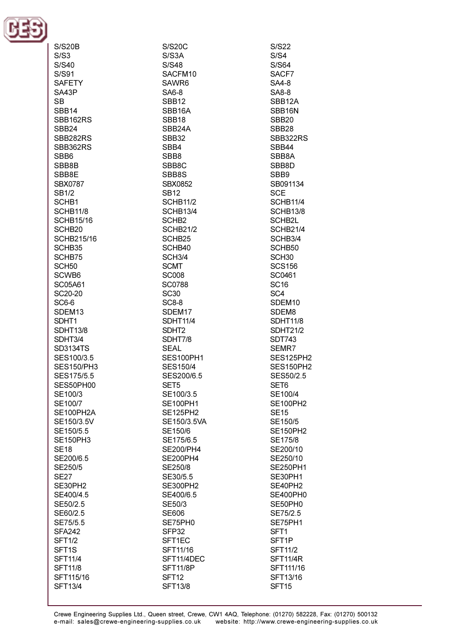

| <b>S/S20B</b>      |  |
|--------------------|--|
| S/S3               |  |
| S/S40              |  |
| S/S91              |  |
| <b>SAFETY</b>      |  |
| SA43P              |  |
| <b>SB</b>          |  |
| SBB14              |  |
| SBB162RS           |  |
| SBB <sub>24</sub>  |  |
| SBB282RS           |  |
| SBB362RS           |  |
| SBB6               |  |
| SBB8B              |  |
| SBB8E              |  |
| <b>SBX0787</b>     |  |
| SB1/2              |  |
| SCHB1              |  |
| <b>SCHB11/8</b>    |  |
| <b>SCHB15/16</b>   |  |
| SCHB <sub>20</sub> |  |
| <b>SCHB215/16</b>  |  |
| SCHB35             |  |
| SCHB75             |  |
|                    |  |
| SCH <sub>50</sub>  |  |
| SCWB6              |  |
| SC05A61            |  |
| SC20-20            |  |
| SC6-6              |  |
| SDEM13             |  |
| SDHT1              |  |
| <b>SDHT13/8</b>    |  |
| SDHT3/4            |  |
| <b>SD3134TS</b>    |  |
| SES100/3.5         |  |
| <b>SES150/PH3</b>  |  |
| SES175/5.5         |  |
| SES50PH00          |  |
| SE100/3            |  |
| SE100/7            |  |
| SE100PH2A          |  |
| SE150/3.5V         |  |
| SE150/5.5          |  |
| <b>SE150PH3</b>    |  |
| <b>SE18</b>        |  |
| SE200/6.5          |  |
| SE250/5            |  |
| <b>SE27</b>        |  |
| SE30PH2            |  |
| SE400/4.5          |  |
| SE50/2.5           |  |
| SE60/2.5           |  |
| SE75/5.5           |  |
| <b>SFA242</b>      |  |
| <b>SFT1/2</b>      |  |
| SFT1S              |  |
| <b>SFT11/4</b>     |  |
| <b>SFT11/8</b>     |  |
| SFT115/16          |  |
| <b>SFT13/4</b>     |  |
|                    |  |

SACFM10 SAWR6 SBB16A SBB<sub>24</sub>A SBX0852 **SCHB11/2 SCHB13/4 SCHB21/2** SCHB<sub>25</sub> SCHB40 **SC0788** SDEM17 **SDHT11/4** SDHT7/8 **SES100PH1 SES150/4** SES200/6.5 SE100/3.5 **SE100PH1 SE125PH2** SE150/3.5VA SE150/6 SE175/6.5 **SE200/PH4 SE200PH4** SE250/8 SE30/5.5 **SE300PH2** SE400/6.5 SE75PH0 SFT1EC SFT11/16 SFT11/4DEC **SFT11/8P** 

**S/S20C** 

 $S/S3A$ 

 $S/S48$ 

SA6-8

SBB<sub>12</sub>

SBB<sub>18</sub>

SBB<sub>32</sub>

SBB4

SBB<sub>8</sub>

SBB<sub>8C</sub>

SBB8S

**SB12** 

SCHB<sub>2</sub>

SCH3/4

**SCMT** 

**SC008** 

**SC30** 

**SC8-8** 

SDHT<sub>2</sub>

**SEAL** 

SET<sub>5</sub>

SE50/3

**SE606** 

SFP32

SFT<sub>12</sub>

**SFT13/8** 

**S/S22**  $S/S4$  $S/S64$ SACF7 SA4-8 SA8-8 SBB12A SBB16N SBB<sub>20</sub> SBB<sub>28</sub> SBB322RS SBB44 SBB8A **SRR8D** SBB9 SB091134 **SCE SCHB11/4** SCHB13/8 SCHB2L **SCHB21/4** SCHB3/4 SCHB50 SCH<sub>30</sub> **SCS156** SC0461 **SC16** SC<sub>4</sub> SDEM<sub>10</sub> SDEM8 **SDHT11/8 SDHT21/2 SDT743** SEMR7 SES125PH2 SES150PH2 SES50/2.5 SET6 SE100/4 **SE100PH2 SE15** SE150/5 **SE150PH2** SE175/8 SE200/10 SE250/10 **SE250PH1** SE30PH1 SE40PH2 SE400PH0 SE50PH0 SE75/2.5 SE75PH1 SFT<sub>1</sub> SFT<sub>1P</sub> **SFT11/2 SFT11/4R** SFT111/16 SFT13/16 SFT<sub>15</sub>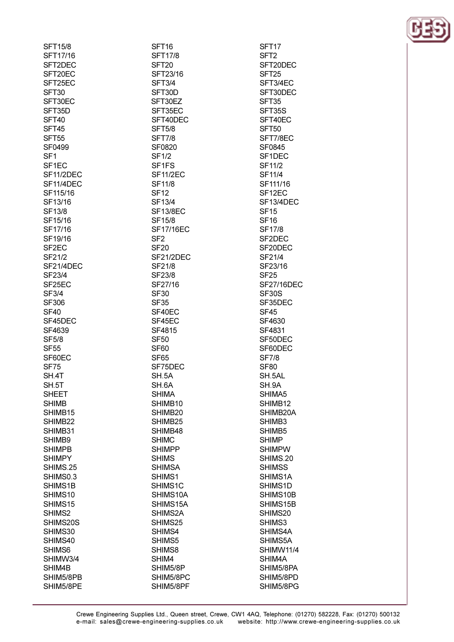| SFT15/8                |  |
|------------------------|--|
| SFT17/16               |  |
|                        |  |
| SFT2DEC                |  |
| SFT20EC                |  |
| SFT25EC                |  |
|                        |  |
| SFT30                  |  |
| SFT30EC                |  |
| SFT35D                 |  |
|                        |  |
| SFT40                  |  |
| SFT45                  |  |
| SFT55                  |  |
|                        |  |
| SF0499                 |  |
| SF1                    |  |
| SF1EC                  |  |
|                        |  |
| SF11/2DEC              |  |
| SF11/4DEC              |  |
| SF115/16               |  |
|                        |  |
| SF13/16                |  |
| SF13/8                 |  |
|                        |  |
| SF15/16                |  |
| SF17/16                |  |
| SF19/16                |  |
|                        |  |
| SF <sub>2</sub> EC     |  |
| SF21/2                 |  |
| SF21/4DEC              |  |
|                        |  |
| SF23/4                 |  |
| SF25EC                 |  |
| SF3/4                  |  |
|                        |  |
| <b>SF306</b>           |  |
| SF40                   |  |
| SF45DEC                |  |
|                        |  |
| SF4639                 |  |
| <b>SF5/8</b>           |  |
| <b>SF55</b>            |  |
|                        |  |
| SF60EC                 |  |
| <b>SF75</b>            |  |
| SH.4T                  |  |
|                        |  |
| SH.5T                  |  |
| <b>SHEET</b>           |  |
|                        |  |
| SHIMB                  |  |
| SHIMB15                |  |
| SHIMB22                |  |
|                        |  |
| SHIMB31                |  |
| SHIMB9                 |  |
| <b>SHIMPB</b>          |  |
|                        |  |
| <b>SHIMPY</b>          |  |
| SHIMS.25               |  |
| SHIMS0.3               |  |
|                        |  |
| SHIMS1B                |  |
| SHIMS10                |  |
| SHIMS15                |  |
|                        |  |
| SHIMS2                 |  |
| SHIMS20S               |  |
| SHIMS30                |  |
|                        |  |
| SHIMS40                |  |
| SHIMS6                 |  |
|                        |  |
|                        |  |
| SHIMW3/4               |  |
| SHIM4B                 |  |
|                        |  |
| SHIM5/8PB<br>SHIM5/8PE |  |

SFT<sub>16</sub> **SFT17/8** SFT<sub>20</sub> SFT23/16 **SFT3/4** SFT30D SFT30EZ SFT35EC SFT40DEC **SFT5/8 SFT7/8** SF0820 **SF1/2** SF<sub>1FS</sub> **SF11/2EC SF11/8 SF12 SF13/4 SF13/8EC SF15/8 SF17/16EC** SF<sub>2</sub> **SF20** SF21/2DEC SF21/8 SF23/8 SF27/16 **SF30 SF35** SF40EC SF45EC SF4815 **SF50 SF60 SF65** SF75DEC SH.5A SH.6A **SHIMA** SHIMB10 SHIMB20 SHIMB25 SHIMB48 **SHIMC SHIMPP SHIMS SHIMSA** SHIMS1 SHIMS1C SHIMS10A SHIMS15A SHIMS2A SHIMS25 SHIMS4 SHIMS5 SHIMS8 SHIM4 SHIM5/8P SHIM5/8PC SHIM5/8PF

SFT<sub>17</sub> SFT<sub>2</sub> SFT20DEC SFT<sub>25</sub> SFT3/4EC SFT30DEC SFT<sub>35</sub> SFT35S SFT40EC SFT<sub>50</sub> SFT7/8EC SF0845 SF<sub>1</sub>D<sub>EC</sub> **SF11/2 SF11/4** SF111/16 SF<sub>12EC</sub> SF13/4DEC **SF15 SF16 SF17/8** SF<sub>2</sub>D<sub>EC</sub> SF20DEC SF21/4 SF23/16 **SF25 SF27/16DEC SF30S** SF35DEC **SF45** SF4630 SF4831 SF50DEC SF60DEC **SF7/8 SF80** SH.5AL SH.9A SHIMA5 SHIMB12 SHIMB20A SHIMB3 SHIMB<sub>5</sub> **SHIMP SHIMPW** SHIMS.20 **SHIMSS** SHIMS1A SHIMS1D SHIMS10B SHIMS15B SHIMS20 SHIMS3 SHIMS4A SHIMS5A SHIMW11/4 SHIM4A SHIM5/8PA SHIM5/8PD SHIM5/8PG

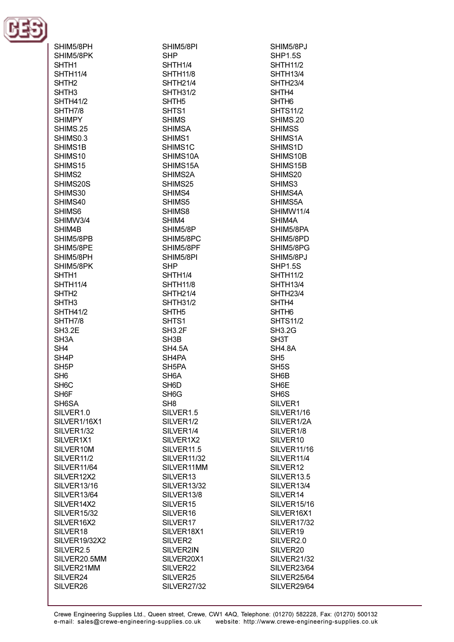

| SHIM5/8PH            |
|----------------------|
| SHIM5/8PK            |
| SHTH1                |
| <b>SHTH11/4</b>      |
| SHTH <sub>2</sub>    |
| SHTH3                |
| <b>SHTH41/2</b>      |
| SHTH7/8              |
| <b>SHIMPY</b>        |
| SHIMS.25             |
| SHIMS0.3             |
| SHIMS1B              |
| SHIMS10              |
| SHIMS15              |
| SHIMS2               |
|                      |
| SHIMS20S             |
| SHIMS30              |
| SHIMS40              |
| SHIMS6               |
| SHIMW3/4             |
| SHIM4B               |
| SHIM5/8PB            |
| SHIM5/8PE            |
| SHIM5/8PH            |
| SHIM5/8PK            |
| SHTH1                |
| <b>SHTH11/4</b>      |
| SHTH <sub>2</sub>    |
| SHTH3                |
| <b>SHTH41/2</b>      |
| SHTH7/8              |
| <b>SH3.2E</b>        |
| SH3A                 |
| SH4                  |
| SH4P                 |
| SH <sub>5</sub> P    |
|                      |
| SH <sub>6</sub>      |
| SH <sub>6</sub> C    |
| SH6F                 |
| SH6SA                |
| SILVER1.0            |
| SILVER1/16X1         |
| SILVER1/32           |
| SILVER1X1            |
| SILVER10M            |
| SILVER11/2           |
| SILVER11/64          |
| SILVER12X2           |
| <b>SILVER13/16</b>   |
| <b>SILVER13/64</b>   |
| SILVER14X2           |
|                      |
|                      |
| <b>SILVER15/32</b>   |
| SILVER16X2           |
| SILVER18             |
| SILVER19/32X2        |
| SILVER2.5            |
| SILVER20.5MM         |
| SILVER21MM           |
| SILVER24<br>SILVER26 |

SHIM5/8PI SHTH<sub>1/4</sub> **SHTH11/8 SHTH21/4 SHTH31/2 SHIMSA** SHIMS1C SHIMS10A SHIMS15A SHIMS2A SHIMS25 SHIMS4 SHIMS5 SHIM5/8P SHIM5/8PC SHIM5/8PF SHIM5/8PI SHTH1/4 **SHTH11/8 SHTH21/4 SHTH31/2** SILVER1.5 SILVER<sub>1/2</sub> SILVER1/4 SILVER1X2 SILVER<sub>11.5</sub> SILVER11/32 SILVER11MM SILVER13 **SILVER13/32** SILVER13/8 SILVER15 SILVER16 SILVER17 SILVER18X1 SILVER2 SILVER2IN SILVER20X1 SILVER22 SILVER25

**SHP** 

SHTH<sub>5</sub>

SHTS<sub>1</sub>

**SHIMS** 

SHIMS1

SHIMS8

SHIM4

**SHP** 

SHTH<sub>5</sub>

SHTS1 **SH3.2F** 

SH<sub>3</sub>B

**SH4.5A** 

SH4PA

SH<sub>5</sub>PA SH<sub>6</sub>A

SH<sub>6</sub>D

SH<sub>6</sub>G

SH<sub>8</sub>

SHIM5/8PJ **SHP1.5S SHTH11/2 SHTH13/4 SHTH23/4** SHTH4 SHTH<sub>6</sub> **SHTS11/2** SHIMS.20 **SHIMSS** SHIMS1A SHIMS1D SHIMS10B SHIMS15B SHIMS20 SHIMS3 SHIMS4A SHIMS5A SHIMW11/4 SHIM4A SHIM5/8PA SHIM5/8PD SHIM5/8PG SHIM5/8PJ **SHP1.5S SHTH11/2 SHTH13/4 SHTH23/4** SHTH4 SHTH<sub>6</sub> **SHTS11/2 SH3.2G** SH3T **SH4.8A** SH<sub>5</sub> SH<sub>5</sub>S SH6B SH<sub>6</sub>E SH<sub>6</sub>S SILVER1 SILVER1/16 SILVER1/2A SILVER1/8 SILVER10 SILVER11/16 SILVER<sub>11/4</sub> SILVER12 SILVER13.5 SILVER13/4 SILVER14 **SILVER15/16** SILVER16X1 **SILVER17/32** SILVER19 SILVER2.0 SILVER20 **SILVER21/32** SILVER23/64 SILVER25/64 SILVER29/64

**SILVER27/32**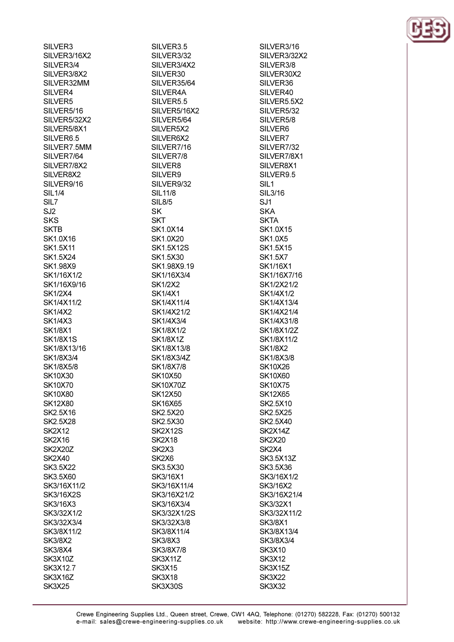SILVER3 SILVER3/16X2 SILVER3/4 SILVER3/8X2 SILVER32MM SILVER4 SILVER5 SILVER5/16 SILVER5/32X2 SILVER5/8X1 SILVER6.5 SILVER7.5MM SILVER7/64 SILVER7/8X2 SILVER8X2 SILVER9/16 **SIL1/4** SIL7 SJ<sub>2</sub> **SKS SKTB** SK1.0X16 **SK1.5X11** SK1.5X24 **SK198X9** SK1/16X1/2 SK1/16X9/16 **SK1/2X4** SK1/4X11/2 **SK1/4X2 SK1/4X3 SK1/8X1 SK1/8X1S** SK1/8X13/16 SK1/8X3/4 SK1/8X5/8 **SK10X30 SK10X70 SK10X80 SK12X80** SK2.5X16 **SK2.5X28 SK2X12 SK2X16** SK2X20Z **SK2X40** SK3.5X22 SK3.5X60 SK3/16X11/2 **SK3/16X2S** SK3/16X3 SK3/32X1/2 SK3/32X3/4 SK3/8X11/2 **SK3/8X2 SK3/8X4** SK3X10Z SK3X12.7 SK3X16Z

**SK3X25** 

SILVER3.5 SILVER3/32 SILVER3/4X2 SILVER30 SILVER35/64 SILVER4A SILVER5.5 SILVER5/16X2 SILVER5/64 SILVER5X2 SILVER6X2 SILVER7/16 SILVER7/8 SILVER8 SILVER9 SILVER9/32 **SIL11/8 SIL8/5 SK SKT** SK1.0X14 SK1.0X20 **SK1.5X12S** SK1.5X30 SK1.98X9.19 SK1/16X3/4 **SK1/2X2 SK1/4X1** SK1/4X11/4 SK1/4X21/2 SK1/4X3/4 SK1/8X1/2 **SK1/8X1Z** SK1/8X13/8 SK1/8X3/4Z SK1/8X7/8 **SK10X50 SK10X70Z SK12X50 SK16X65** SK2.5X20 SK2.5X30 **SK2X12S SK2X18** SK<sub>2</sub>X<sub>3</sub> SK<sub>2</sub>X<sub>6</sub> SK3.5X30 SK3/16X1 SK3/16X11/4 SK3/16X21/2 SK3/16X3/4 SK3/32X1/2S SK3/32X3/8 SK3/8X11/4 **SK3/8X3** SK3/8X7/8 SK3X11Z **SK3X15 SK3X18** SK3X30S

SILVER3/16 SILVER3/32X2 SILVER3/8 SILVER30X2 SILVER36 SILVER40 SILVER5.5X2 SILVER5/32 SILVER5/8 SILVER6 SILVER7 SILVER7/32 SILVER7/8X1 SILVER8X1 SILVER9.5 SIL<sub>1</sub> **SIL3/16**  $S<sub>11</sub>$ **SKA SKTA** SK1.0X15 SK1.0X5 SK1.5X15 **SK1.5X7** SK1/16X1 SK1/16X7/16 SK1/2X21/2 SK1/4X1/2 SK1/4X13/4 SK1/4X21/4 SK1/4X31/8 SK1/8X1/2Z SK1/8X11/2 **SK1/8X2** SK1/8X3/8 **SK10X26 SK10X60 SK10X75 SK12X65** SK2.5X10 SK2.5X25 SK2.5X40 SK2X14Z **SK2X20** SK<sub>2</sub>X<sub>4</sub> SK3.5X13Z SK3.5X36 SK3/16X1/2 SK3/16X2 SK3/16X21/4 SK3/32X1 SK3/32X11/2 SK3/8X1 SK3/8X13/4 SK3/8X3/4 **SK3X10 SK3X12** SK3X15Z **SK3X22 SK3X32** 

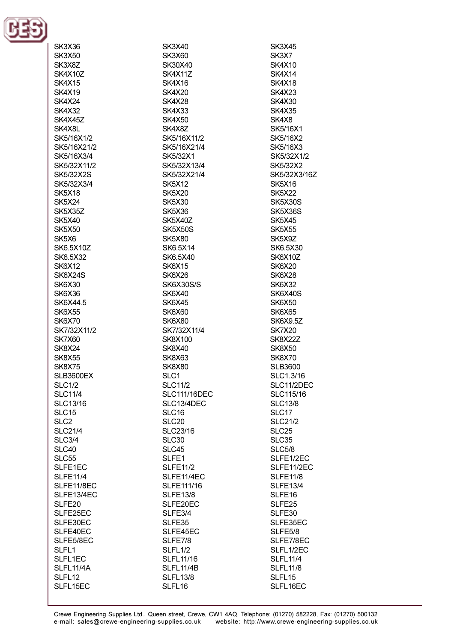

| SK3X36            |
|-------------------|
| SK3X50            |
| SK3X8Z            |
| SK4X10Z           |
| SK4X15            |
| SK4X19            |
| SK4X24            |
| SK4X32            |
| SK4X45Z           |
|                   |
| SK4X8L            |
| SK5/16X1/2        |
| SK5/16X21/2       |
| SK5/16X3/4        |
| SK5/32X11/2       |
| SK5/32X2S         |
| SK5/32X3/4        |
| SK5X18            |
| SK5X24            |
| SK5X35Z           |
| SK5X40            |
| <b>SK5X50</b>     |
| SK5X6             |
| SK6.5X10Z         |
| SK6.5X32          |
| SK6X12            |
|                   |
| SK6X24S           |
| SK6X30            |
| SK6X36            |
| SK6X44.5          |
| SK6X55            |
| SK6X70            |
| SK7/32X11/2       |
| SK7X60            |
| SK8X24            |
| SK8X55            |
| <b>SK8X75</b>     |
| SLB3600EX         |
| <b>SLC1/2</b>     |
| SLC11/4           |
| SLC13/16          |
| SLC15             |
| SLC <sub>2</sub>  |
| <b>SLC21/4</b>    |
| <b>SLC3/4</b>     |
|                   |
| SLC40             |
| SLC55             |
| SLFE1EC           |
| <b>SLFE11/4</b>   |
| SLFE11/8EC        |
| SLFE13/4EC        |
| SLFE20            |
| SLFE25EC          |
| SLFE30EC          |
| SLFE40EC          |
| SLFE5/8EC         |
| SLFL <sub>1</sub> |
| SLFL1EC           |
| SLFL11/4A         |
| SLFL12            |
| SLFL15EC          |
|                   |

**SK3X40 SK3X60** SK30X40 **SK4X11Z SK4X16 SK4X20 SK4X28 SK4X33 SK4X50** SK4X8Z SK5/16X11/2 SK5/16X21/4 SK5/32X1 SK5/32X13/4 SK5/32X21/4 **SK5X12 SK5X20 SK5X30 SK5X36 SK5X40Z SK5X50S SK5X80** SK6.5X14 SK6.5X40 **SK6X15** SK6X26 **SK6X30S/S SK6X40 SK6X45 SK6X60 SK6X80** SK7/32X11/4 **SK8X100 SK8X40** SK8X63 **SK8X80** SLC1 **SLC11/2 SLC111/16DEC** SLC13/4DEC SLC16 SLC<sub>20</sub> SLC23/16 SLC<sub>30</sub> SLC45 SLFE1 **SLFE11/2** SLFE11/4EC **SLFE111/16 SLFE13/8** SLFE20EC SLFE3/4 SLFE35 SLFE45EC SLFE7/8 SLFL1/2 **SLFL11/16** SLFL11/4B **SLFL13/8** SLFL16

**SK3X45** SK3X7 SK4X10 **SK4X14 SK4X18 SK4X23 SK4X30 SK4X35** SK4X8 SK5/16X1 **SK5/16X2** SK5/16X3 SK5/32X1/2 SK5/32X2 SK5/32X3/16Z **SK5X16 SK5X22 SK5X30S** SK5X36S **SK5X45 SK5X55** SK5X9Z SK6.5X30 SK6X10Z **SK6X20** SK6X28 **SK6X32** SK6X40S **SK6X50** SK6X65 **SK6X9.5Z SK7X20 SK8X22Z SK8X50 SK8X70 SLB3600** SLC1.3/16 SLC11/2DEC SLC115/16 **SLC13/8** SLC17 **SLC21/2** SLC<sub>25</sub> SLC<sub>35</sub> **SLC5/8** SLFE1/2EC SLFE11/2EC **SLFE11/8 SLFE13/4** SLFE16 SLFE25 SLFE30 SLFE35EC SLFE5/8 SLFE7/8EC SLFL1/2EC **SLFL11/4 SLFL11/8** SLFL15 SLFL16EC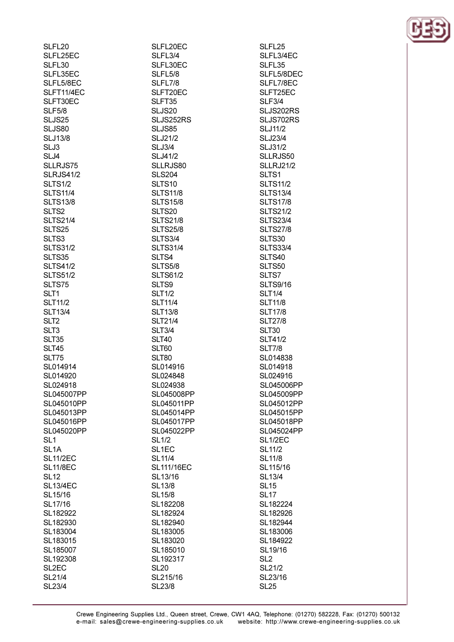| SLFL20             | SLFL20EC           |
|--------------------|--------------------|
| SLFL25EC           | SLFL3/4            |
| SLFL30             | SLFL30EC           |
| SLFL35EC           | SLFL5/8            |
| SLFL5/8EC          | SLFL7/8            |
| SLFT11/4EC         | SLFT20EC           |
| SLFT30EC           | SLFT35             |
| <b>SLF5/8</b>      | SLJS20             |
| SLJS25             | SLJS252RS          |
| SLJS80             | SLJS85             |
| <b>SLJ13/8</b>     | <b>SLJ21/2</b>     |
| SLJ3               | SLJ3/4             |
| SLJ4               | <b>SLJ41/2</b>     |
| SLLRJS75           | SLLRJS80           |
| <b>SLRJS41/2</b>   | <b>SLS204</b>      |
|                    |                    |
| SLTS1/2            | SLTS <sub>10</sub> |
| <b>SLTS11/4</b>    | <b>SLTS11/8</b>    |
| <b>SLTS13/8</b>    | <b>SLTS15/8</b>    |
| SLTS <sub>2</sub>  | SLTS20             |
| <b>SLTS21/4</b>    | <b>SLTS21/8</b>    |
| SLTS25             | <b>SLTS25/8</b>    |
| SLTS3              | SLTS3/4            |
| <b>SLTS31/2</b>    | <b>SLTS31/4</b>    |
| SLTS35             | SLTS4              |
| <b>SLTS41/2</b>    | <b>SLTS5/8</b>     |
| <b>SLTS51/2</b>    | <b>SLTS61/2</b>    |
| SLTS75             | SLTS9              |
| SLT1               | <b>SLT1/2</b>      |
| <b>SLT11/2</b>     | <b>SLT11/4</b>     |
| <b>SLT13/4</b>     | <b>SLT13/8</b>     |
| SLT <sub>2</sub>   | <b>SLT21/4</b>     |
| SLT3               | <b>SLT3/4</b>      |
| SLT35              | <b>SLT40</b>       |
| <b>SLT45</b>       | SLT60              |
| <b>SLT75</b>       | <b>SLT80</b>       |
| SL014914           | SL014916           |
| SL014920           | SL024848           |
| SL024918           | SL024938           |
| SL045007PP         | SL045008PP         |
| SL045010PP         | SL045011PP         |
| SL045013PP         | SL045014PP         |
| SL045016PP         | SL045017PP         |
| SL045020PP         | SL045022PP         |
| SL <sub>1</sub>    | <b>SL1/2</b>       |
| SL <sub>1</sub> A  | SL <sub>1</sub> EC |
| <b>SL11/2EC</b>    | SL11/4             |
| <b>SL11/8EC</b>    | SL111/16EC         |
|                    |                    |
| <b>SL12</b>        | SL13/16            |
| <b>SL13/4EC</b>    | SL13/8             |
| SL15/16            | SL15/8             |
| SL17/16            | SL182208           |
| SL182922           | SL182924           |
| SL182930           | SL182940           |
| SL183004           | SL183005           |
| SL183015           | SL183020           |
| SL185007           | SL185010           |
| SL192308           | SL192317           |
| SL <sub>2</sub> EC | <b>SL20</b>        |
| SL21/4             | SL215/16           |
| SL23/4             | SL23/8             |

SLFL25 SLFL3/4EC SLFL35 SLFL5/8DEC SLFL7/8EC SLFT25EC **SLF3/4** SLJS202RS SLJS702RS **SLJ11/2 SLJ23/4 SLJ31/2** SLLRJS50 **SLLRJ21/2** SLTS1 **SLTS11/2 SLTS13/4 SLTS17/8 SLTS21/2 SLTS23/4 SLTS27/8** SLTS30 **SLTS33/4** SLTS40 SLTS50 SLTS7 **SLTS9/16 SLT1/4 SLT11/8 SLT17/8 SLT27/8 SLT30 SLT41/2 SLT7/8** SL014838 SL014918 SL024916 SL045006PP SL045009PP SL045012PP SL045015PP SL045018PP SL045024PP SL1/2EC **SL11/2 SL11/8** SL115/16 **SL13/4 SL15 SL17** SL182224 SL182926 SL182944 SL183006 SL184922 SL19/16 SL<sub>2</sub> SL21/2 SL23/16 **SL25** 

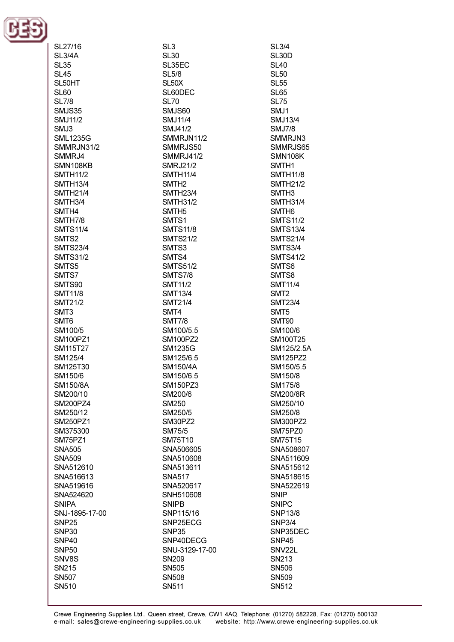

| SL27/16           | SL3                |
|-------------------|--------------------|
|                   |                    |
| SL3/4A            | <b>SL30</b>        |
| <b>SL35</b>       | SL35EC             |
| <b>SL45</b>       | <b>SL5/8</b>       |
| SL50HT            | SL <sub>50</sub> X |
| <b>SL60</b>       | SL60DEC            |
| <b>SL7/8</b>      | <b>SL70</b>        |
| SMJS35            | SMJS60             |
|                   |                    |
| <b>SMJ11/2</b>    | <b>SMJ11/4</b>     |
| SMJ3              | SMJ41/2            |
| <b>SML1235G</b>   | SMMRJN11/2         |
| SMMRJN31/2        | SMMRJS50           |
| SMMRJ4            | <b>SMMRJ41/2</b>   |
| SMN108KB          | <b>SMRJ21/2</b>    |
| <b>SMTH11/2</b>   | <b>SMTH11/4</b>    |
| <b>SMTH13/4</b>   | SMTH <sub>2</sub>  |
|                   |                    |
| <b>SMTH21/4</b>   | <b>SMTH23/4</b>    |
| SMTH3/4           | <b>SMTH31/2</b>    |
| SMTH4             | SMTH <sub>5</sub>  |
| SMTH7/8           | SMTS <sub>1</sub>  |
| <b>SMTS11/4</b>   | <b>SMTS11/8</b>    |
| SMTS <sub>2</sub> | <b>SMTS21/2</b>    |
| <b>SMTS23/4</b>   | SMTS3              |
|                   |                    |
| <b>SMTS31/2</b>   | SMTS4              |
| SMTS5             | <b>SMTS51/2</b>    |
| SMTS7             | <b>SMTS7/8</b>     |
| SMTS90            | <b>SMT11/2</b>     |
| <b>SMT11/8</b>    | <b>SMT13/4</b>     |
| <b>SMT21/2</b>    | <b>SMT21/4</b>     |
| SMT <sub>3</sub>  | SMT4               |
| SMT <sub>6</sub>  | <b>SMT7/8</b>      |
| SM100/5           | SM100/5.5          |
| SM100PZ1          | SM100PZ2           |
| SM115T27          | SM1235G            |
|                   |                    |
| SM125/4           | SM125/6.5          |
| SM125T30          | SM150/4A           |
| SM150/6           | SM150/6.5          |
| SM150/8A          | <b>SM150PZ3</b>    |
| SM200/10          | SM200/6            |
| SM200PZ4          | SM250              |
| SM250/12          | SM250/5            |
| SM250PZ1          | SM30PZ2            |
| SM375300          | SM75/5             |
| SM75PZ1           | SM75T10            |
|                   |                    |
| <b>SNA505</b>     | SNA506605          |
| SNA509            | SNA510608          |
| SNA512610         | SNA513611          |
| SNA516613         | <b>SNA517</b>      |
| SNA519616         | SNA520617          |
| SNA524620         | SNH510608          |
| <b>SNIPA</b>      | <b>SNIPB</b>       |
| SNJ-1895-17-00    | SNP115/16          |
|                   |                    |
| SNP <sub>25</sub> | SNP25ECG           |
| SNP <sub>30</sub> | SNP35              |
| SNP <sub>40</sub> | SNP40DECG          |
| SNP <sub>50</sub> | SNU-3129-17-00     |
| SNV8S             | SN <sub>209</sub>  |
| SN215             | SN505              |
| <b>SN507</b>      | <b>SN508</b>       |
| SN510             | SN511              |
|                   |                    |

**SL30D**  $SI$  40 **SL50 SL55 SL65 SL75** SMJ1 **SMJ13/4 SMJ7/8** SMMRJN3 SMMRJS65 **SMN108K** SMTH<sub>1</sub> **SMTH11/8 SMTH21/2** SMTH<sub>3</sub> **SMTH31/4** SMTH<sub>6</sub> **SMTS11/2 SMTS13/4 SMTS21/4 SMTS3/4 SMTS41/2** SMT<sub>S6</sub> SMTS8 **SMT11/4** SMT<sub>2</sub> **SMT23/4** SMT5 SMT90 SM100/6 SM100T25 SM125/2.5A **SM125PZ2** SM150/5.5 SM150/8 SM175/8 SM200/8R SM250/10 SM250/8 **SM300PZ2** SM75PZ0 **SM75T15** SNA508607 SNA511609 SNA515612 SNA518615 SNA522619 SNIP **SNIPC SNP13/8 SNP3/4** SNP35DEC **SNP45** SNV22L SN213 **SN506** SN509 SN512

**SL3/4**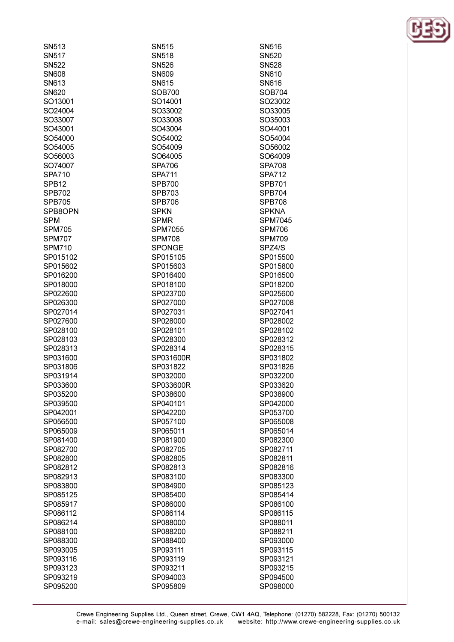| SN <sub>513</sub> | SN515          | SN516          |
|-------------------|----------------|----------------|
| <b>SN517</b>      | SN518          | <b>SN520</b>   |
| <b>SN522</b>      | <b>SN526</b>   | <b>SN528</b>   |
| <b>SN608</b>      | <b>SN609</b>   | SN610          |
| SN613             | SN615          | SN616          |
|                   | <b>SOB700</b>  | <b>SOB704</b>  |
| <b>SN620</b>      |                |                |
| SO13001           | SO14001        | SO23002        |
| SO24004           | SO33002        | SO33005        |
| SO33007           | SO33008        | SO35003        |
| SO43001           | SO43004        | SO44001        |
| SO54000           | SO54002        | SO54004        |
| SO54005           | SO54009        | SO56002        |
| SO56003           | SO64005        | SO64009        |
| SO74007           | <b>SPA706</b>  | <b>SPA708</b>  |
| <b>SPA710</b>     | <b>SPA711</b>  | <b>SPA712</b>  |
| SPB <sub>12</sub> | <b>SPB700</b>  | <b>SPB701</b>  |
| <b>SPB702</b>     | SPB703         | <b>SPB704</b>  |
| <b>SPB705</b>     | <b>SPB706</b>  | <b>SPB708</b>  |
| SPB8OPN           | <b>SPKN</b>    | <b>SPKNA</b>   |
| <b>SPM</b>        | <b>SPMR</b>    | <b>SPM7045</b> |
| <b>SPM705</b>     | <b>SPM7055</b> | <b>SPM706</b>  |
| <b>SPM707</b>     | <b>SPM708</b>  | <b>SPM709</b>  |
| <b>SPM710</b>     | <b>SPONGE</b>  | SPZ4/S         |
| SP015102          | SP015105       | SP015500       |
| SP015602          | SP015603       | SP015800       |
| SP016200          | SP016400       | SP016500       |
| SP018000          | SP018100       | SP018200       |
| SP022600          | SP023700       | SP025600       |
| SP026300          | SP027000       | SP027008       |
| SP027014          | SP027031       | SP027041       |
| SP027600          | SP028000       | SP028002       |
| SP028100          | SP028101       | SP028102       |
| SP028103          | SP028300       | SP028312       |
| SP028313          | SP028314       | SP028315       |
| SP031600          | SP031600R      | SP031802       |
| SP031806          | SP031822       | SP031826       |
| SP031914          | SP032000       | SP032200       |
| SP033600          | SP033600R      | SP033620       |
| SP035200          | SP038600       | SP038900       |
|                   | SP040101       |                |
| SP039500          |                | SP042000       |
| SP042001          | SP042200       | SP053700       |
| SP056500          | SP057100       | SP065008       |
| SP065009          | SP065011       | SP065014       |
| SP081400          | SP081900       | SP082300       |
| SP082700          | SP082705       | SP082711       |
| SP082800          | SP082805       | SP082811       |
| SP082812          | SP082813       | SP082816       |
| SP082913          | SP083100       | SP083300       |
| SP083800          | SP084900       | SP085123       |
| SP085125          | SP085400       | SP085414       |
| SP085917          | SP086000       | SP086100       |
| SP086112          | SP086114       | SP086115       |
| SP086214          | SP088000       | SP088011       |
| SP088100          | SP088200       | SP088211       |
| SP088300          | SP088400       | SP093000       |
| SP093005          | SP093111       | SP093115       |
| SP093116          | SP093119       | SP093121       |
| SP093123          | SP093211       | SP093215       |
| SP093219          | SP094003       | SP094500       |
| SP095200          | SP095809       | SP098000       |

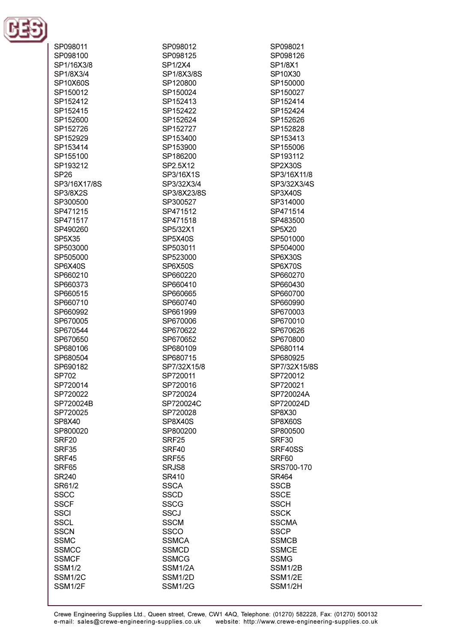

| SP098011       |  |
|----------------|--|
| SP098100       |  |
|                |  |
| SP1/16X3/8     |  |
| SP1/8X3/4      |  |
| SP10X60S       |  |
|                |  |
| SP150012       |  |
| SP152412       |  |
|                |  |
| SP152415       |  |
| SP152600       |  |
| SP152726       |  |
|                |  |
| SP152929       |  |
| SP153414       |  |
| SP155100       |  |
| SP193212       |  |
|                |  |
| <b>SP26</b>    |  |
| SP3/16X17/8S   |  |
|                |  |
| SP3/8X2S       |  |
| SP300500       |  |
| SP471215       |  |
|                |  |
| SP471517       |  |
| SP490260       |  |
| SP5X35         |  |
| SP503000       |  |
|                |  |
| SP505000       |  |
| SP6X40S        |  |
| SP660210       |  |
|                |  |
| SP660373       |  |
| SP660515       |  |
| SP660710       |  |
| SP660992       |  |
|                |  |
| SP670005       |  |
| SP670544       |  |
| SP670650       |  |
|                |  |
| SP680106       |  |
| SP680504       |  |
| SP690182       |  |
| SP702          |  |
|                |  |
| SP720014       |  |
| SP720022       |  |
| SP720024B      |  |
|                |  |
| SP720025       |  |
| SP8X40         |  |
| SP800020       |  |
|                |  |
| SRF20          |  |
| SRF35          |  |
| SRF45          |  |
|                |  |
| SRF65          |  |
| SR240          |  |
| SR61/2         |  |
| SSCC           |  |
|                |  |
| <b>SSCF</b>    |  |
| SSCI           |  |
| <b>SSCL</b>    |  |
|                |  |
| <b>SSCN</b>    |  |
| <b>SSMC</b>    |  |
| SSMCC          |  |
|                |  |
| <b>SSMCF</b>   |  |
| <b>SSM1/2</b>  |  |
| <b>SSM1/2C</b> |  |
| SSM1/2F        |  |
|                |  |

SP098012 SP098125 SP1/8X3/8S SP120800 SP150024 SP152413 SP152422 SP152624 SP152727 SP153400 SP153900 SP186200 SP2.5X12 SP3/16X1S SP3/32X3/4 SP3/8X23/8S SP300527 SP471512 SP471518 SP5/32X1 SP503011 SP523000 SP660220 SP660410 SP660665 SP660740 SP661999 SP670006 SP670622 SP670652 SP680109 SP680715 SP7/32X15/8 SP720011 SP720016 SP720024 SP720024C SP720028 SP800200

SP<sub>1/2</sub>X<sub>4</sub>

**SP5X40S** 

SP6X50S

SP8X40S

SRF<sub>25</sub>

SRF40

**SRF55** 

SRJS8

SR410

**SSCA** 

**SSCD** 

**SSCG** 

**SSCJ** 

**SSCM** 

**SSCO SSMCA** 

**SSMCD** 

**SSMCG** 

**SSM1/2A** 

SSM1/2D

**SSM1/2G** 

SP098021

SP098126

SP1/8X1

SP10X30

SP150000

SP150027

SP152414

SP152424

SP152626

SP152828

SP153413

SP155006

SP193112

SP2X30S

SP3X40S SP314000

SP471514

SP483500

SP501000

SP504000

SP6X30S

SP6X70S

SP660270

SP660430

SP660700

SP660990

SP670003

SP670010

SP670626

SP670800

SP680114

SP680925

SP720012

SP720021

SP720024A

SP720024D

SP8X30

SRF<sub>30</sub>

SRF60

**SR464** 

**SSCB** 

**SSCE** 

**SSCH** 

**SSCK** 

**SSCMA SSCP** 

**SSMCB** 

**SSMCE** 

**SSM1/2B** 

SSM1/2E

SSM1/2H

**SSMG** 

SP8X60S

SP800500

SRF40SS

SRS700-170

SP7/32X15/8S

SP5X20

SP3/16X11/8

SP3/32X3/4S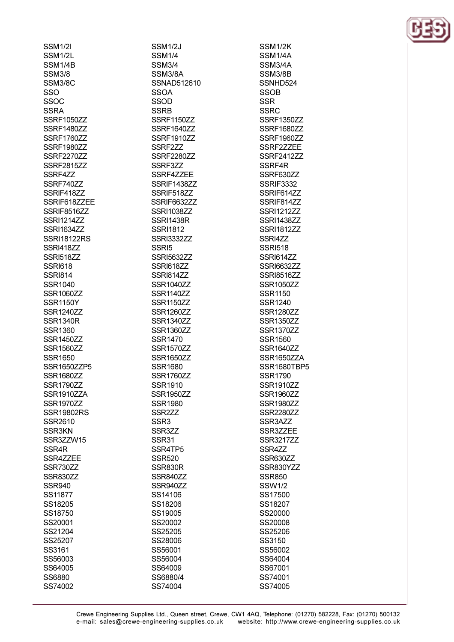**SSM1/2I** SSM<sub>1/2L</sub> SSM<sub>1/4R</sub> **SSM3/8** SSM3/8C SSO SSO<sub>C</sub> **SSRA** SSRF1050ZZ **SSRF1480ZZ** SSRF1760ZZ **SSRF1980ZZ SSRF2270ZZ** SSRF281577 SSRF4ZZ **SSRF740ZZ** SSRIF418ZZ SSRIF618ZZEE SSRIF8516ZZ **SSRI1214ZZ SSRI1634ZZ SSRI18122RS** SSRI418ZZ **SSRI51877 SSRI618 SSRI814** SSR1040 **SSR1060ZZ SSR1150Y SSR1240ZZ SSR1340R** SSR1360 **SSR1450ZZ SSR1560ZZ** SSR1650 SSR1650ZZP5 **SSR1680ZZ** SSR1790ZZ SSR1910ZZA **SSR1970ZZ SSR19802RS** SSR2610 SSR3KN SSR3ZZW15 SSR<sub>4</sub>R SSR4ZZEE SSR730ZZ SSR830ZZ **SSR940** SS11877 SS18205 SS18750 SS20001 SS21204 SS25207 SS3161 SS56003 SS64005 SS6880

SS74002

**SSM1/2J SSM1/4** SSM3/4 SSM3/8A SSNAD512610 **SSOA** SSOD **SSRB SSRF1150ZZ SSRF1640ZZ SSRF1910ZZ** SSRF2ZZ **SSRF2280ZZ SSRE377** SSRF4ZZEE **SSRIF1438ZZ** SSRIF518ZZ **SSRIF6632ZZ** SSRI1038ZZ **SSRI1438R SSRI1812 SSRI3332ZZ** SSRI5 **SSRI5632ZZ SSRI61877** SSRI814ZZ **SSR1040ZZ SSR1140ZZ** SSR1150ZZ **SSR1260ZZ SSR1340ZZ SSR1360ZZ SSR1470 SSR1570ZZ SSR1650ZZ SSR1680** SSR1760ZZ SSR1910 **SSR1950ZZ SSR1980** SSR<sub>2</sub>ZZ SSR<sub>3</sub> SSR3ZZ SSR31 SSR4TP5 **SSR520** SSR830R SSR840ZZ SSR940ZZ SS14106 SS18206 SS19005 SS20002 SS25205 SS28006 SS56001 SS56004 SS64009 SS6880/4 SS74004

SSM1/2K SSM1/4A **SSM3/4A SSM3/8B** SSNHD524 **SSOB SSR SSRC** SSRF1350ZZ SSRF1680ZZ SSRF1960ZZ SSRF2ZZEE **SSRF241277** SSRF4R SSRF630ZZ **SSRIF3332** SSRIF614ZZ SSRIF81477 **SSRI1212ZZ SSRI1438ZZ SSRI1812ZZ** SSRI477 **SSRI518 SSRI614ZZ SSRI663277** SSRI8516ZZ **SSR1050ZZ SSR1150** SSR1240 **SSR1280ZZ SSR1350ZZ SSR1370ZZ SSR1560 SSR1640ZZ** SSR1650ZZA SSR1680TBP5 **SSR1790 SSR1910ZZ SSR1960ZZ SSR1980ZZ SSR2280ZZ** SSR3AZZ SSR3ZZEE **SSR3217ZZ** SSR4ZZ SSR630ZZ SSR830YZZ **SSR850 SSW1/2** SS17500 SS18207 SS20000 SS20008 SS25206 SS3150 SS56002 SS64004 SS67001 SS74001 SS74005

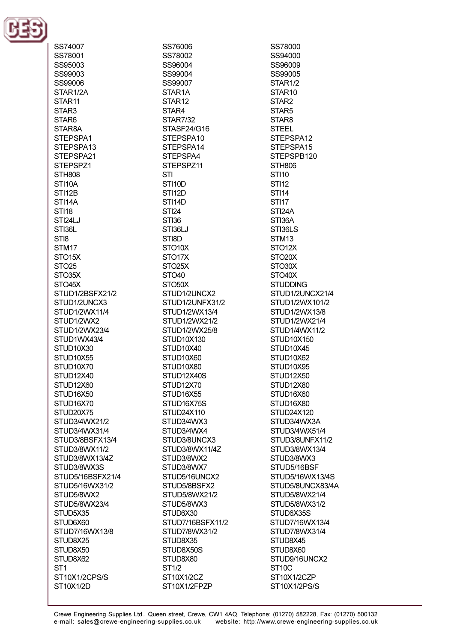

SS74007 SS78001 SS95003 SS99003 SS99006 STAR1/2A STAR<sub>11</sub> STAR3 STAR6 STAR8A STEPSPA1 STEPSPA13 STEPSPA21 STEPSP71 **STH808** STI<sub>10</sub>A **STI12B STI14A STI18** STI24LJ STI36L **STIR** STM<sub>17</sub>  $STO15X$  $STO25$ STO35X STO<sub>45</sub>X STUD1/2BSFX21/2 STUD1/2UNCX3 STUD1/2WX11/4 STUD1/2WX2 STUD1/2WX23/4 STUD1WX43/4 STUD10X30 STUD10X55 STUD10X70 STUD12X40 STUD<sub>12X60</sub> STUD16X50 STUD16X70 STUD20X75 STUD3/4WX21/2 STUD3/4WX31/4 STUD3/8BSFX13/4 STUD3/8WX11/2 STUD3/8WX13/4Z STUD3/8WX3S STUD5/16BSFX21/4 STUD5/16WX31/2 STUD5/8WX2 STUD5/8WX23/4 STUD5X35 STUD6X60 STUD7/16WX13/8 STUD8X25 STUD8X50 STUD8X62 ST<sub>1</sub> ST10X1/2CPS/S ST10X1/2D

SS76006 SS78002 SS96004 SS99004 SS99007 STAR<sub>1</sub>A STAR<sub>12</sub> STAR4 **STAR7/32** STASF24/G16 STEPSPA10 STEPSPA14 STEPSPA4 STEPSP711 **STI** STI<sub>10</sub>D **STI12D** STI<sub>14D</sub> **STI24 STI36** STI36LJ STI8D STO<sub>10</sub>X STO<sub>17X</sub>  $STO25X$ STO<sub>40</sub> STO<sub>50</sub>X STUD1/2UNCX2 STUD1/2UNFX31/2 STUD1/2WX13/4 STUD1/2WX21/2 STUD1/2WX25/8 STUD10X130 STUD10X40 STUD10X60 STUD10X80 STUD12X40S STUD<sub>12X70</sub> STUD16X55 STUD16X75S STUD24X110 STUD3/4WX3 STUD3/4WX4 STUD3/8UNCX3 STUD3/8WX11/4Z STUD3/8WX2 STUD3/8WX7 STUD5/16UNCX2 STUD5/8BSFX2 STUD5/8WX21/2 STUD5/8WX3 STUD6X30 STUD7/16BSFX11/2 STUD7/8WX31/2 STUD8X35 STUD8X50S STUD8X80 **ST1/2** ST10X1/2CZ ST10X1/2FPZP

SS78000 SS94000 SS96009 SS99005 STAR<sub>1/2</sub> STAR<sub>10</sub> STAR<sub>2</sub> STAR5 STAR<sub>8</sub> **STEEL** STEPSPA12 STEPSPA15 STEPSPB120 STH806 **STI10 STI12 STI14 STI17** STI<sub>24</sub>A STI36A STI36LS STM<sub>13</sub> STO<sub>12X</sub> STO<sub>20</sub>X STO30X STO<sub>40</sub>X **STUDDING** STUD1/2UNCX21/4 STUD1/2WX101/2 STUD1/2WX13/8 STUD1/2WX21/4 STUD1/4WX11/2 **STUD10X150** STUD10X45 STUD<sub>10X62</sub> STUD10X95 STUD<sub>12X50</sub> STUD<sub>12X80</sub> STUD16X60 STUD16X80 STUD24X120 STUD3/4WX3A STUD3/4WX51/4 STUD3/8UNFX11/2 STUD3/8WX13/4 STUD3/8WX3 STUD5/16BSF STUD5/16WX13/4S STUD5/8UNCX83/4A STUD5/8WX21/4 STUD5/8WX31/2 STUD6X35S STUD7/16WX13/4 STUD7/8WX31/4 STUD8X45 STUD8X60 STUD9/16UNCX2 ST<sub>10</sub>C ST10X1/2CZP ST10X1/2PS/S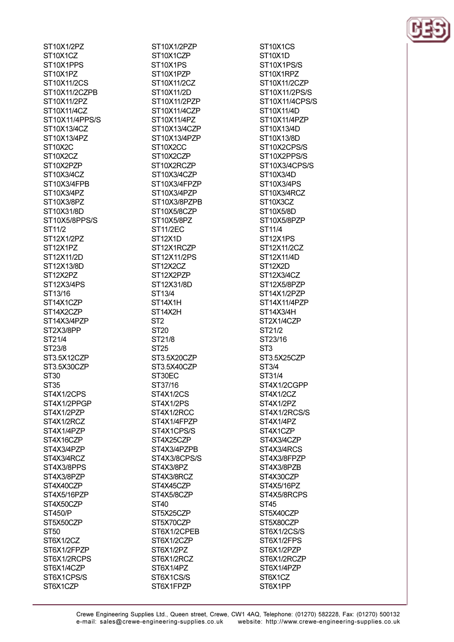ST10X1/2PZ ST10X1CZ ST10X1PPS ST10X1PZ ST10X11/2CS ST10X11/2CZPB ST10X11/2P7 ST10X11/4CZ ST10X11/4PPS/S ST10X13/4CZ ST10X13/4PZ ST<sub>10</sub>X<sub>2</sub>C ST10X2CZ ST10X2P7P ST10X3/4CZ ST10X3/4FPB ST10X3/4PZ ST10X3/8PZ ST10X31/8D ST10X5/8PPS/S ST11/2 ST12X1/2PZ ST12X1PZ ST12X11/2D ST12X13/8D ST12X2PZ ST12X3/4PS ST13/16 ST14X1CZP ST14X2CZP ST14X3/4PZP ST2X3/8PP ST21/4 ST23/8 ST3.5X12CZP ST3.5X30CZP **ST30 ST35** ST4X1/2CPS ST4X1/2PPGP ST4X1/2PZP ST4X1/2RCZ ST4X1/4PZP ST4X16CZP ST4X3/4PZP ST4X3/4RCZ ST4X3/8PPS ST4X3/8PZP ST4X40CZP ST4X5/16PZP ST4X50CZP **ST450/P** ST5X50CZP **ST50** ST6X1/2CZ ST6X1/2FPZP ST6X1/2RCPS ST6X1/4CZP ST6X1CPS/S ST6X1CZP

ST10X1/2PZP ST10X1CZP ST10X1PS ST10X1PZP ST10X11/2CZ ST10X11/2D ST10X11/2PZP ST10X11/4CZP ST10X11/4PZ ST10X13/4CZP ST10X13/4PZP ST10X2CC ST10X2CZP ST10X2RCZP ST10X3/4CZP ST10X3/4FPZP ST10X3/4PZP ST10X3/8PZPB ST10X5/8CZP ST10X5/8PZ **ST11/2EC** ST<sub>12X1D</sub> ST12X1RCZP ST12X11/2PS ST<sub>12</sub>X<sub>2</sub>C<sub>Z</sub> ST12X2PZP ST12X31/8D ST13/4 ST14X1H ST14X2H ST<sub>2</sub> **ST20** ST21/8 **ST25** ST3.5X20CZP ST3.5X40CZP ST30EC ST37/16 ST4X1/2CS ST4X1/2PS ST4X1/2RCC ST4X1/4FPZP ST4X1CPS/S ST4X25CZP ST4X3/4PZPB ST4X3/8CPS/S ST4X3/8PZ ST4X3/8RCZ ST4X45CZP ST4X5/8CZP **ST40** ST5X25CZP ST5X70CZP ST6X1/2CPEB ST6X1/2CZP ST6X1/2PZ ST6X1/2RCZ ST6X1/4PZ ST6X1CS/S ST6X1FPZP

ST10X1CS ST<sub>10</sub>X<sub>1</sub>D ST10X1PS/S ST10X1RPZ ST10X11/2CZP ST10X11/2PS/S ST10X11/4CPS/S ST10X11/4D ST10X11/4PZP ST10X13/4D ST10X13/8D ST10X2CPS/S ST10X2PPS/S ST10X3/4CPS/S ST10X3/4D ST10X3/4PS ST10X3/4RCZ ST<sub>10</sub>X<sub>3</sub>C<sub>Z</sub> ST10X5/8D ST10X5/8PZP ST11/4 ST<sub>12X1PS</sub> ST12X11/2CZ ST12X11/4D ST<sub>12</sub>X<sub>2</sub>D ST12X3/4CZ ST12X5/8PZP ST14X1/2PZP ST14X11/4PZP ST14X3/4H ST2X1/4CZP ST21/2 ST23/16 ST<sub>3</sub> ST3.5X25CZP ST3/4 ST31/4 ST4X1/2CGPP ST4X1/2CZ ST4X1/2PZ ST4X1/2RCS/S ST4X1/4PZ ST4X1CZP ST4X3/4CZP ST4X3/4RCS ST4X3/8FPZP ST4X3/8PZB ST4X30CZP ST4X5/16PZ ST4X5/8RCPS **ST45** ST5X40CZP ST5X80CZP ST6X1/2CS/S ST6X1/2FPS ST6X1/2PZP ST6X1/2RCZP ST6X1/4PZP ST6X1CZ ST6X1PP

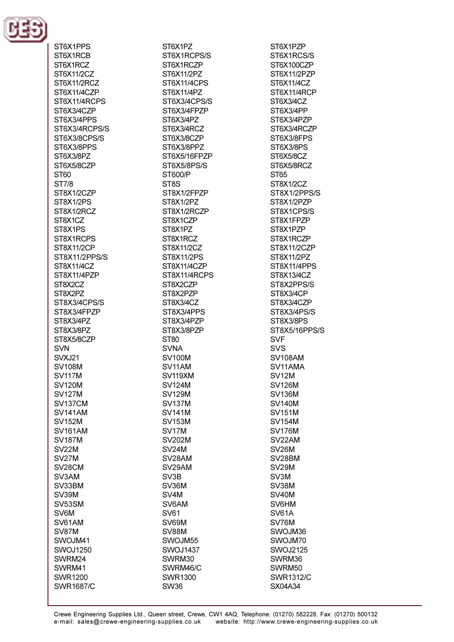

ST6X1PPS ST6X1RCB ST6X1RCZ ST6X11/2CZ ST6X11/2RCZ ST6X11/4CZP ST6X11/4RCPS ST6X3/4CZP ST6X3/4PPS ST6X3/4RCPS/S ST6X3/8CPS/S ST6X3/8PPS ST6X3/8PZ ST6X5/8CZP **ST60 ST7/8** ST8X1/2CZP ST8X1/2PS ST8X1/2RCZ ST8X1CZ ST8X1PS ST8X1RCPS **ST8X11/2CP** ST8X11/2PPS/S ST8X11/4CZ ST8X11/4PZP ST8X2CZ ST8X2PZ ST8X3/4CPS/S ST8X3/4FPZP ST8X3/4PZ ST8X3/8PZ ST8X5/8CZP **SVN SVXJ21 SV108M SV117M SV120M SV127M** SV137CM **SV141AM SV152M SV161AM SV187M SV22M** SV<sub>27</sub>M SV<sub>28</sub>CM SV3AM SV33BM **SV39M** SV53SM SV6M SV61AM SV87M SWOJM41 **SWOJ1250** SWRM24 SWRM41 **SWR1200 SWR1687/C** 

ST6X1PZ ST6X1RCPS/S ST6X1RCZP ST6X11/2PZ ST6X11/4CPS ST6X11/4PZ ST6X3/4CPS/S ST6X3/4FPZP ST6X3/4PZ ST6X3/4RCZ ST6X3/8CZP ST6X3/8PPZ ST6X5/16FPZP ST6X5/8PS/S ST600/P ST<sub>8</sub>S ST8X1/2FPZP ST8X1/2PZ ST8X1/2RCZP ST8X1CZP ST8X1PZ ST8X1RCZ ST8X11/2CZ ST8X11/2PS ST8X11/4CZP ST8X11/4RCPS ST8X2CZP ST8X2PZP ST8X3/4CZ ST8X3/4PPS ST8X3/4PZP ST8X3/8PZP ST80 **SVNA SV100M** SV11AM SV119XM **SV124M SV129M SV137M SV141M SV153M** SV<sub>17</sub>M **SV202M SV24M** SV<sub>28</sub>AM SV29AM SV<sub>3</sub>B SV36M SV<sub>4</sub>M SV6AM **SV61** SV69M SV88M SWOJM55 **SWOJ1437** SWRM30 SWRM46/C **SWR1300** 

ST6X1PZP ST6X1RCS/S ST6X100CZP ST6X11/2PZP ST6X11/4CZ ST6X11/4RCP ST6X3/4CZ ST6X3/4PP ST6X3/4PZP ST6X3/4RCZP ST6X3/8FPS ST6X3/8PS ST6X5/8CZ ST6X5/8RCZ **ST65** ST8X1/2CZ ST8X1/2PPS/S ST8X1/2PZP ST8X1CPS/S ST8X1FPZP ST8X1PZP ST8X1RCZP ST8X11/2CZP ST8X11/2PZ ST8X11/4PPS ST8X13/4CZ ST8X2PPS/S ST8X3/4CP ST8X3/4CZP ST8X3/4PS/S ST8X3/8PS ST8X5/16PPS/S **SVF SVS SV108AM** SV11AMA **SV12M SV126M SV136M SV140M SV151M SV154M SV176M** SV22AM **SV26M** SV<sub>28</sub>BM **SV29M** SV3M SV38M SV<sub>40</sub>M SV6HM **SV61A** SV76M SWOJM36 SWOJM70 **SWOJ2125** SWRM36 SWRM50 **SWR1312/C** SX04A34

**SW36**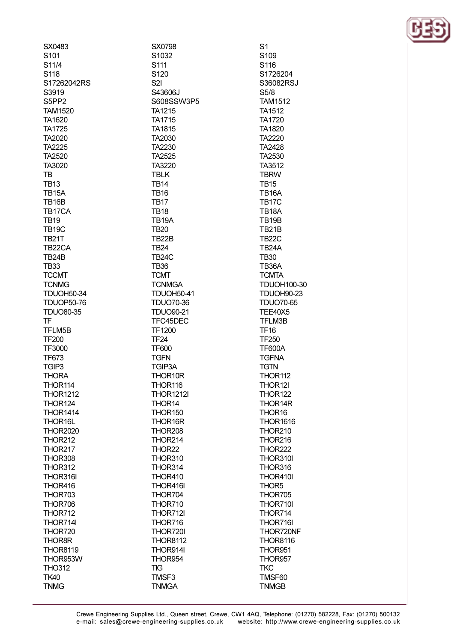| SX0483                 | SX0798                      | S1                            |
|------------------------|-----------------------------|-------------------------------|
| S101                   | S1032                       | S109                          |
| S11/4                  | S111                        | S116                          |
| S118                   | S120                        | S1726204                      |
| S17262042RS            | S <sub>2</sub>              | S36082RSJ                     |
| S3919                  | S43606J                     | S5/8                          |
| S5PP2                  | S608SSW3P5                  | <b>TAM1512</b>                |
| <b>TAM1520</b>         | TA1215                      | <b>TA1512</b>                 |
| TA1620                 | <b>TA1715</b>               | <b>TA1720</b>                 |
| TA1725                 | <b>TA1815</b>               | <b>TA1820</b>                 |
| TA2020                 | TA2030                      | <b>TA2220</b>                 |
| TA2225                 | TA2230                      | <b>TA2428</b>                 |
| TA2520                 | TA2525                      | TA2530                        |
| TA3020                 | TA3220                      | TA3512                        |
| TB                     | <b>TBLK</b>                 | <b>TBRW</b>                   |
| <b>TB13</b>            | <b>TB14</b>                 | <b>TB15</b>                   |
| <b>TB15A</b>           | <b>TB16</b>                 | TB <sub>16</sub> A            |
| <b>TB16B</b>           | <b>TB17</b>                 | TB <sub>17</sub> C            |
| TB17CA                 | <b>TB18</b>                 | TB <sub>18</sub> A            |
| <b>TB19</b>            | TB <sub>19</sub> A          | TB <sub>19</sub> B            |
| <b>TB19C</b>           | <b>TB20</b>                 | TB21B                         |
| <b>TB21T</b>           | TB22B                       | <b>TB22C</b>                  |
| TB22CA                 | <b>TB24</b>                 | TB24A                         |
| <b>TB24B</b>           | <b>TB24C</b>                | <b>TB30</b>                   |
| <b>TB33</b>            | <b>TB36</b>                 | TB36A                         |
| <b>TCCMT</b>           | <b>TCMT</b>                 | <b>TCMTA</b>                  |
| <b>TCNMG</b>           | <b>TCNMGA</b>               | <b>TDUOH100-30</b>            |
| <b>TDUOH50-34</b>      | <b>TDUOH50-41</b>           | <b>TDUOH90-23</b>             |
| <b>TDUOP50-76</b>      | <b>TDUO70-36</b>            | <b>TDUO70-65</b>              |
| <b>TDUO80-35</b>       | <b>TDUO90-21</b>            | <b>TEE40X5</b>                |
| TF                     | TFC45DEC                    | TFLM3B                        |
| TFLM5B                 | <b>TF1200</b>               | <b>TF16</b>                   |
| <b>TF200</b>           | TF <sub>24</sub>            | <b>TF250</b>                  |
| TF3000<br><b>TF673</b> | <b>TF600</b><br><b>TGFN</b> | <b>TF600A</b><br><b>TGFNA</b> |
| TGIP3                  | TGIP3A                      | <b>TGTN</b>                   |
| <b>THORA</b>           | THOR10R                     | THOR112                       |
| THOR114                | THOR116                     | THOR12I                       |
| <b>THOR1212</b>        | <b>THOR1212I</b>            | THOR122                       |
| <b>THOR124</b>         | THOR14                      | THOR14R                       |
| <b>THOR1414</b>        | THOR150                     | THOR16                        |
| THOR16L                | THOR16R                     | <b>THOR1616</b>               |
| <b>THOR2020</b>        | THOR208                     | THOR210                       |
| <b>THOR212</b>         | THOR214                     | THOR216                       |
| THOR217                | THOR22                      | THOR222                       |
| THOR308                | THOR310                     | THOR310I                      |
| THOR312                | THOR314                     | THOR316                       |
| THOR316I               | THOR410                     | THOR410I                      |
| THOR416                | THOR416I                    | THOR <sub>5</sub>             |
| THOR703                | THOR704                     | THOR705                       |
| THOR706                | THOR710                     | THOR710I                      |
| THOR712                | THOR712I                    | THOR714                       |
| THOR714I               | THOR716                     | THOR716I                      |
| THOR720                | THOR720I                    | THOR720NF                     |
| <b>THOR8R</b>          | <b>THOR8112</b>             | THOR8116                      |
| <b>THOR8119</b>        | THOR914I                    | THOR951                       |
| THOR953W               | THOR954                     | THOR957                       |
| <b>THO312</b>          | TIG                         | <b>TKC</b>                    |
| <b>TK40</b>            | TMSF3                       | TMSF60                        |
| <b>TNMG</b>            | <b>TNMGA</b>                | <b>TNMGB</b>                  |
|                        |                             |                               |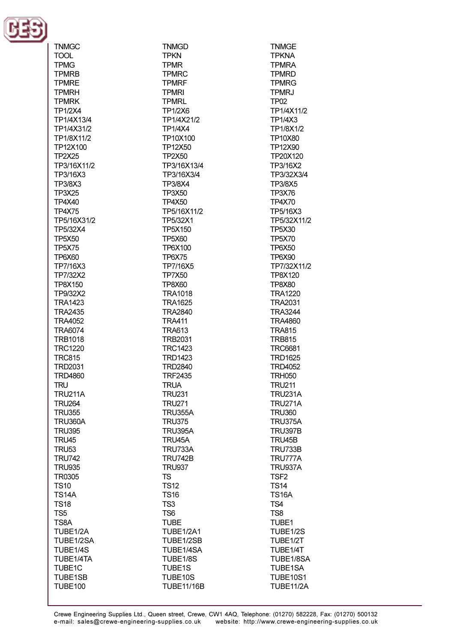

 $\sim$   $\sim$   $\sim$ 

| i NMGC                           |
|----------------------------------|
| TOOL                             |
| TPMG                             |
| TPMRB                            |
| TPMRE                            |
| TPMRH                            |
| TPMRK                            |
| <b>TP1/2X4</b>                   |
| TP1/4X13/4                       |
|                                  |
| TP1/4X31/2                       |
| TP1/8X11/2                       |
| TP12X100                         |
| <b>TP2X25</b>                    |
| TP3/16X11/2                      |
| TP3/16X3                         |
| TP3/8X3                          |
| TP3X25                           |
| <b>TP4X40</b>                    |
| <b>TP4X75</b>                    |
|                                  |
| TP5/16X31/2                      |
| TP5/32X4                         |
| <b>TP5X50</b>                    |
| TP5X75                           |
| <b>TP6X60</b>                    |
| TP7/16X3                         |
| TP7/32X2                         |
| TP8X150                          |
| TP9/32X2                         |
|                                  |
| TRA1423                          |
| <b>TRA2435</b>                   |
| TRA4052                          |
| TRA6074                          |
| TRB1018                          |
| <b>TRC1220</b>                   |
| <b>TRC815</b>                    |
| TRD2031                          |
| <b>TRD4860</b>                   |
| <b>TRU</b>                       |
|                                  |
| <b>TRU211A</b>                   |
| <b>TRU264</b>                    |
| <b>TRU355</b>                    |
| <b>TRU360A</b>                   |
| <b>TRU395</b>                    |
| <b>TRU45</b>                     |
| <b>TRU53</b>                     |
| <b>TRU742</b>                    |
| <b>TRU935</b>                    |
| TR0305                           |
| <b>TS10</b>                      |
|                                  |
| <b>TS14A</b>                     |
| <b>TS18</b>                      |
| TS <sub>5</sub>                  |
| TS8A                             |
| TUBE1/2A                         |
| TUBE1/2SA                        |
| TUBE1/4S                         |
| TUBE1/4TA                        |
|                                  |
|                                  |
| TUBE1C                           |
| <b>TUBE1SB</b><br><b>TUBE100</b> |

**TNMGD TPKN TPMR TPMRC TPMRF TPMRI TPMRL TP1/2X6** TP1/4X21/2 **TP1/4X4** TP10X100 TP12X50 **TP2X50** TP3/16X13/4 TP3/16X3/4 **TP3/8X4 TP3X50 TP4X50** TP5/16X11/2 TP5/32X1 **TP5X150 TP5X60** TP6X100 **TP6X75** TP7/16X5 **TP7X50 TP8X60 TRA1018 TRA1625 TRA2840 TRA411 TRA613 TRB2031 TRC1423 TRD1423 TRD2840 TRF2435 TRUA TRU231 TRU271 TRU355A TRU375 TRU395A** TRU45A **TRU733A TRU742B TRU937 TS TS12 TS16** TS<sub>3</sub> TS<sub>6</sub> **TUBE TUBE1/2A1** TUBE1/2SB TUBE1/4SA TUBE1/8S TUBE1S TUBE10S

**TNMGE TPKNA TPMRA TPMRD TPMRG TPMRJ TP02** TP1/4X11/2 **TP1/4X3** TP1/8X1/2 **TP10X80** TP12X90 TP20X120 TP3/16X2 TP3/32X3/4 **TP3/8X5 TP3X76 TP4X70** TP5/16X3 TP5/32X11/2 TP5X30 **TP5X70 TP6X50 TP6X90** TP7/32X11/2 TP8X120 **TP8X80 TRA1220 TRA2031 TRA3244 TRA4860 TRA815 TRB815 TRC6681 TRD1625 TRD4052 TRH050 TRU211 TRU231A TRU271A TRU360 TRU375A TRU397B** TRU45B **TRU733B** TRU777A **TRU937A** TSF<sub>2</sub> **TS14 TS16A** TS4 TS<sub>8</sub> TUBE1 TUBE1/2S TUBE1/2T TUBE1/4T TUBE1/8SA TUBE1SA **TUBE10S1** 

**TUBE11/2A** 

**TUBE11/16B**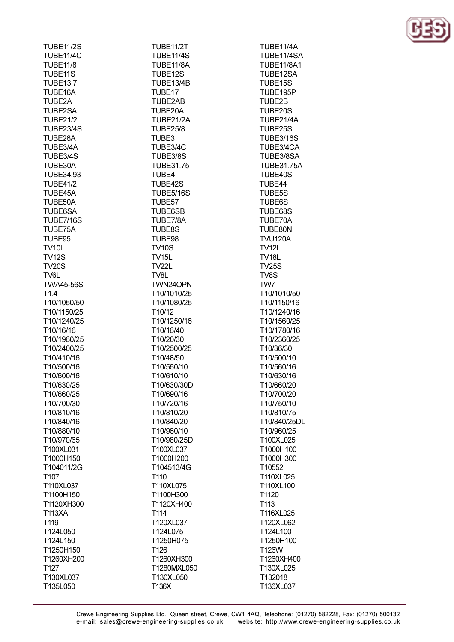| TUBE11/2S                   |  |
|-----------------------------|--|
| TUBE11/4C                   |  |
| TUBE11/8                    |  |
| TUBE11S                     |  |
| TUBE13.7                    |  |
| <b>TUBE16A</b>              |  |
| TUBE2A                      |  |
| TUBE2SA                     |  |
| TUBE21/2                    |  |
| TUBE23/4S                   |  |
| <b>TUBE26A</b>              |  |
| TUBE3/4A<br><b>TUBE3/4S</b> |  |
| TUBE30A                     |  |
| TUBE34.93                   |  |
| <b>TUBE41/2</b>             |  |
| TUBE45A                     |  |
| <b>TUBE50A</b>              |  |
| TUBE6SA                     |  |
| TUBE7/16S                   |  |
| TUBE75A                     |  |
| TUBE95                      |  |
| TV10L                       |  |
| TV12S                       |  |
| <b>TV20S</b>                |  |
| TV6L                        |  |
| <b>TWA45-56S</b>            |  |
| T1.4                        |  |
| T10/1050/50<br>T10/1150/25  |  |
| T10/1240/25                 |  |
| T10/16/16                   |  |
| T10/1960/25                 |  |
| T10/2400/25                 |  |
| T10/410/16                  |  |
| T10/500/16                  |  |
| T10/600/16                  |  |
|                             |  |
| 10/630/25                   |  |
| T10/660/25                  |  |
| T10/700/30                  |  |
| T10/810/16                  |  |
| T10/840/16                  |  |
| T10/880/10                  |  |
| T10/970/65                  |  |
| T100XL031                   |  |
| T1000H150                   |  |
| T104011/2G                  |  |
| T <sub>107</sub>            |  |
| T110XL037                   |  |
| T1100H150                   |  |
| T1120XH300                  |  |
| T113XA                      |  |
| T119                        |  |
| T124L050                    |  |
| T124L150<br>T1250H150       |  |
| T1260XH200                  |  |
| T127                        |  |
| T130XL037<br>T135L050       |  |

**TUBE11/2T TUBE11/4S TURF11/8A** TUBE12S TUBE13/4B TUBE17 TUBE2AB TUBE20A TUBE21/2A **TUBE25/8** TUBE3 TUBE3/4C TUBE3/8S **TUBE31.75** TUBE4 TUBE42S **TUBE5/16S** TUBE57 **TUBE6SB** TUBE7/8A **TUBE8S** TUBE98 **TV10S TV15L**  $T\sqrt{221}$ TV8L TWN24OPN T10/1010/25 T10/1080/25 T10/12 T10/1250/16 T10/16/40 T10/20/30 T10/2500/25 T10/48/50 T10/560/10 T10/610/10 T10/630/30D T10/690/16 T10/720/16 T10/810/20 T10/840/20 T10/960/10 T10/980/25D T100XL037 T1000H200 T104513/4G T110 T110XL075 T1100H300 T1120XH400 T114 T120XL037 T124L075 T1250H075 T126 T1260XH300 T1280MXL050 T130XL050 T136X

TUBE11/4A TUBE11/4SA TURF11/8A1 TUBE12SA TUBE15S TUBE195P TUBE2B TUBE20S TUBE21/4A TUBE25S **TUBE3/16S** TUBE3/4CA TUBE3/8SA **TUBE31.75A** TUBE40S TUBE44 **TUBE5S TUBE6S** TUBE68S TUBE70A TUBE80N **TVU120A TV12L TV18L TV25S** TV8S TW7 T10/1010/50 T10/1150/16 T10/1240/16 T10/1560/25 T10/1780/16 T10/2360/25 T10/36/30 T10/500/10 T10/560/16 T10/630/16 T10/660/20 T10/700/20 T10/750/10 T10/810/75 T10/840/25DL T10/960/25 T100XL025 T1000H100 T1000H300 T10552 T110XL025 T110XL100 T1120 T113 T116XL025 T120XL062 T124L100 T1250H100 **T126W** T1260XH400 T130XL025 T132018 T136XL037

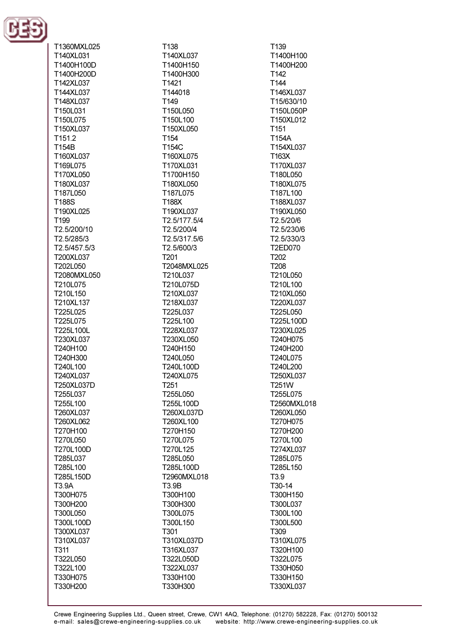

T1360MXL025 T140XL031 T1400H100D T1400H200D T142XL037 T144XL037 T148XL037 T150L031 T150L075 T150XL037 T<sub>151.2</sub> T154B T160XL037 T169L075 T170XL050 T180XL037 T187L050 **T188S** T190XL025 T<sub>199</sub> T2.5/200/10 T<sub>2.5</sub>/285/3 T2.5/457.5/3 T200XL037 T202L050 T2080MXL050 T210L075 T210L150 T210XL137 T225L025 T225L075 T225L100L T230XL037 T240H100 T240H300 T240L100 T240XL037 T250XL037D T255L037 T255L100 T260XL037 T260XL062 T270H100 T270L050 T270L100D T285L037 T285L100 T285L150D T3.9A T300H075 T300H200 T300L050 T300L100D T300XL037 T310XL037 T311 T322L050 T322L100 T330H075 T330H200

T138 T140XL037 T1400H150 T1400H300 T1421 T144018 T<sub>149</sub> T150L050 T150L100 T150XL050 T<sub>154</sub> T154C T160XL075 T170XL031 T1700H150 T180XL050 T187L075 **T188X** T190XL037 T2.5/177.5/4 T2.5/200/4 T<sub>2.5</sub>/317.5/6 T2.5/600/3 T<sub>201</sub> T2048MXL025 T210L037 T210L075D T210XL037 T218XL037 T225L037 T225L100 T228XL037 T230XL050 T240H150 T240L050 T240L100D T240XL075 T<sub>251</sub> T255L050 T255L100D T260XL037D T260XL100 T270H150 T270L075 T270L125 T285L050 T285L100D T2960MXL018 T3.9B T300H100 T300H300 T300L075 T300L150 T301 T310XL037D T316XL037 T322L050D T322XL037 T330H100 T330H300

T<sub>139</sub> T1400H100 T1400H200 T<sub>142</sub> T144 T146XL037 T15/630/10 T150L050P T150XL012 T<sub>151</sub> T154A T154XL037 T163X T170XL037 T180L050 T180XL075 T187L100 T188XL037 T190XL050 T2.5/20/6 T2.5/230/6 T<sub>2.5</sub>/330/3 **T2ED070** T<sub>202</sub> **T208** T210L050 T210L100 T210XL050 T220XL037 T225L050 T225L100D T230XL025 T240H075 T240H200 T240L075 T240L200 T250XL037 **T251W** T255L075 T2560MXL018 T260XL050 T270H075 T270H200 T270L100 T274XL037 T285L075 T285L150 T<sub>3.9</sub> T30-14 T300H150 T300L037 T300L100 T300L500 T309 T310XL075 T320H100 T322L075 T330H050 T330H150 T330XL037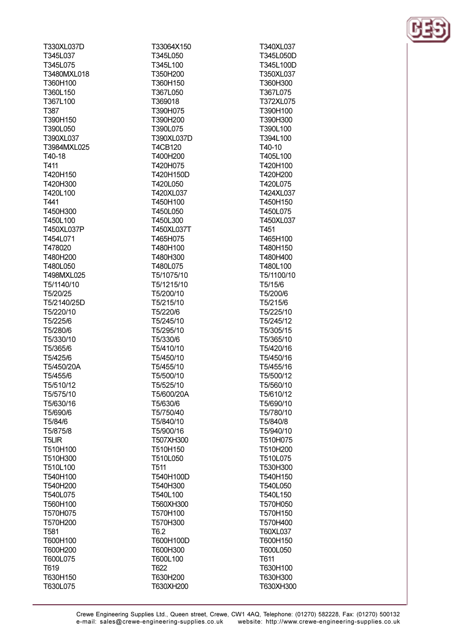T330XL037D T345L037 T345L075 T3480MXL018 T360H100 T360L150 T367L100 T387 T390H150 T390L050 T390XL037 T3984MXL025 T40-18 T411 T420H150 T420H300 T420L100 T441 T450H300 T450L100 T450XL037P T454L071 T478020 T480H200 **T480L050** T498MXL025 T5/1140/10 T5/20/25 T5/2140/25D T5/220/10 T5/225/6 T5/280/6 T5/330/10 T5/365/6 T5/425/6 T5/450/20A T5/455/6 T5/510/12 T5/575/10 T5/630/16 T5/690/6 T5/84/6 T5/875/8 **T5LIR** T510H100 T510H300 T510L100 T540H100 T540H200 T540L075 T560H100 T570H075 T570H200 T<sub>581</sub> T600H100 T600H200 T600L075 T619 T630H150

T630L075

T33064X150 T345L050 T345L100 T350H200 T360H150 T367L050 T369018 T390H075 T390H200 T390L075 T390XL037D **T4CB120** T400H200 T420H075 T420H150D T420L050 T420XL037 T450H100 T450L050 T450L300 T450XL037T T465H075 T480H100 T480H300 T480L075 T5/1075/10 T5/1215/10 T5/200/10 T5/215/10 T5/220/6 T5/245/10 T5/295/10 T5/330/6 T5/410/10 T5/450/10 T5/455/10 T5/500/10 T5/525/10 T5/600/20A T5/630/6 T5/750/40 T5/840/10 T5/900/16 T507XH300 T510H150 T510L050 T<sub>511</sub> T540H100D T540H300 T540L100 T560XH300 T570H100 T570H300 T<sub>6.2</sub> T600H100D T600H300 T600L100 T622 T630H200 T630XH200

T340XL037 T345L050D T345L100D T350XL037 T360H300 T367L075 T372XL075 T390H100 T390H300 T390L100 T394L100 T40-10 T405L100 T420H100 T420H200 T420L075 T424XL037 T450H150 T450L075 T450XL037 T451 T465H100 T480H150 T480H400 T480L100 T5/1100/10 T5/15/6 T5/200/6 T5/215/6 T5/225/10 T5/245/12 T5/305/15 T5/365/10 T5/420/16 T5/450/16 T5/455/16 T5/500/12 T5/560/10 T5/610/12 T5/690/10 T5/780/10 T5/840/8 T5/940/10 T510H075 T510H200 T510L075 T530H300 T540H150 T540L050 T540L150 T570H050 T570H150 T570H400 T60XL037 T600H150 T600L050 T611 T630H100 T630H300 T630XH300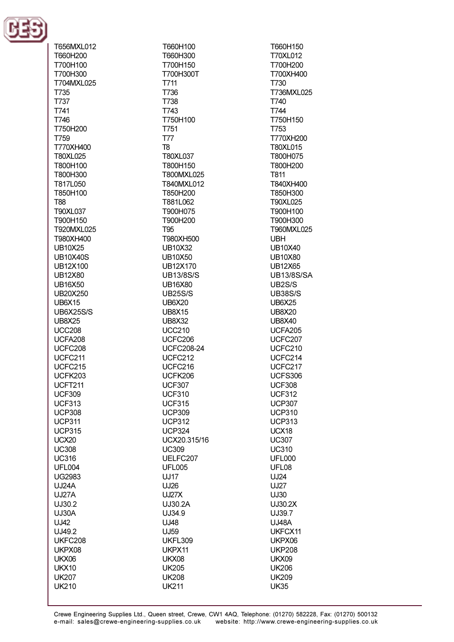

T656MXL012 T660H200 T700H100 T700H300 T704MXL025 T735 T737 T741 T746 T750H200 **T759** T770XH400 T80XL025 **T800H100** T800H300 T817L050 T850H100 T<sub>88</sub> T90XL037 T900H150 T920MXL025 T980XH400 **UB10X25 UB10X40S LIB12X100 UB12X80 UB16X50** UB20X250 **UB6X15 UB6X25S/S UB8X25 UCC208** UCFA208 UCFC208 UCFC211 **UCFC215** UCFK203 **UCFT211 UCF309 UCF313 UCP308 UCP311 UCP315 UCX20 UC308 UC316 UFL004 UG2983 UJ24A UJ27A** UJ30.2 UJ30A  $U<sub>1</sub>142$ UJ49.2 **UKFC208** UKPX08 UKX06 **UKX10 UK207** 

**UK210** 

T660H100 T660H300 T700H150 T700H300T T711 T736 T738 T743 T750H100 T751 **T77** T<sub>8</sub> T80XL037 T800H150 T800MXL025 T840MXL012 T850H200 T881L062 T900H075 T900H200 **T95** T980XH500 **UB10X32** UB10X50 UB12X170 **UB13/8S/S UB16X80 UB25S/S UB6X20 UB8X15 UB8X32 UCC210 UCFC206 UCFC208-24** UCFC212 UCFC216 UCFK206 **UCF307 UCF310 UCF315 UCP309 UCP312 UCP324** UCX20.315/16 **UC309** UELFC207 **UFL005 UJ17 UJ26 UJ27X** UJ30.2A UJ34.9 UJ48 UJ59 **UKFL309** UKPX11 **UKX08 UK205 UK208** 

T660H150 T70XL012 T700H200 T700XH400 T730 T736MXL025 T740 T744 T750H150 T753 T770XH200 **T80XL015** T800H075 **T800H200 T811** T840XH400 T850H300 T90XL025 T900H100 T900H300 T960MXL025 **UBH UB10X40 UB10X80 UR12X65 UB13/8S/SA** UB2S/S **UB38S/S UB6X25 UB8X20 UB8X40 UCFA205 UCFC207** UCFC210 UCFC214 UCFC217 **UCFS306 UCF308 UCF312 UCP307 UCP310 UCP313** UCX18 **UC307 UC310 UFL000** UFL08 UJ24 **UJ27** UJ30 UJ30.2X UJ39.7 **UJ48A** UKFCX11 UKPX06 **UKP208 UKX09 UK206 UK209 UK35** 

**UK211**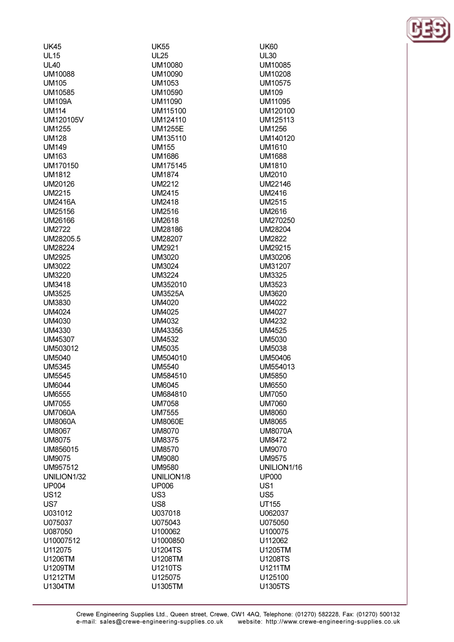| <b>UK45</b>       |
|-------------------|
| <b>UL15</b>       |
| <b>UL40</b>       |
| UM10088           |
| <b>UM105</b>      |
| UM10585           |
| UM109A            |
| <b>UM114</b>      |
| UM120105V         |
| UM1255            |
| UM128             |
| UM149             |
| <b>UM163</b>      |
| UM170150          |
| UM1812            |
| UM20126           |
| <b>UM2215</b>     |
| UM2416A           |
| UM25156           |
| UM26166           |
| <b>UM2722</b>     |
| UM28205.5         |
| UM28224<br>UM2925 |
| UM3022            |
| UM3220            |
| UM3418            |
| UM3525            |
| UM3830            |
| UM4024            |
| UM4030            |
| UM4330            |
| UM45307           |
| UM503012          |
| UM5040            |
| UM5345            |
| UM5545            |
| <b>UM6044</b>     |
| <b>UM6555</b>     |
| UM7055            |
| UM7060A           |
| UM8060A           |
| UM8067            |
| <b>UM8075</b>     |
| UM856015          |
| <b>UM9075</b>     |
| UM957512          |
| UNILION1/32       |
| UP004             |
| <b>US12</b>       |
| US7               |
| U031012           |
| U075037           |
| U087050           |
| U10007512         |
| U112075           |
| U1206TM           |
| U1209TM           |
| U1212TM           |
| U1304TM           |

**UM175145** UM352010 UM504010 UNILION1/8

**UK55** 

 $UL25$ 

**UM10080** 

UM10090

UM1053

UM10590

UM11090

UM115100

UM124110

**UM1255E** 

UM135110

**UM155** 

**UM1686** 

**UM1874** 

**UM2212** 

**UM2415** 

**UM2418** 

**UM2516** 

**UM2618** 

**UM28186** 

UM28207

**UM2921** 

UM3020

**UM3024** 

**UM3224** 

**UM3525A** 

**UM4020 UM4025** 

**UM4032** 

**UM4532** 

**UM5035** 

**UM5540** 

**UM6045** 

**UM7058** 

**UM7555** 

**UM8060E** 

**UM8070** 

**UM8375** 

**UM8570** 

**UM9080** 

**UM9580** 

**UP006** 

U037018

U075043

U100062

U1000850

**U1204TS** 

U1208TM

**U1210TS** 

U125075

U1305TM

US<sub>3</sub>

US<sub>8</sub>

UM584510

UM684810

UM43356

**UK60**  $UL30$ **UM10085** UM10208 UM10575 **UM109** UM11095 UM120100 UM125113 UM1256 UM140120 **UM1610 UM1688 UM1810 UM2010 UM22146 UM2416 UM2515 UM2616** UM270250 UM28204 **UM2822 UM29215** UM30206 UM31207 **UM3325 UM3523 UM3620 UM4022 UM4027 UM4232 UM4525 UM5030 UM5038 UM50406** UM554013 **UM5850 UM6550 UM7050 UM7060 UM8060 UM8065 UM8070A UM8472 UM9070 UM9575** UNILION1/16 **UP000** US<sub>1</sub> US<sub>5</sub> **UT155** U062037 U075050 U100075 U112062 U1205TM **U1208TS** U1211TM U125100 **U1305TS** 

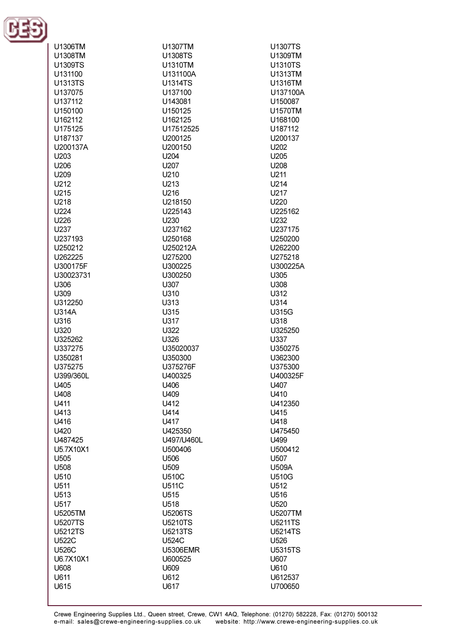

| U1306TM          | U1307TM          | U1307TS          |
|------------------|------------------|------------------|
| U1308TM          | U1308TS          | U1309TM          |
|                  |                  |                  |
| U1309TS          | U1310TM          | <b>U1310TS</b>   |
| U131100          | U131100A         | U1313TM          |
|                  |                  | U1316TM          |
| <b>U1313TS</b>   | <b>U1314TS</b>   |                  |
| U137075          | U137100          | U137100A         |
| U137112          | U143081          | U150087          |
|                  |                  |                  |
| U150100          | U150125          | U1570TM          |
| U162112          | U162125          | U168100          |
|                  |                  |                  |
| U175125          | U17512525        | U187112          |
| U187137          | U200125          | U200137          |
|                  |                  |                  |
| U200137A         | U200150          | U202             |
| U203             | U204             | U205             |
|                  |                  |                  |
| U206             | U207             | U208             |
| U209             | U210             | U211             |
| U212             | U213             | U214             |
|                  |                  |                  |
| U215             | U216             | U217             |
| U218             | U218150          | U220             |
|                  |                  |                  |
| U224             | U225143          | U225162          |
| U226             | U230             | U232             |
|                  | U237162          | U237175          |
| U237             |                  |                  |
| U237193          | U250168          | U250200          |
| U250212          | U250212A         | U262200          |
|                  |                  |                  |
| U262225          | U275200          | U275218          |
| U300175F         | U300225          | U300225A         |
|                  |                  |                  |
| U30023731        | U300250          | U305             |
| U306             | U307             | U308             |
| U309             | U310             | U312             |
|                  |                  |                  |
| U312250          | U313             | U314             |
| <b>U314A</b>     | U315             | U315G            |
|                  |                  |                  |
| U316             | U317             | U318             |
| U320             | U322             | U325250          |
| U325262          | U326             | U337             |
|                  |                  |                  |
| U337275          | U35020037        | U350275          |
| U350281          | U350300          | U362300          |
|                  |                  |                  |
| U375275          | U375276F         | U375300          |
| U399/360L        | U400325          | U400325F         |
| U405             | U406             | U407             |
|                  |                  |                  |
| U408             | U409             | U410             |
| U411             | U412             | U412350          |
|                  | U414             |                  |
| U413             |                  | U415             |
| U416             | U417             | U418             |
| U420             | U425350          | U475450          |
|                  |                  |                  |
| U487425          | U497/U460L       | U499             |
| U5.7X10X1        | U500406          | U500412          |
|                  |                  |                  |
| U <sub>505</sub> | U506             | U <sub>507</sub> |
| U <sub>508</sub> | U <sub>509</sub> | U509A            |
| U510             | <b>U510C</b>     | <b>U510G</b>     |
|                  |                  |                  |
| U511             | <b>U511C</b>     | U512             |
| U513             | U <sub>515</sub> | U516             |
| U517             | U518             |                  |
|                  |                  | U <sub>520</sub> |
| U5205TM          | <b>U5206TS</b>   | U5207TM          |
| <b>U5207TS</b>   | <b>U5210TS</b>   | U5211TS          |
|                  |                  |                  |
| <b>U5212TS</b>   | <b>U5213TS</b>   | <b>U5214TS</b>   |
| <b>U522C</b>     | <b>U524C</b>     | U <sub>526</sub> |
|                  |                  |                  |
| <b>U526C</b>     | <b>U5306EMR</b>  | <b>U5315TS</b>   |
| U6.7X10X1        | U600525          | U607             |
| U608             | U609             | U610             |
|                  |                  |                  |
| U611             | U612             | U612537          |
| U615             | U617             | U700650          |
|                  |                  |                  |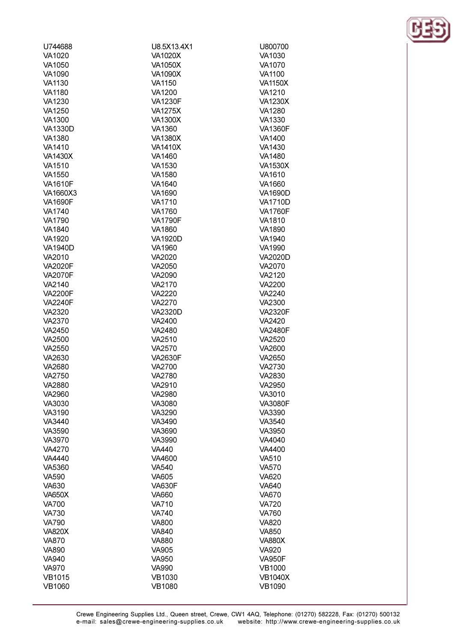| U744688                | U8.5X13.4X1                  | U800700                      |
|------------------------|------------------------------|------------------------------|
| VA1020                 | <b>VA1020X</b>               | VA1030                       |
| VA1050                 | <b>VA1050X</b>               | VA1070                       |
| VA1090                 | <b>VA1090X</b>               | VA1100                       |
| VA1130                 | VA1150                       | <b>VA1150X</b>               |
| <b>VA1180</b>          | VA1200                       | VA1210                       |
| VA1230                 | <b>VA1230F</b>               | <b>VA1230X</b>               |
| VA1250                 | <b>VA1275X</b>               | VA1280                       |
| VA1300                 | <b>VA1300X</b>               | VA1330                       |
| <b>VA1330D</b>         | VA1360                       | <b>VA1360F</b>               |
| VA1380                 | <b>VA1380X</b>               | VA1400                       |
| VA1410                 | <b>VA1410X</b>               | VA1430                       |
| <b>VA1430X</b>         | VA1460                       | VA1480                       |
| VA1510<br>VA1550       | VA1530<br>VA1580             | <b>VA1530X</b><br>VA1610     |
| <b>VA1610F</b>         | VA1640                       | VA1660                       |
| VA1660X3               | VA1690                       | <b>VA1690D</b>               |
| <b>VA1690F</b>         | VA1710                       | <b>VA1710D</b>               |
| VA1740                 | VA1760                       | <b>VA1760F</b>               |
| VA1790                 | <b>VA1790F</b>               | VA1810                       |
| VA1840                 | VA1860                       | VA1890                       |
| VA1920                 | <b>VA1920D</b>               | VA1940                       |
| <b>VA1940D</b>         | VA1960                       | VA1990                       |
| VA2010                 | VA2020                       | <b>VA2020D</b>               |
| <b>VA2020F</b>         | VA2050                       | VA2070                       |
| <b>VA2070F</b>         | VA2090                       | VA2120                       |
| VA2140                 | VA2170                       | VA2200                       |
| <b>VA2200F</b>         | <b>VA2220</b>                | VA2240                       |
| <b>VA2240F</b>         | VA2270                       | VA2300                       |
| VA2320                 | <b>VA2320D</b>               | <b>VA2320F</b>               |
| VA2370                 | VA2400                       | VA2420                       |
| VA2450                 | VA2480                       | <b>VA2480F</b>               |
| VA2500                 | VA2510                       | VA2520                       |
| VA2550                 | VA2570                       | VA2600                       |
| VA2630                 | <b>VA2630F</b>               | VA2650                       |
| VA2680                 | VA2700                       | VA2730                       |
| VA2750                 | VA2780                       | VA2830                       |
| VA2880                 | VA2910                       | VA2950                       |
| VA2960                 | VA2980                       | VA3010                       |
| VA3030                 | VA3080                       | <b>VA3080F</b>               |
| VA3190                 | VA3290                       | VA3390                       |
| VA3440                 | VA3490                       | VA3540                       |
| VA3590                 | VA3690                       | VA3950                       |
| VA3970                 | VA3990                       | VA4040                       |
| VA4270                 | <b>VA440</b>                 | VA4400                       |
| <b>VA4440</b>          | VA4600                       | <b>VA510</b>                 |
| VA5360<br><b>VA590</b> | <b>VA540</b><br><b>VA605</b> | <b>VA570</b><br><b>VA620</b> |
| <b>VA630</b>           | <b>VA630F</b>                | <b>VA640</b>                 |
| <b>VA650X</b>          | VA660                        | VA670                        |
| <b>VA700</b>           | <b>VA710</b>                 | <b>VA720</b>                 |
| <b>VA730</b>           | <b>VA740</b>                 | <b>VA760</b>                 |
| <b>VA790</b>           | <b>VA800</b>                 | VA820                        |
| <b>VA820X</b>          | <b>VA840</b>                 | <b>VA850</b>                 |
| <b>VA870</b>           | <b>VA880</b>                 | <b>VA880X</b>                |
| <b>VA890</b>           | <b>VA905</b>                 | <b>VA920</b>                 |
| <b>VA940</b>           | VA950                        | <b>VA950F</b>                |
| <b>VA970</b>           | <b>VA990</b>                 | <b>VB1000</b>                |
| <b>VB1015</b>          | VB1030                       | <b>VB1040X</b>               |
| <b>VB1060</b>          | <b>VB1080</b>                | <b>VB1090</b>                |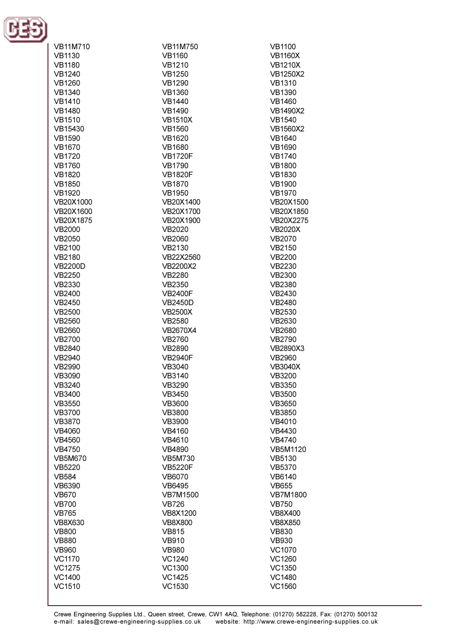

| <b>VB11M710</b> | <b>VB11M750</b> | <b>VB1100</b>   |
|-----------------|-----------------|-----------------|
| <b>VB1130</b>   | <b>VB1160</b>   | <b>VB1160X</b>  |
| <b>VB1180</b>   | <b>VB1210</b>   | <b>VB1210X</b>  |
| <b>VB1240</b>   | <b>VB1250</b>   | <b>VB1250X2</b> |
| <b>VB1260</b>   | <b>VB1290</b>   | <b>VB1310</b>   |
| <b>VB1340</b>   | <b>VB1360</b>   | <b>VB1390</b>   |
| <b>VB1410</b>   | <b>VB1440</b>   | <b>VB1460</b>   |
| <b>VB1480</b>   | <b>VB1490</b>   | <b>VB1490X2</b> |
| <b>VB1510</b>   | <b>VB1510X</b>  | <b>VB1540</b>   |
| VB15430         | <b>VB1560</b>   | <b>VB1560X2</b> |
| <b>VB1590</b>   | <b>VB1620</b>   | <b>VB1640</b>   |
| <b>VB1670</b>   | <b>VB1680</b>   | <b>VB1690</b>   |
| <b>VB1720</b>   | <b>VB1720F</b>  | <b>VB1740</b>   |
| <b>VB1760</b>   | <b>VB1790</b>   | <b>VB1800</b>   |
|                 |                 |                 |
| <b>VB1820</b>   | <b>VB1820F</b>  | <b>VB1830</b>   |
| <b>VB1850</b>   | <b>VB1870</b>   | <b>VB1900</b>   |
| <b>VB1920</b>   | <b>VB1950</b>   | <b>VB1970</b>   |
| VB20X1000       | VB20X1400       | VB20X1500       |
| VB20X1600       | VB20X1700       | VB20X1850       |
| VB20X1875       | VB20X1900       | VB20X2275       |
| <b>VB2000</b>   | VB2020          | <b>VB2020X</b>  |
| VB2050          | VB2060          | VB2070          |
| <b>VB2100</b>   | VB2130          | VB2150          |
| VB2180          | VB22X2560       | <b>VB2200</b>   |
| <b>VB2200D</b>  | <b>VB2200X2</b> | VB2230          |
| VB2250          | <b>VB2280</b>   | <b>VB2300</b>   |
| VB2330          | VB2350          | <b>VB2380</b>   |
| VB2400          | <b>VB2400F</b>  | VB2430          |
| VB2450          | <b>VB2450D</b>  | VB2480          |
| <b>VB2500</b>   | <b>VB2500X</b>  | VB2530          |
| <b>VB2560</b>   | <b>VB2580</b>   | VB2630          |
| VB2660          | VB2670X4        | <b>VB2680</b>   |
| <b>VB2700</b>   | VB2760          | VB2790          |
| <b>VB2840</b>   | <b>VB2890</b>   | VB2890X3        |
| <b>VB2940</b>   | <b>VB2940F</b>  | <b>VB2960</b>   |
| VB2990          | VB3040          | <b>VB3040X</b>  |
| <b>VB3090</b>   | <b>VB3140</b>   | <b>VB3200</b>   |
| VB3240          | VB3290          | VB3350          |
| VB3400          | VB3450          | <b>VB3500</b>   |
| <b>VB3550</b>   | <b>VB3600</b>   | VB3650          |
| <b>VB3700</b>   | <b>VB3800</b>   | <b>VB3850</b>   |
| VB3870          | <b>VB3900</b>   | VB4010          |
| VB4060          | VB4160          | VB4430          |
| <b>VB4560</b>   | VB4610          | <b>VB4740</b>   |
| VB4750          | <b>VB4890</b>   | VB5M1120        |
| <b>VB5M670</b>  | <b>VB5M730</b>  | VB5130          |
| VB5220          | <b>VB5220F</b>  | VB5370          |
| <b>VB584</b>    | VB6070          | VB6140          |
| VB6390          | VB6495          | <b>VB655</b>    |
| <b>VB670</b>    | <b>VB7M1500</b> | <b>VB7M1800</b> |
| <b>VB700</b>    | <b>VB726</b>    | <b>VB750</b>    |
| <b>VB765</b>    | <b>VB8X1200</b> | <b>VB8X400</b>  |
| <b>VB8X630</b>  | <b>VB8X800</b>  | <b>VB8X850</b>  |
| <b>VB800</b>    | <b>VB815</b>    | <b>VB830</b>    |
| <b>VB880</b>    | <b>VB910</b>    | <b>VB930</b>    |
| <b>VB960</b>    | <b>VB980</b>    | VC1070          |
| VC1170          | VC1240          | VC1260          |
| <b>VC1275</b>   | VC1300          | VC1350          |
| <b>VC1400</b>   | <b>VC1425</b>   | <b>VC1480</b>   |
| VC1510          | VC1530          | VC1560          |
|                 |                 |                 |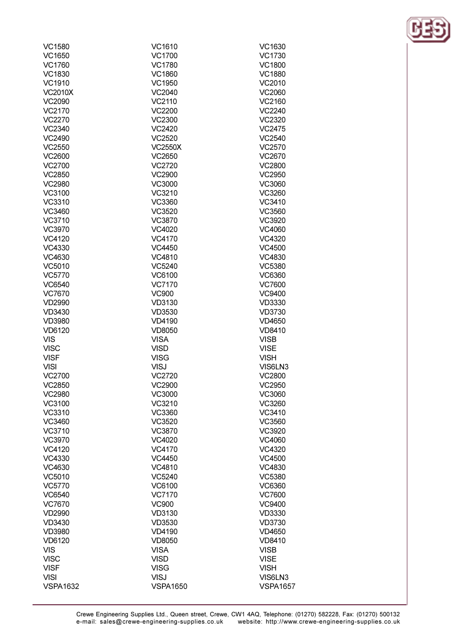| VC1580          | VC1610          | VC1630          |
|-----------------|-----------------|-----------------|
| VC1650          | VC1700          | VC1730          |
| VC1760          | <b>VC1780</b>   | <b>VC1800</b>   |
| VC1830          | <b>VC1860</b>   | <b>VC1880</b>   |
| VC1910          | VC1950          | VC2010          |
| <b>VC2010X</b>  | VC2040          | VC2060          |
|                 |                 |                 |
| VC2090          | VC2110          | VC2160          |
| VC2170          | <b>VC2200</b>   | VC2240          |
| VC2270          | <b>VC2300</b>   | VC2320          |
| VC2340          | VC2420          | <b>VC2475</b>   |
| VC2490          | VC2520          | VC2540          |
| VC2550          | <b>VC2550X</b>  | VC2570          |
| VC2600          | VC2650          | VC2670          |
| VC2700          | VC2720          | <b>VC2800</b>   |
| VC2850          | VC2900          | VC2950          |
| <b>VC2980</b>   | VC3000          | VC3060          |
| VC3100          | VC3210          | VC3260          |
| VC3310          | VC3360          | VC3410          |
| VC3460          | VC3520          | VC3560          |
| VC3710          | VC3870          | VC3920          |
| VC3970          | VC4020          | VC4060          |
| VC4120          | VC4170          |                 |
|                 |                 | VC4320          |
| VC4330          | VC4450          | VC4500          |
| VC4630          | VC4810          | VC4830          |
| VC5010          | VC5240          | <b>VC5380</b>   |
| <b>VC5770</b>   | VC6100          | VC6360          |
| VC6540          | <b>VC7170</b>   | VC7600          |
| VC7670          | <b>VC900</b>    | VC9400          |
| <b>VD2990</b>   | VD3130          | VD3330          |
| VD3430          | VD3530          | VD3730          |
| <b>VD3980</b>   | <b>VD4190</b>   | VD4650          |
| VD6120          | <b>VD8050</b>   | <b>VD8410</b>   |
| <b>VIS</b>      | <b>VISA</b>     | <b>VISB</b>     |
| <b>VISC</b>     | <b>VISD</b>     | <b>VISE</b>     |
| <b>VISF</b>     | <b>VISG</b>     | <b>VISH</b>     |
| <b>VISI</b>     | <b>VISJ</b>     | VIS6LN3         |
| VC2700          | VC2720          | <b>VC2800</b>   |
| VC2850          | VC2900          | VC2950          |
| <b>VC2980</b>   | VC3000          | VC3060          |
| VC3100          | VC3210          | VC3260          |
| VC3310          | VC3360          | VC3410          |
| VC3460          | VC3520          | VC3560          |
| VC3710          | VC3870          | VC3920          |
|                 |                 |                 |
| VC3970          | VC4020          | VC4060          |
| VC4120          | VC4170          | VC4320          |
| VC4330          | VC4450          | <b>VC4500</b>   |
| VC4630          | VC4810          | VC4830          |
| VC5010          | VC5240          | <b>VC5380</b>   |
| VC5770          | VC6100          | VC6360          |
| VC6540          | <b>VC7170</b>   | <b>VC7600</b>   |
| VC7670          | <b>VC900</b>    | VC9400          |
| <b>VD2990</b>   | VD3130          | <b>VD3330</b>   |
| VD3430          | VD3530          | <b>VD3730</b>   |
| <b>VD3980</b>   | <b>VD4190</b>   | <b>VD4650</b>   |
| VD6120          | <b>VD8050</b>   | <b>VD8410</b>   |
| <b>VIS</b>      | <b>VISA</b>     | <b>VISB</b>     |
| <b>VISC</b>     | <b>VISD</b>     | <b>VISE</b>     |
| <b>VISF</b>     | <b>VISG</b>     | <b>VISH</b>     |
| <b>VISI</b>     | <b>VISJ</b>     | VIS6LN3         |
| <b>VSPA1632</b> | <b>VSPA1650</b> | <b>VSPA1657</b> |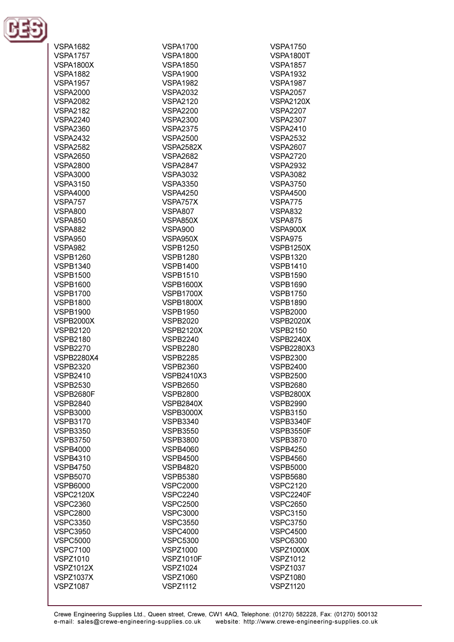

| <b>VSPA1682</b>   | <b>VSPA1700</b>   | <b>VSPA1750</b>   |
|-------------------|-------------------|-------------------|
|                   |                   |                   |
| <b>VSPA1757</b>   | <b>VSPA1800</b>   | <b>VSPA1800T</b>  |
| <b>VSPA1800X</b>  | <b>VSPA1850</b>   | <b>VSPA1857</b>   |
| <b>VSPA1882</b>   | <b>VSPA1900</b>   | <b>VSPA1932</b>   |
|                   |                   |                   |
| <b>VSPA1957</b>   | <b>VSPA1982</b>   | <b>VSPA1987</b>   |
| <b>VSPA2000</b>   | <b>VSPA2032</b>   | <b>VSPA2057</b>   |
| <b>VSPA2082</b>   | <b>VSPA2120</b>   | <b>VSPA2120X</b>  |
| <b>VSPA2182</b>   | <b>VSPA2200</b>   | <b>VSPA2207</b>   |
|                   |                   |                   |
| <b>VSPA2240</b>   | <b>VSPA2300</b>   | <b>VSPA2307</b>   |
| <b>VSPA2360</b>   | <b>VSPA2375</b>   | <b>VSPA2410</b>   |
| <b>VSPA2432</b>   | <b>VSPA2500</b>   | <b>VSPA2532</b>   |
| <b>VSPA2582</b>   | <b>VSPA2582X</b>  | <b>VSPA2607</b>   |
|                   |                   |                   |
| <b>VSPA2650</b>   | <b>VSPA2682</b>   | <b>VSPA2720</b>   |
| <b>VSPA2800</b>   | <b>VSPA2847</b>   | <b>VSPA2932</b>   |
| <b>VSPA3000</b>   | <b>VSPA3032</b>   | <b>VSPA3082</b>   |
| <b>VSPA3150</b>   | <b>VSPA3350</b>   | <b>VSPA3750</b>   |
|                   |                   |                   |
| <b>VSPA4000</b>   | <b>VSPA4250</b>   | <b>VSPA4500</b>   |
| VSPA757           | VSPA757X          | <b>VSPA775</b>    |
| <b>VSPA800</b>    | <b>VSPA807</b>    | <b>VSPA832</b>    |
| <b>VSPA850</b>    | VSPA850X          | <b>VSPA875</b>    |
|                   |                   |                   |
| <b>VSPA882</b>    | <b>VSPA900</b>    | VSPA900X          |
| <b>VSPA950</b>    | VSPA950X          | <b>VSPA975</b>    |
| <b>VSPA982</b>    | <b>VSPB1250</b>   | <b>VSPB1250X</b>  |
| <b>VSPB1260</b>   | <b>VSPB1280</b>   | <b>VSPB1320</b>   |
|                   |                   |                   |
| <b>VSPB1340</b>   | <b>VSPB1400</b>   | <b>VSPB1410</b>   |
| <b>VSPB1500</b>   | <b>VSPB1510</b>   | <b>VSPB1590</b>   |
| <b>VSPB1600</b>   | <b>VSPB1600X</b>  | <b>VSPB1690</b>   |
| <b>VSPB1700</b>   | <b>VSPB1700X</b>  | <b>VSPB1750</b>   |
|                   |                   |                   |
| <b>VSPB1800</b>   | <b>VSPB1800X</b>  | <b>VSPB1890</b>   |
| <b>VSPB1900</b>   | <b>VSPB1950</b>   | <b>VSPB2000</b>   |
| <b>VSPB2000X</b>  | <b>VSPB2020</b>   | <b>VSPB2020X</b>  |
| <b>VSPB2120</b>   | <b>VSPB2120X</b>  | <b>VSPB2150</b>   |
| <b>VSPB2180</b>   | <b>VSPB2240</b>   | <b>VSPB2240X</b>  |
|                   |                   |                   |
| <b>VSPB2270</b>   | <b>VSPB2280</b>   | <b>VSPB2280X3</b> |
| <b>VSPB2280X4</b> | <b>VSPB2285</b>   | <b>VSPB2300</b>   |
| <b>VSPB2320</b>   | <b>VSPB2360</b>   | <b>VSPB2400</b>   |
| <b>VSPB2410</b>   | <b>VSPB2410X3</b> | <b>VSPB2500</b>   |
|                   |                   |                   |
| <b>VSPB2530</b>   | <b>VSPB2650</b>   | <b>VSPB2680</b>   |
| <b>VSPB2680F</b>  | <b>VSPB2800</b>   | <b>VSPB2800X</b>  |
| <b>VSPB2840</b>   | <b>VSPB2840X</b>  | <b>VSPB2990</b>   |
| <b>VSPB3000</b>   | <b>VSPB3000X</b>  | <b>VSPB3150</b>   |
| <b>VSPB3170</b>   |                   |                   |
|                   | <b>VSPB3340</b>   | VSPB3340F         |
| <b>VSPB3350</b>   | <b>VSPB3550</b>   | <b>VSPB3550F</b>  |
| <b>VSPB3750</b>   | <b>VSPB3800</b>   | <b>VSPB3870</b>   |
| <b>VSPB4000</b>   | <b>VSPB4060</b>   | <b>VSPB4250</b>   |
| <b>VSPB4310</b>   | <b>VSPB4500</b>   | <b>VSPB4560</b>   |
|                   |                   |                   |
| <b>VSPB4750</b>   | <b>VSPB4820</b>   | <b>VSPB5000</b>   |
| <b>VSPB5070</b>   | <b>VSPB5380</b>   | <b>VSPB5680</b>   |
| <b>VSPB6000</b>   | <b>VSPC2000</b>   | <b>VSPC2120</b>   |
| <b>VSPC2120X</b>  | <b>VSPC2240</b>   | VSPC2240F         |
|                   |                   |                   |
| <b>VSPC2360</b>   | <b>VSPC2500</b>   | <b>VSPC2650</b>   |
| <b>VSPC2800</b>   | <b>VSPC3000</b>   | <b>VSPC3150</b>   |
| <b>VSPC3350</b>   | <b>VSPC3550</b>   | <b>VSPC3750</b>   |
| <b>VSPC3950</b>   | <b>VSPC4000</b>   | <b>VSPC4500</b>   |
| <b>VSPC5000</b>   | <b>VSPC5300</b>   | <b>VSPC6300</b>   |
|                   |                   |                   |
| <b>VSPC7100</b>   | <b>VSPZ1000</b>   | <b>VSPZ1000X</b>  |
| <b>VSPZ1010</b>   | <b>VSPZ1010F</b>  | <b>VSPZ1012</b>   |
| <b>VSPZ1012X</b>  | <b>VSPZ1024</b>   | <b>VSPZ1037</b>   |
| <b>VSPZ1037X</b>  | <b>VSPZ1060</b>   | <b>VSPZ1080</b>   |
| <b>VSPZ1087</b>   | <b>VSPZ1112</b>   | <b>VSPZ1120</b>   |
|                   |                   |                   |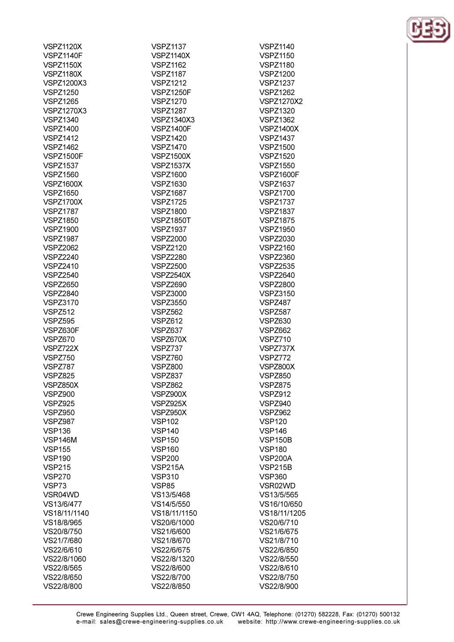| <b>VSPZ1120X</b>  | <b>VSPZ1137</b>   | <b>VSPZ1140</b>   |
|-------------------|-------------------|-------------------|
| <b>VSPZ1140F</b>  | <b>VSPZ1140X</b>  | <b>VSPZ1150</b>   |
| <b>VSPZ1150X</b>  | <b>VSPZ1162</b>   | <b>VSPZ1180</b>   |
| <b>VSPZ1180X</b>  | <b>VSPZ1187</b>   | <b>VSPZ1200</b>   |
| <b>VSPZ1200X3</b> | <b>VSPZ1212</b>   | <b>VSPZ1237</b>   |
| <b>VSPZ1250</b>   | <b>VSPZ1250F</b>  | <b>VSPZ1262</b>   |
| <b>VSPZ1265</b>   | <b>VSPZ1270</b>   | <b>VSPZ1270X2</b> |
| <b>VSPZ1270X3</b> | <b>VSPZ1287</b>   | <b>VSPZ1320</b>   |
| <b>VSPZ1340</b>   | <b>VSPZ1340X3</b> | <b>VSPZ1362</b>   |
| <b>VSPZ1400</b>   |                   |                   |
|                   | <b>VSPZ1400F</b>  | <b>VSPZ1400X</b>  |
| <b>VSPZ1412</b>   | <b>VSPZ1420</b>   | <b>VSPZ1437</b>   |
| <b>VSPZ1462</b>   | <b>VSPZ1470</b>   | <b>VSPZ1500</b>   |
| <b>VSPZ1500F</b>  | <b>VSPZ1500X</b>  | <b>VSPZ1520</b>   |
| <b>VSPZ1537</b>   | <b>VSPZ1537X</b>  | <b>VSPZ1550</b>   |
| <b>VSPZ1560</b>   | <b>VSPZ1600</b>   | <b>VSPZ1600F</b>  |
| <b>VSPZ1600X</b>  | <b>VSPZ1630</b>   | <b>VSPZ1637</b>   |
| <b>VSPZ1650</b>   | <b>VSPZ1687</b>   | <b>VSPZ1700</b>   |
| <b>VSPZ1700X</b>  | <b>VSPZ1725</b>   | <b>VSPZ1737</b>   |
| <b>VSPZ1787</b>   | <b>VSPZ1800</b>   | <b>VSPZ1837</b>   |
| <b>VSPZ1850</b>   | <b>VSPZ1850T</b>  | <b>VSPZ1875</b>   |
| <b>VSPZ1900</b>   | <b>VSPZ1937</b>   | <b>VSPZ1950</b>   |
| <b>VSPZ1987</b>   | <b>VSPZ2000</b>   | <b>VSPZ2030</b>   |
| <b>VSPZ2062</b>   | <b>VSPZ2120</b>   | <b>VSPZ2160</b>   |
| <b>VSPZ2240</b>   | <b>VSPZ2280</b>   | <b>VSPZ2360</b>   |
| <b>VSPZ2410</b>   | <b>VSPZ2500</b>   | <b>VSPZ2535</b>   |
| <b>VSPZ2540</b>   | <b>VSPZ2540X</b>  | <b>VSPZ2640</b>   |
| <b>VSPZ2650</b>   | <b>VSPZ2690</b>   | <b>VSPZ2800</b>   |
| <b>VSPZ2840</b>   | <b>VSPZ3000</b>   | <b>VSPZ3150</b>   |
| <b>VSPZ3170</b>   | <b>VSPZ3550</b>   | <b>VSPZ487</b>    |
|                   |                   |                   |
| <b>VSPZ512</b>    | <b>VSPZ562</b>    | <b>VSPZ587</b>    |
| <b>VSPZ595</b>    | <b>VSPZ612</b>    | <b>VSPZ630</b>    |
| VSPZ630F          | VSPZ637           | <b>VSPZ662</b>    |
| <b>VSPZ670</b>    | VSPZ670X          | VSPZ710           |
| VSPZ722X          | VSPZ737           | VSPZ737X          |
| VSPZ750           | <b>VSPZ760</b>    | VSPZ772           |
| VSPZ787           | <b>VSPZ800</b>    | VSPZ800X          |
| <b>VSPZ825</b>    | VSPZ837           | <b>VSPZ850</b>    |
| VSPZ850X          | <b>VSPZ862</b>    | VSPZ875           |
| <b>VSPZ900</b>    | VSPZ900X          | <b>VSPZ912</b>    |
| <b>VSPZ925</b>    | VSPZ925X          | VSPZ940           |
| <b>VSPZ950</b>    | VSPZ950X          | <b>VSPZ962</b>    |
| VSPZ987           | <b>VSP102</b>     | <b>VSP120</b>     |
| <b>VSP136</b>     | <b>VSP140</b>     | <b>VSP146</b>     |
| <b>VSP146M</b>    | <b>VSP150</b>     | <b>VSP150B</b>    |
| <b>VSP155</b>     | <b>VSP160</b>     | <b>VSP180</b>     |
| <b>VSP190</b>     | <b>VSP200</b>     | <b>VSP200A</b>    |
| <b>VSP215</b>     | <b>VSP215A</b>    | <b>VSP215B</b>    |
| <b>VSP270</b>     | <b>VSP310</b>     | <b>VSP360</b>     |
| VSP73             | <b>VSP85</b>      | VSR02WD           |
| VSR04WD           | VS13/5/468        | VS13/5/565        |
|                   |                   |                   |
| VS13/6/477        | VS14/5/550        | VS16/10/650       |
| VS18/11/1140      | VS18/11/1150      | VS18/11/1205      |
| VS18/8/965        | VS20/6/1000       | VS20/6/710        |
| VS20/8/750        | VS21/6/600        | VS21/6/675        |
| VS21/7/680        | VS21/8/670        | VS21/8/710        |
| VS22/6/610        | VS22/6/675        | VS22/6/850        |
| VS22/8/1060       | VS22/8/1320       | VS22/8/550        |
| VS22/8/565        | VS22/8/600        | VS22/8/610        |
| VS22/8/650        | VS22/8/700        | VS22/8/750        |
| VS22/8/800        | VS22/8/850        | VS22/8/900        |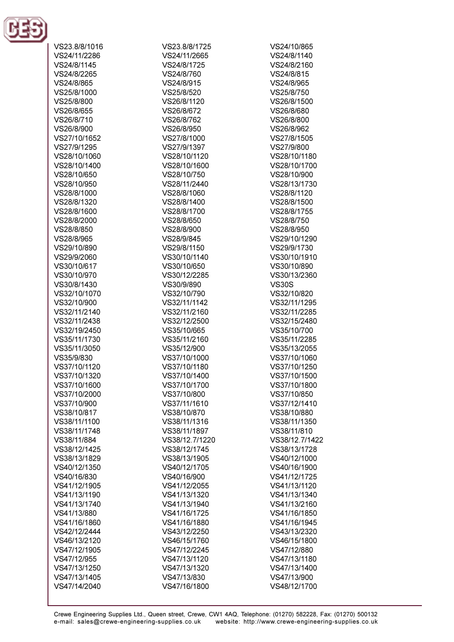

| VS23.8/8/1016 | VS23.8/8/1725  | VS24/10/865    |
|---------------|----------------|----------------|
| VS24/11/2286  | VS24/11/2665   | VS24/8/1140    |
| VS24/8/1145   | VS24/8/1725    | VS24/8/2160    |
| VS24/8/2265   | VS24/8/760     | VS24/8/815     |
| VS24/8/865    | VS24/8/915     | VS24/8/965     |
| VS25/8/1000   | VS25/8/520     | VS25/8/750     |
| VS25/8/800    | VS26/8/1120    | VS26/8/1500    |
| VS26/8/655    | VS26/8/672     | VS26/8/680     |
| VS26/8/710    | VS26/8/762     | VS26/8/800     |
| VS26/8/900    | VS26/8/950     | VS26/8/962     |
| VS27/10/1652  | VS27/8/1000    | VS27/8/1505    |
| VS27/9/1295   | VS27/9/1397    | VS27/9/800     |
| VS28/10/1060  | VS28/10/1120   | VS28/10/1180   |
| VS28/10/1400  | VS28/10/1600   | VS28/10/1700   |
| VS28/10/650   | VS28/10/750    | VS28/10/900    |
| VS28/10/950   | VS28/11/2440   | VS28/13/1730   |
| VS28/8/1000   | VS28/8/1060    | VS28/8/1120    |
| VS28/8/1320   | VS28/8/1400    | VS28/8/1500    |
| VS28/8/1600   | VS28/8/1700    | VS28/8/1755    |
| VS28/8/2000   | VS28/8/650     | VS28/8/750     |
| VS28/8/850    | VS28/8/900     | VS28/8/950     |
| VS28/8/965    | VS28/9/845     | VS29/10/1290   |
| VS29/10/890   | VS29/8/1150    | VS29/9/1730    |
| VS29/9/2060   | VS30/10/1140   | VS30/10/1910   |
| VS30/10/617   | VS30/10/650    | VS30/10/890    |
| VS30/10/970   | VS30/12/2285   | VS30/13/2360   |
| VS30/8/1430   | VS30/9/890     | <b>VS30S</b>   |
| VS32/10/1070  | VS32/10/790    | VS32/10/820    |
| VS32/10/900   | VS32/11/1142   | VS32/11/1295   |
| VS32/11/2140  | VS32/11/2160   | VS32/11/2285   |
| VS32/11/2438  | VS32/12/2500   | VS32/15/2480   |
| VS32/19/2450  | VS35/10/665    | VS35/10/700    |
| VS35/11/1730  | VS35/11/2160   | VS35/11/2285   |
| VS35/11/3050  | VS35/12/900    | VS35/13/2055   |
| VS35/9/830    | VS37/10/1000   | VS37/10/1060   |
| VS37/10/1120  | VS37/10/1180   | VS37/10/1250   |
| VS37/10/1320  | VS37/10/1400   | VS37/10/1500   |
| VS37/10/1600  | VS37/10/1700   | VS37/10/1800   |
| VS37/10/2000  | VS37/10/800    | VS37/10/850    |
| VS37/10/900   | VS37/11/1610   | VS37/12/1410   |
| VS38/10/817   | VS38/10/870    | VS38/10/880    |
| VS38/11/1100  | VS38/11/1316   | VS38/11/1350   |
| VS38/11/1748  | VS38/11/1897   | VS38/11/810    |
| VS38/11/884   | VS38/12.7/1220 | VS38/12.7/1422 |
| VS38/12/1425  | VS38/12/1745   | VS38/13/1728   |
| VS38/13/1829  | VS38/13/1905   | VS40/12/1000   |
| VS40/12/1350  | VS40/12/1705   | VS40/16/1900   |
| VS40/16/830   | VS40/16/900    | VS41/12/1725   |
| VS41/12/1905  | VS41/12/2055   | VS41/13/1120   |
| VS41/13/1190  | VS41/13/1320   | VS41/13/1340   |
| VS41/13/1740  | VS41/13/1940   | VS41/13/2160   |
| VS41/13/880   | VS41/16/1725   | VS41/16/1850   |
| VS41/16/1860  | VS41/16/1880   | VS41/16/1945   |
| VS42/12/2444  | VS43/12/2250   | VS43/13/2320   |
| VS46/13/2120  | VS46/15/1760   | VS46/15/1800   |
| VS47/12/1905  | VS47/12/2245   | VS47/12/880    |
| VS47/12/955   | VS47/13/1120   | VS47/13/1180   |
| VS47/13/1250  | VS47/13/1320   | VS47/13/1400   |
| VS47/13/1405  | VS47/13/830    | VS47/13/900    |
| VS47/14/2040  | VS47/16/1800   | VS48/12/1700   |
|               |                |                |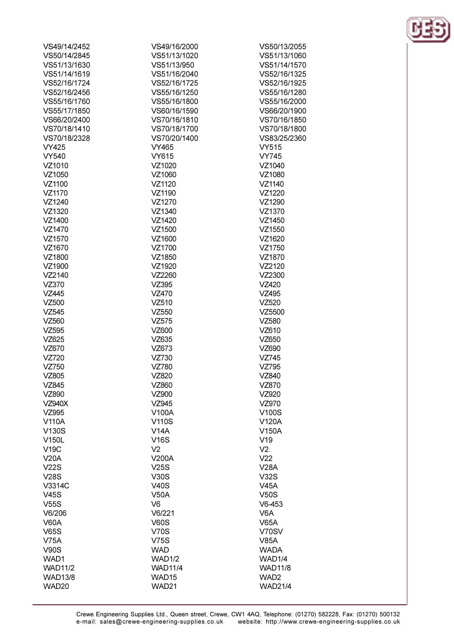| VS49/14/2452   | VS49/16/2000      | VS50/13/2055     |
|----------------|-------------------|------------------|
| VS50/14/2845   | VS51/13/1020      | VS51/13/1060     |
| VS51/13/1630   | VS51/13/950       | VS51/14/1570     |
| VS51/14/1619   | VS51/16/2040      | VS52/16/1325     |
| VS52/16/1724   | VS52/16/1725      | VS52/16/1925     |
| VS52/16/2456   | VS55/16/1250      | VS55/16/1280     |
| VS55/16/1760   | VS55/16/1800      | VS55/16/2000     |
| VS55/17/1850   | VS60/16/1590      | VS66/20/1900     |
| VS66/20/2400   | VS70/16/1810      | VS70/16/1850     |
| VS70/18/1410   | VS70/18/1700      | VS70/18/1800     |
| VS70/18/2328   | VS70/20/1400      | VS83/25/2360     |
| <b>VY425</b>   | VY465             | <b>VY515</b>     |
| <b>VY540</b>   | <b>VY615</b>      | <b>VY745</b>     |
| VZ1010         | VZ1020            | VZ1040           |
|                | VZ1060            |                  |
| VZ1050         |                   | VZ1080           |
| VZ1100         | VZ1120<br>VZ1190  | VZ1140           |
| VZ1170         |                   | VZ1220           |
| VZ1240         | VZ1270            | VZ1290           |
| VZ1320         | VZ1340            | VZ1370           |
| VZ1400         | VZ1420            | VZ1450           |
| VZ1470         | VZ1500            | VZ1550           |
| VZ1570         | VZ1600            | VZ1620           |
| VZ1670         | VZ1700            | VZ1750           |
| VZ1800         | VZ1850            | VZ1870           |
| VZ1900         | VZ1920            | VZ2120           |
| VZ2140         | VZ2260            | VZ2300           |
| VZ370          | VZ395             | VZ420            |
| VZ445          | VZ470             | VZ495            |
| VZ500          | VZ510             | VZ520            |
| VZ545          | VZ550             | VZ5500           |
| VZ560          | VZ575             | VZ580            |
| VZ595          | VZ600             | VZ610            |
| VZ625          | VZ635             | VZ650            |
| VZ670          | VZ673             | VZ690            |
| VZ720          | VZ730             | VZ745            |
| VZ750          | VZ780             | VZ795            |
| VZ805          | VZ820             | VZ840            |
| VZ845          | VZ860             | VZ870            |
| VZ890          | VZ900             | VZ920            |
| <b>VZ940X</b>  | VZ945             | VZ970            |
| VZ995          | V100A             | V100S            |
| V110A          | <b>V110S</b>      | V120A            |
| V130S          | V14A              | V150A            |
| V150L          | <b>V16S</b>       | V19              |
| <b>V19C</b>    | V <sub>2</sub>    | V2.              |
| <b>V20A</b>    | V200A             | V <sub>22</sub>  |
| V22S           | V25S              | <b>V28A</b>      |
| <b>V28S</b>    | <b>V30S</b>       | V32S             |
| V3314C         | <b>V40S</b>       | <b>V45A</b>      |
| V45S           | <b>V50A</b>       | V50S             |
| V55S           | V <sub>6</sub>    | $V6-453$         |
| V6/206         | V6/221            | V6A              |
| <b>V60A</b>    | <b>V60S</b>       | <b>V65A</b>      |
| <b>V65S</b>    | <b>V70S</b>       | V70SV            |
| <b>V75A</b>    | V75S              | <b>V85A</b>      |
| <b>V90S</b>    | <b>WAD</b>        | <b>WADA</b>      |
| WAD1           | <b>WAD1/2</b>     | WAD1/4           |
| <b>WAD11/2</b> | <b>WAD11/4</b>    | <b>WAD11/8</b>   |
| <b>WAD13/8</b> | WAD <sub>15</sub> | WAD <sub>2</sub> |
| WAD20          | WAD21             | <b>WAD21/4</b>   |
|                |                   |                  |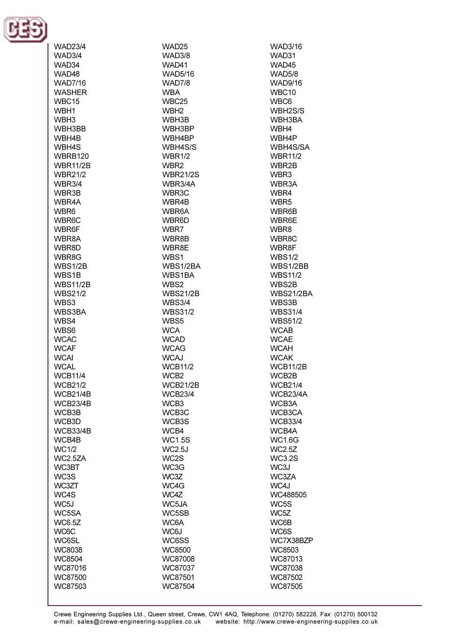

| WAD31<br>WAD3/4<br>WAD3/8<br>WAD34<br>WAD41<br>WAD45<br>WAD48<br><b>WAD5/8</b><br><b>WAD5/16</b><br><b>WAD7/16</b><br><b>WAD9/16</b><br><b>WAD7/8</b><br><b>WASHER</b><br>WBC10<br><b>WBA</b><br>WBC <sub>15</sub><br>WBC25<br>WBC6<br>WBH1<br>WBH <sub>2</sub><br>WBH2S/S<br>WBH3<br>WBH3BA<br>WBH3B<br>WBH3BB<br>WBH3BP<br>WBH4<br>WBH4B<br>WBH4BP<br>WBH4P<br>WBH4S<br>WBH4S/S<br>WBH4S/SA<br><b>WBRB120</b><br><b>WBR1/2</b><br><b>WBR11/2</b><br><b>WBR11/2B</b><br>WBR <sub>2</sub><br>WBR2B<br><b>WBR21/2</b><br><b>WBR21/2S</b><br>WBR3<br><b>WBR3/4</b><br>WBR3/4A<br>WBR3A<br>WBR3B<br>WBR <sub>3</sub> C<br>WBR4<br>WBR4A<br>WBR4B<br>WBR <sub>5</sub><br>WBR6<br>WBR6A<br>WBR6B<br>WBR6C<br>WBR6D<br>WBR6E<br>WBR6F<br>WBR7<br>WBR8<br>WBR8A<br>WBR8B<br>WBR8C<br>WBR8D<br>WBR8E<br>WBR8F<br>WBR8G<br><b>WBS1/2</b><br>WBS1<br>WBS1/2B<br>WBS1/2BA<br>WBS1/2BB<br>WBS1B<br>WBS1BA<br><b>WBS11/2</b><br><b>WBS11/2B</b><br>WBS2B<br>WBS2<br><b>WBS21/2</b><br><b>WBS21/2B</b><br>WBS21/2BA<br>WBS3<br><b>WBS3/4</b><br>WBS3B<br>WBS3BA<br><b>WBS31/4</b><br><b>WBS31/2</b><br>WBS4<br><b>WBS51/2</b><br>WBS5<br>WBS6<br><b>WCA</b><br><b>WCAB</b><br><b>WCAC</b><br><b>WCAD</b><br><b>WCAE</b><br><b>WCAF</b><br><b>WCAG</b><br><b>WCAH</b><br><b>WCAI</b><br><b>WCAJ</b><br><b>WCAK</b><br><b>WCAL</b><br><b>WCB11/2</b><br><b>WCB11/2B</b><br><b>WCB11/4</b><br>WCB <sub>2</sub><br>WCB2B<br><b>WCB21/2B</b><br><b>WCB21/2</b><br><b>WCB21/4</b><br><b>WCB21/4B</b><br><b>WCB23/4</b><br><b>WCB23/4A</b><br><b>WCB23/4B</b><br>WCB3<br>WCB3A<br>WCB3B<br>WCB3C<br>WCB3CA<br>WCB3D<br>WCB3S<br><b>WCB33/4</b><br><b>WCB33/4B</b><br>WCB4<br>WCB4A<br>WCB4B<br><b>WC1.5S</b><br><b>WC1.6G</b><br><b>WC1/2</b><br><b>WC2.5J</b><br><b>WC2.5Z</b><br>WC2.5ZA<br>WC2S<br><b>WC3.2S</b><br>WC3BT<br>WC3G<br>WC3J<br>WC3S<br>WC3Z<br>WC3ZA<br>WC3ZT<br>WC4G<br>WC4J<br>WC4S<br>WC4Z<br>WC488505<br>WC5J<br>WC5JA<br>WC5S<br>WC5SA<br>WC5SB<br>WC5Z<br><b>WC6.5Z</b><br>WC6A<br>WC6B<br>WC6C<br>WC6J<br>WC6S<br>WC6SL<br>WC6SS<br>WC7X38BZP<br><b>WC8038</b><br><b>WC8500</b><br>WC8503<br><b>WC8504</b><br>WC87008<br>WC87013<br>WC87016<br>WC87037<br>WC87038<br>WC87500<br>WC87501<br>WC87502<br>WC87503<br>WC87504 | <b>WAD23/4</b> | WAD25 | <b>WAD3/16</b> |
|-----------------------------------------------------------------------------------------------------------------------------------------------------------------------------------------------------------------------------------------------------------------------------------------------------------------------------------------------------------------------------------------------------------------------------------------------------------------------------------------------------------------------------------------------------------------------------------------------------------------------------------------------------------------------------------------------------------------------------------------------------------------------------------------------------------------------------------------------------------------------------------------------------------------------------------------------------------------------------------------------------------------------------------------------------------------------------------------------------------------------------------------------------------------------------------------------------------------------------------------------------------------------------------------------------------------------------------------------------------------------------------------------------------------------------------------------------------------------------------------------------------------------------------------------------------------------------------------------------------------------------------------------------------------------------------------------------------------------------------------------------------------------------------------------------------------------------------------------------------------------------------------------------------------------------------------------------------------------------------------------------------------------------------------------------------------------------------------------------------------------------------------------------------------------------------------------------------------------------|----------------|-------|----------------|
|                                                                                                                                                                                                                                                                                                                                                                                                                                                                                                                                                                                                                                                                                                                                                                                                                                                                                                                                                                                                                                                                                                                                                                                                                                                                                                                                                                                                                                                                                                                                                                                                                                                                                                                                                                                                                                                                                                                                                                                                                                                                                                                                                                                                                             |                |       |                |
|                                                                                                                                                                                                                                                                                                                                                                                                                                                                                                                                                                                                                                                                                                                                                                                                                                                                                                                                                                                                                                                                                                                                                                                                                                                                                                                                                                                                                                                                                                                                                                                                                                                                                                                                                                                                                                                                                                                                                                                                                                                                                                                                                                                                                             |                |       |                |
|                                                                                                                                                                                                                                                                                                                                                                                                                                                                                                                                                                                                                                                                                                                                                                                                                                                                                                                                                                                                                                                                                                                                                                                                                                                                                                                                                                                                                                                                                                                                                                                                                                                                                                                                                                                                                                                                                                                                                                                                                                                                                                                                                                                                                             |                |       |                |
|                                                                                                                                                                                                                                                                                                                                                                                                                                                                                                                                                                                                                                                                                                                                                                                                                                                                                                                                                                                                                                                                                                                                                                                                                                                                                                                                                                                                                                                                                                                                                                                                                                                                                                                                                                                                                                                                                                                                                                                                                                                                                                                                                                                                                             |                |       |                |
|                                                                                                                                                                                                                                                                                                                                                                                                                                                                                                                                                                                                                                                                                                                                                                                                                                                                                                                                                                                                                                                                                                                                                                                                                                                                                                                                                                                                                                                                                                                                                                                                                                                                                                                                                                                                                                                                                                                                                                                                                                                                                                                                                                                                                             |                |       |                |
|                                                                                                                                                                                                                                                                                                                                                                                                                                                                                                                                                                                                                                                                                                                                                                                                                                                                                                                                                                                                                                                                                                                                                                                                                                                                                                                                                                                                                                                                                                                                                                                                                                                                                                                                                                                                                                                                                                                                                                                                                                                                                                                                                                                                                             |                |       |                |
|                                                                                                                                                                                                                                                                                                                                                                                                                                                                                                                                                                                                                                                                                                                                                                                                                                                                                                                                                                                                                                                                                                                                                                                                                                                                                                                                                                                                                                                                                                                                                                                                                                                                                                                                                                                                                                                                                                                                                                                                                                                                                                                                                                                                                             |                |       |                |
|                                                                                                                                                                                                                                                                                                                                                                                                                                                                                                                                                                                                                                                                                                                                                                                                                                                                                                                                                                                                                                                                                                                                                                                                                                                                                                                                                                                                                                                                                                                                                                                                                                                                                                                                                                                                                                                                                                                                                                                                                                                                                                                                                                                                                             |                |       |                |
|                                                                                                                                                                                                                                                                                                                                                                                                                                                                                                                                                                                                                                                                                                                                                                                                                                                                                                                                                                                                                                                                                                                                                                                                                                                                                                                                                                                                                                                                                                                                                                                                                                                                                                                                                                                                                                                                                                                                                                                                                                                                                                                                                                                                                             |                |       |                |
|                                                                                                                                                                                                                                                                                                                                                                                                                                                                                                                                                                                                                                                                                                                                                                                                                                                                                                                                                                                                                                                                                                                                                                                                                                                                                                                                                                                                                                                                                                                                                                                                                                                                                                                                                                                                                                                                                                                                                                                                                                                                                                                                                                                                                             |                |       |                |
|                                                                                                                                                                                                                                                                                                                                                                                                                                                                                                                                                                                                                                                                                                                                                                                                                                                                                                                                                                                                                                                                                                                                                                                                                                                                                                                                                                                                                                                                                                                                                                                                                                                                                                                                                                                                                                                                                                                                                                                                                                                                                                                                                                                                                             |                |       |                |
|                                                                                                                                                                                                                                                                                                                                                                                                                                                                                                                                                                                                                                                                                                                                                                                                                                                                                                                                                                                                                                                                                                                                                                                                                                                                                                                                                                                                                                                                                                                                                                                                                                                                                                                                                                                                                                                                                                                                                                                                                                                                                                                                                                                                                             |                |       |                |
|                                                                                                                                                                                                                                                                                                                                                                                                                                                                                                                                                                                                                                                                                                                                                                                                                                                                                                                                                                                                                                                                                                                                                                                                                                                                                                                                                                                                                                                                                                                                                                                                                                                                                                                                                                                                                                                                                                                                                                                                                                                                                                                                                                                                                             |                |       |                |
|                                                                                                                                                                                                                                                                                                                                                                                                                                                                                                                                                                                                                                                                                                                                                                                                                                                                                                                                                                                                                                                                                                                                                                                                                                                                                                                                                                                                                                                                                                                                                                                                                                                                                                                                                                                                                                                                                                                                                                                                                                                                                                                                                                                                                             |                |       |                |
|                                                                                                                                                                                                                                                                                                                                                                                                                                                                                                                                                                                                                                                                                                                                                                                                                                                                                                                                                                                                                                                                                                                                                                                                                                                                                                                                                                                                                                                                                                                                                                                                                                                                                                                                                                                                                                                                                                                                                                                                                                                                                                                                                                                                                             |                |       |                |
|                                                                                                                                                                                                                                                                                                                                                                                                                                                                                                                                                                                                                                                                                                                                                                                                                                                                                                                                                                                                                                                                                                                                                                                                                                                                                                                                                                                                                                                                                                                                                                                                                                                                                                                                                                                                                                                                                                                                                                                                                                                                                                                                                                                                                             |                |       |                |
|                                                                                                                                                                                                                                                                                                                                                                                                                                                                                                                                                                                                                                                                                                                                                                                                                                                                                                                                                                                                                                                                                                                                                                                                                                                                                                                                                                                                                                                                                                                                                                                                                                                                                                                                                                                                                                                                                                                                                                                                                                                                                                                                                                                                                             |                |       |                |
|                                                                                                                                                                                                                                                                                                                                                                                                                                                                                                                                                                                                                                                                                                                                                                                                                                                                                                                                                                                                                                                                                                                                                                                                                                                                                                                                                                                                                                                                                                                                                                                                                                                                                                                                                                                                                                                                                                                                                                                                                                                                                                                                                                                                                             |                |       |                |
|                                                                                                                                                                                                                                                                                                                                                                                                                                                                                                                                                                                                                                                                                                                                                                                                                                                                                                                                                                                                                                                                                                                                                                                                                                                                                                                                                                                                                                                                                                                                                                                                                                                                                                                                                                                                                                                                                                                                                                                                                                                                                                                                                                                                                             |                |       |                |
|                                                                                                                                                                                                                                                                                                                                                                                                                                                                                                                                                                                                                                                                                                                                                                                                                                                                                                                                                                                                                                                                                                                                                                                                                                                                                                                                                                                                                                                                                                                                                                                                                                                                                                                                                                                                                                                                                                                                                                                                                                                                                                                                                                                                                             |                |       |                |
|                                                                                                                                                                                                                                                                                                                                                                                                                                                                                                                                                                                                                                                                                                                                                                                                                                                                                                                                                                                                                                                                                                                                                                                                                                                                                                                                                                                                                                                                                                                                                                                                                                                                                                                                                                                                                                                                                                                                                                                                                                                                                                                                                                                                                             |                |       |                |
|                                                                                                                                                                                                                                                                                                                                                                                                                                                                                                                                                                                                                                                                                                                                                                                                                                                                                                                                                                                                                                                                                                                                                                                                                                                                                                                                                                                                                                                                                                                                                                                                                                                                                                                                                                                                                                                                                                                                                                                                                                                                                                                                                                                                                             |                |       |                |
|                                                                                                                                                                                                                                                                                                                                                                                                                                                                                                                                                                                                                                                                                                                                                                                                                                                                                                                                                                                                                                                                                                                                                                                                                                                                                                                                                                                                                                                                                                                                                                                                                                                                                                                                                                                                                                                                                                                                                                                                                                                                                                                                                                                                                             |                |       |                |
|                                                                                                                                                                                                                                                                                                                                                                                                                                                                                                                                                                                                                                                                                                                                                                                                                                                                                                                                                                                                                                                                                                                                                                                                                                                                                                                                                                                                                                                                                                                                                                                                                                                                                                                                                                                                                                                                                                                                                                                                                                                                                                                                                                                                                             |                |       |                |
|                                                                                                                                                                                                                                                                                                                                                                                                                                                                                                                                                                                                                                                                                                                                                                                                                                                                                                                                                                                                                                                                                                                                                                                                                                                                                                                                                                                                                                                                                                                                                                                                                                                                                                                                                                                                                                                                                                                                                                                                                                                                                                                                                                                                                             |                |       |                |
|                                                                                                                                                                                                                                                                                                                                                                                                                                                                                                                                                                                                                                                                                                                                                                                                                                                                                                                                                                                                                                                                                                                                                                                                                                                                                                                                                                                                                                                                                                                                                                                                                                                                                                                                                                                                                                                                                                                                                                                                                                                                                                                                                                                                                             |                |       |                |
|                                                                                                                                                                                                                                                                                                                                                                                                                                                                                                                                                                                                                                                                                                                                                                                                                                                                                                                                                                                                                                                                                                                                                                                                                                                                                                                                                                                                                                                                                                                                                                                                                                                                                                                                                                                                                                                                                                                                                                                                                                                                                                                                                                                                                             |                |       |                |
|                                                                                                                                                                                                                                                                                                                                                                                                                                                                                                                                                                                                                                                                                                                                                                                                                                                                                                                                                                                                                                                                                                                                                                                                                                                                                                                                                                                                                                                                                                                                                                                                                                                                                                                                                                                                                                                                                                                                                                                                                                                                                                                                                                                                                             |                |       |                |
|                                                                                                                                                                                                                                                                                                                                                                                                                                                                                                                                                                                                                                                                                                                                                                                                                                                                                                                                                                                                                                                                                                                                                                                                                                                                                                                                                                                                                                                                                                                                                                                                                                                                                                                                                                                                                                                                                                                                                                                                                                                                                                                                                                                                                             |                |       |                |
|                                                                                                                                                                                                                                                                                                                                                                                                                                                                                                                                                                                                                                                                                                                                                                                                                                                                                                                                                                                                                                                                                                                                                                                                                                                                                                                                                                                                                                                                                                                                                                                                                                                                                                                                                                                                                                                                                                                                                                                                                                                                                                                                                                                                                             |                |       |                |
|                                                                                                                                                                                                                                                                                                                                                                                                                                                                                                                                                                                                                                                                                                                                                                                                                                                                                                                                                                                                                                                                                                                                                                                                                                                                                                                                                                                                                                                                                                                                                                                                                                                                                                                                                                                                                                                                                                                                                                                                                                                                                                                                                                                                                             |                |       |                |
|                                                                                                                                                                                                                                                                                                                                                                                                                                                                                                                                                                                                                                                                                                                                                                                                                                                                                                                                                                                                                                                                                                                                                                                                                                                                                                                                                                                                                                                                                                                                                                                                                                                                                                                                                                                                                                                                                                                                                                                                                                                                                                                                                                                                                             |                |       |                |
|                                                                                                                                                                                                                                                                                                                                                                                                                                                                                                                                                                                                                                                                                                                                                                                                                                                                                                                                                                                                                                                                                                                                                                                                                                                                                                                                                                                                                                                                                                                                                                                                                                                                                                                                                                                                                                                                                                                                                                                                                                                                                                                                                                                                                             |                |       |                |
|                                                                                                                                                                                                                                                                                                                                                                                                                                                                                                                                                                                                                                                                                                                                                                                                                                                                                                                                                                                                                                                                                                                                                                                                                                                                                                                                                                                                                                                                                                                                                                                                                                                                                                                                                                                                                                                                                                                                                                                                                                                                                                                                                                                                                             |                |       |                |
|                                                                                                                                                                                                                                                                                                                                                                                                                                                                                                                                                                                                                                                                                                                                                                                                                                                                                                                                                                                                                                                                                                                                                                                                                                                                                                                                                                                                                                                                                                                                                                                                                                                                                                                                                                                                                                                                                                                                                                                                                                                                                                                                                                                                                             |                |       |                |
|                                                                                                                                                                                                                                                                                                                                                                                                                                                                                                                                                                                                                                                                                                                                                                                                                                                                                                                                                                                                                                                                                                                                                                                                                                                                                                                                                                                                                                                                                                                                                                                                                                                                                                                                                                                                                                                                                                                                                                                                                                                                                                                                                                                                                             |                |       |                |
|                                                                                                                                                                                                                                                                                                                                                                                                                                                                                                                                                                                                                                                                                                                                                                                                                                                                                                                                                                                                                                                                                                                                                                                                                                                                                                                                                                                                                                                                                                                                                                                                                                                                                                                                                                                                                                                                                                                                                                                                                                                                                                                                                                                                                             |                |       |                |
|                                                                                                                                                                                                                                                                                                                                                                                                                                                                                                                                                                                                                                                                                                                                                                                                                                                                                                                                                                                                                                                                                                                                                                                                                                                                                                                                                                                                                                                                                                                                                                                                                                                                                                                                                                                                                                                                                                                                                                                                                                                                                                                                                                                                                             |                |       |                |
|                                                                                                                                                                                                                                                                                                                                                                                                                                                                                                                                                                                                                                                                                                                                                                                                                                                                                                                                                                                                                                                                                                                                                                                                                                                                                                                                                                                                                                                                                                                                                                                                                                                                                                                                                                                                                                                                                                                                                                                                                                                                                                                                                                                                                             |                |       |                |
|                                                                                                                                                                                                                                                                                                                                                                                                                                                                                                                                                                                                                                                                                                                                                                                                                                                                                                                                                                                                                                                                                                                                                                                                                                                                                                                                                                                                                                                                                                                                                                                                                                                                                                                                                                                                                                                                                                                                                                                                                                                                                                                                                                                                                             |                |       |                |
|                                                                                                                                                                                                                                                                                                                                                                                                                                                                                                                                                                                                                                                                                                                                                                                                                                                                                                                                                                                                                                                                                                                                                                                                                                                                                                                                                                                                                                                                                                                                                                                                                                                                                                                                                                                                                                                                                                                                                                                                                                                                                                                                                                                                                             |                |       |                |
|                                                                                                                                                                                                                                                                                                                                                                                                                                                                                                                                                                                                                                                                                                                                                                                                                                                                                                                                                                                                                                                                                                                                                                                                                                                                                                                                                                                                                                                                                                                                                                                                                                                                                                                                                                                                                                                                                                                                                                                                                                                                                                                                                                                                                             |                |       |                |
|                                                                                                                                                                                                                                                                                                                                                                                                                                                                                                                                                                                                                                                                                                                                                                                                                                                                                                                                                                                                                                                                                                                                                                                                                                                                                                                                                                                                                                                                                                                                                                                                                                                                                                                                                                                                                                                                                                                                                                                                                                                                                                                                                                                                                             |                |       |                |
|                                                                                                                                                                                                                                                                                                                                                                                                                                                                                                                                                                                                                                                                                                                                                                                                                                                                                                                                                                                                                                                                                                                                                                                                                                                                                                                                                                                                                                                                                                                                                                                                                                                                                                                                                                                                                                                                                                                                                                                                                                                                                                                                                                                                                             |                |       |                |
|                                                                                                                                                                                                                                                                                                                                                                                                                                                                                                                                                                                                                                                                                                                                                                                                                                                                                                                                                                                                                                                                                                                                                                                                                                                                                                                                                                                                                                                                                                                                                                                                                                                                                                                                                                                                                                                                                                                                                                                                                                                                                                                                                                                                                             |                |       |                |
|                                                                                                                                                                                                                                                                                                                                                                                                                                                                                                                                                                                                                                                                                                                                                                                                                                                                                                                                                                                                                                                                                                                                                                                                                                                                                                                                                                                                                                                                                                                                                                                                                                                                                                                                                                                                                                                                                                                                                                                                                                                                                                                                                                                                                             |                |       |                |
|                                                                                                                                                                                                                                                                                                                                                                                                                                                                                                                                                                                                                                                                                                                                                                                                                                                                                                                                                                                                                                                                                                                                                                                                                                                                                                                                                                                                                                                                                                                                                                                                                                                                                                                                                                                                                                                                                                                                                                                                                                                                                                                                                                                                                             |                |       |                |
|                                                                                                                                                                                                                                                                                                                                                                                                                                                                                                                                                                                                                                                                                                                                                                                                                                                                                                                                                                                                                                                                                                                                                                                                                                                                                                                                                                                                                                                                                                                                                                                                                                                                                                                                                                                                                                                                                                                                                                                                                                                                                                                                                                                                                             |                |       |                |
|                                                                                                                                                                                                                                                                                                                                                                                                                                                                                                                                                                                                                                                                                                                                                                                                                                                                                                                                                                                                                                                                                                                                                                                                                                                                                                                                                                                                                                                                                                                                                                                                                                                                                                                                                                                                                                                                                                                                                                                                                                                                                                                                                                                                                             |                |       |                |
|                                                                                                                                                                                                                                                                                                                                                                                                                                                                                                                                                                                                                                                                                                                                                                                                                                                                                                                                                                                                                                                                                                                                                                                                                                                                                                                                                                                                                                                                                                                                                                                                                                                                                                                                                                                                                                                                                                                                                                                                                                                                                                                                                                                                                             |                |       |                |
|                                                                                                                                                                                                                                                                                                                                                                                                                                                                                                                                                                                                                                                                                                                                                                                                                                                                                                                                                                                                                                                                                                                                                                                                                                                                                                                                                                                                                                                                                                                                                                                                                                                                                                                                                                                                                                                                                                                                                                                                                                                                                                                                                                                                                             |                |       |                |
|                                                                                                                                                                                                                                                                                                                                                                                                                                                                                                                                                                                                                                                                                                                                                                                                                                                                                                                                                                                                                                                                                                                                                                                                                                                                                                                                                                                                                                                                                                                                                                                                                                                                                                                                                                                                                                                                                                                                                                                                                                                                                                                                                                                                                             |                |       |                |
|                                                                                                                                                                                                                                                                                                                                                                                                                                                                                                                                                                                                                                                                                                                                                                                                                                                                                                                                                                                                                                                                                                                                                                                                                                                                                                                                                                                                                                                                                                                                                                                                                                                                                                                                                                                                                                                                                                                                                                                                                                                                                                                                                                                                                             |                |       |                |
|                                                                                                                                                                                                                                                                                                                                                                                                                                                                                                                                                                                                                                                                                                                                                                                                                                                                                                                                                                                                                                                                                                                                                                                                                                                                                                                                                                                                                                                                                                                                                                                                                                                                                                                                                                                                                                                                                                                                                                                                                                                                                                                                                                                                                             |                |       |                |
|                                                                                                                                                                                                                                                                                                                                                                                                                                                                                                                                                                                                                                                                                                                                                                                                                                                                                                                                                                                                                                                                                                                                                                                                                                                                                                                                                                                                                                                                                                                                                                                                                                                                                                                                                                                                                                                                                                                                                                                                                                                                                                                                                                                                                             |                |       |                |
|                                                                                                                                                                                                                                                                                                                                                                                                                                                                                                                                                                                                                                                                                                                                                                                                                                                                                                                                                                                                                                                                                                                                                                                                                                                                                                                                                                                                                                                                                                                                                                                                                                                                                                                                                                                                                                                                                                                                                                                                                                                                                                                                                                                                                             |                |       |                |
|                                                                                                                                                                                                                                                                                                                                                                                                                                                                                                                                                                                                                                                                                                                                                                                                                                                                                                                                                                                                                                                                                                                                                                                                                                                                                                                                                                                                                                                                                                                                                                                                                                                                                                                                                                                                                                                                                                                                                                                                                                                                                                                                                                                                                             |                |       |                |
|                                                                                                                                                                                                                                                                                                                                                                                                                                                                                                                                                                                                                                                                                                                                                                                                                                                                                                                                                                                                                                                                                                                                                                                                                                                                                                                                                                                                                                                                                                                                                                                                                                                                                                                                                                                                                                                                                                                                                                                                                                                                                                                                                                                                                             |                |       |                |
|                                                                                                                                                                                                                                                                                                                                                                                                                                                                                                                                                                                                                                                                                                                                                                                                                                                                                                                                                                                                                                                                                                                                                                                                                                                                                                                                                                                                                                                                                                                                                                                                                                                                                                                                                                                                                                                                                                                                                                                                                                                                                                                                                                                                                             |                |       | WC87505        |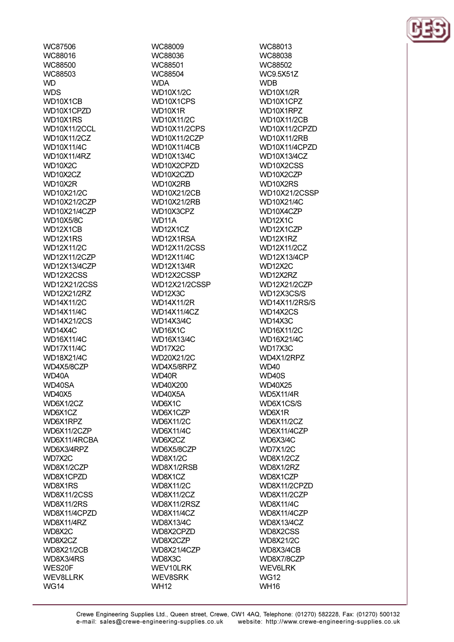WC87506 WC88016 **WC88500 WC88503 WD WDS** WD10X1CB WD10X1CPZD WD10X1RS **WD10X11/2CCL WD10X11/2CZ** WD10X11/4C WD10X11/4RZ WD10X2C WD10X2CZ WD10X2R WD10X21/2C WD10X21/2CZP **WD10X21/4CZP WD10X5/8C** WD12X1CB WD12X1RS **WD12X11/2C WD12X11/2CZP WD12X13/4CZP** WD12X2CSS **WD12X21/2CSS WD12X21/2RZ WD14X11/2C WD14X11/4C WD14X21/2CS** WD14X4C **WD16X11/4C WD17X11/4C WD18X21/4C** WD4X5/8CZP WD40A WD40SA **WD40X5** WD6X1/2CZ WD6X1CZ WD6X1RPZ WD6X11/2CZP WD6X11/4RCBA WD6X3/4RPZ WD7X2C WD8X1/2CZP WD8X1CPZD WD8X1RS **WD8X11/2CSS WD8X11/2RS** WD8X11/4CPZD **WD8X11/4RZ** WD8X2C WD8X2CZ **WD8X21/2CB** WD8X3/4RS WES20F **WEV8LLRK WG14** 

WC88009 WC88036 **WC88501** WC88504 **WDA WD10X1/2C** WD10X1CPS WD10X1R WD10X11/2C **WD10X11/2CPS** WD10X11/2CZP **WD10X11/4CB WD10X13/4C** WD10X2CPZD WD10X2CZD WD10X2RB **WD10X21/2CB WD10X21/2RB** WD10X3CPZ WD<sub>11</sub>A WD12X1CZ WD12X1RSA **WD12X11/2CSS WD12X11/4C WD12X13/4R** WD12X2CSSP **WD12X21/2CSSP** WD12X3C WD14X11/2R **WD14X11/4CZ WD14X3/4C** WD16X1C **WD16X13/4C** WD17X2C WD20X21/2C WD4X5/8RPZ WD40R WD40X200 WD40X5A WD6X1C WD6X1CZP **WD6X11/2C WD6X11/4C** WD6X2CZ WD6X5/8CZP **WD8X1/2C** WD8X1/2RSB WD8X1CZ **WD8X11/2C WD8X11/2CZ** WD8X11/2RSZ **WD8X11/4CZ WD8X13/4C** WD8X2CPZD WD8X2CZP WD8X21/4CZP WD8X3C WEV10LRK **WEV8SRK WH12** 

WC88013 **WC88038 WC88502 WC9.5X51Z WDB WD10X1/2R** WD10X1CP7 WD10X1RPZ **WD10X11/2CB WD10X11/2CPZD WD10X11/2RB** WD10X11/4CPZD **WD10X13/4CZ** WD10X2CSS WD10X2CZP WD10X2RS WD10X21/2CSSP WD10X21/4C WD10X4CZP **WD12X1C** WD12X1CZP WD12X1RZ WD12X11/2CZ **WD12X13/4CP WD12X2C** WD12X2RZ **WD12X21/2CZP** WD12X3CS/S WD14X11/2RS/S WD14X2CS WD14X3C WD16X11/2C WD16X21/4C WD17X3C WD4X1/2RPZ **WD40 WD40S WD40X25 WD5X11/4R** WD6X1CS/S WD6X1R **WD6X11/2CZ** WD6X11/4CZP WD6X3/4C **WD7X1/2C WD8X1/2CZ** WD8X1/2RZ WD8X1CZP WD8X11/2CPZD WD8X11/2CZP **WD8X11/4C** WD8X11/4CZP **WD8X13/4CZ** WD8X2CSS **WD8X21/2C** WD8X3/4CB WD8X7/8CZP **WEV6LRK WG12 WH16**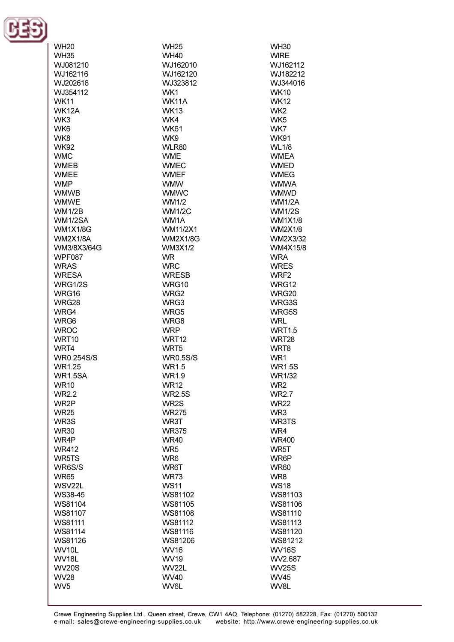

| <b>WH20</b>        | <b>WH25</b>       | <b>WH30</b>       |
|--------------------|-------------------|-------------------|
| <b>WH35</b>        | <b>WH40</b>       | <b>WIRE</b>       |
|                    |                   |                   |
| WJ081210           | WJ162010          | WJ162112          |
| WJ162116           | WJ162120          | WJ182212          |
| WJ202616           | WJ323812          | WJ344016          |
| WJ354112           | WK1               | <b>WK10</b>       |
| <b>WK11</b>        | <b>WK11A</b>      | <b>WK12</b>       |
| <b>WK12A</b>       | <b>WK13</b>       | WK <sub>2</sub>   |
| WK3                | WK4               | WK <sub>5</sub>   |
| WK <sub>6</sub>    | <b>WK61</b>       | WK7               |
| WK8                | WK9               | <b>WK91</b>       |
| <b>WK92</b>        | WLR80             | <b>WL1/8</b>      |
| <b>WMC</b>         | <b>WME</b>        | <b>WMEA</b>       |
| <b>WMEB</b>        | <b>WMEC</b>       | <b>WMED</b>       |
| <b>WMEE</b>        | <b>WMEF</b>       | <b>WMEG</b>       |
| <b>WMP</b>         | <b>WMW</b>        | <b>WMWA</b>       |
| <b>WMWB</b>        | <b>WMWC</b>       | <b>WMWD</b>       |
| <b>WMWE</b>        | WM1/2             | <b>WM1/2A</b>     |
|                    |                   |                   |
| <b>WM1/2B</b>      | <b>WM1/2C</b>     | <b>WM1/2S</b>     |
| WM1/2SA            | WM <sub>1</sub> A | <b>WM1X1/8</b>    |
| <b>WM1X1/8G</b>    | <b>WM11/2X1</b>   | <b>WM2X1/8</b>    |
| <b>WM2X1/8A</b>    | <b>WM2X1/8G</b>   | WM2X3/32          |
| WM3/8X3/64G        | <b>WM3X1/2</b>    | WM4X15/8          |
| <b>WPF087</b>      | <b>WR</b>         | <b>WRA</b>        |
| <b>WRAS</b>        | <b>WRC</b>        | <b>WRES</b>       |
| <b>WRESA</b>       | <b>WRESB</b>      | WRF <sub>2</sub>  |
| WRG1/2S            | WRG10             | WRG12             |
| WRG16              | WRG <sub>2</sub>  | <b>WRG20</b>      |
| WRG28              | WRG3              | WRG3S             |
| WRG4               | WRG5              | WRG5S             |
| WRG6               | WRG8              | <b>WRL</b>        |
| <b>WROC</b>        | <b>WRP</b>        | <b>WRT1.5</b>     |
| WRT <sub>10</sub>  | WRT <sub>12</sub> | WRT <sub>28</sub> |
| WRT4               | WRT <sub>5</sub>  | WRT8              |
| <b>WR0.254S/S</b>  | <b>WR0.5S/S</b>   | WR1               |
| WR1.25             | WR1.5             | <b>WR1.5S</b>     |
| <b>WR1.5SA</b>     | WR1.9             | <b>WR1/32</b>     |
| <b>WR10</b>        | <b>WR12</b>       | WR <sub>2</sub>   |
| <b>WR2.2</b>       | <b>WR2.5S</b>     | <b>WR2.7</b>      |
| WR2P               | WR2S              | <b>WR22</b>       |
| <b>WR25</b>        | <b>WR275</b>      | WR3               |
|                    | WR3T              | <b>WR3TS</b>      |
| WR3S               |                   |                   |
| <b>WR30</b>        | <b>WR375</b>      | WR4               |
| WR4P               | <b>WR40</b>       | <b>WR400</b>      |
| <b>WR412</b>       | WR <sub>5</sub>   | WR5T              |
| WR5TS              | WR <sub>6</sub>   | WR6P              |
| WR6S/S             | WR6T              | <b>WR60</b>       |
| <b>WR65</b>        | <b>WR73</b>       | WR8               |
| WSV22L             | <b>WS11</b>       | <b>WS18</b>       |
| WS38-45            | WS81102           | WS81103           |
| WS81104            | WS81105           | WS81106           |
| WS81107            | WS81108           | WS81110           |
| WS81111            | WS81112           | WS81113           |
| WS81114            | WS81116           | WS81120           |
| WS81126            | WS81206           | WS81212           |
| WV <sub>10</sub> L | <b>WV16</b>       | <b>WV16S</b>      |
| <b>WV18L</b>       | <b>WV19</b>       | WV2.687           |
| <b>WV20S</b>       | <b>WV22L</b>      | <b>WV25S</b>      |
| <b>WV28</b>        | WV40              | <b>WV45</b>       |
| WV <sub>5</sub>    | WV6L              | WV8L              |
|                    |                   |                   |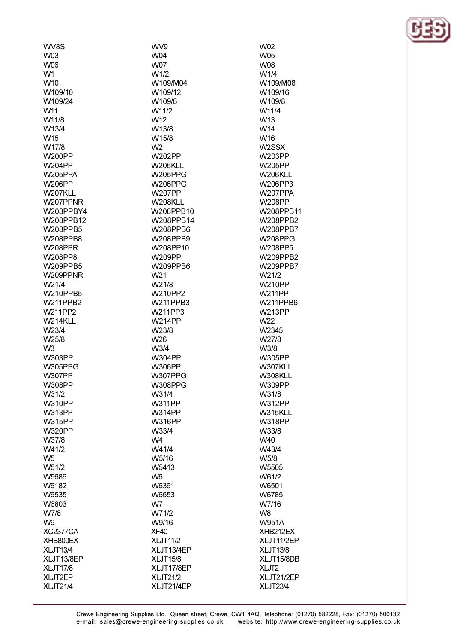**WV8S** W03 **WO<sub>6</sub>**  $W<sub>1</sub>$ W<sub>10</sub> W109/10 W109/24 W<sub>11</sub> W11/8 W13/4 W<sub>15</sub> W17/8 W200PP W204PP **W205PPA** W206PP W207KLL W207PPNR W208PPBY4 W208PPB12 W208PPB5 W208PPB8 **W208PPR** W208PP8 W209PPB5 W209PPNR W21/4 W210PPB5 **W211PPB2** W211PP2 W214KLL W23/4 W25/8 W<sub>3</sub> W303PP **W305PPG W307PP W308PP** W31/2 **W310PP W313PP W315PP W320PP** W37/8 W41/2 W<sub>5</sub> W51/2 W5686 W6182 W6535 W6803 W7/8 W<sub>9</sub> **XC2377CA** XHB800EX **XLJT13/4** XLJT13/8EP **XLJT17/8** 

XLJT2EP

**XLJT21/4** 

WV9 W04 **W07 M/1/2** W109/M04 W109/12 W109/6 W11/2 W<sub>12</sub> W13/8 W15/8  $W<sub>2</sub>$ W202PP **W205KLL W205PPG** W206PPG **W207PP W208KLL** W208PPB10 W208PPB14 W208PPB6 W208PPB9 W208PP10 W209PP W209PPB6 W<sub>21</sub> W21/8 W210PP2 **W211PPB3** W211PP3 **W214PP** W23/8 W<sub>26</sub> W3/4 W304PP **W306PP** W307PPG **W308PPG** W31/4 **W311PP W314PP W316PP** W33/4 **VVIA** W41/4 W5/16 W5413 W<sub>6</sub> W6361 W6653 W<sub>7</sub> W71/2 W9/16 XF40 **XLJT11/2** XLJT13/4EP **XLJT15/8** XLJT17/8EP **XLJT21/2** XLJT21/4EP

W02 **W05 WO<sub>8</sub>** W1/4 W109/M08 W109/16 W109/8 W11/4 W<sub>13</sub> W14 W<sub>16</sub> W<sub>2</sub>SSX W203PP W205PP W206KLL W206PP3 **W207PPA** W208PP W208PPB11 W208PPB2 W208PPB7 W208PPG W208PP5 W209PPB2 W209PPR7 W21/2 **W210PP W211PP** W211PPB6 **W213PP** W22 W2345 W27/8 W3/8 W305PP W307KLL W308KLL **W309PP** W31/8 **W312PP** W315KLL **W318PP** W33/8 W40 W43/4 W<sub>5</sub>/8 W5505 W61/2 W6501 W6785 W7/16 W<sub>8</sub> **W951A** XHB212EX XLJT11/2EP **XLJT13/8** XLJT15/8DB XLJT<sub>2</sub> XLJT21/2EP **XLJT23/4** 

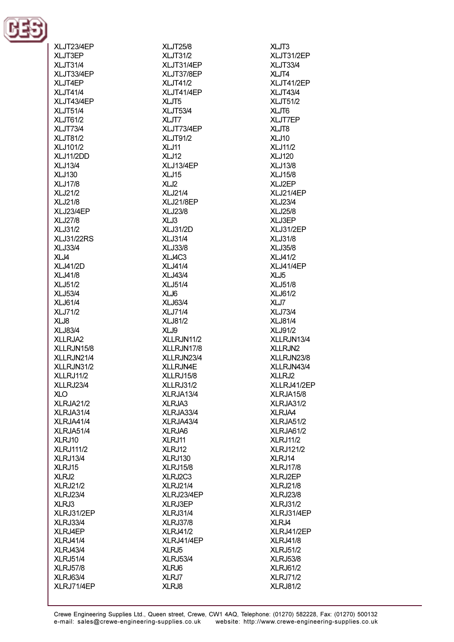

| XLJT23/4EP                  |
|-----------------------------|
| XLJT3EP                     |
| XLJT31/4                    |
| XLJT33/4EP                  |
| XLJT4EP                     |
| <b>XLJT41/4</b>             |
| XLJT43/4EP                  |
| <b>XLJT51/4</b><br>XLJT61/2 |
| XLJT73/4                    |
| <b>XLJT81/2</b>             |
| XLJ101/2                    |
| XLJ11/2DD                   |
| <b>XLJ13/4</b>              |
| <b>XLJ130</b>               |
| <b>XLJ17/8</b>              |
| XLJ21/2                     |
| <b>XLJ21/8</b>              |
| XLJ23/4EP                   |
| <b>XLJ27/8</b>              |
| XLJ31/2                     |
| <b>XLJ31/22RS</b>           |
| <b>XLJ33/4</b>              |
| XLJ4                        |
| <b>XLJ41/2D</b>             |
| <b>XLJ41/8</b>              |
| XLJ51/2<br><b>XLJ53/4</b>   |
| <b>XLJ61/4</b>              |
| XLJ71/2                     |
| XLJ8                        |
| <b>XLJ83/4</b>              |
| XLLRJA2                     |
| XLLRJN15/8                  |
| XLLRJN21/4                  |
| XLLRJN31/2                  |
| XLLRJ11/2                   |
| XLLRJ23/4                   |
| XLO                         |
| XLRJA21/2                   |
| XLRJA31/4                   |
| XLRJA41/4                   |
|                             |
| XLRJA51/4                   |
| XLRJ10                      |
| <b>XLRJ111/2</b>            |
| XLRJ13/4                    |
| XLRJ15                      |
| XLRJ2                       |
| <b>XLRJ21/2</b>             |
| <b>XLRJ23/4</b>             |
| XLRJ3                       |
| XLRJ31/2EP<br>XLRJ33/4      |
| XLRJ4EP                     |
| <b>XLRJ41/4</b>             |
| <b>XLRJ43/4</b>             |
| <b>XLRJ51/4</b>             |
| <b>XLRJ57/8</b>             |
| XLRJ63/4<br>XLRJ71/4EP      |

**XLJT25/8 XLJT31/2** XI.IT31/4FP XLJT37/8EP **XLJT41/2** XLJT41/4EP XLJT5 **XLJT53/4** XLJT7 XLJT73/4EP **XLJT91/2** XLJ11 **XLJ12** XI .113/4FP XLJ15  $XLJ2$ **XLJ21/4 XLJ21/8EP XLJ23/8** XLJ3 **XLJ31/2D XLJ31/4 XLJ33/8 XLJ4C3 XLJ41/4 XLJ43/4 XLJ51/4** XLJ6 **XLJ63/4 XLJ71/4 XLJ81/2** XLJ9 XLLRJN11/2 XLLRJN17/8 XLLRJN23/4 XLLRJN4E XLLRJ15/8 XLLRJ31/2 XLRJA13/4 XLRJA3 XLRJA33/4 XLRJA43/4 XLRJA6 XLRJ11 XLRJ12 **XLRJ130 XLRJ15/8** XLRJ2C3 **XLRJ21/4** XLRJ23/4EP XLRJ3EP **XLRJ31/4 XLRJ37/8 XLRJ41/2** XLRJ41/4EP XLRJ5 **XLRJ53/4** XLRJ6 XLRJ7 XLRJ8

XLJT3 XLJT31/2EP XI .IT33/4 XLJT4 XLJT41/2EP **XLJT43/4 XLJT51/2** XLJT6 **XLJT7EP** XLJT8 **XLJ10 XLJ11/2 XLJ120** XI .113/8 **XLJ15/8** XLJ2EP **XLJ21/4EP XLJ23/4 XLJ25/8** XLJ3EP **XLJ31/2EP XLJ31/8 XLJ35/8** XLJ41/2 **XLJ41/4EP** XLJ5 **XLJ51/8 XLJ61/2** XLJ7 **XLJ73/4 XLJ81/4 XLJ91/2** XLLRJN13/4 XLLRJN2 XLLRJN23/8 XLLRJN43/4 XLLRJ2 XLLRJ41/2EP XLRJA15/8 XLRJA31/2 XLRJA4 XLRJA51/2 XLRJA61/2 **XLRJ11/2 XLRJ121/2** XLRJ14 **XLRJ17/8** XLRJ2EP **XLRJ21/8 XLRJ23/8 XLRJ31/2** XLRJ31/4EP XLR.I4 XLRJ41/2EP **XLRJ41/8 XLRJ51/2 XLRJ53/8 XLRJ61/2 XLRJ71/2 XLRJ81/2**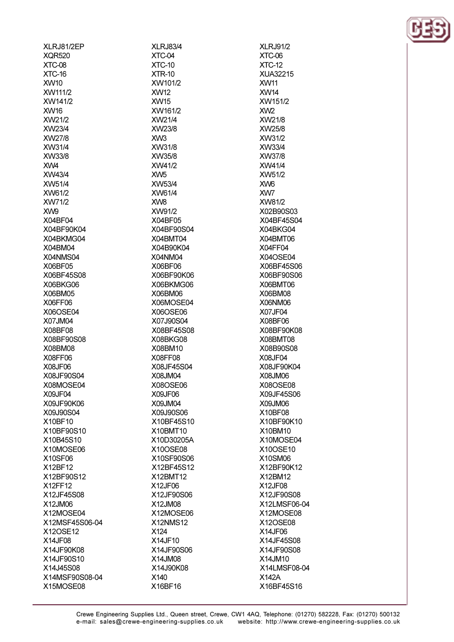XLRJ81/2EP **XOR520**  $XTC<sub>-</sub>08$ **XTC-16 XW10** XW111/2 XW141/2 XW16 XW21/2 XW23/4 **XVV27/8** XW31/4 **XVV33/8** XVV4 XW43/4 XW51/4 XW61/2 XW71/2 XW9 X04BF04 X04BF90K04 X04BKMG04 X04BM04 X04NMS04 X06BF05 X06BF45S08 X06BKG06 X06BM05 X06FF06 X06OSE04 X07JM04 X08BF08 X08BF90S08 X08BM08 X08FF06 **X08JF06** X08JF90S04 X08MOSE04 X09JF04 X09JF90K06 X09J90S04 X10BF10 X10BF90S10 X10B45S10 X10MOSE06 X10SF06 X12BF12 X12BF90S12 X12FF12 X12JF45S08 X12JM06 X12MOSE04 X12MSF45S06-04 X12OSE12 **X14JF08** X14JF90K08 X14JF90S10 X14J45S08 X14MSF90S08-04 X15MOSE08

**XLRJ83/4** XTC-04  $XTC-10$  $XTR-10$ XW101/2 **XW12 XVV15** XW161/2 XW21/4 XW23/8  $XMS$ XW31/8 XW35/8 XW41/2  $XW<sub>5</sub>$ XW53/4 XW61/4 **XVVS** XW91/2 X04BF05 X04BF90S04 X04BMT04 X04B90K04 X04NM04 X06BF06 X06BF90K06 X06BKMG06 X06BM06 X06MOSE04 X06OSE06 X07J90S04 X08BF45S08 X08BKG08 X08BM10 X08FF08 X08JF45S04 X08JM04 X08OSE06 X09JF06 X09JM04 X09J90S06 X10BF45S10 X10BMT10 X10D30205A X10OSE08 X10SF90S06 X12BF45S12 X12BMT12 X12JF06 X12JF90S06 X12JM08 X12MOSE06 **X12NMS12** X124 X14JF10 X14JF90S06 X14, JM08 X14J90K08 X140 X16BF16

**XLRJ91/2** XTC-06  $XTC-12$ XUA32215 **XW11 XW14** XW151/2 XW<sub>2</sub> XW21/8 XW25/8 XW31/2 XW33/4 **XVV37/8** XVV41/4 XW51/2 XW<sub>6</sub> XW7 **XVV81/2** X02B90S03 X04BF45S04 X04BKG04 X04BMT06 X04FF04 X04OSE04 X06BF45S06 X06BF90S06 X06BMT06 X06BM08 X06NM06 **X07JF04** X08BF06 X08BF90K08 X08BMT08 X08B90S08 X08JF04 X08JF90K04 X08JM06 X08OSE08 X09JF45S06 X09JM06 X10BF08 X10BF90K10 X10BM10 X10MOSE04 X10OSE10 X10SM06 X12BF90K12 X12BM12 X12JF08 X12JF90S08 X12LMSF06-04 X12MOSE08 X12OSE08 X14JF06 X14JF45S08 X14JF90S08 X14, JM10 X14LMSF08-04 X142A X16BF45S16

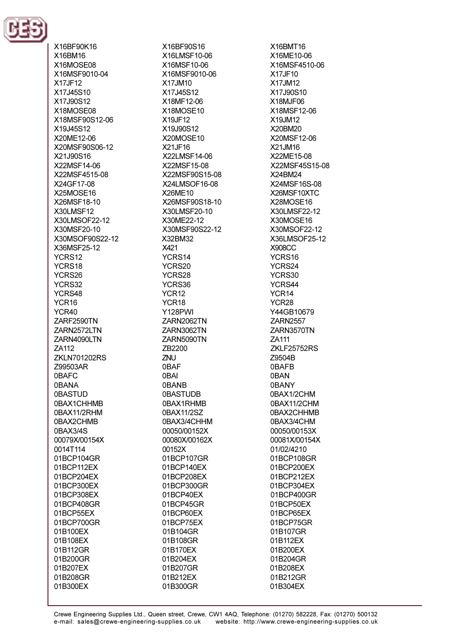

X16BF90K16 X16BM16 X16MOSE08 X16MSF9010-04 X17JF12 X17, I45S10 X17.I90S12 X18MOSE08 X18MSF90S12-06 X19, J45S12 X20ME12-06 X20MSF90S06-12 X21.I90S16 X22MSF14-06 X22MSF4515-08 X24GF17-08 X25MOSE16 X26MSF18-10 X30LMSF12 X30LMSOF22-12 X30MSF20-10 X30MSOF90S22-12 X36MSF25-12 YCRS12 YCRS18 YCRS26 YCRS32 YCRS48 YCR<sub>16</sub> YCR40 ZARF2590TN ZARN2572LTN ZARN4090LTN ZA112 **ZKLN701202RS** Z99503AR **OBAFC OBANA OBASTUD** 0BAX1CHHMB 0BAX11/2RHM 0BAX2CHMB 0BAX3/4S 00079X/00154X 0014T114 01BCP104GR 01BCP112EX 01BCP204EX 01BCP300EX 01BCP308EX 01BCP408GR 01BCP55EX 01BCP700GR 01B100EX 01B108EX 01B112GR 01B200GR 01B207EX 01B208GR 01B300EX

X16BF90S16 X16LMSF10-06 X16MSF10-06 X16MSF9010-06 X17JM10 X17J45S12 X18MF12-06 X18MOSE10 X19JF12 X19J90S12 X20MOSE10 X21JF16 X22LMSF14-06 X22MSF15-08 X22MSF90S15-08 X24LMSOF16-08 X26ME10 X26MSF90S18-10 X30LMSF20-10 X30ME22-12 X30MSF90S22-12 X32BM32 X421 YCRS14 YCRS20 YCRS28 YCRS36 YCR<sub>12</sub> YCR<sub>18</sub> **Y128PWI** ZARN2062TN ZARN3062TN ZARN5090TN ZB2200 **ZNU** 0BAF 0BAI **OBANB OBASTUDB** 0BAX1RHMB 0BAX11/2SZ 0BAX3/4CHHM 00050/00152X 00080X/00162X 00152X 01BCP107GR 01BCP140EX 01BCP208EX 01BCP300GR 01BCP40EX 01BCP45GR 01BCP60EX 01BCP75EX 01B104GR 01B108GR 01B170EX 01B204EX 01B207GR 01B212EX 01B300GR

X16BMT16 X16ME10-06 X16MSF4510-06 X17JF10 X17JM12 X17J90S10 X18MJF06 X18MSF12-06 X19JM12 X20BM20 X20MSF12-06 X21JM16 X22MF15-08 X22MSF45S15-08 X24BM24 X24MSF16S-08 X26MSF10XTC X28MOSE16 X30LMSF22-12 X30MOSE16 X30MSOF22-12 X36LMSOF25-12 **X908CC** YCRS16 YCRS24 YCRS30 YCRS44 YCR<sub>14</sub> YCR<sub>28</sub> Y44GB10679 **ZARN2557** ZARN3570TN ZA111 ZKLF25752RS Z9504B 0BAFB 0BAN 0BANY 0BAX1/2CHM 0BAX11/2CHM 0BAX2CHHMB 0BAX3/4CHM 00050/00153X 00081X/00154X 01/02/4210 01BCP108GR 01BCP200EX 01BCP212EX 01BCP304EX 01BCP400GR 01BCP50EX 01BCP65EX 01BCP75GR 01B107GR 01B112EX 01B200EX 01B204GR 01B208EX 01B212GR 01B304EX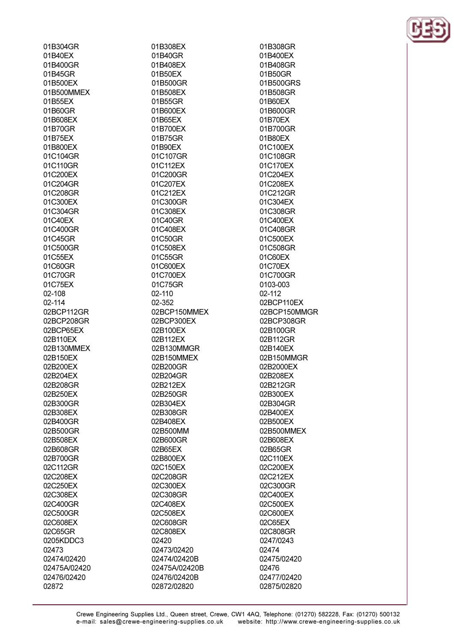| 01B304GR      |
|---------------|
| 01B40EX       |
| 01B400GR      |
| 01B45GR       |
| 01B500EX      |
| 01B500MMEX    |
| 01B55EX       |
| 01B60GR       |
| 01B608EX      |
| 01B70GR       |
| 01B75EX       |
| 01B800EX      |
| 01C104GR      |
| 01C110GR      |
| 01C200EX      |
| 01C204GR      |
| 01C208GR      |
| 01C300EX      |
| 01C304GR      |
| 01C40EX       |
| 01C400GR      |
| 01C45GR       |
| 01C500GR      |
|               |
| 01C55EX       |
| 01C60GR       |
| 01C70GR       |
| 01C75EX       |
| 02-108        |
| 02-114        |
| 02BCP112GR    |
| 02BCP208GR    |
| 02BCP65EX     |
| 02B110EX      |
| 02B130MMEX    |
| 02B150EX      |
| 02B200EX      |
| 02B204EX      |
| 3208GR<br>02E |
| 02B250EX      |
| 02B300GR      |
| 02B308EX      |
|               |
|               |
| 02B400GR      |
| 02B500GR      |
| 02B508EX      |
| 02B608GR      |
| 02B700GR      |
| 02C112GR      |
| 02C208EX      |
| 02C250EX      |
| 02C308EX      |
| 02C400GR      |
| 02C500GR      |
| 02C608EX      |
| 02C65GR       |
| 0205KDDC3     |
| 02473         |
| 02474/02420   |
| 02475A/02420  |
| 02476/02420   |

01B308EX 01B40GR 01B408FX 01B50EX 01B500GR 01B508EX 01B55GR 01B600EX 01B65EX 01B700EX 01B75GR 01B90EX 01C107GR 01C112FX 01C200GR 01C207EX 01C212EX 01C300GR 01C308EX 01C40GR 01C408EX 01C50GR 01C508EX 01C55GR 01C600EX 01C700EX 01C75GR 02-110 02-352 02BCP150MMEX 02BCP300EX 02B100EX 02B112EX 02B130MMGR 02B150MMEX 02B200GR 02B204GR 02B212EX 02B250GR 02B304EX 02B308GR 02B408EX 02B500MM 02B600GR 02B65EX 02B800EX 02C150EX 02C208GR 02C300EX 02C308GR 02C408EX 02C508EX 02C608GR 02C808EX 02420 02473/02420 02474/02420B 02475A/02420B 02476/02420B 02872/02820

01B308GR 01B400EX 01B408GR 01B50GR 01B500GRS 01B508GR 01B60EX 01B600GR 01B70EX 01B700GR 01B80EX 01C100EX 01C108GR 01C170FX 01C204EX 01C208EX 01C212GR 01C304EX 01C308GR 01C400EX 01C408GR 01C500EX 01C508GR 01C60EX 01C70EX 01C700GR 0103-003 02-112 02BCP110EX 02BCP150MMGR 02BCP308GR 02B100GR 02B112GR 02B140EX 02B150MMGR 02B2000EX 02B208EX 02B212GR 02B300EX 02B304GR 02B400EX 02B500EX 02B500MMEX 02B608EX 02B65GR 02C110EX 02C200EX 02C212EX 02C300GR 02C400EX 02C500EX 02C600EX 02C65EX 02C808GR 0247/0243 02474 02475/02420 02476 02477/02420 02875/02820

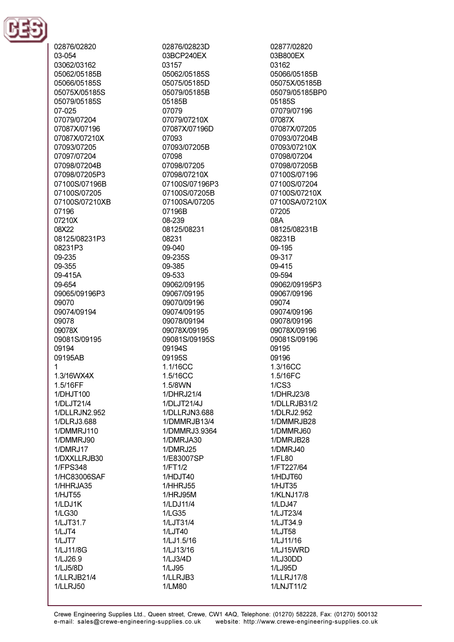

02876/02820 03-054 03062/03162 05062/05185B 05066/05185S 05075X/05185S 05079/05185S 07-025 07079/07204 07087X/07196 07087X/07210X 07093/07205 07097/07204 07098/07204B 07098/07205P3 07100S/07196B 07100S/07205 07100S/07210XB 07196 07210X 08X22 08125/08231P3 08231P3 09-235 09-355 09-415A 09-654 09065/09196P3 09070 09074/09194 09078 09078X 09081S/09195 09194 09195AB  $\blacktriangleleft$ 1.3/16WX4X 1.5/16FF 1/DHJT100 1/DLJT21/4 1/DLLRJN2.952 1/DLRJ3.688 1/DMMRJ110 1/DMMRJ90 1/DMRJ17 1/DXXLLRJB30 1/FPS348 1/HC83006SAF 1/HHRJA35 1/HJT55 1/LDJ1K 1/LG30 1/LJT31.7  $1/LJT4$ 1/LJT7 1/LJ11/8G 1/LJ26.9 1/LJ5/8D 1/LLRJB21/4 **1/LLRJ50** 

02876/02823D 03BCP240EX 03157 05062/05185S 05075/05185D 05079/05185B 05185B 07079 07079/07210X 07087X/07196D 07093 07093/07205B 07098 07098/07205 07098/07210X 07100S/07196P3 07100S/07205B 07100SA/07205 07196B 08-239 08125/08231 08231 09-040 09-235S 09-385 09-533 09062/09195 09067/09195 09070/09196 09074/09195 09078/09194 09078X/09195 09081S/09195S 09194S 09195S 1.1/16CC 1.5/16CC 1.5/8WN 1/DHRJ21/4 1/DLJT21/4J 1/DLLRJN3.688 1/DMMRJB13/4 1/DMMRJ3.9364 1/DMRJA30 1/DMRJ25 1/E83007SP 1/FT1/2 1/HDJT40 1/HHRJ55 1/HRJ95M 1/LDJ11/4 1/LG35 1/LJT31/4  $1/LJT40$ 1/LJ1.5/16 1/LJ13/16 1/LJ3/4D 1/LJ95 1/LLRJB3 1/LM80

02877/02820 03B800EX 03162 05066/05185B 05075X/05185B 05079/05185BP0 05185S 07079/07196 07087X 07087X/07205 07093/07204B 07093/07210X 07098/07204 07098/07205B 07100S/07196 07100S/07204 07100S/07210X 07100SA/07210X 07205 08A 08125/08231B 08231B 09-195 09-317 09-415 09-594 09062/09195P3 09067/09196 09074 09074/09196 09078/09196 09078X/09196 09081S/09196 09195 09196 1.3/16CC 1.5/16FC  $1/CS3$ 1/DHRJ23/8 1/DLLRJB31/2 1/DLRJ2.952 1/DMMRJB28 1/DMMRJ60 1/DMRJB28 **1/DMRJ40** 1/FL80 1/FT227/64 1/HDJT60 1/HJT35 1/KLNJ17/8 1/LDJ47 1/LJT23/4 1/LJT34.9 1/LJT58 1/LJ11/16 1/LJ15WRD 1/LJ30DD 1/LJ95D 1/LLRJ17/8 1/LNJT11/2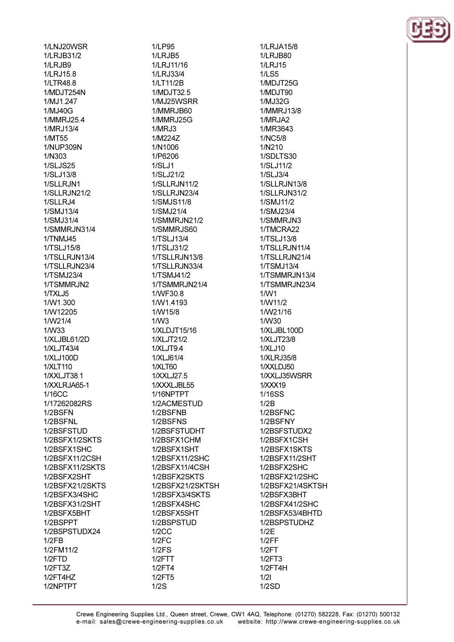1/LNJ20WSR 1/LRJB31/2 1/I R.IR9 1/LRJ15.8 1/LTR48.8 1/MDJT254N 1/M.I1 247 1/MJ40G 1/MMRJ25.4 1/MRJ13/4  $1/MTS5$ **1/NUP309N** 1/N303 1/SL JS25 1/SLJ13/8 1/SLLRJN1 1/SLLRJN21/2  $1/SLLRJA$ 1/SMJ13/4 1/SMJ31/4 1/SMMRJN31/4  $1/TNMJ45$ 1/TSLJ15/8 1/TSLLRJN13/4 1/TSLLRJN23/4 1/TSMJ23/4 1/TSMMRJN2 1/TXLJ5 1/W1.300 1/W12205 1/W21/4 1/W33 1/XLJBL61/2D 1/XLJT43/4 1/XLJ100D 1/XLT110 1/XXLJT38.1 1/XXLRJA65-1 1/16CC 1/17262082RS 1/2BSFN 1/2BSFNL 1/2BSFSTUD 1/2BSFX1/2SKTS 1/2BSFX1SHC 1/2BSFX11/2CSH 1/2BSFX11/2SKTS 1/2BSFX2SHT 1/2BSFX21/2SKTS 1/2BSFX3/4SHC 1/2BSFX31/2SHT 1/2BSFX5BHT 1/2BSPPT 1/2BSPSTUDX24  $1/2FB$ 1/2FM11/2 1/2FTD  $1/2$ FT3Z 1/2FT4HZ 1/2NPTPT

1/LP95  $1/LRJB5$ 1/I R.I11/16 1/LRJ33/4 1/LT11/2B 1/MDJT32.5 1/MJ25WSRR 1/MMRJB60 1/MMRJ25G  $1/MRJ3$ 1/M224Z 1/N1006 1/P6206  $1/SL11$ 1/SLJ21/2 1/SLLRJN11/2 **1/SLLRJN23/4** 1/SMJS11/8 1/SMJ21/4 1/SMMRJN21/2 1/SMMRJS60 1/TSLJ13/4 1/TSLJ31/2 1/TSLLRJN13/8 1/TSLLRJN33/4 1/TSMJ41/2 1/TSMMRJN21/4 1/WF30.8 1/W1.4193 1/W15/8  $1/N3$ 1/XLDJT15/16 1/XLJT21/2 1/XLJT9.4 1/XLJ61/4 1/XLT60 1/XXLJ27.5 1/XXXLJBL55 1/16NPTPT 1/2ACMESTUD 1/2BSFNB 1/2BSFNS 1/2BSFSTUDHT 1/2BSFX1CHM 1/2BSFX1SHT 1/2BSFX11/2SHC 1/2BSFX11/4CSH 1/2BSFX2SKTS 1/2BSFX21/2SKTSH 1/2BSFX3/4SKTS 1/2BSFX4SHC 1/2BSFX5SHT 1/2BSPSTUD  $1/2CC$  $1/2FC$  $1/2FS$  $1/2$ FTT  $1/2FT4$  $1/2FT5$  $1/2S$ 

1/LRJA15/8 1/LRJB80 1/l R.I15  $1/1$  S<sub>5</sub> 1/MDJT25G 1/MDJT90  $1/M.I32G$ 1/MMRJ13/8  $1/MR$ JA $2$ 1/MR3643 1/NC5/8 1/N210 1/SDLTS30 1/SL 111/2  $1/SLJ3/4$ 1/SLLRJN13/8 1/SLLRJN31/2 1/SMJ11/2 1/SMJ23/4 1/SMMRJN3 1/TMCRA22 1/TSLJ13/8 1/TSLLRJN11/4 1/TSLLRJN21/4 1/TSM.113/4 1/TSMMRJN13/4 1/TSMMRJN23/4  $1/N<sub>1</sub>$ 1/W11/2 1/W21/16 1/W30 1/XLJBL100D 1/XLJT23/8 1/XLJ10 1/XLRJ35/8 1/XXLDJ50 1/XXLJ35WSRR 1/XXX19 **1/16SS**  $1/2B$ 1/2BSFNC 1/2BSFNY 1/2BSFSTUDX2 1/2BSFX1CSH 1/2BSFX1SKTS 1/2BSFX11/2SHT 1/2BSFX2SHC 1/2BSFX21/2SHC 1/2BSFX21/4SKTSH 1/2BSFX3BHT 1/2BSFX41/2SHC 1/2BSFX53/4BHTD 1/2BSPSTUDHZ  $1/2E$  $1/2FF$  $1/2FT$  $1/2FT3$ 1/2FT4H  $1/21$  $1/2SD$ 

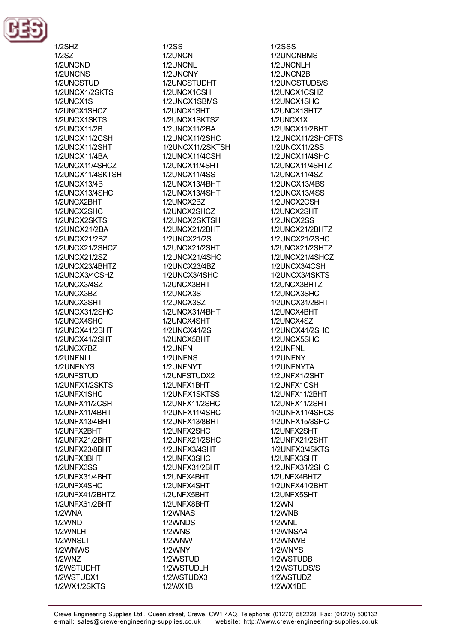

 $1/2$ SHZ  $1/2$ SZ 1/2LINCND 1/2UNCNS 1/2UNCSTUD 1/2UNCX1/2SKTS 1/2UNCX1S 1/2UNCX1SHCZ 1/2UNCX1SKTS 1/2UNCX11/2B 1/2UNCX11/2CSH 1/2UNCX11/2SHT 1/2UNCX11/4BA 1/2LINCX11/4SHCZ 1/2UNCX11/4SKTSH 1/2UNCX13/4B 1/2UNCX13/4SHC 1/2UNCX2BHT 1/2UNCX2SHC 1/2UNCX2SKTS 1/2UNCX21/2BA 1/2UNCX21/2BZ 1/2UNCX21/2SHCZ 1/2UNCX21/2SZ 1/2UNCX23/4BHTZ 1/2UNCX3/4CSHZ 1/2UNCX3/4SZ 1/2UNCX3BZ 1/2UNCX3SHT 1/2UNCX31/2SHC 1/2UNCX4SHC 1/2UNCX41/2BHT 1/2UNCX41/2SHT 1/2UNCX7BZ 1/2UNFNLL 1/2UNFNYS 1/2UNFSTUD 1/2UNFX1/2SKTS 1/2UNFX1SHC 1/2UNFX11/2CSH 1/2UNFX11/4BHT 1/2UNFX13/4BHT 1/2UNFX2BHT 1/2UNFX21/2BHT 1/2UNFX23/8BHT 1/2UNFX3BHT 1/2UNFX3SS 1/2UNFX31/4BHT 1/2UNFX4SHC 1/2UNFX41/2BHTZ 1/2UNFX61/2BHT 1/2WNA 1/2WND 1/2WNLH 1/2WNSLT 1/2WNWS **1/2WNZ** 1/2WSTUDHT 1/2WSTUDX1 1/2WX1/2SKTS

 $1/2SS$ 1/2UNCN 1/2LINCNL 1/2UNCNY 1/2UNCSTUDHT 1/2UNCX1CSH 1/2UNCX1SBMS 1/2UNCX1SHT 1/2UNCX1SKTSZ 1/2UNCX11/2BA 1/2UNCX11/2SHC 1/2UNCX11/2SKTSH 1/2UNCX11/4CSH 1/2LINCX11/4SHT 1/2UNCX11/4SS 1/2UNCX13/4BHT 1/2UNCX13/4SHT 1/2UNCX2BZ 1/2UNCX2SHCZ 1/2UNCX2SKTSH 1/2UNCX21/2BHT 1/2UNCX21/2S 1/2UNCX21/2SHT 1/2UNCX21/4SHC 1/2UNCX23/4BZ 1/2UNCX3/4SHC 1/2UNCX3BHT 1/2UNCX3S 1/2UNCX3SZ 1/2UNCX31/4BHT 1/2UNCX4SHT 1/2UNCX41/2S 1/2UNCX5BHT 1/2UNFN 1/2UNFNS 1/2UNFNYT 1/2UNFSTUDX2 1/2UNFX1BHT 1/2UNFX1SKTSS 1/2UNFX11/2SHC 1/2UNFX11/4SHC 1/2UNFX13/8BHT 1/2UNFX2SHC 1/2UNFX21/2SHC 1/2UNFX3/4SHT 1/2UNFX3SHC 1/2UNFX31/2BHT 1/2UNFX4BHT 1/2UNFX4SHT 1/2UNFX5BHT 1/2UNFX8BHT 1/2WNAS 1/2WNDS 1/2WNS 1/2WNW 1/2WNY 1/2WSTUD 1/2WSTUDLH 1/2WSTUDX3 1/2WX1B

**1/2SSS** 1/2UNCNBMS 1/2LINCNLH 1/2UNCN2B 1/2UNCSTUDS/S 1/2UNCX1CSHZ 1/2UNCX1SHC 1/2UNCX1SHTZ 1/2UNCX1X **1/2UNCX11/2BHT** 1/2UNCX11/2SHCFTS 1/2UNCX11/2SS 1/2UNCX11/4SHC 1/2LINCX11/4SHT7 1/2UNCX11/4SZ 1/2UNCX13/4BS 1/2UNCX13/4SS 1/2UNCX2CSH 1/2UNCX2SHT 1/2UNCX2SS 1/2UNCX21/2BHTZ 1/2UNCX21/2SHC 1/2UNCX21/2SHTZ 1/2UNCX21/4SHCZ 1/2UNCX3/4CSH 1/2UNCX3/4SKTS 1/2UNCX3BHTZ 1/2UNCX3SHC 1/2UNCX31/2BHT 1/2UNCX4BHT 1/2UNCX4SZ 1/2UNCX41/2SHC 1/2UNCX5SHC 1/2UNFNL 1/2UNFNY 1/2UNFNYTA 1/2UNFX1/2SHT 1/2UNFX1CSH 1/2UNFX11/2BHT 1/2UNFX11/2SHT 1/2UNFX11/4SHCS 1/2UNFX15/8SHC 1/2UNFX2SHT 1/2UNFX21/2SHT 1/2UNFX3/4SKTS 1/2UNFX3SHT 1/2UNFX31/2SHC 1/2UNFX4BHTZ 1/2UNFX41/2BHT 1/2UNFX5SHT  $1/2$ WN 1/2WNB 1/2WNL 1/2WNSA4 1/2WNWB 1/2WNYS 1/2WSTUDB 1/2WSTUDS/S 1/2WSTUDZ 1/2WX1BE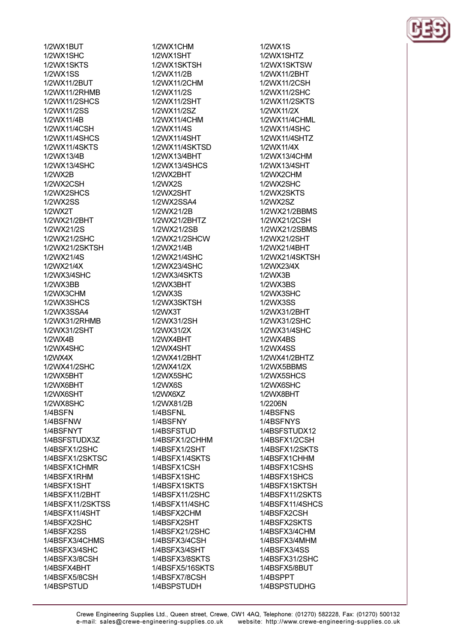1/2WX1BUT 1/2WX1SHC 1/2WX1SKTS 1/2WX1SS 1/2WX11/2BUT 1/2WX11/2RHMB 1/2WX11/2SHCS 1/2WX11/2SS 1/2WX11/4B 1/2WX11/4CSH 1/2WX11/4SHCS 1/2WX11/4SKTS 1/2WX13/4R 1/2WX13/4SHC 1/2WX2R 1/2WX2CSH 1/2WX2SHCS **1/2WX2SS** 1/2WX2T 1/2WX21/2BHT 1/2WX21/2S 1/2WX21/2SHC 1/2WX21/2SKTSH 1/2WX21/4S 1/2\NX21/4X 1/2WX3/4SHC 1/2WX3BB 1/2WX3CHM 1/2WX3SHCS 1/2WX3SSA4 1/2WX31/2RHMB 1/2WX31/2SHT 1/2WX4B 1/2WX4SHC  $1/2$ WX4X 1/2WX41/2SHC 1/2WX5BHT 1/2WX6BHT 1/2WX6SHT 1/2WX8SHC 1/4BSFN 1/4BSFNW 1/4BSFNYT 1/4BSFSTUDX3Z 1/4BSFX1/2SHC 1/4BSFX1/2SKTSC 1/4BSFX1CHMR 1/4BSFX1RHM 1/4BSFX1SHT 1/4BSFX11/2BHT 1/4BSFX11/2SKTSS 1/4BSFX11/4SHT 1/4BSFX2SHC 1/4BSFX2SS 1/4BSFX3/4CHMS 1/4BSFX3/4SHC 1/4BSFX3/8CSH 1/4BSFX4BHT 1/4BSFX5/8CSH 1/4BSPSTUD

1/2WX1CHM 1/2WX1SHT 1/2WX1SKTSH 1/2WX11/2B 1/2WX11/2CHM 1/2WX11/2S 1/2WX11/2SHT 1/2WX11/2SZ 1/2WX11/4CHM 1/2WX11/4S 1/2WX11/4SHT 1/2WX11/4SKTSD 1/2WX13/4BHT 1/2WX13/4SHCS 1/2WX2BHT 1/2WX2S 1/2WX2SHT 1/2WX2SSA4 1/2WX21/2B 1/2WX21/2BHTZ 1/2WX21/2SB 1/2WX21/2SHCW 1/2WX21/4B 1/2WX21/4SHC 1/2WX23/4SHC 1/2WX3/4SKTS 1/2WX3BHT 1/2WX3S 1/2WX3SKTSH 1/2WX3T 1/2WX31/2SH 1/2WX31/2X 1/2WX4BHT 1/2WX4SHT 1/2WX41/2BHT 1/2WX41/2X 1/2WX5SHC 1/2WX6S 1/2WX6XZ 1/2WX81/2B 1/4BSFNL 1/4BSFNY 1/4BSFSTUD 1/4BSFX1/2CHHM 1/4BSFX1/2SHT 1/4BSFX1/4SKTS 1/4BSFX1CSH 1/4BSFX1SHC 1/4BSFX1SKTS 1/4BSFX11/2SHC 1/4BSFX11/4SHC 1/4BSFX2CHM 1/4BSFX2SHT 1/4BSFX21/2SHC 1/4BSFX3/4CSH 1/4BSFX3/4SHT 1/4BSFX3/8SKTS 1/4BSFX5/16SKTS 1/4BSFX7/8CSH 1/4BSPSTUDH

1/2WX1S 1/2WX1SHTZ 1/2WX1SKTSW 1/2WX11/2BHT 1/2WX11/2CSH 1/2WX11/2SHC 1/2WX11/2SKTS 1/2WX11/2X 1/2WX11/4CHML 1/2WX11/4SHC 1/2WX11/4SHTZ 1/2WX11/4X 1/2WX13/4CHM 1/2WX13/4SHT 1/2WX2CHM 1/2WX2SHC 1/2WX2SKTS 1/2WX2SZ 1/2WX21/2BBMS 1/2WX21/2CSH 1/2WX21/2SBMS 1/2WX21/2SHT 1/2WX21/4BHT 1/2WX21/4SKTSH 1/2\NX23/4X 1/2WX3B 1/2WX3BS 1/2WX3SHC 1/2WX3SS 1/2WX31/2BHT 1/2WX31/2SHC 1/2WX31/4SHC 1/2WX4BS 1/2WX4SS 1/2WX41/2BHTZ 1/2WX5BBMS 1/2WX5SHCS 1/2WX6SHC 1/2WX8BHT 1/2206N 1/4BSFNS 1/4BSFNYS 1/4BSFSTUDX12 1/4BSFX1/2CSH 1/4BSFX1/2SKTS 1/4BSFX1CHHM 1/4BSFX1CSHS 1/4BSFX1SHCS 1/4BSFX1SKTSH 1/4BSFX11/2SKTS 1/4BSFX11/4SHCS 1/4BSFX2CSH 1/4BSFX2SKTS 1/4BSFX3/4CHM 1/4BSFX3/4MHM 1/4BSFX3/4SS 1/4BSFX31/2SHC 1/4BSFX5/8BUT 1/4BSPPT 1/4BSPSTUDHG

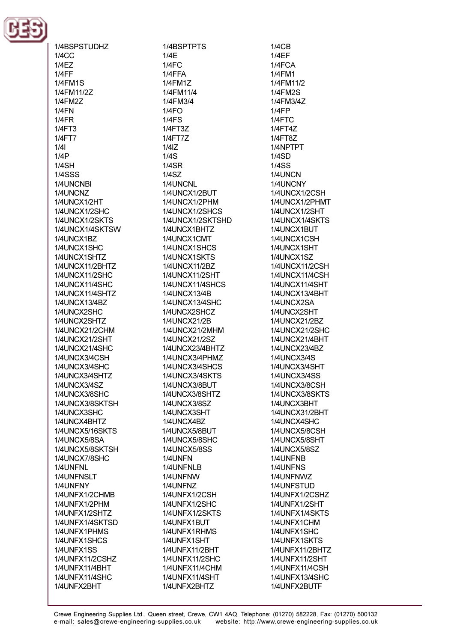

1/4BSPSTUDHZ  $1/4CC$  $1/4F$  $1/4FF$ **1/4FM1S** 1/4FM11/2Z 1/4FM27  $1/4FN$  $1/4FR$  $1/4FT3$ 1/4FT7  $1/4$  $1/4P$  $1/4$ SH **1/4SSS** 1/4UNCNBI 1/4UNCNZ 1/4UNCX1/2HT 1/4UNCX1/2SHC 1/4UNCX1/2SKTS 1/4UNCX1/4SKTSW 1/4UNCX1BZ 1/4UNCX1SHC 1/4UNCX1SHTZ 1/4UNCX11/2BHTZ 1/4UNCX11/2SHC 1/4UNCX11/4SHC 1/4UNCX11/4SHTZ 1/4UNCX13/4BZ 1/4UNCX2SHC 1/4UNCX2SHTZ 1/4UNCX21/2CHM 1/4UNCX21/2SHT 1/4UNCX21/4SHC 1/4UNCX3/4CSH 1/4UNCX3/4SHC 1/4UNCX3/4SHTZ 1/4UNCX3/4SZ 1/4UNCX3/8SHC 1/4UNCX3/8SKTSH 1/4UNCX3SHC 1/4UNCX4BHTZ 1/4UNCX5/16SKTS 1/4UNCX5/8SA 1/4UNCX5/8SKTSH 1/4UNCX7/8SHC 1/4UNFNL 1/4UNFNSLT 1/4UNFNY 1/4UNFX1/2CHMB 1/4UNFX1/2PHM 1/4UNFX1/2SHTZ 1/4UNFX1/4SKTSD 1/4UNFX1PHMS 1/4UNFX1SHCS 1/4UNFX1SS 1/4UNFX11/2CSHZ 1/4UNFX11/4BHT 1/4UNFX11/4SHC 1/4UNFX2BHT

1/4BSPTPTS  $1/4E$  $1/4FC$ 1/4FFA 1/4FM1Z 1/4FM11/4 1/4FM3/4  $1/4FO$  $1/4FS$  $1/4FT3Z$  $1/4$ FT7Z  $1/4$ <sub>IZ</sub>  $1/4S$  $1/4$ SR  $1/4$ SZ 1/4UNCNL 1/4UNCX1/2BUT 1/4UNCX1/2PHM 1/4UNCX1/2SHCS 1/4UNCX1/2SKTSHD 1/4UNCX1BHTZ 1/4UNCX1CMT 1/4UNCX1SHCS 1/4UNCX1SKTS 1/4UNCX11/2BZ **1/4UNCX11/2SHT** 1/4UNCX11/4SHCS 1/4UNCX13/4B 1/4UNCX13/4SHC 1/4UNCX2SHCZ 1/4UNCX21/2B 1/4UNCX21/2MHM 1/4UNCX21/2SZ 1/4UNCX23/4BHTZ 1/4UNCX3/4PHMZ 1/4UNCX3/4SHCS 1/4UNCX3/4SKTS 1/4UNCX3/8BUT 1/4UNCX3/8SHTZ 1/4UNCX3/8SZ 1/4UNCX3SHT 1/4UNCX4BZ 1/4UNCX5/8BUT 1/4UNCX5/8SHC 1/4UNCX5/8SS 1/4UNFN 1/4UNFNLB 1/4UNFNW 1/4UNFNZ 1/4UNFX1/2CSH 1/4UNFX1/2SHC 1/4UNFX1/2SKTS 1/4UNFX1BUT 1/4UNFX1RHMS 1/4UNFX1SHT 1/4UNFX11/2BHT 1/4UNFX11/2SHC 1/4UNFX11/4CHM 1/4UNFX11/4SHT 1/4UNFX2BHTZ

 $1/4$ C<sub>B</sub>  $1/4EF$  $1/4FCA$ 1/4FM1 1/4FM11/2 **1/4FM2S** 1/4FM3/4Z  $1/4FP$ 1/4FTC  $1/4FT4Z$ **1/4FT8Z** 1/4NPTPT  $1/4SD$  $1/4SS$ 1/4UNCN 1/4UNCNY 1/4UNCX1/2CSH 1/4UNCX1/2PHMT 1/4UNCX1/2SHT 1/4UNCX1/4SKTS 1/4UNCX1BUT 1/4UNCX1CSH 1/4UNCX1SHT 1/4UNCX1SZ **1/4UNCX11/2CSH** 1/4UNCX11/4CSH 1/4UNCX11/4SHT 1/4UNCX13/4BHT 1/4UNCX2SA 1/4UNCX2SHT 1/4UNCX21/2BZ 1/4UNCX21/2SHC 1/4UNCX21/4BHT 1/4UNCX23/4BZ **1/4UNCX3/4S** 1/4UNCX3/4SHT **1/4UNCX3/4SS** 1/4UNCX3/8CSH 1/4UNCX3/8SKTS 1/4UNCX3BHT 1/4UNCX31/2BHT 1/4UNCX4SHC 1/4UNCX5/8CSH 1/4UNCX5/8SHT **1/4UNCX5/8SZ** 1/4UNFNB 1/4UNFNS 1/4UNFNWZ 1/4UNFSTUD 1/4UNFX1/2CSHZ 1/4UNFX1/2SHT 1/4UNFX1/4SKTS 1/4UNFX1CHM 1/4UNFX1SHC 1/4UNFX1SKTS 1/4UNFX11/2BHTZ **1/4UNFX11/2SHT** 1/4UNFX11/4CSH 1/4UNFX13/4SHC 1/4UNFX2BUTF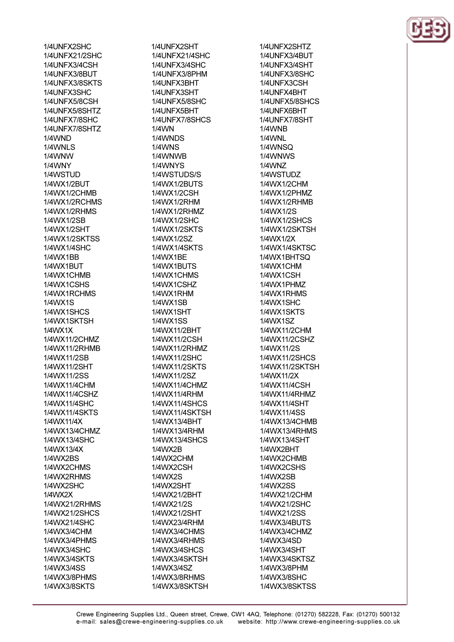1/4UNFX2SHC 1/4UNFX21/2SHC 1/41 INFX3/4CSH 1/4UNFX3/8BUT 1/4UNFX3/8SKTS 1/4UNFX3SHC 1/4UNFX5/8CSH 1/4UNFX5/8SHTZ **1/4UNFX7/8SHC** 1/4UNFX7/8SHTZ 1/4WND 1/4WNLS 1/4WNW 1/4WNY 1/4WSTUD 1/4WX1/2BUT 1/4WX1/2CHMB 1/4WX1/2RCHMS 1/4WX1/2RHMS 1/4WX1/2SB 1/4WX1/2SHT 1/4WX1/2SKTSS 1/4WX1/4SHC 1/4WX1RR 1/4WX1RUT 1/4WX1CHMB 1/4WX1CSHS 1/4WX1RCHMS 1/4WX1S 1/4WX1SHCS 1/4WX1SKTSH 1/4WX1X 1/4WX11/2CHMZ 1/4WX11/2RHMB 1/4WX11/2SB 1/4WX11/2SHT 1/4WX11/2SS 1/4WX11/4CHM 1/4WX11/4CSHZ 1/4WX11/4SHC 1/4WX11/4SKTS 1/4WX11/4X 1/4WX13/4CHMZ 1/4WX13/4SHC 1/4WX13/4X **1/4WX2BS** 1/4WX2CHMS 1/4WX2RHMS 1/4WX2SHC 1/4WX2X 1/4WX21/2RHMS 1/4WX21/2SHCS 1/4WX21/4SHC 1/4WX3/4CHM 1/4WX3/4PHMS 1/4WX3/4SHC 1/4WX3/4SKTS 1/4WX3/4SS 1/4WX3/8PHMS 1/4WX3/8SKTS

1/4UNFX2SHT 1/4UNFX21/4SHC 1/4I INFX3/4SHC 1/4UNFX3/8PHM 1/4UNFX3BHT 1/4UNFX3SHT 1/4UNFX5/8SHC 1/4UNFX5BHT 1/4UNFX7/8SHCS **1/4WN** 1/4WNDS 1/4WNS 1/4WNWR 1/4WNYS 1/4WSTUDS/S 1/4WX1/2BUTS 1/4WX1/2CSH 1/4WX1/2RHM 1/4WX1/2RHMZ 1/4WX1/2SHC 1/4WX1/2SKTS 1/4WX1/2SZ 1/4WX1/4SKTS 1/4WX1RF 1/4WX1RLITS 1/4WX1CHMS 1/4WX1CSHZ 1/4WX1RHM 1/4WX1SB 1/4WX1SHT **1/4WX1SS** 1/4WX11/2BHT 1/4WX11/2CSH 1/4WX11/2RHMZ 1/4WX11/2SHC 1/4WX11/2SKTS 1/4WX11/2SZ 1/4WX11/4CHMZ 1/4WX11/4RHM 1/4WX11/4SHCS 1/4WX11/4SKTSH 1/4WX13/4BHT 1/4WX13/4RHM 1/4WX13/4SHCS 1/4WX2B 1/4WX2CHM 1/4WX2CSH 1/4WX2S 1/4WX2SHT 1/4WX21/2BHT 1/4WX21/2S 1/4WX21/2SHT 1/4WX23/4RHM 1/4WX3/4CHMS 1/4WX3/4RHMS 1/4WX3/4SHCS 1/4WX3/4SKTSH 1/4WX3/4SZ 1/4WX3/8RHMS 1/4WX3/8SKTSH

1/4UNFX2SHTZ 1/4UNFX3/4BUT 1/4I INFX3/4SHT **1/4UNFX3/8SHC** 1/4UNFX3CSH 1/4UNFX4BHT 1/4UNFX5/8SHCS 1/4UNFX6BHT 1/4UNFX7/8SHT **1/4WNB** 1/4WNL 1/4WNSQ 1/4WNWS 1/4WN7 1/4WSTUDZ 1/4WX1/2CHM 1/4WX1/2PHMZ 1/4WX1/2RHMB 1/4WX1/2S 1/4WX1/2SHCS 1/4WX1/2SKTSH 1/4WX1/2X 1/4WX1/4SKTSC 1/4WX1BHTSO 1/4WX1CHM 1/4WX1CSH 1/4WX1PHMZ 1/4WX1RHMS 1/4WX1SHC 1/4WX1SKTS 1/4WX1SZ 1/4WX11/2CHM 1/4WX11/2CSHZ 1/4WX11/2S 1/4WX11/2SHCS 1/4WX11/2SKTSH 1/4WX11/2X 1/4WX11/4CSH 1/4WX11/4RHMZ 1/4WX11/4SHT 1/4WX11/4SS 1/4WX13/4CHMB 1/4WX13/4RHMS 1/4WX13/4SHT 1/4WX2BHT 1/4WX2CHMB 1/4WX2CSHS 1/4WX2SB 1/4WX2SS 1/4WX21/2CHM 1/4WX21/2SHC 1/4WX21/2SS 1/4WX3/4BUTS 1/4WX3/4CHMZ 1/4WX3/4SD 1/4WX3/4SHT 1/4WX3/4SKTSZ 1/4WX3/8PHM 1/4WX3/8SHC 1/4WX3/8SKTSS

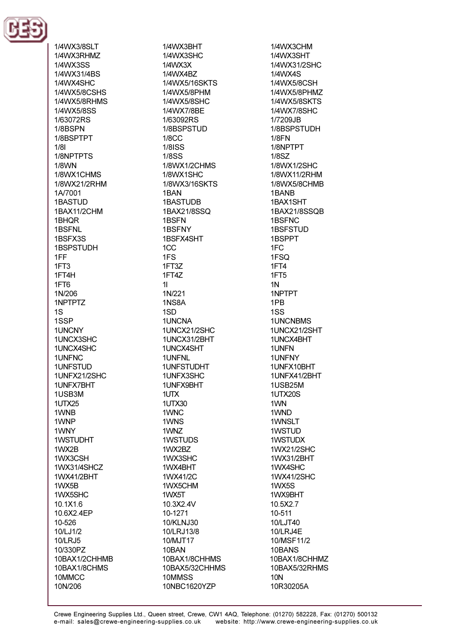

1/4WX3/8SLT 1/4WX3RHMZ 1/4WX3SS 1/4WX31/4BS 1/4WX4SHC 1/4WX5/8CSHS 1/4WX5/8RHMS 1/4WX5/8SS 1/63072RS 1/8BSPN 1/8BSPTPT  $1/81$ 1/8NPTPTS **1/8WN** 1/8WX1CHMS 1/8WX21/2RHM 1A/7001 **1BASTUD** 1BAX11/2CHM 1BHQR 1BSFNL 1BSFX3S **1BSPSTUDH** 1FF  $1FT3$ 1FT4H 1FT6 1N/206 1NPTPTZ  $1S$ 1SSP 1UNCNY 1UNCX3SHC 1UNCX4SHC 1UNFNC 1UNFSTUD 1UNFX21/2SHC 1UNFX7BHT 1USB3M **1UTX25** 1WNB 1WNP 1WNY **1WSTUDHT** 1WX2B 1WX3CSH 1WX31/4SHCZ 1WX41/2BHT 1WX5B 1WX5SHC 10.1X1.6 10.6X2.4EP 10-526 10/LJ1/2 **10/LRJ5** 10/330PZ 10BAX1/2CHHMB 10BAX1/8CHMS 10MMCC 10N/206

1/4WX3BHT 1/4WX3SHC  $1$ / $4$  $N$  $X$  $3X$ 1/4WX4R7 1/4WX5/16SKTS 1/4WX5/8PHM 1/4WX5/8SHC 1/4WX7/8BE 1/63092RS 1/8BSPSTUD  $1/8CC$ **1/8ISS 1/8SS** 1/8WX1/2CHMS 1/8WX1SHC 1/8WX3/16SKTS 1BAN **1BASTUDB** 1BAX21/8SSQ 1BSFN 1BSFNY 1BSFX4SHT 1CC 1F<sub>S</sub> 1FT37 1FT4Z  $11$ 1N/221 1NS8A 1SD **1UNCNA** 1UNCX21/2SHC 1UNCX31/2BHT 1UNCX4SHT 1UNFNL 1UNFSTUDHT 1UNFX3SHC 1UNFX9BHT 1UTX 1UTX30 1WNC 1WNS 1WNZ 1WSTUDS 1WX2BZ 1WX3SHC 1WX4BHT 1WX41/2C 1WX5CHM 1WX5T 10.3X2.4V 10-1271 10/KLNJ30 10/LRJ13/8 10/MJT17 10BAN 10BAX1/8CHHMS 10BAX5/32CHHMS 10MMSS 10NBC1620YZP

1/4WX3CHM 1/4WX3SHT 1/4WX31/2SHC 1/4WX4S 1/4WX5/8CSH 1/4WX5/8PHMZ 1/4WX5/8SKTS 1/4WX7/8SHC 1/7209JB 1/8BSPSTUDH  $1/8FN$ 1/8NPTPT **1/8SZ** 1/8WX1/2SHC 1/8WX11/2RHM 1/8WX5/8CHMB 1BANB 1BAX1SHT 1BAX21/8SSQB 1BSFNC **1BSFSTUD** 1BSPPT  $1FC.$ 1FSO 1FT4 1FT<sub>5</sub>  $1N$ 1NPTPT 1PB 1SS **1UNCNBMS** 1UNCX21/2SHT 1UNCX4BHT 1UNFN 1UNFNY 1UNFX10BHT 1UNFX41/2BHT 1USB25M 1UTX20S 1WN 1WND 1WNSLT 1WSTUD 1WSTUDX 1WX21/2SHC 1WX31/2BHT 1WX4SHC 1WX41/2SHC 1WX5S 1WX9BHT 10.5X2.7 10-511 10/LJT40 10/LRJ4E 10/MSF11/2 10BANS 10BAX1/8CHHMZ 10BAX5/32RHMS **10N** 10R30205A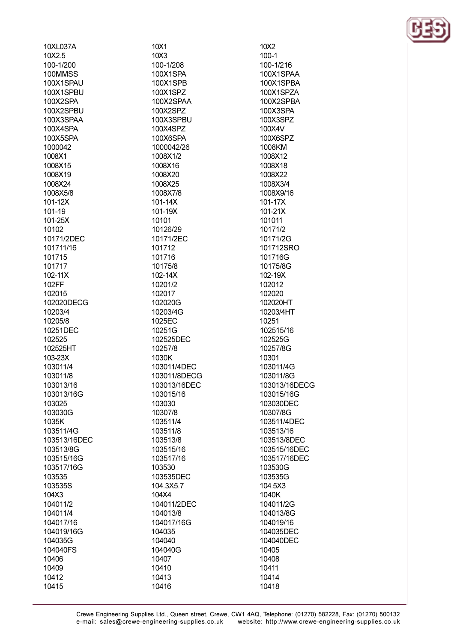10XL037A 10X2.5 100-1/200 100MMSS 100X1SPAU 100X1SPBU 100X2SPA 100X2SPBU 100X3SPAA 100X4SPA 100X5SPA 1000042 1008X1 1008X15 1008X19 1008X24 1008X5/8  $101 - 12X$ 101-19 101-25X 10102 10171/2DEC 101711/16 101715 101717  $102 - 11X$ 102FF 102015 102020DECG 10203/4 10205/8 10251DEC 102525 102525HT  $103 - 23X$ 103011/4 103011/8 103013/16 103013/16G 103025 103030G 1035K 103511/4G 103513/16DEC 103513/8G 103515/16G 103517/16G 103535 103535S 104X3 104011/2 104011/4 104017/16 104019/16G 104035G 104040FS 10406 10409 10412 10415

10X1 10X3 100-1/208 100X1SPA 100X1SPB 100X1SPZ 100X2SPAA 100X2SPZ 100X3SPBU 100X4SPZ 100X6SPA 1000042/26 1008X1/2 1008X16 1008X20 1008X25 1008X7/8  $101 - 14X$ 101-19X 10101 10126/29 10171/2EC 101712 101716 10175/8 102-14X 10201/2 102017 102020G 10203/4G 1025EC 10251G 102525DEC 10257/8 1030K 103011/4DEC 103011/8DECG 103013/16DEC 103015/16 103030 10307/8 103511/4 103511/8 103513/8 103515/16 103517/16 103530 103535DEC 104.3X5.7 104X4 104011/2DEC 104013/8 104017/16G 104035 104040 104040G 10407 10410 10413 10416

10X2  $100 - 1$ 100-1/216 100X1SPAA 100X1SPBA 100X1SPZA 100X2SPBA 100X3SPA 100X3SPZ 100X4V 100X6SPZ 1008KM 1008X12 1008X18 1008X22 1008X3/4 1008X9/16 101-17X 101-21X 101011 10171/2 10171/2G 101712SRO 101716G 10175/8G 102-19X 102012 102020 102020HT 10203/4HT 10251 102515/16 102525G 10257/8G 10301 103011/4G 103011/8G 103013/16DECG 103015/16G 103030DEC 10307/8G 103511/4DEC 103513/16 103513/8DEC 103515/16DEC 103517/16DEC 103530G 103535G 104.5X3 1040K 104011/2G 104013/8G 104019/16 104035DEC 104040DEC 10405 10408 10411 10414 10418

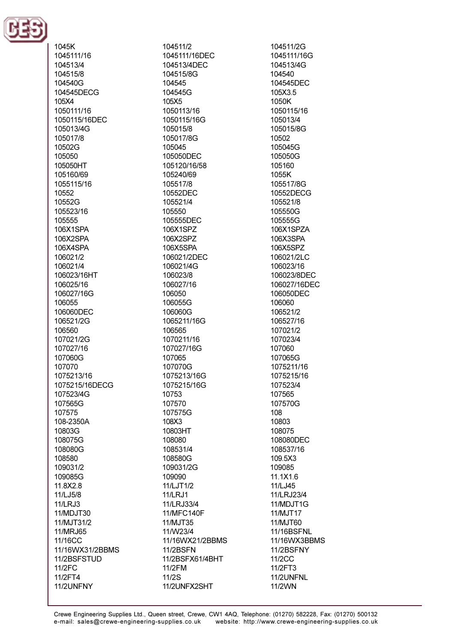

1045K 1045111/16 104513/4 104515/8 104540G 104545DECG 105X4 1050111/16 1050115/16DEC 105013/4G 105017/8 10502G 105050 105050HT 105160/69 1055115/16 10552 10552G 105523/16 105555 106X1SPA 106X2SPA 106X4SPA 106021/2 106021/4 106023/16HT 106025/16 106027/16G 106055 106060DEC 106521/2G 106560 107021/2G 107027/16 107060G 107070 1075213/16 1075215/16DECG 107523/4G 107565G 107575 108-2350A 10803G 108075G 108080G 108580 109031/2 109085G 11.8X2.8 11/LJ5/8 **11/LRJ3** 11/MDJT30 11/MJT31/2 11/MRJ65 11/16CC 11/16WX31/2BBMS 11/2BSFSTUD 11/2FC 11/2FT4 11/2UNFNY

104511/2 1045111/16DEC 104513/4DFC 104515/8G 104545 104545G  $105X5$ 1050113/16 1050115/16G 105015/8 105017/8G 105045 105050DEC 105120/16/58 105240/69 105517/8 10552DEC 105521/4 105550 105555DEC 106X1SPZ 106X2SPZ 106X5SPA 106021/2DEC 106021/4G 106023/8 106027/16 106050 106055G 106060G 1065211/16G 106565 1070211/16 107027/16G 107065 107070G 1075213/16G 1075215/16G 10753 107570 107575G 108X3 10803HT 108080 108531/4 108580G 109031/2G 109090 11/LJT1/2 **11/LRJ1** 11/LRJ33/4 11/MFC140F 11/MJT35 11/W23/4 11/16WX21/2BBMS **11/2BSFN** 11/2BSFX61/4BHT 11/2FM 11/2S 11/2UNFX2SHT

104511/2G 1045111/16G 104513/4G 104540 104545DEC 105X3.5  $1050K$ 1050115/16 105013/4 105015/8G 10502 105045G 105050G 105160 1055K 105517/8G 10552DECG 105521/8 105550G 105555G 106X1SPZA 106X3SPA 106X5SPZ 106021/2LC 106023/16 106023/8DEC 106027/16DEC 106050DEC 106060 106521/2 106527/16 107021/2 107023/4 107060 107065G 1075211/16 1075215/16 107523/4 107565 107570G 108 10803 108075 108080DEC 108537/16 109.5X3 109085 11.1X1.6 11/LJ45 11/LRJ23/4 11/MDJT1G 11/MJT17 11/MJT60 **11/16BSFNL** 11/16WX3BBMS 11/2BSFNY 11/2CC 11/2FT3 11/2UNFNL 11/2WN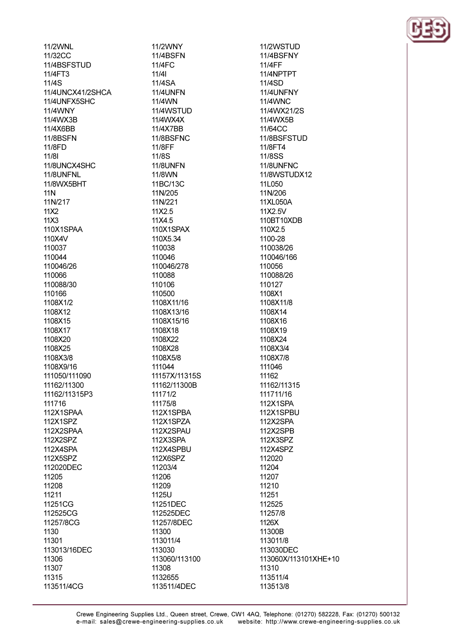**11/2WNL** 11/32CC 11/4RSESTUD 11/4FT3 11/4S 11/4UNCX41/2SHCA 11/4UNFX5SHC 11/4WNY 11/4WX3B 11/4X6BB **11/8BSFN** 11/8FD  $11/81$ 11/8LINCX4SHC 11/8UNFNL 11/8WX5BHT **11N** 11N/217 11X2  $11X3$ 110X1SPAA 110X4V 110037 110044 110046/26 110066 110088/30 110166 1108X1/2 1108X12 1108X15 1108X17 1108X20 1108X25 1108X3/8 1108X9/16 111050/111090 11162/11300 11162/11315P3 111716 112X1SPAA 112X1SPZ 112X2SPAA 112X2SPZ 112X4SPA 112X5SPZ 112020DEC 11205 11208 11211 11251CG 112525CG 11257/8CG 1130 11301 113013/16DEC 11306 11307 11315 113511/4CG

11/2WNY **11/4BSFN** 11/4FC  $11M$ 11/4SA **11/4UNFN** 11/4WN 11/4WSTUD 11/4WX4X 11/4X7BB 11/8BSFNC 11/8FF **11/8S 11/8LINEN** 11/8WN 11BC/13C 11N/205 11N/221 11X2.5 11X4.5 110X1SPAX 110X5.34 110038 110046 110046/278 110088 110106 110500 1108X11/16 1108X13/16 1108X15/16 1108X18 1108X22 1108X28 1108X5/8 111044 11157X/11315S 11162/11300B 11171/2 11175/8 112X1SPBA 112X1SPZA 112X2SPAU 112X3SPA 112X4SPBU 112X6SPZ 11203/4 11206 11209 1125U 11251DEC 112525DEC 11257/8DEC 11300 113011/4 113030 113060/113100 11308 1132655 113511/4DEC

11/2WSTUD 11/4BSFNY 11/4FF 11/4NPTPT 11/4SD 11/4UNFNY 11/4WNC 11/4WX21/2S 11/4WX5B 11/64CC 11/8BSFSTUD 11/8FT4 **11/8SS** 11/8LINENC 11/8WSTUDX12 11L050 11N/206 11XL050A 11X2.5V 110BT10XDB 110X2.5 1100-28 110038/26 110046/166 110056 110088/26 110127 1108X1 1108X11/8 1108X14 1108X16 1108X19 1108X24 1108X3/4 1108X7/8 111046 11162 11162/11315 111711/16 112X1SPA 112X1SPBU 112X2SPA **112X2SPB** 112X3SPZ 112X4SPZ 112020 11204 11207 11210 11251 112525 11257/8 1126X 11300B 113011/8 113030DEC 113060X/113101XHE+10 11310 113511/4 113513/8

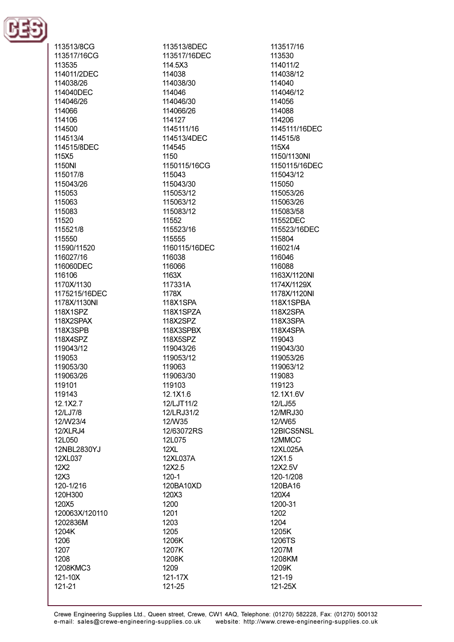

113513/8CG 113517/16CG 113535 114011/2DEC 114038/26 114040DEC 114046/26 114066 114106 114500 114513/4 114515/8DEC 115X5 1150NI 115017/8 115043/26 115053 115063 115083 11520 115521/8 115550 11590/11520 116027/16 116060DFC 116106 1170X/1130 1175215/16DEC 1178X/1130NI 118X1SPZ 118X2SPAX 118X3SPB 118X4SPZ 119043/12 119053 119053/30 119063/26 119101 119143 12.1X2.7 12/LJ7/8 12/W23/4 12/XLRJ4 12L050 12NBL2830YJ 12XL037 12X2  $12X3$ 120-1/216 120H300 120X5 120063X/120110 1202836M 1204K 1206 1207 1208 1208KMC3 121-10X 121-21

113513/8DEC 113517/16DEC 114 5X3 114038 114038/30 114046 114046/30 114066/26 114127 1145111/16 114513/4DEC 114545 1150 1150115/16CG 115043 115043/30 115053/12 115063/12 115083/12 11552 115523/16 115555 1160115/16DEC 116038 116066 1163X 117331A 1178X 118X1SPA 118X1SPZA 118X2SPZ 118X3SPBX 118X5SPZ 119043/26 119053/12 119063 119063/30 119103 12.1X1.6 12/LJT11/2 12/LRJ31/2 12/W35 12/63072RS 12L075  $12XL$ 12XL037A 12X2.5  $120 - 1$ 120BA10XD 120X3 1200 1201 1203 1205 1206K 1207K 1208K 1209 121-17X

113517/16 113530 114011/2 114038/12 114040 114046/12 114056 114088 114206 1145111/16DEC 114515/8 115X4 1150/1130NI 1150115/16DEC 115043/12 115050 115053/26 115063/26 115083/58 11552DEC 115523/16DEC 115804 116021/4 116046 116088 1163X/1120NI 1174X/1129X 1178X/1120NI 118X1SPBA 118X2SPA 118X3SPA **118X4SPA** 119043 119043/30 119053/26 119063/12 119083 119123 12.1X1.6V 12/LJ55 12/MRJ30 12/W65 12BICS5NSL 12MMCC 12XL025A 12X1.5 12X2.5V 120-1/208 120BA16 120X4 1200-31 1202 1204 1205K 1206TS 1207M 1208KM 1209K 121-19 121-25X

121-25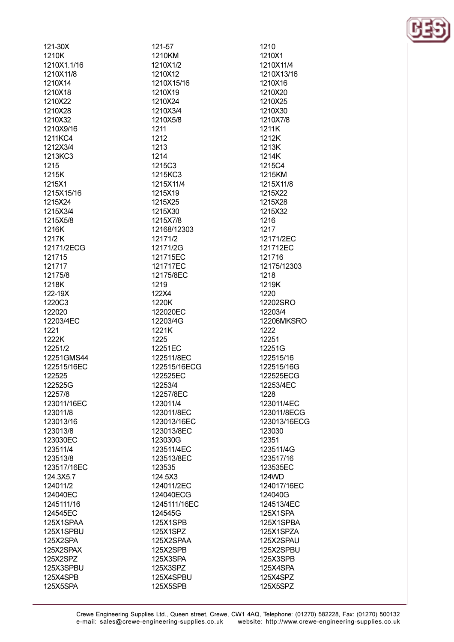| 121-30X              |  |
|----------------------|--|
| 1210K                |  |
| 1210X1.1/16          |  |
| 1210X11/8            |  |
| 1210X14              |  |
| 1210X18              |  |
|                      |  |
| 1210X22              |  |
| 1210X28              |  |
| 1210X32              |  |
| 1210X9/16            |  |
| 1211KC4              |  |
| 1212X3/4             |  |
| 1213KC3              |  |
| 1215                 |  |
|                      |  |
| 1215K                |  |
| 1215X1               |  |
| 1215X15/16           |  |
| 1215X24              |  |
| 1215X3/4             |  |
| 1215X5/8             |  |
| 1216K                |  |
| 1217K                |  |
|                      |  |
| 12171/2ECG           |  |
| 121715               |  |
| 121717               |  |
| 12175/8              |  |
| 1218K                |  |
| 122-19X              |  |
| 1220C3               |  |
| 122020               |  |
|                      |  |
|                      |  |
| 12203/4EC            |  |
| 1221                 |  |
| 1222K                |  |
| 12251/2              |  |
| 12251GMS44           |  |
|                      |  |
| 122515/16EC          |  |
| 122525               |  |
| 1225250              |  |
| 12257/8              |  |
| 123011/16EC          |  |
| 123011/8             |  |
| 123013/16            |  |
| 123013/8             |  |
| 123030EC             |  |
| 123511/4             |  |
|                      |  |
| 123513/8             |  |
| 123517/16EC          |  |
| 124.3X5.7            |  |
| 124011/2             |  |
| 124040EC             |  |
| 1245111/16           |  |
| 124545EC             |  |
| 125X1SPAA            |  |
| 125X1SPBU            |  |
|                      |  |
| 125X2SPA             |  |
| 125X2SPAX            |  |
| 125X2SPZ             |  |
| 125X3SPBU            |  |
| 125X4SPB<br>125X5SPA |  |

121-57 1210KM 1210X1/2 1210X12 1210X15/16 1210X19 1210X24 1210X3/4 1210X5/8 1211 1212 1213 1214 1215C3 1215KC3 1215X11/4 1215X19 1215X25 1215X30 1215X7/8 12168/12303 12171/2 12171/2G 121715EC 121717EC 12175/8EC 1219 122X4 1220K 122020EC 12203/4G 1221K 1225 12251EC 122511/8EC 122515/16ECG 122525EC 12253/4 12257/8EC 123011/4 123011/8EC 123013/16EC 123013/8EC 123030G 123511/4EC 123513/8EC 123535 124.5X3 124011/2EC 124040ECG 1245111/16EC 124545G **125X1SPB** 125X1SPZ 125X2SPAA 125X2SPB 125X3SPA 125X3SPZ 125X4SPBU 125X5SPB

1210 1210X1 1210X11/4 1210X13/16 1210X16 1210X20 1210X25 1210X30 1210X7/8 1211K 1212K 1213K 1214K 1215C4 1215KM 1215X11/8 1215X22 1215X28 1215X32 1216 1217 12171/2EC 121712EC 121716 12175/12303 1218 1219K 1220 12202SRO 12203/4 **12206MKSRO** 1222 12251 12251G 122515/16 122515/16G 122525ECG 12253/4EC 1228 123011/4EC 123011/8ECG 123013/16ECG 123030 12351 123511/4G 123517/16 123535EC 124WD 124017/16EC 124040G 124513/4EC 125X1SPA 125X1SPBA 125X1SPZA 125X2SPAU 125X2SPBU 125X3SPB 125X4SPA 125X4SPZ 125X5SPZ

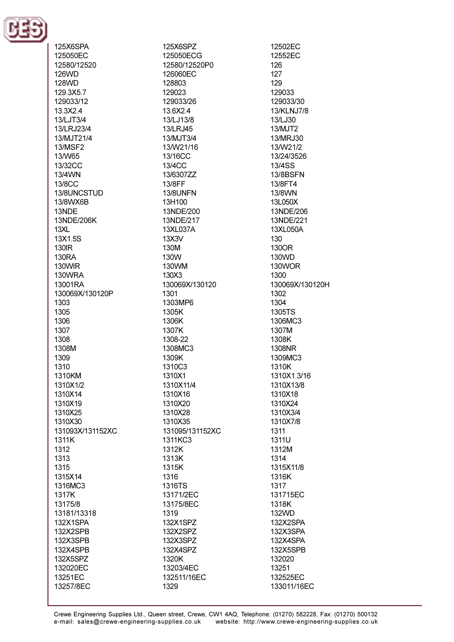

125X6SPA 125050EC 12580/12520 126WD **128WD** 129.3X5.7 129033/12 13.3X2.4 13/LJT3/4 13/LRJ23/4 13/MJT21/4 **13/MSF2 13/W65** 13/32CC 13/4WN **13/8CC** 13/8UNCSTUD 13/8WX6B 13NDE 13NDE/206K  $13XL$ 13X1.5S 130**IR** 130RA **130WIR** 130WRA 13001RA 130069X/130120P 1303 1305 1306 1307 1308 1308M 1309 1310 1310KM 1310X1/2 1310X14 1310X19 1310X25 1310X30 131093X/131152XC 1311K 1312 1313 1315 1315X14 1316MC3 1317K 13175/8 13181/13318 132X1SPA **132X2SPB** 132X3SPB 132X4SPB 132X5SPZ 132020EC 13251EC 13257/8EC

125X6SPZ 125050ECG 12580/12520P0 126060EC 128803 129023 129033/26 13.6X2.4 13/LJ13/8 13/LRJ45 13/MJT3/4 13/W21/16 13/16CC  $13/4$ CC 13/6307ZZ 13/8FF **13/8UNFN** 13H100 13NDE/200 13NDE/217 13XL037A 13X3V 130M **130W** 130WM 130X3 130069X/130120 1301 1303MP6 1305K 1306K 1307K 1308-22 1308MC3 1309K 1310C3 1310X1 1310X11/4 1310X16 1310X20 1310X28 1310X35 131095/131152XC 1311KC3 1312K 1313K 1315K 1316 1316TS 13171/2EC 13175/8EC 1319 132X1SPZ 132X2SPZ 132X3SPZ 132X4SPZ 1320K 13203/4EC 132511/16EC 1329

12502EC 12552EC  $126$ 127 129 129033 129033/30 13/KLNJ7/8 13/LJ30 13/MJT2 13/MRJ30 13/W21/2 13/24/3526 13/4SS **13/8BSFN** 13/8FT4 13/8WN 13L050X 13NDE/206 13NDE/221 13XL050A 130 130OR 130WD 130WOR 1300 130069X/130120H 1302 1304 1305TS 1306MC3 1307M 1308K 1308NR 1309MC3 1310K 1310X1.3/16 1310X13/8 1310X18 1310X24 1310X3/4 1310X7/8 1311 1311U 1312M 1314 1315X11/8 1316K 1317 131715EC 1318K 132WD 132X2SPA 132X3SPA 132X4SPA 132X5SPB 132020 13251 132525EC 133011/16EC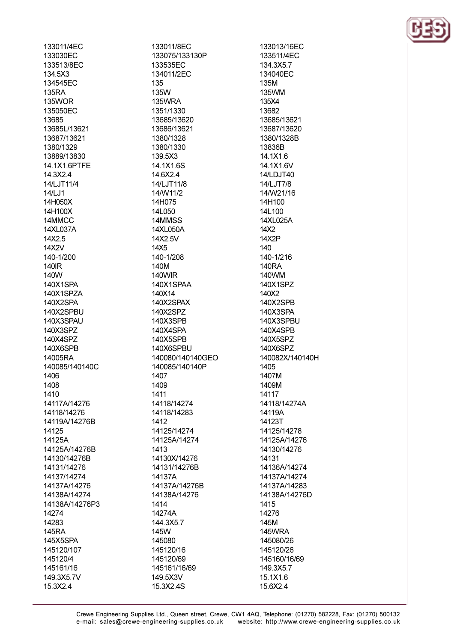133011/4EC 133030EC 133513/8FC 134.5X3 134545EC **135RA** 135WOR 135050EC 13685 13685L/13621 13687/13621 1380/1329 13889/13830 14 1X1 6PTFF 14 3X2 4 14/LJT11/4 14/LJ1 14H050X 14H100X 14MMCC 14XL037A 14X2.5 14X2V 140-1/200 140IR 140W 140X1SPA 140X1SPZA 140X2SPA 140X2SPBU 140X3SPAU 140X3SPZ 140X4SPZ 140X6SPB 14005RA 140085/140140C 1406 1408 1410 14117A/14276 14118/14276 14119A/14276B 14125 14125A 14125A/14276B 14130/14276B 14131/14276 14137/14274 14137A/14276 14138A/14274 14138A/14276P3 14274 14283 **145RA** 145X5SPA 145120/107 145120/4 145161/16 149.3X5.7V 15.3X2.4

133011/8EC 133075/133130P 133535FC 134011/2EC 135 135W **135WRA** 1351/1330 13685/13620 13686/13621 1380/1328 1380/1330 139.5X3 14 1X1 6S 14.6X2.4 14/LJT11/8 14/W11/2 14H075 14L050 14MMSS 14XL050A 14X2.5V 14X5 140-1/208 140M **140WIR** 140X1SPAA 140X14 140X2SPAX 140X2SPZ 140X3SPB **140X4SPA** 140X5SPB 140X6SPBU 140080/140140GEO 140085/140140P 1407 1409 1411 14118/14274 14118/14283 1412 14125/14274 14125A/14274 1413 14130X/14276 14131/14276B 14137A 14137A/14276B 14138A/14276 1414 14274A 144.3X5.7 145W 145080 145120/16 145120/69 145161/16/69 149.5X3V 15.3X2.4S

133013/16EC 133511/4EC 134 3X57 134040FC 135M 135WM 135X4 13682 13685/13621 13687/13620 1380/1328B 13836B 14.1X1.6 14 1X1 6V 14/LDJT40 14/LJT7/8 14/W21/16 14H100 14L100 14XL025A 14X2 14X<sub>2</sub>P  $140$ 140-1/216 **140RA** 140WM 140X1SPZ 140X2 140X2SPB 140X3SPA 140X3SPBU **140X4SPB** 140X5SPZ 140X6SPZ 140082X/140140H 1405 1407M 1409M 14117 14118/14274A 14119A 14123T 14125/14278 14125A/14276 14130/14276 14131 14136A/14274 14137A/14274 14137A/14283 14138A/14276D 1415 14276 145M **145WRA** 145080/26 145120/26 145160/16/69 149.3X5.7 15.1X1.6 15.6X2.4

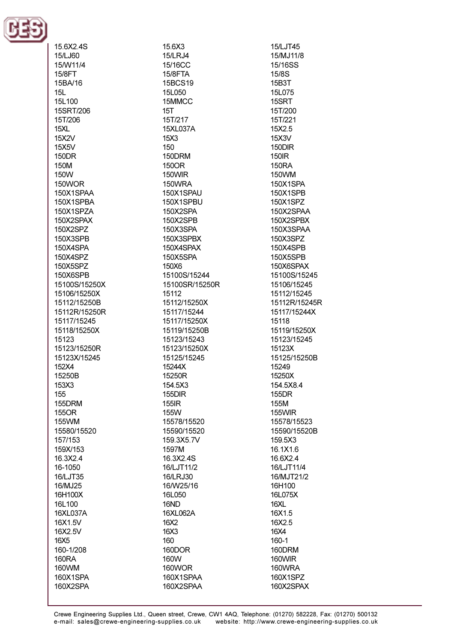

15.6X2.4S 15/LJ60 15/W11/4 **15/8FT** 15BA/16  $15L$ 151 100 15SRT/206 15T/206  $15XL$ 15X2V 15X5V **150DR 150M** 150W **150WOR** 150X1SPAA 150X1SPBA 150X1SPZA 150X2SPAX 150X2SPZ 150X3SPB 150X4SPA 150X4SPZ 150X5SP7 150X6SPB 15100S/15250X 15106/15250X 15112/15250B 15112R/15250R 15117/15245 15118/15250X 15123 15123/15250R 15123X/15245 152X4 15250B 153X3 155 155DRM 155OR 155WM 15580/15520 157/153 159X/153 16.3X2.4 16-1050 16/LJT35 16/MJ25 16H100X 16L100 16XL037A 16X1.5V 16X2.5V 16X<sub>5</sub> 160-1/208 160RA 160WM 160X1SPA 160X2SPA

15.6X3 15/LRJ4 15/16CC **15/8FTA** 15BCS19 15L050 15MMCC  $15T$ 15T/217 15XL037A 15X3 150 150DRM 150OR 150WIR **150WRA** 150X1SPAU 150X1SPBU 150X2SPA 150X2SPB 150X3SPA 150X3SPBX 150X4SPAX 150X5SPA  $150X6$ 15100S/15244 15100SR/15250R 15112 15112/15250X 15117/15244 15117/15250X 15119/15250B 15123/15243 15123/15250X 15125/15245 15244X 15250R 154.5X3 **155DIR** 155IR 155W 15578/15520 15590/15520 159.3X5.7V 1597M 16.3X2.4S 16/LJT11/2 16/LRJ30 16/W25/16 16L050 16ND 16XL062A 16X2 16X3 160 160DOR 160W 160WOR 160X1SPAA 160X2SPAA

15/LJT45 15/MJ11/8 15/16SS **15/8S** 15B3T 15L075 15SRT 15T/200 15T/221 15X2.5 15X3V 150DIR **150IR 150RA** 150WM 150X1SPA **150X1SPB** 150X1SPZ 150X2SPAA 150X2SPBX 150X3SPAA 150X3SPZ **150X4SPB** 150X5SPB 150X6SPAX 15100S/15245 15106/15245 15112/15245 15112R/15245R 15117/15244X 15118 15119/15250X 15123/15245 15123X 15125/15250B 15249 15250X 154.5X8.4 155DR 155M 155WIR 15578/15523 15590/15520B 159.5X3 16.1X1.6 16.6X2.4 16/LJT11/4 16/MJT21/2 16H100 16L075X 16XL 16X1.5 16X2.5 16X4 160-1 160DRM 160WIR 160WRA 160X1SPZ 160X2SPAX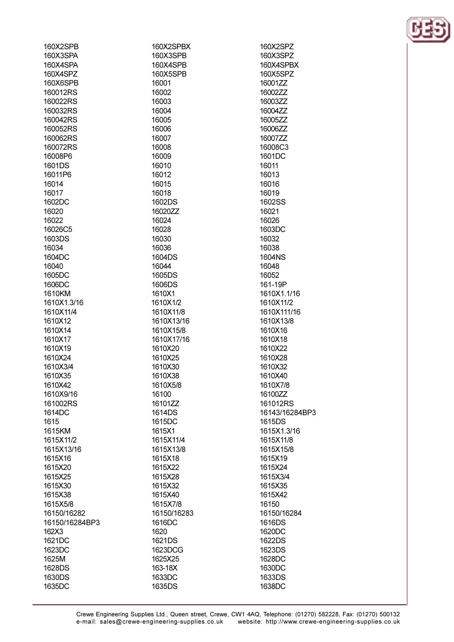| 160X2SPB       | 160X2SPBX   |
|----------------|-------------|
| 160X3SPA       | 160X3SPB    |
| 160X4SPA       | 160X4SPB    |
| 160X4SPZ       | 160X5SPB    |
| 160X6SPB       | 16001       |
| 160012RS       | 16002       |
| 160022RS       | 16003       |
| 160032RS       | 16004       |
| 160042RS       | 16005       |
| 160052RS       | 16006       |
| 160062RS       | 16007       |
| 160072RS       | 16008       |
| 16008P6        | 16009       |
| 1601DS         | 16010       |
| 16011P6        | 16012       |
|                |             |
| 16014          | 16015       |
| 16017          | 16018       |
| 1602DC         | 1602DS      |
| 16020          | 16020ZZ     |
| 16022          | 16024       |
| 16026C5        | 16028       |
| 1603DS         | 16030       |
| 16034          | 16036       |
| 1604DC         | 1604DS      |
| 16040          | 16044       |
| 1605DC         | 1605DS      |
| 1606DC         | 1606DS      |
| 1610KM         | 1610X1      |
| 1610X1.3/16    | 1610X1/2    |
| 1610X11/4      | 1610X11/8   |
| 1610X12        | 1610X13/16  |
| 1610X14        | 1610X15/8   |
| 1610X17        | 1610X17/16  |
| 1610X19        | 1610X20     |
| 1610X24        | 1610X25     |
| 1610X3/4       | 1610X30     |
| 1610X35        | 1610X38     |
| 1610X42        | 1610X5/8    |
| 1610X9/16      | 16100       |
| 161002RS       | 16101ZZ     |
| 1614DC         | 1614DS      |
| 1615           | 1615DC      |
| 1615KM         | 1615X1      |
| 1615X11/2      | 1615X11/4   |
| 1615X13/16     | 1615X13/8   |
| 1615X16        | 1615X18     |
| 1615X20        | 1615X22     |
| 1615X25        | 1615X28     |
|                |             |
| 1615X30        | 1615X32     |
| 1615X38        | 1615X40     |
| 1615X5/8       | 1615X7/8    |
| 16150/16282    | 16150/16283 |
| 16150/16284BP3 | 1616DC      |
| 162X3          | 1620        |
| 1621DC         | 1621DS      |
| 1623DC         | 1623DCG     |
| 1625M          | 1625X25     |
| 1628DS         | 163-18X     |
| 1630DS         | 1633DC      |
| 1635DC         | 1635DS      |



160X2SPZ

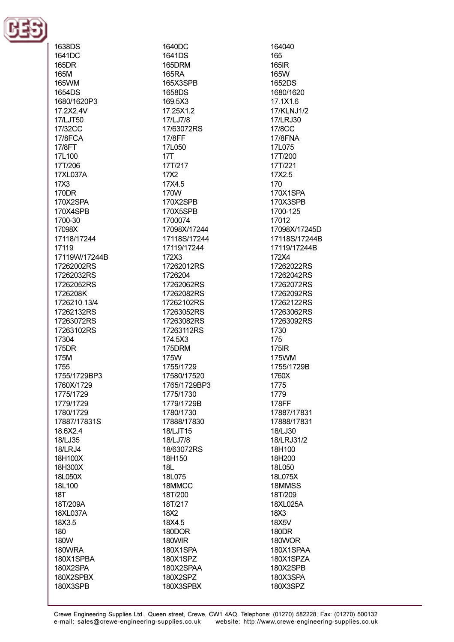

1638DS 1641DC **165DR** 165M 165WM 1654DS 1680/1620P3 17.2X2.4V 17/LJT50 17/32CC 17/8FCA 17/8FT 17L100 17T/206 17XL037A 17X3 170DR 170X2SPA 170X4SPB 1700-30 17098X 17118/17244 17119 17119W/17244B 17262002RS 17262032RS 17262052RS 1726208K 1726210.13/4 17262132RS 17263072RS 17263102RS 17304 175DR 175M 1755 1755/1729BP3 1760X/1729 1775/1729 1779/1729 1780/1729 17887/17831S 18.6X2.4 18/LJ35 **18/LRJ4** 18H100X 18H300X 18L050X 18L100  $18T$ 18T/209A 18XL037A 18X3.5 180 180W 180WRA 180X1SPBA 180X2SPA 180X2SPBX 180X3SPB

1640DC 1641DS 165DRM 165RA 165X3SPB 1658DS 169.5X3 17.25X1.2 17/LJ7/8 17/63072RS 17/8FF 17L050  $17T$ 17T/217 17X2 17X4.5 170W 170X2SPB 170X5SPB 1700074 17098X/17244 17118S/17244 17119/17244 172X3 17262012RS 1726204 17262062RS 17262082RS 17262102RS 17263052RS 17263082RS 17263112RS 174.5X3 175DRM 175W 1755/1729 17580/17520 1765/1729BP3 1775/1730 1779/1729B 1780/1730 17888/17830 18/LJT15 18/LJ7/8 18/63072RS 18H150  $18L$ 18L075 18MMCC 18T/200 18T/217 18X2 18X4.5 **180DOR** 180WIR 180X1SPA 180X1SPZ 180X2SPAA 180X2SPZ 180X3SPBX

164040 165 **165IR 165W** 1652DS 1680/1620 17.1X1.6 17/KLNJ1/2 17/LRJ30 17/8CC 17/8FNA 17L075 17T/200 17T/221 17X2.5 170 170X1SPA 170X3SPB 1700-125 17012 17098X/17245D 17118S/17244B 17119/17244B 172X4 17262022RS 17262042RS 17262072RS 17262092RS 17262122RS 17263062RS 17263092RS 1730 175 **175IR** 175WM 1755/1729B 1760X 1775 1779 178FF 17887/17831 17888/17831 18/LJ30 18/LRJ31/2 18H100 18H200 18L050 18L075X 18MMSS 18T/209 18XL025A 18X3 18X5V **180DR** 180WOR 180X1SPAA 180X1SPZA 180X2SPB 180X3SPA 180X3SPZ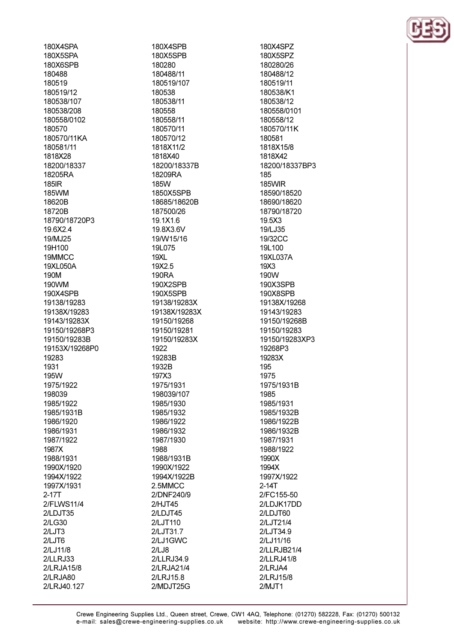180X4SPA 180X5SPA 180X6SPR 180488 180519 180519/12 180538/107 180538/208 180558/0102 180570 180570/11KA 180581/11 1818X28 18200/18337 18205RA 185IR **185WM** 18620B 18720B 18790/18720P3 19.6X2.4 19/MJ25 19H100 19MMCC 19XI 050A 190M 190WM 190X4SPB 19138/19283 19138X/19283 19143/19283X 19150/19268P3 19150/19283B 19153X/19268P0 19283 1931 195W 1975/1922 198039 1985/1922 1985/1931B 1986/1920 1986/1931 1987/1922 1987X 1988/1931 1990X/1920 1994X/1922 1997X/1931  $2 - 17T$ 2/FLWS11/4 2/LDJT35  $2/L$ G30  $2/LJT3$  $2/LJT6$ 2/LJ11/8  $2$ /LLRJ33 2/LRJA15/8 2/LRJA80 2/LRJ40.127

180X4SPB 180X5SPB 180280 180488/11 180519/107 180538 180538/11 180558 180558/11 180570/11 180570/12 1818X11/2 1818X40 18200/18337B 18209RA 185W 1850X5SPB 18685/18620B 187500/26 19.1X1.6 19.8X3.6V 19/W15/16 19L075  $19XL$ 19X25 **190RA** 190X2SPB 190X5SPB 19138/19283X 19138X/19283X 19150/19268 19150/19281 19150/19283X 1922 19283B 1932B 197X3 1975/1931 198039/107 1985/1930 1985/1932 1986/1922 1986/1932 1987/1930 1988 1988/1931B 1990X/1922 1994X/1922B 2.5MMCC 2/DNF240/9 2/HJT45 2/LDJT45 2/LJT110 2/LJT31.7 2/LJ1GWC  $2/LJ8$ 2/LLRJ34.9 2/LRJA21/4 2/LRJ15.8 2/MDJT25G

180X4SPZ 180X5SPZ 180280/26 180488/12 180519/11 180538/K1 180538/12 180558/0101 180558/12 180570/11K 180581 1818X15/8 1818X42 18200/18337BP3 185 **185WIR** 18590/18520 18690/18620 18790/18720 19.5X3 19/LJ35 19/32CC 19L100 19XL037A  $19X3$ 190W 190X3SPB 190X8SPB 19138X/19268 19143/19283 19150/19268B 19150/19283 19150/19283XP3 19268P3 19283X 195 1975 1975/1931B 1985 1985/1931 1985/1932B 1986/1922B 1986/1932B 1987/1931 1988/1922 1990X 1994X 1997X/1922  $2-14T$ 2/FC155-50 2/LDJK17DD 2/LDJT60 2/LJT21/4 2/LJT34.9 2/LJ11/16 2/LLRJB21/4 2/LLRJ41/8 2/LRJA4 2/LRJ15/8  $2/MJT1$ 

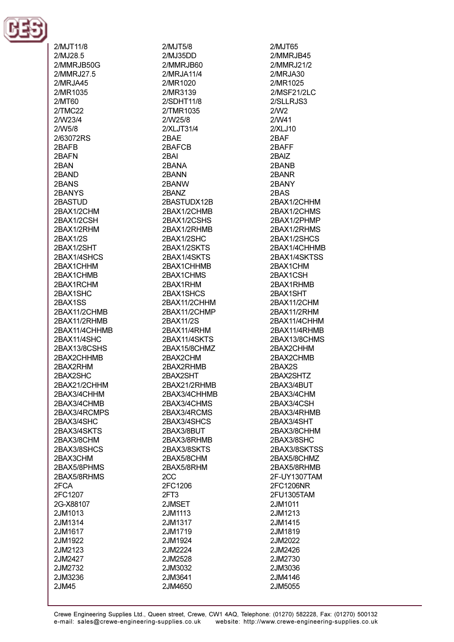

2/MJT11/8 2/MJ28.5 2/MMR.IR50G 2/MMRJ27.5  $2/MR$ JA45 2/MR1035  $2/MT60$  $2/TMC22$ 2/W23/4 2/W5/8 2/63072RS 2BAFB 2RAFN 2RAN 2BAND 2BANS 2BANYS 2RASTUD 2BAX1/2CHM 2BAX1/2CSH 2BAX1/2RHM 2BAX1/2S 2BAX1/2SHT 2RAX1/4SHCS 2RAX1CHHM 2BAX1CHMB 2BAX1RCHM 2BAX1SHC 2BAX1SS 2BAX11/2CHMB 2BAX11/2RHMB 2BAX11/4CHHMB 2BAX11/4SHC 2BAX13/8CSHS 2BAX2CHHMB 2BAX2RHM 2BAX2SHC 2BAX21/2CHHM 2BAX3/4CHHM 2BAX3/4CHMB 2BAX3/4RCMPS 2BAX3/4SHC 2BAX3/4SKTS 2BAX3/8CHM 2BAX3/8SHCS 2BAX3CHM 2BAX5/8PHMS 2BAX5/8RHMS 2FCA 2FC1207 2G-X88107 2JM1013 2JM1314 2JM1617 2JM1922 2JM2123 2.JM2427 2JM2732 2JM3236 2JM45

 $2/MJT5/8$ 2/MJ35DD 2/MMR.IR60 2/MRJA11/4 2/MR1020 2/MR3139  $2/SDHT11/8$ 2/TMR1035 2/W25/8 2/XLJT31/4 2RAF 2BAFCB 2RAI 2RANA 2BANN 2BANW 2BANZ 2BASTUDX12B 2BAX1/2CHMB 2BAX1/2CSHS 2BAX1/2RHMB 2BAX1/2SHC 2BAX1/2SKTS 2BAX1/4SKTS 2BAX1CHHMB 2BAX1CHMS 2BAX1RHM 2BAX1SHCS 2BAX11/2CHHM 2BAX11/2CHMP 2BAX11/2S 2BAX11/4RHM 2BAX11/4SKTS 2BAX15/8CHMZ 2BAX2CHM 2BAX2RHMB 2BAX2SHT 2BAX21/2RHMB 2BAX3/4CHHMB 2BAX3/4CHMS 2BAX3/4RCMS 2BAX3/4SHCS 2BAX3/8BUT 2BAX3/8RHMB 2BAX3/8SKTS 2BAX5/8CHM 2BAX5/8RHM 2<sub>C</sub>C 2FC1206  $2FT3$ 2JMSET 2JM1113 2JM1317 2JM1719 2JM1924 2JM2224 2JM2528 2JM3032 2JM3641 2JM4650

 $2/MJT65$ 2/MMRJB45 2/MMR.121/2 2/MRJA30 2/MR1025 2/MSF21/2LC  $2/SLLRJS3$  $2/N<sub>2</sub>$ 2/W41  $2/XLJ10$ 2RAF 2BAFF 2RAIZ 2BANR 2BANR 2BANY 2BAS 2BAX1/2CHHM 2BAX1/2CHMS 2BAX1/2PHMP 2BAX1/2RHMS 2BAX1/2SHCS 2BAX1/4CHHMB 2BAX1/4SKTSS 2RAX1CHM 2BAX1CSH 2BAX1RHMB 2BAX1SHT 2BAX11/2CHM 2BAX11/2RHM 2BAX11/4CHHM 2BAX11/4RHMB 2BAX13/8CHMS 2BAX2CHHM 2BAX2CHMB 2BAX2S 2BAX2SHTZ 2BAX3/4BUT 2BAX3/4CHM 2BAX3/4CSH 2BAX3/4RHMB 2BAX3/4SHT 2BAX3/8CHHM 2BAX3/8SHC 2BAX3/8SKTSS 2BAX5/8CHMZ 2BAX5/8RHMB 2F-UY1307TAM 2FC1206NR 2FU1305TAM 2JM1011 2JM1213 2JM1415 2JM1819 2JM2022 2JM2426 2JM2730 2JM3036 2JM4146 2JM5055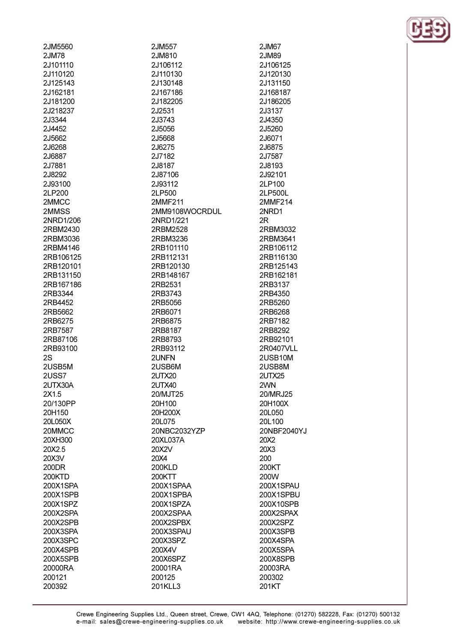| 2JM5560   |
|-----------|
| 2JM78     |
| 2J101110  |
|           |
| 2J110120  |
| 2J125143  |
| 2J162181  |
|           |
| 2J181200  |
| 2J218237  |
| 2J3344    |
|           |
| 2J4452    |
| 2J5662    |
|           |
| 2J6268    |
| 2J6887    |
| 2J7881    |
|           |
| 2J8292    |
| 2J93100   |
| 2LP200    |
|           |
| 2MMCC     |
| 2MMSS     |
| 2NRD1/206 |
|           |
| 2RBM2430  |
| 2RBM3036  |
| 2RBM4146  |
|           |
| 2RB106125 |
| 2RB120101 |
| 2RB131150 |
|           |
| 2RB167186 |
| 2RB3344   |
| 2RB4452   |
| 2RB5662   |
|           |
| 2RB6275   |
|           |
| 2RB7587   |
|           |
| 2RB87106  |
| 2RB93100  |
| 2S        |
|           |
| 2USB5M    |
| 2USS7     |
| 2UTX30A   |
|           |
| 2X1.5     |
| 20/130PP  |
| 20H150    |
|           |
| 20L050X   |
| 20MMCC    |
| 20XH300   |
|           |
| 20X2.5    |
| 20X3V     |
| 200DR     |
| 200KTD    |
|           |
| 200X1SPA  |
| 200X1SPB  |
| 200X1SPZ  |
|           |
| 200X2SPA  |
| 200X2SPB  |
| 200X3SPA  |
|           |
| 200X3SPC  |
| 200X4SPB  |
| 200X5SPB  |
| 20000RA   |

200392

2JM557 2JM810 2.1106112 2,1110130 2,1130148 2J167186 2J182205 2J2531 2J3743 2,15056 2,15668 2J6275 2J7182 2.18187 2J87106 2J93112 2LP500 2MMF211 2MM9108WOCRDUL 2NRD1/221 2RBM2528 2RBM3236 2RB101110 2RB112131 2RB120130 2RB148167 2RB2531 2RB3743 2RB5056 2RB6071 2RB6875 2RB8187 2RB8793 2RB93112 2UNFN 2USB6M 2UTX20 **2UTX40** 20/MJT25 20H100 20H200X 20L075 20NBC2032YZP 20XL037A 20X2V 20X4 200KLD 200KTT 200X1SPAA 200X1SPBA 200X1SPZA 200X2SPAA 200X2SPBX 200X3SPAU 200X3SPZ 200X4V 200X6SPZ 20001RA 200125 201KLL3

2JM67 2.JM89 2.1106125 2J120130 2J131150 2,J168187 2J186205 2J3137 2J4350 2,15260 2,16071 2J6875 2,17587 2,18193 2J92101 2LP100 2LP500L 2MMF214 2NRD1  $2R$ 2RBM3032 2RBM3641 2RB106112 2RB116130 2RB125143 2RB162181 2RB3137 2RB4350 2RB5260 2RB6268 2RB7182 2RB8292 2RB92101 2R0407VLL 2USB10M 2USB8M 2UTX25 2WN 20/MRJ25 20H100X 20L050 20L100 20NBF2040YJ 20X2 20X3 200 200KT 200W 200X1SPAU 200X1SPBU 200X10SPB 200X2SPAX 200X2SPZ 200X3SPB 200X4SPA 200X5SPA 200X8SPB 20003RA 200302 201KT

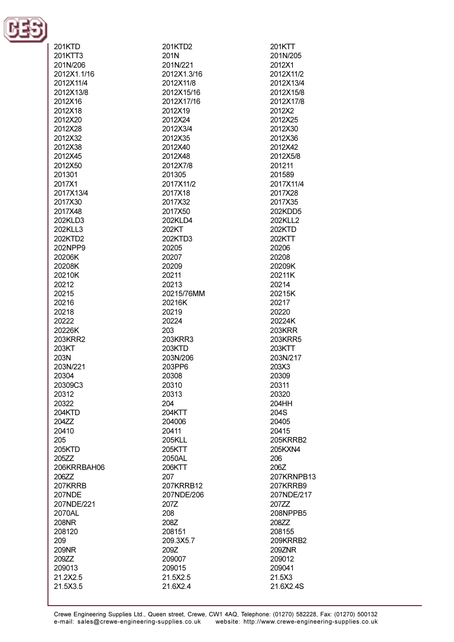

| 201KTD        | 201KTD2     | 201KTT        |
|---------------|-------------|---------------|
|               |             |               |
| 201KTT3       | 201N        | 201N/205      |
| 201N/206      | 201N/221    | 2012X1        |
|               |             |               |
| 2012X1.1/16   | 2012X1.3/16 | 2012X11/2     |
| 2012X11/4     | 2012X11/8   | 2012X13/4     |
| 2012X13/8     | 2012X15/16  | 2012X15/8     |
|               |             |               |
| 2012X16       | 2012X17/16  | 2012X17/8     |
| 2012X18       | 2012X19     | 2012X2        |
|               |             |               |
| 2012X20       | 2012X24     | 2012X25       |
| 2012X28       | 2012X3/4    | 2012X30       |
|               |             |               |
| 2012X32       | 2012X35     | 2012X36       |
| 2012X38       | 2012X40     | 2012X42       |
|               |             |               |
| 2012X45       | 2012X48     | 2012X5/8      |
| 2012X50       | 2012X7/8    | 201211        |
|               |             |               |
| 201301        | 201305      | 201589        |
| 2017X1        | 2017X11/2   | 2017X11/4     |
| 2017X13/4     |             |               |
|               | 2017X18     | 2017X28       |
| 2017X30       | 2017X32     | 2017X35       |
| 2017X48       | 2017X50     | 202KDD5       |
|               |             |               |
| 202KLD3       | 202KLD4     | 202KLL2       |
| 202KLL3       | 202KT       | 202KTD        |
|               |             |               |
| 202KTD2       | 202KTD3     | 202KTT        |
| 202NPP9       | 20205       | 20206         |
|               |             |               |
| 20206K        | 20207       | 20208         |
| 20208K        | 20209       | 20209K        |
|               |             | 20211K        |
| 20210K        | 20211       |               |
| 20212         | 20213       | 20214         |
| 20215         | 20215/76MM  | 20215K        |
|               |             |               |
| 20216         | 20216K      | 20217         |
| 20218         | 20219       | 20220         |
|               |             |               |
| 20222         | 20224       | 20224K        |
| 20226K        | 203         | <b>203KRR</b> |
|               |             |               |
| 203KRR2       | 203KRR3     | 203KRR5       |
| 203KT         | 203KTD      | 203KTT        |
| 203N          | 203N/206    | 203N/217      |
|               |             |               |
| 203N/221      | 203PP6      | 203X3         |
| 20304         | 20308       | 20309         |
|               |             |               |
| 20309C3       | 20310       | 20311         |
| 20312         | 20313       | 20320         |
|               |             |               |
| 20322         | 204         | 204HH         |
| <b>204KTD</b> | 204KTT      | 204S          |
| 204ZZ         | 204006      | 20405         |
|               |             |               |
| 20410         | 20411       | 20415         |
| 205           | 205KLL      | 205KRRB2      |
|               |             |               |
| 205KTD        | 205KTT      | 205KXN4       |
| 205ZZ         | 2050AL      | 206           |
| 206KRRBAH06   |             |               |
|               | 206KTT      | 206Z          |
| 206ZZ         | 207         | 207KRNPB13    |
| 207KRRB       | 207KRRB12   | 207KRRB9      |
|               |             |               |
| 207NDE        | 207NDE/206  | 207NDE/217    |
| 207NDE/221    | 207Z        | 207ZZ         |
|               |             |               |
| 2070AL        | 208         | 208NPPB5      |
| 208NR         | 208Z        | 208ZZ         |
| 208120        | 208151      | 208155        |
|               |             |               |
| 209           | 209.3X5.7   | 209KRRB2      |
| 209NR         | 209Z        | 209ZNR        |
|               |             |               |
| 209ZZ         | 209007      | 209012        |
| 209013        | 209015      | 209041        |
| 21.2X2.5      | 21.5X2.5    |               |
|               |             | 21.5X3        |
| 21.5X3.5      | 21.6X2.4    | 21.6X2.4S     |
|               |             |               |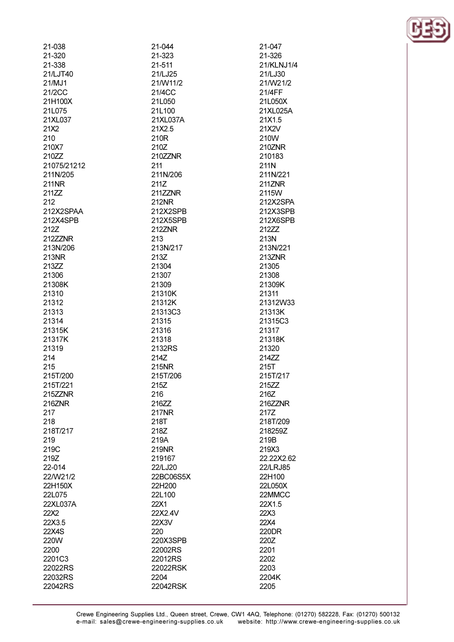| 21-038       | 21-044    | 21-047     |
|--------------|-----------|------------|
| 21-320       | 21-323    | 21-326     |
| 21-338       | 21-511    | 21/KLNJ1/4 |
| 21/LJT40     | 21/LJ25   | 21/LJ30    |
| 21/MJ1       | 21/W11/2  | 21/W21/2   |
| 21/2CC       | 21/4CC    | 21/4FF     |
| 21H100X      | 21L050    | 21L050X    |
| 21L075       | 21L100    | 21XL025A   |
| 21XL037      | 21XL037A  | 21X1.5     |
|              |           |            |
| 21X2         | 21X2.5    | 21X2V      |
| 210          | 210R      | 210W       |
| 210X7        | 210Z      | 210ZNR     |
| 210ZZ        | 210ZZNR   | 210183     |
| 21075/21212  | 211       | 211N       |
| 211N/205     | 211N/206  | 211N/221   |
| <b>211NR</b> | 211Z      | 211ZNR     |
| 211ZZ        | 211ZZNR   | 2115W      |
| 212          | 212NR     | 212X2SPA   |
| 212X2SPAA    | 212X2SPB  | 212X3SPB   |
| 212X4SPB     | 212X5SPB  | 212X6SPB   |
| 212Z         | 212ZNR    | 212ZZ      |
| 212ZZNR      | 213       | 213N       |
| 213N/206     | 213N/217  | 213N/221   |
| 213NR        | 213Z      | 213ZNR     |
| 213ZZ        | 21304     | 21305      |
| 21306        | 21307     | 21308      |
| 21308K       | 21309     | 21309K     |
|              |           |            |
| 21310        | 21310K    | 21311      |
| 21312        | 21312K    | 21312W33   |
| 21313        | 21313C3   | 21313K     |
| 21314        | 21315     | 21315C3    |
| 21315K       | 21316     | 21317      |
| 21317K       | 21318     | 21318K     |
| 21319        | 2132RS    | 21320      |
| 214          | 214Z      | 214ZZ      |
| 215          | 215NR     | 215T       |
| 215T/200     | 215T/206  | 215T/217   |
| 215T/221     | 215Z      | 215ZZ      |
| 215ZZNR      | 216       | 216Z       |
| 216ZNR       | 216ZZ     | 216ZZNR    |
| 217          | 217NR     | 217Z       |
| 218          | 218T      | 218T/209   |
| 218T/217     | 218Z      | 218259Z    |
| 219          | 219A      | 219B       |
| 219C         | 219NR     | 219X3      |
|              |           |            |
| 219Z         | 219167    | 22.22X2.62 |
| 22-014       | 22/LJ20   | 22/LRJ85   |
| 22/W21/2     | 22BC06S5X | 22H100     |
| 22H150X      | 22H200    | 22L050X    |
| 22L075       | 22L100    | 22MMCC     |
| 22XL037A     | 22X1      | 22X1.5     |
| 22X2         | 22X2.4V   | 22X3       |
| 22X3.5       | 22X3V     | 22X4       |
| 22X4S        | 220       | 220DR      |
| 220W         | 220X3SPB  | 220Z       |
| 2200         | 22002RS   | 2201       |
| 2201C3       | 22012RS   | 2202       |
| 22022RS      | 22022RSK  | 2203       |
| 22032RS      | 2204      | 2204K      |
| 22042RS      | 22042RSK  | 2205       |
|              |           |            |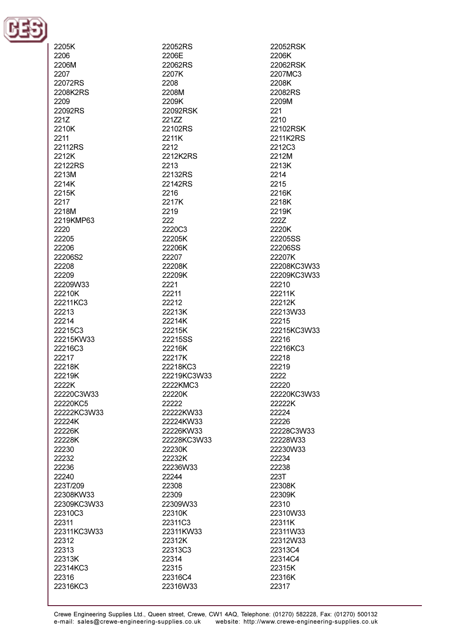

| 2205K       | 22052RS          |
|-------------|------------------|
| 2206        | 2206E            |
| 2206M       | 22062RS          |
| 2207        | 2207K            |
| 22072RS     | 2208             |
| 2208K2RS    | 2208M            |
| 2209        | 2209K            |
| 22092RS     | 22092RSK         |
| 221Z        | 221ZZ            |
| 2210K       |                  |
| 2211        | 22102RS<br>2211K |
|             |                  |
| 22112RS     | 2212             |
| 2212K       | 2212K2RS         |
| 22122RS     | 2213             |
| 2213M       | 22132RS          |
| 2214K       | 22142RS          |
| 2215K       | 2216             |
| 2217        | 2217K            |
| 2218M       | 2219             |
| 2219KMP63   | 222              |
| 2220        | 2220C3           |
| 22205       | 22205K           |
| 22206       | 22206K           |
| 22206S2     | 22207            |
| 22208       | 22208K           |
| 22209       | 22209K           |
| 22209W33    | 2221             |
| 22210K      | 22211            |
| 22211KC3    | 22212            |
| 22213       | 22213K           |
| 22214       | 22214K           |
| 22215C3     | 22215K           |
| 22215KW33   | 22215SS          |
| 22216C3     | 22216K           |
| 22217       | 22217K           |
| 22218K      | 22218KC3         |
| 22219K      | 22219KC3W33      |
| 2222K       | 2222KMC3         |
| 22220C3W33  | 22220K           |
| 22220KC5    | 22222            |
| 22222KC3W33 | 22222KW33        |
| 22224K      | 22224KW33        |
| 22226K      | 22226KW33        |
| 22228K      | 22228KC3W33      |
| 22230       | 22230K           |
|             |                  |
| 22232       | 22232K           |
| 22236       | 22236W33         |
| 22240       | 22244            |
| 223T/209    | 22308            |
| 22308KW33   | 22309            |
| 22309KC3W33 | 22309W33         |
| 22310C3     | 22310K           |
| 22311       | 22311C3          |
| 22311KC3W33 | 22311KW33        |
| 22312       | 22312K           |
| 22313       | 22313C3          |
| 22313K      | 22314            |
| 22314KC3    | 22315            |
| 22316       | 22316C4          |
| 22316KC3    | 22316W33         |
|             |                  |

2206K 22062RSK 2207MC3 2208K 22082RS 2209M 221 2210 22102RSK 2211K2RS 2212C3 2212M 2213K 2214 2215 2216K 2218K 2219K 222Z 2220K 22205SS 22206SS 22207K 22208KC3W33 22209KC3W33 22210 22211K 22212K 22213W33 22215 22215KC3W33 22216 22216KC3 22218 22219 2222 22220 22220KC3W33 22222K 22224 22226 22228C3W33 22228W33 22230W33 22234 22238 223T 22308K 22309K 22310 22310W33 22311K 22311W33 22312W33 22313C4 22314C4 22315K 22316K 22317

22052RSK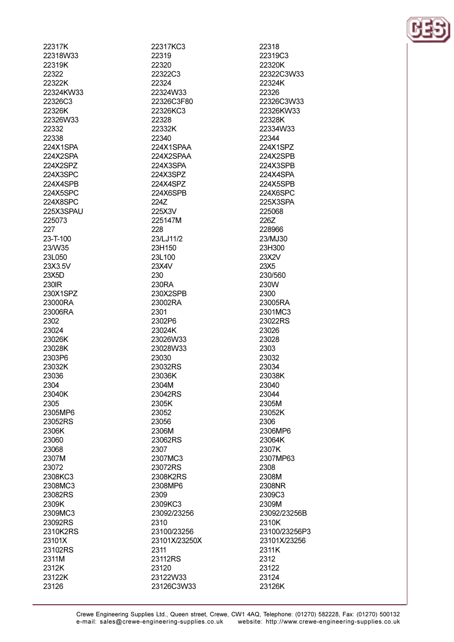| 22317K    |
|-----------|
| 22318W33  |
| 22319K    |
|           |
| 22322     |
| 22322K    |
| 22324KW33 |
| 22326C3   |
| 22326K    |
| 22326W33  |
| 22332     |
| 22338     |
| 224X1SPA  |
| 224X2SPA  |
| 224X2SPZ  |
|           |
| 224X3SPC  |
| 224X4SPB  |
| 224X5SPC  |
| 224X8SPC  |
| 225X3SPAU |
| 225073    |
| 227       |
| 23-T-100  |
| 23/W35    |
| 23L050    |
| 23X3.5V   |
| 23X5D     |
|           |
| 230IR     |
| 230X1SPZ  |
| 23000RA   |
| 23006RA   |
| 2302      |
| 23024     |
| 23026K    |
| 23028K    |
|           |
|           |
| 2303P6    |
| 23032K    |
| 23036     |
| 2304      |
| 23040K    |
| 2305      |
| 2305MP6   |
| 23052RS   |
| 2306K     |
| 23060     |
| 23068     |
| 2307M     |
| 23072     |
| 2308KC3   |
|           |
| 2308MC3   |
| 23082RS   |
| 2309K     |
| 2309MC3   |
| 23092RS   |
| 2310K2RS  |
| 23101X    |
| 23102RS   |
| 2311M     |
| 2312K     |

23126

22317KC3 22319 22320 22322C3 22324 22324W33 22326C3F80 22326KC3 22328 22332K 22340 224X1SPAA 224X2SPAA 224X3SPA 224X3SPZ 224X4SPZ 224X6SPB 224Z 225X3V 225147M 228 23/LJ11/2 23H150 23L100 23X4V 230 230RA 230X2SPB 23002RA 2301 2302P6 23024K 23026W33 23028W33 23030 23032RS 23036K 2304M 23042RS 2305K 23052 23056 2306M 23062RS 2307 2307MC3 23072RS 2308K2RS 2308MP6 2309 2309KC3 23092/23256 2310 23100/23256 23101X/23250X 2311 23112RS 23120 23122W33 23126C3W33

22318 22319C3 22320K 22322C3W33 22324K 22326 22326C3W33 22326KW33 22328K 22334W33 22344 224X1SPZ 224X2SPB 224X3SPB 224X4SPA 224X5SPB 224X6SPC 225X3SPA 225068 226Z 228966 23/MJ30 23H300 23X2V 23X5 230/560 230W 2300 23005RA 2301MC3 23022RS 23026 23028 2303 23032 23034 23038K 23040 23044 2305M 23052K 2306 2306MP6 23064K 2307K 2307MP63 2308 2308M 2308NR 2309C3 2309M 23092/23256B 2310K 23100/23256P3 23101X/23256 2311K 2312 23122 23124 23126K

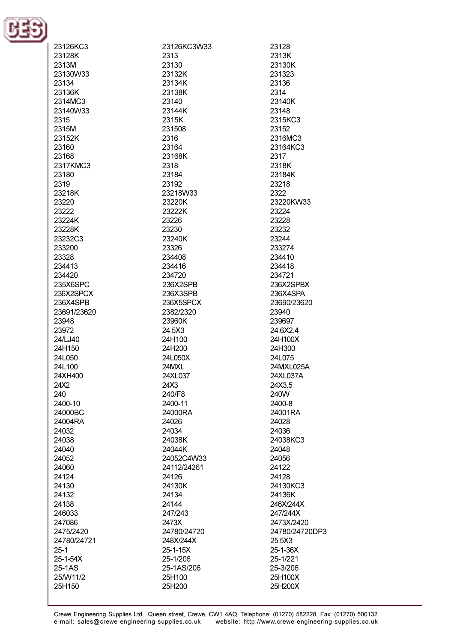

| 23126KC3    | 23126KC3W33 | 23128          |
|-------------|-------------|----------------|
| 23128K      | 2313        | 2313K          |
|             |             |                |
| 2313M       | 23130       | 23130K         |
| 23130W33    | 23132K      | 231323         |
| 23134       | 23134K      | 23136          |
| 23136K      | 23138K      | 2314           |
| 2314MC3     | 23140       | 23140K         |
| 23140W33    | 23144K      | 23148          |
| 2315        | 2315K       | 2315KC3        |
| 2315M       | 231508      | 23152          |
| 23152K      | 2316        | 2316MC3        |
| 23160       | 23164       | 23164KC3       |
| 23168       | 23168K      | 2317           |
| 2317KMC3    | 2318        | 2318K          |
| 23180       | 23184       | 23184K         |
|             |             |                |
| 2319        | 23192       | 23218          |
| 23218K      | 23218W33    | 2322           |
| 23220       | 23220K      | 23220KW33      |
| 23222       | 23222K      | 23224          |
| 23224K      | 23226       | 23228          |
| 23228K      | 23230       | 23232          |
| 23232C3     | 23240K      | 23244          |
| 233200      | 23326       | 233274         |
| 23328       | 234408      | 234410         |
| 234413      | 234416      | 234418         |
| 234420      | 234720      | 234721         |
| 235X6SPC    | 236X2SPB    | 236X2SPBX      |
| 236X2SPCX   | 236X3SPB    | 236X4SPA       |
|             |             |                |
| 236X4SPB    | 236X5SPCX   | 23690/23620    |
| 23691/23620 | 2382/2320   | 23940          |
| 23948       | 23960K      | 239697         |
| 23972       | 24.5X3      | 24.6X2.4       |
| 24/LJ40     | 24H100      | 24H100X        |
| 24H150      | 24H200      | 24H300         |
| 24L050      | 24L050X     | 24L075         |
| 24L100      | 24MXL       | 24MXL025A      |
| 24XH400     | 24XL037     | 24XL037A       |
| 24X2        | 24X3        | 24X3.5         |
| 240         | 240/F8      | 240W           |
| 2400-10     | 2400-11     | 2400-8         |
| 24000BC     | 24000RA     | 24001RA        |
| 24004RA     | 24026       | 24028          |
| 24032       | 24034       | 24036          |
|             | 24038K      |                |
| 24038       |             | 24038KC3       |
| 24040       | 24044K      | 24048          |
| 24052       | 24052C4W33  | 24056          |
| 24060       | 24112/24261 | 24122          |
| 24124       | 24126       | 24128          |
| 24130       | 24130K      | 24130KC3       |
| 24132       | 24134       | 24136K         |
| 24138       | 24144       | 246X/244X      |
| 246033      | 247/243     | 247/244X       |
| 247086      | 2473X       | 2473X/2420     |
| 2475/2420   | 24780/24720 | 24780/24720DP3 |
| 24780/24721 | 248X/244X   | 25.5X3         |
| $25 - 1$    | 25-1-15X    | 25-1-36X       |
| 25-1-54X    | 25-1/206    | 25-1/221       |
| 25-1AS      | 25-1AS/206  | 25-3/206       |
| 25/W11/2    | 25H100      | 25H100X        |
|             |             |                |
| 25H150      | 25H200      | 25H200X        |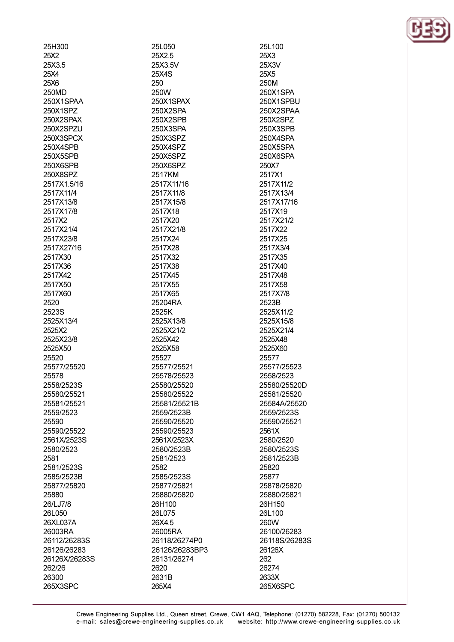| 25H300            |
|-------------------|
| 25X2              |
| 25X3.5            |
| 25X4              |
| 25X6              |
| 250MD             |
| 250X1SPAA         |
| 250X1SPZ          |
| 250X2SPAX         |
| 250X2SPZU         |
| 250X3SPCX         |
| 250X4SPE          |
| 250X5SPE<br>3     |
| 250X6SPB          |
| 250X8SPZ          |
| 2517X1.5/16       |
| 2517X11/4         |
| 2517X13/8         |
| 2517X17/8         |
| 2517X2            |
| 2517X21/4         |
| 2517X23/8         |
| 2517X27/16        |
| 2517X30           |
| 2517X36           |
| 2517X42           |
| 2517X50           |
| 2517X60           |
| 2520              |
| 2523S             |
| 2525X13/4         |
| 2525X2            |
| 2525X23/8         |
| 2525X50           |
| 25520             |
| 25577/25520       |
| 25578             |
| 2558/2523S        |
| 25580/25521       |
| 25581/25521       |
|                   |
| 2559/2523         |
| 25590             |
| 25590/25522       |
| 2561X/2523S       |
| 2580/2523         |
| 2581              |
| 2581/2523S        |
| 2585/2523B        |
| 25877/25820       |
| 25880             |
| 26/LJ7/8          |
| 26L050            |
| 26XL037A          |
| 26003RA           |
|                   |
| 26112/26283S      |
| 26126/26283       |
| 26126X/26283S     |
| 262/26            |
| 26300<br>265X3SPC |

25L050 25X2.5 25X3.5V **25X4S** 250 250W 250X1SPAX 250X2SPA 250X2SPB 250X3SPA 250X3SPZ 250X4SPZ 250X5SPZ 250X6SPZ 2517KM 2517X11/16 2517X11/8 2517X15/8 2517X18 2517X20 2517X21/8 2517X24 2517X28 2517X32 2517X38 2517X45 2517X55 2517X65 25204RA 2525K 2525X13/8 2525X21/2 2525X42 2525X58 25527 25577/25521 25578/25523 25580/25520 25580/25522 25581/25521B 2559/2523B 25590/25520 25590/25523 2561X/2523X 2580/2523B 2581/2523 2582 2585/2523S 25877/25821 25880/25820 26H100 26L075 26X4.5 26005RA 26118/26274P0 26126/26283BP3 26131/26274 2620 2631B 265X4

25L100 25X3 25X3V 25X5 250M 250X1SPA 250X1SPBU 250X2SPAA 250X2SPZ 250X3SPB 250X4SPA 250X5SPA 250X6SPA 250X7 2517X1 2517X11/2 2517X13/4 2517X17/16 2517X19 2517X21/2 2517X22 2517X25 2517X3/4 2517X35 2517X40 2517X48 2517X58 2517X7/8 2523B 2525X11/2 2525X15/8 2525X21/4 2525X48 2525X60 25577 25577/25523 2558/2523 25580/25520D 25581/25520 25584A/25520 2559/2523S 25590/25521 2561X 2580/2520 2580/2523S 2581/2523B 25820 25877 25878/25820 25880/25821 26H150 26L100 260W 26100/26283 26118S/26283S 26126X 262 26274 2633X 265X6SPC

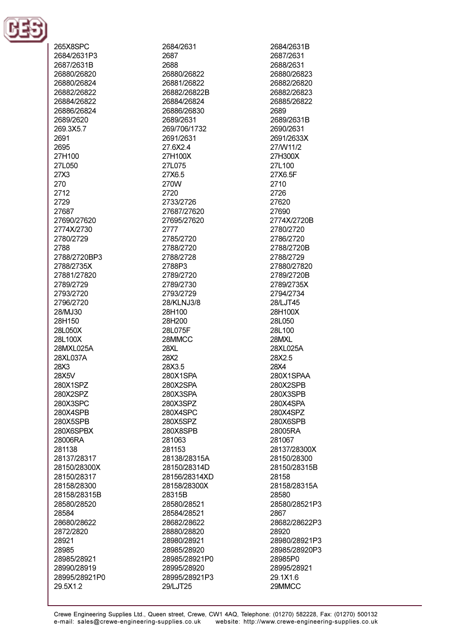

265X8SPC 2684/2631P3 2687/2631B 26880/26820 26880/26824 26882/26822 26884/26822 26886/26824 2689/2620 269.3X5.7 2691 2695 27H100 271 050 27X3 270 2712 2729 27687 27690/27620 2774X/2730 2780/2729 2788 2788/2720BP3 2788/2735X 27881/27820 2789/2729 2793/2720 2796/2720 28/MJ30 28H150 28L050X 28L100X 28MXL025A 28XL037A 28X3 28X5V 280X1SPZ 280X2SPZ 280X3SPC 280X4SPB 280X5SPB 280X6SPBX 28006RA 281138 28137/28317 28150/28300X 28150/28317 28158/28300 28158/28315B 28580/28520 28584 28680/28622 2872/2820 28921 28985 28985/28921 28990/28919 28995/28921P0 29.5X1.2

2684/2631 2687 2688 26880/26822 26881/26822 26882/26822B 26884/26824 26886/26830 2689/2631 269/706/1732 2691/2631 27.6X2.4 27H100X 271 075 27X6.5 270W 2720 2733/2726 27687/27620 27695/27620 2777 2785/2720 2788/2720 2788/2728 2788P3 2789/2720 2789/2730 2793/2729 28/KLNJ3/8 28H100 28H200 28L075F 28MMCC **28XL** 28X2 28X3.5 280X1SPA 280X2SPA 280X3SPA 280X3SPZ 280X4SPC 280X5SPZ 280X8SPB 281063 281153 28138/28315A 28150/28314D 28156/28314XD 28158/28300X 28315B 28580/28521 28584/28521 28682/28622 28880/28820 28980/28921 28985/28920 28985/28921P0 28995/28920 28995/28921P3 29/LJT25

2684/2631B 2687/2631 2688/2631 26880/26823 26882/26820 26882/26823 26885/26822 2689 2689/2631B 2690/2631 2691/2633X 27/W11/2 27H300X 27L100 27X6.5F 2710 2726 27620 27690 2774X/2720B 2780/2720 2786/2720 2788/2720B 2788/2729 27880/27820 2789/2720B 2789/2735X 2794/2734 28/LJT45 28H100X 28L050 28L100 28MXL 28XL025A 28X2.5 28X4 280X1SPAA 280X2SPB 280X3SPB 280X4SPA 280X4SPZ 280X6SPB 28005RA 281067 28137/28300X 28150/28300 28150/28315B 28158 28158/28315A 28580 28580/28521P3 2867 28682/28622P3 28920 28980/28921P3 28985/28920P3 28985P0 28995/28921 29.1X1.6 29MMCC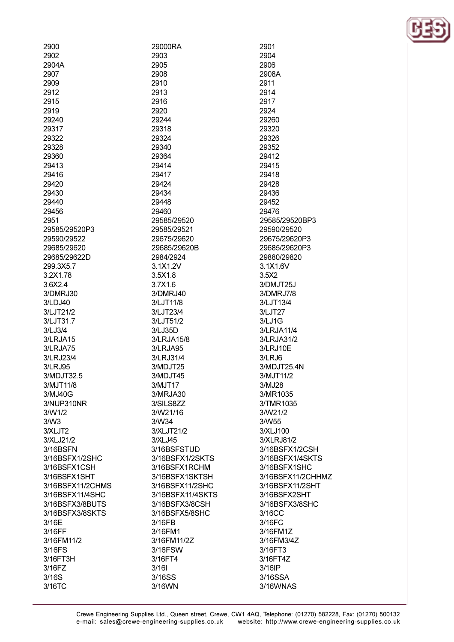| 2900             | 29000RA          |
|------------------|------------------|
| 2902             | 2903             |
| 2904A            | 2905             |
| 2907             | 2908             |
| 2909             | 2910             |
| 2912             | 2913             |
| 2915             | 2916             |
| 2919             | 2920             |
| 29240            | 29244            |
| 29317            | 29318            |
| 29322            | 29324            |
| 29328            | 29340            |
| 29360            | 29364            |
| 29413            | 29414            |
| 29416            | 29417            |
| 29420            | 29424            |
| 29430            | 29434            |
| 29440            | 29448            |
|                  |                  |
| 29456            | 29460            |
| 2951             | 29585/29520      |
| 29585/29520P3    | 29585/29521      |
| 29590/29522      | 29675/29620      |
| 29685/29620      | 29685/29620B     |
| 29685/29622D     | 2984/2924        |
| 299.3X5.7        | 3.1X1.2V         |
| 3.2X1.78         | 3.5X1.8          |
| 3.6X2.4          | 3.7X1.6          |
| 3/DMRJ30         | 3/DMRJ40         |
| 3/LDJ40          | 3/LJT11/8        |
| 3/LJT21/2        | 3/LJT23/4        |
| 3/LJT31.7        | 3/LJT51/2        |
| 3/LJ3/4          | 3/LJ35D          |
| 3/LRJA15         | 3/LRJA15/8       |
| 3/LRJA75         | 3/LRJA95         |
| 3/LRJ23/4        | 3/LRJ31/4        |
| 3/LRJ95          | 3/MDJT25         |
| 3/MDJT32.5       | 3/MDJT45         |
| 3/MJT11/8        | 3/MJT17          |
| 3/MJ40G          | 3/MRJA30         |
| 3/NUP310NR       | 3/SILS8ZZ        |
| 3/W1/2           | 3/W21/16         |
| 3/N <sub>3</sub> | 3/W34            |
| 3/XLJT2          | 3/XLJT21/2       |
| 3/XLJ21/2        | 3/XLJ45          |
| 3/16BSFN         | 3/16BSFSTUD      |
| 3/16BSFX1/2SHC   | 3/16BSFX1/2SKTS  |
| 3/16BSFX1CSH     | 3/16BSFX1RCHM    |
| 3/16BSFX1SHT     | 3/16BSFX1SKTSH   |
| 3/16BSFX11/2CHMS | 3/16BSFX11/2SHC  |
| 3/16BSFX11/4SHC  | 3/16BSFX11/4SKTS |
|                  |                  |
| 3/16BSFX3/8BUTS  | 3/16BSFX3/8CSH   |
| 3/16BSFX3/8SKTS  | 3/16BSFX5/8SHC   |
| 3/16E            | 3/16FB           |
| 3/16FF           | 3/16FM1          |
| 3/16FM11/2       | 3/16FM11/2Z      |
| 3/16FS           | 3/16FSW          |
| 3/16FT3H         | 3/16FT4          |
| 3/16FZ           | 3/16I            |
| 3/16S            | 3/16SS           |
| 3/16TC           | 3/16WN           |

2904 2906 2908A 2911 2914 2917 2924 29260 29320 29326 29352 29412 29415 29418 29428 29436 29452 29476 29585/29520BP3 29590/29520 29675/29620P3 29685/29620P3 29880/29820 3.1X1.6V 3.5X2 3/DMJT25J 3/DMRJ7/8 3/LJT13/4 3/LJT27  $3/LJ1G$ 3/LRJA11/4 3/LRJA31/2 3/LRJ10E 3/LRJ6 3/MDJT25.4N 3/MJT11/2 3/MJ28 3/MR1035 3/TMR1035 3/W21/2 3/W55 3/XLJ100 3/XLRJ81/2 3/16BSFX1/2CSH 3/16BSFX1/4SKTS 3/16BSFX1SHC 3/16BSFX11/2CHHMZ 3/16BSFX11/2SHT 3/16BSFX2SHT 3/16BSFX3/8SHC 3/16CC 3/16FC 3/16FM1Z 3/16FM3/4Z 3/16FT3 3/16FT4Z 3/16IP 3/16SSA 3/16WNAS

2901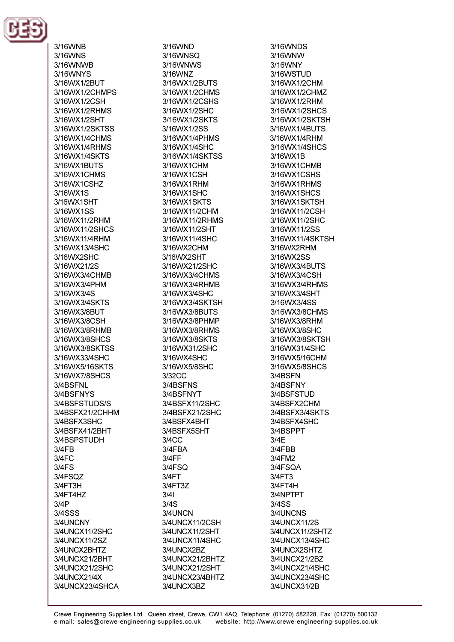

3/16WNB 3/16WNS 3/16WNWR 3/16WNYS 3/16WX1/2BUT 3/16WX1/2CHMPS 3/16WX1/2CSH 3/16WX1/2RHMS 3/16WX1/2SHT 3/16WX1/2SKTSS 3/16WX1/4CHMS 3/16WX1/4RHMS 3/16WX1/4SKTS 3/16WX1RLITS 3/16WX1CHMS 3/16WX1CSHZ 3/16WX1S 3/16WX1SHT 3/16WX1SS 3/16WX11/2RHM 3/16WX11/2SHCS 3/16WX11/4RHM 3/16WX13/4SHC 3/16WX2SHC 3/16WX21/2S 3/16WX3/4CHMB 3/16WX3/4PHM 3/16WX3/4S 3/16WX3/4SKTS 3/16WX3/8BUT 3/16WX3/8CSH 3/16WX3/8RHMB 3/16WX3/8SHCS 3/16WX3/8SKTSS 3/16WX33/4SHC 3/16WX5/16SKTS 3/16WX7/8SHCS 3/4BSFNL 3/4BSFNYS 3/4BSFSTUDS/S 3/4BSFX21/2CHHM 3/4BSFX3SHC 3/4BSFX41/2BHT 3/4BSPSTUDH  $3/4FB$  $3/4FC$  $3/4FS$ 3/4FSQZ 3/4FT3H 3/4FT4HZ  $3/4P$ 3/4SSS 3/4UNCNY 3/4UNCX11/2SHC 3/4UNCX11/2SZ 3/4UNCX2BHTZ 3/4UNCX21/2BHT 3/4UNCX21/2SHC 3/4UNCX21/4X 3/4UNCX23/4SHCA

3/16WND 3/16WNSO 3/16WNWS 3/16WN7 3/16WX1/2BUTS 3/16WX1/2CHMS 3/16WX1/2CSHS 3/16WX1/2SHC 3/16WX1/2SKTS 3/16WX1/2SS 3/16WX1/4PHMS 3/16WX1/4SHC 3/16WX1/4SKTSS 3/16WX1CHM 3/16WX1CSH 3/16WX1RHM 3/16WX1SHC 3/16WX1SKTS 3/16WX11/2CHM 3/16WX11/2RHMS 3/16WX11/2SHT 3/16WX11/4SHC 3/16WX2CHM 3/16WX2SHT 3/16\NX21/2SHC 3/16WX3/4CHMS 3/16WX3/4RHMB 3/16WX3/4SHC 3/16WX3/4SKTSH 3/16WX3/8BUTS 3/16WX3/8PHMP 3/16WX3/8RHMS 3/16WX3/8SKTS 3/16WX31/2SHC 3/16WX4SHC 3/16WX5/8SHC 3/32CC 3/4BSFNS 3/4BSFNYT 3/4BSFX11/2SHC 3/4BSFX21/2SHC 3/4BSFX4BHT 3/4BSFX5SHT 3/4CC 3/4FBA  $3/4FF$ 3/4FSQ  $3/4FT$ 3/4FT3Z  $3/41$  $3/4S$ 3/4UNCN 3/4UNCX11/2CSH 3/4UNCX11/2SHT 3/4UNCX11/4SHC 3/4UNCX2BZ 3/4UNCX21/2BHTZ 3/4UNCX21/2SHT 3/4UNCX23/4BHTZ 3/4UNCX3BZ

3/16WNDS 3/16WNW 3/16WNY 3/16WSTUD 3/16WX1/2CHM 3/16WX1/2CHMZ 3/16WX1/2RHM 3/16WX1/2SHCS 3/16WX1/2SKTSH 3/16WX1/4BUTS 3/16WX1/4RHM 3/16WX1/4SHCS 3/16WX1R 3/16WX1CHMR 3/16WX1CSHS 3/16WX1RHMS 3/16WX1SHCS 3/16WX1SKTSH 3/16WX11/2CSH 3/16WX11/2SHC 3/16WX11/2SS 3/16WX11/4SKTSH 3/16WX2RHM 3/16WX2SS 3/16WX3/4BUTS 3/16WX3/4CSH 3/16WX3/4RHMS 3/16WX3/4SHT 3/16WX3/4SS 3/16WX3/8CHMS 3/16WX3/8RHM 3/16WX3/8SHC 3/16WX3/8SKTSH 3/16WX31/4SHC 3/16WX5/16CHM 3/16WX5/8SHCS 3/4BSFN 3/4BSFNY 3/4BSFSTUD 3/4BSFX2CHM 3/4BSFX3/4SKTS 3/4BSFX4SHC 3/4BSPPT  $3/4E$ 3/4FBB 3/4FM2 3/4FSQA 3/4FT3 3/4FT4H 3/4NPTPT 3/4SS 3/4UNCNS 3/4UNCX11/2S 3/4UNCX11/2SHTZ 3/4UNCX13/4SHC 3/4UNCX2SHTZ 3/4UNCX21/2BZ 3/4UNCX21/4SHC 3/4UNCX23/4SHC 3/4UNCX31/2B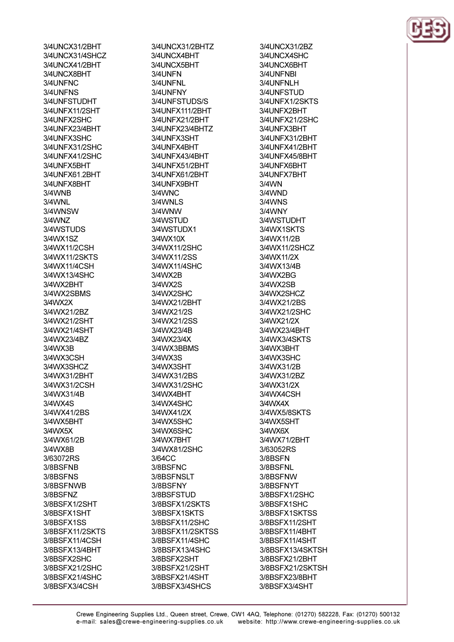3/4UNCX31/2BHT 3/4UNCX31/4SHCZ 3/41 INCX41/2RHT 3/4UNCX8BHT 3/4UNFNC 3/4UNFNS 3/4UNFSTUDHT 3/4UNFX11/2SHT 3/4UNFX2SHC 3/4UNFX23/4BHT 3/4UNFX3SHC 3/4UNFX31/2SHC 3/4UNFX41/2SHC 3/4I INFX5RHT 3/4UNFX61.2BHT 3/4UNFX8BHT 3/4WNB 3/4WNL 3/4WNSW 3/4WNZ 3/4WSTUDS 3/4WX1SZ 3/4WX11/2CSH 3/4WX11/2SKTS 3/4WX11/4CSH 3/4WX13/4SHC 3/4WX2BHT 3/4WX2SBMS 3/4WX2X 3/4WX21/2BZ 3/4WX21/2SHT 3/4WX21/4SHT 3/4WX23/4BZ 3/4WX3B 3/4WX3CSH 3/4WX3SHCZ 3/4WX31/2BHT 3/4WX31/2CSH 3/4WX31/4B 3/4WX4S 3/4WX41/2BS 3/4WX5BHT 3/4WX5X 3/4WX61/2B 3/4WX8B 3/63072RS 3/8BSFNB 3/8BSFNS 3/8BSFNWB 3/8BSFNZ 3/8BSFX1/2SHT 3/8BSFX1SHT 3/8BSFX1SS 3/8BSFX11/2SKTS 3/8BSFX11/4CSH 3/8BSFX13/4BHT 3/8BSFX2SHC 3/8BSFX21/2SHC 3/8BSFX21/4SHC 3/8BSFX3/4CSH

3/4UNCX31/2BHTZ 3/4UNCX4BHT 3/4I INCX5RHT 3/4UNFN 3/4UNFNL 3/4UNFNY 3/4UNFSTUDS/S 3/4UNFX111/2BHT 3/4UNFX21/2BHT 3/4UNFX23/4BHTZ 3/4UNFX3SHT 3/4UNFX4BHT 3/4UNFX43/4BHT 3/4UNFX51/2RHT 3/4UNFX61/2BHT 3/4UNFX9BHT 3/4WNC 3/4WNLS 3/4WNW 3/4WSTUD 3/4WSTUDX1 3/4WX10X 3/4WX11/2SHC 3/4WX11/2SS 3/4WX11/4SHC 3/4WX2B 3/4WX2S 3/4WX2SHC 3/4WX21/2BHT 3/4WX21/2S 3/4WX21/2SS 3/4WX23/4B 3/4WX23/4X 3/4WX3BBMS 3/4WX3S 3/4WX3SHT 3/4WX31/2BS 3/4WX31/2SHC 3/4WX4BHT 3/4WX4SHC 3/4WX41/2X 3/4WX5SHC 3/4WX6SHC 3/4WX7BHT 3/4WX81/2SHC 3/64CC 3/8BSFNC 3/8BSFNSLT 3/8BSFNY 3/8BSFSTUD 3/8BSFX1/2SKTS 3/8BSFX1SKTS 3/8BSFX11/2SHC 3/8BSFX11/2SKTSS 3/8BSFX11/4SHC 3/8BSFX13/4SHC 3/8BSFX2SHT 3/8BSFX21/2SHT 3/8BSFX21/4SHT 3/8BSFX3/4SHCS

3/4UNCX31/2BZ 3/4UNCX4SHC 3/4LINCX6RHT 3/4UNFNBI 3/4UNFNLH 3/4UNFSTUD 3/4UNFX1/2SKTS 3/4UNFX2BHT 3/4UNFX21/2SHC 3/4UNFX3BHT 3/4UNFX31/2BHT 3/4UNFX41/2BHT 3/4UNFX45/8BHT 3/4I INFX6RHT 3/4UNFX7BHT  $3/4$ WN 3/4WND 3/4WNS 3/4WNY 3/4WSTUDHT 3/4WX1SKTS 3/4WX11/2B 3/4WX11/2SHCZ 3/4WX11/2X 3/4WX13/4R 3/4WX2BG 3/4WX2SB 3/4WX2SHCZ 3/4WX21/2BS 3/4WX21/2SHC 3/4WX21/2X 3/4WX23/4BHT 3/4WX3/4SKTS 3/4WX3BHT 3/4WX3SHC 3/4WX31/2B 3/4WX31/2BZ 3/4WX31/2X 3/4WX4CSH 3/4WX4X 3/4WX5/8SKTS 3/4WX5SHT 3/4WX6X 3/4WX71/2BHT 3/63052RS 3/8BSFN 3/8BSFNL 3/8BSFNW 3/8BSFNYT 3/8BSFX1/2SHC 3/8BSFX1SHC 3/8BSFX1SKTSS 3/8BSFX11/2SHT 3/8BSFX11/4BHT 3/8BSFX11/4SHT 3/8BSFX13/4SKTSH 3/8BSFX21/2BHT 3/8BSFX21/2SKTSH 3/8BSFX23/8BHT 3/8BSFX3/4SHT

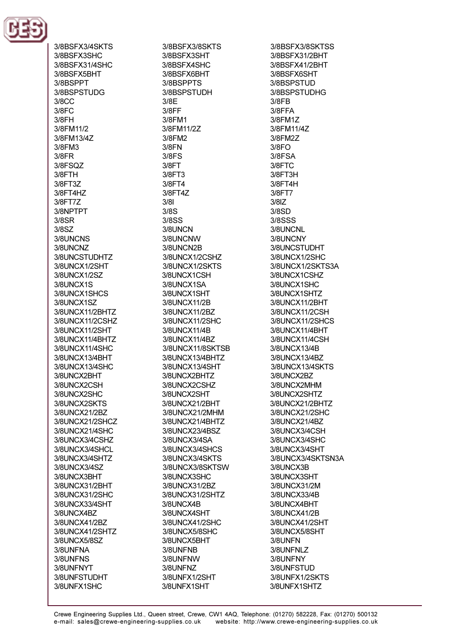

3/8BSFX3/4SKTS 3/8BSFX3SHC 3/8BSFX31/4SHC 3/8BSFX5BHT 3/8BSPPT 3/8BSPSTUDG  $3/8CC$  $3/8FC$ 3/8FH 3/8FM11/2 3/8FM13/4Z 3/8FM3  $3/8FR$ 3/8FSO7 3/8FTH 3/8FT3Z 3/8FT4HZ 3/8FT7Z 3/8NPTPT 3/8SR  $3/8SZ$ 3/8UNCNS 3/8UNCNZ 3/8UNCSTUDHTZ 3/8UNCX1/2SHT 3/8UNCX1/2SZ 3/8UNCX1S 3/8UNCX1SHCS 3/8UNCX1SZ 3/8UNCX11/2BHTZ 3/8UNCX11/2CSHZ 3/8UNCX11/2SHT 3/8UNCX11/4BHTZ 3/8UNCX11/4SHC 3/8UNCX13/4BHT 3/8UNCX13/4SHC 3/8UNCX2BHT 3/8UNCX2CSH 3/8UNCX2SHC 3/8UNCX2SKTS 3/8UNCX21/2BZ 3/8UNCX21/2SHCZ 3/8UNCX21/4SHC 3/8UNCX3/4CSHZ 3/8UNCX3/4SHCL 3/8UNCX3/4SHTZ 3/8UNCX3/4SZ 3/8UNCX3BHT 3/8UNCX31/2BHT 3/8UNCX31/2SHC 3/8UNCX33/4SHT 3/8UNCX4BZ 3/8UNCX41/2BZ 3/8UNCX41/2SHTZ 3/8UNCX5/8SZ 3/8UNFNA 3/8UNFNS 3/8UNFNYT 3/8UNFSTUDHT 3/8UNFX1SHC

3/8BSFX3/8SKTS 3/8BSFX3SHT 3/8BSEX4SHC 3/8BSFX6BHT 3/8BSPPTS 3/8BSPSTUDH 3/8E  $3/8FF$ 3/8FM1 3/8FM11/2Z 3/8FM2 3/8FN  $3/8FS$  $3/8FT$ 3/8FT3 3/8FT4 3/8FT4Z  $3/81$  $3/8S$ 3/8SS 3/8UNCN 3/8UNCNW 3/8UNCN2B 3/8UNCX1/2CSHZ 3/8UNCX1/2SKTS 3/8UNCX1CSH 3/8UNCX1SA 3/8UNCX1SHT 3/8UNCX11/2B 3/8UNCX11/2BZ 3/8UNCX11/2SHC 3/8UNCX11/4B 3/8UNCX11/4BZ 3/8UNCX11/8SKTSB 3/8UNCX13/4BHTZ 3/8UNCX13/4SHT 3/8UNCX2BHTZ 3/8UNCX2CSHZ 3/8UNCX2SHT 3/8UNCX21/2BHT 3/8UNCX21/2MHM 3/8UNCX21/4BHTZ 3/8UNCX23/4BSZ 3/8UNCX3/4SA 3/8UNCX3/4SHCS 3/8UNCX3/4SKTS 3/8UNCX3/8SKTSW 3/8UNCX3SHC 3/8UNCX31/2BZ 3/8UNCX31/2SHTZ 3/8UNCX4B 3/8UNCX4SHT 3/8UNCX41/2SHC 3/8UNCX5/8SHC 3/8UNCX5BHT 3/8UNFNB 3/8UNFNW 3/8UNFNZ 3/8UNFX1/2SHT 3/8UNFX1SHT

3/8BSFX3/8SKTSS 3/8BSFX31/2BHT 3/8BSFX41/2BHT 3/8BSFX6SHT 3/8BSPSTUD 3/8BSPSTUDHG  $3/8FB$ 3/8FFA 3/8FM1Z 3/8FM11/4Z 3/8FM2Z  $3/8FO$ 3/8FSA 3/8FTC 3/8FT3H 3/8FT4H 3/8FT7  $3/8$ IZ 3/8SD **3/8SSS** 3/8UNCNL 3/8UNCNY 3/8UNCSTUDHT 3/8UNCX1/2SHC 3/8UNCX1/2SKTS3A 3/8UNCX1CSHZ 3/8UNCX1SHC 3/8UNCX1SHTZ 3/8UNCX11/2BHT 3/8UNCX11/2CSH 3/8UNCX11/2SHCS 3/8UNCX11/4BHT 3/8UNCX11/4CSH 3/8UNCX13/4B 3/8UNCX13/4BZ 3/8UNCX13/4SKTS 3/8UNCX2BZ 3/8UNCX2MHM 3/8UNCX2SHTZ 3/8UNCX21/2BHTZ 3/8UNCX21/2SHC 3/8UNCX21/4BZ 3/8UNCX3/4CSH 3/8UNCX3/4SHC 3/8UNCX3/4SHT 3/8UNCX3/4SKTSN3A 3/8UNCX3B 3/8UNCX3SHT 3/8UNCX31/2M 3/8UNCX33/4B 3/8UNCX4BHT 3/8UNCX41/2B 3/8UNCX41/2SHT 3/8UNCX5/8SHT 3/8UNFN 3/8UNFNLZ 3/8UNFNY 3/8UNFSTUD 3/8UNFX1/2SKTS 3/8UNFX1SHTZ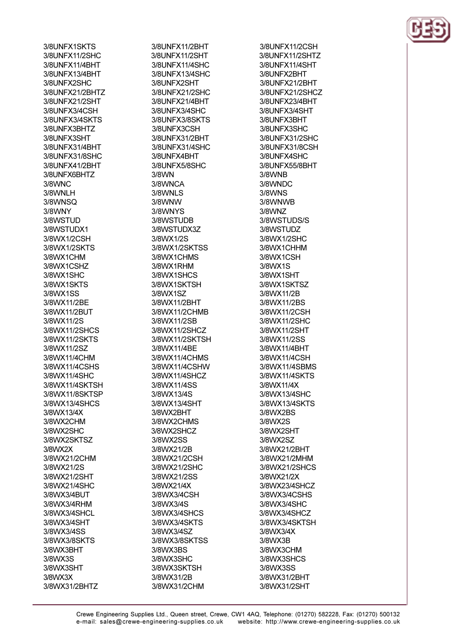3/8UNFX1SKTS 3/8UNFX11/2SHC 3/8LINEX11/4RHT 3/8UNFX13/4BHT 3/8UNFX2SHC 3/8UNFX21/2BHTZ 3/8UNFX21/2SHT 3/8UNFX3/4CSH 3/8UNFX3/4SKTS 3/8UNFX3BHTZ 3/8UNFX3SHT 3/8UNFX31/4BHT 3/8UNFX31/8SHC 3/8LINFX41/2RHT 3/8UNFX6BHTZ 3/8WNC 3/8WNLH 3/8WNSO 3/8WNY 3/8WSTUD 3/8WSTUDX1 3/8WX1/2CSH 3/8WX1/2SKTS 3/8WX1CHM 3/8WX1CSHZ 3/8WX1SHC 3/8WX1SKTS 3/8WX1SS 3/8WX11/2BE 3/8WX11/2BUT 3/8WX11/2S 3/8WX11/2SHCS 3/8WX11/2SKTS 3/8WX11/2SZ 3/8WX11/4CHM 3/8WX11/4CSHS 3/8WX11/4SHC 3/8WX11/4SKTSH 3/8WX11/8SKTSP 3/8WX13/4SHCS 3/8WX13/4X 3/8WX2CHM 3/8WX2SHC 3/8WX2SKTSZ 3/8WX2X 3/8WX21/2CHM 3/8WX21/2S 3/8WX21/2SHT 3/8WX21/4SHC 3/8WX3/4BUT 3/8WX3/4RHM 3/8WX3/4SHCL 3/8WX3/4SHT 3/8WX3/4SS 3/8WX3/8SKTS 3/8WX3BHT 3/8WX3S 3/8WX3SHT 3/8WX3X 3/8WX31/2BHTZ

3/8UNFX11/2BHT 3/8UNFX11/2SHT 3/8LINEX11/4SHC 3/8UNFX13/4SHC 3/8UNFX2SHT 3/8UNFX21/2SHC 3/8UNFX21/4BHT 3/8UNFX3/4SHC 3/8UNFX3/8SKTS 3/8UNFX3CSH 3/8UNFX31/2BHT 3/8UNFX31/4SHC 3/8UNFX4BHT 3/8LINEX5/8SHC 3/8WN 3/8WNCA 3/8WNLS 3/8WNW 3/8WNYS 3/8WSTUDB 3/8WSTUDX3Z 3/8WX1/2S 3/8WX1/2SKTSS 3/8WX1CHMS 3/8WX1RHM 3/8WX1SHCS 3/8WX1SKTSH 3/8WX1SZ 3/8WX11/2BHT 3/8WX11/2CHMB 3/8WX11/2SB 3/8WX11/2SHCZ 3/8WX11/2SKTSH 3/8WX11/4BE 3/8WX11/4CHMS 3/8WX11/4CSHW 3/8WX11/4SHCZ 3/8WX11/4SS 3/8WX13/4S 3/8WX13/4SHT 3/8WX2BHT 3/8WX2CHMS 3/8WX2SHCZ 3/8WX2SS 3/8WX21/2B 3/8WX21/2CSH 3/8WX21/2SHC 3/8WX21/2SS 3/8WX21/4X 3/8WX3/4CSH 3/8WX3/4S 3/8WX3/4SHCS 3/8WX3/4SKTS 3/8WX3/4SZ 3/8WX3/8SKTSS 3/8WX3BS 3/8WX3SHC 3/8WX3SKTSH 3/8WX31/2B 3/8WX31/2CHM

3/8UNFX11/2CSH 3/8UNFX11/2SHTZ 3/8LINEX11/4SHT 3/8UNFX2BHT 3/8UNFX21/2BHT 3/8UNFX21/2SHCZ 3/8UNFX23/4BHT 3/8UNFX3/4SHT 3/8UNFX3BHT 3/8UNFX3SHC 3/8UNFX31/2SHC 3/8UNFX31/8CSH 3/8UNFX4SHC 3/8LINEX55/8RHT 3/8WNB 3/8WNDC **3/8WNS** 3/8WNWB 3/8WNZ 3/8WSTUDS/S 3/8WSTUDZ 3/8WX1/2SHC 3/8WX1CHHM 3/8WX1CSH 3/8WX1S 3/8WX1SHT 3/8WX1SKTSZ 3/8WX11/2B 3/8WX11/2BS 3/8WX11/2CSH 3/8WX11/2SHC 3/8WX11/2SHT 3/8WX11/2SS 3/8WX11/4BHT 3/8WX11/4CSH 3/8WX11/4SBMS 3/8WX11/4SKTS 3/8WX11/4X 3/8WX13/4SHC 3/8WX13/4SKTS 3/8WX2BS 3/8WX2S 3/8WX2SHT 3/8WX2SZ 3/8WX21/2BHT 3/8WX21/2MHM 3/8WX21/2SHCS 3/8WX21/2X 3/8WX23/4SHCZ 3/8WX3/4CSHS 3/8WX3/4SHC 3/8WX3/4SHCZ 3/8WX3/4SKTSH 3/8WX3/4X 3/8WX3B 3/8WX3CHM 3/8WX3SHCS 3/8WX3SS 3/8WX31/2BHT 3/8WX31/2SHT

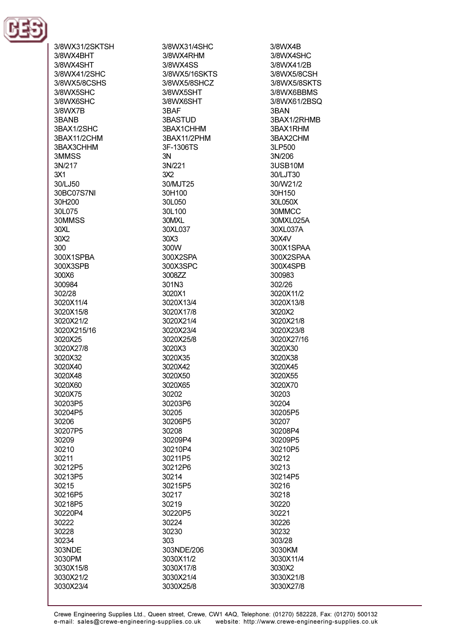

3/8WX31/2SKTSH 3/8WX4BHT 3/8WX4SHT 3/8WX41/2SHC 3/8WX5/8CSHS 3/8WX5SHC 3/8WX6SHC 3/8WX7B 3BANB 3BAX1/2SHC 3BAX11/2CHM 3BAX3CHHM 3MMSS 3N/217  $3X1$ 30/LJ50 30BC07S7NI 30H200 30L075 30MMSS  $30XL$  $30X2$  $300$ 300X1SPRA 300X3SPB 300X6 300984 302/28 3020X11/4 3020X15/8 3020X21/2 3020X215/16 3020X25 3020X27/8 3020X32 3020X40 3020X48 3020X60 3020X75 30203P5 30204P5 30206 30207P5 30209 30210 30211 30212P5 30213P5 30215 30216P5 30218P5 30220P4 30222 30228 30234 303NDE 3030PM 3030X15/8 3030X21/2 3030X23/4

3/8WX31/4SHC 3/8WX4RHM 3/8WX4SS 3/8WX5/16SKTS 3/8WX5/8SHCZ 3/8WX5SHT 3/8WX6SHT 3BAF 3BASTUD 3BAX1CHHM 3BAX11/2PHM 3F-1306TS  $3N$ 3N/221  $3X2$ 30/MJT25 30H100 30L050 30L100 30MXL 30XL037  $30X3$  $300M$ 300X2SPA 300X3SPC 3008ZZ 301N3 3020X1 3020X13/4 3020X17/8 3020X21/4 3020X23/4 3020X25/8 3020X3 3020X35 3020X42 3020X50 3020X65 30202 30203P6 30205 30206P5 30208 30209P4 30210P4 30211P5 30212P6 30214 30215P5 30217 30219 30220P5 30224 30230 303 303NDE/206 3030X11/2 3030X17/8 3030X21/4

3/8WX4B 3/8WX4SHC 3/8WX41/2R 3/8WX5/8CSH 3/8WX5/8SKTS 3/8WX6BBMS 3/8WX61/2BSQ 3BAN 3BAX1/2RHMB 3BAX1RHM 3BAX2CHM 3LP500  $3N/206$ 3USB10M 30/LJT30 30/W21/2 30H150 30L050X 30MMCC 30MXL025A 30XL037A 30X4V 300X1SPAA 300X2SPAA 300X4SPR 300983 302/26 3020X11/2 3020X13/8 3020X2 3020X21/8 3020X23/8 3020X27/16 3020X30 3020X38 3020X45 3020X55 3020X70 30203 30204 30205P5 30207 30208P4 30209P5 30210P5 30212 30213 30214P5 30216 30218 30220 30221 30226 30232 303/28 3030KM 3030X11/4 3030X2 3030X21/8 3030X27/8

3030X25/8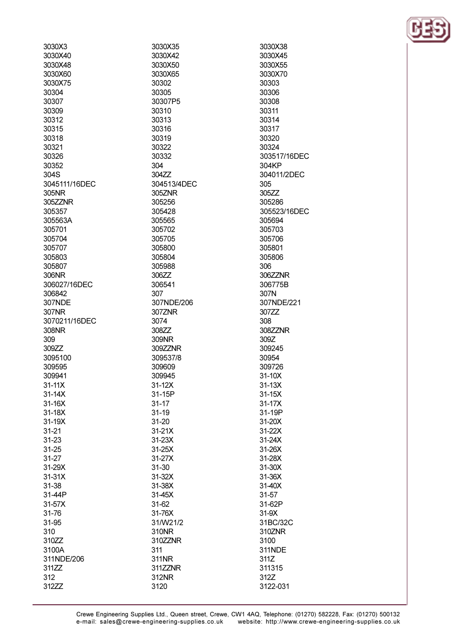| 3030X3        | 3030X35     |
|---------------|-------------|
| 3030X40       | 3030X42     |
| 3030X48       | 3030X50     |
| 3030X60       | 3030X65     |
| 3030X75       | 30302       |
| 30304         | 30305       |
| 30307         | 30307P5     |
| 30309         | 30310       |
|               |             |
| 30312         | 30313       |
| 30315         | 30316       |
| 30318         | 30319       |
| 30321         | 30322       |
| 30326         | 30332       |
| 30352         | 304         |
| 304S          | 304ZZ       |
| 3045111/16DEC | 304513/4DEC |
| 305NR         | 305ZNR      |
| 305ZZNR       | 305256      |
| 305357        | 305428      |
| 305563A       | 305565      |
| 305701        | 305702      |
|               |             |
| 305704        | 305705      |
| 305707        | 305800      |
| 305803        | 305804      |
| 305807        | 305988      |
| 306NR         | 306ZZ       |
| 306027/16DEC  | 306541      |
| 306842        | 307         |
| 307NDE        | 307NDE/206  |
| 307NR         | 307ZNR      |
| 3070211/16DEC | 3074        |
| 308NR         | 308ZZ       |
| 309           | 309NR       |
| 309ZZ         | 309ZZNR     |
| 3095100       | 309537/8    |
| 309595        | 309609      |
| 309941        | 309945      |
| 31-11X        | 31-12X      |
|               | 31-15P      |
| 31-14X        |             |
| 31-16X        | $31 - 17$   |
| 31-18X        | $31 - 19$   |
| 31-19X        | 31-20       |
| 31-21         | $31 - 21X$  |
| 31-23         | $31-23X$    |
| 31-25         | 31-25X      |
| 31-27         | 31-27X      |
| 31-29X        | 31-30       |
| 31-31X        | 31-32X      |
| 31-38         | $31-38X$    |
| 31-44P        | 31-45X      |
| 31-57X        | 31-62       |
| 31-76         | 31-76X      |
| 31-95         | 31/W21/2    |
| 310           | 310NR       |
|               |             |
| 310ZZ         | 310ZZNR     |
| 3100A         | 311         |
| 311NDE/206    | 311NR       |
| 311ZZ         | 311ZZNR     |

312

312ZZ

3030X38 3030X45 3030X55 3030X70 30303 30306 30308 30311 30314 30317 30320 30324 303517/16DEC 304KP 304011/2DEC 305 305ZZ 305286 305523/16DEC 305694 305703 305706 305801 305806 306 306ZZNR 306775B 307N 307NDE/221 307ZZ 308 308ZZNR 309Z 309245 30954 309726 31-10X  $31-13X$  $31-15X$  $31-17X$ 31-19P 31-20X 31-22X 31-24X 31-26X 31-28X 31-30X 31-36X 31-40X 31-57 31-62P  $31-9X$ 31BC/32C 310ZNR 3100 311NDE 311Z 311315 312Z 3122-031

312NR

3120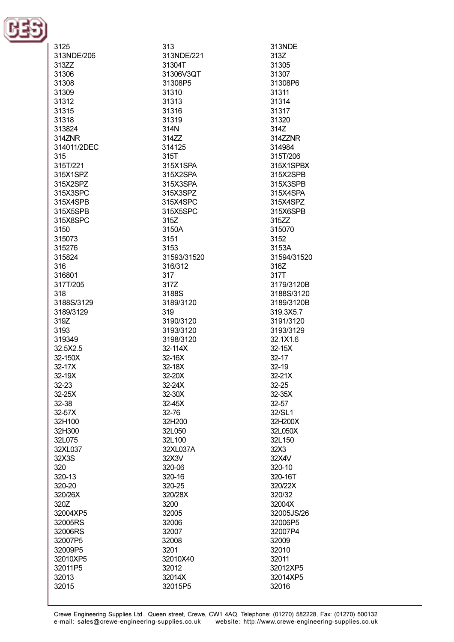

| 3125<br>313NDE/206<br>313ZZ<br>31306<br>31308<br>31309<br>31312<br>31315 | 313<br>313NDE/221<br>31304T<br>31306V3QT<br>31308P5<br>31310<br>31313<br>31316 | 313NDE<br>313Z<br>31305<br>31307<br>31308P6<br>31311<br>31314<br>31317 |
|--------------------------------------------------------------------------|--------------------------------------------------------------------------------|------------------------------------------------------------------------|
| 31318                                                                    | 31319                                                                          | 31320                                                                  |
| 313824                                                                   | 314N                                                                           | 314Z                                                                   |
| 314ZNR                                                                   | 314ZZ                                                                          | 314ZZNR                                                                |
| 314011/2DEC                                                              | 314125                                                                         | 314984                                                                 |
| 315<br>315T/221                                                          | 315T<br>315X1SPA                                                               | 315T/206<br>315X1SPBX                                                  |
| 315X1SPZ                                                                 | 315X2SPA                                                                       | 315X2SPB                                                               |
| 315X2SPZ                                                                 | 315X3SPA                                                                       | 315X3SPB                                                               |
| 315X3SPC                                                                 | 315X3SPZ                                                                       | 315X4SPA                                                               |
| 315X4SPB                                                                 | 315X4SPC                                                                       | 315X4SPZ                                                               |
| 315X5SPB                                                                 | 315X5SPC                                                                       | 315X6SPB                                                               |
| 315X8SPC                                                                 | 315Z                                                                           | 315ZZ                                                                  |
| 3150                                                                     | 3150A                                                                          | 315070                                                                 |
| 315073<br>315276                                                         | 3151<br>3153                                                                   | 3152<br>3153A                                                          |
| 315824                                                                   | 31593/31520                                                                    | 31594/31520                                                            |
| 316                                                                      | 316/312                                                                        | 316Z                                                                   |
| 316801                                                                   | 317                                                                            | 317T                                                                   |
| 317T/205                                                                 | 317Z                                                                           | 3179/3120B                                                             |
| 318                                                                      | 3188S                                                                          | 3188S/3120                                                             |
| 3188S/3129<br>3189/3129                                                  | 3189/3120<br>319                                                               | 3189/3120B<br>319.3X5.7                                                |
| 319Z                                                                     | 3190/3120                                                                      | 3191/3120                                                              |
| 3193                                                                     | 3193/3120                                                                      | 3193/3129                                                              |
| 319349                                                                   | 3198/3120                                                                      | 32.1X1.6                                                               |
| 32.5X2.5                                                                 | 32-114X                                                                        | $32-15X$                                                               |
| 32-150X                                                                  | 32-16X                                                                         | $32 - 17$                                                              |
| 32-17X                                                                   | 32-18X                                                                         | $32 - 19$                                                              |
| 32-19X<br>32-23                                                          | 32-20X<br>32-24X                                                               | $32-21X$<br>32-25                                                      |
| 32-25X                                                                   | 32-30X                                                                         | $32-35X$                                                               |
| 32-38                                                                    | 32-45X                                                                         | 32-57                                                                  |
| 32-57X                                                                   | 32-76                                                                          | 32/SL1                                                                 |
| 32H100                                                                   | 32H200                                                                         | 32H200X                                                                |
| 32H300                                                                   | 32L050                                                                         | 32L050X                                                                |
| 32L075                                                                   | 32L100                                                                         | 32L150                                                                 |
| 32XL037<br>32X3S                                                         | 32XL037A<br>32X3V                                                              | 32X3<br>32X4V                                                          |
| 320                                                                      | 320-06                                                                         | 320-10                                                                 |
| 320-13                                                                   | 320-16                                                                         | 320-16T                                                                |
| 320-20                                                                   | 320-25                                                                         | 320/22X                                                                |
| 320/26X                                                                  | 320/28X                                                                        | 320/32                                                                 |
| 320Z                                                                     | 3200                                                                           | 32004X                                                                 |
| 32004XP5                                                                 | 32005                                                                          | 32005JS/26                                                             |
| 32005RS<br>32006RS                                                       | 32006<br>32007                                                                 | 32006P5<br>32007P4                                                     |
| 32007P5                                                                  | 32008                                                                          | 32009                                                                  |
| 32009P5                                                                  | 3201                                                                           | 32010                                                                  |
| 32010XP5                                                                 | 32010X40                                                                       | 32011                                                                  |
| 32011P5                                                                  | 32012                                                                          | 32012XP5                                                               |
| 32013                                                                    | 32014X                                                                         | 32014XP5                                                               |
| 32015                                                                    | 32015P5                                                                        | 32016                                                                  |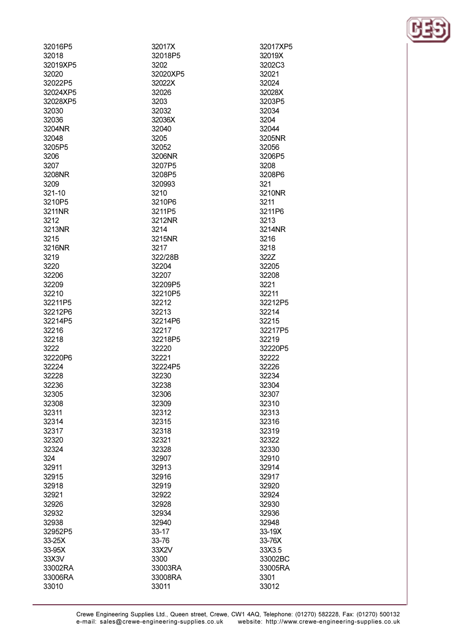| 32016P5  | 32017X   | 32017XP5 |
|----------|----------|----------|
| 32018    | 32018P5  | 32019X   |
| 32019XP5 | 3202     | 3202C3   |
| 32020    | 32020XP5 | 32021    |
| 32022P5  | 32022X   | 32024    |
| 32024XP5 | 32026    | 32028X   |
| 32028XP5 | 3203     | 3203P5   |
| 32030    | 32032    | 32034    |
| 32036    | 32036X   | 3204     |
| 3204NR   | 32040    | 32044    |
| 32048    | 3205     | 3205NR   |
| 3205P5   | 32052    | 32056    |
| 3206     | 3206NR   | 3206P5   |
| 3207     | 3207P5   | 3208     |
| 3208NR   | 3208P5   | 3208P6   |
| 3209     | 320993   | 321      |
| 321-10   | 3210     | 3210NR   |
| 3210P5   | 3210P6   | 3211     |
| 3211NR   | 3211P5   | 3211P6   |
| 3212     | 3212NR   | 3213     |
| 3213NR   |          |          |
|          | 3214     | 3214NR   |
| 3215     | 3215NR   | 3216     |
| 3216NR   | 3217     | 3218     |
| 3219     | 322/28B  | 322Z     |
| 3220     | 32204    | 32205    |
| 32206    | 32207    | 32208    |
| 32209    | 32209P5  | 3221     |
| 32210    | 32210P5  | 32211    |
| 32211P5  | 32212    | 32212P5  |
| 32212P6  | 32213    | 32214    |
| 32214P5  | 32214P6  | 32215    |
| 32216    | 32217    | 32217P5  |
| 32218    | 32218P5  | 32219    |
| 3222     | 32220    | 32220P5  |
| 32220P6  | 32221    | 32222    |
| 32224    | 32224P5  | 32226    |
| 32228    | 32230    | 32234    |
| 32236    | 32238    | 32304    |
| 32305    | 32306    | 32307    |
| 32308    | 32309    | 32310    |
| 32311    | 32312    | 32313    |
| 32314    | 32315    | 32316    |
| 32317    | 32318    | 32319    |
| 32320    | 32321    | 32322    |
| 32324    | 32328    | 32330    |
| 324      | 32907    | 32910    |
| 32911    | 32913    | 32914    |
| 32915    | 32916    | 32917    |
| 32918    | 32919    | 32920    |
| 32921    | 32922    | 32924    |
| 32926    | 32928    | 32930    |
| 32932    | 32934    | 32936    |
| 32938    | 32940    | 32948    |
| 32952P5  | 33-17    | 33-19X   |
| 33-25X   | 33-76    | 33-76X   |
| 33-95X   | 33X2V    | 33X3.5   |
| 33X3V    | 3300     | 33002BC  |
| 33002RA  | 33003RA  | 33005RA  |
| 33006RA  | 33008RA  | 3301     |
| 33010    | 33011    | 33012    |
|          |          |          |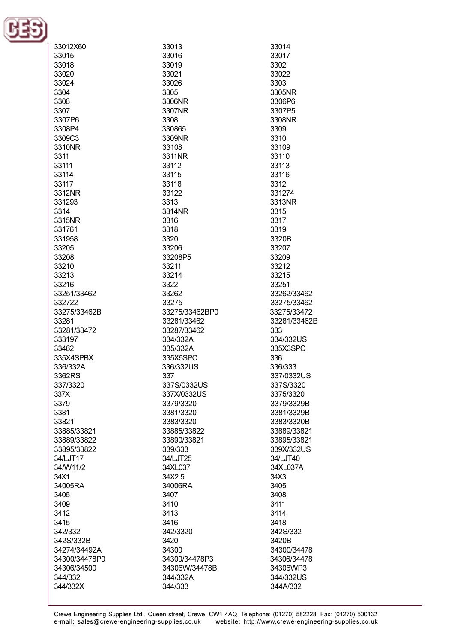

| 33012X60      | 33013          | 33014        |
|---------------|----------------|--------------|
| 33015         | 33016          | 33017        |
|               |                |              |
| 33018         | 33019          | 3302         |
| 33020         | 33021          | 33022        |
| 33024         | 33026          | 3303         |
| 3304          | 3305           | 3305NR       |
| 3306          | 3306NR         | 3306P6       |
| 3307          | 3307NR         | 3307P5       |
|               |                |              |
| 3307P6        | 3308           | 3308NR       |
| 3308P4        | 330865         | 3309         |
| 3309C3        | 3309NR         | 3310         |
| 3310NR        | 33108          | 33109        |
| 3311          | 3311NR         | 33110        |
| 33111         | 33112          | 33113        |
| 33114         | 33115          | 33116        |
|               |                |              |
| 33117         | 33118          | 3312         |
| 3312NR        | 33122          | 331274       |
| 331293        | 3313           | 3313NR       |
| 3314          | 3314NR         | 3315         |
| 3315NR        | 3316           | 3317         |
|               | 3318           | 3319         |
| 331761        |                |              |
| 331958        | 3320           | 3320B        |
| 33205         | 33206          | 33207        |
| 33208         | 33208P5        | 33209        |
| 33210         | 33211          | 33212        |
| 33213         | 33214          | 33215        |
| 33216         | 3322           | 33251        |
| 33251/33462   |                |              |
|               | 33262          | 33262/33462  |
| 332722        | 33275          | 33275/33462  |
| 33275/33462B  | 33275/33462BP0 | 33275/33472  |
| 33281         | 33281/33462    | 33281/33462B |
| 33281/33472   | 33287/33462    | 333          |
| 333197        | 334/332A       | 334/332US    |
| 33462         | 335/332A       | 335X3SPC     |
| 335X4SPBX     |                | 336          |
|               | 335X5SPC       |              |
| 336/332A      | 336/332US      | 336/333      |
| 3362RS        | 337            | 337/0332US   |
| 337/3320      | 337S/0332US    | 337S/3320    |
| 337X          | 337X/0332US    | 3375/3320    |
| 3379          | 3379/3320      | 3379/3329B   |
| 3381          | 3381/3320      | 3381/3329B   |
|               |                |              |
| 33821         | 3383/3320      | 3383/3320B   |
| 33885/33821   | 33885/33822    | 33889/33821  |
| 33889/33822   | 33890/33821    | 33895/33821  |
| 33895/33822   | 339/333        | 339X/332US   |
| 34/LJT17      | 34/LJT25       | 34/LJT40     |
| 34/W11/2      | 34XL037        | 34XL037A     |
| 34X1          | 34X2.5         | 34X3         |
|               |                |              |
| 34005RA       | 34006RA        | 3405         |
| 3406          | 3407           | 3408         |
| 3409          | 3410           | 3411         |
| 3412          | 3413           | 3414         |
| 3415          | 3416           | 3418         |
| 342/332       | 342/3320       | 342S/332     |
| 342S/332B     | 3420           | 3420B        |
| 34274/34492A  | 34300          | 34300/34478  |
|               |                |              |
| 34300/34478P0 | 34300/34478P3  | 34306/34478  |
| 34306/34500   | 34306W/34478B  | 34306WP3     |
| 344/332       | 344/332A       | 344/332US    |
| 344/332X      | 344/333        | 344A/332     |
|               |                |              |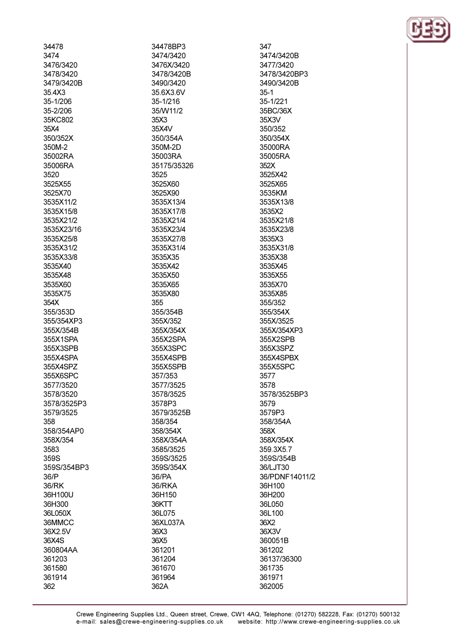| 34478       |
|-------------|
| 3474        |
| 3476/3420   |
| 3478/3420   |
| 3479/3420B  |
| 35.4X3      |
| 35-1/206    |
| 35-2/206    |
| 35KC802     |
| 35X4        |
| 350/352X    |
| 350M-2      |
|             |
| 35002RA     |
| 35006RA     |
| 3520        |
| 3525X55     |
| 3525X70     |
| 3535X11/2   |
| 3535X15/8   |
| 3535X21/2   |
| 3535X23/16  |
| 3535X25/8   |
| 3535X31/2   |
| 3535X33/8   |
| 3535X40     |
| 3535X48     |
|             |
| 3535X60     |
| 3535X75     |
| 354X        |
| 355/353D    |
| 355/354XP3  |
| 355X/354B   |
| 355X1SPA    |
| 355X3SPB    |
| 355X4SPA    |
| 355X4SPZ    |
| 355X6SPC    |
| 3577/3520   |
| 3578/3520   |
| 3578/3525P3 |
| 3579/3525   |
| 358         |
|             |
| 358/354AP0  |
| 358X/354    |
| 3583        |
| 359S        |
| 359S/354BP3 |
| 36/P        |
| 36/RK       |
| 36H100U     |
| 36H300      |
| 36L050X     |
| 36MMCC      |
| 36X2.5V     |
| 36X4S       |
| 360804AA    |
| 361203      |
| 361580      |
| 361914      |
|             |
| 362         |

34478BP3 3474/3420 3476X/3420 3478/3420B 3490/3420 35.6X3.6V  $35 - 1/216$ 35/W11/2 35X3 35X4V 350/354A 350M-2D 35003RA 35175/35326 3525 3525X60 3525X90 3535X13/4 3535X17/8 3535X21/4 3535X23/4 3535X27/8 3535X31/4 3535X35 3535X42 3535X50 3535X65 3535X80 355 355/354B 355X/352 355X/354X 355X2SPA 355X3SPC 355X4SPB 355X5SPB 357/353 3577/3525 3578/3525 3578P3 3579/3525B 358/354 358/354X 358X/354A 3585/3525 359S/3525 359S/354X 36/PA 36/RKA 36H150 36KTT 36L075 36XL037A 36X3 36X5 361201 361204 361670 361964 362A

347 3474/3420B 3477/3420 3478/3420BP3 3490/3420B  $35-1$  $35 - 1/221$ 35BC/36X 35X3V 350/352 350/354X 35000RA 35005RA 352X 3525X42 3525X65 3535KM 3535X13/8 3535X2 3535X21/8 3535X23/8 3535X3 3535X31/8 3535X38 3535X45 3535X55 3535X70 3535X85 355/352 355/354X 355X/3525 355X/354XP3 355X2SPB 355X3SPZ 355X4SPBX 355X5SPC 3577 3578 3578/3525BP3 3579 3579P3 358/354A 358X 358X/354X 359.3X5.7 359S/354B 36/LJT30 36/PDNF14011/2 36H100 36H200 36L050 36L100 36X2 36X3V 360051B 361202 36137/36300 361735 361971 362005

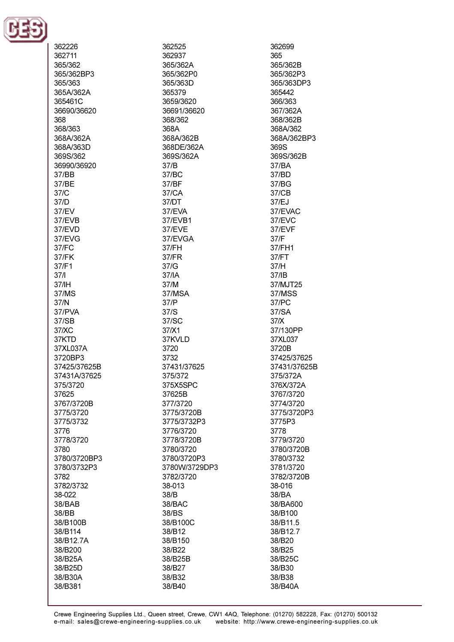

| 362226             |
|--------------------|
| 362711             |
| 365/362            |
| 365/362BP3         |
| 365/363            |
| 365A/362A          |
|                    |
| 365461C            |
| 36690/36620        |
| 368                |
| 368/363            |
| 368A/362A          |
| 368A/363D          |
| 369S/362           |
| 36990/36920        |
| 37/BB              |
| 37/BE              |
| 37/C               |
| 37/D               |
| 37/EV              |
| 37/EVB             |
| 37/EVD             |
| 37/EVG             |
| 37/FC              |
| 37/FK              |
|                    |
| 37/F1              |
| 37/I               |
| 37/IH              |
| 37/MS              |
| 37/N               |
| 37/PVA             |
| 37/SB              |
| 37/XC              |
| 37KTD              |
| 37XL037A           |
| 3720BP3            |
| 37425/37625B       |
| 37431A/37625       |
| 375/3720           |
| 37625              |
| 3767/3720B         |
| 3775/3720          |
| 3775/3732          |
|                    |
| 3776               |
| 3778/3720          |
| 3780               |
| 3780/3720BP3       |
| 3780/3732P3        |
| 3782               |
| 3782/3732          |
| 38-022             |
| 38/BAB             |
| 38/BB              |
| 38/B100B           |
| 38/B114            |
| 38/B12.7A          |
|                    |
|                    |
| 38/B200            |
| 38/B25A            |
| 38/B25D            |
| 38/B30A<br>38/B381 |

362525 362937 365/362A 365/362P0 365/363D 365379 3659/3620 36691/36620 368/362 368A 368A/362B 368DE/362A 369S/362A  $37/R$ 37/BC 37/BF 37/CA 37/DT 37/EVA 37/EVB1 37/EVE 37/EVGA 37/FH 37/FR  $37/G$ 37/IA 37/M 37/MSA 37/P  $37/S$ 37/SC 37/X1 37KVLD 3720 3732 37431/37625 375/372 375X5SPC 37625B 377/3720 3775/3720B 3775/3732P3 3776/3720 3778/3720B 3780/3720 3780/3720P3 3780W/3729DP3 3782/3720 38-013 38/B 38/BAC 38/BS 38/B100C 38/B12 38/B150 38/B22 38/B25B 38/B27 38/B32 38/B40

362699 365 365/362B 365/362P3 365/363DP3 365442 366/363 367/362A 368/362B 368A/362 368A/362BP3 369S 369S/362B  $37/RA$ 37/BD 37/BG 37/CB 37/EJ 37/EVAC 37/EVC 37/EVF  $37/F$ 37/FH1 37/FT  $37/H$  $37/IB$ 37/MJT25 37/MSS 37/PC 37/SA  $37/X$ 37/130PP 37XL037 3720B 37425/37625 37431/37625B 375/372A 376X/372A 3767/3720 3774/3720 3775/3720P3 3775P3 3778 3779/3720 3780/3720B 3780/3732 3781/3720 3782/3720B 38-016 38/BA 38/BA600 38/B100 38/B11.5 38/B12.7 38/B20 38/B25 38/B25C 38/B30 38/B38 38/B40A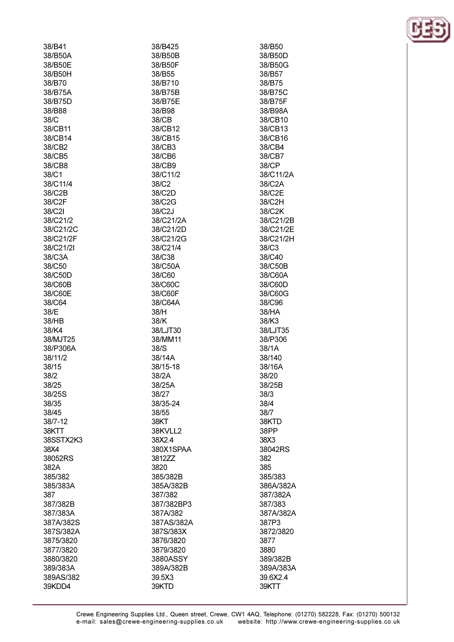| 38/B41    | 38/B425    | 38/B50    |
|-----------|------------|-----------|
| 38/B50A   | 38/B50B    | 38/B50D   |
| 38/B50E   | 38/B50F    | 38/B50G   |
| 38/B50H   | 38/B55     | 38/B57    |
| 38/B70    | 38/B710    | 38/B75    |
| 38/B75A   | 38/B75B    | 38/B75C   |
| 38/B75D   | 38/B75E    | 38/B75F   |
| 38/B88    | 38/B98     | 38/B98A   |
| 38/C      | 38/CB      | 38/CB10   |
| 38/CB11   | 38/CB12    | 38/CB13   |
| 38/CB14   | 38/CB15    | 38/CB16   |
|           | 38/CB3     | 38/CB4    |
| 38/CB2    |            |           |
| 38/CB5    | 38/CB6     | 38/CB7    |
| 38/CB8    | 38/CB9     | 38/CP     |
| 38/C1     | 38/C11/2   | 38/C11/2A |
| 38/C11/4  | 38/C2      | 38/C2A    |
| 38/C2B    | 38/C2D     | 38/C2E    |
| 38/C2F    | 38/C2G     | 38/C2H    |
| 38/C2I    | 38/C2J     | 38/C2K    |
| 38/C21/2  | 38/C21/2A  | 38/C21/2B |
| 38/C21/2C | 38/C21/2D  | 38/C21/2E |
| 38/C21/2F | 38/C21/2G  | 38/C21/2H |
| 38/C21/2I | 38/C21/4   | 38/C3     |
| 38/C3A    | 38/C38     | 38/C40    |
| 38/C50    | 38/C50A    | 38/C50B   |
| 38/C50D   | 38/C60     | 38/C60A   |
| 38/C60B   | 38/C60C    | 38/C60D   |
| 38/C60E   | 38/C60F    | 38/C60G   |
| 38/C64    | 38/C64A    | 38/C96    |
| 38/E      | 38/H       | 38/HA     |
| 38/HB     | 38/K       | 38/K3     |
| 38/K4     | 38/LJT30   | 38/LJT35  |
| 38/MJT25  | 38/MM11    | 38/P306   |
| 38/P306A  | 38/S       | 38/1A     |
|           |            |           |
| 38/11/2   | 38/14A     | 38/140    |
| 38/15     | 38/15-18   | 38/16A    |
| 38/2      | 38/2A      | 38/20     |
| 38/25     | 38/25A     | 38/25B    |
| 38/25S    | 38/27      | 38/3      |
| 38/35     | 38/35-24   | 38/4      |
| 38/45     | 38/55      | 38/7      |
| 38/7-12   | 38KT       | 38KTD     |
| 38KTT     | 38KVLL2    | 38PP      |
| 38SSTX2K3 | 38X2.4     | 38X3      |
| 38X4      | 380X1SPAA  | 38042RS   |
| 38052RS   | 3812ZZ     | 382       |
| 382A      | 3820       | 385       |
| 385/382   | 385/382B   | 385/383   |
| 385/383A  | 385A/382B  | 386A/382A |
| 387       | 387/382    | 387/382A  |
| 387/382B  | 387/382BP3 | 387/383   |
| 387/383A  | 387A/382   | 387A/382A |
| 387A/382S | 387AS/382A | 387P3     |
| 387S/382A | 387S/383X  | 3872/3820 |
| 3875/3820 | 3876/3820  | 3877      |
| 3877/3820 | 3879/3820  | 3880      |
| 3880/3820 | 3880ASSY   | 389/382B  |
|           |            |           |
| 389/383A  | 389A/382B  | 389A/383A |
| 389AS/382 | 39.5X3     | 39.6X2.4  |
| 39KDD4    | 39KTD      | 39KTT     |

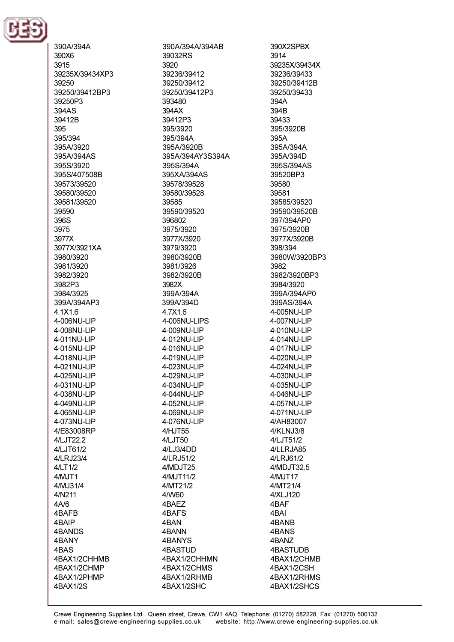

390A/394A 390X6 3915 39235X/39434XP3 39250 39250/39412BP3 39250P3 394AS 39412B 395 395/394 395A/3920 395A/394AS 395S/3920 395S/407508B 39573/39520 39580/39520 39581/39520 39590 396S 3975 3977X 3977X/3921XA 3980/3920 3981/3920 3982/3920 3982P3 3984/3925 399A/394AP3 4.1X1.6 4-006NU-LIP 4-008NU-LIP 4-011NU-LIP 4-015NU-LIP 4-018NU-LIP 4-021NU-LIP 4-025NU-LIP 4-031NU-LIP 4-038NU-LIP 4-049NU-LIP 4-065NU-LIP 4-073NU-LIP 4/E83008RP 4/LJT22.2 4/LJT61/2 4/LRJ23/4 4/LT1/2 4/MJT1 4/MJ31/4 4/N211  $4A/6$ 4BAFB 4BAIP 4BANDS 4BANY 4BAS 4BAX1/2CHHMB 4BAX1/2CHMP 4BAX1/2PHMP 4BAX1/2S

390A/394A/394AB 39032RS 3920 39236/39412 39250/39412 39250/39412P3 393480 394AX 39412P3 395/3920 395/394A 395A/3920B 395A/394AY3S394A 395S/394A 395XA/394AS 39578/39528 39580/39528 39585 39590/39520 396802 3975/3920 3977X/3920 3979/3920 3980/3920B 3981/3926 3982/3920B 3982X 399A/394A 399A/394D 4.7X1.6 4-006NU-LIPS 4-009NU-LIP 4-012NU-LIP 4-016NU-LIP 4-019NU-LIP 4-023NU-LIP 4-029NU-LIP 4-034NU-LIP 4-044NU-LIP 4-052NU-LIP 4-069NU-LIP 4-076NU-LIP 4/HJT55 4/LJT50 4/LJ3/4DD 4/LRJ51/2 4/MDJT25 4/MJT11/2 4/MT21/2 4/W60 4BAEZ 4BAFS 4BAN 4BANN 4BANYS **4BASTUD** 4BAX1/2CHHMN 4BAX1/2CHMS 4BAX1/2RHMB 4BAX1/2SHC

390X2SPBX 3914 39235X/39434X 39236/39433 39250/39412B 39250/39433 394A 394B 39433 395/3920B 395A 395A/394A 395A/394D 395S/394AS 39520BP3 39580 39581 39585/39520 39590/39520B 397/394AP0 3975/3920B 3977X/3920B 398/394 3980W/3920BP3 3982 3982/3920BP3 3984/3920 399A/394AP0 399AS/394A 4-005NU-LIP 4-007NU-LIP 4-010NU-LIP 4-014NU-LIP 4-017NU-LIP 4-020NU-LIP 4-024NU-LIP 4-030NU-LIP 4-035NU-LIP 4-046NU-LIP 4-057NU-LIP 4-071NU-LIP 4/AH83007 4/KLNJ3/8 4/LJT51/2 4/LLRJA85 4/LRJ61/2 4/MDJT32.5 4/MJT17 4/MT21/4 4/XLJ120 4BAF 4BAI 4BANB 4BANS 4BANZ **4BASTUDB** 4BAX1/2CHMB 4BAX1/2CSH 4BAX1/2RHMS 4BAX1/2SHCS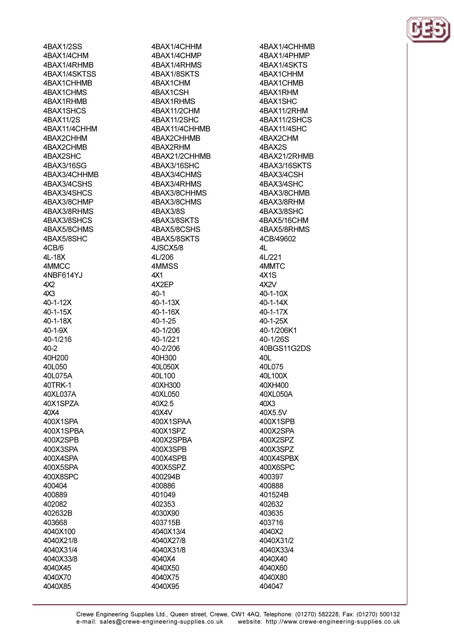4BAX1/2SS 4BAX1/4CHM 4RAX1/4RHMR 4BAX1/4SKTSS 4BAX1CHHMB 4BAX1CHMS 4RAX1RHMR 4BAX1SHCS 4BAX11/2S 4BAX11/4CHHM 4BAX2CHHM 4BAX2CHMB 4BAX2SHC 4BAX3/16SG 4BAX3/4CHHMB 4BAX3/4CSHS 4BAX3/4SHCS 4BAX3/8CHMP 4BAX3/8RHMS 4BAX3/8SHCS 4BAX5/8CHMS 4BAX5/8SHC 4CB/6  $4I - 18X$ 4MMCC 4NBF614YJ  $4X2$  $4X3$ 40-1-12X 40-1-15X 40-1-18X 40-1-9X 40-1/216  $40 - 2$ 40H200 40L050 40L075A 40TRK-1 40XL037A 40X1SPZA 40X4 400X1SPA 400X1SPBA 400X2SPB 400X3SPA 400X4SPA 400X5SPA 400X8SPC 400404 400889 402082 402632B 403668 4040X100 4040X21/8 4040X31/4 4040X33/8 4040X45 4040X70

4040X85

4BAX1/4CHHM 4BAX1/4CHMP 4RAX1/4RHMS 4BAX1/8SKTS 4BAX1CHM 4BAX1CSH 4RAX1RHMS 4BAX11/2CHM 4BAX11/2SHC 4BAX11/4CHHMB 4BAX2CHHMB 4BAX2RHM 4BAX21/2CHHMB 4RAX3/16SHC 4BAX3/4CHMS 4BAX3/4RHMS 4BAX3/8CHHMS 4BAX3/8CHMS 4BAX3/8S 4BAX3/8SKTS 4BAX5/8CSHS 4BAX5/8SKTS 4JSCX5/8 41/206 4MMSS 4X1 4X2EP  $40-1$ 40-1-13X 40-1-16X  $40 - 1 - 25$ 40-1/206 40-1/221 40-2/206 40H300 40L050X 40L100 40XH300 40XL050 40X2.5 40X4V 400X1SPAA 400X1SPZ 400X2SPBA 400X3SPB 400X4SPB 400X5SPZ 400294B 400886 401049 402353 4030X90 403715B 4040X13/4 4040X27/8 4040X31/8 4040X4 4040X50 4040X75 4040X95

4BAX1/4CHHMB 4BAX1/4PHMP 4RAX1/4SKTS 4BAX1CHHM 4BAX1CHMB 4BAX1RHM 4RAX1SHC 4BAX11/2RHM 4BAX11/2SHCS 4BAX11/4SHC 4BAX2CHM 4BAX2S 4BAX21/2RHMB 4RAX3/16SKTS 4BAX3/4CSH 4BAX3/4SHC 4BAX3/8CHMB 4BAX3/8RHM 4BAX3/8SHC 4BAX5/16CHM 4BAX5/8RHMS 4CB/49602  $\overline{4}$ 41/221 **4MMTC**  $4X1S$ 4X<sub>2</sub>V 40-1-10X  $40 - 1 - 14X$ 40-1-17X 40-1-25X 40-1/206K1 40-1/26S 40BGS11G2DS 40L 40L075 40L100X 40XH400 40XL050A 40X3 40X5.5V 400X1SPB 400X2SPA 400X2SPZ 400X3SPZ 400X4SPBX 400X6SPC 400397 400888 401524B 402632 403635 403716 4040X2 4040X31/2 4040X33/4 4040X40 4040X60 4040X80 404047

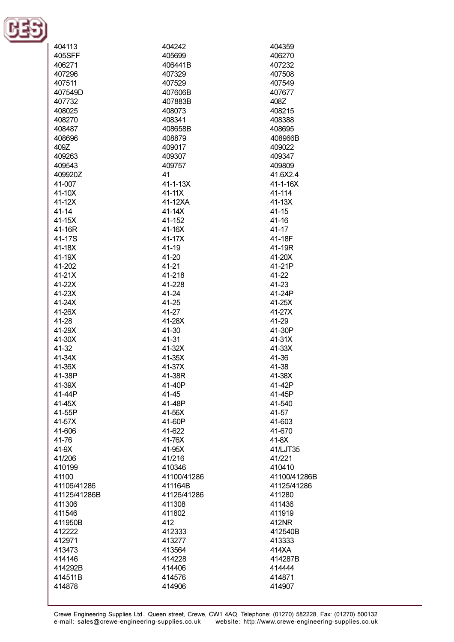

| 404113       | 404242         | 404359         |
|--------------|----------------|----------------|
|              |                |                |
| 405SFF       | 405699         | 406270         |
| 406271       | 406441B        | 407232         |
| 407296       | 407329         | 407508         |
| 407511       | 407529         | 407549         |
| 407549D      | 407606B        | 407677         |
| 407732       | 407883B        | 408Z           |
| 408025       | 408073         | 408215         |
| 408270       | 408341         | 408388         |
| 408487       | 408658B        | 408695         |
| 408696       | 408879         | 408966B        |
| 409Z         | 409017         | 409022         |
|              |                |                |
| 409263       | 409307         | 409347         |
| 409543       | 409757         | 409809         |
| 409920Z      | 41             | 41.6X2.4       |
| 41-007       | $41 - 1 - 13X$ | $41 - 1 - 16X$ |
| 41-10X       | 41-11X         | 41-114         |
| 41-12X       | 41-12XA        | 41-13X         |
| $41 - 14$    | $41-14X$       | $41 - 15$      |
| 41-15X       | 41-152         | $41 - 16$      |
| 41-16R       | 41-16X         | 41-17          |
| 41-17S       | 41-17X         | 41-18F         |
| 41-18X       | 41-19          | 41-19R         |
| 41-19X       | 41-20          | 41-20X         |
| 41-202       | 41-21          | 41-21P         |
| 41-21X       | 41-218         | 41-22          |
|              |                |                |
| 41-22X       | 41-228         | 41-23          |
| 41-23X       | 41-24          | 41-24P         |
| 41-24X       | 41-25          | 41-25X         |
| 41-26X       | 41-27          | 41-27X         |
| 41-28        | 41-28X         | 41-29          |
| 41-29X       | 41-30          | 41-30P         |
| 41-30X       | 41-31          | 41-31X         |
| 41-32        | 41-32X         | 41-33X         |
| 41-34X       | 41-35X         | 41-36          |
| 41-36X       | 41-37X         | 41-38          |
| 41-38P       | 41-38R         | 41-38X         |
| 41-39X       | 41-40P         | 41-42P         |
| 41-44P       | 41-45          | 41-45P         |
| 41-45X       | 41-48P         | 41-540         |
| 41-55P       | 41-56X         | 41-57          |
| 41-57X       | 41-60P         | 41-603         |
|              |                | 41-670         |
| 41-606       | 41-622         |                |
| 41-76        | 41-76X         | 41-8X          |
| 41-9X        | 41-95X         | 41/LJT35       |
| 41/206       | 41/216         | 41/221         |
| 410199       | 410346         | 410410         |
| 41100        | 41100/41286    | 41100/41286B   |
| 41106/41286  | 411164B        | 41125/41286    |
| 41125/41286B | 41126/41286    | 411280         |
| 411306       | 411308         | 411436         |
| 411546       | 411802         | 411919         |
| 411950B      | 412            | 412NR          |
| 412222       | 412333         | 412540B        |
| 412971       | 413277         | 413333         |
| 413473       | 413564         | 414XA          |
| 414146       | 414228         | 414287B        |
| 414292B      | 414406         | 414444         |
|              |                |                |
| 414511B      | 414576         | 414871         |
| 414878       | 414906         | 414907         |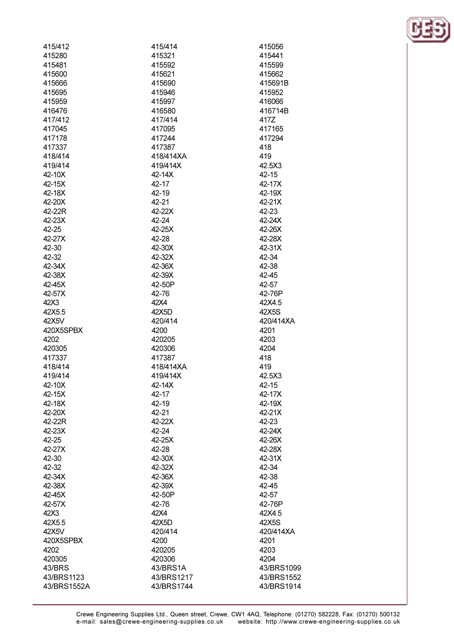| 415/412     | 415/414    | 415056     |
|-------------|------------|------------|
| 415280      | 415321     | 415441     |
| 415481      | 415592     | 415599     |
| 415600      | 415621     | 415662     |
| 415666      | 415690     | 415691B    |
| 415695      | 415946     | 415952     |
| 415959      | 415997     | 416066     |
| 416476      | 416580     | 416714B    |
| 417/412     | 417/414    | 417Z       |
| 417045      | 417095     | 417165     |
| 417178      | 417244     | 417294     |
| 417337      | 417387     | 418        |
| 418/414     | 418/414XA  | 419        |
| 419/414     | 419/414X   | 42.5X3     |
| 42-10X      | 42-14X     | $42 - 15$  |
| 42-15X      | 42-17      | 42-17X     |
| 42-18X      | 42-19      | 42-19X     |
| 42-20X      | 42-21      | 42-21X     |
| 42-22R      | 42-22X     | 42-23      |
| 42-23X      | 42-24      | 42-24X     |
|             |            |            |
| 42-25       | 42-25X     | 42-26X     |
| 42-27X      | 42-28      | 42-28X     |
| 42-30       | 42-30X     | 42-31X     |
| 42-32       | 42-32X     | 42-34      |
| 42-34X      | 42-36X     | 42-38      |
| 42-38X      | 42-39X     | 42-45      |
| 42-45X      | 42-50P     | 42-57      |
| 42-57X      | 42-76      | 42-76P     |
| 42X3        | 42X4       | 42X4.5     |
| 42X5.5      | 42X5D      | 42X5S      |
| 42X5V       | 420/414    | 420/414XA  |
| 420X5SPBX   | 4200       | 4201       |
| 4202        | 420205     | 4203       |
| 420305      | 420306     | 4204       |
| 417337      | 417387     | 418        |
| 418/414     | 418/414XA  | 419        |
| 419/414     | 419/414X   | 42.5X3     |
| 42-10X      | 42-14X     | 42-15      |
| 42-15X      | 42-17      | 42-17X     |
| 42-18X      | 42-19      | 42-19X     |
| 42-20X      | 42-21      | 42-21X     |
| 42-22R      | 42-22X     | 42-23      |
| 42-23X      | 42-24      | 42-24X     |
| 42-25       | 42-25X     | 42-26X     |
| 42-27X      | 42-28      | 42-28X     |
| 42-30       | 42-30X     | 42-31X     |
| 42-32       | 42-32X     | 42-34      |
| 42-34X      | 42-36X     | 42-38      |
| 42-38X      | 42-39X     | 42-45      |
| 42-45X      | 42-50P     | 42-57      |
| 42-57X      | 42-76      | 42-76P     |
| 42X3        | 42X4       | 42X4.5     |
| 42X5.5      | 42X5D      | 42X5S      |
| 42X5V       | 420/414    | 420/414XA  |
| 420X5SPBX   | 4200       | 4201       |
| 4202        | 420205     | 4203       |
| 420305      | 420306     | 4204       |
| 43/BRS      | 43/BRS1A   | 43/BRS1099 |
| 43/BRS1123  | 43/BRS1217 | 43/BRS1552 |
| 43/BRS1552A | 43/BRS1744 | 43/BRS1914 |
|             |            |            |

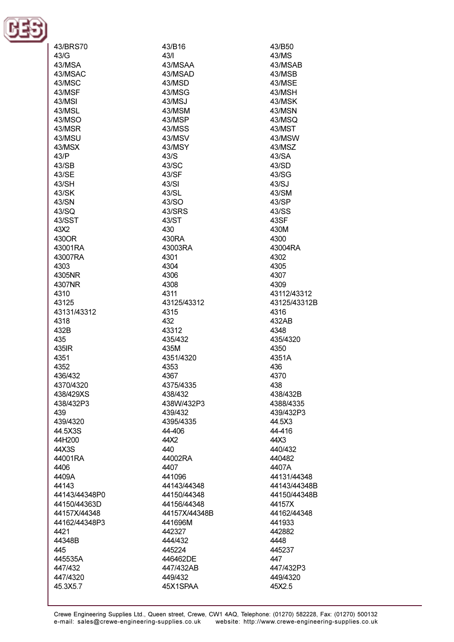

| 43/BRS70      | 43/B16            | 43/B50        |
|---------------|-------------------|---------------|
| 43/G          | 43/1              | 43/MS         |
| 43/MSA        | 43/MSAA           | 43/MSAB       |
| 43/MSAC       | 43/MSAD           | 43/MSB        |
| 43/MSC        | 43/MSD            | 43/MSE        |
| 43/MSF        | 43/MSG            | 43/MSH        |
| 43/MSI        | 43/MSJ            | 43/MSK        |
| 43/MSL        | 43/MSM            | 43/MSN        |
| 43/MSO        | 43/MSP            | 43/MSQ        |
| 43/MSR        | 43/MSS            | 43/MST        |
| 43/MSU        | 43/MSV            | 43/MSW        |
| 43/MSX        | 43/MSY            | 43/MSZ        |
| 43/P          | 43/S              | 43/SA         |
| 43/SB         | 43/SC             | 43/SD         |
| 43/SE         | 43/SF             | 43/SG         |
| 43/SH         | 43/SI             | 43/SJ         |
| 43/SK         | 43/SL             | 43/SM         |
| 43/SN         | 43/SO             | 43/SP         |
| 43/SQ         | 43/SRS            | 43/SS         |
| 43/SST        | 43/ST             | 43SF          |
| 43X2          | 430               | 430M          |
| 430OR         | 430RA             | 4300          |
| 43001RA       | 43003RA           | 43004RA       |
| 43007RA       | 4301              | 4302          |
| 4303          | 4304              | 4305          |
| 4305NR        | 4306              | 4307          |
| 4307NR        | 4308              | 4309          |
| 4310          | 4311              | 43112/43312   |
| 43125         | 43125/43312       | 43125/43312B  |
| 43131/43312   | 4315              | 4316          |
| 4318          | 432               | 432AB         |
| 432B          | 43312             | 4348          |
| 435           | 435/432           | 435/4320      |
| 435IR<br>4351 | 435M<br>4351/4320 | 4350<br>4351A |
| 4352          | 4353              | 436           |
| 436/432       | 4367              | 4370          |
| 4370/4320     | 4375/4335         | 438           |
| 438/429XS     | 438/432           | 438/432B      |
| 438/432P3     | 438W/432P3        | 4388/4335     |
| 439           | 439/432           | 439/432P3     |
| 439/4320      | 4395/4335         | 44.5X3        |
| 44.5X3S       | 44-406            | 44-416        |
| 44H200        | 44X2              | 44X3          |
| 44X3S         | 440               | 440/432       |
| 44001RA       | 44002RA           | 440482        |
| 4406          | 4407              | 4407A         |
| 4409A         | 441096            | 44131/44348   |
| 44143         | 44143/44348       | 44143/44348B  |
| 44143/44348P0 | 44150/44348       | 44150/44348B  |
| 44150/44363D  | 44156/44348       | 44157X        |
| 44157X/44348  | 44157X/44348B     | 44162/44348   |
| 44162/44348P3 | 441696M           | 441933        |
| 4421          | 442327            | 442882        |
| 44348B        | 444/432           | 4448          |
| 445           | 445224            | 445237        |
| 445535A       | 446462DE          | 447           |
| 447/432       | 447/432AB         | 447/432P3     |
| 447/4320      | 449/432           | 449/4320      |
| 45.3X5.7      | 45X1SPAA          | 45X2.5        |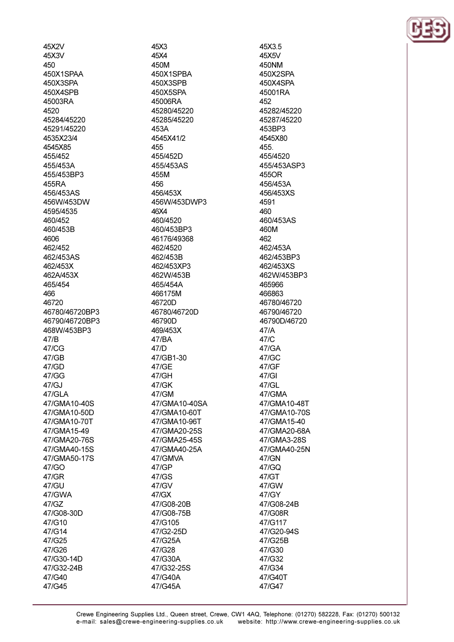45X2V 45X3V 450 450X1SPAA 450X3SPA 450X4SPB 45003RA 4520 45284/45220 45291/45220 4535X23/4 4545X85 455/452 455/453A 455/453BP3 455RA 456/453AS 456W/453DW 4595/4535 460/452 460/453B 4606 462/452 462/453AS 462/453X 462A/453X 465/454 466 46720 46780/46720BP3 46790/46720BP3 468W/453BP3 47/B 47/CG  $47/GB$ 47/GD 47/GG 47/GJ  $47/GI$  A 47/GMA10-40S 47/GMA10-50D 47/GMA10-70T 47/GMA15-49 47/GMA20-76S 47/GMA40-15S 47/GMA50-17S 47/GO 47/GR 47/GU 47/GWA 47/GZ 47/G08-30D 47/G10 47/G14 47/G25 47/G26 47/G30-14D 47/G32-24B 47/G40

47/G45

45X3 45X4 450M 450X1SPBA 450X3SPB 450X5SPA 45006RA 45280/45220 45285/45220 453A 4545X41/2 455 455/452D 455/453AS 455M 456 456/453X 456W/453DWP3 46X4 460/4520 460/453BP3 46176/49368 462/4520 462/453B 462/453XP3 462W/453B 465/454A 466175M 46720D 46780/46720D 46790D 469/453X 47/BA 47/D 47/GB1-30 47/GE 47/GH 47/GK 47/GM 47/GMA10-40SA 47/GMA10-60T 47/GMA10-96T 47/GMA20-25S 47/GMA25-45S 47/GMA40-25A 47/GMVA 47/GP 47/GS 47/GV 47/GX 47/G08-20B 47/G08-75B 47/G105 47/G2-25D 47/G25A 47/G28 47/G30A 47/G32-25S 47/G40A 47/G45A

45X3.5 45X5V **450NM** 450X2SPA 450X4SPA 45001RA 452 45282/45220 45287/45220 453BP3 4545X80 455. 455/4520 455/453ASP3 455OR 456/453A 456/453XS 4591 460 460/453AS 460M  $462$ 462/453A 462/453BP3 462/453XS 462W/453BP3 465966 466863 46780/46720 46790/46720 46790D/46720  $47/A$ 47/C 47/GA  $47/GC$ 47/GF 47/GI 47/GL 47/GMA 47/GMA10-48T 47/GMA10-70S 47/GMA15-40 47/GMA20-68A 47/GMA3-28S 47/GMA40-25N 47/GN 47/GQ 47/GT 47/GW 47/GY 47/G08-24B 47/G08R 47/G117 47/G20-94S 47/G25B 47/G30 47/G32 47/G34 47/G40T 47/G47

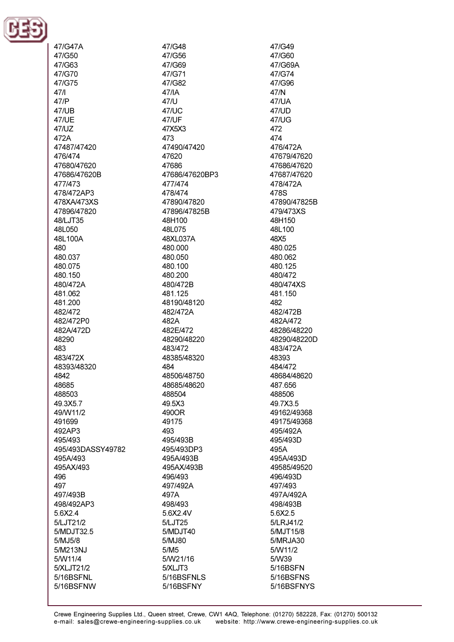

47/G47A 47/G50  $47/GB3$ 47/G70 47/G75  $47/1$  $47/P$ **47/UB 47/UE** 47/UZ 472A 47487/47420 476/474 47680/47620 47686/47620B 477/473 478/472AP3 478XA/473XS 47896/47820 48/LJT35 48L050 48L100A 480 480.037 480.075 480.150 480/472A 481.062 481.200 482/472 482/472P0 482A/472D 48290 483 483/472X 48393/48320 4842 48685 488503 49.3X5.7 49/W11/2 491699 492AP3 495/493 495/493DASSY49782 495A/493 495AX/493 496 497 497/493B 498/492AP3 5.6X2.4 5/LJT21/2 5/MDJT32.5 5/MJ5/8 5/M213NJ 5/W11/4 5/XLJT21/2 5/16BSFNL 5/16BSFNW

47/G48 47/G56  $47/G69$ 47/G71 47/G82 47/IA  $47/l$ 47/UC 47/UF 47X5X3 473 47490/47420 47620 47686 47686/47620BP3 477/474 478/474 47890/47820 47896/47825B 48H100 48L075 48XL037A 480.000 480.050 480 100 480.200 480/472B 481.125 48190/48120 482/472A 482A 482E/472 48290/48220 483/472 48385/48320 484 48506/48750 48685/48620 488504 49.5X3 490OR 49175 493 495/493B 495/493DP3 495A/493B 495AX/493B 496/493 497/492A 497A 498/493 5.6X2.4V 5/LJT25 5/MDJT40 5/MJ80  $5/M5$ 5/W21/16 5/XLJT3 5/16BSFNLS 5/16BSFNY

47/G49 47/G60 47/G69A 47/G74 47/G96 47/N 47/UA **47/UD** 47/UG 472 474 476/472A 47679/47620 47686/47620 47687/47620 478/472A 478S 47890/47825B 479/473XS 48H150 48L100 48X5 480.025 480.062 480 125 480/472 480/474XS 481.150 482 482/472B 482A/472 48286/48220 48290/48220D 483/472A 48393 484/472 48684/48620 487.656 488506 49.7X3.5 49162/49368 49175/49368 495/492A 495/493D 495A 495A/493D 49585/49520 496/493D 497/493 497A/492A 498/493B 5.6X2.5 5/LRJ41/2 5/MJT15/8 5/MRJA30 5/W11/2 5/W39 5/16BSFN 5/16BSFNS 5/16BSFNYS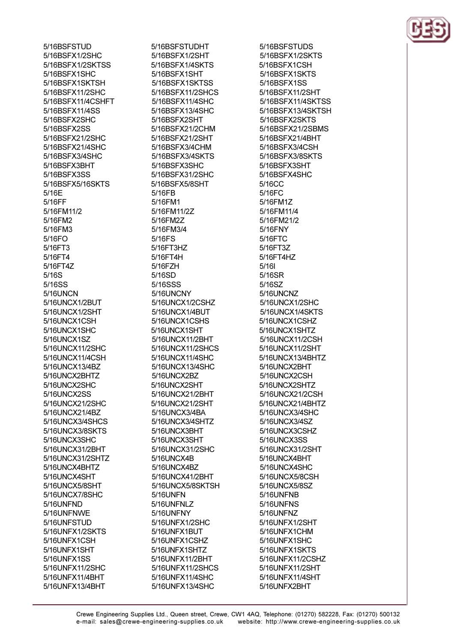5/16BSFSTUD 5/16BSFX1/2SHC 5/16BSFX1/2SKTSS 5/16BSFX1SHC 5/16BSFX1SKTSH 5/16BSFX11/2SHC 5/16BSFX11/4CSHFT 5/16BSFX11/4SS 5/16BSFX2SHC 5/16BSFX2SS 5/16BSFX21/2SHC 5/16BSFX21/4SHC 5/16BSFX3/4SHC 5/16BSFX3BHT 5/16BSFX3SS 5/16BSFX5/16SKTS 5/16E 5/16FF 5/16FM11/2 5/16FM2 5/16FM3  $5/16FO$ 5/16FT3 5/16FT4 5/16FT4Z 5/16S 5/16SS 5/16UNCN 5/16UNCX1/2BUT 5/16UNCX1/2SHT 5/16UNCX1CSH 5/16UNCX1SHC 5/16UNCX1SZ 5/16UNCX11/2SHC 5/16UNCX11/4CSH 5/16UNCX13/4BZ 5/16UNCX2BHTZ 5/16UNCX2SHC 5/16UNCX2SS 5/16UNCX21/2SHC 5/16UNCX21/4BZ 5/16UNCX3/4SHCS 5/16UNCX3/8SKTS 5/16UNCX3SHC 5/16UNCX31/2BHT 5/16UNCX31/2SHTZ 5/16UNCX4BHTZ 5/16UNCX4SHT 5/16UNCX5/8SHT 5/16UNCX7/8SHC 5/16UNFND 5/16UNFNWE 5/16UNFSTUD 5/16UNFX1/2SKTS 5/16UNFX1CSH 5/16UNFX1SHT 5/16UNFX1SS 5/16UNFX11/2SHC 5/16UNFX11/4BHT 5/16UNFX13/4BHT

5/16BSFSTUDHT 5/16BSFX1/2SHT 5/16BSFX1/4SKTS 5/16BSFX1SHT 5/16BSFX1SKTSS 5/16BSFX11/2SHCS 5/16BSFX11/4SHC 5/16BSFX13/4SHC 5/16BSFX2SHT 5/16BSFX21/2CHM 5/16BSFX21/2SHT 5/16BSFX3/4CHM 5/16BSFX3/4SKTS 5/16BSEX3SHC 5/16BSFX31/2SHC 5/16BSFX5/8SHT 5/16FB 5/16FM1 5/16FM11/2Z 5/16FM2Z 5/16FM3/4 5/16FS 5/16FT3HZ 5/16FT4H 5/16F7H 5/16SD 5/16SSS 5/16UNCNY 5/16UNCX1/2CSHZ 5/16UNCX1/4BUT 5/16UNCX1CSHS 5/16UNCX1SHT 5/16UNCX11/2BHT 5/16UNCX11/2SHCS 5/16UNCX11/4SHC 5/16UNCX13/4SHC 5/16UNCX2BZ 5/16UNCX2SHT 5/16UNCX21/2BHT 5/16UNCX21/2SHT 5/16UNCX3/4BA 5/16UNCX3/4SHTZ 5/16UNCX3BHT 5/16UNCX3SHT 5/16UNCX31/2SHC 5/16UNCX4B 5/16UNCX4BZ 5/16UNCX41/2BHT 5/16UNCX5/8SKTSH 5/16UNFN 5/16UNFNLZ 5/16UNFNY 5/16UNFX1/2SHC 5/16UNFX1BUT 5/16UNFX1CSHZ 5/16UNFX1SHTZ 5/16UNFX11/2BHT 5/16UNFX11/2SHCS 5/16UNFX11/4SHC 5/16UNFX13/4SHC

5/16BSFSTUDS 5/16BSFX1/2SKTS 5/16BSFX1CSH 5/16BSFX1SKTS 5/16BSFX1SS 5/16BSFX11/2SHT 5/16BSFX11/4SKTSS 5/16BSFX13/4SKTSH 5/16BSFX2SKTS 5/16BSFX21/2SBMS 5/16BSFX21/4BHT 5/16BSFX3/4CSH 5/16BSFX3/8SKTS 5/16BSFX3SHT 5/16BSFX4SHC 5/16CC 5/16FC 5/16FM1Z 5/16FM11/4 5/16FM21/2 5/16FNY 5/16FTC 5/16FT3Z 5/16FT4HZ  $5/161$ 5/16SR 5/16SZ 5/16UNCNZ 5/16UNCX1/2SHC 5/16UNCX1/4SKTS 5/16UNCX1CSHZ 5/16UNCX1SHTZ 5/16UNCX11/2CSH 5/16UNCX11/2SHT 5/16UNCX13/4BHTZ 5/16UNCX2BHT 5/16UNCX2CSH 5/16UNCX2SHTZ 5/16UNCX21/2CSH 5/16UNCX21/4BHTZ 5/16UNCX3/4SHC 5/16UNCX3/4SZ 5/16UNCX3CSHZ 5/16UNCX3SS 5/16UNCX31/2SHT 5/16UNCX4BHT 5/16UNCX4SHC 5/16UNCX5/8CSH 5/16UNCX5/8SZ 5/16UNFNB 5/16UNFNS 5/16UNFNZ 5/16UNFX1/2SHT 5/16UNFX1CHM 5/16UNFX1SHC 5/16UNFX1SKTS 5/16UNFX11/2CSHZ 5/16UNFX11/2SHT 5/16UNFX11/4SHT 5/16UNFX2BHT

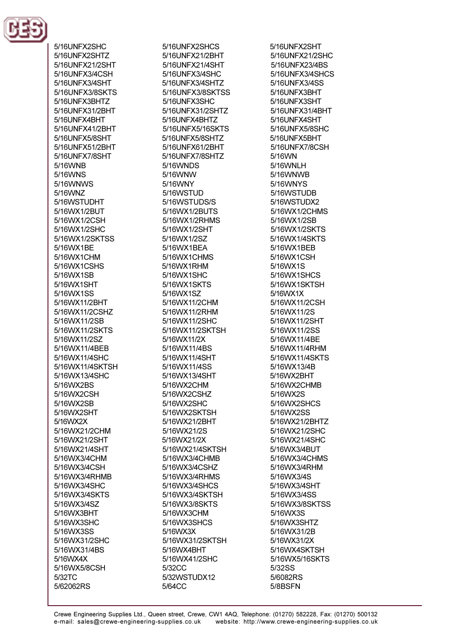

5/16UNFX2SHC 5/16UNFX2SHTZ 5/16LINEX21/2SHT 5/16UNFX3/4CSH 5/16UNFX3/4SHT 5/16UNFX3/8SKTS 5/16UNFX3BHTZ 5/16UNFX31/2BHT 5/16UNFX4BHT 5/16UNFX41/2BHT 5/16UNFX5/8SHT 5/16UNFX51/2BHT 5/16UNFX7/8SHT 5/16WNR 5/16WNS 5/16WNWS 5/16WNZ 5/16WSTUDHT 5/16WX1/2BUT 5/16WX1/2CSH 5/16WX1/2SHC 5/16WX1/2SKTSS 5/16WX1BE 5/16WX1CHM 5/16WX1CSHS 5/16WX1SB 5/16WX1SHT 5/16WX1SS 5/16WX11/2BHT 5/16WX11/2CSHZ 5/16WX11/2SB 5/16WX11/2SKTS 5/16WX11/2SZ 5/16WX11/4BEB 5/16WX11/4SHC 5/16WX11/4SKTSH 5/16WX13/4SHC 5/16WX2BS 5/16WX2CSH 5/16WX2SB 5/16WX2SHT 5/16WX2X 5/16WX21/2CHM 5/16WX21/2SHT 5/16WX21/4SHT 5/16WX3/4CHM 5/16WX3/4CSH 5/16WX3/4RHMB 5/16WX3/4SHC 5/16WX3/4SKTS 5/16WX3/4SZ 5/16WX3BHT 5/16WX3SHC 5/16WX3SS 5/16WX31/2SHC 5/16WX31/4BS 5/16WX4X 5/16WX5/8CSH 5/32TC 5/62062RS

5/16UNFX2SHCS 5/16UNFX21/2BHT 5/16UNFX21/4SHT 5/16UNFX3/4SHC 5/16UNFX3/4SHTZ 5/16UNFX3/8SKTSS 5/16UNFX3SHC 5/16UNFX31/2SHTZ 5/16UNFX4BHTZ 5/16UNFX5/16SKTS 5/16UNFX5/8SHTZ 5/16UNFX61/2BHT 5/16UNFX7/8SHTZ 5/16WNDS 5/16WNW 5/16WNY 5/16WSTUD 5/16WSTUDS/S 5/16WX1/2BUTS 5/16WX1/2RHMS 5/16WX1/2SHT 5/16WX1/2SZ 5/16WX1BEA 5/16WX1CHMS 5/16WX1RHM 5/16WX1SHC 5/16WX1SKTS 5/16WX1SZ 5/16WX11/2CHM 5/16WX11/2RHM 5/16WX11/2SHC 5/16WX11/2SKTSH 5/16WX11/2X 5/16WX11/4BS 5/16WX11/4SHT 5/16WX11/4SS 5/16WX13/4SHT 5/16WX2CHM 5/16WX2CSHZ 5/16WX2SHC 5/16WX2SKTSH 5/16WX21/2BHT 5/16WX21/2S 5/16WX21/2X 5/16WX21/4SKTSH 5/16WX3/4CHMB 5/16WX3/4CSHZ 5/16WX3/4RHMS 5/16WX3/4SHCS 5/16WX3/4SKTSH 5/16WX3/8SKTS 5/16WX3CHM 5/16WX3SHCS 5/16WX3X 5/16WX31/2SKTSH 5/16WX4BHT 5/16WX41/2SHC 5/32CC 5/32WSTUDX12 5/64CC

5/16UNFX2SHT 5/16UNFX21/2SHC 5/16LINEX23/4BS 5/16UNFX3/4SHCS 5/16UNFX3/4SS 5/16UNFX3BHT 5/16UNFX3SHT 5/16UNFX31/4BHT 5/16UNFX4SHT 5/16UNFX5/8SHC 5/16UNFX5BHT 5/16UNFX7/8CSH 5/16WN 5/16WNI H 5/16WNWB 5/16WNYS 5/16WSTUDB 5/16WSTUDX2 5/16WX1/2CHMS 5/16WX1/2SB 5/16WX1/2SKTS 5/16WX1/4SKTS 5/16WX1BEB 5/16WX1CSH 5/16WX1S 5/16WX1SHCS 5/16WX1SKTSH 5/16WX1X 5/16WX11/2CSH 5/16WX11/2S 5/16WX11/2SHT 5/16WX11/2SS 5/16WX11/4BE 5/16WX11/4RHM 5/16WX11/4SKTS 5/16WX13/4B 5/16WX2BHT 5/16WX2CHMB 5/16WX2S 5/16WX2SHCS 5/16WX2SS 5/16WX21/2BHTZ 5/16WX21/2SHC 5/16WX21/4SHC 5/16WX3/4BUT 5/16WX3/4CHMS 5/16WX3/4RHM 5/16WX3/4S 5/16WX3/4SHT 5/16WX3/4SS 5/16WX3/8SKTSS 5/16WX3S 5/16WX3SHTZ 5/16WX31/2B 5/16WX31/2X 5/16WX4SKTSH 5/16WX5/16SKTS 5/32SS 5/6082RS 5/8BSFN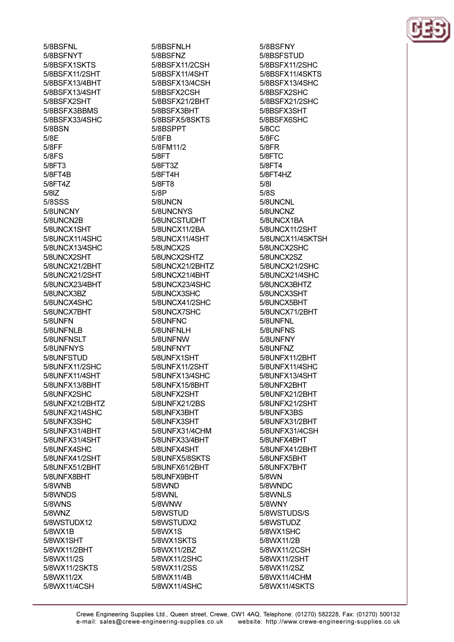5/8BSFNL 5/8BSFNYT 5/8BSEX1SKTS 5/8BSFX11/2SHT 5/8BSFX13/4BHT 5/8BSFX13/4SHT 5/8BSFX2SHT 5/8BSFX3BBMS 5/8BSFX33/4SHC **5/8BSN**  $5/8F$ 5/8FF  $5/8FS$ 5/8FT3 5/8FT4B 5/8FT4Z  $5/8$ IZ 5/8SSS 5/8UNCNY 5/8UNCN2B 5/8UNCX1SHT 5/8UNCX11/4SHC 5/8UNCX13/4SHC 5/8UNCX2SHT 5/8UNCX21/2BHT 5/8UNCX21/2SHT 5/8UNCX23/4BHT 5/8UNCX3BZ 5/8UNCX4SHC 5/8UNCX7BHT 5/8UNFN 5/8UNFNLB 5/8UNFNSLT 5/8UNFNYS 5/8UNFSTUD 5/8UNFX11/2SHC 5/8UNFX11/4SHT 5/8UNFX13/8BHT 5/8UNFX2SHC 5/8UNFX21/2BHTZ 5/8UNFX21/4SHC 5/8UNFX3SHC 5/8UNFX31/4BHT 5/8UNFX31/4SHT 5/8UNFX4SHC 5/8UNFX41/2SHT 5/8UNFX51/2BHT 5/8UNFX8BHT 5/8WNB 5/8WNDS 5/8WNS 5/8WNZ 5/8WSTUDX12 5/8WX1B 5/8WX1SHT 5/8WX11/2BHT 5/8WX11/2S 5/8WX11/2SKTS 5/8WX11/2X 5/8WX11/4CSH

5/8BSFNLH 5/8BSFNZ 5/8BSEX11/2CSH 5/8BSFX11/4SHT 5/8BSFX13/4CSH 5/8BSFX2CSH 5/8BSFX21/2BHT 5/8BSFX3BHT 5/8BSFX5/8SKTS 5/8BSPPT 5/8FB 5/8FM11/2 5/8FT 5/8FT37 5/8FT4H 5/8FT8  $5/8P$ 5/8UNCN 5/8UNCNYS 5/8UNCSTUDHT 5/8UNCX11/2BA 5/8UNCX11/4SHT 5/8UNCX2S 5/8UNCX2SHTZ 5/8UNCX21/2BHTZ 5/8UNCX21/4BHT 5/8UNCX23/4SHC 5/8UNCX3SHC 5/8UNCX41/2SHC 5/8UNCX7SHC 5/8UNFNC 5/8UNFNLH 5/8UNFNW 5/8UNFNYT 5/8UNFX1SHT 5/8UNFX11/2SHT 5/8UNFX13/4SHC 5/8UNFX15/8BHT 5/8UNFX2SHT 5/8UNFX21/2BS 5/8UNFX3BHT 5/8UNFX3SHT 5/8UNFX31/4CHM 5/8UNFX33/4BHT 5/8UNFX4SHT 5/8UNFX5/8SKTS 5/8UNFX61/2BHT 5/8UNFX9BHT 5/8WND 5/8WNL 5/8WNW 5/8WSTUD 5/8WSTUDX2 5/8WX1S 5/8WX1SKTS 5/8WX11/2BZ 5/8WX11/2SHC 5/8WX11/2SS 5/8WX11/4B 5/8WX11/4SHC

5/8BSFNY 5/8BSFSTUD 5/8BSFX11/2SHC 5/8BSFX11/4SKTS 5/8BSFX13/4SHC 5/8BSFX2SHC 5/8BSFX21/2SHC 5/8BSFX3SHT 5/8BSFX6SHC 5/8CC  $5/8FC$ 5/8FR 5/8FTC 5/8FT4 5/8FT4HZ  $5/81$  $5/8S$ 5/8UNCNL 5/8UNCNZ 5/8UNCX1BA 5/8UNCX11/2SHT 5/8UNCX11/4SKTSH 5/8UNCX2SHC 5/8UNCX2SZ 5/8UNCX21/2SHC 5/8UNCX21/4SHC 5/8UNCX3BHTZ 5/8UNCX3SHT 5/8UNCX5BHT 5/8UNCX71/2BHT 5/8UNFNL 5/8UNFNS 5/8UNFNY 5/8UNFNZ 5/8UNFX11/2BHT 5/8UNFX11/4SHC 5/8UNFX13/4SHT 5/8UNFX2BHT 5/8UNFX21/2BHT 5/8UNFX21/2SHT 5/8UNFX3BS 5/8UNFX31/2BHT 5/8UNFX31/4CSH 5/8UNFX4BHT 5/8UNFX41/2BHT 5/8UNFX5BHT 5/8UNFX7BHT 5/8WN 5/8WNDC 5/8WNLS 5/8WNY 5/8WSTUDS/S 5/8WSTUDZ 5/8WX1SHC 5/8WX11/2B 5/8WX11/2CSH 5/8WX11/2SHT 5/8WX11/2SZ 5/8WX11/4CHM 5/8WX11/4SKTS

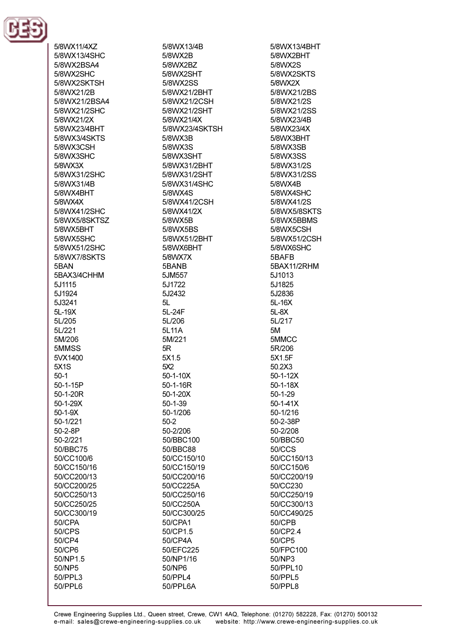

5/8WX11/4XZ 5/8WX13/4SHC 5/8WX2RSA4 5/8WX2SHC 5/8WX2SKTSH 5/8WX21/2B 5/8WX21/2BSA4 5/8WX21/2SHC 5/8WX21/2X 5/8WX23/4BHT 5/8WX3/4SKTS 5/8WX3CSH 5/8WX3SHC 5/8WX3X 5/8WX31/2SHC 5/8WX31/4B 5/8WX4BHT 5/8WX4X 5/8WX41/2SHC 5/8WX5/8SKTSZ 5/8WX5BHT 5/8WX5SHC 5/8WX51/2SHC 5/8WX7/8SKTS 5RAN 5BAX3/4CHHM 5J1115 5J1924 5J3241 5L-19X 5L/205 5L/221 5M/206 5MMSS 5VX1400 **5X1S**  $50-1$ 50-1-15P 50-1-20R 50-1-29X  $50 - 1 - 9X$ 50-1/221  $50 - 2 - 8P$ 50-2/221 50/BBC75 50/CC100/6 50/CC150/16 50/CC200/13 50/CC200/25 50/CC250/13 50/CC250/25 50/CC300/19 50/CPA 50/CPS 50/CP4 50/CP6 50/NP1.5 50/NP5 50/PPL3 50/PPL6

5/8WX13/4B 5/8WX2B 5/8WX2R7 5/8WX2SHT 5/8WX2SS 5/8WX21/2BHT 5/8WX21/2CSH 5/8WX21/2SHT 5/8WX21/4X 5/8WX23/4SKTSH 5/8WX3B 5/8WX3S 5/8WX3SHT 5/8WX31/2RHT 5/8WX31/2SHT 5/8WX31/4SHC 5/8WX4S 5/8WX41/2CSH 5/8WX41/2X 5/8WX5B 5/8WX5BS 5/8WX51/2BHT 5/8WX6BHT 5/8WX7X 5BANB 5JM557 5J1722 5J2432  $5L$ 5L-24F 5L/206 5L11A 5M/221  $5R$ 5X1.5 5X2  $50 - 1 - 10X$ 50-1-16R 50-1-20X  $50 - 1 - 39$ 50-1/206  $50-2$ 50-2/206 50/BBC100 50/BBC88 50/CC150/10 50/CC150/19 50/CC200/16 50/CC225A 50/CC250/16 50/CC250A 50/CC300/25 50/CPA1 50/CP1.5 50/CP4A 50/EFC225 50/NP1/16 50/NP6 50/PPL4 50/PPL6A

5/8WX13/4BHT 5/8WX2BHT 5/8WX2S 5/8WX2SKTS 5/8WX2X 5/8WX21/2BS 5/8WX21/2S 5/8WX21/2SS 5/8WX23/4B 5/8WX23/4X 5/8WX3BHT 5/8WX3SB 5/8WX3SS 5/8WX31/2S 5/8WX31/2SS 5/8WX4B 5/8WX4SHC 5/8WX41/2S 5/8WX5/8SKTS 5/8WX5BBMS 5/8WX5CSH 5/8WX51/2CSH 5/8WX6SHC 5BAFR 5BAX11/2RHM 5J1013 5J1825 5J2836 5L-16X  $5L-8X$ 5L/217 5M 5MMCC 5R/206 5X1.5F 50.2X3  $50 - 1 - 12X$  $50 - 1 - 18X$  $50 - 1 - 29$  $50 - 1 - 41X$ 50-1/216 50-2-38P 50-2/208 50/BBC50 50/CCS 50/CC150/13 50/CC150/6 50/CC200/19 50/CC230 50/CC250/19 50/CC300/13 50/CC490/25 50/CPB 50/CP2.4 50/CP5 50/FPC100 50/NP3 50/PPL10 50/PPL5 50/PPL8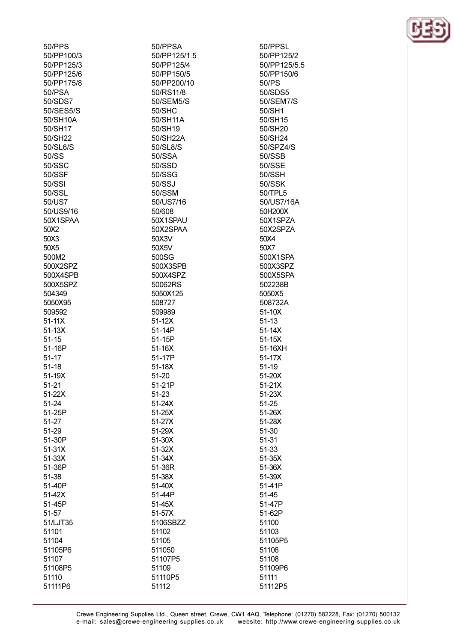| 50/PPS     | 50/PPSA      | 50/PPSL    |
|------------|--------------|------------|
| 50/PP100/3 | 50/PP125/1.5 | 50/PP125   |
| 50/PP125/3 | 50/PP125/4   | 50/PP125   |
| 50/PP125/6 | 50/PP150/5   | 50/PP150   |
| 50/PP175/8 | 50/PP200/10  | 50/PS      |
| 50/PSA     | 50/RS11/8    | 50/SDS5    |
| 50/SDS7    | 50/SEM5/S    | 50/SEM7    |
| 50/SES5/S  | 50/SHC       | 50/SH1     |
| 50/SH10A   | 50/SH11A     | 50/SH15    |
| 50/SH17    | 50/SH19      | 50/SH20    |
| 50/SH22    | 50/SH22A     | 50/SH24    |
| 50/SL6/S   | 50/SL8/S     | 50/SPZ4/   |
| 50/SS      | 50/SSA       | 50/SSB     |
| 50/SSC     | 50/SSD       | 50/SSE     |
| 50/SSF     | 50/SSG       | 50/SSH     |
| 50/SSI     | 50/SSJ       | 50/SSK     |
| 50/SSL     | 50/SSM       | 50/TPL5    |
| 50/US7     | 50/US7/16    | 50/US7/1   |
| 50/US9/16  | 50/608       | 50H200X    |
| 50X1SPAA   | 50X1SPAU     | 50X1SPZ    |
| 50X2       | 50X2SPAA     | 50X2SPZ    |
| 50X3       | 50X3V        | 50X4       |
| 50X5       | 50X5V        | 50X7       |
| 500M2      | 500SG        | 500X1SP    |
| 500X2SPZ   | 500X3SPB     | 500X3SP    |
| 500X4SPB   | 500X4SPZ     | 500X5SP    |
| 500X5SPZ   | 50062RS      | 502238B    |
| 504349     | 5050X125     | 5050X5     |
| 5050X95    | 508727       | 508732A    |
| 509592     | 509989       | $51-10X$   |
| $51-11X$   | $51-12X$     | $51-13$    |
| $51-13X$   | 51-14P       | $51-14X$   |
| $51 - 15$  | 51-15P       | $51-15X$   |
| 51-16P     | 51-16X       | 51-16XH    |
| $51 - 17$  | 51-17P       | 51-17X     |
| $51 - 18$  | $51-18X$     | $51-19$    |
| 51-19X     | 51-20        | 51-20X     |
| 51-21      | 51-21P       | $51 - 21X$ |
| 51-22X     | 51-23        | 51-23X     |
| 51-24      | $51 - 24X$   | 51-25      |
| 51-25P     | 51-25X       | 51-26X     |
| 51-27      | 51-27X       | 51-28X     |
| 51-29      | 51-29X       | 51-30      |
| 51-30P     | 51-30X       | $51 - 31$  |
| $51-31X$   | 51-32X       | 51-33      |
| 51-33X     | 51-34X       | 51-35X     |
| 51-36P     | 51-36R       | 51-36X     |
| 51-38      | 51-38X       | 51-39X     |
| 51-40P     | 51-40X       | 51-41P     |
| 51-42X     | 51-44P       | 51-45      |
| 51-45P     | 51-45X       | 51-47P     |
| 51-57      | 51-57X       | 51-62P     |
| 51/LJT35   | 5106SBZZ     | 51100      |
| 51101      | 51102        | 51103      |
| 51104      | 51105        | 51105P5    |
| 51105P6    | 511050       | 51106      |
| 51107      | 51107P5      | 51108      |
| 51108P5    | 51109        | 51109P6    |
| 51110      | 51110P5      | 51111      |
| 51111P6    | 51112        | 51112P5    |

 $25/2$ 25/5.5 50/6  $55$  $17/S$ 5  $\overline{0}$  $\overline{4}$  $4/S$ 5 /16A X **ZA ZA SPA**  $PZ$ **SPA** B A  $\overline{+}$ 

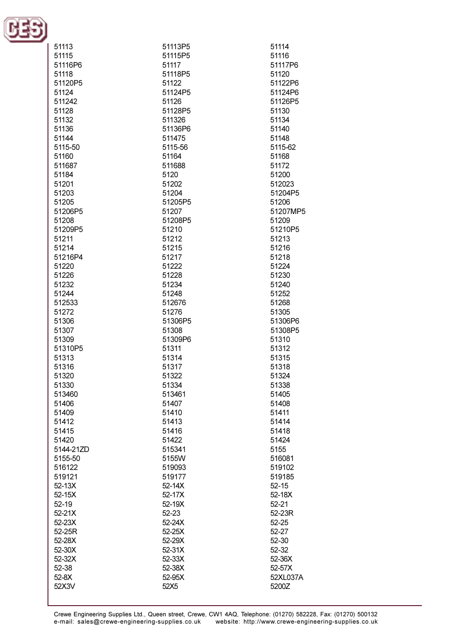

| 51113     | 51113P5 | 51114     |
|-----------|---------|-----------|
| 51115     | 51115P5 | 51116     |
|           |         |           |
| 51116P6   | 51117   | 51117P6   |
| 51118     | 51118P5 | 51120     |
| 51120P5   | 51122   | 51122P6   |
| 51124     | 51124P5 | 51124P6   |
|           |         |           |
| 511242    | 51126   | 51126P5   |
| 51128     | 51128P5 | 51130     |
| 51132     | 511326  | 51134     |
| 51136     | 51136P6 | 51140     |
|           |         |           |
| 51144     | 511475  | 51148     |
| 5115-50   | 5115-56 | 5115-62   |
| 51160     | 51164   | 51168     |
| 511687    | 511688  | 51172     |
|           |         |           |
| 51184     | 5120    | 51200     |
| 51201     | 51202   | 512023    |
| 51203     | 51204   | 51204P5   |
| 51205     | 51205P5 | 51206     |
| 51206P5   | 51207   | 51207MP5  |
|           |         |           |
| 51208     | 51208P5 | 51209     |
| 51209P5   | 51210   | 51210P5   |
| 51211     | 51212   | 51213     |
| 51214     | 51215   | 51216     |
|           | 51217   |           |
| 51216P4   |         | 51218     |
| 51220     | 51222   | 51224     |
| 51226     | 51228   | 51230     |
| 51232     | 51234   | 51240     |
| 51244     | 51248   | 51252     |
|           |         |           |
| 512533    | 512676  | 51268     |
| 51272     | 51276   | 51305     |
| 51306     | 51306P5 | 51306P6   |
| 51307     | 51308   | 51308P5   |
| 51309     | 51309P6 | 51310     |
|           |         |           |
| 51310P5   | 51311   | 51312     |
| 51313     | 51314   | 51315     |
| 51316     | 51317   | 51318     |
| 51320     | 51322   | 51324     |
| 51330     | 51334   | 51338     |
| 513460    | 513461  | 51405     |
|           |         |           |
| 51406     | 51407   | 51408     |
| 51409     | 51410   | 51411     |
| 51412     | 51413   | 51414     |
| 51415     | 51416   | 51418     |
| 51420     | 51422   | 51424     |
|           | 515341  | 5155      |
| 5144-21ZD |         |           |
| 5155-50   | 5155W   | 516081    |
| 516122    | 519093  | 519102    |
| 519121    | 519177  | 519185    |
| 52-13X    | 52-14X  | $52 - 15$ |
|           |         |           |
| 52-15X    | 52-17X  | 52-18X    |
| $52 - 19$ | 52-19X  | $52 - 21$ |
| 52-21X    | 52-23   | 52-23R    |
| 52-23X    | 52-24X  | $52 - 25$ |
| 52-25R    | 52-25X  | 52-27     |
|           |         |           |
| 52-28X    | 52-29X  | 52-30     |
| 52-30X    | 52-31X  | 52-32     |
| 52-32X    | 52-33X  | 52-36X    |
| 52-38     | 52-38X  | 52-57X    |
| $52-8X$   | 52-95X  | 52XL037A  |
| 52X3V     | 52X5    | 5200Z     |
|           |         |           |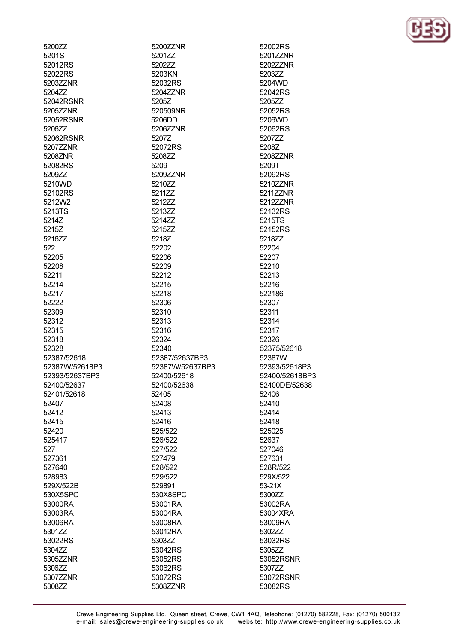| 5200ZZ         | 5200ZZNR        | 52002RS   |
|----------------|-----------------|-----------|
| 5201S          | 5201ZZ          | 5201ZZNR  |
| 52012RS        | 5202ZZ          | 5202ZZNR  |
| 52022RS        | 5203KN          | 5203ZZ    |
| 5203ZZNR       | 52032RS         | 5204WD    |
| 5204ZZ         | 5204ZZNR        | 52042RS   |
| 52042RSNR      | 5205Z           | 5205ZZ    |
| 5205ZZNR       | 520509NR        | 52052RS   |
| 52052RSNR      | 5206DD          | 5206WD    |
| 5206ZZ         | 5206ZZNR        | 52062RS   |
| 52062RSNR      | 5207Z           | 5207ZZ    |
| 5207ZZNR       | 52072RS         | 5208Z     |
| 5208ZNR        | 5208ZZ          | 5208ZZNR  |
| 52082RS        | 5209            | 5209T     |
| 5209ZZ         | 5209ZZNR        | 52092RS   |
| 5210WD         | 5210ZZ          | 5210ZZNR  |
| 52102RS        | 5211ZZ          | 5211ZZNR  |
| 5212W2         | 5212ZZ          | 5212ZZNR  |
| 5213TS         | 5213ZZ          | 52132RS   |
| 5214Z          | 5214ZZ          | 5215TS    |
| 5215Z          | 5215ZZ          | 52152RS   |
|                |                 |           |
| 5216ZZ         | 5218Z           | 5218ZZ    |
| 522            | 52202           | 52204     |
| 52205          | 52206           | 52207     |
| 52208          | 52209           | 52210     |
| 52211          | 52212           | 52213     |
| 52214          | 52215           | 52216     |
| 52217          | 52218           | 522186    |
| 52222          | 52306           | 52307     |
| 52309          | 52310           | 52311     |
| 52312          | 52313           | 52314     |
| 52315          | 52316           | 52317     |
| 52318          | 52324           | 52326     |
| 52328          | 52340           | 52375/526 |
| 52387/52618    | 52387/52637BP3  | 52387W    |
| 52387W/52618P3 | 52387W/52637BP3 | 52393/526 |
| 52393/52637BP3 | 52400/52618     | 52400/526 |
| 52400/52637    | 52400/52638     | 52400DE/5 |
| 52401/52618    | 52405           | 52406     |
| 52407          | 52408           | 52410     |
| 52412          | 52413           | 52414     |
| 52415          | 52416           | 52418     |
| 52420          | 525/522         | 525025    |
| 525417         | 526/522         | 52637     |
| 527            | 527/522         | 527046    |
| 527361         | 527479          | 527631    |
| 527640         | 528/522         | 528R/522  |
| 528983         | 529/522         | 529X/522  |
| 529X/522B      | 529891          | 53-21X    |
| 530X5SPC       | 530X8SPC        | 5300ZZ    |
| 53000RA        | 53001RA         | 53002RA   |
| 53003RA        | 53004RA         | 53004XRA  |
| 53006RA        | 53008RA         | 53009RA   |
| 5301ZZ         | 53012RA         | 5302ZZ    |
| 53022RS        | 5303ZZ          | 53032RS   |
| 5304ZZ         | 53042RS         | 5305ZZ    |
| 5305ZZNR       | 53052RS         | 53052RSN  |
| 5306ZZ         | 53062RS         | 5307ZZ    |
| 5307ZZNR       | 53072RS         | 53072RSN  |
| 5308ZZ         | 5308ZZNR        | 53082RS   |
|                |                 |           |

ZNR  $\overline{Z}$ ND 2RS  $\overline{Z}$ 2RS **ND RS**  $\overline{Z}$  $\overline{ }$ **ZNR** 2RS ZNR ZNR ZNR 2RS ΓS. 2RS  $\overline{Z}$  $\overline{4}$  $\overline{a}$ <sup>1</sup> 3 3 36 7 1 7 ś 5/52618 7W 3/52618P3 0/52618BP3 0DE/52638 6 C 1 8  $\frac{25}{5}$  $\overline{ }$  $\overline{16}$ 31 /522  $522$ X  $\overline{Z}$ 2RA **IXRA GRA**  $\overline{Z}$ 2RS  $Z$ 2RSNR  $\overline{Z}$ **ERSNR** 2RS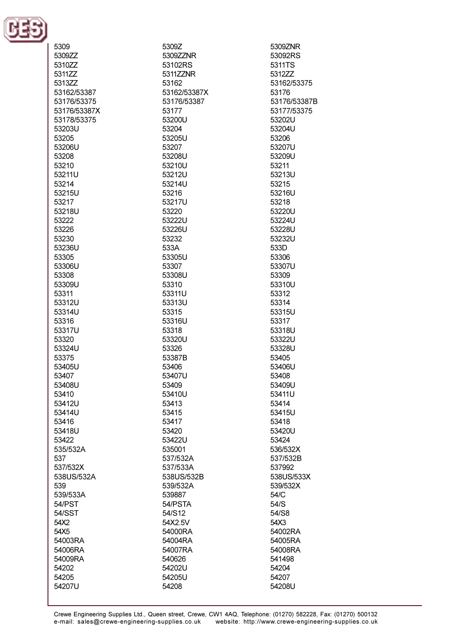

| 5309         | 5309Z        | 5309ZNR      |
|--------------|--------------|--------------|
|              |              |              |
| 5309ZZ       | 5309ZZNR     | 53092RS      |
| 5310ZZ       | 53102RS      | 5311TS       |
| 5311ZZ       | 5311ZZNR     | 5312ZZ       |
| 5313ZZ       | 53162        | 53162/53375  |
|              |              |              |
| 53162/53387  | 53162/53387X | 53176        |
| 53176/53375  | 53176/53387  | 53176/53387B |
| 53176/53387X | 53177        | 53177/53375  |
| 53178/53375  | 53200U       | 53202U       |
|              |              |              |
| 53203U       | 53204        | 53204U       |
| 53205        | 53205U       | 53206        |
| 53206U       | 53207        | 53207U       |
| 53208        | 53208U       | 53209U       |
|              |              |              |
| 53210        | 53210U       | 53211        |
| 53211U       | 53212U       | 53213U       |
| 53214        | 53214U       | 53215        |
| 53215U       | 53216        | 53216U       |
| 53217        | 53217U       |              |
|              |              | 53218        |
| 53218U       | 53220        | 53220U       |
| 53222        | 53222U       | 53224U       |
| 53226        | 53226U       | 53228U       |
| 53230        | 53232        | 53232U       |
|              |              |              |
| 53236U       | 533A         | 533D         |
| 53305        | 53305U       | 53306        |
| 53306U       | 53307        | 53307U       |
| 53308        | 53308U       | 53309        |
| 53309U       | 53310        | 53310U       |
|              |              |              |
| 53311        | 53311U       | 53312        |
| 53312U       | 53313U       | 53314        |
| 53314U       | 53315        | 53315U       |
| 53316        | 53316U       | 53317        |
| 53317U       | 53318        | 53318U       |
|              |              |              |
| 53320        | 53320U       | 53322U       |
| 53324U       | 53326        | 53328U       |
| 53375        | 53387B       | 53405        |
| 53405U       | 53406        | 53406U       |
| 53407        | 53407U       | 53408        |
|              |              |              |
| 53408U       | 53409        | 53409U       |
| 53410        | 53410U       | 53411U       |
| 53412U       | 53413        | 53414        |
| 53414U       | 53415        | 53415U       |
| 53416        | 53417        | 53418        |
| 53418U       | 53420        | 53420U       |
|              |              |              |
| 53422        | 53422U       | 53424        |
| 535/532A     | 535001       | 536/532X     |
| 537          | 537/532A     | 537/532B     |
| 537/532X     | 537/533A     | 537992       |
| 538US/532A   | 538US/532B   | 538US/533X   |
|              |              |              |
| 539          | 539/532A     | 539/532X     |
| 539/533A     | 539887       | 54/C         |
| 54/PST       | 54/PSTA      | 54/S         |
| 54/SST       | 54/S12       | 54/S8        |
| 54X2         | 54X2.5V      | 54X3         |
|              |              |              |
| 54X5         | 54000RA      | 54002RA      |
| 54003RA      | 54004RA      | 54005RA      |
| 54006RA      | 54007RA      | 54008RA      |
| 54009RA      | 540626       | 541498       |
| 54202        | 54202U       | 54204        |
|              |              |              |
| 54205        | 54205U       | 54207        |
| 54207U       | 54208        | 54208U       |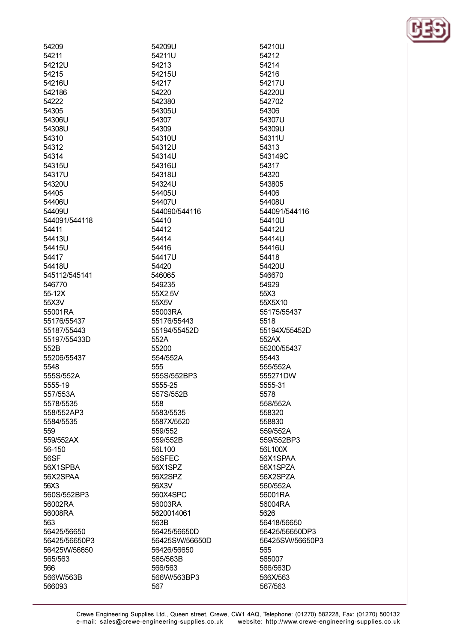| 54209              |
|--------------------|
| 54211              |
| 54212U             |
| 54215              |
| 54216U             |
| 542186             |
| 54222              |
| 54305              |
| 54306U             |
| 54308U             |
| 54310              |
| 54312              |
| 54314              |
| 54315U             |
| 54317U             |
| 54320U             |
| 54405              |
| 54406U             |
| 54409U             |
|                    |
| 544091/544118      |
| 54411              |
| 54413U             |
| 54415U             |
| 54417              |
| 54418U             |
| 545112/545141      |
| 546770             |
| 55-12X             |
| 55X3V              |
| 55001RA            |
| 55176/55437        |
| 55187/55443        |
| 55197/55433D       |
| 552B               |
| 55206/55437        |
| 5548               |
| 555S/552A          |
| 5555-19            |
| 557/553A           |
| 5578/5535          |
| 558/552AP3         |
| 5584/5535          |
| 559                |
| 559/552AX          |
| 56-150             |
| 56SF               |
| 56X1SPBA           |
| 56X2SPAA           |
| 56X3               |
| 560S/552BP3        |
|                    |
| 56002RA<br>56008RA |
|                    |
| 563                |
| 56425/56650        |
| 56425/56650P3      |
| 56425W/56650       |
| 565/563            |
| 566                |
| 566W/563B          |
| 566093             |

54209U 54211U 54213 54215U 54217 54220 542380 54305U 54307 54309 54310U 54312U 54314U 54316U 54318U 54324U 54405U 54407U 544090/544116 54410 54412 54414 54416 54417U 54420 546065 549235 55X2.5V 55X5V 55003RA 55176/55443 55194/55452D 552A 55200 554/552A 555 555S/552BP3 5555-25 557S/552B 558 5583/5535 5587X/5520 559/552 559/552B 56L100 56SFEC 56X1SPZ 56X2SPZ 56X3V 560X4SPC 56003RA 5620014061 563B 56425/56650D 56425SW/56650D 56426/56650 565/563B 566/563 566W/563BP3 567

54210U 54212 54214 54216 54217U 54220U 542702 54306 54307U 54309U 54311U 54313 543149C 54317 54320 543805 54406 54408U 544091/544116 54410U 54412U 54414U 54416U 54418 54420U 546670 54929 55X3 55X5X10 55175/55437 5518 55194X/55452D 552AX 55200/55437 55443 555/552A 555271DW 5555-31 5578 558/552A 558320 558830 559/552A 559/552BP3 56L100X 56X1SPAA 56X1SPZA 56X2SPZA 560/552A 56001RA 56004RA 5626 56418/56650 56425/56650DP3 56425SW/56650P3 565 565007 566/563D 566X/563 567/563

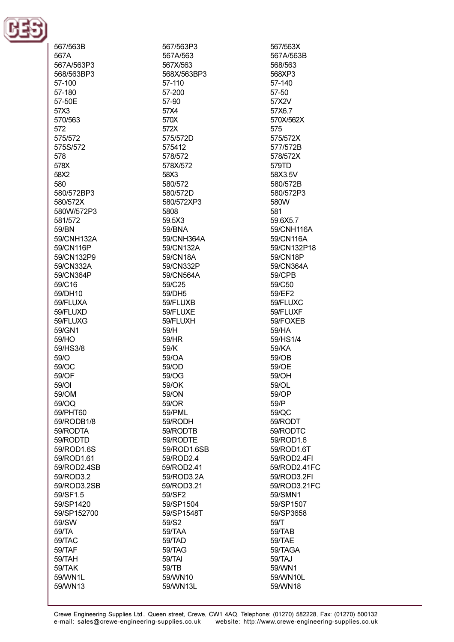

567/563B 567A 567A/563P3 568/563BP3 57-100 57-180 57-50F 57X3 570/563 572 575/572 575S/572 578 578X 58X2 580 580/572BP3 580/572X 580W/572P3 581/572 59/BN 59/CNH132A 59/CN116P 59/CN132P9 59/CN332A 59/CN364P 59/C16 59/DH10 59/FLUXA 59/FLUXD 59/FLUXG 59/GN1 59/HO 59/HS3/8  $59/O$ 59/OC 59/OF 59/OI 59/OM 59/OQ 59/PHT60 59/RODB1/8 59/RODTA 59/RODTD 59/ROD1.6S 59/ROD1.61 59/ROD2.4SB 59/ROD3.2 59/ROD3.2SB 59/SF1.5 59/SP1420 59/SP152700 59/SW 59/TA 59/TAC 59/TAF 59/TAH 59/TAK 59/WN1L 59/WN13

567/563P3 567A/563 567X/563 568X/563BP3 57-110 57-200 57-90 57X4 570X 572X 575/572D 575412 578/572 578X/572 58X3 580/572 580/572D 580/572XP3 5808 59.5X3 59/BNA 59/CNH364A 59/CN132A 59/CN18A 59/CN332P 59/CN564A 59/C25 59/DH5 59/FLUXB 59/FLUXE 59/FLUXH 59/H 59/HR 59/K 59/OA 59/OD 59/OG 59/OK 59/ON 59/OR 59/PML 59/RODH 59/RODTB 59/RODTE 59/ROD1.6SB 59/ROD2.4 59/ROD2.41 59/ROD3.2A 59/ROD3.21 59/SF2 59/SP1504 59/SP1548T 59/S2 59/TAA 59/TAD 59/TAG 59/TAI 59/TB 59/WN10 59/WN13L

567/563X 567A/563B 568/563 568XP3 57-140 57-50 57X2V 57X6.7 570X/562X 575 575/572X 577/572B 578/572X 579TD 58X3.5V 580/572B 580/572P3 580W 581 59.6X5.7 59/CNH116A 59/CN116A 59/CN132P18 59/CN18P 59/CN364A **59/CPB** 59/C50 59/EF2 59/FLUXC 59/FLUXF 59/FOXEB 59/HA 59/HS1/4 59/KA 59/OB 59/OE 59/OH 59/OL 59/OP 59/P 59/QC 59/RODT 59/RODTC 59/ROD1.6 59/ROD1.6T 59/ROD2.4FI 59/ROD2.41FC 59/ROD3.2FI 59/ROD3.21FC 59/SMN1 59/SP1507 59/SP3658  $59/T$ 59/TAB 59/TAE 59/TAGA 59/TAJ 59/WN1 59/WN10L 59/WN18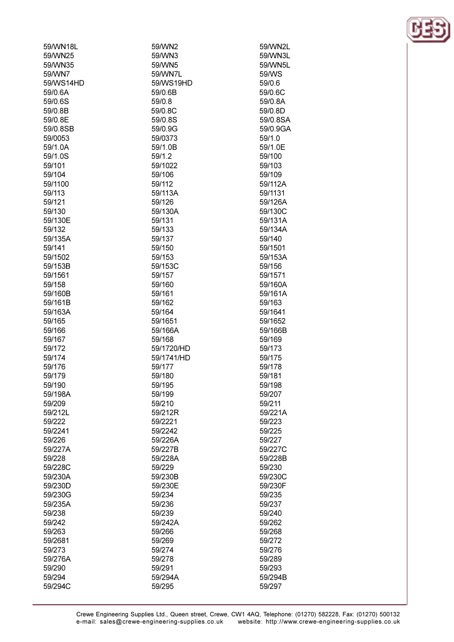| 59/WN18L          | 59/WN2                   | 59/WN2L          |
|-------------------|--------------------------|------------------|
| 59/WN25           | 59/WN3                   | 59/WN3L          |
| 59/WN35           | 59/WN5                   | 59/WN5L          |
| 59/WN7            | 59/WN7L                  | 59/WS            |
| 59/WS14HD         | 59/WS19HD                | 59/0.6           |
| 59/0.6A           | 59/0.6B                  | 59/0.6C          |
| 59/0.6S           | 59/0.8                   | 59/0.8A          |
| 59/0.8B           | 59/0.8C                  | 59/0.8D          |
| 59/0.8E           | 59/0.8S                  | 59/0.8SA         |
| 59/0.8SB          | 59/0.9G                  | 59/0.9GA         |
| 59/0053           | 59/0373                  | 59/1.0           |
| 59/1.0A           | 59/1.0B                  | 59/1.0E          |
| 59/1.0S           | 59/1.2                   | 59/100           |
| 59/101            | 59/1022                  | 59/103           |
| 59/104            | 59/106                   | 59/109           |
| 59/1100           | 59/112                   | 59/112A          |
| 59/113            | 59/113A                  | 59/1131          |
| 59/121            | 59/126                   | 59/126A          |
| 59/130            | 59/130A                  | 59/130C          |
| 59/130E           | 59/131                   | 59/131A          |
| 59/132            | 59/133                   | 59/134A          |
| 59/135A           | 59/137                   | 59/140           |
| 59/141            | 59/150                   | 59/1501          |
| 59/1502           | 59/153                   | 59/153A          |
| 59/153B           | 59/153C                  | 59/156           |
| 59/1561           | 59/157                   | 59/1571          |
| 59/158            | 59/160                   | 59/160A          |
| 59/160B           | 59/161                   | 59/161A          |
| 59/161B           | 59/162                   | 59/163           |
| 59/163A           | 59/164                   | 59/1641          |
| 59/165            | 59/1651                  | 59/1652          |
| 59/166            | 59/166A                  | 59/166B          |
| 59/167            | 59/168                   | 59/169<br>59/173 |
| 59/172            | 59/1720/HD<br>59/1741/HD |                  |
| 59/174            |                          | 59/175           |
| 59/176<br>59/179  | 59/177<br>59/180         | 59/178<br>59/181 |
|                   |                          |                  |
| 59/190            | 59/195                   | 59/198<br>59/207 |
| 59/198A<br>59/209 | 59/199<br>59/210         | 59/211           |
| 59/212L           | 59/212R                  | 59/221A          |
| 59/222            | 59/2221                  | 59/223           |
| 59/2241           | 59/2242                  | 59/225           |
| 59/226            | 59/226A                  | 59/227           |
| 59/227A           | 59/227B                  | 59/227C          |
| 59/228            | 59/228A                  | 59/228B          |
| 59/228C           | 59/229                   | 59/230           |
| 59/230A           | 59/230B                  | 59/230C          |
| 59/230D           | 59/230E                  | 59/230F          |
| 59/230G           | 59/234                   | 59/235           |
| 59/235A           | 59/236                   | 59/237           |
| 59/238            | 59/239                   | 59/240           |
| 59/242            | 59/242A                  | 59/262           |
| 59/263            | 59/266                   | 59/268           |
| 59/2681           | 59/269                   | 59/272           |
| 59/273            | 59/274                   | 59/276           |
| 59/276A           | 59/278                   | 59/289           |
| 59/290            | 59/291                   | 59/293           |
| 59/294            | 59/294A                  | 59/294B          |
| 59/294C           | 59/295                   | 59/297           |
|                   |                          |                  |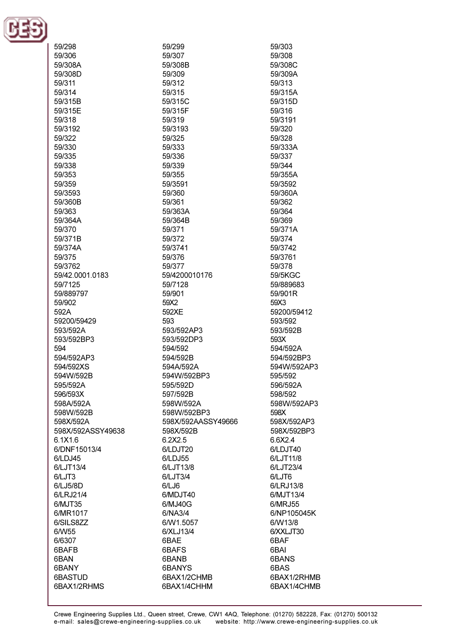

| 59/298            | 59/299             | 59/303      |
|-------------------|--------------------|-------------|
| 59/306            | 59/307             | 59/308      |
|                   |                    |             |
| 59/308A           | 59/308B            | 59/308C     |
| 59/308D           | 59/309             | 59/309A     |
| 59/311            | 59/312             | 59/313      |
| 59/314            | 59/315             | 59/315A     |
|                   | 59/315C            |             |
| 59/315B           |                    | 59/315D     |
| 59/315E           | 59/315F            | 59/316      |
| 59/318            | 59/319             | 59/3191     |
| 59/3192           | 59/3193            | 59/320      |
| 59/322            | 59/325             | 59/328      |
| 59/330            | 59/333             | 59/333A     |
| 59/335            | 59/336             | 59/337      |
|                   |                    |             |
| 59/338            | 59/339             | 59/344      |
| 59/353            | 59/355             | 59/355A     |
| 59/359            | 59/3591            | 59/3592     |
| 59/3593           | 59/360             | 59/360A     |
| 59/360B           | 59/361             | 59/362      |
| 59/363            | 59/363A            | 59/364      |
|                   |                    |             |
| 59/364A           | 59/364B            | 59/369      |
| 59/370            | 59/371             | 59/371A     |
| 59/371B           | 59/372             | 59/374      |
| 59/374A           | 59/3741            | 59/3742     |
| 59/375            | 59/376             | 59/3761     |
| 59/3762           | 59/377             | 59/378      |
| 59/42.0001.0183   | 59/4200010176      | 59/5KGC     |
|                   |                    |             |
| 59/7125           | 59/7128            | 59/889683   |
| 59/889797         | 59/901             | 59/901R     |
| 59/902            | 59X2               | 59X3        |
| 592A              | 592XE              | 59200/59412 |
| 59200/59429       | 593                | 593/592     |
| 593/592A          | 593/592AP3         | 593/592B    |
| 593/592BP3        | 593/592DP3         | 593X        |
|                   |                    |             |
| 594               | 594/592            | 594/592A    |
| 594/592AP3        | 594/592B           | 594/592BP3  |
| 594/592XS         | 594A/592A          | 594W/592AP3 |
| 594W/592B         | 594W/592BP3        | 595/592     |
| 595/592A          | 595/592D           | 596/592A    |
| 596/593X          | 597/592B           | 598/592     |
| 598A/592A         | 598W/592A          | 598W/592AP3 |
|                   |                    |             |
| 598W/592B         | 598W/592BP3        | 598X        |
| 598X/592A         | 598X/592AASSY49666 | 598X/592AP3 |
| 598X/592ASSY49638 | 598X/592B          | 598X/592BP3 |
| 6.1X1.6           | 6.2X2.5            | 6.6X2.4     |
| 6/DNF15013/4      | 6/LDJT20           | 6/LDJT40    |
| 6/LDJ45           | 6/LDJ55            | 6/LJT11/8   |
| 6/LJT13/4         | 6/LJT13/8          | 6/LJT23/4   |
|                   |                    |             |
| 6/LJT3            | 6/LJT3/4           | 6/LJT6      |
| 6/LJ5/8D          | 6/LJ6              | 6/LRJ13/8   |
| 6/LRJ21/4         | 6/MDJT40           | 6/MJT13/4   |
| 6/MJT35           | 6/MJ40G            | 6/MRJ55     |
| 6/MR1017          | 6/NA3/4            | 6/NP105045K |
| 6/SILS8ZZ         | 6/W1.5057          | 6/W13/8     |
|                   | 6/XLJ13/4          | 6/XXLJT30   |
| 6/W55             |                    |             |
| 6/6307            | 6BAE               | 6BAF        |
| 6BAFB             | 6BAFS              | 6BAI        |
| 6BAN              | 6BANB              | 6BANS       |
| 6BANY             | 6BANYS             | 6BAS        |
| 6BASTUD           | 6BAX1/2CHMB        | 6BAX1/2RHMB |
| 6BAX1/2RHMS       | 6BAX1/4CHHM        | 6BAX1/4CHMB |
|                   |                    |             |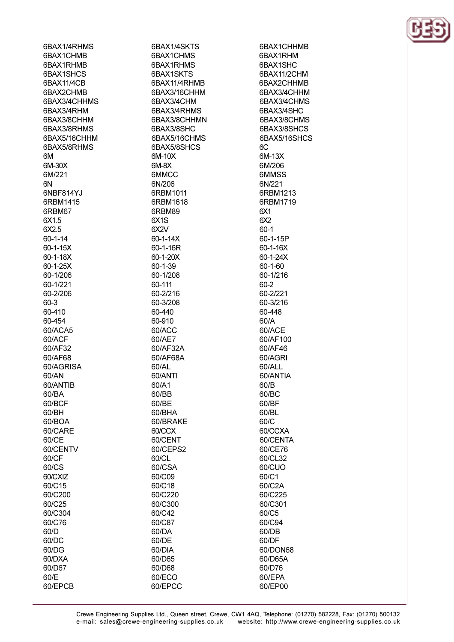6BAX1/4RHMS 6BAX1CHMB 6BAX1RHMR 6BAX1SHCS 6BAX11/4CB 6BAX2CHMB 6BAX3/4CHHMS 6BAX3/4RHM 6BAX3/8CHHM 6BAX3/8RHMS 6BAX5/16CHHM 6BAX5/8RHMS **6M** 6M-30X 6M/221 **GNI** 6NBF814YJ 6RBM1415 6RBM67 6X1.5 6X2.5  $60 - 1 - 14$ 60-1-15X  $60 - 1 - 18X$  $60 - 1 - 25X$ 60-1/206 60-1/221 60-2/206 60-3 60-410 60-454 60/ACA5 60/ACF 60/AF32 60/AF68 60/AGRISA 60/AN 60/ANTIB 60/BA 60/BCF 60/BH 60/BOA 60/CARE 60/CE 60/CENTV 60/CF 60/CS 60/CXIZ 60/C15 60/C200 60/C25 60/C304 60/C76  $60/D$ 60/DC 60/DG 60/DXA 60/D67

60/E

60/EPCB

6BAX1/4SKTS 6BAX1CHMS 6BAX1RHMS 6BAX1SKTS 6BAX11/4RHMB 6BAX3/16CHHM 6BAX3/4CHM 6BAX3/4RHMS 6BAX3/8CHHMN 6BAX3/8SHC 6BAX5/16CHMS 6BAX5/8SHCS 6M-10X **GM-RX 6MMCC** 6N/206 6RBM1011 6RBM1618 6RBM89 6X<sub>1</sub>S  $6X2V$  $60 - 1 - 14X$ 60-1-16R 60-1-20X  $60 - 1 - 39$ 60-1/208 60-111 60-2/216 60-3/208 60-440 60-910 60/ACC 60/AE7 60/AF32A 60/AF68A 60/AL 60/ANTI 60/A1 60/BB 60/BE 60/BHA 60/BRAKE 60/CCX 60/CENT 60/CEPS2 60/CL 60/CSA 60/C09 60/C18 60/C220 60/C300 60/C42 60/C87 60/DA 60/DE 60/DIA 60/D65 60/D68

60/ECO

60/EPCC

6BAX1CHHMB 6BAX1RHM 6BAX1SHC 6BAX11/2CHM 6BAX2CHHMB 6BAX3/4CHHM 6BAX3/4CHMS 6BAX3/4SHC 6BAX3/8CHMS 6BAX3/8SHCS 6BAX5/16SHCS  $6C$ 6M-13X 6M/206 6MMSS 6N/221 6RBM1213 6RBM1719 6X1  $6X2$  $60-1$ 60-1-15P 60-1-16X 60-1-24X  $60 - 1 - 60$ 60-1/216 60-2 60-2/221 60-3/216 60-448 60/A 60/ACE 60/AF100 60/AF46 60/AGRI 60/ALL 60/ANTIA 60/B 60/BC 60/BF 60/BL 60/C 60/CCXA 60/CENTA 60/CE76 60/CL32 60/CUO 60/C1 60/C2A 60/C225 60/C301 60/C5 60/C94 60/DB 60/DF 60/DON68 60/D65A 60/D76 60/EPA 60/EP00

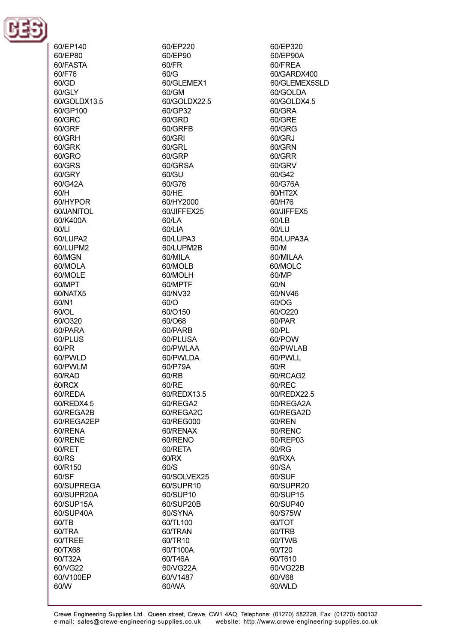

60/EP140 60/EP80 60/FASTA 60/F76 60/GD 60/GLY 60/GOLDX13.5 60/GP100 60/GRC 60/GRF 60/GRH 60/GRK  $60/GRO$  $60/GRS$ 60/GRY 60/G42A 60/H 60/HYPOR 60/JANITOL 60/K400A 60/LI 60/LUPA2 60/LUPM2 60/MGN **60/MOLA** 60/MOLE 60/MPT 60/NATX5 60/N1 60/OL 60/O320 60/PARA 60/PLUS 60/PR 60/PWLD 60/PWLM 60/RAD 60/RCX 60/REDA 60/REDX4.5 60/REGA2B 60/REGA2EP 60/RENA 60/RENE 60/RET 60/RS 60/R150 60/SF 60/SUPREGA 60/SUPR20A 60/SUP15A 60/SUP40A 60/TB 60/TRA 60/TREE 60/TX68 60/T32A 60/VG22 60/V100EP 60/W

60/EP220 60/EP90  $60$ /FR  $60/G$ 60/GLEMEX1 60/GM 60/GOLDX22.5 60/GP32 60/GRD 60/GRFB 60/GRI 60/GRL 60/GRP 60/GRSA 60/GU 60/G76 60/HE 60/HY2000 60/JIFFEX25 60/LA 60/LIA 60/LUPA3 60/LUPM2B 60/MILA 60/MOLB 60/MOLH 60/MPTF 60/NV32  $60/O$ 60/O150 60/068 60/PARB 60/PLUSA 60/PWLAA 60/PWLDA 60/P79A 60/RB 60/RE 60/REDX13.5 60/REGA2 60/REGA2C 60/REG000 60/RENAX 60/RENO 60/RETA 60/RX 60/S 60/SOLVEX25 60/SUPR10 60/SUP10 60/SUP20B 60/SYNA 60/TL100 60/TRAN 60/TR10 60/T100A 60/T46A 60/VG22A 60/V1487 60/WA

60/EP320 60/EP90A 60/FRFA 60/GARDX400 60/GLEMEX5SLD 60/GOLDA 60/GOLDX4.5 60/GRA 60/GRE 60/GRG 60/GRJ 60/GRN 60/GRR 60/GRV 60/G42 60/G76A 60/HT2X 60/H76 60/JIFFEX5 60/LB 60/LU 60/LUPA3A 60/M 60/MII AA 60/MOLC 60/MP 60/N 60/NV46 60/OG 60/O220 60/PAR 60/PL 60/POW 60/PWLAB 60/PWLL 60/R 60/RCAG2 60/REC 60/REDX22.5 60/REGA2A 60/REGA2D 60/REN 60/RENC 60/REP03 60/RG 60/RXA 60/SA 60/SUF 60/SUPR20 60/SUP15 60/SUP40 60/S75W 60/TOT 60/TRB 60/TWB 60/T20 60/T610 60/VG22B 60/V68 60/WLD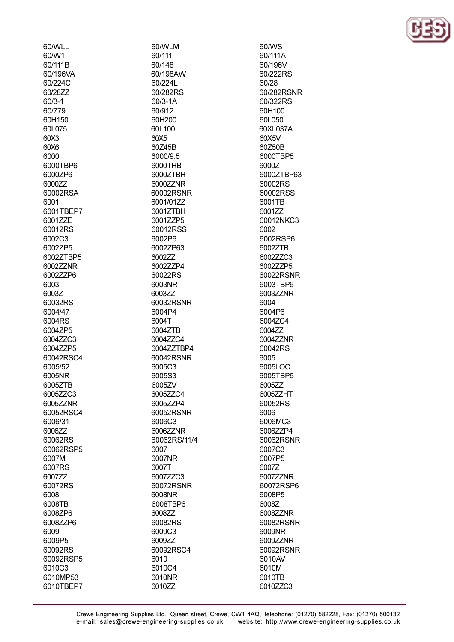60/WLL 60/W1 60/111B 60/196VA 60/224C 60/2877  $60/3 - 1$ 60/779 60H150 60L075  $60X3$ 60X6 6000 6000TRP6 6000ZP6 6000ZZ 60002RSA 6001 6001TBEP7 6001ZZE 60012RS 6002C3 6002ZP5 6002ZTBP5 600277NR 6002ZZP6 6003 6003Z 60032RS 6004/47 6004RS 6004ZP5 6004ZZC3 6004ZZP5 60042RSC4 6005/52 6005NR 6005ZTB 6005ZZC3 6005ZZNR 60052RSC4 6006/31 600677 60062RS 60062RSP5 6007M 6007RS 6007ZZ 60072RS 6008 6008TB 6008ZP6 6008ZZP6 6009 6009P5 60092RS 60092RSP5 6010C3 6010MP53 6010TBEP7

60/WLM 60/111 60/148 60/198AW 60/2241 60/282RS  $60/3 - 1A$ 60/912 60H200 60L100 60X5 60Z45B 6000/9.5 6000THR 6000ZTBH 6000ZZNR 60002RSNR 6001/01ZZ 6001ZTBH 6001ZZP5 60012RSS 6002P6 6002ZP63 600277 600277P4 60022RS 6003NR 6003ZZ 60032RSNR 6004P4 6004T 6004ZTB 6004ZZC4 6004ZZTBP4 60042RSNR 6005C3 6005S3 6005ZV 6005ZZC4 6005ZZP4 60052RSNR 6006C3 6006ZZNR 60062RS/11/4 6007 6007NR 6007T 6007ZZC3 60072RSNR 6008NR 6008TBP6 6008ZZ 60082RS 6009C3 6009ZZ 60092RSC4 6010 6010C4 6010NR 6010ZZ

60/WS 60/111A 60/1961/ 60/222RS 60/28 60/282RSNR 60/322RS 60H100 60L050 60XL037A 60X5V 60Z50B 6000TBP5 60007 6000ZTBP63 60002RS 60002RSS 6001TB 600177 60012NKC3 6002 6002RSP6 6002ZTB 60027703 600277P5 60022RSNR 6003TBP6 6003ZZNR 6004 6004P6 6004ZC4 6004ZZ 6004ZZNR 60042RS 6005 6005LOC 6005TBP6 6005ZZ 6005ZZHT 60052RS 6006 6006MC3 6006ZZP4 60062RSNR 6007C3 6007P5 6007Z 6007ZZNR 60072RSP6 6008P5 6008Z 6008ZZNR 60082RSNR 6009NR 6009ZZNR 60092RSNR 6010AV 6010M 6010TB 6010ZZC3

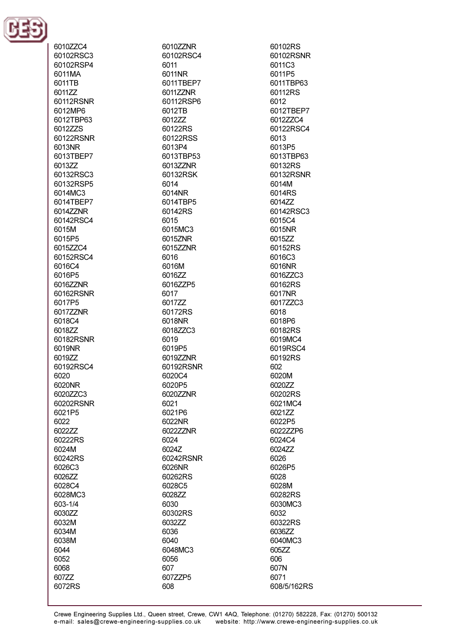

6010ZZC4 60102RSC3 60102RSP4 6011MA 6011TB 601177 60112RSNR 6012MP6 6012TBP63 6012ZZS 60122RSNR 6013NR 6013TBEP7 601377 60132RSC3 60132RSP5 6014MC3 6014TBEP7 6014ZZNR 60142RSC4 6015M 6015P5 6015ZZC4 60152RSC4 6016C4 6016P5 6016ZZNR 60162RSNR 6017P5 6017ZZNR 6018C4 6018ZZ 60182RSNR 6019NR 601977 60192RSC4 6020 6020NR 6020ZZC3 60202RSNR 6021P5 6022 602277 60222RS 6024M 60242RS 6026C3 6026ZZ 6028C4 6028MC3 603-1/4 6030ZZ 6032M 6034M 6038M 6044 6052 6068 607ZZ 6072RS

6010ZZNR 60102RSC4 6011 6011NR 6011TBEP7 6011ZZNR 60112RSP6 6012TB 601277 60122RS 60122RSS 6013P4 6013TBP53 601377NR 60132RSK 6014 6014NR 6014TBP5 60142RS 6015 6015MC3 6015ZNR 6015ZZNR 6016 6016M 6016ZZ 6016ZZP5 6017 6017ZZ 60172RS 6018NR 6018ZZC3 6019 6019P5 6019ZZNR 60192RSNR 6020C4 6020P5 6020ZZNR 6021 6021P6 6022NR 6022ZZNR 6024 6024Z 60242RSNR 6026NR 60262RS 6028C5 6028ZZ 6030 60302RS 603277 6036 6040 6048MC3 6056 607 607ZZP5 608

60102RS 60102RSNR 6011C3 6011P5 6011TBP63 60112RS 6012 6012TBEP7 6012ZZC4 60122RSC4 6013 6013P5 6013TBP63 60132RS 60132RSNR 6014M 6014RS 6014ZZ 60142RSC3 6015C4 6015NR 6015ZZ 60152RS 6016C3 6016NR 6016ZZC3 60162RS 6017NR 6017ZZC3 6018 6018P6 60182RS 6019MC4 6019RSC4 60192RS 602 6020M 6020ZZ 60202RS 6021MC4 6021ZZ 6022P5 6022ZZP6 6024C4 6024ZZ 6026 6026P5 6028 6028M 60282RS 6030MC3 6032 60322RS 603677 6040MC3 605ZZ 606 607N 6071 608/5/162RS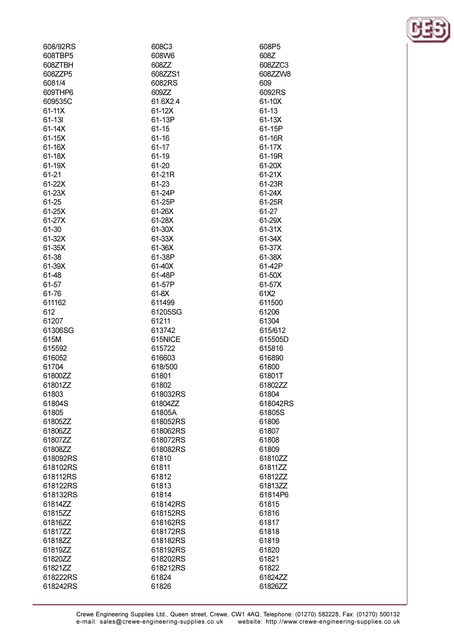| 608/92RS           | 608C3                | 608P5          |
|--------------------|----------------------|----------------|
| 608TBP5            | 608W6                | 608Z           |
| 608ZTBH            | 608ZZ                | 608ZZC3        |
| 608ZZP5            | 608ZZS1              | 608ZZW8        |
| 6081/4             | 6082RS               | 609            |
| 609THP6            | 609ZZ                | 6092RS         |
| 609535C            | 61.6X2.4             | 61-10X         |
| 61-11X             | 61-12X               | $61 - 13$      |
| 61-131             | 61-13P               | 61-13X         |
| $61-14X$           | 61-15                | 61-15P         |
| 61-15X             | 61-16                | 61-16R         |
| 61-16X             | 61-17                | 61-17X         |
| 61-18X             | 61-19                | 61-19R         |
| 61-19X             | 61-20                | 61-20X         |
| 61-21              | 61-21R               | 61-21X         |
| 61-22X             | 61-23                | 61-23R         |
| 61-23X             | 61-24P               | 61-24X         |
| 61-25              | 61-25P               | 61-25R         |
| 61-25X             | 61-26X               | 61-27          |
| 61-27X             | 61-28X               | 61-29X         |
| 61-30              | 61-30X               | 61-31X         |
| 61-32X             | 61-33X               | 61-34X         |
| 61-35X             | 61-36X               | 61-37X         |
| 61-38              | 61-38P               | 61-38X         |
| 61-39X             | 61-40X               | 61-42P         |
| 61-48              | 61-48P               | 61-50X         |
| 61-57              | 61-57P               | 61-57X         |
| 61-76              | $61-8X$              | 61X2           |
| 611162             | 611499               | 611500         |
| 612                | 61205SG              | 61206          |
| 61207              | 61211                | 61304          |
| 61306SG            | 613742               | 615/612        |
| 615M               | 615NICE              | 615505D        |
| 615592             | 615722               | 615816         |
| 616052             | 616603               | 616890         |
| 61704              | 618/500              | 61800          |
| 61800ZZ            | 61801                | 61801T         |
| 61801ZZ            | 61802                | 61802ZZ        |
| 61803              | 618032RS             | 61804          |
| 61804S             | 61804ZZ              | 618042RS       |
| 61805              | 61805A               | 61805S         |
| 61805ZZ            | 618052RS             | 61806          |
| 61806ZZ            | 618062RS             | 61807          |
| 61807ZZ            | 618072RS             | 61808          |
| 61808ZZ            | 618082RS             | 61809          |
| 618092RS           | 61810                | 61810ZZ        |
| 618102RS           | 61811                | 61811ZZ        |
| 618112RS           | 61812                | 61812ZZ        |
| 618122RS           | 61813                | 61813ZZ        |
| 618132RS           | 61814                | 61814P6        |
| 61814ZZ<br>61815ZZ | 618142RS<br>618152RS | 61815<br>61816 |
|                    | 618162RS             |                |
| 61816ZZ<br>61817ZZ | 618172RS             | 61817<br>61818 |
| 61818ZZ            | 618182RS             | 61819          |
| 61819ZZ            | 618192RS             | 61820          |
| 61820ZZ            | 618202RS             | 61821          |
| 61821ZZ            | 618212RS             | 61822          |
| 618222RS           | 61824                | 61824ZZ        |
| 618242RS           | 61826                | 61826ZZ        |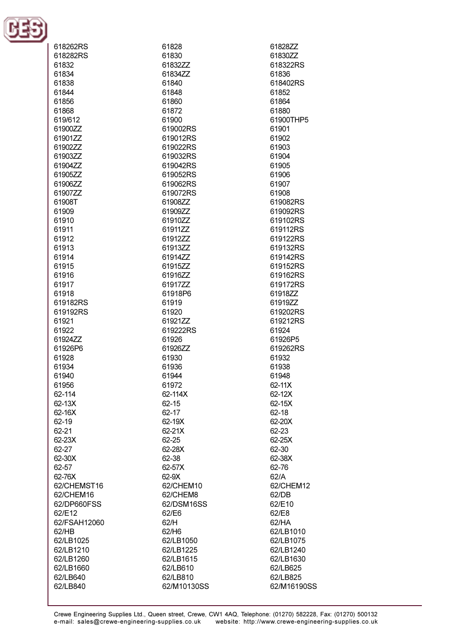

| 618262RS     | 61828       | 61828ZZ     |
|--------------|-------------|-------------|
| 618282RS     | 61830       | 61830ZZ     |
| 61832        | 61832ZZ     | 618322RS    |
| 61834        | 61834ZZ     | 61836       |
|              |             |             |
| 61838        | 61840       | 618402RS    |
| 61844        | 61848       | 61852       |
| 61856        | 61860       | 61864       |
|              |             |             |
| 61868        | 61872       | 61880       |
| 619/612      | 61900       | 61900THP5   |
| 61900ZZ      | 619002RS    | 61901       |
|              |             |             |
| 61901ZZ      | 619012RS    | 61902       |
| 61902ZZ      | 619022RS    | 61903       |
| 61903ZZ      | 619032RS    | 61904       |
|              |             |             |
| 61904ZZ      | 619042RS    | 61905       |
| 61905ZZ      | 619052RS    | 61906       |
| 61906ZZ      | 619062RS    | 61907       |
| 61907ZZ      | 619072RS    | 61908       |
|              |             |             |
| 61908T       | 61908ZZ     | 619082RS    |
| 61909        | 61909ZZ     | 619092RS    |
| 61910        | 61910ZZ     | 619102RS    |
| 61911        | 61911ZZ     | 619112RS    |
|              |             |             |
| 61912        | 61912ZZ     | 619122RS    |
| 61913        | 61913ZZ     | 619132RS    |
| 61914        | 61914ZZ     | 619142RS    |
| 61915        | 61915ZZ     | 619152RS    |
|              |             |             |
| 61916        | 61916ZZ     | 619162RS    |
| 61917        | 61917ZZ     | 619172RS    |
| 61918        | 61918P6     | 61918ZZ     |
| 619182RS     | 61919       | 61919ZZ     |
|              |             |             |
| 619192RS     | 61920       | 619202RS    |
| 61921        | 61921ZZ     | 619212RS    |
| 61922        | 619222RS    | 61924       |
| 61924ZZ      | 61926       | 61926P5     |
| 61926P6      | 61926ZZ     | 619262RS    |
|              |             |             |
| 61928        | 61930       | 61932       |
| 61934        | 61936       | 61938       |
| 61940        | 61944       | 61948       |
|              | 61972       | $62 - 11X$  |
| 61956        |             |             |
| 62-114       | 62-114X     | 62-12X      |
| 62-13X       | 62-15       | 62-15X      |
| 62-16X       | 62-17       | 62-18       |
| 62-19        | 62-19X      | 62-20X      |
|              |             |             |
| 62-21        | 62-21X      | 62-23       |
| 62-23X       | 62-25       | 62-25X      |
| 62-27        | 62-28X      | 62-30       |
| 62-30X       | 62-38       | 62-38X      |
|              |             |             |
| 62-57        | 62-57X      | 62-76       |
| 62-76X       | 62-9X       | 62/A        |
| 62/CHEMST16  | 62/CHEM10   | 62/CHEM12   |
| 62/CHEM16    | 62/CHEM8    | 62/DB       |
| 62/DP660FSS  | 62/DSM16SS  | 62/E10      |
|              |             |             |
| 62/E12       | 62/E6       | 62/E8       |
| 62/FSAH12060 | 62/H        | 62/HA       |
| 62/HB        | 62/H6       | 62/LB1010   |
| 62/LB1025    | 62/LB1050   | 62/LB1075   |
|              |             |             |
| 62/LB1210    | 62/LB1225   | 62/LB1240   |
| 62/LB1260    | 62/LB1615   | 62/LB1630   |
| 62/LB1660    | 62/LB610    | 62/LB625    |
| 62/LB640     | 62/LB810    | 62/LB825    |
|              |             |             |
| 62/LB840     | 62/M10130SS | 62/M16190SS |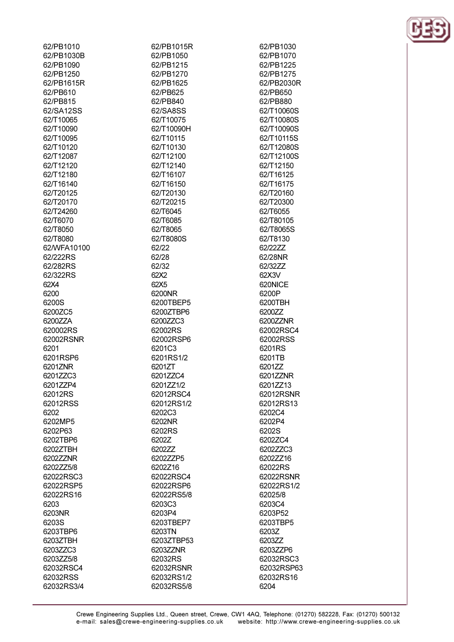| 62/PB1010   |
|-------------|
| 62/PB1030B  |
| 62/PB1090   |
| 62/PB1250   |
| 62/PB1615R  |
| 62/PB610    |
|             |
| 62/PB815    |
| 62/SA12SS   |
| 62/T10065   |
| 62/T10090   |
| 62/T10095   |
| 62/T10120   |
|             |
| 62/T12087   |
| 62/T12120   |
| 62/T12180   |
| 62/T16140   |
| 62/T20125   |
| 62/T20170   |
| 62/T24260   |
|             |
| 62/T6070    |
| 62/T8050    |
| 62/T8080    |
| 62/WFA10100 |
| 62/222RS    |
| 62/282RS    |
| 62/322RS    |
| 62X4        |
|             |
| 6200        |
| 6200S       |
| 6200ZC5     |
| 6200ZZA     |
| 620002RS    |
| 62002RSNR   |
| 6201        |
| 6201RSP6    |
| 6201ZNR     |
|             |
| 6201ZZC3    |
| 6201ZZP4    |
| 62012RS     |
| 62012RSS    |
| 6202        |
| 6202MP5     |
| 6202P63     |
| 6202TBP6    |
| 6202ZTBH    |
|             |
| 6202ZZNR    |
| 6202ZZ5/8   |
| 62022RSC3   |
|             |
| 62022RSP5   |
|             |
| 62022RS16   |
| 6203        |
| 6203NR      |
| 6203S       |
| 6203TBP6    |
| 6203ZTBH    |
| 6203ZZC3    |
| 6203ZZ5/8   |
| 62032RSC4   |
| 62032RSS    |

62/PB1015R 62/PB1050 62/PR1215 62/PB1270 62/PB1625 62/PB625 62/PB840 62/SA8SS 62/T10075 62/T10090H 62/T10115 62/T10130 62/T12100 62/T12140 62/T16107 62/T16150 62/T20130 62/T20215 62/T6045 62/T6085 62/T8065 62/T8080S 62/22 62/28 62/32 62X2 62X5 6200NR 6200TBEP5 6200ZTBP6 6200ZZC3 62002RS 62002RSP6 6201C3 6201RS1/2 6201ZT 6201ZZC4 6201ZZ1/2 62012RSC4 62012RS1/2 6202C3 6202NR 6202RS 6202Z 6202ZZ 6202ZZP5 6202Z16 62022RSC4 62022RSP6 62022RS5/8 6203C3 6203P4 6203TBEP7 6203TN 6203ZTBP53 6203ZZNR 62032RS 62032RSNR 62032RS1/2 62032RS5/8

62/PB1030 62/PB1070 62/PR1225 62/PB1275 62/PB2030R 62/PB650 62/PB880 62/T10060S 62/T10080S 62/T10090S 62/T10115S 62/T12080S 62/T12100S 62/T12150 62/T16125 62/T16175 62/T20160 62/T20300 62/T6055 62/T80105 62/T8065S 62/T8130 62/22ZZ 62/28NR 62/3277 62X3V 620NICE 6200P 6200TBH 6200ZZ 6200ZZNR 62002RSC4 62002RSS 6201RS 6201TB 6201ZZ 6201ZZNR 6201ZZ13 62012RSNR 62012RS13 6202C4 6202P4 6202S 6202ZC4 6202ZZC3 6202ZZ16 62022RS 62022RSNR 62022RS1/2 62025/8 6203C4 6203P52 6203TBP5 6203Z 6203ZZ 6203ZZP6 62032RSC3 62032RSP63 62032RS16 6204

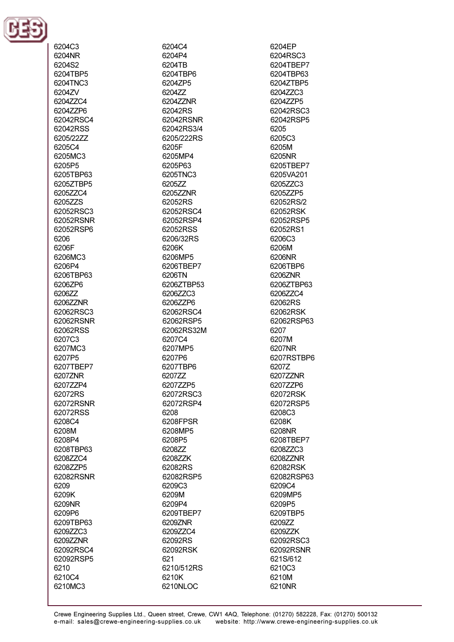

6204C3

6204NR 6204S2 6204TBP5 6204TNC3 6204ZV 62047704 6204ZZP6 62042RSC4 62042RSS 6205/2277 6205C4 6205MC3 6205P5 6205TBP63 6205ZTBP5 6205ZZC4 6205ZZS 62052RSC3 62052RSNR 62052RSP6 6206 6206F 6206MC3 6206P4 6206TBP63 6206ZP6 6206ZZ 6206ZZNR 62062RSC3 62062RSNR 62062RSS 6207C3 6207MC3 6207P5 6207TBEP7 6207ZNR 6207ZZP4 62072RS 62072RSNR 62072RSS 6208C4 6208M 6208P4 6208TBP63 6208ZZC4 6208ZZP5 62082RSNR 6209 6209K 6209NR 6209P6 6209TBP63 6209ZZC3 6209ZZNR 62092RSC4 62092RSP5 6210 6210C4 6210MC3

6204C4 6204P4 6204TR 6204TBP6 6204ZP5 620477 6204ZZNR 62042RS 62042RSNR 62042RS3/4 6205/222RS 6205F 6205MP4 6205P63 6205TNC3 620577 6205ZZNR 62052RS 62052RSC4 62052RSP4 62052RSS 6206/32RS 6206K 6206MP5 6206TRFP7 6206TN 6206ZTBP53 6206ZZC3 6206ZZP6 62062RSC4 62062RSP5 62062RS32M 6207C4 6207MP5 6207P6 6207TBP6 6207ZZ 6207ZZP5 62072RSC3 62072RSP4 6208 6208FPSR 6208MP5 6208P5 6208ZZ 620877K 62082RS 62082RSP5 6209C3 6209M 6209P4 6209TBEP7 6209ZNR 6209ZZC4 62092RS 62092RSK 621 6210/512RS 6210K 6210NLOC

6204EP 6204RSC3 6204TRFP7 6204TBP63 6204ZTBP5 6204ZZC3 6204ZZP5 62042RSC3 62042RSP5 6205 6205C3 6205M 6205NR 6205TBFP7 6205VA201 6205ZZC3 6205ZZP5 62052RS/2 62052RSK 62052RSP5 62052RS1 6206C3 6206M 6206NR 6206TRP6 6206ZNR 6206ZTBP63 6206ZZC4 62062RS 62062RSK 62062RSP63 6207 6207M 6207NR 6207RSTBP6 6207Z 6207ZZNR 6207ZZP6 62072RSK 62072RSP5 6208C3 6208K 6208NR 6208TBEP7 6208ZZC3 6208ZZNR 62082RSK 62082RSP63 6209C4 6209MP5 6209P5 6209TBP5 620977 6209ZZK 62092RSC3 62092RSNR 621S/612 6210C3 6210M 6210NR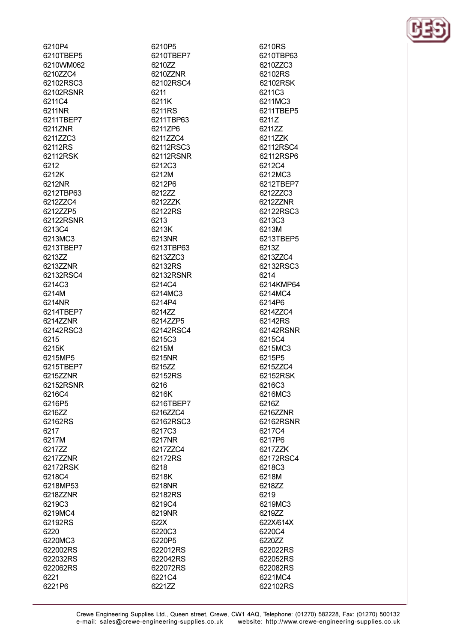6210P4 6210TBEP5 6210WM062 6210ZZC4 62102RSC3 62102RSNR 6211C4 6211NR 6211TBEP7 6211ZNR 6211ZZC3 62112RS 62112RSK 6212 6212K 6212NR 6212TBP63 621277C4 6212ZZP5 62122RSNR 6213C4 6213MC3 6213TBEP7 621377 621377NR 62132RSC4 6214C3 6214M 6214NR 6214TBEP7 6214ZZNR 62142RSC3 6215 6215K 6215MP5 6215TBEP7 6215ZZNR 62152RSNR 6216C4 6216P5 6216ZZ 62162RS 6217 6217M 6217ZZ 6217ZZNR 62172RSK 6218C4 6218MP53 6218ZZNR 6219C3 6219MC4 62192RS 6220 6220MC3 622002RS 622032RS 622062RS 6221 6221P6

6210P5 6210TBEP7 621077 6210ZZNR 62102RSC4 6211 6211K 6211RS 6211TBP63 6211ZP6 6211ZZC4 62112RSC3 62112RSNR 6212C3 6212M 6212P6 6212ZZ 621277K 62122RS 6213 6213K 6213NR 6213TBP63 6213ZZC3 62132RS 62132RSNR 6214C4 6214MC3 6214P4 6214ZZ 6214ZZP5 62142RSC4 6215C3 6215M 6215NR 6215ZZ 62152RS 6216 6216K 6216TBEP7 6216ZZC4 62162RSC3 6217C3 6217NR 6217ZZC4 62172RS 6218 6218K 6218NR 62182RS 6219C4 6219NR 622X 6220C3 6220P5 622012RS 622042RS 622072RS 6221C4 6221ZZ

6210RS 6210TBP63 62107703 62102RS 62102RSK 6211C3 6211MC3 6211TBEP5 6211Z 621177 621177K 62112RSC4 62112RSP6 6212C4 6212MC3 6212TBEP7 6212ZZC3 6212ZZNR 62122RSC3 6213C3 6213M 6213TBEP5 6213Z 6213ZZC4 62132RSC3 6214 6214KMP64 6214MC4 6214P6 6214ZZC4 62142RS 62142RSNR 6215C4 6215MC3 6215P5 6215ZZC4 62152RSK 6216C3 6216MC3 6216Z 6216ZZNR 62162RSNR 6217C4 6217P6 6217ZZK 62172RSC4 6218C3 6218M 6218ZZ 6219 6219MC3 6219ZZ 622X/614X 6220C4 6220ZZ 622022RS 622052RS 622082RS 6221MC4 622102RS

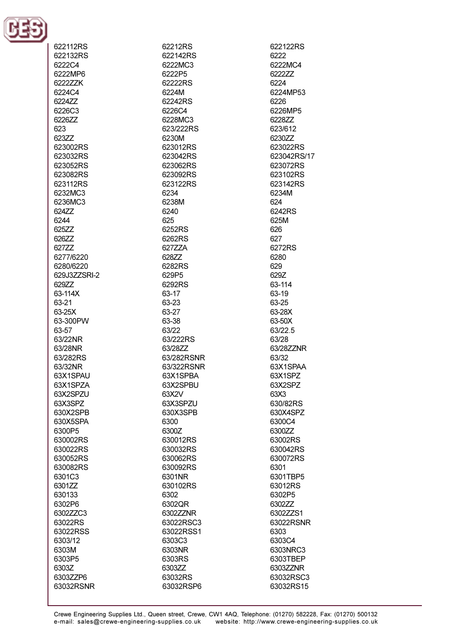

| 622112RS     |
|--------------|
| 622132RS     |
| 6222C4       |
| 6222MP6      |
| 6222ZZK      |
| 6224C4       |
| 6224ZZ       |
| 6226C3       |
| 6226ZZ       |
|              |
| 623          |
| 623ZZ        |
| 623002RS     |
| 623032RS     |
| 623052RS     |
| 623082RS     |
| 623112RS     |
| 6232MC3      |
| 6236MC3      |
| 624ZZ        |
| 6244         |
| 625ZZ        |
| 626ZZ        |
| 627ZZ        |
| 6277/6220    |
|              |
| 6280/6220    |
| 629J3ZZSRI-2 |
| 629ZZ        |
| 63-114X      |
| 63-21        |
| 63-25X       |
| 63-300PW     |
| 63-57        |
| 63/22NR      |
| 63/28NR      |
| 63/282RS     |
| 63/32NR      |
| 63X1SPAU     |
| 63X1SPZA     |
| 63X2SPZU     |
| 63X3SPZ      |
| 630X2SPB     |
| 630X5SPA     |
| 6300P5       |
| 630002RS     |
|              |
| 630022RS     |
| 630052RS     |
| 630082RS     |
| 6301C3       |
| 6301ZZ       |
| 630133       |
| 6302P6       |
| 6302ZZC3     |
| 63022RS      |
| 63022RSS     |
| 6303/12      |
| 6303M        |
| 6303P5       |
| 6303Z        |
| 6303ZZP6     |
| 63032RSNR    |
|              |

62212RS 622142RS 6222MC3 6222P5 62222RS 6224M 62242RS 6226C4 6228MC3 623/222RS 6230M 623012RS 623042RS 623062RS 623092RS 623122RS 6234 6238M 6240 625 6252RS 6262RS 627ZZA 62877 6282RS 629P5 6292RS 63-17 63-23 63-27 63-38 63/22 63/222RS 63/28ZZ 63/282RSNR 63/322RSNR 63X1SPBA 63X2SPBU 63X2V 63X3SPZU 630X3SPB 6300 6300Z 630012RS 630032RS 630062RS 630092RS 6301NR 630102RS 6302 6302QR 6302ZZNR 63022RSC3 63022RSS1 6303C3 6303NR 6303RS 6303ZZ 63032RS 63032RSP6

622122RS 6222 6222MC4 622277 6224 6224MP53 6226 6226MP5 6228ZZ 623/612 6230ZZ 623022RS 623042RS/17 623072RS 623102RS 623142RS 6234M 624 6242RS 625M 626 627 6272RS 6280 629 629Z 63-114 63-19 63-25 63-28X 63-50X 63/22.5 63/28 63/28ZZNR 63/32 63X1SPAA 63X1SPZ 63X2SPZ 63X3 630/82RS 630X4SPZ 6300C4 6300ZZ 63002RS 630042RS 630072RS 6301 6301TBP5 63012RS 6302P5 6302ZZ 6302ZZS1 63022RSNR 6303 6303C4 6303NRC3 6303TBEP 6303ZZNR 63032RSC3 63032RS15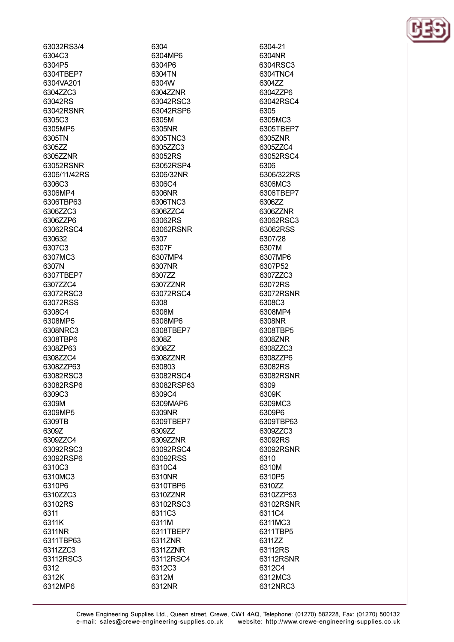63032RS3/4 6304C3 6304P5 6304TBEP7 6304VA201 6304ZZC3 63042RS 63042RSNR 6305C3 6305MP5 6305TN 6305ZZ 630577NR 63052RSNR 6306/11/42RS 6306C3 6306MP4 6306TBP63 6306ZZC3 6306ZZP6 63062RSC4 630632 6307C3 6307MC3 6307N 6307TBEP7 6307ZZC4 63072RSC3 63072RSS 6308C4 6308MP5 6308NRC3 6308TBP6 6308ZP63 6308ZZC4 6308ZZP63 63082RSC3 63082RSP6 6309C3 6309M 6309MP5 6309TB 6309Z 6309ZZC4 63092RSC3 63092RSP6 6310C3 6310MC3 6310P6 6310ZZC3 63102RS 6311 6311K 6311NR 6311TBP63 6311ZZC3 63112RSC3 6312 6312K 6312MP6

6304 6304MP6 6304P6 6304TN 6304W 6304ZZNR 63042RSC3 63042RSP6 6305M 6305NR 6305TNC3 6305ZZC3 63052RS 63052RSP4 6306/32NR 6306C4 6306NR 6306TNC3 6306ZZC4 63062RS 63062RSNR 6307 6307F 6307MP4 6307NR 6307ZZ 6307ZZNR 63072RSC4 6308 6308M 6308MP6 6308TBEP7 6308Z 6308ZZ 6308ZZNR 630803 63082RSC4 63082RSP63 6309C4 6309MAP6 6309NR 6309TBEP7 6309ZZ 6309ZZNR 63092RSC4 63092RSS 6310C4 6310NR 6310TBP6 6310ZZNR 63102RSC3 6311C3 6311M 6311TBEP7 6311ZNR 6311ZZNR 63112RSC4 6312C3 6312M 6312NR

6304-21 6304NR 6304RSC3 6304TNC4 630477 6304ZZP6 63042RSC4 6305 6305MC3 6305TBEP7 6305ZNR 6305ZZC4 63052RSC4 6306 6306/322RS 6306MC3 6306TBEP7 630677 6306ZZNR 63062RSC3 63062RSS 6307/28 6307M 6307MP6 6307P52 6307ZZC3 63072RS 63072RSNR 6308C3 6308MP4 6308NR 6308TBP5 6308ZNR 6308ZZC3 6308ZZP6 63082RS 63082RSNR 6309 6309K 6309MC3 6309P6 6309TBP63 6309ZZC3 63092RS 63092RSNR 6310 6310M 6310P5 6310ZZ 6310ZZP53 63102RSNR 6311C4 6311MC3 6311TBP5 6311ZZ 63112RS 63112RSNR 6312C4 6312MC3 6312NRC3

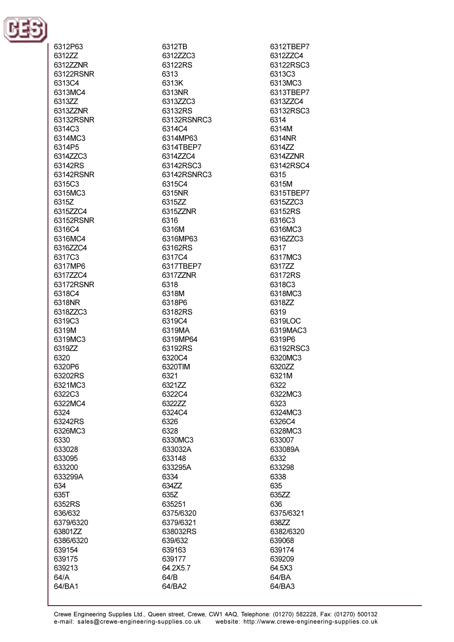

6312P63 6312ZZ 631277NR 63122RSNR 6313C4 6313MC4 631377 6313ZZNR 63132RSNR 6314C3 6314MC3 6314P5 6314ZZC3 63142RS 63142RSNR 6315C3 6315MC3 63157 6315ZZC4 63152RSNR 6316C4 6316MC4 6316ZZC4 6317C3 6317MP6 6317ZZC4 63172RSNR 6318C4 6318NR 6318ZZC3 6319C3 6319M 6319MC3 6319ZZ 6320 6320P6 63202RS 6321MC3 6322C3 6322MC4 6324 63242RS 6326MC3 6330 633028 633095 633200 633299A 634 635T 6352RS 636/632 6379/6320 63801ZZ 6386/6320 639154 639175 639213 64/A 64/BA1

6312TB 6312ZZC3 63122RS 6313 6313K 6313NR 6313ZZC3 63132RS 63132RSNRC3 6314C4 6314MP63 6314TBEP7 6314ZZC4 63142RSC3 63142RSNRC3 6315C4 6315NR 6315ZZ 6315ZZNR 6316 6316M 6316MP63 63162RS 6317C4 6317TBEP7 6317ZZNR 6318 6318M 6318P6 63182RS 6319C4 6319MA 6319MP64 63192RS 6320C4 6320TIM 6321 6321ZZ 6322C4 6322ZZ 6324C4 6326 6328 6330MC3 633032A 633148 633295A 6334 634ZZ 635Z 635251 6375/6320 6379/6321 638032RS 639/632 639163 639177 64.2X5.7 64/B 64/BA2

6312TBEP7 6312ZZC4 63122RSC3 6313C3 6313MC3 6313TBEP7 6313ZZC4 63132RSC3 6314 6314M 6314NR 6314ZZ 6314ZZNR 63142RSC4 6315 6315M 6315TBEP7 6315ZZC3 63152RS 6316C3 6316MC3 6316ZZC3 6317 6317MC3 631777 63172RS 6318C3 6318MC3 6318ZZ 6319 6319LOC 6319MAC3 6319P6 63192RSC3 6320MC3 6320ZZ 6321M 6322 6322MC3 6323 6324MC3 6326C4 6328MC3 633007 633089A 6332 633298 6338 635 635ZZ 636 6375/6321 638ZZ 6382/6320 639068 639174 639209 64.5X3 64/BA 64/BA3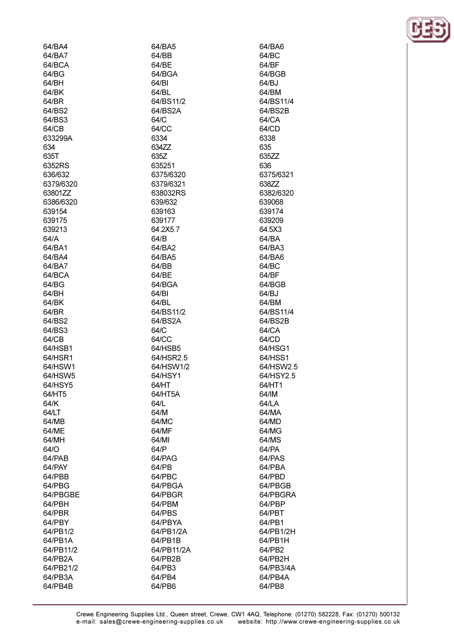| 64/BA4    | 64/BA5     | 64/BA6    |
|-----------|------------|-----------|
| 64/BA7    | 64/BB      | 64/BC     |
| 64/BCA    | 64/BE      | 64/BF     |
| 64/BG     | 64/BGA     | 64/BGB    |
| 64/BH     | 64/BI      | 64/BJ     |
| 64/BK     | 64/BL      | 64/BM     |
| 64/BR     | 64/BS11/2  | 64/BS11/4 |
| 64/BS2    | 64/BS2A    | 64/BS2B   |
| 64/BS3    | 64/C       | 64/CA     |
| 64/CB     | 64/CC      | 64/CD     |
| 633299A   | 6334       | 6338      |
| 634       | 634ZZ      | 635       |
| 635T      | 635Z       | 635ZZ     |
| 6352RS    | 635251     | 636       |
|           | 6375/6320  |           |
| 636/632   |            | 6375/6321 |
| 6379/6320 | 6379/6321  | 638ZZ     |
| 63801ZZ   | 638032RS   | 6382/6320 |
| 6386/6320 | 639/632    | 639068    |
| 639154    | 639163     | 639174    |
| 639175    | 639177     | 639209    |
| 639213    | 64.2X5.7   | 64.5X3    |
| 64/A      | 64/B       | 64/BA     |
| 64/BA1    | 64/BA2     | 64/BA3    |
| 64/BA4    | 64/BA5     | 64/BA6    |
| 64/BA7    | 64/BB      | 64/BC     |
| 64/BCA    | 64/BE      | 64/BF     |
| 64/BG     | 64/BGA     | 64/BGB    |
| 64/BH     | 64/BI      | 64/BJ     |
| 64/BK     | 64/BL      | 64/BM     |
| 64/BR     | 64/BS11/2  | 64/BS11/4 |
| 64/BS2    | 64/BS2A    | 64/BS2B   |
| 64/BS3    | 64/C       | 64/CA     |
| 64/CB     | 64/CC      | 64/CD     |
| 64/HSB1   | 64/HSB5    | 64/HSG1   |
| 64/HSR1   | 64/HSR2.5  | 64/HSS1   |
| 64/HSW1   | 64/HSW1/2  | 64/HSW2.5 |
| 64/HSW5   | 64/HSY1    | 64/HSY2.5 |
| 64/HSY5   | 64/HT      | 64/HT1    |
| 64/HT5    | 64/HT5A    | 64/IM     |
| 64/K      | 64/L       | 64/LA     |
|           |            |           |
| 64/LT     | 64/M       | 64/MA     |
| 64/MB     | 64/MC      | 64/MD     |
| 64/ME     | 64/MF      | 64/MG     |
| 64/MH     | 64/MI      | 64/MS     |
| 64/O      | 64/P       | 64/PA     |
| 64/PAB    | 64/PAG     | 64/PAS    |
| 64/PAY    | 64/PB      | 64/PBA    |
| 64/PBB    | 64/PBC     | 64/PBD    |
| 64/PBG    | 64/PBGA    | 64/PBGB   |
| 64/PBGBE  | 64/PBGR    | 64/PBGRA  |
| 64/PBH    | 64/PBM     | 64/PBP    |
| 64/PBR    | 64/PBS     | 64/PBT    |
| 64/PBY    | 64/PBYA    | 64/PB1    |
| 64/PB1/2  | 64/PB1/2A  | 64/PB1/2H |
| 64/PB1A   | 64/PB1B    | 64/PB1H   |
| 64/PB11/2 | 64/PB11/2A | 64/PB2    |
| 64/PB2A   | 64/PB2B    | 64/PB2H   |
| 64/PB21/2 | 64/PB3     | 64/PB3/4A |
| 64/PB3A   | 64/PB4     | 64/PB4A   |
| 64/PB4B   | 64/PB6     | 64/PB8    |
|           |            |           |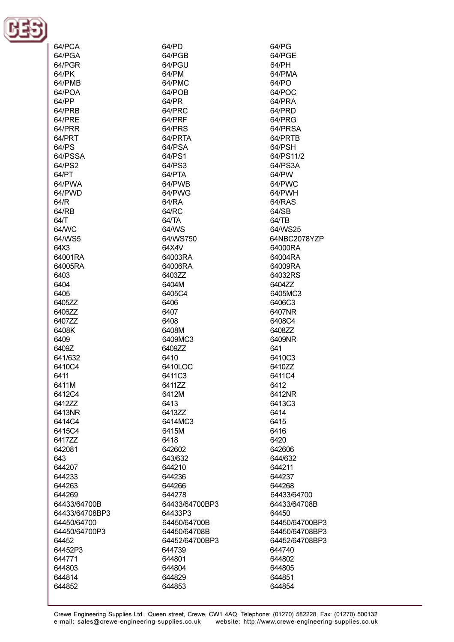

| 64/PCA         | 64/PD          | 64/PG          |
|----------------|----------------|----------------|
| 64/PGA         | 64/PGB         | 64/PGE         |
| 64/PGR         | 64/PGU         | 64/PH          |
|                |                |                |
| 64/PK          | 64/PM          | 64/PMA         |
| 64/PMB         | 64/PMC         | 64/PO          |
| 64/POA         | 64/POB         | 64/POC         |
| 64/PP          | 64/PR          | 64/PRA         |
| 64/PRB         | 64/PRC         | 64/PRD         |
|                |                | 64/PRG         |
| 64/PRE         | 64/PRF         |                |
| 64/PRR         | 64/PRS         | 64/PRSA        |
| 64/PRT         | 64/PRTA        | 64/PRTB        |
| 64/PS          | 64/PSA         | 64/PSH         |
| 64/PSSA        | 64/PS1         | 64/PS11/2      |
| 64/PS2         | 64/PS3         | 64/PS3A        |
| 64/PT          | 64/PTA         | 64/PW          |
|                |                |                |
| 64/PWA         | 64/PWB         | 64/PWC         |
| 64/PWD         | 64/PWG         | 64/PWH         |
| 64/R           | 64/RA          | 64/RAS         |
| 64/RB          | 64/RC          | 64/SB          |
| 64/T           | 64/TA          | 64/TB          |
| 64/WC          | 64/WS          | 64/WS25        |
|                |                |                |
| 64/WS5         | 64/WS750       | 64NBC2078YZP   |
| 64X3           | 64X4V          | 64000RA        |
| 64001RA        | 64003RA        | 64004RA        |
| 64005RA        | 64006RA        | 64009RA        |
| 6403           | 6403ZZ         | 64032RS        |
| 6404           | 6404M          | 6404ZZ         |
|                |                |                |
| 6405           | 6405C4         | 6405MC3        |
| 6405ZZ         | 6406           | 6406C3         |
| 6406ZZ         | 6407           | 6407NR         |
| 6407ZZ         | 6408           | 6408C4         |
| 6408K          | 6408M          | 6408ZZ         |
| 6409           | 6409MC3        | 6409NR         |
|                |                |                |
| 6409Z          | 6409ZZ         | 641            |
| 641/632        | 6410           | 6410C3         |
| 6410C4         | 6410LOC        | 6410ZZ         |
| 6411           | 6411C3         | 6411C4         |
| 6411M          | 6411ZZ         | 6412           |
| 6412C4         | 6412M          | 6412NR         |
|                |                |                |
| 6412ZZ         | 6413           | 6413C3         |
| 6413NR         | 6413ZZ         | 6414           |
| 6414C4         | 6414MC3        | 6415           |
| 6415C4         | 6415M          | 6416           |
| 641777         | 6418           | 6420           |
| 642081         | 642602         | 642606         |
| 643            | 643/632        | 644/632        |
|                |                |                |
| 644207         | 644210         | 644211         |
| 644233         | 644236         | 644237         |
| 644263         | 644266         | 644268         |
| 644269         | 644278         | 64433/64700    |
| 64433/64700B   | 64433/64700BP3 | 64433/64708B   |
| 64433/64708BP3 | 64433P3        | 64450          |
| 64450/64700    | 64450/64700B   | 64450/64700BP3 |
|                |                |                |
| 64450/64700P3  | 64450/64708B   | 64450/64708BP3 |
| 64452          | 64452/64700BP3 | 64452/64708BP3 |
| 64452P3        | 644739         | 644740         |
| 644771         | 644801         | 644802         |
| 644803         | 644804         | 644805         |
| 644814         | 644829         | 644851         |
|                |                |                |
| 644852         | 644853         | 644854         |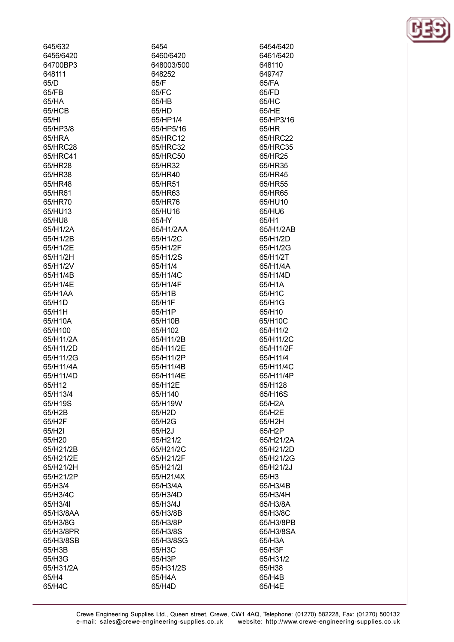| 645/632   | 6454       | 6454/6420 |
|-----------|------------|-----------|
| 6456/6420 | 6460/6420  | 6461/6420 |
| 64700BP3  | 648003/500 | 648110    |
| 648111    | 648252     | 649747    |
| 65/D      | 65/F       | 65/FA     |
| 65/FB     | 65/FC      | 65/FD     |
| 65/HA     | 65/HB      | 65/HC     |
| 65/HCB    | 65/HD      | 65/HE     |
| 65/HI     | 65/HP1/4   | 65/HP3/16 |
| 65/HP3/8  | 65/HP5/16  | 65/HR     |
| 65/HRA    | 65/HRC12   | 65/HRC22  |
| 65/HRC28  | 65/HRC32   | 65/HRC35  |
| 65/HRC41  | 65/HRC50   | 65/HR25   |
| 65/HR28   | 65/HR32    | 65/HR35   |
| 65/HR38   | 65/HR40    | 65/HR45   |
|           |            |           |
| 65/HR48   | 65/HR51    | 65/HR55   |
| 65/HR61   | 65/HR63    | 65/HR65   |
| 65/HR70   | 65/HR76    | 65/HU10   |
| 65/HU13   | 65/HU16    | 65/HU6    |
| 65/HU8    | 65/HY      | 65/H1     |
| 65/H1/2A  | 65/H1/2AA  | 65/H1/2AB |
| 65/H1/2B  | 65/H1/2C   | 65/H1/2D  |
| 65/H1/2E  | 65/H1/2F   | 65/H1/2G  |
| 65/H1/2H  | 65/H1/2S   | 65/H1/2T  |
| 65/H1/2V  | 65/H1/4    | 65/H1/4A  |
| 65/H1/4B  | 65/H1/4C   | 65/H1/4D  |
| 65/H1/4E  | 65/H1/4F   | 65/H1A    |
| 65/H1AA   | 65/H1B     | 65/H1C    |
| 65/H1D    | 65/H1F     | 65/H1G    |
| 65/H1H    | 65/H1P     | 65/H10    |
| 65/H10A   | 65/H10B    | 65/H10C   |
| 65/H100   | 65/H102    | 65/H11/2  |
| 65/H11/2A | 65/H11/2B  | 65/H11/2C |
| 65/H11/2D | 65/H11/2E  | 65/H11/2F |
| 65/H11/2G | 65/H11/2P  | 65/H11/4  |
| 65/H11/4A | 65/H11/4B  | 65/H11/4C |
| 65/H11/4D | 65/H11/4E  | 65/H11/4P |
| 65/H12    | 65/H12E    | 65/H128   |
| 65/H13/4  | 65/H140    | 65/H16S   |
| 65/H19S   | 65/H19W    | 65/H2A    |
| 65/H2B    | 65/H2D     | 65/H2E    |
| 65/H2F    | 65/H2G     | 65/H2H    |
| 65/H2I    | 65/H2J     | 65/H2P    |
| 65/H20    | 65/H21/2   | 65/H21/2A |
| 65/H21/2B | 65/H21/2C  | 65/H21/2D |
| 65/H21/2E | 65/H21/2F  | 65/H21/2G |
| 65/H21/2H | 65/H21/2I  | 65/H21/2J |
| 65/H21/2P | 65/H21/4X  | 65/H3     |
| 65/H3/4   | 65/H3/4A   | 65/H3/4B  |
| 65/H3/4C  | 65/H3/4D   | 65/H3/4H  |
| 65/H3/4I  | 65/H3/4J   | 65/H3/8A  |
| 65/H3/8AA | 65/H3/8B   | 65/H3/8C  |
| 65/H3/8G  | 65/H3/8P   | 65/H3/8PB |
| 65/H3/8PR | 65/H3/8S   | 65/H3/8SA |
| 65/H3/8SB | 65/H3/8SG  | 65/H3A    |
| 65/H3B    | 65/H3C     | 65/H3F    |
| 65/H3G    | 65/H3P     | 65/H31/2  |
| 65/H31/2A | 65/H31/2S  | 65/H38    |
| 65/H4     | 65/H4A     | 65/H4B    |
| 65/H4C    | 65/H4D     | 65/H4E    |
|           |            |           |

Crewe Engineering Supplies Ltd., Queen street, Crewe, CW1 4AQ, Telephone: (01270) 582228, Fax: (01270) 500132<br>e-mail: sales@crewe-engineering-supplies.co.uk website: http://www.crewe-engineering-supplies.co.uk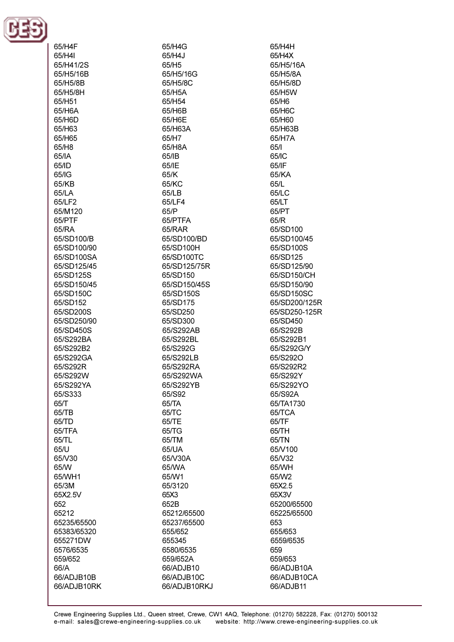

 $\frac{1}{2}$ 

| 65/H4F      |
|-------------|
| 65/H4I      |
| 65/H41/2S   |
| 65/H5/16B   |
| 65/H5/8B    |
| 65/H5/8H    |
| 65/H51      |
| 65/H6A      |
| 65/H6D      |
| 65/H63      |
| 65/H65      |
| 65/H8       |
| 65/IA       |
| 65/ID       |
| 65/IG       |
| 65/KB       |
| 65/LA       |
| 65/LF2      |
| 65/M120     |
|             |
| 65/PTF      |
| 65/RA       |
| 65/SD100/B  |
| 65/SD100/90 |
| 65/SD100SA  |
| 65/SD125/45 |
| 65/SD125S   |
| 65/SD150/45 |
| 65/SD150C   |
| 65/SD152    |
| 65/SD200S   |
| 65/SD250/90 |
| 65/SD450S   |
| 65/S292BA   |
| 65/S292B2   |
| 65/S292GA   |
| 65/S292R    |
| 65/S292W    |
| 65/S292YA   |
|             |
| 65/S333     |
| 65/T        |
| 65/TB       |
| 65/TD       |
| 65/TFA      |
| 65/TL       |
| 65/U        |
| 65/V30      |
| 65/W        |
| 65/WH1      |
| 65/3M       |
| 65X2.5V     |
| 652         |
| 65212       |
| 65235/65500 |
| 65383/65320 |
| 655271DW    |
| 6576/6535   |
| 659/652     |
| 66/A        |
| 66/ADJB10B  |
| 66/ADJB10RK |
|             |

65/H4G 65/H4J 65/H<sub>5</sub> 65/H5/16G 65/H5/8C 65/H5A 65/H54 65/H6B 65/H6E 65/H63A 65/H7 65/H8A 65/IB 65/IF 65/K 65/KC 65/LB 65/LF4 65/P 65/PTFA 65/RAR 65/SD100/BD 65/SD100H 65/SD100TC 65/SD125/75R 65/SD150 65/SD150/45S 65/SD150S 65/SD175 65/SD250 65/SD300 65/S292AB 65/S292BL 65/S292G 65/S292LB 65/S292RA 65/S292WA 65/S292YB 65/S92 65/TA 65/TC 65/TE 65/TG 65/TM 65/UA 65/V30A 65/WA 65/W1 65/3120 65X3 652B 65212/65500 65237/65500 655/652 655345 6580/6535 659/652A 66/ADJB10 66/ADJB10C 66/ADJB10RKJ 65/H4H 65/H4X 65/H5/16A 65/H5/8A 65/H5/8D 65/H5W 65/H6 65/H6C 65/H60 65/H63B 65/H7A 65/1 65/IC 65/IF 65/KA 65/L **65/LC** 65/LT 65/PT 65/R 65/SD100 65/SD100/45 65/SD100S 65/SD125 65/SD125/90 65/SD150/CH 65/SD150/90 65/SD150SC 65/SD200/125R 65/SD250-125R 65/SD450 65/S292B 65/S292B1 65/S292G/Y 65/S292O 65/S292R2 65/S292Y 65/S292YO 65/S92A 65/TA1730 65/TCA 65/TF 65/TH 65/TN 65/V100 65/V32 65/WH 65/W2 65X2.5 65X3V 65200/65500 65225/65500 653 655/653 6559/6535 659 659/653 66/ADJB10A 66/ADJB10CA 66/ADJB11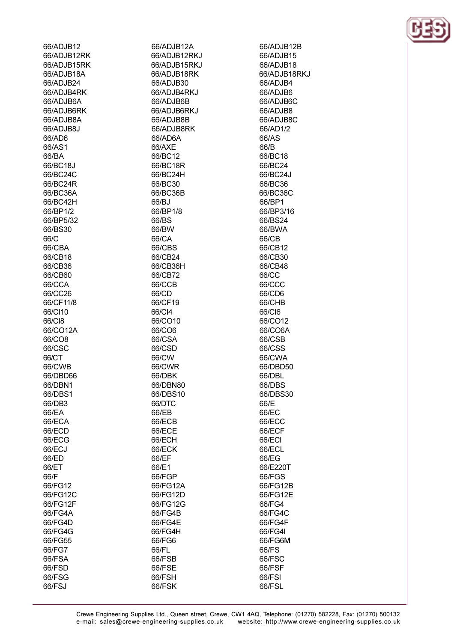66/FSJ

66/ADJB12A 66/ADJB12RKJ 66/ADJB15RKJ 66/ADJB18RK 66/ADJB30 66/ADJB4RKJ 66/ADJB6B 66/ADJB6RKJ 66/ADJB8B 66/ADJB8RK 66/AD6A 66/AXE 66/BC12 66/BC18R 66/BC24H 66/BC30 66/BC36B 66/BJ 66/BP1/8 66/BS 66/BW 66/CA 66/CBS 66/CB24 66/CB36H 66/CB72 66/CCB 66/CD 66/CF19 66/CI4 66/CO10 66/CO6 66/CSA 66/CSD 66/CW 66/CWR 66/DBK 66/DBN80 66/DBS10 66/DTC 66/EB 66/ECB 66/ECE 66/ECH 66/ECK 66/EF 66/E1 66/FGP 66/FG12A 66/FG12D 66/FG12G 66/FG4B 66/FG4E 66/FG4H 66/FG6 66/FL

66/FSB

66/FSE

66/FSH

66/FSK

66/ADJB12B 66/ADJB15 66/AD.IR18 66/ADJB18RKJ 66/ADJB4 66/ADJB6 66/ADJB6C 66/ADJB8 66/ADJB8C 66/AD1/2 66/AS 66/B 66/BC18 66/BC24 66/BC24J 66/BC36 66/BC36C 66/BP1 66/BP3/16 66/BS24 66/BWA 66/CB 66/CB12 66/CB30 66/CB48 66/CC 66/CCC 66/CD6 66/CHB 66/CI6 66/CO12 66/CO6A 66/CSB 66/CSS 66/CWA 66/DBD50 66/DBL 66/DBS 66/DBS30 66/E 66/EC 66/ECC 66/ECF 66/ECI 66/ECL 66/EG 66/E220T 66/FGS 66/FG12B 66/FG12E 66/FG4 66/FG4C 66/FG4F 66/FG4I 66/FG6M 66/FS 66/FSC 66/FSF 66/FSI 66/FSL

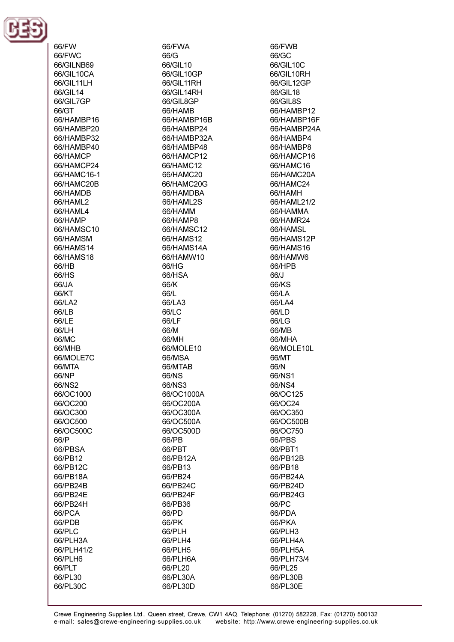

66/FW 66/FWC 66/GILNB69 66/GIL10CA 66/GIL11LH 66/GIL14 66/GIL7GP 66/GT 66/HAMBP16 66/HAMBP20 66/HAMBP32 66/HAMBP40 66/HAMCP 66/HAMCP24 66/HAMC16-1 66/HAMC20B 66/HAMDB 66/HAMI<sub>2</sub> 66/HAML4 66/HAMP 66/HAMSC10 66/HAMSM 66/HAMS14 66/HAMS18  $66/HR$ 66/HS 66/JA 66/KT 66/LA2 66/LB 66/LE 66/LH 66/MC 66/MHB 66/MOLE7C 66/MTA 66/NP 66/NS2 66/OC1000 66/OC200 66/OC300 66/OC500 66/OC500C 66/P 66/PBSA 66/PB12 66/PB12C 66/PB18A 66/PB24B 66/PB24E 66/PB24H 66/PCA 66/PDB 66/PLC 66/PLH3A 66/PLH41/2 66/PLH6 66/PLT 66/PL30 66/PL30C

66/FWA 66/G 66/GIL 10 66/GII 10GP 66/GIL11RH 66/GIL14RH 66/GIL8GP 66/HAMB 66/HAMBP16B 66/HAMBP24 66/HAMBP32A 66/HAMBP48 66/HAMCP12 66/HAMC12 66/HAMC20 66/HAMC20G 66/HAMDBA 66/HAMI 2S 66/HAMM 66/HAMP8 66/HAMSC12 66/HAMS12 66/HAMS14A 66/HAMW10 66/HG 66/HSA 66/K 66/L 66/LA3 66/LC 66/LF 66/M 66/MH 66/MOLE10 66/MSA 66/MTAB 66/NS 66/NS3 66/OC1000A 66/OC200A 66/OC300A 66/OC500A 66/OC500D 66/PB 66/PBT 66/PB12A 66/PB13 66/PB24 66/PB24C 66/PB24F 66/PB36 66/PD 66/PK 66/PLH 66/PLH4 66/PLH5 66/PLH6A 66/PL20 66/PL30A 66/PL30D

66/FWB 66/GC 66/GIL10C 66/GII 10RH 66/GIL12GP 66/GIL18 66/GIL8S 66/HAMBP12 66/HAMBP16F 66/HAMBP24A 66/HAMBP4 66/HAMBP8 66/HAMCP16 66/HAMC16 66/HAMC20A 66/HAMC24 66/HAMH 66/HAMI 21/2 66/HAMMA 66/HAMR24 66/HAMSL 66/HAMS12P 66/HAMS16 66/HAMW6 66/HPR 66/J 66/KS 66/LA 66/LA4 66/LD 66/LG 66/MB 66/MHA 66/MOLE10L 66/MT 66/N 66/NS1 66/NS4 66/OC125 66/OC24 66/OC350 66/OC500B 66/OC750 66/PBS 66/PBT1 66/PB12B 66/PB18 66/PB24A 66/PB24D 66/PB24G 66/PC 66/PDA 66/PKA 66/PLH3 66/PLH4A 66/PLH5A 66/PLH73/4 66/PL25 66/PL30B 66/PL30E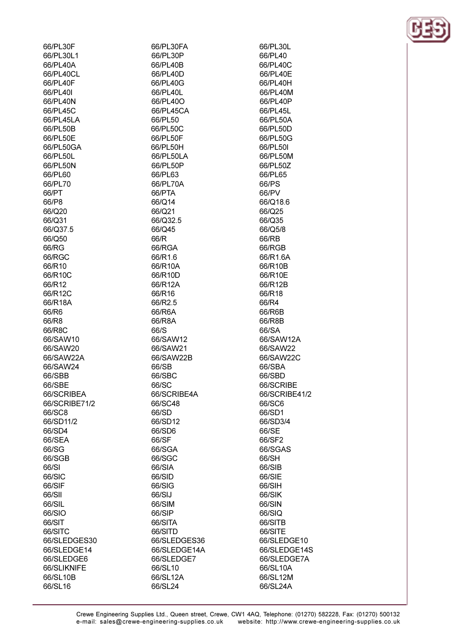| 66/PL30F      | 66/PL30FA    |
|---------------|--------------|
| 66/PL30L1     | 66/PL30P     |
| 66/PL40A      | 66/PL40B     |
| 66/PL40CL     | 66/PL40D     |
| 66/PL40F      | 66/PL40G     |
| 66/PL40I      | 66/PL40L     |
| 66/PL40N      | 66/PL40O     |
| 66/PL45C      | 66/PL45CA    |
| 66/PL45LA     | 66/PL50      |
| 66/PL50B      | 66/PL50C     |
|               |              |
| 66/PL50E      | 66/PL50F     |
| 66/PL50GA     | 66/PL50H     |
| 66/PL50L      | 66/PL50LA    |
| 66/PL50N      | 66/PL50P     |
| 66/PL60       | 66/PL63      |
| 66/PL70       | 66/PL70A     |
| 66/PT         | 66/PTA       |
| 66/P8         | 66/Q14       |
| 66/Q20        | 66/Q21       |
| 66/Q31        | 66/Q32.5     |
| 66/Q37.5      | 66/Q45       |
| 66/Q50        | 66/R         |
| 66/RG         | 66/RGA       |
| 66/RGC        | 66/R1.6      |
| 66/R10        | 66/R10A      |
| 66/R10C       | 66/R10D      |
| 66/R12        | 66/R12A      |
|               |              |
| 66/R12C       | 66/R16       |
| 66/R18A       | 66/R2.5      |
| 66/R6         | 66/R6A       |
| 66/R8         | 66/R8A       |
| 66/R8C        | 66/S         |
| 66/SAW10      | 66/SAW12     |
| 66/SAW20      | 66/SAW21     |
| 66/SAW22A     | 66/SAW22B    |
| 66/SAW24      | 66/SB        |
| 66/SBB        | 66/SBC       |
| 66/SBE        | 66/SC        |
| 66/SCRIBEA    | 66/SCRIBE4A  |
| 66/SCRIBE71/2 | 66/SC48      |
| 66/SC8        | 66/SD        |
| 66/SD11/2     | 66/SD12      |
| 66/SD4        | 66/SD6       |
| 66/SEA        | 66/SF        |
| 66/SG         | 66/SGA       |
| 66/SGB        | 66/SGC       |
| 66/SI         | 66/SIA       |
| 66/SIC        |              |
|               | 66/SID       |
| 66/SIF        | 66/SIG       |
| 66/SII        | 66/SIJ       |
| 66/SIL        | 66/SIM       |
| 66/SIO        | 66/SIP       |
| 66/SIT        | 66/SITA      |
| 66/SITC       | 66/SITD      |
| 66/SLEDGES30  | 66/SLEDGES36 |
| 66/SLEDGE14   | 66/SLEDGE14A |
| 66/SLEDGE6    | 66/SLEDGE7   |
| 66/SLIKNIFE   | 66/SL10      |
| 66/SL10B      | 66/SL12A     |
| 66/SL16       | 66/SL24      |
|               |              |

66/PL30L 66/PL40 66/PL40C 66/PL40E 66/PL40H 66/PL40M 66/PL40P 66/PL45L 66/PL50A 66/PL50D 66/PL50G 66/PL50I 66/PL50M 66/PL50Z 66/PL65 66/PS 66/PV 66/Q18.6 66/Q25 66/Q35 66/Q5/8 66/RB 66/RGB 66/R1.6A 66/R10B 66/R10E 66/R12B 66/R18 66/R4 66/R6B 66/R8B 66/SA 66/SAW12A 66/SAW22 66/SAW22C 66/SBA 66/SBD 66/SCRIBE 66/SCRIBE41/2 66/SC6 66/SD1 66/SD3/4 66/SE 66/SF2 66/SGAS 66/SH 66/SIB 66/SIE 66/SIH 66/SIK 66/SIN 66/SIQ 66/SITB 66/SITE 66/SLEDGE10 66/SLEDGE14S 66/SLEDGE7A 66/SL10A 66/SL12M 66/SL24A

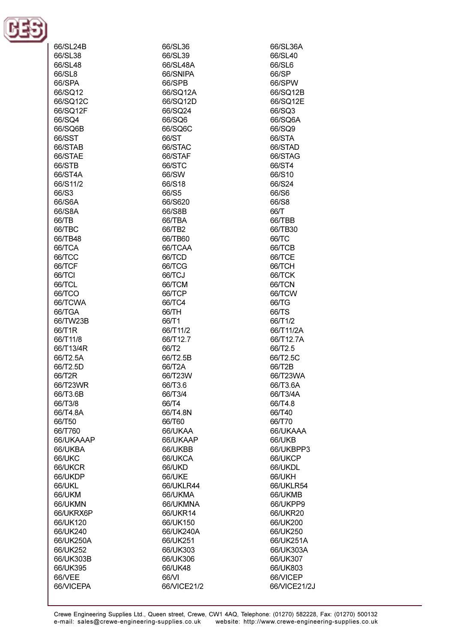

| 66/SL24B  | 66/SL36     | 66/SL36A      |
|-----------|-------------|---------------|
| 66/SL38   | 66/SL39     | 66/SL40       |
| 66/SL48   | 66/SL48A    | 66/SL6        |
|           |             |               |
| 66/SL8    | 66/SNIPA    | 66/SP         |
| 66/SPA    | 66/SPB      | 66/SPW        |
| 66/SQ12   | 66/SQ12A    | 66/SQ12B      |
|           |             |               |
| 66/SQ12C  | 66/SQ12D    | 66/SQ12E      |
| 66/SQ12F  | 66/SQ24     | 66/SQ3        |
| 66/SQ4    | 66/SQ6      | 66/SQ6A       |
| 66/SQ6B   | 66/SQ6C     | 66/SQ9        |
|           |             |               |
| 66/SST    | 66/ST       | 66/STA        |
| 66/STAB   | 66/STAC     | 66/STAD       |
| 66/STAE   | 66/STAF     | 66/STAG       |
| 66/STB    | 66/STC      | 66/ST4        |
|           |             |               |
| 66/ST4A   | 66/SW       | 66/S10        |
| 66/S11/2  | 66/S18      | 66/S24        |
| 66/S3     | 66/S5       | 66/S6         |
| 66/S6A    | 66/S620     | 66/S8         |
|           |             |               |
| 66/S8A    | 66/S8B      | 66/T          |
| 66/TB     | 66/TBA      | 66/TBB        |
| 66/TBC    | 66/TB2      | 66/TB30       |
| 66/TB48   | 66/TB60     | 66/TC         |
|           |             |               |
| 66/TCA    | 66/TCAA     | 66/TCB        |
| 66/TCC    | 66/TCD      | 66/TCE        |
| 66/TCF    | 66/TCG      | 66/TCH        |
| 66/TCI    | 66/TCJ      | 66/TCK        |
|           |             |               |
| 66/TCL    | 66/TCM      | 66/TCN        |
| 66/TCO    | 66/TCP      | 66/TCW        |
| 66/TCWA   | 66/TC4      | 66/TG         |
| 66/TGA    | 66/TH       | 66/TS         |
|           |             |               |
| 66/TW23B  | 66/T1       | 66/T1/2       |
| 66/T1R    | 66/T11/2    | 66/T11/2A     |
| 66/T11/8  | 66/T12.7    | 66/T12.7A     |
| 66/T13/4R | 66/T2       | 66/T2.5       |
|           |             |               |
| 66/T2.5A  | 66/T2.5B    | 66/T2.5C      |
| 66/T2.5D  | 66/T2A      | 66/T2B        |
| 66/T2R    | 66/T23W     | 66/T23WA      |
| 66/T23WR  | 66/T3.6     | 66/T3.6A      |
| 66/T3.6B  | 66/T3/4     | 66/T3/4A      |
|           |             |               |
| 66/T3/8   | 66/T4       | 66/T4.8       |
| 66/T4.8A  | 66/T4.8N    | 66/T40        |
| 66/T50    | 66/T60      | 66/T70        |
| 66/T760   | 66/UKAA     | 66/UKAAA      |
|           |             |               |
| 66/UKAAAP | 66/UKAAP    | <b>66/UKB</b> |
| 66/UKBA   | 66/UKBB     | 66/UKBPP3     |
| 66/UKC    | 66/UKCA     | 66/UKCP       |
| 66/UKCR   | 66/UKD      | 66/UKDL       |
| 66/UKDP   | 66/UKE      | 66/UKH        |
|           |             |               |
| 66/UKL    | 66/UKLR44   | 66/UKLR54     |
| 66/UKM    | 66/UKMA     | 66/UKMB       |
| 66/UKMN   | 66/UKMNA    | 66/UKPP9      |
| 66/UKRX6P | 66/UKR14    | 66/UKR20      |
|           |             |               |
| 66/UK120  | 66/UK150    | 66/UK200      |
| 66/UK240  | 66/UK240A   | 66/UK250      |
| 66/UK250A | 66/UK251    | 66/UK251A     |
| 66/UK252  | 66/UK303    | 66/UK303A     |
| 66/UK303B | 66/UK306    | 66/UK307      |
|           |             |               |
| 66/UK395  | 66/UK48     | 66/UK803      |
| 66/VEE    | 66/VI       | 66/VICEP      |
| 66/VICEPA | 66/VICE21/2 | 66/VICE21/2J  |
|           |             |               |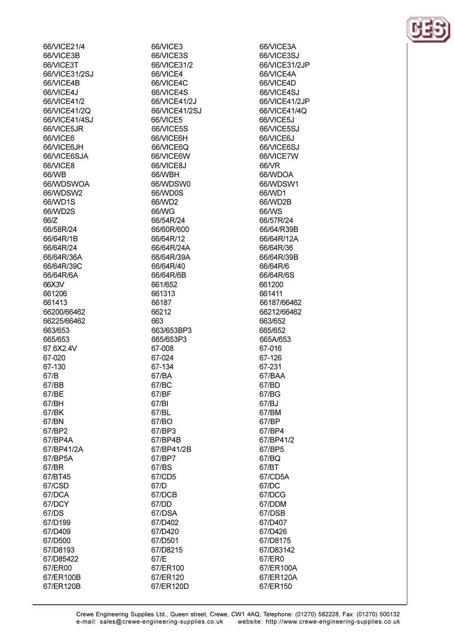66/VICE21/4 66/VICE3B 66A/ICE3T 66/VICE31/2SJ 66/VICE4B 66/VICE4J 66/VICE41/2 66/VICE41/2Q 66/VICE41/4SJ 66/VICE5JR 66/VICE6 66/VICE6JH 66/VICE6SJA **66A/ICE8** 66/WB 66/WDSWOA 66/WDSW2 66/WD1S 66/WD2S 66/Z 66/58R/24 66/64R/1B 66/64R/24 66/64R/36A 66/64R/39C 66/64R/6A 66X3V 661206 661413 66200/66462 66225/66462 663/653 665/653 67.6X2.4V 67-020 67-130 67/B 67/BB 67/BE 67/BH 67/BK 67/BN 67/BP2 67/BP4A 67/BP41/2A 67/BP5A 67/BR 67/BT45 67/CSD 67/DCA 67/DCY 67/DS 67/D199 67/D409 67/D500 67/D8193 67/D85422 67/ER00 67/ER100B

67/ER120B

66/VICE3 66/VICE3S 66/VICE31/2 66/VICE4 66/VICE4C 66/VICE4S 66/VICE41/2J 66/VICE41/2SJ 66/VICE5 66/VICE5S 66/VICE6H 66/VICE6Q 66/VICE6W 66A/ICE8.I 66/WBH 66/WDSW0 66/WD0S 66/WD2 66/WG 66/54R/24 66/60R/600 66/64R/12 66/64R/24A 66/64R/39A 66/64R/40 66/64R/6B 661/652 661313 66187 66212 663 663/653BP3 665/653P3 67-008 67-024 67-134 67/BA 67/BC 67/BF 67/BI 67/BL 67/BO 67/BP3 67/BP4B 67/BP41/2B 67/BP7 67/BS 67/CD5 67/D 67/DCB 67/DD 67/DSA 67/D402 67/D420 67/D501 67/D8215 67/E 67/ER100 67/ER120

67/ER120D

66/VICE3A 66/VICE3SJ 66/VICE31/2.IP 66/VICE4A 66/VICE4D 66/VICE4SJ 66/VICE41/2JP 66/VICE41/4Q 66/VICE5J 66/VICE5SJ 66/VICE6J 66/VICE6SJ 66/VICE7W 66A/R 66/WDOA 66/WDSW1 66/WD1 66/WD2B 66/WS 66/57R/24 66/64/R39B 66/64R/12A 66/64R/36 66/64R/39B 66/64R/6 66/64R/6S 661200 661411 66187/66462 66212/66462 663/652 665/652 665A/653 67-016 67-126 67-231 67/BAA 67/BD 67/BG 67/BJ 67/BM 67/BP 67/BP4 67/BP41/2 67/BP5 67/BQ 67/BT 67/CD5A 67/DC 67/DCG 67/DDM 67/DSB 67/D407 67/D426 67/D8175 67/D83142 67/ER0 67/ER100A 67/ER120A 67/ER150

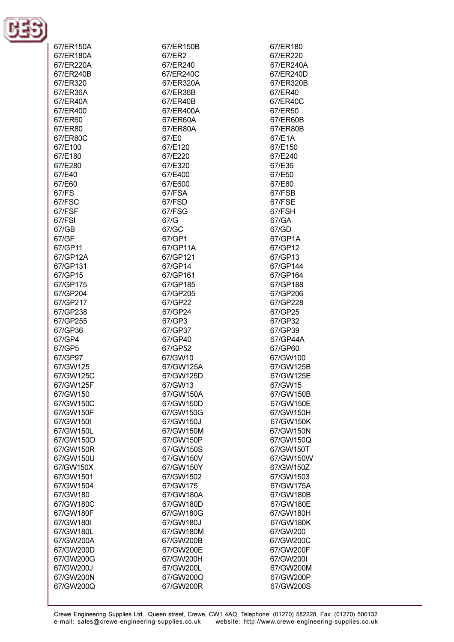

| 67/ER150A<br>67/ER180A<br>67/ER220A<br>67/ER240B<br>67/ER320<br>67/ER36A<br>67/ER40A<br>67/ER400<br>67/ER60<br>67/ER80<br>67/ER80C<br>67/E100<br>67/E180 | 67/ER150B<br>67/ER2<br>67/ER240<br>67/ER240C<br>67/ER320A<br>67/ER36B<br>67/ER40B<br>67/ER400A<br>67/ER60A<br>67/ER80A<br>67/E0<br>67/E120<br>67/E220 | 67/ER180<br>67/ER220<br>67/ER240A<br>67/ER240D<br>67/ER320B<br>67/ER40<br>67/ER40C<br>67/ER50<br>67/ER60B<br>67/ER80B<br>67/E1A<br>67/E150<br>67/E240 |
|----------------------------------------------------------------------------------------------------------------------------------------------------------|-------------------------------------------------------------------------------------------------------------------------------------------------------|-------------------------------------------------------------------------------------------------------------------------------------------------------|
| 67/E280<br>67/E40                                                                                                                                        | 67/E320<br>67/E400                                                                                                                                    | 67/E36<br>67/E50                                                                                                                                      |
| 67/E60                                                                                                                                                   | 67/E600                                                                                                                                               | 67/E80                                                                                                                                                |
| 67/FS                                                                                                                                                    | 67/FSA                                                                                                                                                | 67/FSB                                                                                                                                                |
| 67/FSC                                                                                                                                                   | 67/FSD                                                                                                                                                | 67/FSE                                                                                                                                                |
| 67/FSF                                                                                                                                                   | 67/FSG                                                                                                                                                | 67/FSH                                                                                                                                                |
| 67/FSI<br>67/GB                                                                                                                                          | 67/G<br>67/GC                                                                                                                                         | 67/GA<br>67/GD                                                                                                                                        |
| 67/GF                                                                                                                                                    | 67/GP1                                                                                                                                                | 67/GP1A                                                                                                                                               |
| 67/GP11                                                                                                                                                  | 67/GP11A                                                                                                                                              | 67/GP12                                                                                                                                               |
| 67/GP12A                                                                                                                                                 | 67/GP121                                                                                                                                              | 67/GP13                                                                                                                                               |
| 67/GP131                                                                                                                                                 | 67/GP14                                                                                                                                               | 67/GP144                                                                                                                                              |
| 67/GP15                                                                                                                                                  | 67/GP161                                                                                                                                              | 67/GP164                                                                                                                                              |
| 67/GP175                                                                                                                                                 | 67/GP185                                                                                                                                              | 67/GP188                                                                                                                                              |
| 67/GP204<br>67/GP217                                                                                                                                     | 67/GP205<br>67/GP22                                                                                                                                   | 67/GP206<br>67/GP228                                                                                                                                  |
| 67/GP238                                                                                                                                                 | 67/GP24                                                                                                                                               | 67/GP25                                                                                                                                               |
| 67/GP255                                                                                                                                                 | 67/GP3                                                                                                                                                | 67/GP32                                                                                                                                               |
| 67/GP36                                                                                                                                                  | 67/GP37                                                                                                                                               | 67/GP39                                                                                                                                               |
| 67/GP4                                                                                                                                                   | 67/GP40                                                                                                                                               | 67/GP44A                                                                                                                                              |
| 67/GP5                                                                                                                                                   | 67/GP52                                                                                                                                               | 67/GP60                                                                                                                                               |
| 67/GP97                                                                                                                                                  | 67/GW10                                                                                                                                               | 67/GW100                                                                                                                                              |
| 67/GW125<br>67/GW125C                                                                                                                                    | 67/GW125A<br>67/GW125D                                                                                                                                | 67/GW125B<br>67/GW125E                                                                                                                                |
| 67/GW125F                                                                                                                                                | 67/GW13                                                                                                                                               | 67/GW15                                                                                                                                               |
| 67/GW150                                                                                                                                                 | 67/GW150A                                                                                                                                             | 67/GW150B                                                                                                                                             |
| 67/GW150C                                                                                                                                                | 67/GW150D                                                                                                                                             | 67/GW150E                                                                                                                                             |
| 67/GW150F                                                                                                                                                | 67/GW150G                                                                                                                                             | 67/GW150H                                                                                                                                             |
| 67/GW150I                                                                                                                                                | 67/GW150J                                                                                                                                             | 67/GW150K                                                                                                                                             |
| 67/GW150L                                                                                                                                                | 67/GW150M                                                                                                                                             | 67/GW150N                                                                                                                                             |
| 67/GW150O<br>67/GW150R                                                                                                                                   | 67/GW150P<br>67/GW150S                                                                                                                                | 67/GW150Q<br>67/GW150T                                                                                                                                |
| 67/GW150U                                                                                                                                                | 67/GW150V                                                                                                                                             | 67/GW150W                                                                                                                                             |
| 67/GW150X                                                                                                                                                | 67/GW150Y                                                                                                                                             | 67/GW150Z                                                                                                                                             |
| 67/GW1501                                                                                                                                                | 67/GW1502                                                                                                                                             | 67/GW1503                                                                                                                                             |
| 67/GW1504                                                                                                                                                | 67/GW175                                                                                                                                              | 67/GW175A                                                                                                                                             |
| 67/GW180                                                                                                                                                 | 67/GW180A                                                                                                                                             | 67/GW180B                                                                                                                                             |
| 67/GW180C                                                                                                                                                | 67/GW180D                                                                                                                                             | 67/GW180E                                                                                                                                             |
| 67/GW180F<br>67/GW180I                                                                                                                                   | 67/GW180G<br>67/GW180J                                                                                                                                | 67/GW180H<br>67/GW180K                                                                                                                                |
| 67/GW180L                                                                                                                                                | 67/GW180M                                                                                                                                             | 67/GW200                                                                                                                                              |
| 67/GW200A                                                                                                                                                | 67/GW200B                                                                                                                                             | 67/GW200C                                                                                                                                             |
| 67/GW200D                                                                                                                                                | 67/GW200E                                                                                                                                             | 67/GW200F                                                                                                                                             |
| 67/GW200G                                                                                                                                                | 67/GW200H                                                                                                                                             | 67/GW200I                                                                                                                                             |
| 67/GW200J                                                                                                                                                | 67/GW200L                                                                                                                                             | 67/GW200M                                                                                                                                             |
| 67/GW200N                                                                                                                                                | 67/GW200O                                                                                                                                             | 67/GW200P                                                                                                                                             |
| 67/GW200Q                                                                                                                                                | 67/GW200R                                                                                                                                             | 67/GW200S                                                                                                                                             |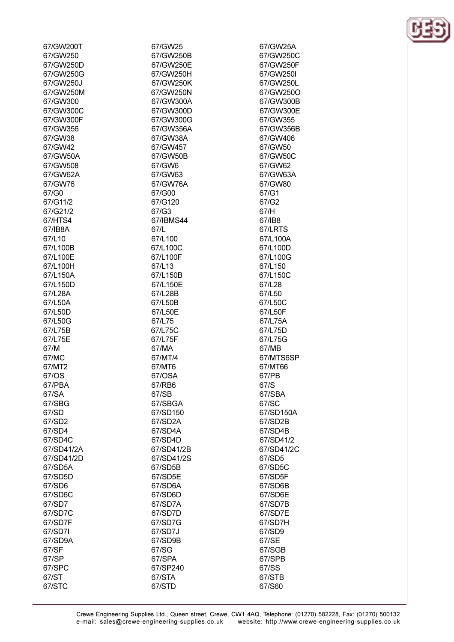| 67/GW200T  | 67/GW25    |
|------------|------------|
| 67/GW250   | 67/GW250B  |
| 67/GW250D  | 67/GW250E  |
| 67/GW250G  | 67/GW250H  |
| 67/GW250J  | 67/GW250K  |
| 67/GW250M  | 67/GW250N  |
| 67/GW300   | 67/GW300A  |
| 67/GW300C  | 67/GW300D  |
| 67/GW300F  | 67/GW300G  |
| 67/GW356   | 67/GW356A  |
| 67/GW38    | 67/GW38A   |
| 67/GW42    | 67/GW457   |
| 67/GW50A   | 67/GW50B   |
| 67/GW508   | 67/GW6     |
| 67/GW62A   | 67/GW63    |
| 67/GW76    | 67/GW76A   |
| 67/G0      | 67/G00     |
| 67/G11/2   | 67/G120    |
| 67/G21/2   | 67/G3      |
| 67/HTS4    | 67/IBMS44  |
| 67/IB8A    | 67/L       |
|            |            |
| 67/L10     | 67/L100    |
| 67/L100B   | 67/L100C   |
| 67/L100E   | 67/L100F   |
| 67/L100H   | 67/L13     |
| 67/L150A   | 67/L150B   |
| 67/L150D   | 67/L150E   |
| 67/L28A    | 67/L28B    |
| 67/L50A    | 67/L50B    |
| 67/L50D    | 67/L50E    |
| 67/L50G    | 67/L75     |
| 67/L75B    | 67/L75C    |
| 67/L75E    | 67/L75F    |
| 67/M       | 67/MA      |
| 67/MC      | 67/MT/4    |
| 67/MT2     | 67/MT6     |
| 67/OS      | 67/OSA     |
| 67/PBA     | 67/RB6     |
| 67/SA      | 67/SB      |
| 67/SBG     | 67/SBGA    |
| 67/SD      | 67/SD150   |
| 67/SD2     | 67/SD2A    |
| 67/SD4     | 67/SD4A    |
| 67/SD4C    | 67/SD4D    |
| 67/SD41/2A | 67/SD41/2B |
| 67/SD41/2D | 67/SD41/2S |
| 67/SD5A    | 67/SD5B    |
| 67/SD5D    | 67/SD5E    |
| 67/SD6     | 67/SD6A    |
| 67/SD6C    | 67/SD6D    |
| 67/SD7     | 67/SD7A    |
| 67/SD7C    | 67/SD7D    |
| 67/SD7F    | 67/SD7G    |
| 67/SD7I    | 67/SD7J    |
| 67/SD9A    | 67/SD9B    |
| 67/SF      | 67/SG      |
| 67/SP      | 67/SPA     |
|            |            |
| 67/SPC     | 67/SP240   |
| 67/ST      | 67/STA     |
| 67/STC     | 67/STD     |

67/STB 67/S60



67/GW25A

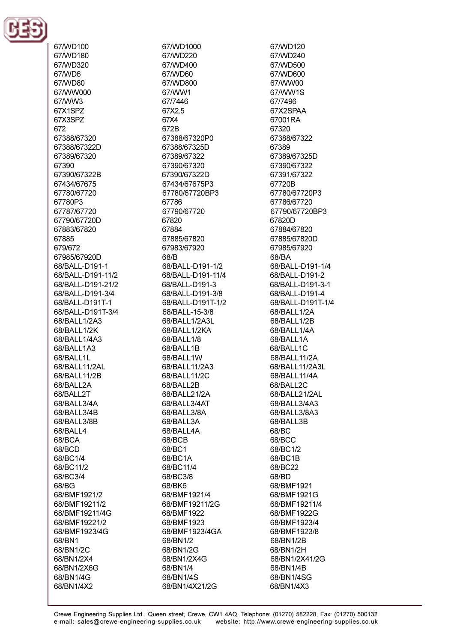

67/WD100 67/WD180 67/WD320 67/WD6 67/WD80 67/WW000 67/WW3 67X1SPZ 67X3SPZ 672 67388/67320 67388/67322D 67389/67320 67390 67390/67322B 67434/67675 67780/67720 67780P3 67787/67720 67790/67720D 67883/67820 67885 679/672 67985/67920D 68/BALL-D191-1 68/BALL-D191-11/2 68/BALL-D191-21/2 68/BALL-D191-3/4 68/BALL-D191T-1 68/BALL-D191T-3/4 68/BALL1/2A3 68/BALL1/2K 68/BALL1/4A3 68/BALL1A3 68/BALL1L 68/BALL11/2AL 68/BALL11/2B 68/BALL2A 68/BALL2T 68/BALL3/4A 68/BALL3/4B 68/BALL3/8B 68/BALL4 68/BCA 68/BCD 68/BC1/4 68/BC11/2 68/BC3/4 68/BG 68/BMF1921/2 68/BMF19211/2 68/BMF19211/4G 68/BMF19221/2 68/BMF1923/4G 68/BN1 68/BN1/2C 68/BN1/2X4 68/BN1/2X6G 68/BN1/4G 68/BN1/4X2

67/WD1000 67/WD220 67/WD400 67/WD60 67/WD800 67/WW1 67/7446 67X2.5 67X4 672B 67388/67320P0 67388/67325D 67389/67322 67390/67320 67390/67322D 67434/67675P3 67780/67720BP3 67786 67790/67720 67820 67884 67885/67820 67983/67920 68/<sub>R</sub> 68/BALL-D191-1/2 68/BALL-D191-11/4 68/BALL-D191-3 68/BALL-D191-3/8 68/BALL-D191T-1/2 68/BALL-15-3/8 68/BALL1/2A3L 68/BALL1/2KA 68/BALL1/8 68/BALL1B 68/BALL1W 68/BALL11/2A3 68/BALL11/2C 68/BALL2B 68/BALL21/2A 68/BALL3/4AT 68/BALL3/8A 68/BALL3A 68/BALL4A 68/BCB 68/BC1 68/BC1A 68/BC11/4 68/BC3/8 68/BK6 68/BMF1921/4 68/BMF19211/2G 68/BMF1922 68/BMF1923 68/BMF1923/4GA 68/BN1/2 68/BN1/2G 68/BN1/2X4G 68/BN1/4 68/BN1/4S 68/BN1/4X21/2G

67/WD120 67/WD240 67/WD500 67/WD600 67/WW00 67/WW1S 67/7496 67X2SPAA 67001RA 67320 67388/67322 67389 67389/67325D 67390/67322 67391/67322 67720B 67780/67720P3 67786/67720 67790/67720BP3 67820D 67884/67820 67885/67820D 67985/67920 68/RA 68/BAI I-D191-1/4 68/BALL-D191-2 68/BALL-D191-3-1 68/BALL-D191-4 68/BALL-D191T-1/4 68/BALL1/2A 68/BALL1/2B 68/BALL1/4A 68/BALL1A 68/BALL1C 68/BALL11/2A 68/BALL11/2A3L 68/BALL11/4A 68/BALL2C 68/BALL21/2AL 68/BALL3/4A3 68/BALL3/8A3 68/BALL3B 68/BC 68/BCC 68/BC1/2 68/BC1B 68/BC22 68/BD 68/BMF1921 68/BMF1921G 68/BMF19211/4 68/BMF1922G 68/BMF1923/4 68/BMF1923/8 68/BN1/2B 68/BN1/2H 68/BN1/2X41/2G 68/BN1/4B 68/BN1/4SG 68/BN1/4X3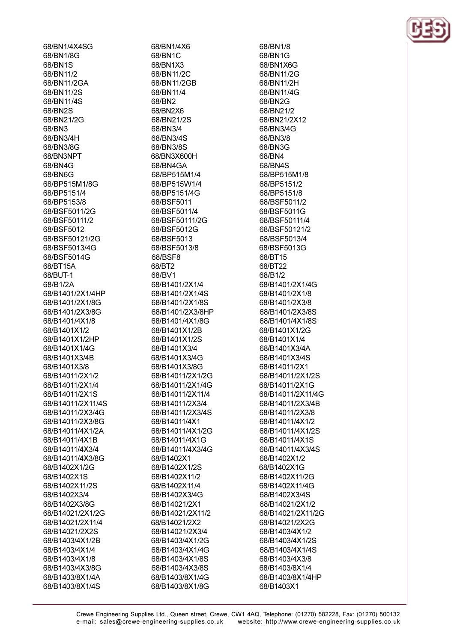68/BN1/4X4SG 68/BN1/8G 68/BN1S 68/BN11/2 68/BN11/2GA 68/BN11/2S 68/BN11/4S 68/BN2S 68/BN21/2G 68/BN3 68/BN3/4H 68/BN3/8G 68/BN3NPT 68/BN4G 68/BN6G 68/BP515M1/8G 68/BP5151/4 68/BP5153/8 68/BSF5011/2G 68/BSF50111/2 68/BSF5012 68/BSF50121/2G 68/BSF5013/4G 68/BSF5014G 68/RT15A 68/BUT-1 68/B1/2A 68/B1401/2X1/4HP 68/B1401/2X1/8G 68/B1401/2X3/8G 68/B1401/4X1/8 68/B1401X1/2 68/B1401X1/2HP 68/B1401X1/4G 68/B1401X3/4B 68/B1401X3/8 68/B14011/2X1/2 68/B14011/2X1/4 68/B14011/2X1S 68/B14011/2X11/4S 68/B14011/2X3/4G 68/B14011/2X3/8G 68/B14011/4X1/2A 68/B14011/4X1B 68/B14011/4X3/4 68/B14011/4X3/8G 68/B1402X1/2G 68/B1402X1S 68/B1402X11/2S 68/B1402X3/4 68/B1402X3/8G 68/B14021/2X1/2G 68/B14021/2X11/4 68/B14021/2X2S 68/B1403/4X1/2B 68/B1403/4X1/4 68/B1403/4X1/8 68/B1403/4X3/8G 68/B1403/8X1/4A

68/B1403/8X1/4S

68/BN1/4X6 68/BN1C 68/BN1X3 68/BN11/2C 68/BN11/2GB 68/BN11/4 68/RN2 68/BN2X6 68/BN21/2S 68/BN3/4 68/BN3/4S 68/BN3/8S 68/BN3X600H 68/BN4GA 68/BP515M1/4 68/BP515W1/4 68/BP5151/4G 68/BSF5011 68/BSF5011/4 68/BSF50111/2G 68/BSF5012G 68/BSF5013 68/BSF5013/8 68/BSF8 68/RT2 68/BV1 68/B1401/2X1/4 68/B1401/2X1/4S 68/B1401/2X1/8S 68/B1401/2X3/8HP 68/B1401/4X1/8G 68/B1401X1/2B 68/B1401X1/2S 68/B1401X3/4 68/B1401X3/4G 68/B1401X3/8G 68/B14011/2X1/2G 68/B14011/2X1/4G 68/B14011/2X11/4 68/B14011/2X3/4 68/B14011/2X3/4S 68/B14011/4X1 68/B14011/4X1/2G 68/B14011/4X1G 68/B14011/4X3/4G 68/B1402X1 68/B1402X1/2S 68/B1402X11/2 68/B1402X11/4 68/B1402X3/4G 68/B14021/2X1 68/B14021/2X11/2 68/B14021/2X2 68/B14021/2X3/4 68/B1403/4X1/2G 68/B1403/4X1/4G 68/B1403/4X1/8S 68/B1403/4X3/8S 68/B1403/8X1/4G 68/B1403/8X1/8G

68/RN1/8 68/BN1G 68/BN1X6G 68/BN11/2G 68/BN11/2H 68/BN11/4G 68/BN2G 68/BN21/2 68/BN21/2X12 68/BN3/4G 68/BN3/8 68/BN3G 68/BN4 68/RN4S 68/BP515M1/8 68/BP5151/2 68/BP5151/8 68/BSF5011/2 68/BSF5011G 68/BSF50111/4 68/BSF50121/2 68/BSF5013/4 68/BSF5013G 68/BT15 68/RT22 68/B1/2 68/B1401/2X1/4G 68/B1401/2X1/8 68/B1401/2X3/8 68/B1401/2X3/8S 68/B1401/4X1/8S 68/B1401X1/2G 68/B1401X1/4 68/B1401X3/4A 68/B1401X3/4S 68/B14011/2X1 68/B14011/2X1/2S 68/B14011/2X1G 68/B14011/2X11/4G 68/B14011/2X3/4B 68/B14011/2X3/8 68/B14011/4X1/2 68/B14011/4X1/2S 68/B14011/4X1S 68/B14011/4X3/4S 68/B1402X1/2 68/B1402X1G 68/B1402X11/2G 68/B1402X11/4G 68/B1402X3/4S 68/B14021/2X1/2 68/B14021/2X11/2G 68/B14021/2X2G 68/B1403/4X1/2 68/B1403/4X1/2S 68/B1403/4X1/4S 68/B1403/4X3/8 68/B1403/8X1/4 68/B1403/8X1/4HP 68/B1403X1

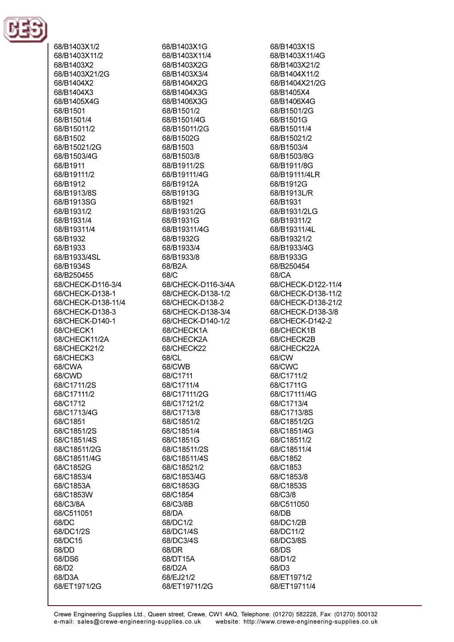

68/B1403X1/2 68/B1403X11/2 68/B1403X2 68/B1403X21/2G 68/B1404X2 68/B1404X3 68/R1405X4G 68/B1501 68/B1501/4 68/B15011/2 68/B1502 68/B15021/2G 68/B1503/4G 68/R1911 68/B19111/2 68/B1912 68/B1913/8S 68/B1913SG 68/B1931/2 68/B1931/4 68/B19311/4 68/B1932 68/B1933 68/B1933/4SL 68/B1934S 68/B250455 68/CHECK-D116-3/4 68/CHECK-D138-1 68/CHECK-D138-11/4 68/CHECK-D138-3 68/CHECK-D140-1 68/CHECK1 68/CHECK11/2A 68/CHECK21/2 68/CHECK3 68/CWA 68/CWD 68/C1711/2S 68/C17111/2 68/C1712 68/C1713/4G 68/C1851 68/C1851/2S 68/C1851/4S 68/C18511/2G 68/C18511/4G 68/C1852G 68/C1853/4 68/C1853A 68/C1853W 68/C3/8A 68/C511051 68/DC 68/DC1/2S 68/DC15 68/DD 68/DS6 68/D2 68/D3A 68/ET1971/2G

68/B1403X1G 68/B1403X11/4 68/B1403X2G 68/B1403X3/4 68/B1404X2G 68/B1404X3G 68/B1406X3G 68/B1501/2 68/B1501/4G 68/B15011/2G 68/B1502G 68/B1503 68/B1503/8 68/R1911/2S 68/B19111/4G 68/B1912A 68/B1913G 68/B1921 68/B1931/2G 68/B1931G 68/B19311/4G 68/B1932G 68/B1933/4 68/B1933/8 68/R2A 68/C 68/CHECK-D116-3/4A 68/CHECK-D138-1/2 68/CHECK-D138-2 68/CHECK-D138-3/4 68/CHECK-D140-1/2 68/CHECK1A 68/CHECK2A 68/CHECK22 68/CL 68/CWB 68/C1711 68/C1711/4 68/C17111/2G 68/C17121/2 68/C1713/8 68/C1851/2 68/C1851/4 68/C1851G 68/C18511/2S 68/C18511/4S 68/C18521/2 68/C1853/4G 68/C1853G 68/C1854 68/C3/8B 68/DA 68/DC1/2 68/DC1/4S 68/DC3/4S 68/DR 68/DT15A 68/D2A 68/EJ21/2 68/ET19711/2G

68/B1403X1S 68/B1403X11/4G 68/B1403X21/2 68/B1404X11/2 68/B1404X21/2G 68/B1405X4 68/B1406X4G 68/B1501/2G 68/B1501G 68/B15011/4 68/B15021/2 68/B1503/4 68/B1503/8G 68/R1911/8G 68/B19111/4LR 68/B1912G 68/B1913L/R 68/B1931 68/B1931/2LG 68/B19311/2 68/B19311/4L 68/B19321/2 68/B1933/4G 68/B1933G 68/B250454 68/CA 68/CHECK-D122-11/4 68/CHECK-D138-11/2 68/CHECK-D138-21/2 68/CHECK-D138-3/8 68/CHECK-D142-2 68/CHECK1B 68/CHECK2B 68/CHECK22A 68/CW 68/CWC 68/C1711/2 68/C1711G 68/C17111/4G 68/C1713/4 68/C1713/8S 68/C1851/2G 68/C1851/4G 68/C18511/2 68/C18511/4 68/C1852 68/C1853 68/C1853/8 68/C1853S 68/C3/8 68/C511050 68/DB 68/DC1/2B 68/DC11/2 68/DC3/8S 68/DS 68/D1/2 68/D3 68/ET1971/2 68/ET19711/4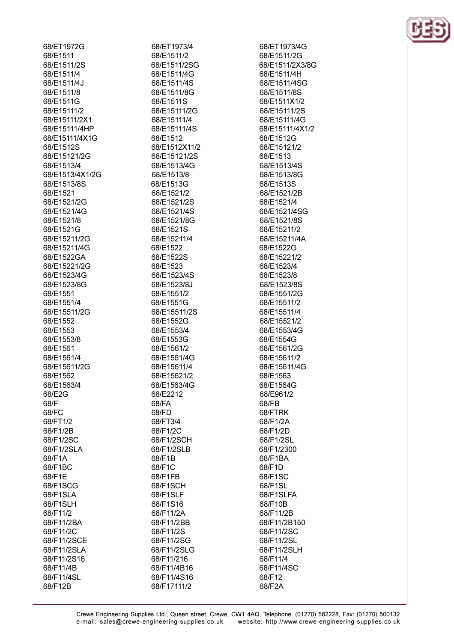68/ET1972G 68/E1511 68/F1511/2S 68/F1511/4 68/E1511/4J 68/E1511/8 68/E1511G 68/E15111/2 68/E15111/2X1 68/E15111/4HP 68/E15111/4X1G 68/E1512S 68/E15121/2G 68/F1513/4 68/E1513/4X1/2G 68/E1513/8S 68/E1521 68/E1521/2G 68/E1521/4G 68/E1521/8 68/E1521G 68/E15211/2G 68/E15211/4G 68/E1522GA 68/E15221/2G 68/E1523/4G 68/E1523/8G 68/E1551 68/E1551/4 68/E15511/2G 68/E1552 68/E1553 68/E1553/8 68/E1561 68/E1561/4 68/E15611/2G 68/E1562 68/E1563/4 68/E2G 68/F 68/FC 68/FT1/2 68/F1/2B 68/F1/2SC 68/F1/2SLA 68/F1A 68/F1BC 68/F1E 68/F1SCG 68/F1SLA 68/F1SLH 68/F11/2 68/F11/2BA 68/F11/2C 68/F11/2SCE 68/F11/2SLA 68/F11/2S16 68/F11/4B 68/F11/4SL

68/F12B

68/ET1973/4 68/E1511/2 68/E1511/2SG 68/E1511/4G 68/E1511/4S 68/E1511/8G 68/E1511S 68/E15111/2G 68/E15111/4 68/E15111/4S 68/E1512 68/E1512X11/2 68/E15121/2S 68/F1513/4G 68/E1513/8 68/E1513G 68/E1521/2 68/E1521/2S 68/E1521/4S 68/E1521/8G 68/E1521S 68/E15211/4 68/E1522 68/E1522S 68/F1523 68/E1523/4S 68/E1523/8J 68/E1551/2 68/E1551G 68/E15511/2S 68/E1552G 68/E1553/4 68/E1553G 68/E1561/2 68/E1561/4G 68/E15611/4 68/E15621/2 68/E1563/4G 68/E2212 68/FA 68/FD 68/FT3/4 68/F1/2C 68/F1/2SCH 68/F1/2SLB 68/F1B 68/F1C 68/F1FB 68/F1SCH 68/F1SLF 68/F1S16 68/F11/2A 68/F11/2BB 68/F11/2S 68/F11/2SG 68/F11/2SLG 68/F11/216 68/F11/4B16 68/F11/4S16 68/F17111/2

68/ET1973/4G 68/E1511/2G 68/F1511/2X3/8G 68/E1511/4H 68/E1511/4SG 68/E1511/8S 68/E1511X1/2 68/E15111/2S 68/E15111/4G 68/E15111/4X1/2 68/E1512G 68/E15121/2 68/E1513 68/F1513/4S 68/E1513/8G 68/E1513S 68/E1521/2B 68/E1521/4 68/E1521/4SG 68/E1521/8S 68/E15211/2 68/E15211/4A 68/E1522G 68/E15221/2 68/E1523/4 68/E1523/8 68/E1523/8S 68/E1551/2G 68/E15511/2 68/E15511/4 68/E15521/2 68/E1553/4G 68/E1554G 68/E1561/2G 68/E15611/2 68/E15611/4G 68/E1563 68/E1564G 68/E961/2 68/FB 68/FTRK 68/F1/2A 68/F1/2D 68/F1/2SL 68/F1/2300 68/F1BA 68/F1D 68/F1SC 68/F1SL 68/F1SLFA 68/F10B 68/F11/2B 68/F11/2B150 68/F11/2SC 68/F11/2SL 68/F11/2SLH 68/F11/4 68/F11/4SC 68/F12 68/F2A

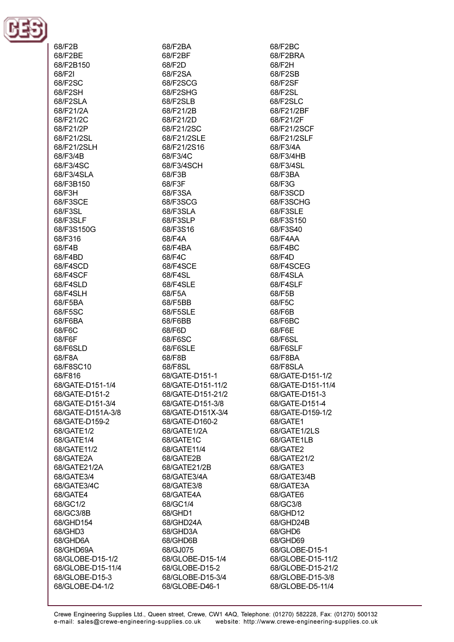

| 68/F2B                            |
|-----------------------------------|
| 68/F2BE                           |
| 68/F2B150                         |
| 68/F2I<br>68/F2SC                 |
| 68/F2SH                           |
| 68/F2SLA                          |
| 68/F21/2A                         |
| 68/F21/2C                         |
| 68/F21/2P                         |
| 68/F21/2SL                        |
| 68/F21/2SLH                       |
| 68/F3/4B                          |
| 68/F3/4SC                         |
| 68/F3/4SLA<br>68/F3B150           |
| 68/F3H                            |
| 68/F3SCE                          |
| 68/F3SL                           |
| 68/F3SLF                          |
| 68/F3S150G                        |
| 68/F316                           |
| 68/F4B                            |
| 68/F4BD                           |
| 68/F4SCD                          |
| 68/F4SCF                          |
| 68/F4SLD<br>68/F4SLH              |
| 68/F5BA                           |
| 68/F5SC                           |
| 68/F6BA                           |
| 68/F6C                            |
| 68/F6F                            |
| 68/F6SLD                          |
| 68/F8A                            |
| 68/F8SC10                         |
| 68/F816<br>68/GATE-D151-1/4       |
| 68/GATE-D151-2                    |
| 68/GATE-D151-3/4                  |
| 68/GATE-D151A-3/8                 |
| 68/GATE-D159-2                    |
| 68/GATE1/2                        |
| 68/GATE1/4                        |
| 68/GATE11/2                       |
| 68/GATE2A                         |
| 68/GATE21/2A                      |
| 68/GATE3/4<br>68/GATE3/4C         |
| 68/GATE4                          |
| 68/GC1/2                          |
| 68/GC3/8B                         |
| 68/GHD154                         |
| 68/GHD3                           |
| 68/GHD6A                          |
| 68/GHD69A                         |
| 68/GLOBE-D15-1/2                  |
| 68/GLOBE-D15-11/4                 |
| 68/GLOBE-D15-3<br>68/GLOBE-D4-1/2 |
|                                   |

68/F2BA 68/F2BF 68/F<sub>2</sub>D 68/F2SA 68/F2SCG 68/F2SHG 68/F2SLB 68/F21/2B 68/F21/2D 68/F21/2SC 68/F21/2SLE 68/F21/2S16 68/F3/4C 68/F3/4SCH 68/F3B 68/F3F 68/F3SA 68/F3SCG 68/F3SLA 68/F3SLP 68/F3S16 68/F4A 68/F4BA 68/F4C 68/F4SCE 68/F4SL 68/F4SLE 68/F5A 68/F5BB 68/F5SLE 68/F6BB 68/F6D 68/F6SC 68/F6SLE 68/F8B 68/F8SL 68/GATE-D151-1 68/GATE-D151-11/2 68/GATE-D151-21/2 68/GATE-D151-3/8 68/GATE-D151X-3/4 68/GATE-D160-2 68/GATE1/2A 68/GATE1C 68/GATE11/4 68/GATE2B 68/GATE21/2B 68/GATE3/4A 68/GATE3/8 68/GATE4A 68/GC1/4 68/GHD1 68/GHD24A 68/GHD3A 68/GHD6B 68/GJ075 68/GLOBE-D15-1/4 68/GLOBE-D15-2 68/GLOBE-D15-3/4 68/GLOBE-D46-1

68/F2BC 68/F2BRA 68/F<sub>2</sub>H 68/F2SB 68/F2SF 68/F2SL 68/F2SLC 68/F21/2BF 68/F21/2F 68/F21/2SCF 68/F21/2SLF 68/F3/4A 68/F3/4HB 68/E3/4SL 68/F3BA 68/F3G 68/F3SCD 68/F3SCHG 68/F3SLE 68/F3S150 68/F3S40 68/F4AA 68/F4BC 68/F4D 68/F4SCEG 68/F4SLA 68/F4SLF 68/F5B 68/F5C 68/F6B 68/F6BC 68/F6E 68/F6SL 68/F6SLF 68/F8BA 68/F8SLA 68/GATE-D151-1/2 68/GATE-D151-11/4 68/GATE-D151-3 68/GATE-D151-4 68/GATE-D159-1/2 68/GATE1 68/GATE1/2LS 68/GATE1LB 68/GATE2 68/GATE21/2 68/GATE3 68/GATE3/4B 68/GATE3A 68/GATE6 68/GC3/8 68/GHD12 68/GHD24B 68/GHD6 68/GHD69 68/GLOBE-D15-1 68/GLOBE-D15-11/2 68/GLOBE-D15-21/2 68/GLOBE-D15-3/8 68/GLOBE-D5-11/4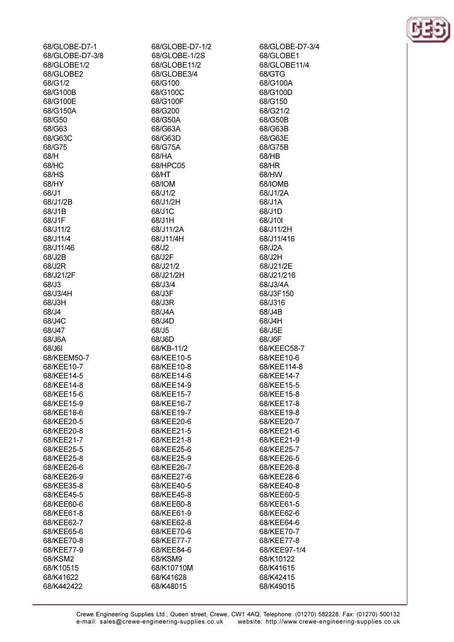| 68/GLOBE-D7-1   | 68/GLOBE-D7-1/2 |
|-----------------|-----------------|
| 68/GLOBE-D7-3/8 | 68/GLOBE-1/2S   |
| 68/GLOBE1/2     | 68/GLOBE11/2    |
| 68/GLOBE2       | 68/GLOBE3/4     |
| 68/G1/2         | 68/G100         |
| 68/G100B        | 68/G100C        |
| 68/G100E        | 68/G100F        |
| 68/G150A        | 68/G200         |
| 68/G50          | 68/G50A         |
| 68/G63          | 68/G63A         |
| 68/G63C         | 68/G63D         |
| 68/G75          | 68/G75A         |
| 68/H            | 68/HA           |
| 68/HC           | 68/HPC05        |
| 68/HS           | 68/HT           |
| 68/HY           | 68/IOM          |
| 68/J1           | 68/J1/2         |
| 68/J1/2B        | 68/J1/2H        |
| 68/J1B          | 68/J1C          |
| 68/J1F          | 68/J1H          |
| 68/J11/2        | 68/J11/2A       |
| 68/J11/4        | 68/J11/4H       |
| 68/J11/46       | 68/J2           |
| 68/J2B          | 68/J2F          |
| 68/J2R          | 68/J21/2        |
| 68/J21/2F       | 68/J21/2H       |
| 68/J3           | 68/J3/4         |
| 68/J3/4H        | 68/J3F          |
| 68/J3H          | 68/J3R          |
| 68/J4           | 68/J4A          |
| 68/J4C          | 68/J4D          |
| 68/J47          | 68/J5           |
| 68/J6A          | 68/J6D          |
| 68/J6I          | 68/KB-11/2      |
| 68/KEEM50-7     | 68/KEE10-5      |
| 68/KEE10-7      | 68/KEE10-8      |
| 68/KEE14-5      | 68/KEE14-6      |
| 68/KEE14-8      | 68/KEE14-9      |
| 68/KEE15-6      | 68/KEE15-7      |
| 68/KEE15-9      | 68/KEE16-7      |
| 68/KEE18-6      | 68/KEE19-7      |
| 68/KEE20-5      | 68/KEE20-6      |
| 68/KEE20-8      | 68/KEE21-5      |
| 68/KEE21-7      | 68/KEE21-8      |
| 68/KEE25-5      | 68/KEE25-6      |
| 68/KEE25-8      | 68/KEE25-9      |
| 68/KEE26-6      | 68/KEE26-7      |
| 68/KEE26-9      | 68/KEE27-6      |
| 68/KEE35-8      | 68/KEE40-5      |
| 68/KEE45-5      | 68/KEE45-8      |
| 68/KEE60-6      | 68/KEE60-8      |
| 68/KEE61-8      | 68/KEE61-9      |
| 68/KEE62-7      | 68/KEE62-8      |
| 68/KEE65-6      | 68/KEE70-6      |
| 68/KEE70-8      | 68/KEE77-7      |
| 68/KEE77-9      | 68/KEE84-6      |
| 68/KSM2         | 68/KSM9         |
| 68/K10515       | 68/K10710M      |
| 68/K41622       | 68/K41628       |
| 68/K442422      | 68/K48015       |

68/GLOBE1 68/GLOBE11/4 68/GTG 68/G100A 68/G100D 68/G150 68/G21/2 68/G50B 68/G63B 68/G63E 68/G75B 68/HB 68/HR 68/HW 68/IOMB 68/J1/2A 68/J1A 68/J1D 68/J10I 68/J11/2H 68/J11/416 68/J2A 68/J2H 68/J21/2E 68/J21/216 68/J3/4A 68/J3F150 68/J316 68/J4B 68/J4H 68/J5E 68/J6F 68/KEEC58-7 68/KEE10-6 68/KEE114-8 68/KEE14-7 68/KEE15-5 68/KEE15-8 68/KEE17-8 68/KEE19-8 68/KEE20-7 68/KEE21-6 68/KEE21-9 68/KEE25-7 68/KEE26-5 68/KEE26-8 68/KEE28-6 68/KEE40-8 68/KEE60-5 68/KEE61-5 68/KEE62-6 68/KEE64-6 68/KEE70-7 68/KEE77-8 68/KEE97-1/4 68/K10122 68/K41615 68/K42415 68/K49015

68/GLOBE-D7-3/4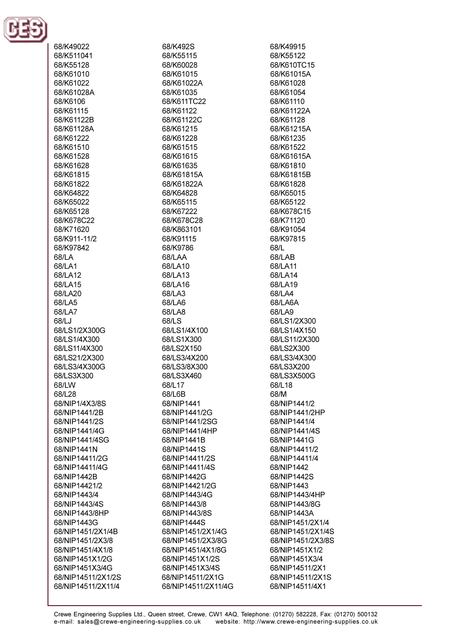

68/K49022 68/K511041 68/K55128 68/K61010 68/K61022 68/K61028A 68/K6106 68/K61115 68/K61122B 68/K61128A 68/K61222 68/K61510 68/K61528 68/K61628 68/K61815 68/K61822 68/K64822 68/K65022 68/K65128 68/K678C22 68/K71620 68/K911-11/2 68/K97842 68/LA 68/LA1 68/LA12 68/LA15 68/LA20 68/LA5 68/LA7 68/LJ 68/LS1/2X300G 68/LS1/4X300 68/LS11/4X300 68/LS21/2X300 68/LS3/4X300G 68/LS3X300 68/LW 68/L28 68/NIP1/4X3/8S 68/NIP1441/2B 68/NIP1441/2S 68/NIP1441/4G 68/NIP1441/4SG 68/NIP1441N 68/NIP14411/2G 68/NIP14411/4G 68/NIP1442B 68/NIP14421/2 68/NIP1443/4 68/NIP1443/4S 68/NIP1443/8HP 68/NIP1443G 68/NIP1451/2X1/4B 68/NIP1451/2X3/8 68/NIP1451/4X1/8 68/NIP1451X1/2G 68/NIP1451X3/4G 68/NIP14511/2X1/2S 68/NIP14511/2X11/4

68/K492S 68/K55115 68/K60028 68/K61015 68/K61022A 68/K61035 68/K611TC22 68/K61122 68/K61122C 68/K61215 68/K61228 68/K61515 68/K61615 68/K61635 68/K61815A 68/K61822A 68/K64828 68/K65115 68/K67222 68/K678C28 68/K863101 68/K91115 68/K9786 68/LAA 68/LA10 68/LA13 68/LA16 68/LA3 68/LA6 68/LA8 68/LS 68/LS1/4X100 68/LS1X300 68/LS2X150 68/LS3/4X200 68/LS3/8X300 68/LS3X460 68/L17 68/L6B 68/NIP1441 68/NIP1441/2G 68/NIP1441/2SG 68/NIP1441/4HP 68/NIP1441B 68/NIP1441S 68/NIP14411/2S 68/NIP14411/4S 68/NIP1442G 68/NIP14421/2G 68/NIP1443/4G 68/NIP1443/8 68/NIP1443/8S 68/NIP1444S 68/NIP1451/2X1/4G 68/NIP1451/2X3/8G 68/NIP1451/4X1/8G 68/NIP1451X1/2S 68/NIP1451X3/4S 68/NIP14511/2X1G 68/NIP14511/2X11/4G 68/K49915 68/K55122 68/K610TC15 68/K61015A 68/K61028 68/K61054 68/K61110 68/K61122A 68/K61128 68/K61215A 68/K61235 68/K61522 68/K61615A 68/K61810 68/K61815B 68/K61828 68/K65015 68/K65122 68/K678C15 68/K71120 68/K91054 68/K97815 68/L 68/LAR 68/LA11 68/LA14 68/LA19 68/LA4 68/LA6A 68/LA9 68/LS1/2X300 68/LS1/4X150 68/LS11/2X300 68/LS2X300 68/LS3/4X300 68/LS3X200 68/LS3X500G 68/L18 68/M 68/NIP1441/2 68/NIP1441/2HP 68/NIP1441/4 68/NIP1441/4S 68/NIP1441G 68/NIP14411/2 68/NIP14411/4 68/NIP1442 68/NIP1442S 68/NIP1443 68/NIP1443/4HP 68/NIP1443/8G 68/NIP1443A 68/NIP1451/2X1/4 68/NIP1451/2X1/4S 68/NIP1451/2X3/8S 68/NIP1451X1/2 68/NIP1451X3/4 68/NIP14511/2X1 68/NIP14511/2X1S 68/NIP14511/4X1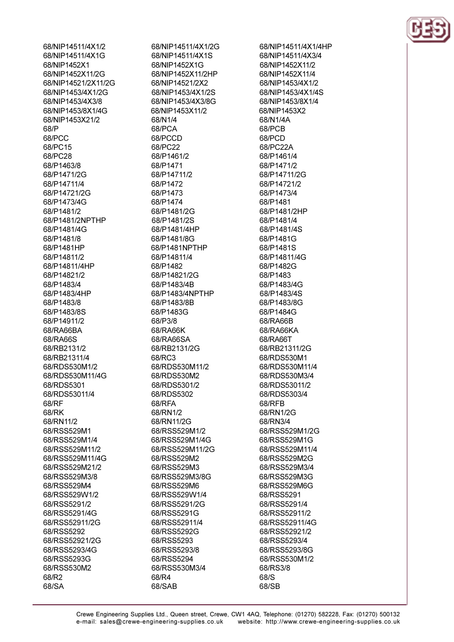68/NIP14511/4X1/2 68/NIP14511/4X1G 68/NIP1452X1 68/NIP1452X11/2G 68/NIP14521/2X11/2G 68/NIP1453/4X1/2G 68/NIP1453/4X3/8 68/NIP1453/8X1/4G 68/NIP1453X21/2 68/P 68/PCC 68/PC15 68/PC28 68/P1463/8 68/P1471/2G 68/P14711/4 68/P14721/2G 68/P1473/4G 68/P1481/2 68/P1481/2NPTHP 68/P1481/4G 68/P1481/8 68/P1481HP 68/P14811/2 68/P14811/4HP 68/P14821/2 68/P1483/4 68/P1483/4HP 68/P1483/8 68/P1483/8S 68/P14911/2 68/RA66BA 68/RA66S 68/RB2131/2 68/RB21311/4 68/RDS530M1/2 68/RDS530M11/4G 68/RDS5301 68/RDS53011/4 68/RF 68/RK 68/RN11/2 68/RSS529M1 68/RSS529M1/4 68/RSS529M11/2 68/RSS529M11/4G 68/RSS529M21/2 68/RSS529M3/8 68/RSS529M4 68/RSS529W1/2 68/RSS5291/2 68/RSS5291/4G 68/RSS52911/2G 68/RSS5292 68/RSS52921/2G 68/RSS5293/4G 68/RSS5293G 68/RSS530M2 68/R2 68/SA

68/NIP14511/4X1/2G 68/NIP14511/4X1S 68/NIP1452X1G 68/NIP1452X11/2HP 68/NIP14521/2X2 68/NIP1453/4X1/2S 68/NIP1453/4X3/8G 68/NIP1453X11/2 68/N1/4 68/PCA 68/PCCD 68/PC22 68/P1461/2 68/P1471 68/P14711/2 68/P1472 68/P1473 68/P1474 68/P1481/2G 68/P1481/2S 68/P1481/4HP 68/P1481/8G 68/P1481NPTHP 68/P14811/4 68/P1482 68/P14821/2G 68/P1483/4B 68/P1483/4NPTHP 68/P1483/8B 68/P1483G 68/P3/8 68/RA66K 68/RA66SA 68/RB2131/2G 68/RC3 68/RDS530M11/2 68/RDS530M2 68/RDS5301/2 68/RDS5302 68/RFA 68/RN1/2 68/RN11/2G 68/RSS529M1/2 68/RSS529M1/4G 68/RSS529M11/2G 68/RSS529M2 68/RSS529M3 68/RSS529M3/8G 68/RSS529M6 68/RSS529W1/4 68/RSS5291/2G 68/RSS5291G 68/RSS52911/4 68/RSS5292G 68/RSS5293 68/RSS5293/8 68/RSS5294 68/RSS530M3/4 68/R4 68/SAB

68/NIP14511/4X1/4HP 68/NIP14511/4X3/4 68/NIP1452X11/2 68/NIP1452X11/4 68/NIP1453/4X1/2 68/NIP1453/4X1/4S 68/NIP1453/8X1/4 68/NIP1453X2 68/N1/4A 68/PCB 68/PCD 68/PC22A 68/P1461/4 68/P1471/2 68/P14711/2G 68/P14721/2 68/P1473/4 68/P1481 68/P1481/2HP 68/P1481/4 68/P1481/4S 68/P1481G 68/P1481S 68/P14811/4G 68/P1482G 68/P1483 68/P1483/4G 68/P1483/4S 68/P1483/8G 68/P1484G 68/RA66B 68/RA66KA 68/RA66T 68/RB21311/2G 68/RDS530M1 68/RDS530M11/4 68/RDS530M3/4 68/RDS53011/2 68/RDS5303/4 68/RFB 68/RN1/2G 68/RN3/4 68/RSS529M1/2G 68/RSS529M1G 68/RSS529M11/4 68/RSS529M2G 68/RSS529M3/4 68/RSS529M3G 68/RSS529M6G 68/RSS5291 68/RSS5291/4 68/RSS52911/2 68/RSS52911/4G 68/RSS52921/2 68/RSS5293/4 68/RSS5293/8G 68/RSS530M1/2 68/RS3/8 68/S 68/SB

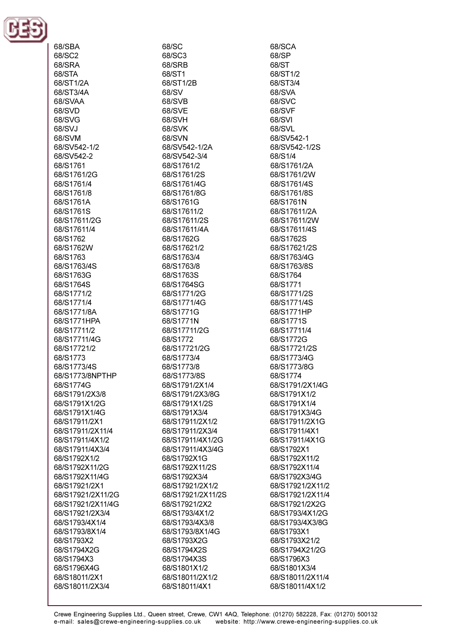

68/SBA 68/SC2 68/SRA 68/STA 68/ST1/2A 68/ST3/4A 68/SVAA 68/SVD 68/SVG 68/SVJ 68/SVM 68/SV542-1/2 68/SV542-2 68/S1761 68/S1761/2G 68/S1761/4 68/S1761/8 68/S1761A 68/S1761S 68/S17611/2G 68/S17611/4 68/S1762 68/S1762W 68/S1763 68/S1763/4S 68/S1763G 68/S1764S 68/S1771/2 68/S1771/4 68/S1771/8A 68/S1771HPA 68/S17711/2 68/S17711/4G 68/S17721/2 68/S1773 68/S1773/4S 68/S1773/8NPTHP 68/S1774G 68/S1791/2X3/8 68/S1791X1/2G 68/S1791X1/4G 68/S17911/2X1 68/S17911/2X11/4 68/S17911/4X1/2 68/S17911/4X3/4 68/S1792X1/2 68/S1792X11/2G 68/S1792X11/4G 68/S17921/2X1 68/S17921/2X11/2G 68/S17921/2X11/4G 68/S17921/2X3/4 68/S1793/4X1/4 68/S1793/8X1/4 68/S1793X2 68/S1794X2G 68/S1794X3 68/S1796X4G 68/S18011/2X1 68/S18011/2X3/4

68/SC 68/SC3 68/SRB 68/ST1 68/ST1/2B 68/SV 68/SVB 68/SVE 68/SVH **68/SVK** 68/SVN 68/SV542-1/2A 68/SV542-3/4 68/S1761/2 68/S1761/2S 68/S1761/4G 68/S1761/8G 68/S1761G 68/S17611/2 68/S17611/2S 68/S17611/4A 68/S1762G 68/S17621/2 68/S1763/4 68/S1763/8 68/S1763S 68/S1764SG 68/S1771/2G 68/S1771/4G 68/S1771G 68/S1771N 68/S17711/2G 68/S1772 68/S17721/2G 68/S1773/4 68/S1773/8 68/S1773/8S 68/S1791/2X1/4 68/S1791/2X3/8G 68/S1791X1/2S 68/S1791X3/4 68/S17911/2X1/2 68/S17911/2X3/4 68/S17911/4X1/2G 68/S17911/4X3/4G 68/S1792X1G 68/S1792X11/2S 68/S1792X3/4 68/S17921/2X1/2 68/S17921/2X11/2S 68/S17921/2X2 68/S1793/4X1/2 68/S1793/4X3/8 68/S1793/8X1/4G 68/S1793X2G 68/S1794X2S 68/S1794X3S 68/S1801X1/2 68/S18011/2X1/2 68/S18011/4X1

68/SCA 68/SP **68/ST** 68/ST1/2 68/ST3/4 68/SVA 68/SVC 68/SVF 68/SVI 68/SVL 68/SV542-1 68/SV542-1/2S 68/S1/4 68/S1761/2A 68/S1761/2W 68/S1761/4S 68/S1761/8S 68/S1761N 68/S17611/2A 68/S17611/2W 68/S17611/4S 68/S1762S 68/S17621/2S 68/S1763/4G 68/S1763/8S 68/S1764 68/S1771 68/S1771/2S 68/S1771/4S 68/S1771HP 68/S1771S 68/S17711/4 68/S1772G 68/S17721/2S 68/S1773/4G 68/S1773/8G 68/S1774 68/S1791/2X1/4G 68/S1791X1/2 68/S1791X1/4 68/S1791X3/4G 68/S17911/2X1G 68/S17911/4X1 68/S17911/4X1G 68/S1792X1 68/S1792X11/2 68/S1792X11/4 68/S1792X3/4G 68/S17921/2X11/2 68/S17921/2X11/4 68/S17921/2X2G 68/S1793/4X1/2G 68/S1793/4X3/8G 68/S1793X1 68/S1793X21/2 68/S1794X21/2G 68/S1796X3 68/S1801X3/4 68/S18011/2X11/4 68/S18011/4X1/2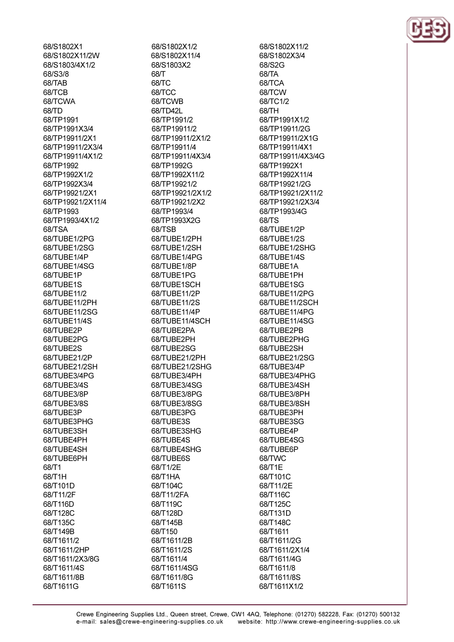68/S1802X1 68/S1802X11/2W 68/S1803/4X1/2 68/S3/8 68/TAB 68/TCB 68/TCWA 68/TD 68/TP1991 68/TP1991X3/4 68/TP19911/2X1 68/TP19911/2X3/4 68/TP19911/4X1/2 68/TP1992 68/TP1992X1/2 68/TP1992X3/4 68/TP19921/2X1 68/TP19921/2X11/4 68/TP1993 68/TP1993/4X1/2 68/TSA 68/TUBE1/2PG 68/TUBE1/2SG 68/TUBE1/4P 68/TUBE1/4SG 68/TUBE1P 68/TUBE1S 68/TUBE11/2 68/TUBE11/2PH 68/TUBE11/2SG 68/TUBE11/4S 68/TUBE2P 68/TUBE2PG 68/TUBE2S 68/TUBE21/2P 68/TUBE21/2SH 68/TUBE3/4PG 68/TUBE3/4S 68/TUBE3/8P 68/TUBE3/8S 68/TUBE3P 68/TUBE3PHG 68/TUBE3SH 68/TUBE4PH 68/TUBE4SH 68/TUBE6PH 68/T1 68/T1H 68/T101D 68/T11/2F 68/T116D 68/T128C 68/T135C 68/T149B 68/T1611/2 68/T1611/2HP 68/T1611/2X3/8G 68/T1611/4S 68/T1611/8B

68/T1611G

68/S1802X1/2 68/S1802X11/4 68/S1803X2 68/T 68/TC 68/TCC 68/TCWB 68/TD42L 68/TP1991/2 68/TP19911/2 68/TP19911/2X1/2 68/TP19911/4 68/TP19911/4X3/4 68/TP1992G 68/TP1992X11/2 68/TP19921/2 68/TP19921/2X1/2 68/TP19921/2X2 68/TP1993/4 68/TP1993X2G 68/TSB 68/TUBE1/2PH 68/TUBE1/2SH 68/TUBE1/4PG 68/TUBE1/8P 68/TUBE1PG 68/TUBE1SCH 68/TUBE11/2P 68/TUBE11/2S 68/TUBE11/4P 68/TUBE11/4SCH 68/TUBE2PA 68/TUBE2PH 68/TUBE2SG 68/TUBE21/2PH 68/TUBE21/2SHG 68/TUBE3/4PH 68/TUBE3/4SG 68/TUBE3/8PG 68/TUBE3/8SG 68/TUBE3PG 68/TUBE3S 68/TUBE3SHG 68/TUBE4S 68/TUBE4SHG 68/TUBE6S 68/T1/2E 68/T1HA 68/T104C 68/T11/2FA 68/T119C 68/T128D 68/T145B 68/T150 68/T1611/2B 68/T1611/2S 68/T1611/4 68/T1611/4SG 68/T1611/8G 68/T1611S

68/S1802X11/2 68/S1802X3/4 68/S2G 68/TA 68/TCA 68/TCW 68/TC1/2 68/TH 68/TP1991X1/2 68/TP19911/2G 68/TP19911/2X1G 68/TP19911/4X1 68/TP19911/4X3/4G 68/TP1992X1 68/TP1992X11/4 68/TP19921/2G 68/TP19921/2X11/2 68/TP19921/2X3/4 68/TP1993/4G 68/TS 68/TUBE1/2P 68/TUBE1/2S 68/TUBE1/2SHG 68/TUBE1/4S 68/TUBE1A 68/TUBE1PH 68/TUBE1SG 68/TUBE11/2PG 68/TUBE11/2SCH 68/TUBE11/4PG 68/TUBE11/4SG 68/TUBE2PB 68/TUBE2PHG 68/TUBE2SH 68/TUBE21/2SG 68/TUBE3/4P 68/TUBE3/4PHG 68/TUBE3/4SH 68/TUBE3/8PH 68/TUBE3/8SH 68/TUBE3PH 68/TUBE3SG 68/TUBE4P 68/TUBE4SG 68/TUBE6P 68/TWC 68/T1E 68/T101C 68/T11/2E 68/T116C 68/T125C 68/T131D 68/T148C 68/T1611 68/T1611/2G 68/T1611/2X1/4 68/T1611/4G 68/T1611/8 68/T1611/8S 68/T1611X1/2

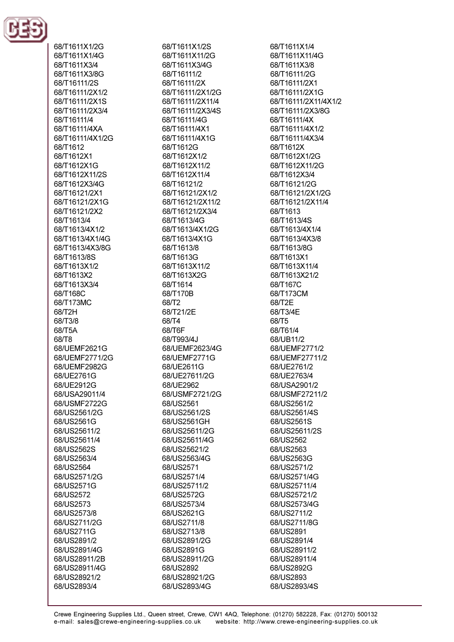

68/T1611X1/2G 68/T1611X1/4G 68/T1611X3/4 68/T1611X3/8G 68/T16111/2S 68/T16111/2X1/2 68/T16111/2X1S 68/T16111/2X3/4 68/T16111/4 68/T16111/4XA 68/T16111/4X1/2G 68/T1612 68/T1612X1 68/T1612X1G 68/T1612X11/2S 68/T1612X3/4G 68/T16121/2X1 68/T16121/2X1G 68/T16121/2X2 68/T1613/4 68/T1613/4X1/2 68/T1613/4X1/4G 68/T1613/4X3/8G 68/T1613/8S 68/T1613X1/2 68/T1613X2 68/T1613X3/4 68/T168C 68/T173MC 68/T2H 68/T3/8 68/T5A 68/T8 68/UEMF2621G 68/UEMF2771/2G 68/UEMF2982G 68/UE2761G 68/UE2912G 68/USA29011/4 68/USMF2722G 68/US2561/2G 68/US2561G 68/US25611/2 68/US25611/4 68/US2562S 68/US2563/4 68/US2564 68/US2571/2G 68/US2571G 68/US2572 68/US2573 68/US2573/8 68/US2711/2G 68/US2711G 68/US2891/2 68/US2891/4G 68/US28911/2B 68/US28911/4G 68/US28921/2 68/US2893/4

68/T1611X1/2S 68/T1611X11/2G 68/T1611X3/4G 68/T16111/2 68/T16111/2X 68/T16111/2X1/2G 68/T16111/2X11/4 68/T16111/2X3/4S 68/T16111/4G 68/T16111/4X1 68/T16111/4X1G 68/T1612G 68/T1612X1/2 68/T1612X11/2 68/T1612X11/4 68/T16121/2 68/T16121/2X1/2 68/T16121/2X11/2 68/T16121/2X3/4 68/T1613/4G 68/T1613/4X1/2G 68/T1613/4X1G 68/T1613/8 68/T1613G 68/T1613X11/2 68/T1613X2G 68/T1614 68/T170B 68/T<sub>2</sub> 68/T21/2E 68/T4 68/T6F 68/T993/4J 68/UEMF2623/4G 68/UEMF2771G 68/UE2611G 68/UE27611/2G 68/UE2962 68/USMF2721/2G 68/US2561 68/US2561/2S 68/US2561GH 68/US25611/2G 68/US25611/4G 68/US25621/2 68/US2563/4G 68/US2571 68/US2571/4 68/US25711/2 68/US2572G 68/US2573/4 68/US2621G 68/US2711/8 68/US2713/8 68/US2891/2G 68/US2891G 68/US28911/2G 68/US2892 68/US28921/2G 68/US2893/4G

68/T1611X1/4 68/T1611X11/4G 68/T1611X3/8 68/T16111/2G 68/T16111/2X1 68/T16111/2X1G 68/T16111/2X11/4X1/2 68/T16111/2X3/8G 68/T16111/4X 68/T16111/4X1/2 68/T16111/4X3/4 68/T1612X 68/T1612X1/2G 68/T1612X11/2G 68/T1612X3/4 68/T16121/2G 68/T16121/2X1/2G 68/T16121/2X11/4 68/T1613 68/T1613/4S 68/T1613/4X1/4 68/T1613/4X3/8 68/T1613/8G 68/T1613X1 68/T1613X11/4 68/T1613X21/2 68/T167C 68/T173CM 68/T2E 68/T3/4E 68/T5 68/T61/4 68/UB11/2 68/UEMF2771/2 68/UEMF27711/2 68/UE2761/2 68/UE2763/4 68/USA2901/2 68/USMF27211/2 68/US2561/2 68/US2561/4S 68/US2561S 68/US25611/2S 68/US2562 68/US2563 68/US2563G 68/US2571/2 68/US2571/4G 68/US25711/4 68/US25721/2 68/US2573/4G 68/US2711/2 68/US2711/8G 68/US2891 68/US2891/4 68/US28911/2 68/US28911/4 68/US2892G 68/US2893 68/US2893/4S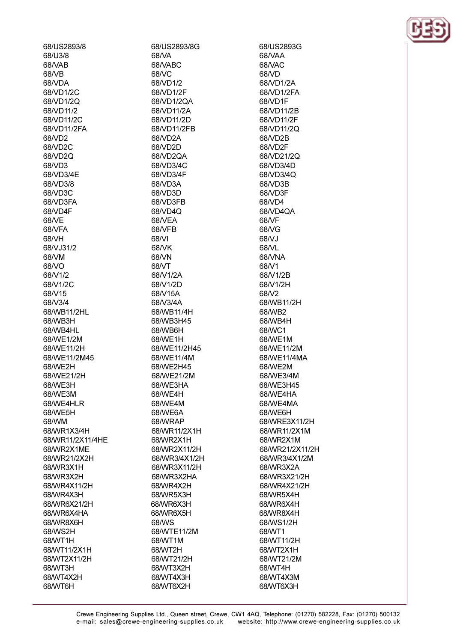68/US2893/8 68/U3/8 68/VAR 68/VB 68/VDA 68/VD1/2C 68ND1/20 68/VD11/2 68/VD11/2C 68/VD11/2FA 68/VD2 68/VD2C 68/VD2Q 68/VD3 68/VD3/4E 68/VD3/8 68/VD3C 68/VD3FA 68/VD4F 68/VE 68/VFA **68/VH** 68/VJ31/2 68/VM **68/VO** 68/V1/2 68/V1/2C 68/V15 68/V3/4 68/WB11/2HL 68/WB3H 68/WB4HL 68/WE1/2M 68/WE11/2H 68/WE11/2M45 68/WE2H 68/WE21/2H 68/WE3H 68/WE3M 68/WE4HLR 68/WE5H 68/WM 68/WR1X3/4H 68/WR11/2X11/4HE 68/WR2X1ME 68/WR21/2X2H 68/WR3X1H 68/WR3X2H 68/WR4X11/2H 68/WR4X3H 68/WR6X21/2H 68/WR6X4HA 68/WR8X6H 68/WS2H 68/WT1H 68/WT11/2X1H 68/WT2X11/2H 68/WT3H 68/WT4X2H 68/WT6H

68/US2893/8G 68/VA 68/VARC 68/VC 68/VD1/2 68/VD1/2F 68/VD1/2QA 68/VD11/2A 68/VD11/2D 68/VD11/2FB 68/VD2A 68/VD2D 68/VD2QA 68/VD3/4C 68/VD3/4F 68/VD3A 68/VD3D 68/VD3FB 68/VD4Q 68/VEA 68/VFB 68/VI 68/VK 68/VN **68A/T** 68/V1/2A 68/V1/2D 68/V15A 68/V3/4A 68/WB11/4H 68/WB3H45 68/WB6H 68/WE1H 68/WE11/2H45 68/WE11/4M 68/WE2H45 68/WE21/2M 68/WE3HA 68/WE4H 68/WE4M 68/WE6A 68/WRAP 68/WR11/2X1H 68/WR2X1H 68/WR2X11/2H 68/WR3/4X1/2H 68/WR3X11/2H 68/WR3X2HA 68/WR4X2H 68/WR5X3H 68/WR6X3H 68/WR6X5H 68/WS 68/WTE11/2M 68/WT1M 68/WT2H 68/WT21/2H 68/WT3X2H 68/WT4X3H 68/WT6X2H

68/US2893G 68/VAA 68/VAC 68/VD 68/VD1/2A 68/VD1/2FA 68/VD1F 68/VD11/2B 68/VD11/2F 68/VD11/2Q 68/VD2B 68/VD2F 68/VD21/2Q 68/VD3/4D 68/VD3/4Q 68/VD3B 68/VD3F 68/VD4 68/VD4QA 68/VF 68/VG 68/VJ 68A/L 68/VNA 68A/1 68/V1/2B 68/V1/2H 68/V2 68/WB11/2H 68/WB2 68/WB4H 68/WC1 68/WE1M 68/WE11/2M 68/WE11/4MA 68/WE2M 68/WE3/4M 68/WE3H45 68/WE4HA 68/WE4MA 68/WE6H 68/WRE3X11/2H 68/WR11/2X1M 68/WR2X1M 68/WR21/2X11/2H 68/WR3/4X1/2M 68/WR3X2A 68/WR3X21/2H 68/WR4X21/2H 68/WR5X4H 68/WR6X4H 68/WR8X4H 68/WS1/2H 68/WT1 68/WT11/2H 68/WT2X1H 68/WT21/2M 68/WT4H 68/WT4X3M 68/WT6X3H

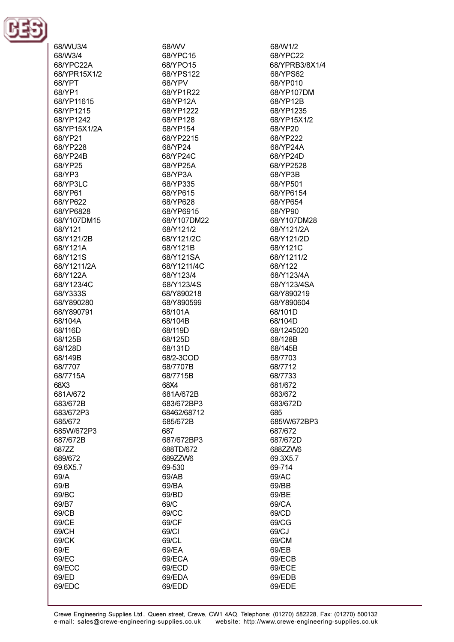

| 68/WU3/4     |
|--------------|
| 68/W3/4      |
|              |
| 68/YPC22A    |
| 68/YPR15X1/2 |
| 68/YPT       |
| 68/YP1       |
| 68/YP11615   |
| 68/YP1215    |
| 68/YP1242    |
| 68/YP15X1/2A |
| 68/YP21      |
|              |
| 68/YP228     |
| 68/YP24B     |
| 68/YP25      |
| 68/YP3       |
| 68/YP3LC     |
| 68/YP61      |
| 68/YP622     |
| 68/YP6828    |
| 68/Y107DM15  |
|              |
| 68/Y121      |
| 68/Y121/2B   |
| 68/Y121A     |
| 68/Y121S     |
| 68/Y1211/2A  |
| 68/Y122A     |
| 68/Y123/4C   |
|              |
| 68/Y333S     |
| 68/Y890280   |
| 68/Y890791   |
| 68/104A      |
| 68/116D      |
| 68/125B      |
| 68/128D      |
| 68/149B      |
|              |
| 68/7707      |
| 68/7715A     |
| 68X3         |
| 681A/672     |
| 683/672B     |
| 683/672P3    |
| 685/672      |
| 685W/672P3   |
|              |
| 687/672B     |
| 687ZZ        |
| 689/672      |
| 69.6X5.7     |
| 69/A         |
| 69/B         |
| 69/BC        |
| 69/B7        |
|              |
| 69/CB        |
| 69/CE        |
| 69/CH        |
| 69/CK        |
| 69/E         |
| 69/EC        |
| 69/ECC       |
|              |
| 69/ED        |
| 69/EDC       |

68/WV 68/YPC15 68/YPO15 68/YPS122 68/YPV 68/YP1R22 68/YP12A 68/YP1222 68/YP128 68/YP154 68/YP2215 68/YP24 68/YP24C 68/YP25A 68/YP3A 68/YP335 68/YP615 68/YP628 68/YP6915 68/Y107DM22 68/Y121/2 68/Y121/2C 68/Y121B 68/Y121SA 68/Y1211/4C 68/Y123/4 68/Y123/4S 68/Y890218 68/Y890599 68/101A 68/104B 68/119D 68/125D 68/131D 68/2-3COD 68/7707B 68/7715B 68X4 681A/672B 683/672BP3 68462/68712 685/672B 687 687/672BP3 688TD/672 689ZZW6 69-530 69/AB 69/BA 69/BD 69/C 69/CC 69/CF 69/CI 69/CL 69/EA 69/ECA 69/ECD 69/EDA

68/W1/2 68/YPC22 68/YPRB3/8X1/4 68/YPS62 68/YP010 68/YP107DM 68/YP12B 68/YP1235 68/YP15X1/2 68/YP20 68/YP222 68/YP24A 68/YP24D 68/YP2528 68/YP3B 68/YP501 68/YP6154 68/YP654 68/YP90 68/Y107DM28 68/Y121/2A 68/Y121/2D 68/Y121C 68/Y1211/2 68/Y122 68/Y123/4A 68/Y123/4SA 68/Y890219 68/Y890604 68/101D 68/104D 68/1245020 68/128B 68/145B 68/7703 68/7712 68/7733 681/672 683/672 683/672D 685 685W/672BP3 687/672 687/672D 688ZZW6 69.3X5.7 69-714 69/AC 69/BB 69/BE 69/CA 69/CD 69/CG 69/CJ 69/CM 69/EB 69/ECB 69/ECE 69/EDB

69/EDE

69/EDD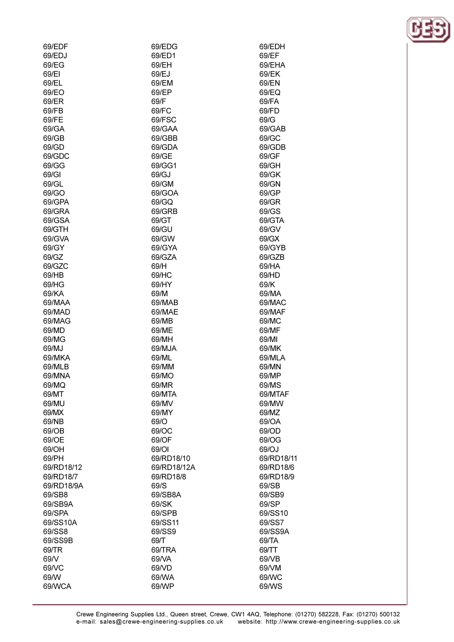| 69/EDF     | 69/EDG      | 69/EDH     |
|------------|-------------|------------|
| 69/EDJ     | 69/ED1      | 69/EF      |
| 69/EG      | 69/EH       | 69/EHA     |
| 69/EI      | 69/EJ       | 69/EK      |
| 69/EL      | 69/EM       | 69/EN      |
| 69/EO      | 69/EP       | 69/EQ      |
| 69/ER      | 69/F        | 69/FA      |
| 69/FB      | 69/FC       | 69/FD      |
| 69/FE      | 69/FSC      | 69/G       |
| 69/GA      | 69/GAA      | 69/GAB     |
|            |             |            |
| 69/GB      | 69/GBB      | 69/GC      |
| 69/GD      | 69/GDA      | 69/GDB     |
| 69/GDC     | 69/GE       | 69/GF      |
| 69/GG      | 69/GG1      | 69/GH      |
| 69/GI      | 69/GJ       | 69/GK      |
| 69/GL      | 69/GM       | 69/GN      |
| 69/GO      | 69/GOA      | 69/GP      |
| 69/GPA     | 69/GQ       | 69/GR      |
| 69/GRA     | 69/GRB      | 69/GS      |
| 69/GSA     | 69/GT       | 69/GTA     |
| 69/GTH     | 69/GU       | 69/GV      |
| 69/GVA     | 69/GW       | 69/GX      |
| 69/GY      | 69/GYA      | 69/GYB     |
| 69/GZ      | 69/GZA      | 69/GZB     |
| 69/GZC     | 69/H        | 69/HA      |
| 69/HB      | 69/HC       | 69/HD      |
| 69/HG      | 69/HY       | 69/K       |
| 69/KA      | 69/M        | 69/MA      |
| 69/MAA     | 69/MAB      | 69/MAC     |
| 69/MAD     | 69/MAE      | 69/MAF     |
|            | 69/MB       |            |
| 69/MAG     |             | 69/MC      |
| 69/MD      | 69/ME       | 69/MF      |
| 69/MG      | 69/MH       | 69/MI      |
| 69/MJ      | 69/MJA      | 69/MK      |
| 69/MKA     | 69/ML       | 69/MLA     |
| 69/MLB     | 69/MM       | 69/MN      |
| 69/MNA     | 69/MO       | 69/MP      |
| 69/MQ      | 69/MR       | 69/MS      |
| 69/MT      | 69/MTA      | 69/MTAF    |
| 69/MU      | 69/MV       | 69/MW      |
| 69/MX      | 69/MY       | 69/MZ      |
| 69/NB      | 69/O        | 69/OA      |
| 69/OB      | 69/OC       | 69/OD      |
| 69/OE      | 69/OF       | 69/OG      |
| 69/OH      | 69/OI       | 69/OJ      |
| 69/PH      | 69/RD18/10  | 69/RD18/11 |
| 69/RD18/12 | 69/RD18/12A | 69/RD18/6  |
| 69/RD18/7  | 69/RD18/8   | 69/RD18/9  |
| 69/RD18/9A | 69/S        | 69/SB      |
| 69/SB8     | 69/SB8A     | 69/SB9     |
| 69/SB9A    | 69/SK       | 69/SP      |
| 69/SPA     | 69/SPB      | 69/SS10    |
| 69/SS10A   | 69/SS11     | 69/SS7     |
|            | 69/SS9      | 69/SS9A    |
| 69/SS8     |             |            |
| 69/SS9B    | 69/T        | 69/TA      |
| 69/TR      | 69/TRA      | 69/TT      |
| 69/V       | 69/VA       | 69/VB      |
| 69/VC      | 69/VD       | 69/VM      |
| 69/W       | 69/WA       | 69/WC      |

69/WP

69/WCA

69/WS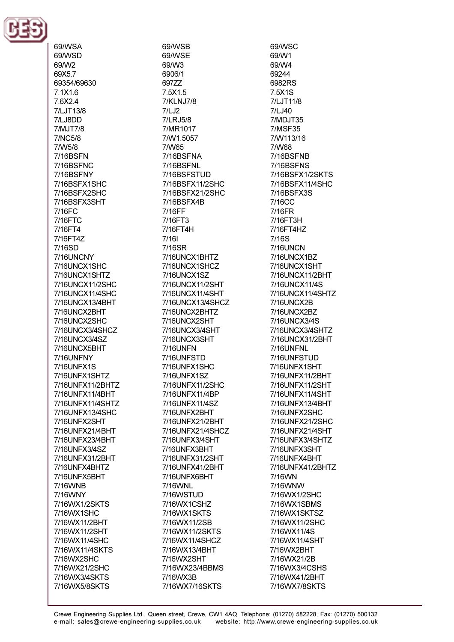

69/WSA

69/WSD 69/W2 69X5.7 69354/69630 7.1X1.6 76X24 7/LJT13/8 7/LJ8DD 7/MJT7/8 7/NC5/8 7/W5/8 **7/16BSFN** 7/16BSENC 7/16BSFNY 7/16BSFX1SHC 7/16BSFX2SHC 7/16BSFX3SHT 7/16FC 7/16FTC 7/16FT4 7/16FT4Z 7/16SD 7/16LINCNY 7/16UNCX1SHC 7/16UNCX1SHTZ 7/16UNCX11/2SHC 7/16UNCX11/4SHC 7/16UNCX13/4BHT 7/16UNCX2BHT 7/16UNCX2SHC 7/16UNCX3/4SHCZ 7/16UNCX3/4SZ 7/16UNCX5BHT 7/16UNFNY 7/16UNFX1S 7/16UNFX1SHTZ 7/16UNFX11/2BHTZ 7/16UNFX11/4BHT 7/16UNFX11/4SHTZ 7/16UNFX13/4SHC 7/16UNFX2SHT 7/16UNFX21/4BHT 7/16UNFX23/4BHT 7/16UNFX3/4SZ 7/16UNFX31/2BHT 7/16UNFX4BHTZ 7/16UNFX5BHT 7/16WNB 7/16WNY 7/16WX1/2SKTS 7/16WX1SHC 7/16WX11/2BHT 7/16WX11/2SHT 7/16WX11/4SHC 7/16WX11/4SKTS 7/16WX2SHC 7/16WX21/2SHC 7/16WX3/4SKTS 7/16WX5/8SKTS

69/WSB 69/WSE 69/W3 6906/1 69777 7.5X1.5 7/KLNJ7/8  $7/LJ2$ 7/LRJ5/8 7/MR1017 7/W1.5057 7/W65 7/16BSFNA 7/16BSFNL 7/16BSFSTUD 7/16BSFX11/2SHC 7/16BSFX21/2SHC 7/16BSFX4B 7/16FF 7/16FT3 7/16FT4H  $7/161$ 7/16SR 7/16UNCX1BHTZ 7/16UNCX1SHCZ 7/16UNCX1SZ 7/16UNCX11/2SHT 7/16UNCX11/4SHT 7/16UNCX13/4SHCZ 7/16UNCX2BHTZ 7/16UNCX2SHT 7/16UNCX3/4SHT 7/16UNCX3SHT **7/16UNFN** 7/16UNFSTD 7/16UNFX1SHC 7/16UNFX1SZ 7/16UNFX11/2SHC 7/16UNFX11/4BP 7/16UNFX11/4SZ 7/16UNFX2BHT 7/16UNFX21/2BHT 7/16UNFX21/4SHCZ 7/16UNFX3/4SHT 7/16UNFX3BHT 7/16UNFX31/2SHT 7/16UNFX41/2BHT 7/16UNFX6BHT 7/16WNL 7/16WSTUD 7/16WX1CSHZ 7/16WX1SKTS 7/16WX11/2SB 7/16WX11/2SKTS 7/16WX11/4SHCZ 7/16WX13/4BHT 7/16WX2SHT 7/16WX23/4BBMS 7/16WX3B 7/16WX7/16SKTS

69/WSC 69/W1 69/W4 69244 6982RS 7.5X1S 7/LJT11/8 7/LJ40 7/MDJT35 **7/MSF35** 7/W113/16 7/W68 7/16BSFNB 7/16BSENS 7/16BSFX1/2SKTS 7/16BSFX11/4SHC 7/16BSFX3S 7/16CC 7/16FR 7/16FT3H 7/16FT4HZ 7/16S **7/16UNCN** 7/16UNCX1BZ 7/16UNCX1SHT 7/16UNCX11/2BHT 7/16UNCX11/4S 7/16UNCX11/4SHTZ 7/16UNCX2B 7/16UNCX2BZ 7/16UNCX3/4S 7/16UNCX3/4SHTZ 7/16UNCX31/2BHT 7/16UNFNL 7/16UNFSTUD 7/16UNFX1SHT 7/16UNFX11/2BHT 7/16UNFX11/2SHT 7/16UNFX11/4SHT 7/16UNFX13/4BHT 7/16UNFX2SHC 7/16UNFX21/2SHC 7/16UNFX21/4SHT 7/16UNFX3/4SHTZ 7/16UNFX3SHT 7/16UNFX4BHT 7/16UNFX41/2BHTZ 7/16WN 7/16WNW 7/16WX1/2SHC 7/16WX1SBMS 7/16WX1SKTSZ 7/16WX11/2SHC 7/16WX11/4S 7/16WX11/4SHT 7/16WX2BHT 7/16WX21/2B 7/16WX3/4CSHS 7/16WX41/2BHT 7/16WX7/8SKTS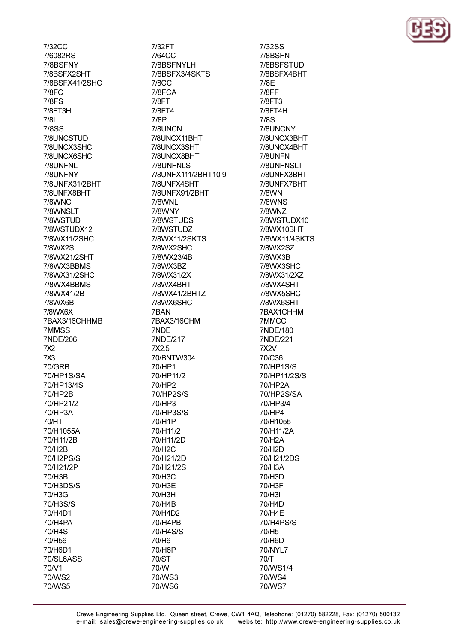7/32CC 7/6082RS 7/8RSFNY 7/8BSFX2SHT 7/8BSFX41/2SHC 7/8FC **7/8FS** 7/8FT3H  $7/81$ **7/8SS** 7/8UNCSTUD 7/8UNCX3SHC 7/8UNCX6SHC 7/8LINENI 7/8UNFNY 7/8UNFX31/2BHT 7/8UNFX8BHT 7/8WNC 7/8WNSLT 7/8WSTUD 7/8WSTUDX12 7/8WX11/2SHC 7/8WX2S 7/8WX21/2SHT 7/8WX3RRMS 7/8WX31/2SHC 7/8WX4BBMS 7/8WX41/2B 7/8WX6B 7/8WX6X 7BAX3/16CHHMB 7MMSS 7NDE/206 7X<sub>2</sub>  $7X3$ **70/GRB** 70/HP1S/SA 70/HP13/4S 70/HP2B 70/HP21/2 70/HP3A **70/HT** 70/H1055A 70/H11/2B 70/H2B 70/H2PS/S 70/H21/2P 70/H3B 70/H3DS/S 70/H3G 70/H3S/S 70/H4D1 70/H4PA 70/H4S 70/H56 70/H6D1 70/SL6ASS 70/V1 70/WS2

70/WS5

7/32FT 7/64CC 7/8RSFNYI H 7/8BSFX3/4SKTS **7/8CC** 7/8FCA **7/8FT** 7/8FT4 7/8P 7/8UNCN 7/8UNCX11BHT 7/8UNCX3SHT 7/8UNCX8BHT 7/8LINENLS 7/8UNFX111/2BHT10.9 7/8UNFX4SHT 7/8UNFX91/2BHT 7/8WNL 7/8WNY 7/8WSTUDS 7/8WSTUDZ 7/8WX11/2SKTS 7/8WX2SHC 7/8WX23/4B 7/8WX3BZ 7/8WX31/2X 7/8WX4BHT 7/8WX41/2BHTZ 7/8WX6SHC 7BAN 7BAX3/16CHM 7NDE 7NDE/217 7X2.5 70/BNTW304 70/HP1 70/HP11/2 70/HP2 70/HP2S/S 70/HP3 70/HP3S/S 70/H1P 70/H11/2 70/H11/2D 70/H2C 70/H21/2D 70/H21/2S 70/H3C 70/H3E 70/H3H 70/H4B 70/H4D2 70/H4PB 70/H4S/S 70/H6 70/H6P 70/ST 70/W 70/WS3 70/WS6

**7/32SS** 7/8BSFN 7/8BSESTUD 7/8BSFX4BHT 7/8E 7/8FF 7/8FT3 7/8FT4H 7/8S 7/8UNCNY 7/8UNCX3BHT 7/8UNCX4BHT 7/8UNFN 7/8LINENSLT 7/8UNFX3BHT 7/8UNFX7BHT 7/8WN **7/8WNS** 7/8WNZ 7/8WSTUDX10 7/8WX10BHT 7/8WX11/4SKTS 7/8WX2SZ 7/8WX3R 7/8WX3SHC 7/8WX31/2XZ 7/8WX4SHT 7/8WX5SHC 7/8WX6SHT 7BAX1CHHM 7MMCC 7NDE/180 7NDE/221 7X2V 70/C36 70/HP1S/S 70/HP11/2S/S 70/HP2A 70/HP2S/SA 70/HP3/4 70/HP4 70/H1055 70/H11/2A 70/H<sub>2</sub>A 70/H2D 70/H21/2DS 70/H3A 70/H3D 70/H3F 70/H3I 70/H4D 70/H4E 70/H4PS/S 70/H<sub>5</sub> 70/H6D 70/NYL7  $70/T$ 70/WS1/4 70/WS4 70/WS7

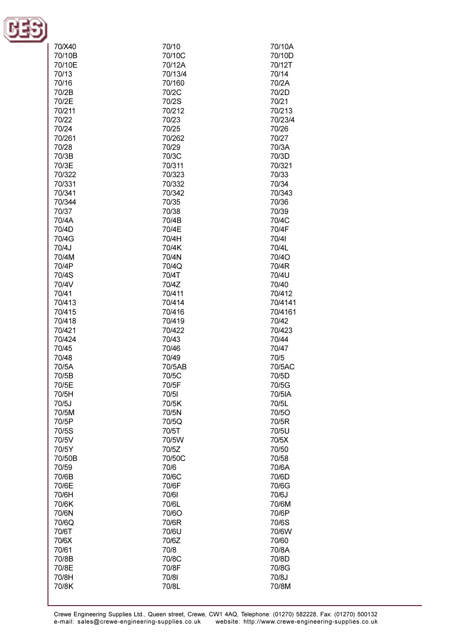

| 70/X40 | 70/10   | 70/10A  |
|--------|---------|---------|
| 70/10B | 70/10C  | 70/10D  |
| 70/10E | 70/12A  | 70/12T  |
| 70/13  | 70/13/4 |         |
|        |         | 70/14   |
| 70/16  | 70/160  | 70/2A   |
| 70/2B  | 70/2C   | 70/2D   |
| 70/2E  | 70/2S   | 70/21   |
|        |         |         |
| 70/211 | 70/212  | 70/213  |
| 70/22  | 70/23   | 70/23/4 |
| 70/24  | 70/25   | 70/26   |
| 70/261 | 70/262  | 70/27   |
|        |         |         |
| 70/28  | 70/29   | 70/3A   |
| 70/3B  | 70/3C   | 70/3D   |
| 70/3E  | 70/311  | 70/321  |
| 70/322 | 70/323  | 70/33   |
| 70/331 | 70/332  | 70/34   |
|        |         |         |
| 70/341 | 70/342  | 70/343  |
| 70/344 | 70/35   | 70/36   |
| 70/37  | 70/38   | 70/39   |
| 70/4A  | 70/4B   | 70/4C   |
|        |         |         |
| 70/4D  | 70/4E   | 70/4F   |
| 70/4G  | 70/4H   | 70/41   |
| 70/4J  | 70/4K   | 70/4L   |
| 70/4M  | 70/4N   | 70/4O   |
| 70/4P  | 70/4Q   | 70/4R   |
|        |         |         |
| 70/4S  | 70/4T   | 70/4U   |
| 70/4V  | 70/4Z   | 70/40   |
| 70/41  | 70/411  | 70/412  |
| 70/413 | 70/414  | 70/4141 |
| 70/415 | 70/416  | 70/4161 |
|        |         |         |
| 70/418 | 70/419  | 70/42   |
| 70/421 | 70/422  | 70/423  |
| 70/424 | 70/43   | 70/44   |
| 70/45  | 70/46   | 70/47   |
| 70/48  | 70/49   | 70/5    |
|        |         |         |
| 70/5A  | 70/5AB  | 70/5AC  |
| 70/5B  | 70/5C   | 70/5D   |
| 70/5E  | 70/5F   | 70/5G   |
| 70/5H  | 70/51   | 70/5IA  |
| 70/5J  | 70/5K   | 70/5L   |
|        |         |         |
| 70/5M  | 70/5N   | 70/5O   |
| 70/5P  | 70/5Q   | 70/5R   |
| 70/5S  | 70/5T   | 70/5U   |
| 70/5V  | 70/5W   | 70/5X   |
| 70/5Y  | 70/5Z   | 70/50   |
|        |         |         |
| 70/50B | 70/50C  | 70/58   |
| 70/59  | 70/6    | 70/6A   |
| 70/6B  | 70/6C   | 70/6D   |
| 70/6E  | 70/6F   | 70/6G   |
| 70/6H  | 70/61   | 70/6J   |
|        |         |         |
| 70/6K  | 70/6L   | 70/6M   |
| 70/6N  | 70/6O   | 70/6P   |
| 70/6Q  | 70/6R   | 70/6S   |
| 70/6T  | 70/6U   | 70/6W   |
|        |         |         |
| 70/6X  | 70/6Z   | 70/60   |
| 70/61  | 70/8    | 70/8A   |
| 70/8B  | 70/8C   | 70/8D   |
| 70/8E  | 70/8F   | 70/8G   |
| 70/8H  | 70/81   | 70/8J   |
|        |         |         |
| 70/8K  | 70/8L   | 70/8M   |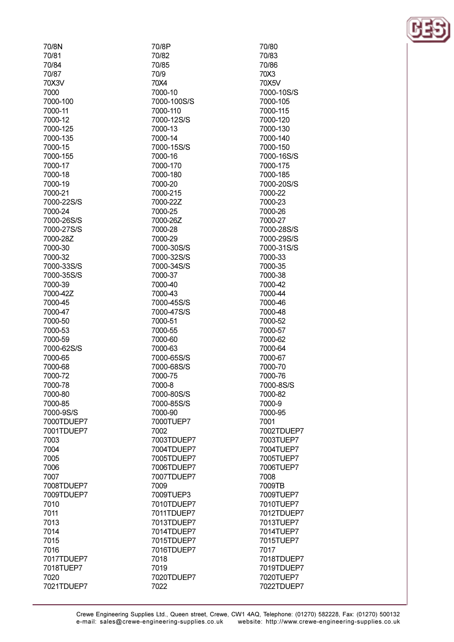| 70/8N                    |
|--------------------------|
| 70/81                    |
| 70/84                    |
| 70/87                    |
| 70X3V                    |
| 7000                     |
| 7000-100                 |
| 7000-11                  |
| 7000-12                  |
| 7000-125                 |
| 7000-135                 |
| 7000-15                  |
| 7000-155                 |
| 7000-17                  |
| 7000-18                  |
| 7000-19                  |
| 7000-21                  |
| 7000-22S/S               |
| 7000-24<br>7000-26S/S    |
| 7000-27S/S               |
| 7000-28Z                 |
| 7000-30                  |
| 7000-32                  |
| 7000-33S/S               |
| 7000-35S/S               |
| 7000-39                  |
| 7000-42Z                 |
| 7000-45                  |
| 7000-47                  |
| 7000-50                  |
| 7000-53                  |
| 7000-59                  |
| 7000-62S/S               |
| 7000-65                  |
| 7000-68                  |
| 7000-72                  |
| 7000-78                  |
| 7000-80                  |
| 7000-85                  |
| 7000-9S/S                |
| 7000TDUEP7               |
| 7001TDUEP7               |
| 7003                     |
| 7004                     |
| 7005                     |
| 7006                     |
| 7007                     |
| 7008TDUEP7<br>7009TDUEP7 |
|                          |
| 7010<br>7011             |
| 7013                     |
| 7014                     |
| 7015                     |
| 7016                     |
| 7017TDUEP7               |
| 7018TUEP7                |
| 7020                     |
| 7021TDUEP7               |
|                          |

70/8P 70/82 70/85 70/9 70X4 7000-10 7000-100S/S 7000-110 7000-12S/S 7000-13 7000-14 7000-15S/S 7000-16 7000-170 7000-180 7000-20 7000-215 7000-22Z 7000-25 7000-26Z 7000-28 7000-29 7000-30S/S 7000-32S/S 7000-34S/S 7000-37 7000-40 7000-43 7000-45S/S 7000-47S/S 7000-51 7000-55 7000-60 7000-63 7000-65S/S 7000-68S/S 7000-75 7000-8 7000-80S/S 7000-85S/S 7000-90 7000TUEP7 7002 7003TDUEP7 7004TDUEP7 7005TDUEP7 7006TDUEP7 7007TDUEP7 7009 7009TUEP3 7010TDUEP7 7011TDUEP7 7013TDUEP7 7014TDUEP7 7015TDUEP7 7016TDUEP7 7018 7019 7020TDUEP7 7022

70/80 70/83 70/86 70X3 70X5V 7000-10S/S 7000-105 7000-115 7000-120 7000-130 7000-140 7000-150 7000-16S/S 7000-175 7000-185 7000-20S/S 7000-22 7000-23 7000-26 7000-27 7000-28S/S 7000-29S/S 7000-31S/S 7000-33 7000-35 7000-38 7000-42 7000-44 7000-46 7000-48 7000-52 7000-57 7000-62 7000-64 7000-67 7000-70 7000-76 7000-8S/S 7000-82 7000-9 7000-95 7001 7002TDUEP7 7003TUEP7 7004TUEP7 7005TUEP7 7006TUEP7 7008 7009TB 7009TUEP7 7010TUEP7 7012TDUEP7 7013TUEP7 7014TUEP7 7015TUEP7 7017 7018TDUEP7 7019TDUEP7 7020TUEP7 7022TDUEP7

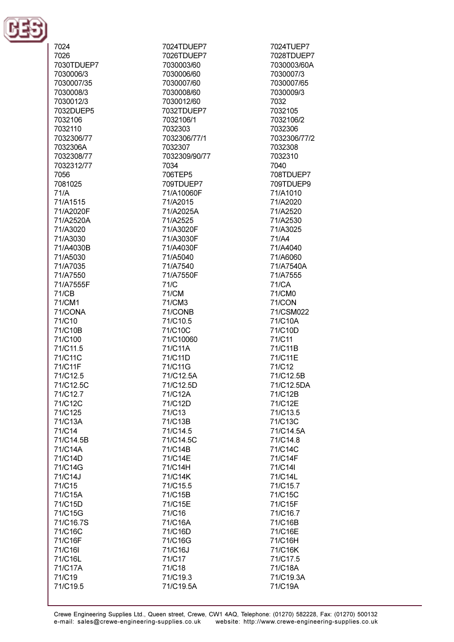

| 7024               | 7024TDUEP7           | 7024TUEP7         |
|--------------------|----------------------|-------------------|
| 7026               | 7026TDUEP7           | 7028TDUEP7        |
| 7030TDUEP7         | 7030003/60           | 7030003/60A       |
| 7030006/3          | 7030006/60           | 7030007/3         |
| 7030007/35         | 7030007/60           | 7030007/65        |
| 7030008/3          | 7030008/60           | 7030009/3         |
| 7030012/3          | 7030012/60           | 7032              |
| 7032DUEP5          | 7032TDUEP7           | 7032105           |
| 7032106            | 7032106/1            | 7032106/2         |
| 7032110            | 7032303              | 7032306           |
| 7032306/77         | 7032306/77/1         | 7032306/77/2      |
| 7032306A           | 7032307              | 7032308           |
| 7032308/77         | 7032309/90/77        | 7032310           |
| 7032312/77         | 7034                 | 7040              |
| 7056               | 706TEP5              | 708TDUEP7         |
| 7081025            | 709TDUEP7            | 709TDUEP9         |
| 71/A               | 71/A10060F           | 71/A1010          |
| 71/A1515           | 71/A2015             | 71/A2020          |
| 71/A2020F          | 71/A2025A            | 71/A2520          |
| 71/A2520A          | 71/A2525             | 71/A2530          |
| 71/A3020           | 71/A3020F            | 71/A3025          |
| 71/A3030           | 71/A3030F            | 71/A4             |
| 71/A4030B          | 71/A4030F            | 71/A4040          |
| 71/A5030           | 71/A5040             | 71/A6060          |
| 71/A7035           | 71/A7540             | 71/A7540A         |
| 71/A7550           | 71/A7550F            | 71/A7555          |
| 71/A7555F          | 71/C                 | 71/CA             |
| 71/CB              | 71/CM                | 71/CM0            |
| 71/CM1             | 71/CM3               | 71/CON            |
| 71/CONA            | 71/CONB              | 71/CSM022         |
| 71/C10             | 71/C10.5             | 71/C10A           |
| 71/C10B<br>71/C100 | 71/C10C<br>71/C10060 | 71/C10D<br>71/C11 |
| 71/C11.5           | 71/C11A              | 71/C11B           |
| 71/C11C            | 71/C11D              | 71/C11E           |
| 71/C11F            | 71/C11G              | 71/C12            |
| 71/C12.5           | 71/C12.5A            | 71/C12.5B         |
| 71/C12.5C          | 71/C12.5D            | 71/C12.5DA        |
| 71/C12.7           | 71/C12A              | 71/C12B           |
| 71/C12C            | 71/C12D              | 71/C12E           |
| 71/C125            | 71/C13               | 71/C13.5          |
| 71/C13A            | 71/C13B              | 71/C13C           |
| 71/C14             | 71/C14.5             | 71/C14.5A         |
| 71/C14.5B          | 71/C14.5C            | 71/C14.8          |
| 71/C14A            | 71/C14B              | 71/C14C           |
| 71/C14D            | 71/C14E              | 71/C14F           |
| 71/C14G            | 71/C14H              | 71/C14I           |
| 71/C14J            | 71/C14K              | 71/C14L           |
| 71/C15             | 71/C15.5             | 71/C15.7          |
| 71/C15A            | 71/C15B              | 71/C15C           |
| 71/C15D            | 71/C15E              | 71/C15F           |
| 71/C15G            | 71/C16               | 71/C16.7          |
| 71/C16.7S          | 71/C16A              | 71/C16B           |
| 71/C16C            | 71/C16D              | 71/C16E           |
| 71/C16F            | 71/C16G              | 71/C16H           |
| 71/C16I            | 71/C16J              | 71/C16K           |
| 71/C16L            | 71/C17               | 71/C17.5          |
| 71/C17A            | 71/C18               | 71/C18A           |
| 71/C19             | 71/C19.3             | 71/C19.3A         |
| 71/C19.5           | 71/C19.5A            | 71/C19A           |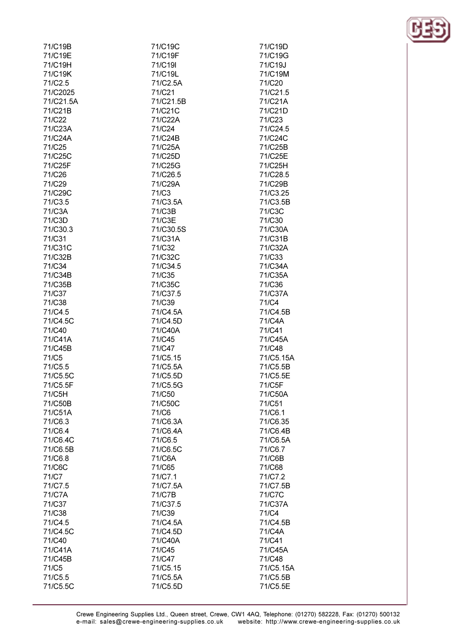| 71/C19B   | 71/C19C   | 71/C19D   |
|-----------|-----------|-----------|
| 71/C19E   | 71/C19F   | 71/C19G   |
| 71/C19H   | 71/C19I   | 71/C19J   |
|           |           |           |
| 71/C19K   | 71/C19L   | 71/C19M   |
| 71/C2.5   | 71/C2.5A  | 71/C20    |
| 71/C2025  | 71/C21    | 71/C21.5  |
| 71/C21.5A | 71/C21.5B | 71/C21A   |
|           |           |           |
| 71/C21B   | 71/C21C   | 71/C21D   |
| 71/C22    | 71/C22A   | 71/C23    |
| 71/C23A   | 71/C24    | 71/C24.5  |
|           |           |           |
| 71/C24A   | 71/C24B   | 71/C24C   |
| 71/C25    | 71/C25A   | 71/C25B   |
| 71/C25C   | 71/C25D   | 71/C25E   |
| 71/C25F   | 71/C25G   | 71/C25H   |
|           |           |           |
| 71/C26    | 71/C26.5  | 71/C28.5  |
| 71/C29    | 71/C29A   | 71/C29B   |
| 71/C29C   | 71/C3     | 71/C3.25  |
| 71/C3.5   | 71/C3.5A  | 71/C3.5B  |
|           |           |           |
| 71/C3A    | 71/C3B    | 71/C3C    |
| 71/C3D    | 71/C3E    | 71/C30    |
| 71/C30.3  | 71/C30.5S | 71/C30A   |
|           |           |           |
| 71/C31    | 71/C31A   | 71/C31B   |
| 71/C31C   | 71/C32    | 71/C32A   |
| 71/C32B   | 71/C32C   | 71/C33    |
| 71/C34    | 71/C34.5  | 71/C34A   |
|           |           |           |
| 71/C34B   | 71/C35    | 71/C35A   |
| 71/C35B   | 71/C35C   | 71/C36    |
| 71/C37    | 71/C37.5  | 71/C37A   |
| 71/C38    | 71/C39    | 71/C4     |
|           |           |           |
| 71/C4.5   | 71/C4.5A  | 71/C4.5B  |
| 71/C4.5C  | 71/C4.5D  | 71/C4A    |
| 71/C40    | 71/C40A   | 71/C41    |
| 71/C41A   | 71/C45    | 71/C45A   |
|           |           |           |
| 71/C45B   | 71/C47    | 71/C48    |
| 71/C5     | 71/C5.15  | 71/C5.15A |
| 71/C5.5   | 71/C5.5A  | 71/C5.5B  |
| 71/C5.5C  | 71/C5.5D  | 71/C5.5E  |
|           |           |           |
| 71/C5.5F  | 71/C5.5G  | 71/C5F    |
| 71/C5H    | 71/C50    | 71/C50A   |
| 71/C50B   | 71/C50C   | 71/C51    |
| 71/C51A   | 71/C6     | 71/C6.1   |
|           |           |           |
| 71/C6.3   | 71/C6.3A  | 71/C6.35  |
| 71/C6.4   | 71/C6.4A  | 71/C6.4B  |
| 71/C6.4C  | 71/C6.5   | 71/C6.5A  |
| 71/C6.5B  | 71/C6.5C  | 71/C6.7   |
|           |           |           |
| 71/C6.8   | 71/C6A    | 71/C6B    |
| 71/C6C    | 71/C65    | 71/C68    |
| 71/C7     | 71/C7.1   | 71/C7.2   |
| 71/C7.5   |           |           |
|           | 71/C7.5A  | 71/C7.5B  |
| 71/C7A    | 71/C7B    | 71/C7C    |
| 71/C37    | 71/C37.5  | 71/C37A   |
| 71/C38    | 71/C39    | 71/C4     |
|           |           |           |
| 71/C4.5   | 71/C4.5A  | 71/C4.5B  |
| 71/C4.5C  | 71/C4.5D  | 71/C4A    |
| 71/C40    | 71/C40A   | 71/C41    |
| 71/C41A   | 71/C45    | 71/C45A   |
|           |           |           |
| 71/C45B   | 71/C47    | 71/C48    |
| 71/C5     | 71/C5.15  | 71/C5.15A |
| 71/C5.5   | 71/C5.5A  | 71/C5.5B  |
| 71/C5.5C  | 71/C5.5D  | 71/C5.5E  |
|           |           |           |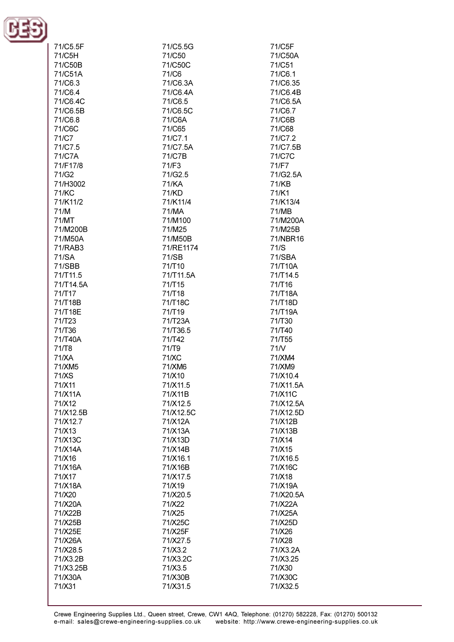

| 71/C5.5F           | 71/C5.5G  | 71/C5F    |
|--------------------|-----------|-----------|
|                    |           |           |
| 71/C5H             | 71/C50    | 71/C50A   |
| 71/C50B            | 71/C50C   | 71/C51    |
| 71/C51A            | 71/C6     | 71/C6.1   |
|                    |           |           |
| 71/C6.3            | 71/C6.3A  | 71/C6.35  |
| 71/C6.4            | 71/C6.4A  | 71/C6.4B  |
|                    |           |           |
| 71/C6.4C           | 71/C6.5   | 71/C6.5A  |
| 71/C6.5B           | 71/C6.5C  | 71/C6.7   |
| 71/C6.8            | 71/C6A    | 71/C6B    |
|                    |           |           |
| 71/C6C             | 71/C65    | 71/C68    |
| 71/C7              | 71/C7.1   | 71/C7.2   |
| 71/C7.5            | 71/C7.5A  | 71/C7.5B  |
|                    |           |           |
| 71/C7A             | 71/C7B    | 71/C7C    |
| 71/F17/8           | 71/F3     | 71/F7     |
| 71/G2              | 71/G2.5   | 71/G2.5A  |
|                    |           |           |
| 71/H3002           | 71/KA     | 71/KB     |
| 71/KC              | 71/KD     | 71/K1     |
| 71/K11/2           | 71/K11/4  | 71/K13/4  |
|                    |           |           |
| 71/M               | 71/MA     | 71/MB     |
| 71/MT              | 71/M100   | 71/M200A  |
| 71/M200B           | 71/M25    | 71/M25B   |
|                    |           |           |
| 71/M50A            | 71/M50B   | 71/NBR16  |
| 71/RAB3            | 71/RE1174 | 71/S      |
| 71/SA              | 71/SB     | 71/SBA    |
|                    |           |           |
| 71/SBB             | 71/T10    | 71/T10A   |
| 71/T11.5           | 71/T11.5A | 71/T14.5  |
| 71/T14.5A          | 71/T15    | 71/T16    |
|                    |           |           |
| 71/T17             | 71/T18    | 71/T18A   |
| 71/T18B            | 71/T18C   | 71/T18D   |
| 71/T18E            | 71/T19    | 71/T19A   |
|                    | 71/T23A   |           |
| 71/T <sub>23</sub> |           | 71/T30    |
| 71/T36             | 71/T36.5  | 71/T40    |
| 71/T40A            | 71/T42    | 71/T55    |
| 71/T8              | 71/T9     | 71N       |
|                    |           |           |
| 71/XA              | 71/XC     | 71/XM4    |
| 71/XM5             | 71/XM6    | 71/XM9    |
| 71/XS              | 71/X10    | 71/X10.4  |
|                    |           |           |
| 71/X11             | 71/X11.5  | 71/X11.5A |
| 71/X11A            | 71/X11B   | 71/X11C   |
| 71/X12             | 71/X12.5  | 71/X12.5A |
| 71/X12.5B          | 71/X12.5C | 71/X12.5D |
|                    |           |           |
| 71/X12.7           | 71/X12A   | 71/X12B   |
| 71/X13             | 71/X13A   | 71/X13B   |
| 71/X13C            | 71/X13D   | 71/X14    |
|                    |           |           |
| 71/X14A            | 71/X14B   | 71/X15    |
| 71/X16             | 71/X16.1  | 71/X16.5  |
| 71/X16A            | 71/X16B   | 71/X16C   |
|                    |           |           |
| 71/X17             | 71/X17.5  | 71/X18    |
| 71/X18A            | 71/X19    | 71/X19A   |
| 71/X20             | 71/X20.5  | 71/X20.5A |
|                    |           |           |
| 71/X20A            | 71/X22    | 71/X22A   |
| 71/X22B            | 71/X25    | 71/X25A   |
| 71/X25B            | 71/X25C   | 71/X25D   |
| 71/X25E            |           |           |
|                    | 71/X25F   | 71/X26    |
| 71/X26A            | 71/X27.5  | 71/X28    |
| 71/X28.5           | 71/X3.2   | 71/X3.2A  |
| 71/X3.2B           | 71/X3.2C  | 71/X3.25  |
|                    |           |           |
| 71/X3.25B          | 71/X3.5   | 71/X30    |
| 71/X30A            | 71/X30B   | 71/X30C   |
| 71/X31             | 71/X31.5  | 71/X32.5  |
|                    |           |           |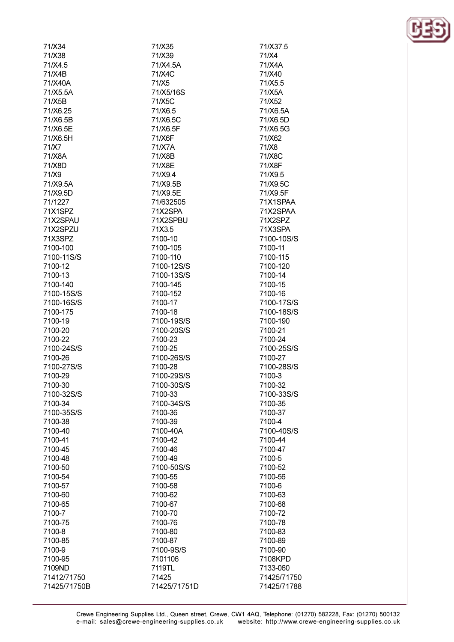| 71/X34       | 71/X35       | 71/X37.5    |
|--------------|--------------|-------------|
| 71/X38       | 71/X39       | 71/X4       |
| 71/X4.5      | 71/X4.5A     | 71/X4A      |
| 71/X4B       | 71/X4C       | 71/X40      |
| 71/X40A      | 71/X5        | 71/X5.5     |
| 71/X5.5A     | 71/X5/16S    | 71/X5A      |
| 71/X5B       | 71/X5C       | 71/X52      |
| 71/X6.25     | 71/X6.5      | 71/X6.5A    |
| 71/X6.5B     | 71/X6.5C     | 71/X6.5D    |
| 71/X6.5E     | 71/X6.5F     | 71/X6.5G    |
| 71/X6.5H     | 71/X6F       | 71/X62      |
| 71/X7        | 71/X7A       | 71/X8       |
| 71/X8A       | 71/X8B       | 71/X8C      |
| 71/X8D       | 71/X8E       | 71/X8F      |
| 71/X9        | 71/X9.4      | 71/X9.5     |
| 71/X9.5A     | 71/X9.5B     | 71/X9.5C    |
| 71/X9.5D     | 71/X9.5E     | 71/X9.5F    |
| 71/1227      | 71/632505    | 71X1SPAA    |
| 71X1SPZ      | 71X2SPA      | 71X2SPAA    |
| 71X2SPAU     | 71X2SPBU     | 71X2SPZ     |
| 71X2SPZU     | 71X3.5       | 71X3SPA     |
| 71X3SPZ      | 7100-10      | 7100-10S/S  |
| 7100-100     | 7100-105     | 7100-11     |
| 7100-11S/S   | 7100-110     | 7100-115    |
| 7100-12      | 7100-12S/S   | 7100-120    |
| 7100-13      | 7100-13S/S   | 7100-14     |
| 7100-140     | 7100-145     | 7100-15     |
| 7100-15S/S   | 7100-152     | 7100-16     |
| 7100-16S/S   | 7100-17      | 7100-17S/S  |
| 7100-175     | 7100-18      | 7100-18S/S  |
| 7100-19      | 7100-19S/S   | 7100-190    |
| 7100-20      | 7100-20S/S   | 7100-21     |
| 7100-22      | 7100-23      | 7100-24     |
| 7100-24S/S   | 7100-25      | 7100-25S/S  |
| 7100-26      | 7100-26S/S   | 7100-27     |
| 7100-27S/S   | 7100-28      | 7100-28S/S  |
| 7100-29      | 7100-29S/S   | 7100-3      |
| 7100-30      | 7100-30S/S   | 7100-32     |
| 7100-32S/S   | 7100-33      | 7100-33S/S  |
| 7100-34      | 7100-34S/S   | 7100-35     |
| 7100-35S/S   | 7100-36      | 7100-37     |
| 7100-38      | 7100-39      | 7100-4      |
| 7100-40      | 7100-40A     | 7100-40S/S  |
| 7100-41      | 7100-42      | 7100-44     |
| 7100-45      | 7100-46      | 7100-47     |
| 7100-48      | 7100-49      | 7100-5      |
| 7100-50      | 7100-50S/S   | 7100-52     |
| 7100-54      | 7100-55      | 7100-56     |
| 7100-57      | 7100-58      | 7100-6      |
| 7100-60      | 7100-62      | 7100-63     |
| 7100-65      | 7100-67      | 7100-68     |
| 7100-7       | 7100-70      | 7100-72     |
| 7100-75      | 7100-76      | 7100-78     |
| 7100-8       | 7100-80      | 7100-83     |
| 7100-85      | 7100-87      | 7100-89     |
| 7100-9       | 7100-9S/S    | 7100-90     |
| 7100-95      | 7101106      | 7108KPD     |
| 7109ND       | 7119TL       | 7133-060    |
| 71412/71750  | 71425        | 71425/71750 |
| 71425/71750B | 71425/71751D | 71425/71788 |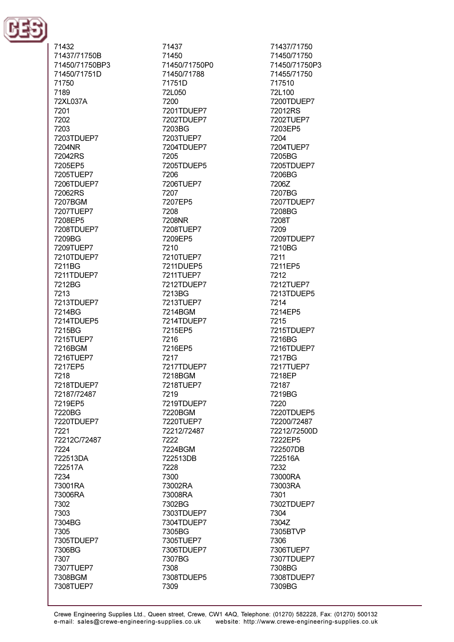

71432 71437/71750B 71450/71750BP3 71450/71751D 71750 7189 72XL037A 7201 7202 7203 7203TDUEP7 7204NR 72042RS 7205FP5 7205TUEP7 7206TDUEP7 72062RS 7207BGM 7207TUEP7 7208EP5 7208TDUEP7 7209BG 7209TUEP7 7210TDUEP7 7211BG 7211TDUEP7 7212BG 7213 7213TDUEP7 7214BG 7214TDUEP5 7215BG 7215TUEP7 7216BGM 7216TUEP7 7217EP5 7218 7218TDUEP7 72187/72487 7219EP5 7220BG 7220TDUEP7 7221 72212C/72487 7224 722513DA 722517A 7234 73001RA 73006RA 7302 7303 7304BG 7305 7305TDUEP7 7306BG 7307 7307TUEP7 7308BGM 7308TUEP7

71437 71450 71450/71750P0 71450/71788 71751D 72L050 7200 7201TDUEP7 7202TDUEP7 7203BG 7203TUEP7 7204TDUEP7 7205 7205TDUEP5 7206 7206TUEP7 7207 7207EP5 7208 7208NR 7208TUEP7 7209EP5 7210 7210TUEP7 7211DUEP5 7211TUEP7 7212TDUEP7 7213BG 7213TUEP7 7214BGM 7214TDUEP7 7215EP5 7216 7216EP5 7217 7217TDUEP7 7218BGM 7218TUEP7 7219 7219TDUEP7 7220BGM 7220TUEP7 72212/72487 7222 7224BGM 722513DB 7228 7300 73002RA 73008RA 7302BG 7303TDUEP7 7304TDUEP7 7305BG 7305TUEP7 7306TDUEP7 7307BG 7308 7308TDUEP5 7309

71437/71750 71450/71750 71450/71750P3 71455/71750 717510 72L100 7200TDUEP7 72012RS 7202TUEP7 7203EP5 7204 7204TUEP7 7205BG 7205TDLIFP7 7206BG 7206Z 7207BG 7207TDUEP7 7208BG 7208T 7209 7209TDUEP7 7210BG 7211 7211FP5 7212 7212TUEP7 7213TDUEP5 7214 7214EP5 7215 7215TDUEP7 7216BG 7216TDUEP7 7217BG 7217TUEP7 7218EP 72187 7219BG 7220 7220TDUEP5 72200/72487 72212/72500D 7222EP5 722507DB 722516A 7232 73000RA 73003RA 7301 7302TDUEP7 7304 7304Z 7305BTVP 7306 7306TUEP7 7307TDUEP7 7308BG 7308TDUEP7 7309BG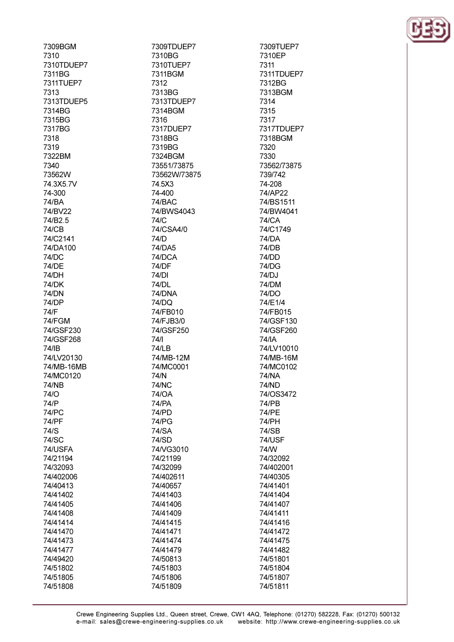7309BGM 7310 7310TDLIFP7 7311BG 7311TUEP7 7313 7313TDUEP5 7314BG 7315BG 7317BG 7318 7319 7322BM 7340 73562W 74.3X5.7V 74-300 74/BA 74/BV22 74/B<sub>2.5</sub> 74/CB 74/C2141 74/DA100 74/DC 74/DF **74/DH** 74/DK 74/DN 74/DP 74/F 74/FGM 74/GSF230 74/GSF268 74/IB 74/LV20130 74/MB-16MB 74/MC0120 **74/NB**  $74/$ 74/P **74/PC** 74/PF  $74/S$ 74/SC 74/USFA 74/21194 74/32093 74/402006 74/40413 74/41402 74/41405 74/41408 74/41414 74/41470 74/41473 74/41477 74/49420 74/51802

74/51805

74/51808

7309TDUEP7 7310BG 7310TUFP7 7311BGM 7312 7313BG 7313TDUEP7 7314BGM 7316 7317DUEP7 7318BG 7319BG 7324BGM 73551/73875 73562W/73875 74.5X3 74-400 74/BAC 74/BWS4043 74/C 74/CSA4/0  $74/D$ 74/DA5 74/DCA 74/DF 74/DI 74/DL 74/DNA 74/DQ 74/FB010 74/FJB3/0 74/GSF250  $74/$ 74/LB 74/MB-12M 74/MC0001 74/N **74/NC** 74/<sub>O</sub>A **74/PA** 74/PD **74/PG** 74/SA 74/SD 74/VG3010 74/21199 74/32099 74/402611 74/40657 74/41403 74/41406 74/41409 74/41415 74/41471 74/41474 74/41479 74/50813 74/51803 74/51806

74/51809

7309TUEP7 7310EP 7311 7311TDUEP7 7312BG 7313BGM 7314 7315 7317 7317TDUEP7 7318BGM 7320 7330 73562/73875 739/742 74-208 74/AP22 74/BS1511 74/BW4041 74/CA 74/C1749 **74/DA** 74/DB 74/DD 74/DG 74/DJ 74/DM 74/DO 74/E1/4 74/FB015 74/GSF130 74/GSF260 74/IA 74/LV10010 74/MB-16M 74/MC0102 74/NA 74/ND 74/OS3472 74/PB 74/PE 74/PH 74/SB **74/USF** 74/W 74/32092 74/402001 74/40305 74/41401 74/41404 74/41407 74/41411 74/41416 74/41472 74/41475 74/41482 74/51801 74/51804 74/51807 74/51811

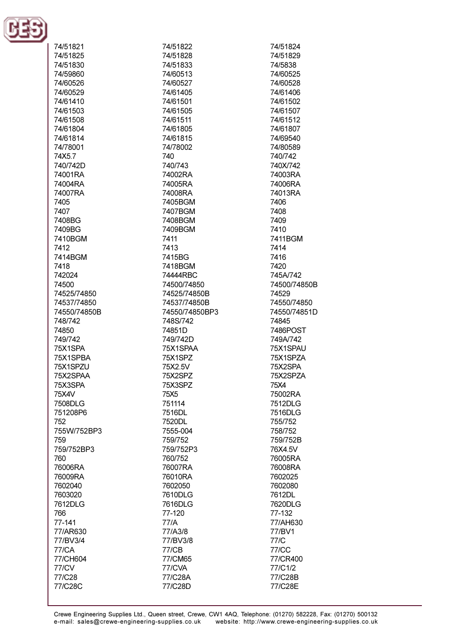

| 74/51821     | 74/51822       | 74/51824     |
|--------------|----------------|--------------|
| 74/51825     | 74/51828       | 74/51829     |
| 74/51830     | 74/51833       | 74/5838      |
| 74/59860     | 74/60513       | 74/60525     |
|              |                |              |
| 74/60526     | 74/60527       | 74/60528     |
| 74/60529     | 74/61405       | 74/61406     |
| 74/61410     | 74/61501       | 74/61502     |
| 74/61503     | 74/61505       | 74/61507     |
| 74/61508     | 74/61511       | 74/61512     |
| 74/61804     | 74/61805       | 74/61807     |
| 74/61814     | 74/61815       | 74/69540     |
| 74/78001     | 74/78002       | 74/80589     |
| 74X5.7       | 740            | 740/742      |
| 740/742D     | 740/743        | 740X/742     |
| 74001RA      | 74002RA        | 74003RA      |
| 74004RA      | 74005RA        | 74006RA      |
| 74007RA      | 74008RA        | 74013RA      |
| 7405         | 7405BGM        | 7406         |
| 7407         | 7407BGM        | 7408         |
| 7408BG       | 7408BGM        | 7409         |
|              | 7409BGM        | 7410         |
| 7409BG       |                |              |
| 7410BGM      | 7411           | 7411BGM      |
| 7412         | 7413           | 7414         |
| 7414BGM      | 7415BG         | 7416         |
| 7418         | 7418BGM        | 7420         |
| 742024       | 74444RBC       | 745A/742     |
| 74500        | 74500/74850    | 74500/74850B |
| 74525/74850  | 74525/74850B   | 74529        |
| 74537/74850  | 74537/74850B   | 74550/74850  |
| 74550/74850B | 74550/74850BP3 | 74550/74851D |
| 748/742      | 748S/742       | 74845        |
| 74850        | 74851D         | 7486POST     |
| 749/742      | 749/742D       | 749A/742     |
| 75X1SPA      | 75X1SPAA       | 75X1SPAU     |
| 75X1SPBA     | 75X1SPZ        | 75X1SPZA     |
| 75X1SPZU     | 75X2.5V        | 75X2SPA      |
| 75X2SPAA     | 75X2SPZ        | 75X2SPZA     |
| 75X3SPA      | 75X3SPZ        | 75X4         |
| 75X4V        | 75X5           | 75002RA      |
| 7508DLG      | 751114         | 7512DLG      |
| 751208P6     | 7516DL         | 7516DLG      |
| 752          | 7520DL         | 755/752      |
| 755W/752BP3  | 7555-004       | 758/752      |
| 759          | 759/752        | 759/752B     |
| 759/752BP3   | 759/752P3      | 76X4.5V      |
|              |                | 76005RA      |
| 760          | 760/752        |              |
| 76006RA      | 76007RA        | 76008RA      |
| 76009RA      | 76010RA        | 7602025      |
| 7602040      | 7602050        | 7602080      |
| 7603020      | 7610DLG        | 7612DL       |
| 7612DLG      | 7616DLG        | 7620DLG      |
| 766          | 77-120         | 77-132       |
| 77-141       | 77/A           | 77/AH630     |
| 77/AR630     | 77/A3/8        | 77/BV1       |
| 77/BV3/4     | 77/BV3/8       | 77/C         |
| 77/CA        | 77/CB          | 77/CC        |
| 77/CH604     | 77/CM65        | 77/CR400     |
| 77/CV        | 77/CVA         | 77/C1/2      |
| 77/C28       | 77/C28A        | 77/C28B      |
| 77/C28C      | 77/C28D        | 77/C28E      |
|              |                |              |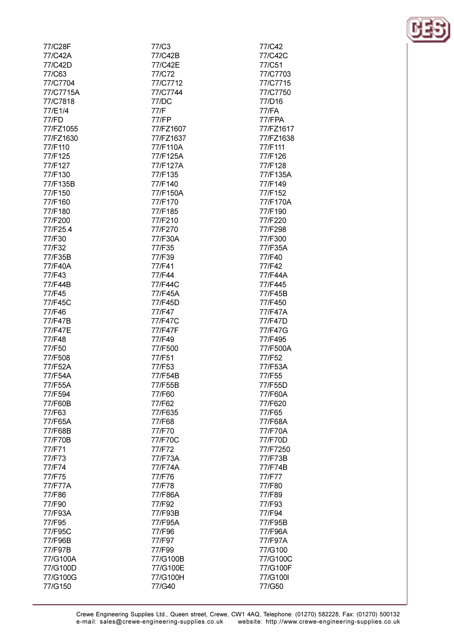| 77/C28F   | 77/C3     | 77/C42    |
|-----------|-----------|-----------|
| 77/C42A   | 77/C42B   | 77/C42C   |
| 77/C42D   | 77/C42E   | 77/C51    |
| 77/C63    | 77/C72    | 77/C7703  |
| 77/C7704  | 77/C7712  | 77/C7715  |
|           |           |           |
| 77/C7715A | 77/C7744  | 77/C7750  |
| 77/C7818  | 77/DC     | 77/D16    |
| 77/E1/4   | 77/F      | 77/FA     |
| 77/FD     | 77/FP     | 77/FPA    |
| 77/FZ1055 | 77/FZ1607 | 77/FZ1617 |
| 77/FZ1630 | 77/FZ1637 | 77/FZ1638 |
| 77/F110   | 77/F110A  | 77/F111   |
| 77/F125   | 77/F125A  | 77/F126   |
| 77/F127   | 77/F127A  | 77/F128   |
| 77/F130   | 77/F135   | 77/F135A  |
| 77/F135B  | 77/F140   | 77/F149   |
| 77/F150   | 77/F150A  | 77/F152   |
| 77/F160   | 77/F170   | 77/F170A  |
| 77/F180   | 77/F185   | 77/F190   |
| 77/F200   | 77/F210   | 77/F220   |
| 77/F25.4  | 77/F270   | 77/F298   |
| 77/F30    | 77/F30A   | 77/F300   |
| 77/F32    | 77/F35    | 77/F35A   |
| 77/F35B   | 77/F39    | 77/F40    |
| 77/F40A   | 77/F41    | 77/F42    |
| 77/F43    | 77/F44    | 77/F44A   |
| 77/F44B   | 77/F44C   | 77/F445   |
| 77/F45    | 77/F45A   | 77/F45B   |
| 77/F45C   | 77/F45D   | 77/F450   |
| 77/F46    | 77/F47    | 77/F47A   |
| 77/F47B   | 77/F47C   | 77/F47D   |
| 77/F47E   | 77/F47F   | 77/F47G   |
| 77/F48    | 77/F49    | 77/F495   |
| 77/F50    | 77/F500   | 77/F500A  |
| 77/F508   | 77/F51    | 77/F52    |
| 77/F52A   | 77/F53    | 77/F53A   |
| 77/F54A   | 77/F54B   | 77/F55    |
| 77/F55A   | 77/F55B   | 77/F55D   |
| 77/F594   | 77/F60    | 77/F60A   |
| 77/F60B   | 77/F62    | 77/F620   |
| 77/F63    | 77/F635   | 77/F65    |
| 77/F65A   | 77/F68    | 77/F68A   |
| 77/F68B   | 77/F70    | 77/F70A   |
| 77/F70B   | 77/F70C   | 77/F70D   |
| 77/F71    | 77/F72    | 77/F7250  |
| 77/F73    | 77/F73A   | 77/F73B   |
| 77/F74    | 77/F74A   | 77/F74B   |
| 77/F75    | 77/F76    | 77/F77    |
| 77/F77A   | 77/F78    | 77/F80    |
| 77/F86    | 77/F86A   | 77/F89    |
| 77/F90    | 77/F92    | 77/F93    |
| 77/F93A   | 77/F93B   | 77/F94    |
| 77/F95    | 77/F95A   | 77/F95B   |
| 77/F95C   | 77/F96    | 77/F96A   |
| 77/F96B   | 77/F97    | 77/F97A   |
| 77/F97B   | 77/F99    | 77/G100   |
| 77/G100A  | 77/G100B  | 77/G100C  |
| 77/G100D  | 77/G100E  | 77/G100F  |

77/G100H

77/G40

77/G100G

77/G150



77/G100I

77/G50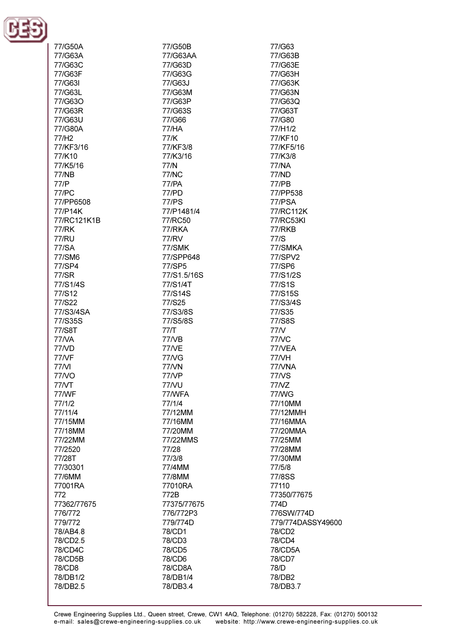

| 77/G50A      | 77/G50B      | 77/G63            |
|--------------|--------------|-------------------|
| 77/G63A      | 77/G63AA     | 77/G63B           |
| 77/G63C      | 77/G63D      | 77/G63E           |
|              | 77/G63G      |                   |
| 77/G63F      |              | 77/G63H           |
| 77/G63I      | 77/G63J      | 77/G63K           |
| 77/G63L      | 77/G63M      | 77/G63N           |
| 77/G63O      | 77/G63P      | 77/G63Q           |
| 77/G63R      | 77/G63S      | 77/G63T           |
| 77/G63U      | 77/G66       | 77/G80            |
| 77/G80A      | 77/HA        | 77/H1/2           |
| 77/H2        | 77/K         | 77/KF10           |
| 77/KF3/16    | 77/KF3/8     | 77/KF5/16         |
| 77/K10       | 77/K3/16     | 77/K3/8           |
| 77/K5/16     | 77/N         | 77/NA             |
| 77/NB        | 77/NC        | 77/ND             |
| 77/P         | 77/PA        | 77/PB             |
| <b>77/PC</b> | 77/PD        | 77/PP538          |
| 77/PP6508    | <b>77/PS</b> | 77/PSA            |
| 77/P14K      | 77/P1481/4   | 77/RC112K         |
| 77/RC121K1B  | 77/RC50      | 77/RC53KI         |
|              |              |                   |
| 77/RK        | 77/RKA       | 77/RKB            |
| 77/RU        | <b>77/RV</b> | 77/S              |
| 77/SA        | 77/SMK       | 77/SMKA           |
| 77/SM6       | 77/SPP648    | 77/SPV2           |
| 77/SP4       | 77/SP5       | 77/SP6            |
| 77/SR        | 77/S1.5/16S  | 77/S1/2S          |
| 77/S1/4S     | 77/S1/4T     | 77/S1S            |
| 77/S12       | 77/S14S      | 77/S15S           |
| 77/S22       | 77/S25       | 77/S3/4S          |
| 77/S3/4SA    | 77/S3/8S     | 77/S35            |
| 77/S35S      | 77/S5/8S     | 77/S8S            |
| 77/S8T       | 77/T         | 77N               |
| <b>77/VA</b> | 77/VB        | 77NC              |
| 77/VD        | 77/VE        | 77/VEA            |
| <b>77/VF</b> | 77NG         | 77/VH             |
| 77/VI        | 77/VN        | 77/VNA            |
| 77/VO        | <b>77/VP</b> | 77/VS             |
| 77NT         | 77/VU        | 77NZ              |
| 77/WF        | 77/WFA       | 77/WG             |
| 77/1/2       | 77/1/4       | 77/10MM           |
| 77/11/4      | 77/12MM      | 77/12MMH          |
| 77/15MM      | 77/16MM      | 77/16MMA          |
|              | 77/20MM      |                   |
| 77/18MM      |              | 77/20MMA          |
| 77/22MM      | 77/22MMS     | 77/25MM           |
| 77/2520      | 77/28        | 77/28MM           |
| 77/28T       | 77/3/8       | 77/30MM           |
| 77/30301     | 77/4MM       | 77/5/8            |
| 77/6MM       | 77/8MM       | 77/8SS            |
| 77001RA      | 77010RA      | 77110             |
| 772          | 772B         | 77350/77675       |
| 77362/77675  | 77375/77675  | 774D              |
| 776/772      | 776/772P3    | 776SW/774D        |
| 779/772      | 779/774D     | 779/774DASSY49600 |
| 78/AB4.8     | 78/CD1       | 78/CD2            |
| 78/CD2.5     | 78/CD3       | 78/CD4            |
| 78/CD4C      | 78/CD5       | 78/CD5A           |
| 78/CD5B      | 78/CD6       | 78/CD7            |
| 78/CD8       | 78/CD8A      | 78/D              |
| 78/DB1/2     | 78/DB1/4     | 78/DB2            |
| 78/DB2.5     | 78/DB3.4     | 78/DB3.7          |
|              |              |                   |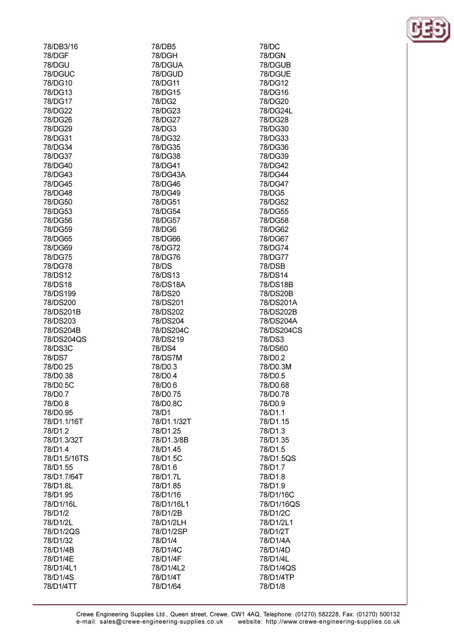| 78/DB3/16    | 78/DB5      | 78/DC      |
|--------------|-------------|------------|
| 78/DGF       | 78/DGH      | 78/DGN     |
| 78/DGU       | 78/DGUA     | 78/DGUB    |
| 78/DGUC      | 78/DGUD     | 78/DGUE    |
| 78/DG10      | 78/DG11     | 78/DG12    |
| 78/DG13      | 78/DG15     | 78/DG16    |
| 78/DG17      | 78/DG2      | 78/DG20    |
| 78/DG22      | 78/DG23     | 78/DG24L   |
| 78/DG26      | 78/DG27     | 78/DG28    |
| 78/DG29      | 78/DG3      | 78/DG30    |
|              |             |            |
| 78/DG31      | 78/DG32     | 78/DG33    |
| 78/DG34      | 78/DG35     | 78/DG36    |
| 78/DG37      | 78/DG38     | 78/DG39    |
| 78/DG40      | 78/DG41     | 78/DG42    |
| 78/DG43      | 78/DG43A    | 78/DG44    |
| 78/DG45      | 78/DG46     | 78/DG47    |
| 78/DG48      | 78/DG49     | 78/DG5     |
| 78/DG50      | 78/DG51     | 78/DG52    |
| 78/DG53      | 78/DG54     | 78/DG55    |
| 78/DG56      | 78/DG57     | 78/DG58    |
| 78/DG59      | 78/DG6      | 78/DG62    |
| 78/DG65      | 78/DG66     | 78/DG67    |
| 78/DG69      | 78/DG72     | 78/DG74    |
| 78/DG75      | 78/DG76     | 78/DG77    |
| 78/DG78      | 78/DS       | 78/DSB     |
| 78/DS12      | 78/DS13     | 78/DS14    |
| 78/DS18      | 78/DS18A    | 78/DS18B   |
| 78/DS199     | 78/DS20     | 78/DS20B   |
| 78/DS200     | 78/DS201    | 78/DS201A  |
| 78/DS201B    | 78/DS202    | 78/DS202B  |
| 78/DS203     | 78/DS204    | 78/DS204A  |
| 78/DS204B    | 78/DS204C   | 78/DS204CS |
| 78/DS204QS   | 78/DS219    | 78/DS3     |
|              | 78/DS4      |            |
| 78/DS3C      |             | 78/DS60    |
| 78/DS7       | 78/DS7M     | 78/D0.2    |
| 78/D0.25     | 78/D0.3     | 78/D0.3M   |
| 78/D0.38     | 78/D0.4     | 78/D0.5    |
| 78/D0.5C     | 78/D0.6     | 78/D0.68   |
| 78/D0.7      | 78/D0.75    | 78/D0.78   |
| 78/D0.8      | 78/D0.8C    | 78/D0.9    |
| 78/D0.95     | 78/D1       | 78/D1.1    |
| 78/D1.1/16T  | 78/D1.1/32T | 78/D1.15   |
| 78/D1.2      | 78/D1.25    | 78/D1.3    |
| 78/D1.3/32T  | 78/D1.3/8B  | 78/D1.35   |
| 78/D1.4      | 78/D1.45    | 78/D1.5    |
| 78/D1.5/16TS | 78/D1.5C    | 78/D1.5QS  |
| 78/D1.55     | 78/D1.6     | 78/D1.7    |
| 78/D1.7/64T  | 78/D1.7L    | 78/D1.8    |
| 78/D1.8L     | 78/D1.85    | 78/D1.9    |
| 78/D1.95     | 78/D1/16    | 78/D1/16C  |
| 78/D1/16L    | 78/D1/16L1  | 78/D1/16QS |
| 78/D1/2      | 78/D1/2B    | 78/D1/2C   |
| 78/D1/2L     | 78/D1/2LH   | 78/D1/2L1  |
| 78/D1/2QS    | 78/D1/2SP   | 78/D1/2T   |
| 78/D1/32     | 78/D1/4     | 78/D1/4A   |
| 78/D1/4B     | 78/D1/4C    | 78/D1/4D   |
|              | 78/D1/4F    | 78/D1/4L   |
| 78/D1/4E     |             |            |
| 78/D1/4L1    | 78/D1/4L2   | 78/D1/4QS  |
| 78/D1/4S     | 78/D1/4T    | 78/D1/4TP  |
| 78/D1/4TT    | 78/D1/64    | 78/D1/8    |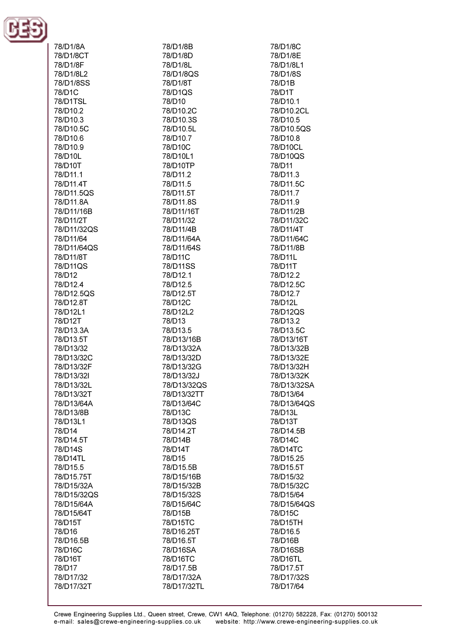

| 78/D1/8A    | 78/D1/8B    | 78/D1/8C    |
|-------------|-------------|-------------|
| 78/D1/8CT   | 78/D1/8D    | 78/D1/8E    |
| 78/D1/8F    | 78/D1/8L    | 78/D1/8L1   |
|             |             |             |
| 78/D1/8L2   | 78/D1/8QS   | 78/D1/8S    |
| 78/D1/8SS   | 78/D1/8T    | 78/D1B      |
| 78/D1C      | 78/D1QS     | 78/D1T      |
| 78/D1TSL    | 78/D10      | 78/D10.1    |
| 78/D10.2    | 78/D10.2C   | 78/D10.2CL  |
| 78/D10.3    | 78/D10.3S   | 78/D10.5    |
| 78/D10.5C   | 78/D10.5L   | 78/D10.5QS  |
| 78/D10.6    | 78/D10.7    | 78/D10.8    |
| 78/D10.9    | 78/D10C     | 78/D10CL    |
| 78/D10L     | 78/D10L1    | 78/D10QS    |
| 78/D10T     | 78/D10TP    | 78/D11      |
| 78/D11.1    | 78/D11.2    | 78/D11.3    |
| 78/D11.4T   | 78/D11.5    | 78/D11.5C   |
| 78/D11.5QS  | 78/D11.5T   | 78/D11.7    |
| 78/D11.8A   | 78/D11.8S   | 78/D11.9    |
| 78/D11/16B  | 78/D11/16T  | 78/D11/2B   |
| 78/D11/2T   | 78/D11/32   | 78/D11/32C  |
| 78/D11/32QS | 78/D11/4B   | 78/D11/4T   |
|             | 78/D11/64A  |             |
| 78/D11/64   |             | 78/D11/64C  |
| 78/D11/64QS | 78/D11/64S  | 78/D11/8B   |
| 78/D11/8T   | 78/D11C     | 78/D11L     |
| 78/D11QS    | 78/D11SS    | 78/D11T     |
| 78/D12      | 78/D12.1    | 78/D12.2    |
| 78/D12.4    | 78/D12.5    | 78/D12.5C   |
| 78/D12.5QS  | 78/D12.5T   | 78/D12.7    |
| 78/D12.8T   | 78/D12C     | 78/D12L     |
| 78/D12L1    | 78/D12L2    | 78/D12QS    |
| 78/D12T     | 78/D13      | 78/D13.2    |
| 78/D13.3A   | 78/D13.5    | 78/D13.5C   |
| 78/D13.5T   | 78/D13/16B  | 78/D13/16T  |
| 78/D13/32   | 78/D13/32A  | 78/D13/32B  |
| 78/D13/32C  | 78/D13/32D  | 78/D13/32E  |
| 78/D13/32F  | 78/D13/32G  | 78/D13/32H  |
| 78/D13/32I  | 78/D13/32J  | 78/D13/32K  |
| 78/D13/32L  | 78/D13/32QS | 78/D13/32SA |
| 78/D13/32T  | 78/D13/32TT | 78/D13/64   |
| 78/D13/64A  | 78/D13/64C  | 78/D13/64QS |
| 78/D13/8B   | 78/D13C     | 78/D13L     |
| 78/D13L1    | 78/D13QS    | 78/D13T     |
| 78/D14      | 78/D14.2T   | 78/D14.5B   |
| 78/D14.5T   | 78/D14B     | 78/D14C     |
| 78/D14S     | 78/D14T     | 78/D14TC    |
| 78/D14TL    | 78/D15      | 78/D15.25   |
| 78/D15.5    | 78/D15.5B   | 78/D15.5T   |
| 78/D15.75T  | 78/D15/16B  | 78/D15/32   |
| 78/D15/32A  | 78/D15/32B  | 78/D15/32C  |
| 78/D15/32QS | 78/D15/32S  | 78/D15/64   |
| 78/D15/64A  | 78/D15/64C  | 78/D15/64QS |
| 78/D15/64T  | 78/D15B     | 78/D15C     |
| 78/D15T     | 78/D15TC    | 78/D15TH    |
| 78/D16      | 78/D16.25T  | 78/D16.5    |
|             |             |             |
| 78/D16.5B   | 78/D16.5T   | 78/D16B     |
| 78/D16C     | 78/D16SA    | 78/D16SB    |
| 78/D16T     | 78/D16TC    | 78/D16TL    |
| 78/D17      | 78/D17.5B   | 78/D17.5T   |
| 78/D17/32   | 78/D17/32A  | 78/D17/32S  |
| 78/D17/32T  | 78/D17/32TL | 78/D17/64   |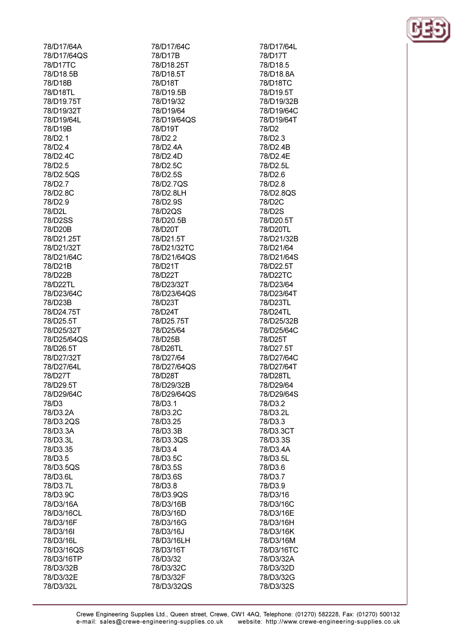| 78/D17/64A  |
|-------------|
| 78/D17/64QS |
|             |
| 78/D17TC    |
| 78/D18.5B   |
|             |
| 78/D18B     |
| 78/D18TL    |
| 78/D19.75T  |
|             |
| 78/D19/32T  |
| 78/D19/64L  |
|             |
| 78/D19B     |
| 78/D2.1     |
| 78/D2.4     |
|             |
| 78/D2.4C    |
| 78/D2.5     |
|             |
| 78/D2.5QS   |
| 78/D2.7     |
| 78/D2.8C    |
|             |
| 78/D2.9     |
| 78/D2L      |
|             |
| 78/D2SS     |
| 78/D20B     |
|             |
| 78/D21.25T  |
| 78/D21/32T  |
| 78/D21/64C  |
|             |
| 78/D21B     |
| 78/D22B     |
|             |
| 78/D22TL    |
| 78/D23/64C  |
| 78/D23B     |
|             |
| 78/D24.75T  |
| 78/D25.5T   |
|             |
| 78/D25/32T  |
| 78/D25/64QS |
|             |
| 78/D26.5T   |
| 78/D27/32T  |
| 78/D27/64L  |
|             |
| 78/D27T     |
| 78/D29.51   |
|             |
| 78/D29/64C  |
| 78/D3       |
|             |
| 78/D3.2A    |
| 78/D3.2QS   |
| 78/D3.3A    |
|             |
| 78/D3.3L    |
| 78/D3.35    |
|             |
| 78/D3.5     |
| 78/D3.5QS   |
| 78/D3.6L    |
|             |
| 78/D3.7L    |
| 78/D3.9C    |
|             |
| 78/D3/16A   |
| 78/D3/16CL  |
| 78/D3/16F   |
|             |
| 78/D3/16I   |
| 78/D3/16L   |
|             |
| 78/D3/16QS  |
| 78/D3/16TP  |
|             |
| 78/D3/32B   |
| 78/D3/32E   |
| 78/D3/32L   |
|             |

78/D17/64C 78/D17B 78/D18 25T 78/D18.5T 78/D18T 78/D19.5B 78/D19/32 78/D19/64 78/D19/64QS 78/D19T 78/D<sub>2.2</sub> 78/D2.4A 78/D<sub>2</sub> 4D 78/D2 5C 78/D2.5S 78/D2.7QS 78/D2.8LH 78/D<sub>2.9S</sub> 78/D2QS 78/D20.5B 78/D20T 78/D21.5T 78/D21/32TC 78/D21/64QS 78/D21T 78/D22T 78/D23/32T 78/D23/64QS 78/D23T 78/D24T 78/D25.75T 78/D25/64 78/D25B 78/D26TL 78/D27/64 78/D27/64QS 78/D28T 78/D29/32B 78/D29/64QS 78/D3.1 78/D3.2C 78/D3.25 78/D3.3B 78/D3.3QS 78/D3.4 78/D3.5C 78/D3.5S 78/D3.6S 78/D3.8 78/D3.9QS 78/D3/16B 78/D3/16D 78/D3/16G 78/D3/16J 78/D3/16LH 78/D3/16T 78/D3/32 78/D3/32C 78/D3/32F 78/D3/32QS

78/D17/64L 78/D17T 78/D18.5 78/D18.8A 78/D18TC 78/D19.5T 78/D19/32B 78/D19/64C 78/D19/64T 78/D<sub>2</sub> 78/D<sub>2.3</sub> 78/D2.4B 78/D2.4E 78/D<sub>2</sub> 51 78/D2.6 78/D<sub>2.8</sub> 78/D2.8QS 78/D<sub>2C</sub> 78/D2S 78/D20.5T 78/D20TL 78/D21/32B 78/D21/64 78/D21/64S 78/D22.5T 78/D22TC 78/D23/64 78/D23/64T 78/D23TL 78/D24TL 78/D25/32B 78/D25/64C 78/D25T 78/D27.5T 78/D27/64C 78/D27/64T 78/D28TL 78/D29/64 78/D29/64S 78/D3.2 78/D3.2L 78/D3.3 78/D3.3CT 78/D3.3S 78/D3.4A 78/D3.5L 78/D3.6 78/D3.7 78/D3.9 78/D3/16 78/D3/16C 78/D3/16E 78/D3/16H 78/D3/16K 78/D3/16M 78/D3/16TC 78/D3/32A 78/D3/32D 78/D3/32G 78/D3/32S

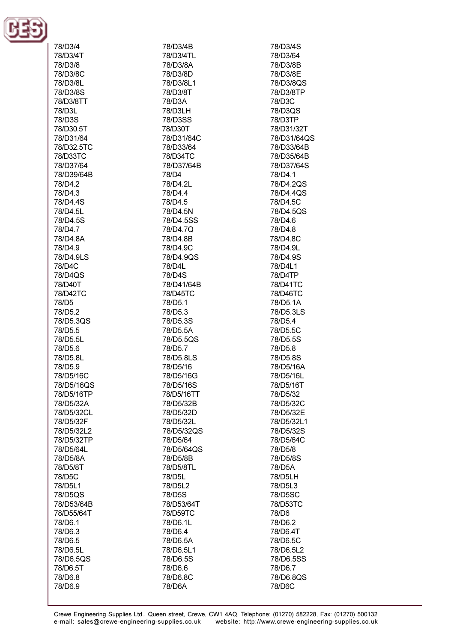

| 78/D3/4    | 78/D3/4B   | 78/D3/4S    |
|------------|------------|-------------|
| 78/D3/4T   | 78/D3/4TL  | 78/D3/64    |
|            |            |             |
| 78/D3/8    | 78/D3/8A   | 78/D3/8B    |
| 78/D3/8C   | 78/D3/8D   | 78/D3/8E    |
|            |            |             |
| 78/D3/8L   | 78/D3/8L1  | 78/D3/8QS   |
| 78/D3/8S   | 78/D3/8T   | 78/D3/8TP   |
| 78/D3/8TT  | 78/D3A     | 78/D3C      |
|            |            |             |
| 78/D3L     | 78/D3LH    | 78/D3QS     |
| 78/D3S     | 78/D3SS    | 78/D3TP     |
| 78/D30.5T  | 78/D30T    | 78/D31/32T  |
|            |            |             |
| 78/D31/64  | 78/D31/64C | 78/D31/64QS |
| 78/D32.5TC | 78/D33/64  | 78/D33/64B  |
| 78/D33TC   | 78/D34TC   | 78/D35/64B  |
|            |            |             |
| 78/D37/64  | 78/D37/64B | 78/D37/64S  |
| 78/D39/64B | 78/D4      | 78/D4.1     |
| 78/D4.2    | 78/D4.2L   | 78/D4.2QS   |
|            |            |             |
| 78/D4.3    | 78/D4.4    | 78/D4.4QS   |
| 78/D4.4S   | 78/D4.5    | 78/D4.5C    |
| 78/D4.5L   | 78/D4.5N   | 78/D4.5QS   |
|            |            |             |
| 78/D4.5S   | 78/D4.5SS  | 78/D4.6     |
| 78/D4.7    | 78/D4.7Q   | 78/D4.8     |
| 78/D4.8A   | 78/D4.8B   | 78/D4.8C    |
|            |            |             |
| 78/D4.9    | 78/D4.9C   | 78/D4.9L    |
| 78/D4.9LS  | 78/D4.9QS  | 78/D4.9S    |
| 78/D4C     | 78/D4L     | 78/D4L1     |
|            |            |             |
| 78/D4QS    | 78/D4S     | 78/D4TP     |
| 78/D40T    | 78/D41/64B | 78/D41TC    |
| 78/D42TC   | 78/D45TC   | 78/D46TC    |
|            |            |             |
| 78/D5      | 78/D5.1    | 78/D5.1A    |
| 78/D5.2    | 78/D5.3    | 78/D5.3LS   |
| 78/D5.3QS  | 78/D5.3S   | 78/D5.4     |
|            | 78/D5.5A   | 78/D5.5C    |
| 78/D5.5    |            |             |
| 78/D5.5L   | 78/D5.5QS  | 78/D5.5S    |
| 78/D5.6    | 78/D5.7    | 78/D5.8     |
| 78/D5.8L   | 78/D5.8LS  | 78/D5.8S    |
|            |            |             |
| 78/D5.9    | 78/D5/16   | 78/D5/16A   |
| 78/D5/16C  | 78/D5/16G  | 78/D5/16L   |
| 78/D5/16QS | 78/D5/16S  | 78/D5/16T   |
|            |            |             |
| 78/D5/16TP | 78/D5/16TT | 78/D5/32    |
| 78/D5/32A  | 78/D5/32B  | 78/D5/32C   |
| 78/D5/32CL | 78/D5/32D  | 78/D5/32E   |
|            |            |             |
| 78/D5/32F  | 78/D5/32L  | 78/D5/32L1  |
| 78/D5/32L2 | 78/D5/32QS | 78/D5/32S   |
| 78/D5/32TP | 78/D5/64   | 78/D5/64C   |
| 78/D5/64L  | 78/D5/64QS | 78/D5/8     |
|            |            |             |
| 78/D5/8A   | 78/D5/8B   | 78/D5/8S    |
| 78/D5/8T   | 78/D5/8TL  | 78/D5A      |
| 78/D5C     | 78/D5L     | 78/D5LH     |
|            |            |             |
| 78/D5L1    | 78/D5L2    | 78/D5L3     |
| 78/D5QS    | 78/D5S     | 78/D5SC     |
| 78/D53/64B | 78/D53/64T | 78/D53TC    |
|            |            |             |
| 78/D55/64T | 78/D59TC   | 78/D6       |
| 78/D6.1    | 78/D6.1L   | 78/D6.2     |
| 78/D6.3    | 78/D6.4    | 78/D6.4T    |
|            |            | 78/D6.5C    |
| 78/D6.5    | 78/D6.5A   |             |
| 78/D6.5L   | 78/D6.5L1  | 78/D6.5L2   |
| 78/D6.5QS  | 78/D6.5S   | 78/D6.5SS   |
| 78/D6.5T   | 78/D6.6    | 78/D6.7     |
|            |            |             |
| 78/D6.8    | 78/D6.8C   | 78/D6.8QS   |
| 78/D6.9    | 78/D6A     | 78/D6C      |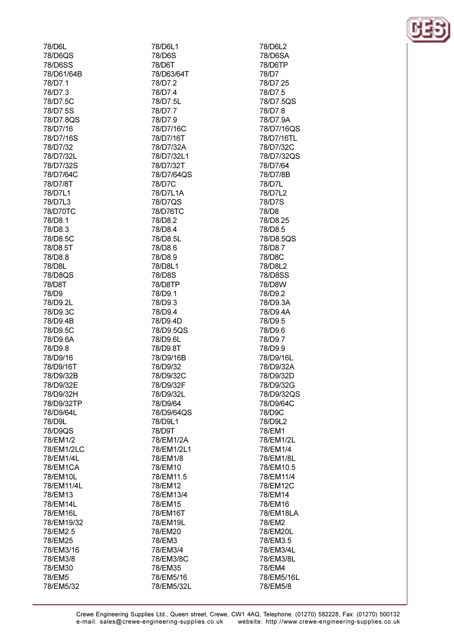| 78/D6L              | 78/D6L1             |
|---------------------|---------------------|
| 78/D6QS             | 78/D6S              |
| 78/D6SS             | 78/D6T              |
| 78/D61/64B          | 78/D63/64T          |
| 78/D7.1             | 78/D7.2             |
| 78/D7.3             | 78/D7.4             |
| 78/D7.5C            | 78/D7.5L            |
| 78/D7.5S            | 78/D7.7             |
| 78/D7.8QS           | 78/D7.9             |
| 78/D7/16            | 78/D7/16C           |
| 78/D7/16S           | 78/D7/16T           |
| 78/D7/32            | 78/D7/32A           |
| 78/D7/32L           | 78/D7/32L1          |
| 78/D7/32S           | 78/D7/32T           |
| 78/D7/64C           | 78/D7/64QS          |
| 78/D7/8T            | 78/D7C              |
| 78/D7L1             | 78/D7L1A            |
| 78/D7L3             | 78/D7QS             |
| 78/D70TC            | 78/D76TC            |
| 78/D8.1             | 78/D8.2             |
| 78/D8.3             | 78/D8.4             |
| 78/D8.5C            | 78/D8.5L            |
| 78/D8.5T            | 78/D8.6             |
| 78/D8.8             | 78/D8.9             |
| 78/D8L              | 78/D8L1             |
| 78/D8QS             | 78/D8S              |
| 78/D8T              | 78/D8TP             |
| 78/D9               | 78/D9.1             |
| 78/D9.2L            | 78/D9.3             |
| 78/D9.3C            | 78/D9.4             |
| 78/D9.4B            | 78/D9.4D            |
| 78/D9.5C            | 78/D9.5QS           |
| 78/D9.6A            | 78/D9.6L            |
| 78/D9.8             | 78/D9.8T            |
| 78/D9/16            | 78/D9/16B           |
| 78/D9/16T           | 78/D9/32            |
| 78/D9/32B           | 78/D9/32C           |
| 78/D9/32E           | 78/D9/32F           |
| 78/D9/32H           | 78/D9/32L           |
| 78/D9/32TP          | 78/D9/64            |
| 78/D9/64L           | 78/D9/64QS          |
| 78/D9L              | 78/D9L1             |
| 78/D9QS<br>78/EM1/2 | 78/D9T<br>78/EM1/2A |
| 78/EM1/2LC          | 78/EM1/2L1          |
| 78/EM1/4L           | 78/EM1/8            |
| 78/EM1CA            | 78/EM10             |
| 78/EM10L            | 78/EM11.5           |
| 78/EM11/4L          | 78/EM12             |
| 78/EM13             | 78/EM13/4           |
| 78/EM14L            | 78/EM15             |
| 78/EM16L            | 78/EM16T            |
| 78/EM19/32          | 78/EM19L            |
| 78/EM2.5            | 78/EM20             |
| 78/EM25             | 78/EM3              |
| 78/EM3/16           | 78/EM3/4            |
| 78/EM3/8            | 78/EM3/8C           |
| 78/EM30             | 78/EM35             |
| 78/EM5              | 78/EM5/16           |
| 78/EM5/32           | 78/EM5/32L          |

78/EM5/16L 78/EM5/8 Crewe Engineering Supplies Ltd., Queen street, Crewe, CW1 4AQ, Telephone: (01270) 582228, Fax: (01270) 500132 website: http://www.crewe-engineering-supplies.co.uk e-mail: sales@crewe-engineering-supplies.co.uk

78/D6L2 78/D6SA 78/D6TP 78/D7 78/D7.25 78/D7.5 78/D7.5QS 78/D7.8 78/D7.9A 78/D7/16QS 78/D7/16TL 78/D7/32C 78/D7/32QS 78/D7/64 78/D7/8B 78/D7L 78/D7L2 78/D7S 78/D8 78/D8.25 78/D8.5 78/D8.50S 78/D8.7 78/D8C 78/D8L2 78/D8SS 78/D8W 78/D9.2 78/D9.3A 78/D9.4A 78/D9.5 78/D9.6 78/D9.7 78/D9.9 78/D9/16L 78/D9/32A 78/D9/32D 78/D9/32G 78/D9/32QS 78/D9/64C 78/D9C 78/D9L2 78/EM1 78/EM1/2L 78/EM1/4 78/EM1/8L 78/EM10.5 78/EM11/4 78/EM12C 78/EM14 78/EM16 78/EM18LA 78/EM2 78/EM20L 78/EM3.5 78/EM3/4L 78/EM3/8L 78/EM4

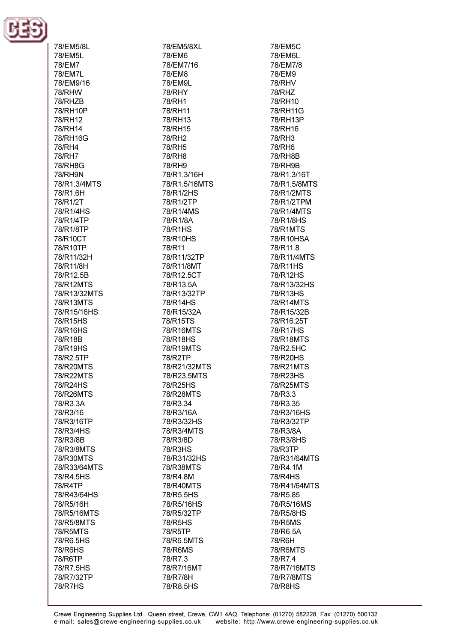

78/EM5/8L 78/EM5L 78/FM7 78/FM7I 78/EM9/16 **78/RHW 78/RH7R** 78/RH10P 78/RH12 78/RH14 78/RH16G 78/RH4 78/RH7 **78/RH8G** 78/RH9N 78/R1.3/4MTS 78/R1.6H 78/R1/2T 78/R1/4HS 78/R1/4TP 78/R1/8TP 78/R10CT 78/R10TP 78/R11/32H 78/R11/8H 78/R12.5B 78/R12MTS 78/R13/32MTS 78/R13MTS 78/R15/16HS 78/R15HS 78/R16HS 78/R18B 78/R19HS 78/R2.5TP 78/R20MTS 78/R22MTS 78/R24HS 78/R26MTS 78/R3.3A 78/R3/16 78/R3/16TP 78/R3/4HS 78/R3/8B 78/R3/8MTS 78/R30MTS 78/R33/64MTS 78/R4.5HS 78/R4TP 78/R43/64HS 78/R5/16H 78/R5/16MTS 78/R5/8MTS **78/R5MTS** 78/R6.5HS 78/R6HS 78/R6TP 78/R7.5HS 78/R7/32TP **78/R7HS** 

78/EM5/8XL 78/EM6 78/FM7/16 78/EM8 78/EM9L **78/RHY** 78/RH1 78/RH11 78/RH13 78/RH15 78/RH2 78/RH5 **78/RH8** 78/RH9 78/R1.3/16H 78/R1.5/16MTS 78/R1/2HS 78/R1/2TP 78/R1/4MS 78/R1/8A 78/R1HS 78/R10HS 78/R11 78/R11/32TP 78/R11/8MT 78/R12.5CT 78/R13.5A 78/R13/32TP 78/R14HS 78/R15/32A 78/R15TS 78/R16MTS 78/R18HS 78/R19MTS 78/R2TP 78/R21/32MTS 78/R23.5MTS 78/R25HS 78/R28MTS 78/R3.34 78/R3/16A 78/R3/32HS 78/R3/4MTS 78/R3/8D 78/R3HS 78/R31/32HS 78/R38MTS 78/R4.8M 78/R40MTS 78/R5.5HS 78/R5/16HS 78/R5/32TP 78/R5HS 78/R5TP 78/R6.5MTS 78/R6MS 78/R7.3 78/R7/16MT 78/R7/8H 78/R8.5HS

78/EM5C 78/EM6L 78/FM7/8 78/FM9 **78/RHV 78/RHZ** 78/RH10 78/RH11G 78/RH13P 78/RH16 78/RH3 78/RH6 **78/RH8B 78/RH9R** 78/R1.3/16T 78/R1.5/8MTS 78/R1/2MTS 78/R1/2TPM 78/R1/4MTS 78/R1/8HS 78/R1MTS 78/R10HSA 78/R11.8 78/R11/4MTS 78/R11HS 78/R12HS 78/R13/32HS 78/R13HS 78/R14MTS 78/R15/32B 78/R16.25T 78/R17HS 78/R18MTS 78/R2.5HC 78/R20HS 78/R21MTS 78/R23HS 78/R25MTS 78/R3.3 78/R3.35 78/R3/16HS 78/R3/32TP 78/R3/8A 78/R3/8HS 78/R3TP 78/R31/64MTS 78/R4.1M 78/R4HS 78/R41/64MTS 78/R5.85 78/R5/16MS 78/R5/8HS 78/R5MS 78/R6.5A 78/R6H 78/R6MTS 78/R7.4 78/R7/16MTS 78/R7/8MTS 78/R8HS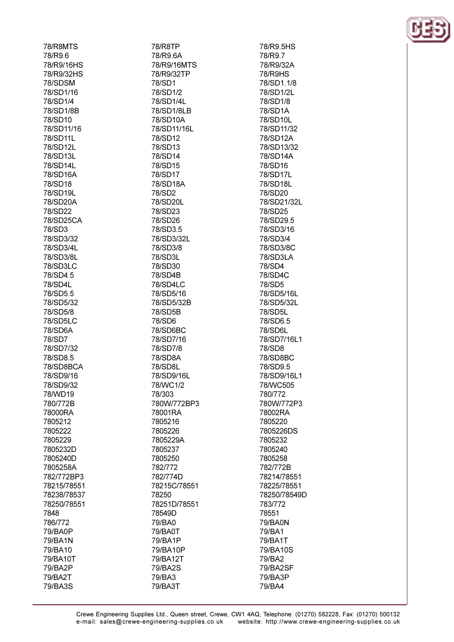| <b>78/R8MTS</b>    |
|--------------------|
| 78/R9.6            |
|                    |
| 78/R9/16HS         |
| 78/R9/32HS         |
| 78/SDSM            |
| 78/SD1/16          |
| 78/SD1/4           |
| 78/SD1/8B          |
|                    |
| 78/SD10            |
| 78/SD11/16         |
| 78/SD11L           |
| 78/SD12L           |
| 78/SD13L           |
| 78/SD14L           |
| 78/SD16A           |
|                    |
| 78/SD18            |
| 78/SD19L           |
| 78/SD20A           |
| 78/SD22            |
| 78/SD25CA          |
| 78/SD3             |
|                    |
| 78/SD3/32          |
| 78/SD3/4L          |
| 78/SD3/8L          |
| 78/SD3LC           |
| 78/SD4.5           |
| 78/SD4L            |
| 78/SD5.5           |
|                    |
| 78/SD5/32          |
| 78/SD5/8           |
| 78/SD5LC           |
| 78/SD6A            |
| 78/SD7             |
| 78/SD7/32          |
| 78/SD8.5           |
|                    |
| 78/SD8BCA          |
| 78/SD9/16          |
| 78/SD9/32          |
| 78/WD19            |
|                    |
|                    |
| 780/772B           |
| 78000RA            |
| 7805212            |
| 7805222            |
| 7805229            |
| 7805232D           |
| 7805240D           |
|                    |
| 7805258A           |
| 782/772BP3         |
| 78215/78551        |
| 78238/78537        |
| 78250/78551        |
| 7848               |
| 786/772            |
|                    |
| 79/BA0P            |
| 79/BA1N            |
| 79/BA10            |
| 79/BA10T           |
| 79/BA2P            |
| 79/BA2T<br>79/BA3S |

78/R8TP 78/R9.6A 78/R9/16MTS 78/R9/32TP 78/SD1 78/SD1/2 78/SD1/4L 78/SD1/8LB 78/SD10A 78/SD11/16L 78/SD12 78/SD13 78/SD14 78/SD15 78/SD17 78/SD18A 78/SD2 78/SD20L 78/SD23 78/SD26 78/SD3.5 78/SD3/32L 78/SD3/8 78/SD3L 78/SD30 78/SD4B 78/SD4LC 78/SD5/16 78/SD5/32B 78/SD5B 78/SD6 78/SD6BC 78/SD7/16 78/SD7/8 78/SD8A 78/SD8L 78/SD9/16L 78/WC1/2 78/303 780W/772BP3 78001RA 7805216 7805226 7805229A 7805237 7805250 782/772 782/774D 78215C/78551 78250 78251D/78551 78549D 79/BA0 79/BA0T 79/BA1P 79/BA10P 79/BA12T 79/BA2S 79/BA3 79/BA3T

78/R9.5HS 78/R9.7 78/R9/32A 78/R9HS 78/SD1.1/8 78/SD1/2L 78/SD1/8 78/SD1A 78/SD10L 78/SD11/32 78/SD12A 78/SD13/32 78/SD14A 78/SD16 78/SD17L 78/SD18L 78/SD20 78/SD21/32L 78/SD25 78/SD29.5 78/SD3/16 78/SD3/4 78/SD3/8C 78/SD3LA 78/SD4 78/SD4C 78/SD5 78/SD5/16L 78/SD5/32L 78/SD5L 78/SD6.5 78/SD6L 78/SD7/16L1 78/SD8 78/SD8BC 78/SD9.5 78/SD9/16L1 78/WC505 780/772 780W/772P3 78002RA 7805220 7805226DS 7805232 7805240 7805258 782/772B 78214/78551 78225/78551 78250/78549D 783/772 78551 79/BA0N 79/BA1 79/BA1T 79/BA10S 79/BA2 79/BA2SF 79/BA3P 79/BA4

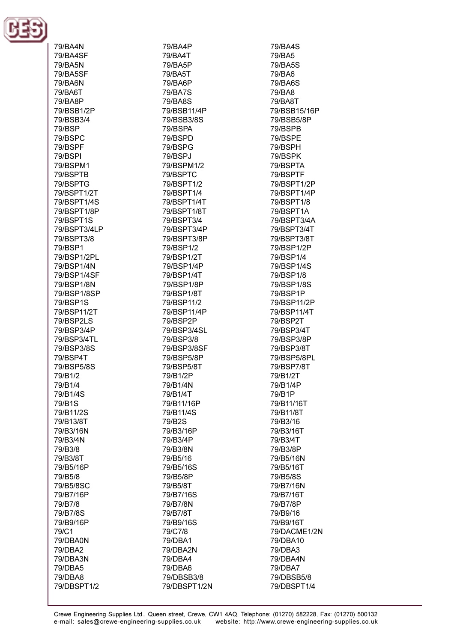

| 79/BA4N               |
|-----------------------|
| 79/BA4SF              |
| 79/BA5N               |
| 79/BA5SF              |
| 79/BA6N               |
| 79/BA6T               |
| 79/BA8P<br>79/BSB1/2P |
| 79/BSB3/4             |
| 79/BSP                |
| 79/BSPC               |
| 79/BSPF               |
| 79/BSPI               |
| 79/BSPM1              |
| 79/BSPTB              |
| 79/BSPTG              |
| 79/BSPT1/2T           |
| 79/BSPT1/4S           |
| 79/BSPT1/8P           |
| 79/BSPT1S             |
| 79/BSPT3/4LP          |
| 79/BSPT3/8<br>79/BSP1 |
| 79/BSP1/2PL           |
| 79/BSP1/4N            |
| 79/BSP1/4SF           |
| 79/BSP1/8N            |
| 79/BSP1/8SP           |
| 79/BSP1S              |
| 79/BSP11/2T           |
| 79/BSP2LS             |
| 79/BSP3/4P            |
| 79/BSP3/4TL           |
| 79/BSP3/8S            |
| 79/BSP4T              |
| 79/BSP5/8S<br>79/B1/2 |
| 79/B1/4               |
| 79/B1/4S              |
| 79/B1S                |
| 79/B11/2S             |
| 79/B13/8T             |
| 79/B3/16N             |
| 79/B3/4N              |
| 79/B3/8               |
| 79/B3/8T              |
| 79/B5/16P             |
| 79/B5/8               |
| 79/B5/8SC             |
| 79/B7/16P<br>79/B7/8  |
| 79/B7/8S              |
| 79/B9/16P             |
| 79/C1                 |
| 79/DBA0N              |
| 79/DBA2               |
| 79/DBA3N              |
| 79/DBA5               |
| 79/DBA8               |
| 79/DBSPT1/2           |

79/BA4P 79/BA4T 79/RA5P 79/BA5T 79/BA6P 79/BA7S 79/BA8S 79/BSB11/4P 79/BSB3/8S 79/BSPA 79/BSPD 79/BSPG 79/BSPJ 79/RSPM1/2 79/BSPTC 79/BSPT1/2 79/BSPT1/4 79/BSPT1/4T 79/BSPT1/8T 79/BSPT3/4 79/BSPT3/4P 79/BSPT3/8P 79/BSP1/2 79/BSP1/2T 79/BSP1/4P 79/BSP1/4T 79/BSP1/8P 79/BSP1/8T 79/BSP11/2 79/BSP11/4P 79/BSP2P 79/BSP3/4SL 79/BSP3/8 79/BSP3/8SF 79/BSP5/8P 79/BSP5/8T 79/B1/2P 79/B1/4N 79/B1/4T 79/B11/16P 79/B11/4S 79/B2S 79/B3/16P 79/B3/4P 79/B3/8N 79/B5/16 79/B5/16S 79/B5/8P 79/B5/8T 79/B7/16S 79/B7/8N 79/B7/8T 79/B9/16S 79/C7/8 79/DBA1 79/DBA2N 79/DBA4 79/DBA6 79/DBSB3/8 79/DBSPT1/2N

79/BA4S 79/BA5 79/BA5S 79/BA6 79/BA6S 79/BA8 79/BA8T 79/BSB15/16P 79/BSB5/8P 79/BSPB 79/BSPE 79/BSPH 79/BSPK 79/BSPTA 79/BSPTF 79/BSPT1/2P 79/BSPT1/4P 79/BSPT1/8 79/BSPT1A 79/BSPT3/4A 79/BSPT3/4T 79/BSPT3/8T 79/BSP1/2P 79/BSP1/4 79/BSP1/4S 79/BSP1/8 79/BSP1/8S 79/BSP1P 79/BSP11/2P 79/BSP11/4T 79/BSP2T 79/BSP3/4T 79/BSP3/8P 79/BSP3/8T 79/BSP5/8PL 79/BSP7/8T 79/B1/2T 79/B1/4P 79/B1P 79/B11/16T 79/B11/8T 79/B3/16 79/B3/16T 79/B3/4T 79/B3/8P 79/B5/16N 79/B5/16T 79/B5/8S 79/B7/16N 79/B7/16T 79/B7/8P 79/B9/16 79/B9/16T 79/DACME1/2N 79/DBA10 79/DBA3 79/DBA4N 79/DBA7 79/DBSB5/8 79/DBSPT1/4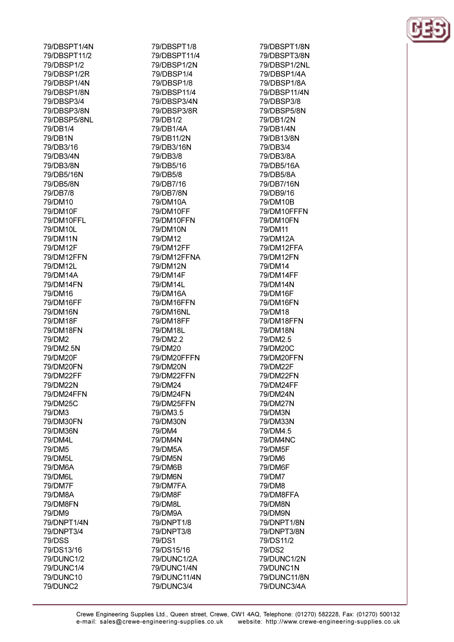79/DBSPT1/4N 79/DBSPT11/2 79/DRSP1/2 79/DBSP1/2R 79/DBSP1/4N 79/DBSP1/8N 79/DBSP3/4 79/DBSP3/8N 79/DBSP5/8NL 79/DB1/4 79/DB1N 79/DB3/16 79/DB3/4N 79/DB3/8N 79/DB5/16N 79/DB5/8N 79/DB7/8 79/DM10 79/DM10F 79/DM10FFL 79/DM10L 79/DM11N 79/DM12F 79/DM12FFN 79/DM12L 79/DM14A 79/DM14FN 79/DM16 79/DM16FF 79/DM16N 79/DM18F 79/DM18FN 79/DM2 79/DM2.5N 79/DM20F 79/DM20FN 79/DM22FF 79/DM22N 79/DM24FFN 79/DM25C 79/DM3 79/DM30FN 79/DM36N 79/DM4L 79/DM5 **79/DM5L** 79/DM6A 79/DM6L 79/DM7F 79/DM8A 79/DM8FN 79/DM9 79/DNPT1/4N 79/DNPT3/4 **79/DSS** 79/DS13/16 79/DUNC1/2 79/DUNC1/4 79/DUNC10 79/DUNC2

79/DBSPT1/8 79/DBSPT11/4 79/DBSP1/2N 79/DBSP1/4 79/DBSP1/8 79/DBSP11/4 79/DBSP3/4N 79/DBSP3/8R 79/DB1/2 79/DB1/4A 79/DB11/2N 79/DB3/16N 79/DB3/8 79/DB5/16 79/DB5/8 79/DB7/16 79/DB7/8N 79/DM10A 79/DM10FF 79/DM10FFN 79/DM10N 79/DM12 79/DM12FF 79/DM12FFNA **79/DM12N** 79/DM14F 79/DM14L 79/DM16A 79/DM16FFN 79/DM16NL 79/DM18FF 79/DM18L 79/DM2.2 79/DM20 79/DM20FFFN 79/DM20N 79/DM22FFN 79/DM24 79/DM24FN 79/DM25FFN 79/DM3.5 79/DM30N 79/DM4 79/DM4N 79/DM5A **79/DM5N** 79/DM6B 79/DM6N 79/DM7FA 79/DM8F 79/DM8L 79/DM9A 79/DNPT1/8 79/DNPT3/8 79/DS1 79/DS15/16 79/DUNC1/2A 79/DUNC1/4N 79/DUNC11/4N 79/DUNC3/4

79/DBSPT1/8N 79/DBSPT3/8N 79/DBSP1/2NL 79/DBSP1/4A 79/DBSP1/8A 79/DBSP11/4N 79/DRSP3/8 79/DBSP5/8N 79/DB1/2N 79/DB1/4N 79/DB13/8N 79/DB3/4 79/DB3/8A 79/DR5/16A 79/DB5/8A 79/DB7/16N 79/DB9/16 79/DM10B 79/DM10FFFN 79/DM10FN 79/DM11 79/DM12A 79/DM12FFA 79/DM12FN 79/DM14 79/DM14FF 79/DM14N 79/DM16F 79/DM16FN 79/DM18 79/DM18FFN 79/DM18N 79/DM2.5 79/DM20C 79/DM20FFN 79/DM22F 79/DM22FN 79/DM24FF 79/DM24N 79/DM27N 79/DM3N 79/DM33N 79/DM4.5 79/DM4NC 79/DM5F 79/DM6 79/DM6F 79/DM7 79/DM8 79/DM8FFA 79/DM8N 79/DM9N 79/DNPT1/8N 79/DNPT3/8N 79/DS11/2 79/DS2 79/DUNC1/2N 79/DUNC1N 79/DUNC11/8N 79/DUNC3/4A

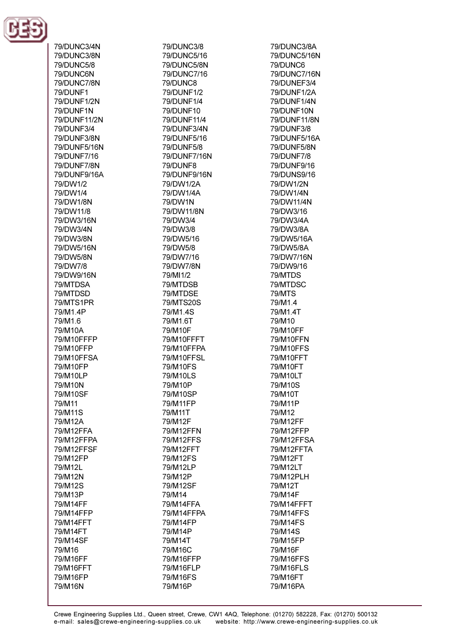

79/DUNC3/4N 79/DUNC3/8N 79/DLINC5/8 79/DUNC6N 79/DUNC7/8N 79/DUNF1 79/DUNF1/2N 79/DUNF1N 79/DUNF11/2N 79/DUNF3/4 79/DUNF3/8N 79/DUNF5/16N 79/DI INF7/16 **79/DUNF7/8N** 79/DUNF9/16A 79/DW1/2 79/DW1/4 79/DW1/8N 79/DW11/8 79/DW3/16N 79/DW3/4N 79/DW3/8N 79/DW5/16N 79/DW5/8N 79/DW7/8 79/DW9/16N 79/MTDSA 79/MTDSD 79/MTS1PR 79/M1.4P 79/M1.6 79/M10A 79/M10FFFP 79/M10FFP 79/M10FFSA 79/M10FP 79/M10LP 79/M10N 79/M10SF 79/M11 79/M11S 79/M12A 79/M12FFA 79/M12FFPA 79/M12FFSF 79/M12FP 79/M12L 79/M12N 79/M12S 79/M13P 79/M14FF 79/M14FFP 79/M14FFT 79/M14FT 79/M14SF 79/M16 79/M16FF 79/M16FFT 79/M16FP 79/M16N

79/DUNC3/8 79/DUNC5/16 79/DI INC5/8N 79/DUNC7/16 79/DUNC8 79/DUNF1/2 79/DUNF1/4 79/DUNF10 79/DUNF11/4 79/DUNF3/4N 79/DUNF5/16 79/DUNF5/8 79/DUNF7/16N 79/DI INF8 79/DUNF9/16N 79/DW1/2A 79/DW1/4A **79/DW1N** 79/DW11/8N 79/DW3/4 79/DW3/8 79/DW5/16 79/DW5/8 79/DW7/16 **79/DW7/8N** 79/MI1/2 79/MTDSB 79/MTDSE 79/MTS20S 79/M1.4S 79/M1.6T 79/M10F 79/M10FFFT 79/M10FFPA 79/M10FFSL 79/M10FS 79/M10LS 79/M10P 79/M10SP 79/M11FP 79/M11T 79/M12F 79/M12FFN 79/M12FFS 79/M12FFT 79/M12FS 79/M12LP 79/M12P 79/M12SF 79/M14 79/M14FFA 79/M14FFPA 79/M14FP 79/M14P 79/M14T 79/M16C 79/M16FFP 79/M16FLP 79/M16FS 79/M16P

**79/DUNC3/8A** 79/DUNC5/16N 79/DLINC6 79/DUNC7/16N 79/DUNEF3/4 79/DUNF1/2A 79/DUNF1/4N 79/DUNF10N 79/DUNF11/8N 79/DUNF3/8 79/DUNF5/16A 79/DUNF5/8N 79/DUNF7/8 79/DI INF9/16 79/DUNS9/16 79/DW1/2N 79/DW1/4N 79/DW11/4N 79/DW3/16 79/DW3/4A 79/DW3/8A 79/DW5/16A 79/DW5/8A 79/DW7/16N 79/DW9/16 79/MTDS 79/MTDSC **79/MTS** 79/M1.4 79/M1.4T 79/M10 79/M10FF 79/M10FFN 79/M10FFS 79/M10FFT 79/M10FT 79/M10LT 79/M10S 79/M10T 79/M11P 79/M12 79/M12FF 79/M12FFP 79/M12FFSA 79/M12FFTA 79/M12FT 79/M12LT 79/M12PLH 79/M12T 79/M14F 79/M14FFFT 79/M14FFS 79/M14FS 79/M14S 79/M15FP 79/M16F 79/M16FFS 79/M16FLS 79/M16FT 79/M16PA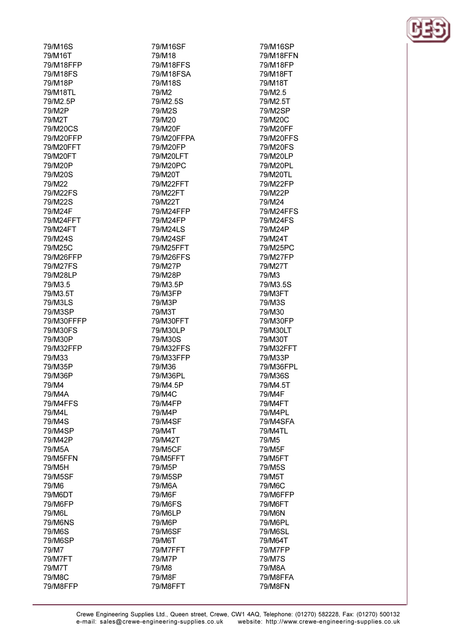| 79/M16S            |
|--------------------|
| 79/M16T            |
| 79/M18FFP          |
| 79/M18FS           |
| 79/M18P            |
| 79/M18TL           |
| 79/M2.5P           |
|                    |
| 79/M2P             |
| 79/M2T             |
| 79/M20CS           |
| 79/M20FFP          |
| 79/M20FFT          |
| 79/M20FT           |
| 79/M20P            |
| 79/M20S            |
| 79/M22             |
| 79/M22FS           |
|                    |
| 79/M22S            |
| 79/M24F            |
| 79/M24FFT          |
| 79/M24FT           |
| 79/M24S            |
| 79/M25C            |
| 79/M26FFP          |
| 79/M27FS           |
| 79/M28LP           |
|                    |
| 79/M3.5            |
| 79/M3.5T           |
| 79/M3LS            |
| 79/M3SP            |
| 79/M30FFFP         |
| 79/M30FS           |
| 79/M30P            |
| 79/M32FFP          |
| 79/M33             |
| 79/M35P            |
| 79/M36P            |
|                    |
| 79/M4              |
| 79/M4A             |
| 79/M4FFS           |
| 79/M4L             |
| 79/M4S             |
| 79/M4SP            |
| 79/M42P            |
| 79/M5A             |
| 79/M5FFN           |
| 79/M5H             |
|                    |
| 79/M5SF            |
| 79/M6              |
| 79/M6DT            |
| 79/M6FP            |
| 79/M6L             |
| 79/M6NS            |
| 79/M6S             |
| 79/M6SP            |
| 79/M7              |
|                    |
| 79/M7FT            |
| 79/M7T             |
|                    |
| 79/M8C<br>79/M8FFP |

 $\overline{a}$ 

79/M16SF 79/M18 **79/M18FFS** 79/M18FSA 79/M18S 79/M2 79/M2.5S 79/M2S 79/M20 79/M20F 79/M20FFPA 79/M20FP 79/M20LFT 79/M20PC 79/M20T 79/M22FFT 79/M22FT 79/M22T 79/M24FFP 79/M24FP 79/M24LS 79/M24SF 79/M25FFT 79/M26FFS 79/M27P 79/M28P 79/M3.5P 79/M3FP 79/M3P 79/M3T 79/M30FFT 79/M30LP 79/M30S 79/M32FFS 79/M33FFP 79/M36 79/M36PL 79/M4.5P 79/M4C 79/M4FP 79/M4P 79/M4SF 79/M4T 79/M42T 79/M5CF 79/M5FFT 79/M5P 79/M5SP 79/M6A 79/M6F 79/M6FS 79/M6LP 79/M6P 79/M6SF 79/M6T 79/M7FFT 79/M7P 79/M8 79/M8F 79/M8FFT

79/M16SP 79/M18FFN 79/M18FP 79/M18FT 79/M18T 79/M2.5 79/M2.5T 79/M2SP 79/M20C 79/M20FF 79/M20FFS 79/M20FS 79/M20LP 79/M20PL 79/M20TL 79/M22FP 79/M22P 79/M24 79/M24FFS 79/M24FS 79/M24P 79/M24T 79/M25PC 79/M27FP 79/M27T 79/M3 79/M3.5S 79/M3FT 79/M3S 79/M30 79/M30FP 79/M30LT 79/M30T 79/M32FFT 79/M33P 79/M36FPL 79/M36S 79/M4.5T 79/M4F 79/M4FT 79/M4PL 79/M4SFA 79/M4TL 79/M<sub>5</sub> 79/M5F 79/M5FT 79/M5S 79/M5T 79/M6C 79/M6FFP 79/M6FT 79/M6N 79/M6PL **79/M6SL** 79/M64T 79/M7FP 79/M7S 79/M8A 79/M8FFA 79/M8FN

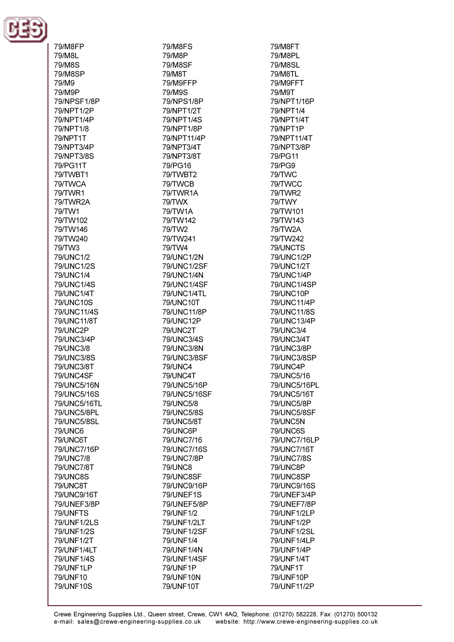

| 79/M8FP                 |
|-------------------------|
| 79/M8L                  |
| 79/M8S                  |
| 79/M8SP                 |
| 79/M9                   |
| 79/M9P                  |
| 79/NPSF1/8P             |
| 79/NPT1/2P              |
| 79/NPT1/4P              |
| 79/NPT1/8               |
| 79/NPT1T                |
| 79/NPT3/4P              |
| 79/NPT3/8S              |
| 79/PG11T                |
| 79/TWBT1                |
| 79/TWCA                 |
| 79/TWR1                 |
| 79/TWR2A                |
| 79/TW1                  |
| 79/TW102                |
| 79/TW146                |
| 79/TW240                |
| 79/TW3                  |
| 79/UNC1/2               |
| 79/UNC1/2S              |
| 79/UNC1/4<br>79/UNC1/4S |
| 79/UNC1/4T              |
| 79/UNC10S               |
| 79/UNC11/4S             |
| 79/UNC11/8T             |
| 79/UNC2P                |
| 79/UNC3/4P              |
| 79/UNC3/8               |
| 79/UNC3/8S              |
| 79/UNC3/8T              |
| 79/UNC4SF               |
| 79/UNC5/16N             |
| 79/UNC5/16S             |
| 79/UNC5/16TL            |
| 79/UNC5/8PL             |
| 79/UNC5/8SL             |
| <b>79/UNC6</b>          |
| 79/UNC6T                |
| 79/UNC7/16P             |
| 79/UNC7/8               |
| 79/UNC7/8T              |
| <b>79/UNC8S</b>         |
| 79/UNC8T                |
| 79/UNC9/16T             |
| 79/UNEF3/8P             |
| 79/UNFTS                |
| 79/UNF1/2LS             |
| 79/UNF1/2S              |
| 79/UNF1/2T              |
| 79/UNF1/4LT             |
| 79/UNF1/4S              |
| 79/UNF1LP               |
| 79/UNF10                |
| 79/UNF10S               |

79/M8FS 79/M8P **79/M8SF** 79/M8T 79/M9FFP 79/M9S 79/NPS1/8P 79/NPT1/2T 79/NPT1/4S 79/NPT1/8P 79/NPT11/4P 79/NPT3/4T 79/NPT3/8T 79/PG16 79/TWBT2 79/TWCB 79/TWR1A 79/TWX 79/TW1A 79/TW142 79/TW2 79/TW241 79/TW4 79/UNC1/2N 79/UNC1/2SF 79/UNC1/4N 79/UNC1/4SF 79/UNC1/4TL 79/UNC10T 79/UNC11/8P 79/UNC12P 79/UNC2T 79/UNC3/4S 79/UNC3/8N 79/UNC3/8SF **79/UNC4** 79/UNC4T 79/UNC5/16P 79/UNC5/16SF 79/UNC5/8 79/UNC5/8S 79/UNC5/8T 79/UNC6P 79/UNC7/16 79/UNC7/16S 79/UNC7/8P **79/UNC8** 79/UNC8SF 79/UNC9/16P 79/UNEF1S 79/UNEF5/8P 79/UNF1/2 79/UNF1/2LT 79/UNF1/2SF 79/UNF1/4 79/UNF1/4N 79/UNF1/4SF 79/UNF1P 79/UNF10N 79/UNF10T

79/M8FT 79/M8PL **79/M8SL** 79/M8TL 79/M9FFT 79/M9T 79/NPT1/16P 79/NPT1/4 79/NPT1/4T 79/NPT1P 79/NPT11/4T 79/NPT3/8P 79/PG11 79/PG9 79/TWC 79/TWCC **79/TWR2** 79/TWY 79/TW101 79/TW143 79/TW2A 79/TW242 79/UNCTS 79/UNC1/2P 79/UNC1/2T 79/UNC1/4P 79/UNC1/4SP 79/UNC10P 79/UNC11/4P 79/UNC11/8S 79/UNC13/4P 79/UNC3/4 79/UNC3/4T 79/UNC3/8P 79/UNC3/8SP 79/UNC4P 79/UNC5/16 79/UNC5/16PL 79/UNC5/16T 79/UNC5/8P 79/UNC5/8SF 79/UNC5N 79/UNC6S 79/UNC7/16LP 79/UNC7/16T 79/UNC7/8S 79/UNC8P 79/UNC8SP 79/UNC9/16S 79/UNEF3/4P 79/UNEF7/8P 79/UNF1/2LP 79/UNF1/2P 79/UNF1/2SL 79/UNF1/4LP 79/UNF1/4P 79/UNF1/4T 79/UNF1T 79/UNF10P 79/UNF11/2P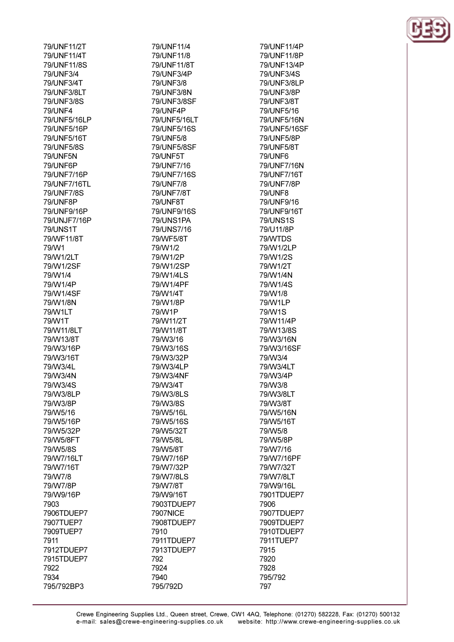| 79/UNF11/2T     |
|-----------------|
| 79/UNF11/4T     |
| 79/UNF11/8S     |
| 79/UNF3/4       |
| 79/UNF3/4T      |
| 79/UNF3/8LT     |
| 79/UNF3/8S      |
| <b>79/UNF4</b>  |
| 79/UNF5/16LP    |
| 79/UNF5/16P     |
| 79/UNF5/16T     |
|                 |
| 79/UNF5/8S      |
| 79/UNF5N        |
| 79/UNF6P        |
| 79/UNF7/16P     |
| 79/UNF7/16TL    |
| 79/UNF7/8S      |
| 79/UNF8P        |
| 79/UNF9/16P     |
| 79/UNJF7/16P    |
| <b>79/UNS1T</b> |
| 79/WF11/8T      |
| 79/W1           |
| 79/W1/2LT       |
|                 |
| 79/W1/2SF       |
| 79/W1/4         |
| 79/W1/4P        |
| 79/W1/4SF       |
| 79/W1/8N        |
| 79/W1LT         |
| 79/W1T          |
| 79/W11/8LT      |
| 79/W13/8T       |
| 79/W3/16P       |
| 79/W3/16T       |
| 79/W3/4L        |
| 79/W3/4N        |
| 79/W3/4S        |
|                 |
| 79/W3/8LP       |
| 79/W3/8P        |
| 79/W5/16        |
| 79/W5/16P       |
| 79/W5/32P       |
| 79/W5/8FT       |
| 79/W5/8S        |
| 79/W7/16LT      |
| 79/W7/16T       |
| 79/W7/8         |
| 79/W7/8P        |
| 79/W9/16P       |
| 7903            |
|                 |
| 7906TDUEP7      |
| 7907TUEP7       |
| 7909TUEP7       |
| 7911            |
| 7912TDUEP7      |
| 7915TDUEP7      |
| 7922            |
| 7934            |
| 795/792BP3      |

79/UNF11/4 79/UNF11/8 79/I INF11/8T 79/UNF3/4P 79/UNF3/8 79/UNF3/8N 79/UNF3/8SF 79/UNF4P 79/UNF5/16LT 79/UNF5/16S 79/UNF5/8 79/UNF5/8SF **79/UNF5T** 79/1 INF7/16 79/UNF7/16S 79/UNF7/8 79/UNF7/8T 79/UNF8T 79/UNF9/16S 79/UNS1PA 79/UNS7/16 79/WF5/8T 79/W1/2 79/W1/2P 79/W1/2SP 79/W1/4LS 79/W1/4PF 79/W1/4T 79/W1/8P 79/W1P 79/W11/2T 79/W11/8T 79/W3/16 79/W3/16S 79/W3/32P 79/W3/4LP 79/W3/4NF 79/W3/4T 79/W3/8LS 79/W3/8S 79/W5/16L 79/W5/16S 79/W5/32T 79/W5/8L 79/W5/8T 79/W7/16P 79/W7/32P 79/W7/8LS 79/W7/8T 79/W9/16T 7903TDUEP7 **7907NICE** 7908TDUEP7 7910 7911TDUEP7 7913TDUEP7 792 7924 7940 795/792D

79/UNF11/4P 79/UNF11/8P 79/HNF13/4P 79/UNF3/4S 79/UNF3/8LP 79/UNF3/8P 79/UNF3/8T 79/UNF5/16 79/UNF5/16N 79/UNF5/16SF 79/UNF5/8P 79/UNF5/8T **79/UNF6** 79/UNF7/16N 79/UNF7/16T 79/UNF7/8P **79/UNF8** 79/UNF9/16 79/UNF9/16T **79/UNS1S** 79/U11/8P 79/WTDS 79/W1/2LP 79/W1/2S 79/W1/2T 79/W1/4N 79/W1/4S 79/W1/8 79/W1LP 79/W1S 79/W11/4P 79/W13/8S 79/W3/16N 79/W3/16SF 79/W3/4 79/W3/4LT 79/W3/4P 79/W3/8 79/W3/8LT 79/W3/8T 79/W5/16N 79/W5/16T 79/W5/8 79/W5/8P 79/W7/16 79/W7/16PF 79/W7/32T 79/W7/8LT 79/W9/16L 7901TDUEP7 7906 7907TDUEP7 7909TDUEP7 7910TDUEP7 7911TUEP7 7915 7920 7928 795/792 797

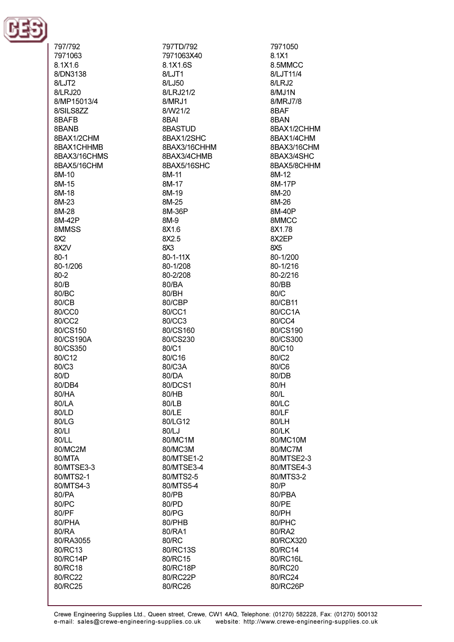

| 797/792            |
|--------------------|
| 7971063            |
| 8.1X1.6            |
| 8/DN3138           |
| 8/LJT2             |
| 8/LRJ20            |
| 8/MP15013/4        |
| 8/SILS8ZZ          |
| 8BAFB              |
|                    |
| 8BANB              |
| 8BAX1/2CHM         |
| 8BAX1CHHMB         |
| 8BAX3/16CHMS       |
| 8BAX5/16CHM        |
| 8M-10              |
| 8M-15              |
| 8M-18              |
| 8M-23              |
| 8M-28              |
|                    |
| 8M-42P             |
| 8MMSS              |
| 8X2                |
| 8X <sub>2V</sub>   |
| $80 - 1$           |
| 80-1/206           |
| 80-2               |
| 80/B               |
| 80/BC              |
|                    |
| 80/CB              |
| 80/CC0             |
| 80/CC2             |
| 80/CS150           |
| 80/CS190A          |
| 80/CS350           |
| 80/C12             |
| 80/C3              |
| 80/D               |
|                    |
| 80/DB4             |
| 80/HA              |
| 80/LA              |
| 80/LD              |
| 80/LG              |
| 80/LI              |
| 80/LL              |
| 80/MC2M            |
| 80/MTA             |
| 80/MTSE3-3         |
|                    |
| 80/MTS2-1          |
| 80/MTS4-3          |
| 80/PA              |
| 80/PC              |
| 80/PF              |
| 80/PHA             |
| 80/RA              |
| 80/RA3055          |
| 80/RC13            |
| 80/RC14P           |
| 80/RC18            |
|                    |
| 80/RC22<br>80/RC25 |
|                    |

797TD/792 7971063X40 8.1X16S 8/LJT1 8/LJ50 8/LRJ21/2 8/MRJ1 8/W21/2 8BAI 8BASTUD 8BAX1/2SHC 8BAX3/16CHHM 8BAX3/4CHMB 8BAX5/16SHC 8M-11 8M-17 8M-19 8M-25 8M-36P 8M-9 8X1.6 8X2.5  $RX3$  $80 - 1 - 11X$ 80-1/208 80-2/208 80/BA 80/BH 80/CBP 80/CC1 80/CC3 80/CS160 80/CS230 80/C1 80/C16 80/C3A 80/DA 80/DCS1 80/HB 80/LB 80/LE 80/LG12 80/LJ 80/MC1M 80/MC3M 80/MTSE1-2 80/MTSE3-4 80/MTS2-5 80/MTS5-4 80/PB 80/PD 80/PG 80/PHB 80/RA1 80/RC 80/RC13S 80/RC15 80/RC18P 80/RC22P 80/RC26

7971050 8.1X1 8.5MMCC 8/LJT11/4 8/LRJ2 8/MJ1N 8/MRJ7/8 8BAF 8BAN 8BAX1/2CHHM 8BAX1/4CHM 8BAX3/16CHM 8BAX3/4SHC 8BAX5/8CHHM 8M-12 8M-17P 8M-20 8M-26 8M-40P 8MMCC 8X1.78 8X2EP 8X5 80-1/200 80-1/216 80-2/216 80/BB 80/C 80/CB11 80/CC1A 80/CC4 80/CS190 80/CS300 80/C10 80/C<sub>2</sub> 80/C6 80/DB 80/H 80/L 80/LC 80/LF 80/LH 80/LK 80/MC10M 80/MC7M 80/MTSE2-3 80/MTSE4-3 80/MTS3-2 80/P 80/PBA 80/PE 80/PH 80/PHC 80/RA2 80/RCX320 80/RC14 80/RC16L 80/RC20 80/RC24 80/RC26P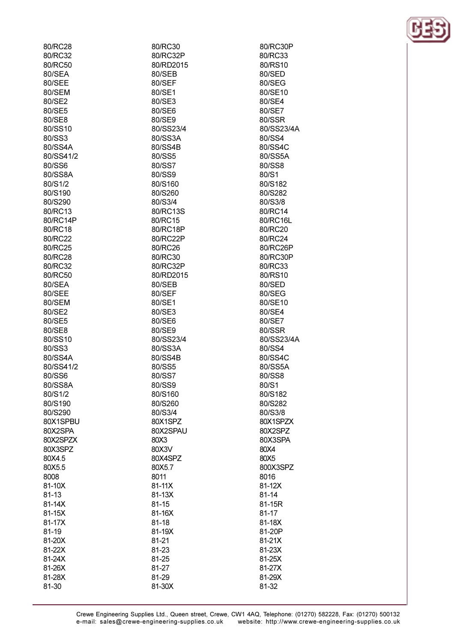| 80/RC28   | 80/RC30    | 80/RC30P   |
|-----------|------------|------------|
| 80/RC32   | 80/RC32P   | 80/RC33    |
| 80/RC50   | 80/RD2015  | 80/RS10    |
| 80/SEA    | 80/SEB     | 80/SED     |
| 80/SEE    | 80/SEF     | 80/SEG     |
| 80/SEM    | 80/SE1     | 80/SE10    |
| 80/SE2    | 80/SE3     | 80/SE4     |
| 80/SE5    | 80/SE6     | 80/SE7     |
| 80/SE8    | 80/SE9     | 80/SSR     |
| 80/SS10   | 80/SS23/4  | 80/SS23/4A |
| 80/SS3    | 80/SS3A    | 80/SS4     |
| 80/SS4A   | 80/SS4B    | 80/SS4C    |
|           |            |            |
| 80/SS41/2 | 80/SS5     | 80/SS5A    |
| 80/SS6    | 80/SS7     | 80/SS8     |
| 80/SS8A   | 80/SS9     | 80/S1      |
| 80/S1/2   | 80/S160    | 80/S182    |
| 80/S190   | 80/S260    | 80/S282    |
| 80/S290   | 80/S3/4    | 80/S3/8    |
| 80/RC13   | 80/RC13S   | 80/RC14    |
| 80/RC14P  | 80/RC15    | 80/RC16L   |
| 80/RC18   | 80/RC18P   | 80/RC20    |
| 80/RC22   | 80/RC22P   | 80/RC24    |
| 80/RC25   | 80/RC26    | 80/RC26P   |
| 80/RC28   | 80/RC30    | 80/RC30P   |
| 80/RC32   | 80/RC32P   | 80/RC33    |
| 80/RC50   | 80/RD2015  | 80/RS10    |
| 80/SEA    | 80/SEB     | 80/SED     |
| 80/SEE    | 80/SEF     | 80/SEG     |
| 80/SEM    | 80/SE1     | 80/SE10    |
| 80/SE2    | 80/SE3     | 80/SE4     |
| 80/SE5    | 80/SE6     | 80/SE7     |
| 80/SE8    | 80/SE9     | 80/SSR     |
| 80/SS10   | 80/SS23/4  | 80/SS23/4A |
| 80/SS3    | 80/SS3A    | 80/SS4     |
| 80/SS4A   | 80/SS4B    | 80/SS4C    |
| 80/SS41/2 | 80/SS5     | 80/SS5A    |
| 80/SS6    | 80/SS7     | 80/SS8     |
| 80/SS8A   | 80/SS9     | 80/S1      |
| 80/S1/2   | 80/S160    | 80/S182    |
| 80/S190   | 80/S260    | 80/S282    |
| 80/S290   | 80/S3/4    | 80/S3/8    |
| 80X1SPBU  | 80X1SPZ    | 80X1SPZX   |
| 80X2SPA   | 80X2SPAU   | 80X2SPZ    |
| 80X2SPZX  | 80X3       | 80X3SPA    |
| 80X3SPZ   | 80X3V      | 80X4       |
| 80X4.5    | 80X4SPZ    | 80X5       |
| 80X5.5    | 80X5.7     | 800X3SPZ   |
| 8008      | 8011       | 8016       |
| 81-10X    | $81 - 11X$ | 81-12X     |
| 81-13     | 81-13X     | 81-14      |
| 81-14X    | 81-15      | 81-15R     |
| 81-15X    | 81-16X     | 81-17      |
| 81-17X    | $81 - 18$  | 81-18X     |
|           |            |            |
| 81-19     | 81-19X     | 81-20P     |
| 81-20X    | $81 - 21$  | 81-21X     |
| 81-22X    | 81-23      | 81-23X     |
| 81-24X    | 81-25      | 81-25X     |
| 81-26X    | 81-27      | 81-27X     |
| 81-28X    | 81-29      | 81-29X     |
| 81-30     | 81-30X     | 81-32      |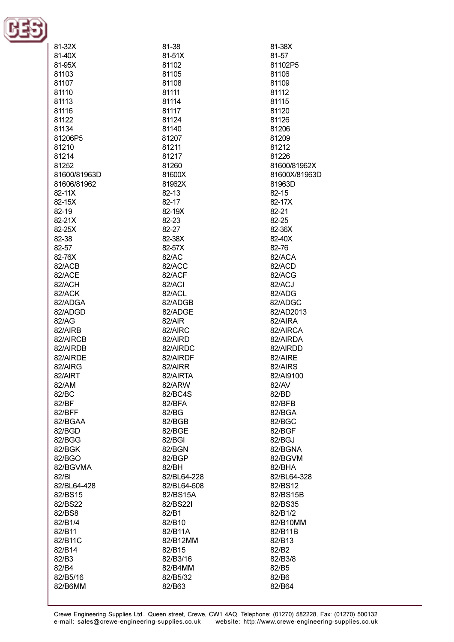

| 81-32X       | 81-38       | 81-38X        |
|--------------|-------------|---------------|
| 81-40X       | 81-51X      | 81-57         |
| 81-95X       | 81102       | 81102P5       |
| 81103        | 81105       | 81106         |
| 81107        | 81108       | 81109         |
|              |             |               |
| 81110        | 81111       | 81112         |
| 81113        | 81114       | 81115         |
| 81116        | 81117       | 81120         |
| 81122        | 81124       | 81126         |
| 81134        | 81140       | 81206         |
| 81206P5      | 81207       | 81209         |
| 81210        | 81211       | 81212         |
| 81214        | 81217       | 81226         |
| 81252        | 81260       | 81600/81962X  |
| 81600/81963D | 81600X      | 81600X/81963D |
| 81606/81962  | 81962X      | 81963D        |
| 82-11X       | $82 - 13$   | 82-15         |
| 82-15X       | 82-17       | 82-17X        |
| 82-19        | 82-19X      | 82-21         |
| 82-21X       | 82-23       | 82-25         |
| 82-25X       | 82-27       | 82-36X        |
| 82-38        | 82-38X      | 82-40X        |
| 82-57        | 82-57X      | 82-76         |
| 82-76X       | 82/AC       | 82/ACA        |
| 82/ACB       | 82/ACC      | 82/ACD        |
| 82/ACE       | 82/ACF      | 82/ACG        |
|              | 82/ACI      |               |
| 82/ACH       |             | 82/ACJ        |
| 82/ACK       | 82/ACL      | 82/ADG        |
| 82/ADGA      | 82/ADGB     | 82/ADGC       |
| 82/ADGD      | 82/ADGE     | 82/AD2013     |
| 82/AG        | 82/AIR      | 82/AIRA       |
| 82/AIRB      | 82/AIRC     | 82/AIRCA      |
| 82/AIRCB     | 82/AIRD     | 82/AIRDA      |
| 82/AIRDB     | 82/AIRDC    | 82/AIRDD      |
| 82/AIRDE     | 82/AIRDF    | 82/AIRE       |
| 82/AIRG      | 82/AIRR     | 82/AIRS       |
| 82/AIRT      | 82/AIRTA    | 82/AI9100     |
| 82/AM        | 82/ARW      | 82/AV         |
| 82/BC        | 82/BC4S     | 82/BD         |
| 82/BF        | 82/BFA      | 82/BFB        |
| 82/BFF       | 82/BG       | 82/BGA        |
| 82/BGAA      | 82/BGB      | 82/BGC        |
| 82/BGD       | 82/BGE      | 82/BGF        |
| 82/BGG       | 82/BGI      | 82/BGJ        |
| 82/BGK       | 82/BGN      | 82/BGNA       |
| 82/BGO       | 82/BGP      | 82/BGVM       |
| 82/BGVMA     | 82/BH       | 82/BHA        |
| 82/BI        | 82/BL64-228 | 82/BL64-328   |
| 82/BL64-428  | 82/BL64-608 | 82/BS12       |
| 82/BS15      | 82/BS15A    | 82/BS15B      |
| 82/BS22      | 82/BS221    | 82/BS35       |
| 82/BS8       | 82/B1       | 82/B1/2       |
|              |             |               |
| 82/B1/4      | 82/B10      | 82/B10MM      |
| 82/B11       | 82/B11A     | 82/B11B       |
| 82/B11C      | 82/B12MM    | 82/B13        |
| 82/B14       | 82/B15      | 82/B2         |
| 82/B3        | 82/B3/16    | 82/B3/8       |
| 82/B4        | 82/B4MM     | 82/B5         |
| 82/B5/16     | 82/B5/32    | 82/B6         |
| 82/B6MM      | 82/B63      | 82/B64        |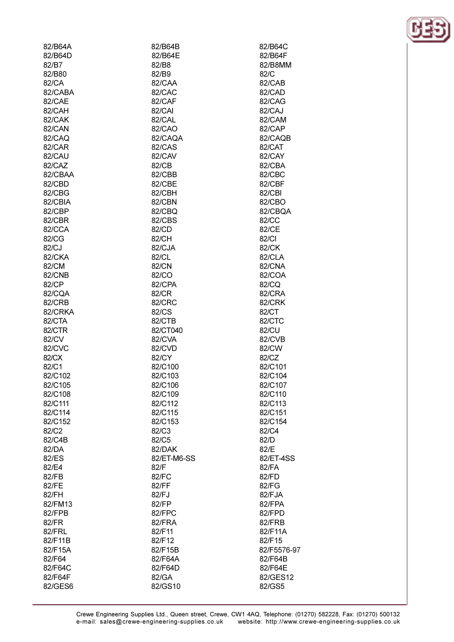| 82/B64A | 82/B64B       | 82/B64C     |
|---------|---------------|-------------|
| 82/B64D | 82/B64E       | 82/B64F     |
| 82/B7   | 82/B8         | 82/B8MM     |
| 82/B80  | 82/B9         | 82/C        |
| 82/CA   | 82/CAA        | 82/CAB      |
| 82/CABA | 82/CAC        | 82/CAD      |
|         |               |             |
| 82/CAE  | 82/CAF        | 82/CAG      |
| 82/CAH  | 82/CAI        | 82/CAJ      |
| 82/CAK  | 82/CAL        | 82/CAM      |
| 82/CAN  | 82/CAO        | 82/CAP      |
| 82/CAQ  | 82/CAQA       | 82/CAQB     |
| 82/CAR  | <b>82/CAS</b> | 82/CAT      |
| 82/CAU  | 82/CAV        | 82/CAY      |
| 82/CAZ  | 82/CB         | 82/CBA      |
| 82/CBAA | 82/CBB        | 82/CBC      |
| 82/CBD  | 82/CBE        | 82/CBF      |
| 82/CBG  | 82/CBH        | 82/CBI      |
| 82/CBIA | 82/CBN        | 82/CBO      |
| 82/CBP  | 82/CBQ        | 82/CBQA     |
| 82/CBR  | 82/CBS        | 82/CC       |
|         |               |             |
| 82/CCA  | 82/CD         | 82/CE       |
| 82/CG   | 82/CH         | 82/CI       |
| 82/CJ   | 82/CJA        | 82/CK       |
| 82/CKA  | 82/CL         | 82/CLA      |
| 82/CM   | 82/CN         | 82/CNA      |
| 82/CNB  | 82/CO         | 82/COA      |
| 82/CP   | 82/CPA        | 82/CQ       |
| 82/CQA  | 82/CR         | 82/CRA      |
| 82/CRB  | 82/CRC        | 82/CRK      |
| 82/CRKA | 82/CS         | 82/CT       |
| 82/CTA  | 82/CTB        | 82/CTC      |
| 82/CTR  | 82/CT040      | 82/CU       |
| 82/CV   | 82/CVA        | 82/CVB      |
| 82/CVC  | 82/CVD        | 82/CW       |
| 82/CX   | 82/CY         | 82/CZ       |
| 82/C1   | 82/C100       | 82/C101     |
| 82/C102 | 82/C103       | 82/C104     |
| 82/C105 | 82/C106       | 82/C107     |
| 82/C108 | 82/C109       | 82/C110     |
|         |               |             |
| 82/C111 | 82/C112       | 82/C113     |
| 82/C114 | 82/C115       | 82/C151     |
| 82/C152 | 82/C153       | 82/C154     |
| 82/C2   | 82/C3         | 82/C4       |
| 82/C4B  | 82/C5         | 82/D        |
| 82/DA   | 82/DAK        | 82/E        |
| 82/ES   | 82/ET-M6-SS   | 82/ET-4SS   |
| 82/E4   | 82/F          | 82/FA       |
| 82/FB   | 82/FC         | 82/FD       |
| 82/FE   | 82/FF         | 82/FG       |
| 82/FH   | 82/FJ         | 82/FJA      |
| 82/FM13 | 82/FP         | 82/FPA      |
| 82/FPB  | 82/FPC        | 82/FPD      |
| 82/FR   | 82/FRA        | 82/FRB      |
| 82/FRL  | 82/F11        | 82/F11A     |
| 82/F11B | 82/F12        | 82/F15      |
| 82/F15A | 82/F15B       | 82/F5576-97 |
|         |               |             |
| 82/F64  | 82/F64A       | 82/F64B     |
| 82/F64C | 82/F64D       | 82/F64E     |
| 82/F64F | 82/GA         | 82/GES12    |
| 82/GES6 | 82/GS10       | 82/GS5      |

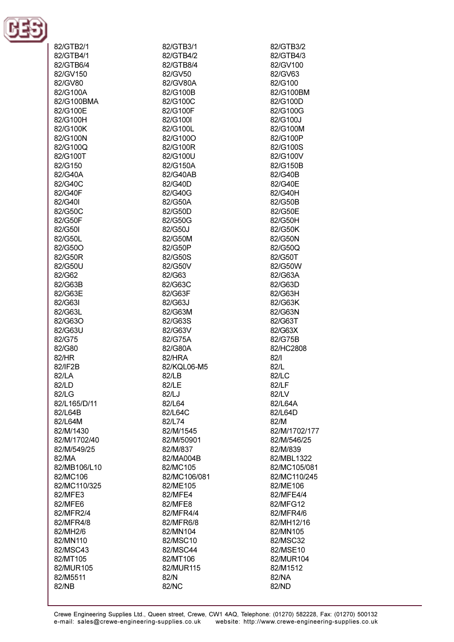

| 82/GTB2/1    | 82/GTB3/1    | 82/GTB3/2     |
|--------------|--------------|---------------|
| 82/GTB4/1    | 82/GTB4/2    | 82/GTB4/3     |
| 82/GTB6/4    | 82/GTB8/4    | 82/GV100      |
|              |              |               |
| 82/GV150     | 82/GV50      | 82/GV63       |
| 82/GV80      | 82/GV80A     | 82/G100       |
| 82/G100A     | 82/G100B     | 82/G100BM     |
| 82/G100BMA   | 82/G100C     | 82/G100D      |
| 82/G100E     | 82/G100F     | 82/G100G      |
| 82/G100H     | 82/G100I     | 82/G100J      |
| 82/G100K     | 82/G100L     | 82/G100M      |
| 82/G100N     | 82/G100O     | 82/G100P      |
| 82/G100Q     | 82/G100R     | 82/G100S      |
| 82/G100T     | 82/G100U     | 82/G100V      |
| 82/G150      | 82/G150A     | 82/G150B      |
| 82/G40A      | 82/G40AB     | 82/G40B       |
|              |              | 82/G40E       |
| 82/G40C      | 82/G40D      |               |
| 82/G40F      | 82/G40G      | 82/G40H       |
| 82/G40I      | 82/G50A      | 82/G50B       |
| 82/G50C      | 82/G50D      | 82/G50E       |
| 82/G50F      | 82/G50G      | 82/G50H       |
| 82/G50I      | 82/G50J      | 82/G50K       |
| 82/G50L      | 82/G50M      | 82/G50N       |
| 82/G50O      | 82/G50P      | 82/G50Q       |
| 82/G50R      | 82/G50S      | 82/G50T       |
| 82/G50U      | 82/G50V      | 82/G50W       |
| 82/G62       | 82/G63       | 82/G63A       |
| 82/G63B      | 82/G63C      | 82/G63D       |
| 82/G63E      | 82/G63F      | 82/G63H       |
| 82/G63I      | 82/G63J      | 82/G63K       |
| 82/G63L      | 82/G63M      | 82/G63N       |
| 82/G63O      | 82/G63S      | 82/G63T       |
| 82/G63U      | 82/G63V      | 82/G63X       |
| 82/G75       | 82/G75A      | 82/G75B       |
| 82/G80       | 82/G80A      | 82/HC2808     |
| 82/HR        | 82/HRA       | 82/1          |
| 82/IF2B      | 82/KQL06-M5  | 82/L          |
|              |              |               |
| 82/LA        | 82/LB        | 82/LC         |
| 82/LD        | 82/LE        | 82/LF         |
| 82/LG        | 82/LJ        | 82/LV         |
| 82/L165/D/11 | 82/L64       | 82/L64A       |
| 82/L64B      | 82/L64C      | 82/L64D       |
| 82/L64M      | 82/L74       | 82/M          |
| 82/M/1430    | 82/M/1545    | 82/M/1702/177 |
| 82/M/1702/40 | 82/M/50901   | 82/M/546/25   |
| 82/M/549/25  | 82/M/837     | 82/M/839      |
| 82/MA        | 82/MA004B    | 82/MBL1322    |
| 82/MB106/L10 | 82/MC105     | 82/MC105/081  |
| 82/MC106     | 82/MC106/081 | 82/MC110/245  |
| 82/MC110/325 | 82/ME105     | 82/ME106      |
| 82/MFE3      | 82/MFE4      | 82/MFE4/4     |
| 82/MFE6      | 82/MFE8      | 82/MFG12      |
| 82/MFR2/4    | 82/MFR4/4    | 82/MFR4/6     |
| 82/MFR4/8    | 82/MFR6/8    | 82/MH12/16    |
| 82/MH2/6     | 82/MN104     | 82/MN105      |
| 82/MN110     | 82/MSC10     | 82/MSC32      |
| 82/MSC43     | 82/MSC44     | 82/MSE10      |
|              | 82/MT106     | 82/MUR104     |
| 82/MT105     |              |               |
| 82/MUR105    | 82/MUR115    | 82/M1512      |
| 82/M5511     | 82/N         | 82/NA         |
| 82/NB        | 82/NC        | 82/ND         |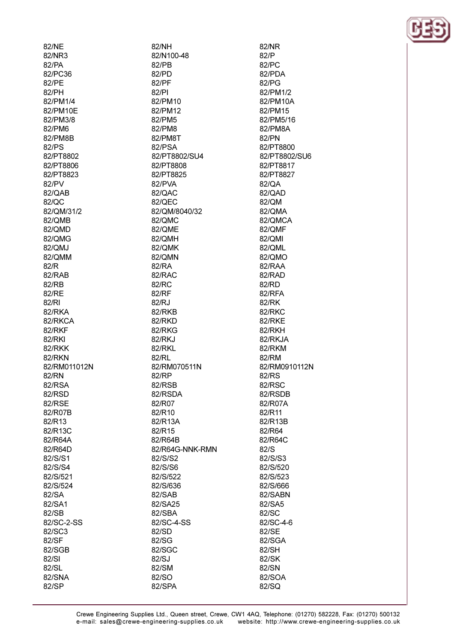82/NE 82/NR3  $R2/PA$ 82/PC36 82/PE 82/PH 82/PM1/4 82/PM10E 82/PM3/8 82/PM6 82/PM8B 82/PS 82/PT8802 82/PT8806 82/PT8823 82/PV 82/QAB 82/QC 82/QM/31/2 82/QMB 82/OMD 82/OMG 82/QMJ 82/OMM  $R2/R$ 82/RAB 82/RB 82/RE 82/RI 82/RKA 82/RKCA 82/RKF 82/RKI 82/RKK 82/RKN 82/RM011012N 82/RN 82/RSA 82/RSD 82/RSE 82/R07B 82/R13 82/R13C 82/R64A 82/R64D 82/S/S1 82/S/S4 82/S/521 82/S/524 82/SA 82/SA1 82/SB 82/SC-2-SS 82/SC3 82/SF 82/SGB  $82/SI$ 82/SL 82/SNA

82/SP

82/NH 82/N100-48  $82/PR$  $82/PD$ 82/PF 82/PI 82/PM10 82/PM12 82/PM5 82/PM8 82/PM8T 82/PSA 82/PT8802/SU4 82/PT8808 82/PT8825 82/PVA 82/QAC 82/QEC 82/QM/8040/32 82/QMC 82/OME 82/OMH 82/QMK 82/OMN  $R2/RA$ 82/RAC 82/RC 82/RF 82/RJ 82/RKB 82/RKD 82/RKG 82/RKJ 82/RKL 82/RL 82/RM070511N 82/RP 82/RSB 82/RSDA 82/R07 82/R10 82/R13A 82/R15 82/R64B 82/R64G-NNK-RMN 82/S/S2 82/S/S6 82/S/522 82/S/636 82/SAB 82/SA25 82/SBA 82/SC-4-SS 82/SD 82/SG 82/SGC 82/SJ 82/SM 82/SO 82/SPA

82/NR  $82/P$  $R2/PC$ 82/PDA 82/PG 82/PM1/2 82/PM10A 82/PM15 82/PM5/16 82/PM8A 82/PN 82/PT8800 82/PT8802/SU6 82/PT8817 82/PT8827 82/QA 82/QAD 82/QM 82/QMA 82/QMCA 82/OMF 82/OMI 82/QML 82/QMO  $82/RAA$ 82/RAD 82/RD 82/RFA 82/RK 82/RKC **82/RKE** 82/RKH 82/RKJA 82/RKM 82/RM 82/RM0910112N 82/RS 82/RSC 82/RSDB 82/R07A 82/R11 82/R13B 82/R64 82/R64C 82/S 82/S/S3 82/S/520 82/S/523 82/S/666 82/SABN 82/SA5 82/SC 82/SC-4-6 82/SE 82/SGA 82/SH 82/SK 82/SN 82/SOA 82/SQ

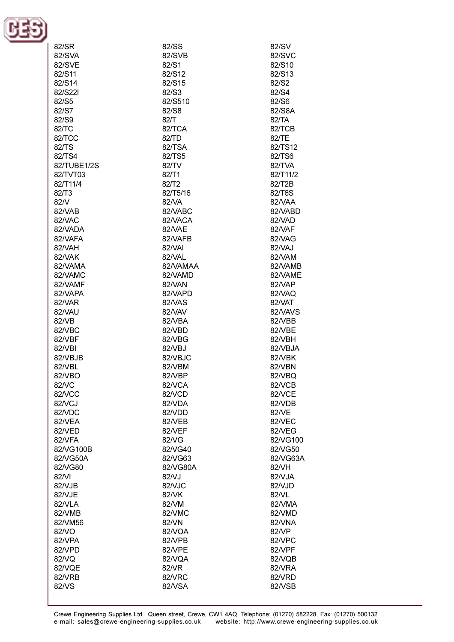

| 82/SR       | 82/SS    | 82/SV    |
|-------------|----------|----------|
| 82/SVA      | 82/SVB   | 82/SVC   |
| 82/SVE      | 82/S1    | 82/S10   |
|             |          |          |
| 82/S11      | 82/S12   | 82/S13   |
| 82/S14      | 82/S15   | 82/S2    |
| 82/S221     | 82/S3    | 82/S4    |
| 82/S5       | 82/S510  | 82/S6    |
|             | 82/S8    | 82/S8A   |
| 82/S7       |          |          |
| 82/S9       | 82/T     | 82/TA    |
| 82/TC       | 82/TCA   | 82/TCB   |
| 82/TCC      | 82/TD    | 82/TE    |
| 82/TS       | 82/TSA   | 82/TS12  |
| 82/TS4      | 82/TS5   | 82/TS6   |
|             |          |          |
| 82/TUBE1/2S | 82/TV    | 82/TVA   |
| 82/TVT03    | 82/T1    | 82/T11/2 |
| 82/T11/4    | 82/T2    | 82/T2B   |
| 82/T3       | 82/T5/16 | 82/T6S   |
| 82/V        | 82/VA    | 82/VAA   |
| 82/VAB      | 82/VABC  | 82/VABD  |
|             |          |          |
| 82/VAC      | 82/VACA  | 82/VAD   |
| 82/VADA     | 82/VAE   | 82/VAF   |
| 82/VAFA     | 82/VAFB  | 82/VAG   |
| 82/VAH      | 82/VAI   | 82/VAJ   |
| 82/VAK      | 82/VAL   | 82/VAM   |
| 82/VAMA     | 82/VAMAA | 82/VAMB  |
|             |          |          |
| 82/VAMC     | 82/VAMD  | 82/VAME  |
| 82/VAMF     | 82/VAN   | 82/VAP   |
| 82/VAPA     | 82/VAPD  | 82/VAQ   |
| 82/VAR      | 82/VAS   | 82/VAT   |
| 82/VAU      | 82/VAV   | 82/VAVS  |
| 82/VB       | 82/VBA   | 82/VBB   |
|             |          |          |
| 82/VBC      | 82/VBD   | 82/VBE   |
| 82/VBF      | 82/VBG   | 82/VBH   |
| 82/VBI      | 82/VBJ   | 82/VBJA  |
| 82/VBJB     | 82/VBJC  | 82/VBK   |
| 82/VBL      | 82/VBM   | 82/VBN   |
| 82/VBO      | 82/VBP   | 82/VBQ   |
|             |          |          |
| 82/VC       | 82/VCA   | 82/VCB   |
| 82NCC       | 82/VCD   | 82/VCE   |
| 82NCJ       | 82/VDA   | 82/VDB   |
| 82/VDC      | 82/VDD   | 82/VE    |
| 82/VEA      | 82/VEB   | 82/VEC   |
| 82/VED      | 82/VEF   | 82/VEG   |
| 82/VFA      | 82/VG    | 82/VG100 |
|             |          |          |
| 82/VG100B   | 82/VG40  | 82/VG50  |
| 82/VG50A    | 82/VG63  | 82/VG63A |
| 82/VG80     | 82/VG80A | 82/VH    |
| 82/VI       | 82/VJ    | 82/VJA   |
| 82/VJB      | 82/VJC   | 82/VJD   |
| 82/VJE      | 82/VK    | 82/VL    |
|             |          |          |
| 82/VLA      | 82/VM    | 82/VMA   |
| 82/VMB      | 82/VMC   | 82/VMD   |
| 82/VM56     | 82/VN    | 82/VNA   |
| 82/VO       | 82/VOA   | 82/VP    |
| 82/VPA      | 82/VPB   | 82/VPC   |
| 82/VPD      | 82/VPE   | 82/VPF   |
|             | 82/VQA   |          |
| 82/VQ       |          | 82/VQB   |
| 82/VQE      | 82/VR    | 82/VRA   |
| 82/VRB      | 82/VRC   | 82/VRD   |
| 82/VS       | 82/VSA   | 82/VSB   |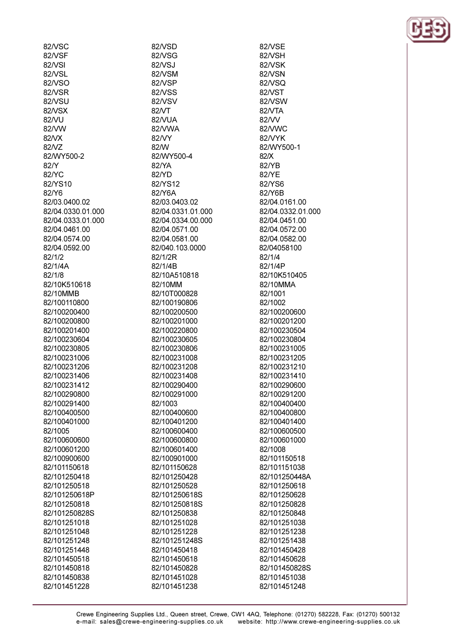82/VSC 82/VSF 82MSI 82/VSL 82/VSO 82/VSR 82/VSU 82/VSX 82/VU 82/VW 82NX 82NZ 82/WY500-2  $82/N$ 82/YC 82/YS10 82/Y6 82/03.0400.02 82/04.0330.01.000 82/04.0333.01.000 82/04.0461.00 82/04.0574.00 82/04.0592.00 82/1/2 82/1/4A 82/1/8 82/10K510618 82/10MMB 82/100110800 82/100200400 82/100200800 82/100201400 82/100230604 82/100230805 82/100231006 82/100231206 82/100231406 82/100231412 82/100290800 82/100291400 82/100400500 82/100401000 82/1005 82/100600600 82/100601200 82/100900600 82/101150618 82/101250418 82/101250518 82/101250618P 82/101250818 82/101250828S 82/101251018 82/101251048 82/101251248 82/101251448 82/101450518

82/101450818

82/101450838

82/101451228

82/VSD 82/VSG 82/VSJ 82/VSM 82/VSP **82/VSS** 82/VSV 82/VT 82/VUA 82/VWA 82/VY 82/W 82/WY500-4  $R2/YA$ 82/YD 82/YS12 82/Y6A 82/03.0403.02 82/04.0331.01.000 82/04.0334.00.000 82/04.0571.00 82/04.0581.00 82/040.103.0000 82/1/2R 82/1/4R 82/10A510818 82/10MM 82/10T000828 82/100190806 82/100200500 82/100201000 82/100220800 82/100230605 82/100230806 82/100231008 82/100231208 82/100231408 82/100290400 82/100291000 82/1003 82/100400600 82/100401200 82/100600400 82/100600800 82/100601400 82/100901000 82/101150628 82/101250428 82/101250528 82/101250618S 82/101250818S 82/101250838 82/101251028 82/101251228 82/101251248S 82/101450418 82/101450618 82/101450828 82/101451028 82/101451238

82/VSE 82/VSH 82N/SK 82/VSN 82/VSQ 82NST 82/VSW 82/VTA 82/VV 82/VWC 82/VYK 82/WY500-1  $82/X$  $R2/YR$ 82/YE 82/YS6 82/Y6B 82/04.0161.00 82/04.0332.01.000 82/04.0451.00 82/04 0572 00 82/04.0582.00 82/04058100 82/1/4 82/1/4P 82/10K510405 82/10MMA 82/1001 82/1002 82/100200600 82/100201200 82/100230504 82/100230804 82/100231005 82/100231205 82/100231210 82/100231410 82/100290600 82/100291200 82/100400400 82/100400800 82/100401400 82/100600500 82/100601000 82/1008 82/101150518 82/101151038 82/101250448A 82/101250618 82/101250628 82/101250828 82/101250848 82/101251038 82/101251238 82/101251438 82/101450428 82/101450628 82/101450828S 82/101451038 82/101451248

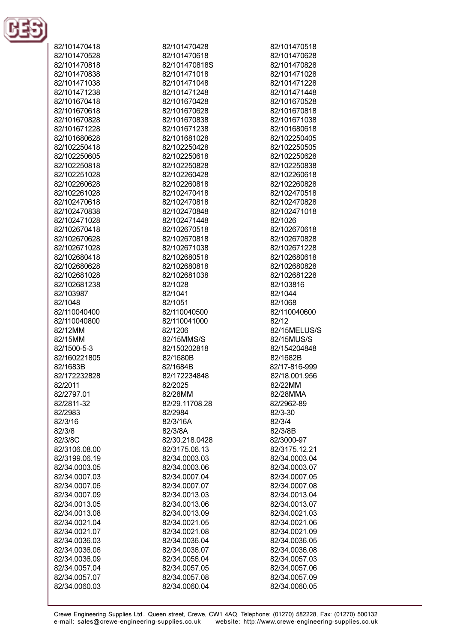

| 82/101470418  | 82/101470428   | 82/101470518  |
|---------------|----------------|---------------|
| 82/101470528  | 82/101470618   | 82/101470628  |
| 82/101470818  | 82/101470818S  | 82/101470828  |
|               |                |               |
| 82/101470838  | 82/101471018   | 82/101471028  |
| 82/101471038  | 82/101471048   | 82/101471228  |
| 82/101471238  | 82/101471248   | 82/101471448  |
|               |                |               |
| 82/101670418  | 82/101670428   | 82/101670528  |
| 82/101670618  | 82/101670628   | 82/101670818  |
| 82/101670828  | 82/101670838   | 82/101671038  |
|               |                |               |
| 82/101671228  | 82/101671238   | 82/101680618  |
| 82/101680628  | 82/101681028   | 82/102250405  |
| 82/102250418  | 82/102250428   | 82/102250505  |
|               |                |               |
| 82/102250605  | 82/102250618   | 82/102250628  |
| 82/102250818  | 82/102250828   | 82/102250838  |
| 82/102251028  | 82/102260428   | 82/102260618  |
|               |                |               |
| 82/102260628  | 82/102260818   | 82/102260828  |
| 82/102261028  | 82/102470418   | 82/102470518  |
| 82/102470618  | 82/102470818   | 82/102470828  |
|               |                |               |
| 82/102470838  | 82/102470848   | 82/102471018  |
| 82/102471028  | 82/102471448   | 82/1026       |
| 82/102670418  | 82/102670518   | 82/102670618  |
| 82/102670628  | 82/102670818   | 82/102670828  |
|               |                |               |
| 82/102671028  | 82/102671038   | 82/102671228  |
| 82/102680418  | 82/102680518   | 82/102680618  |
| 82/102680628  | 82/102680818   | 82/102680828  |
|               |                |               |
| 82/102681028  | 82/102681038   | 82/102681228  |
| 82/102681238  | 82/1028        | 82/103816     |
| 82/103987     | 82/1041        | 82/1044       |
| 82/1048       | 82/1051        | 82/1068       |
|               |                |               |
| 82/110040400  | 82/110040500   | 82/110040600  |
| 82/110040800  | 82/110041000   | 82/12         |
| 82/12MM       | 82/1206        | 82/15MELUS/S  |
| 82/15MM       | 82/15MMS/S     | 82/15MUS/S    |
|               |                |               |
| 82/1500-5-3   | 82/150202818   | 82/154204848  |
| 82/160221805  | 82/1680B       | 82/1682B      |
| 82/1683B      | 82/1684B       | 82/17-816-999 |
|               |                |               |
| 82/172232828  | 82/172234848   | 82/18.001.956 |
| 82/2011       | 82/2025        | 82/22MM       |
| 82/2797.01    | 82/28MM        | 82/28MMA      |
| 82/2811-32    | 82/29.11708.28 | 82/2962-89    |
|               |                |               |
| 82/2983       | 82/2984        | 82/3-30       |
| 82/3/16       | 82/3/16A       | 82/3/4        |
| 82/3/8        | 82/3/8A        | 82/3/8B       |
|               |                |               |
| 82/3/8C       | 82/30.218.0428 | 82/3000-97    |
| 82/3106.08.00 | 82/3175.06.13  | 82/3175.12.21 |
| 82/3199.06.19 | 82/34.0003.03  | 82/34.0003.04 |
| 82/34.0003.05 | 82/34.0003.06  | 82/34.0003.07 |
|               |                |               |
| 82/34.0007.03 | 82/34.0007.04  | 82/34.0007.05 |
| 82/34.0007.06 | 82/34.0007.07  | 82/34.0007.08 |
| 82/34.0007.09 | 82/34.0013.03  | 82/34.0013.04 |
|               |                |               |
| 82/34.0013.05 | 82/34.0013.06  | 82/34.0013.07 |
| 82/34.0013.08 | 82/34.0013.09  | 82/34.0021.03 |
| 82/34.0021.04 | 82/34.0021.05  | 82/34.0021.06 |
| 82/34.0021.07 | 82/34.0021.08  | 82/34.0021.09 |
|               |                |               |
| 82/34.0036.03 | 82/34.0036.04  | 82/34.0036.05 |
| 82/34.0036.06 | 82/34.0036.07  | 82/34.0036.08 |
| 82/34.0036.09 | 82/34.0056.04  | 82/34.0057.03 |
|               |                |               |
| 82/34.0057.04 | 82/34.0057.05  | 82/34.0057.06 |
| 82/34.0057.07 | 82/34.0057.08  | 82/34.0057.09 |
| 82/34.0060.03 | 82/34.0060.04  | 82/34.0060.05 |
|               |                |               |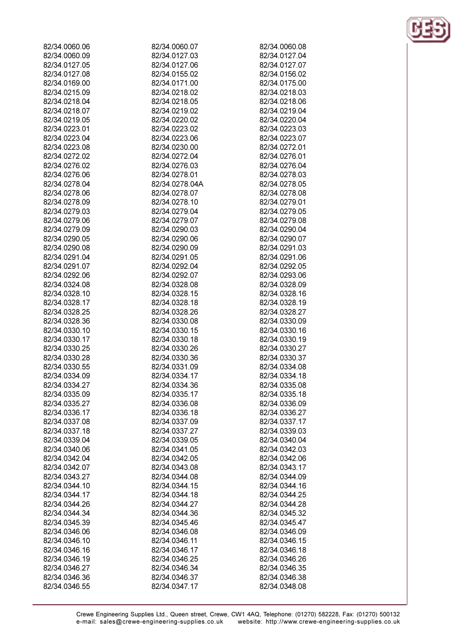| 82/34.0060.06 | 82/34.0060.07  | 82/34.0060.08 |
|---------------|----------------|---------------|
| 82/34.0060.09 | 82/34.0127.03  | 82/34.0127.04 |
| 82/34.0127.05 | 82/34.0127.06  | 82/34.0127.07 |
| 82/34.0127.08 | 82/34.0155.02  | 82/34.0156.02 |
| 82/34.0169.00 | 82/34.0171.00  | 82/34.0175.00 |
|               |                |               |
| 82/34.0215.09 | 82/34.0218.02  | 82/34.0218.03 |
| 82/34.0218.04 | 82/34.0218.05  | 82/34.0218.06 |
| 82/34.0218.07 | 82/34.0219.02  | 82/34.0219.04 |
| 82/34.0219.05 | 82/34.0220.02  | 82/34.0220.04 |
| 82/34.0223.01 | 82/34.0223.02  | 82/34.0223.03 |
| 82/34.0223.04 | 82/34.0223.06  | 82/34.0223.07 |
| 82/34.0223.08 | 82/34.0230.00  | 82/34.0272.01 |
| 82/34.0272.02 | 82/34.0272.04  | 82/34.0276.01 |
| 82/34.0276.02 | 82/34.0276.03  | 82/34.0276.04 |
| 82/34.0276.06 | 82/34.0278.01  | 82/34.0278.03 |
| 82/34.0278.04 | 82/34.0278.04A | 82/34.0278.05 |
| 82/34.0278.06 | 82/34.0278.07  | 82/34.0278.08 |
| 82/34.0278.09 | 82/34.0278.10  | 82/34.0279.01 |
|               |                |               |
| 82/34.0279.03 | 82/34.0279.04  | 82/34.0279.05 |
| 82/34.0279.06 | 82/34.0279.07  | 82/34.0279.08 |
| 82/34.0279.09 | 82/34.0290.03  | 82/34.0290.04 |
| 82/34.0290.05 | 82/34.0290.06  | 82/34.0290.07 |
| 82/34.0290.08 | 82/34.0290.09  | 82/34.0291.03 |
| 82/34.0291.04 | 82/34.0291.05  | 82/34.0291.06 |
| 82/34.0291.07 | 82/34.0292.04  | 82/34.0292.05 |
| 82/34.0292.06 | 82/34.0292.07  | 82/34.0293.06 |
| 82/34.0324.08 | 82/34.0328.08  | 82/34.0328.09 |
| 82/34.0328.10 | 82/34.0328.15  | 82/34.0328.16 |
| 82/34.0328.17 | 82/34.0328.18  | 82/34.0328.19 |
| 82/34.0328.25 | 82/34.0328.26  | 82/34.0328.27 |
| 82/34.0328.36 | 82/34.0330.08  | 82/34.0330.09 |
| 82/34.0330.10 | 82/34.0330.15  | 82/34.0330.16 |
| 82/34.0330.17 | 82/34.0330.18  |               |
|               |                | 82/34.0330.19 |
| 82/34.0330.25 | 82/34.0330.26  | 82/34.0330.27 |
| 82/34.0330.28 | 82/34.0330.36  | 82/34.0330.37 |
| 82/34.0330.55 | 82/34.0331.09  | 82/34.0334.08 |
| 82/34.0334.09 | 82/34.0334.17  | 82/34.0334.18 |
| 82/34.0334.27 | 82/34.0334.36  | 82/34.0335.08 |
| 82/34.0335.09 | 82/34.0335.17  | 82/34.0335.18 |
| 82/34.0335.27 | 82/34.0336.08  | 82/34.0336.09 |
| 82/34.0336.17 | 82/34.0336.18  | 82/34.0336.27 |
| 82/34.0337.08 | 82/34.0337.09  | 82/34.0337.17 |
| 82/34.0337.18 | 82/34.0337.27  | 82/34.0339.03 |
| 82/34.0339.04 | 82/34.0339.05  | 82/34.0340.04 |
| 82/34.0340.06 | 82/34.0341.05  | 82/34.0342.03 |
| 82/34.0342.04 | 82/34.0342.05  | 82/34.0342.06 |
| 82/34.0342.07 | 82/34.0343.08  | 82/34.0343.17 |
| 82/34.0343.27 | 82/34.0344.08  | 82/34.0344.09 |
| 82/34.0344.10 | 82/34.0344.15  | 82/34.0344.16 |
|               |                |               |
| 82/34.0344.17 | 82/34.0344.18  | 82/34.0344.25 |
| 82/34.0344.26 | 82/34.0344.27  | 82/34.0344.28 |
| 82/34.0344.34 | 82/34.0344.36  | 82/34.0345.32 |
| 82/34.0345.39 | 82/34.0345.46  | 82/34.0345.47 |
| 82/34.0346.06 | 82/34.0346.08  | 82/34.0346.09 |
| 82/34.0346.10 | 82/34.0346.11  | 82/34.0346.15 |
| 82/34.0346.16 | 82/34.0346.17  | 82/34.0346.18 |
| 82/34.0346.19 | 82/34.0346.25  | 82/34.0346.26 |
| 82/34.0346.27 | 82/34.0346.34  | 82/34.0346.35 |
| 82/34.0346.36 | 82/34.0346.37  | 82/34.0346.38 |
| 82/34.0346.55 | 82/34.0347.17  | 82/34.0348.08 |
|               |                |               |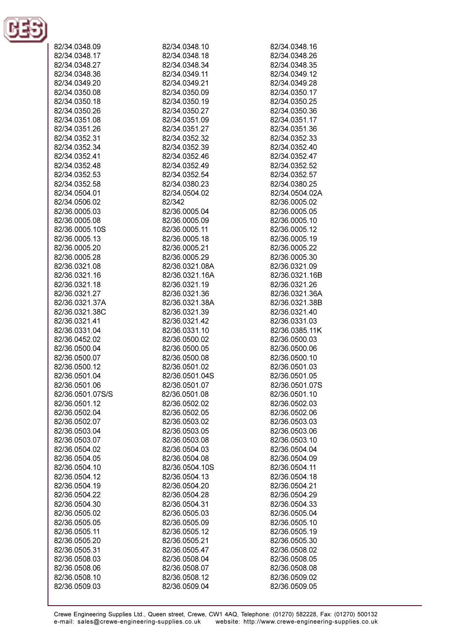

| 82/34.0348.09    | 82/34.0348.10  | 82/34.0348.16  |
|------------------|----------------|----------------|
| 82/34.0348.17    | 82/34.0348.18  | 82/34.0348.26  |
| 82/34.0348.27    | 82/34.0348.34  | 82/34.0348.35  |
| 82/34.0348.36    | 82/34.0349.11  | 82/34.0349.12  |
| 82/34.0349.20    | 82/34.0349.21  | 82/34.0349.28  |
|                  |                |                |
| 82/34.0350.08    | 82/34.0350.09  | 82/34.0350.17  |
| 82/34.0350.18    | 82/34.0350.19  | 82/34.0350.25  |
| 82/34.0350.26    | 82/34.0350.27  | 82/34.0350.36  |
| 82/34.0351.08    | 82/34.0351.09  | 82/34.0351.17  |
| 82/34.0351.26    | 82/34.0351.27  | 82/34.0351.36  |
| 82/34.0352.31    | 82/34.0352.32  | 82/34.0352.33  |
|                  |                |                |
| 82/34.0352.34    | 82/34.0352.39  | 82/34.0352.40  |
| 82/34.0352.41    | 82/34.0352.46  | 82/34.0352.47  |
| 82/34.0352.48    | 82/34.0352.49  | 82/34.0352.52  |
| 82/34.0352.53    | 82/34.0352.54  | 82/34.0352.57  |
| 82/34.0352.58    | 82/34.0380.23  | 82/34.0380.25  |
| 82/34.0504.01    | 82/34.0504.02  | 82/34.0504.02A |
|                  | 82/342         | 82/36.0005.02  |
| 82/34.0506.02    |                |                |
| 82/36.0005.03    | 82/36.0005.04  | 82/36.0005.05  |
| 82/36.0005.08    | 82/36.0005.09  | 82/36.0005.10  |
| 82/36.0005.10S   | 82/36.0005.11  | 82/36.0005.12  |
| 82/36.0005.13    | 82/36.0005.18  | 82/36.0005.19  |
| 82/36.0005.20    | 82/36.0005.21  | 82/36.0005.22  |
| 82/36.0005.28    | 82/36.0005.29  | 82/36.0005.30  |
|                  |                |                |
| 82/36.0321.08    | 82/36.0321.08A | 82/36.0321.09  |
| 82/36.0321.16    | 82/36.0321.16A | 82/36.0321.16B |
| 82/36.0321.18    | 82/36.0321.19  | 82/36.0321.26  |
| 82/36.0321.27    | 82/36.0321.36  | 82/36.0321.36A |
| 82/36.0321.37A   | 82/36.0321.38A | 82/36.0321.38B |
| 82/36.0321.38C   | 82/36.0321.39  | 82/36.0321.40  |
| 82/36.0321.41    | 82/36.0321.42  | 82/36.0331.03  |
| 82/36.0331.04    | 82/36.0331.10  | 82/36.0385.11K |
|                  |                |                |
| 82/36.0452.02    | 82/36.0500.02  | 82/36.0500.03  |
| 82/36.0500.04    | 82/36.0500.05  | 82/36.0500.06  |
| 82/36.0500.07    | 82/36.0500.08  | 82/36.0500.10  |
| 82/36.0500.12    | 82/36.0501.02  | 82/36.0501.03  |
| 82/36.0501.04    | 82/36.0501.04S | 82/36.0501.05  |
| 82/36.0501.06    | 82/36.0501.07  | 82/36.0501.07S |
| 82/36.0501.07S/S | 82/36.0501.08  | 82/36.0501.10  |
|                  |                |                |
| 82/36.0501.12    | 82/36.0502.02  | 82/36.0502.03  |
| 82/36.0502.04    | 82/36.0502.05  | 82/36.0502.06  |
| 82/36.0502.07    | 82/36.0503.02  | 82/36.0503.03  |
| 82/36.0503.04    | 82/36.0503.05  | 82/36.0503.06  |
| 82/36.0503.07    | 82/36.0503.08  | 82/36.0503.10  |
| 82/36.0504.02    | 82/36.0504.03  | 82/36.0504.04  |
| 82/36.0504.05    | 82/36.0504.08  | 82/36.0504.09  |
|                  |                |                |
| 82/36.0504.10    | 82/36.0504.10S | 82/36.0504.11  |
| 82/36.0504.12    | 82/36.0504.13  | 82/36.0504.18  |
| 82/36.0504.19    | 82/36.0504.20  | 82/36.0504.21  |
| 82/36.0504.22    | 82/36.0504.28  | 82/36.0504.29  |
| 82/36.0504.30    | 82/36.0504.31  | 82/36.0504.33  |
| 82/36.0505.02    | 82/36.0505.03  | 82/36.0505.04  |
| 82/36.0505.05    | 82/36.0505.09  | 82/36.0505.10  |
|                  |                |                |
| 82/36.0505.11    | 82/36.0505.12  | 82/36.0505.19  |
| 82/36.0505.20    | 82/36.0505.21  | 82/36.0505.30  |
| 82/36.0505.31    | 82/36.0505.47  | 82/36.0508.02  |
| 82/36.0508.03    | 82/36.0508.04  | 82/36.0508.05  |
| 82/36.0508.06    | 82/36.0508.07  | 82/36.0508.08  |
| 82/36.0508.10    | 82/36.0508.12  | 82/36.0509.02  |
| 82/36.0509.03    | 82/36.0509.04  | 82/36.0509.05  |
|                  |                |                |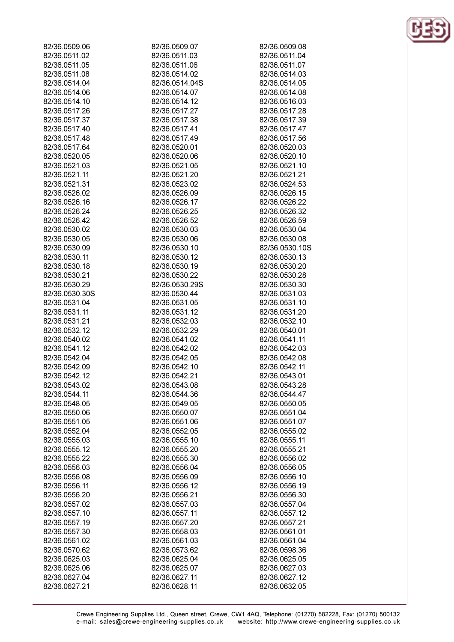| 82/36.0509.06  | 82/36.0509.07  | 82/36.0509.08  |
|----------------|----------------|----------------|
| 82/36.0511.02  | 82/36.0511.03  | 82/36.0511.04  |
| 82/36.0511.05  | 82/36.0511.06  | 82/36.0511.07  |
| 82/36.0511.08  | 82/36.0514.02  | 82/36.0514.03  |
| 82/36.0514.04  | 82/36.0514.04S | 82/36.0514.05  |
| 82/36.0514.06  | 82/36.0514.07  | 82/36.0514.08  |
| 82/36.0514.10  | 82/36.0514.12  | 82/36.0516.03  |
| 82/36.0517.26  | 82/36.0517.27  | 82/36.0517.28  |
| 82/36.0517.37  | 82/36.0517.38  | 82/36.0517.39  |
| 82/36.0517.40  | 82/36.0517.41  | 82/36.0517.47  |
| 82/36.0517.48  | 82/36.0517.49  | 82/36.0517.56  |
| 82/36.0517.64  | 82/36.0520.01  | 82/36.0520.03  |
| 82/36.0520.05  | 82/36.0520.06  | 82/36.0520.10  |
| 82/36.0521.03  | 82/36.0521.05  | 82/36.0521.10  |
| 82/36.0521.11  | 82/36.0521.20  | 82/36.0521.21  |
| 82/36.0521.31  | 82/36.0523.02  | 82/36.0524.53  |
| 82/36.0526.02  | 82/36.0526.09  | 82/36.0526.15  |
| 82/36.0526.16  | 82/36.0526.17  | 82/36.0526.22  |
| 82/36.0526.24  | 82/36.0526.25  | 82/36.0526.32  |
| 82/36.0526.42  | 82/36.0526.52  | 82/36.0526.59  |
| 82/36.0530.02  | 82/36.0530.03  | 82/36.0530.04  |
| 82/36.0530.05  | 82/36.0530.06  | 82/36.0530.08  |
| 82/36.0530.09  |                | 82/36.0530.10S |
| 82/36.0530.11  | 82/36.0530.10  | 82/36.0530.13  |
|                | 82/36.0530.12  |                |
| 82/36.0530.18  | 82/36.0530.19  | 82/36.0530.20  |
| 82/36.0530.21  | 82/36.0530.22  | 82/36.0530.28  |
| 82/36.0530.29  | 82/36.0530.29S | 82/36.0530.30  |
| 82/36.0530.30S | 82/36.0530.44  | 82/36.0531.03  |
| 82/36.0531.04  | 82/36.0531.05  | 82/36.0531.10  |
| 82/36.0531.11  | 82/36.0531.12  | 82/36.0531.20  |
| 82/36.0531.21  | 82/36.0532.03  | 82/36.0532.10  |
| 82/36.0532.12  | 82/36.0532.29  | 82/36.0540.01  |
| 82/36.0540.02  | 82/36.0541.02  | 82/36.0541.11  |
| 82/36.0541.12  | 82/36.0542.02  | 82/36.0542.03  |
| 82/36.0542.04  | 82/36.0542.05  | 82/36.0542.08  |
| 82/36.0542.09  | 82/36.0542.10  | 82/36.0542.11  |
| 82/36.0542.12  | 82/36.0542.21  | 82/36.0543.01  |
| 82/36.0543.02  | 82/36.0543.08  | 82/36.0543.28  |
| 82/36.0544.11  | 82/36.0544.36  | 82/36.0544.47  |
| 82/36.0548.05  | 82/36.0549.05  | 82/36.0550.05  |
| 82/36.0550.06  | 82/36.0550.07  | 82/36.0551.04  |
| 82/36.0551.05  | 82/36.0551.06  | 82/36.0551.07  |
| 82/36.0552.04  | 82/36.0552.05  | 82/36.0555.02  |
| 82/36.0555.03  | 82/36.0555.10  | 82/36.0555.11  |
| 82/36.0555.12  | 82/36.0555.20  | 82/36.0555.21  |
| 82/36.0555.22  | 82/36.0555.30  | 82/36.0556.02  |
| 82/36.0556.03  | 82/36.0556.04  | 82/36.0556.05  |
| 82/36.0556.08  | 82/36.0556.09  | 82/36.0556.10  |
| 82/36.0556.11  | 82/36.0556.12  | 82/36.0556.19  |
| 82/36.0556.20  | 82/36.0556.21  | 82/36.0556.30  |
| 82/36.0557.02  | 82/36.0557.03  | 82/36.0557.04  |
| 82/36.0557.10  | 82/36.0557.11  | 82/36.0557.12  |
| 82/36.0557.19  | 82/36.0557.20  | 82/36.0557.21  |
| 82/36.0557.30  | 82/36.0558.03  | 82/36.0561.01  |
| 82/36.0561.02  | 82/36.0561.03  | 82/36.0561.04  |
| 82/36.0570.62  | 82/36.0573.62  | 82/36.0598.36  |
| 82/36.0625.03  | 82/36.0625.04  | 82/36.0625.05  |
| 82/36.0625.06  | 82/36.0625.07  | 82/36.0627.03  |
| 82/36.0627.04  | 82/36.0627.11  | 82/36.0627.12  |
| 82/36.0627.21  | 82/36.0628.11  | 82/36.0632.05  |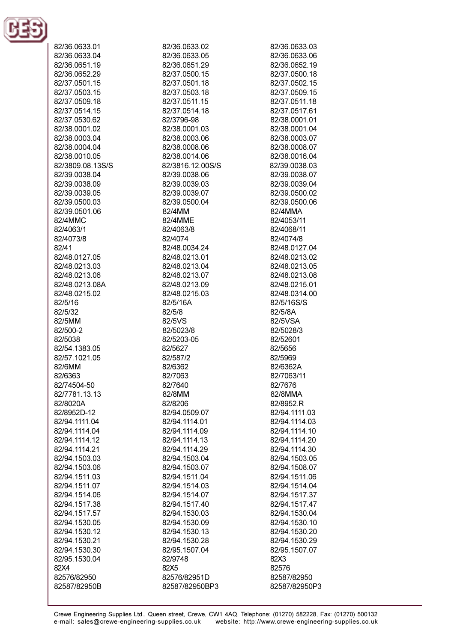

| 82/36.0633.01<br>82/36.0633.04                  |  |
|-------------------------------------------------|--|
| 82/36.0651.19<br>82/36.0652.29<br>82/37.0501.15 |  |
| 82/37.0503.15<br>82/37.0509.18                  |  |
| 82/37.0514.15<br>82/37.0530.62                  |  |
| 82/38.0001.02<br>82/38.0003.04                  |  |
| 82/38.0004.04<br>82/38.0010.05                  |  |
| 82/3809.08.13S/S<br>82/39.0038.04               |  |
| 82/39.0038.09<br>82/39.0039.05                  |  |
| 82/39.0500.03<br>82/39.0501.06<br>82/4MMC       |  |
| 82/4063/1<br>82/4073/8                          |  |
| 82/41<br>82/48.0127.05                          |  |
| 82/48.0213.03<br>82/48.0213.06                  |  |
| 82/48.0213.08A<br>82/48.0215.02                 |  |
| 82/5/16<br>82/5/32<br>82/5MM                    |  |
| 82/500-2<br>82/5038                             |  |
| 82/54.1383.05<br>82/57.1021.05                  |  |
| 82/6MM<br>82/6363                               |  |
| 82/74504-50<br>82/7781.13.13                    |  |
| 82/8020A<br>82/8952D-12<br>82/94.1111.04        |  |
| 82/94.1114.04<br>82/94.1114.12                  |  |
| 82/94.1114.21<br>82/94.1503.03                  |  |
| 82/94.1503.06<br>82/94.1511.03                  |  |
| 82/94.1511.07<br>82/94.1514.06                  |  |
| 82/94.1517.38<br>82/94.1517.57<br>82/94.1530.05 |  |
| 82/94.1530.12<br>82/94.1530.21                  |  |
| 82/94.1530.30<br>82/95.1530.04                  |  |
| 82X4<br>82576/82950                             |  |
| 82587/82950B                                    |  |

82/36.0633.02 82/36.0633.05 82/36 0651 29 82/37.0500.15 82/37.0501.18 82/37.0503.18 82/37.0511.15 82/37.0514.18 82/3796-98 82/38.0001.03 82/38.0003.06 82/38.0008.06 82/38.0014.06 82/3816.12.00S/S 82/39.0038.06 82/39.0039.03 82/39.0039.07 82/39.0500.04 82/4MM 82/4MME 82/4063/8 82/4074 82/48.0034.24 82/48.0213.01 82/48.0213.04 82/48.0213.07 82/48.0213.09 82/48.0215.03 82/5/16A 82/5/8 82/5VS 82/5023/8 82/5203-05 82/5627 82/587/2 82/6362 82/7063 82/7640 82/8MM 82/8206 82/94.0509.07 82/94.1114.01 82/94.1114.09 82/94.1114.13 82/94.1114.29 82/94.1503.04 82/94.1503.07 82/94.1511.04 82/94.1514.03 82/94.1514.07 82/94.1517.40 82/94.1530.03 82/94.1530.09 82/94.1530.13 82/94.1530.28 82/95.1507.04 82/9748 82X5 82576/82951D

82/36.0633.03 82/36.0633.06 82/36 0652 19 82/37.0500.18 82/37.0502.15 82/37.0509.15 82/37.0511.18 82/37.0517.61 82/38.0001.01 82/38.0001.04 82/38.0003.07 82/38.0008.07 82/38.0016.04 82/39.0038.03 82/39.0038.07 82/39.0039.04 82/39.0500.02 82/39.0500.06 82/4MMA 82/4053/11 82/4068/11 82/4074/8 82/48.0127.04 82/48.0213.02 82/48.0213.05 82/48.0213.08 82/48.0215.01 82/48.0314.00 82/5/16S/S 82/5/8A 82/5VSA 82/5028/3 82/52601 82/5656 82/5969 82/6362A 82/7063/11 82/7676 82/8MMA 82/8952.R 82/94.1111.03 82/94.1114.03 82/94.1114.10 82/94.1114.20 82/94.1114.30 82/94.1503.05 82/94.1508.07 82/94.1511.06 82/94.1514.04 82/94.1517.37 82/94.1517.47 82/94.1530.04 82/94.1530.10 82/94.1530.20 82/94.1530.29 82/95.1507.07 82X3 82576 82587/82950 82587/82950P3

82587/82950BP3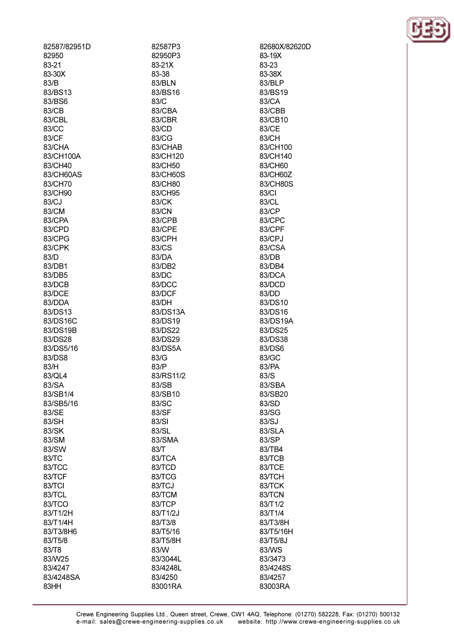| 82587/82951D     | 82587P3          | 82680X/82620D   |
|------------------|------------------|-----------------|
| 82950            | 82950P3          | 83-19X          |
| 83-21            | 83-21X           | 83-23           |
| 83-30X           | 83-38            | 83-38X          |
| 83/B             | 83/BLN           | 83/BLP          |
| 83/BS13          | 83/BS16          | 83/BS19         |
| 83/BS6           | 83/C             | 83/CA           |
| 83/CB            | 83/CBA           | 83/CBB          |
| 83/CBL           | 83/CBR           | 83/CB10         |
| 83/CC            | 83/CD            | 83/CE           |
| 83/CF            | 83/CG            | 83/CH           |
| 83/CHA           | 83/CHAB          | 83/CH100        |
| 83/CH100A        | 83/CH120         | 83/CH140        |
| 83/CH40          | 83/CH50          | 83/CH60         |
| 83/CH60AS        | 83/CH60S         | 83/CH60Z        |
| 83/CH70          | 83/CH80          | 83/CH80S        |
| 83/CH90          | 83/CH95          | 83/CI           |
| 83/CJ            | 83/CK            | 83/CL           |
| 83/CM            | 83/CN            | 83/CP           |
| 83/CPA           | 83/CPB           | 83/CPC          |
| 83/CPD           | 83/CPE           | 83/CPF          |
| 83/CPG           | 83/CPH           | 83/CPJ          |
| 83/CPK           | 83/CS            | 83/CSA          |
| 83/D             | 83/DA            | 83/DB           |
| 83/DB1           | 83/DB2           | 83/DB4          |
| 83/DB5           | 83/DC            | 83/DCA          |
| 83/DCB<br>83/DCE | 83/DCC<br>83/DCF | 83/DCD<br>83/DD |
| 83/DDA           | 83/DH            | 83/DS10         |
| 83/DS13          | 83/DS13A         | 83/DS16         |
| 83/DS16C         | 83/DS19          | 83/DS19A        |
| 83/DS19B         | 83/DS22          | 83/DS25         |
| 83/DS28          | 83/DS29          | 83/DS38         |
| 83/DS5/16        | 83/DS5A          | 83/DS6          |
| 83/DS8           | 83/G             | 83/GC           |
| 83/H             | 83/P             | 83/PA           |
| 83/QL4           | 83/RS11/2        | 83/S            |
| 83/SA            | 83/SB            | 83/SBA          |
| 83/SB1/4         | 83/SB10          | 83/SB20         |
| 83/SB5/16        | 83/SC            | 83/SD           |
| 83/SE            | 83/SF            | 83/SG           |
| 83/SH            | 83/SI            | 83/SJ           |
| 83/SK            | 83/SL            | 83/SLA          |
| 83/SM            | 83/SMA           | 83/SP           |
| 83/SW            | 83/T             | 83/TB4          |
| 83/TC            | 83/TCA           | 83/TCB          |
| 83/TCC           | 83/TCD           | 83/TCE          |
| 83/TCF           | 83/TCG           | 83/TCH          |
| 83/TCI           | 83/TCJ           | 83/TCK          |
| 83/TCL           | 83/TCM           | 83/TCN          |
| 83/TCO           | 83/TCP           | 83/T1/2         |
| 83/T1/2H         | 83/T1/2J         | 83/T1/4         |
| 83/T1/4H         | 83/T3/8          | 83/T3/8H        |
| 83/T3/8H6        | 83/T5/16         | 83/T5/16H       |
| 83/T5/8          | 83/T5/8H         | 83/T5/8J        |
| 83/T8            | 83/W             | 83/WS           |
| 83/W25           | 83/3044L         | 83/3473         |
| 83/4247          | 83/4248L         | 83/4248S        |
| 83/4248SA        | 83/4250          | 83/4257         |
| 83HH             | 83001RA          | 83003RA         |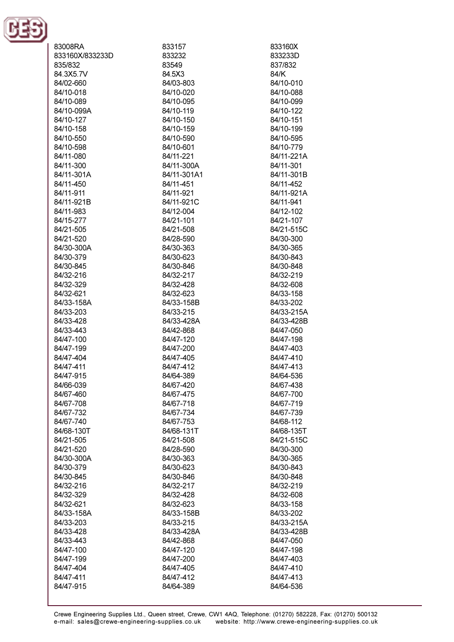

| 83008RA         | 833157      | 833160X    |
|-----------------|-------------|------------|
| 833160X/833233D | 833232      | 833233D    |
|                 |             |            |
| 835/832         | 83549       | 837/832    |
| 84.3X5.7V       | 84.5X3      | 84/K       |
| 84/02-660       | 84/03-803   | 84/10-010  |
| 84/10-018       | 84/10-020   | 84/10-088  |
|                 |             |            |
| 84/10-089       | 84/10-095   | 84/10-099  |
| 84/10-099A      | 84/10-119   | 84/10-122  |
| 84/10-127       | 84/10-150   | 84/10-151  |
| 84/10-158       | 84/10-159   | 84/10-199  |
| 84/10-550       | 84/10-590   | 84/10-595  |
|                 |             |            |
| 84/10-598       | 84/10-601   | 84/10-779  |
| 84/11-080       | 84/11-221   | 84/11-221A |
| 84/11-300       | 84/11-300A  | 84/11-301  |
| 84/11-301A      | 84/11-301A1 | 84/11-301B |
|                 |             |            |
| 84/11-450       | 84/11-451   | 84/11-452  |
| 84/11-911       | 84/11-921   | 84/11-921A |
| 84/11-921B      | 84/11-921C  | 84/11-941  |
| 84/11-983       | 84/12-004   | 84/12-102  |
| 84/15-277       | 84/21-101   | 84/21-107  |
|                 |             |            |
| 84/21-505       | 84/21-508   | 84/21-515C |
| 84/21-520       | 84/28-590   | 84/30-300  |
| 84/30-300A      | 84/30-363   | 84/30-365  |
| 84/30-379       | 84/30-623   | 84/30-843  |
| 84/30-845       | 84/30-846   | 84/30-848  |
|                 |             |            |
| 84/32-216       | 84/32-217   | 84/32-219  |
| 84/32-329       | 84/32-428   | 84/32-608  |
| 84/32-621       | 84/32-623   | 84/33-158  |
| 84/33-158A      | 84/33-158B  | 84/33-202  |
| 84/33-203       | 84/33-215   | 84/33-215A |
|                 |             |            |
| 84/33-428       | 84/33-428A  | 84/33-428B |
| 84/33-443       | 84/42-868   | 84/47-050  |
| 84/47-100       | 84/47-120   | 84/47-198  |
| 84/47-199       | 84/47-200   | 84/47-403  |
| 84/47-404       | 84/47-405   | 84/47-410  |
| 84/47-411       | 84/47-412   | 84/47-413  |
|                 |             |            |
| 84/47-915       | 84/64-389   | 84/64-536  |
| 84/66-039       | 84/67-420   | 84/67-438  |
| 84/67-460       | 84/67-475   | 84/67-700  |
| 84/67-708       | 84/67-718   | 84/67-719  |
| 84/67-732       | 84/67-734   | 84/67-739  |
|                 |             |            |
| 84/67-740       | 84/67-753   | 84/68-112  |
| 84/68-130T      | 84/68-131T  | 84/68-135T |
| 84/21-505       | 84/21-508   | 84/21-515C |
| 84/21-520       | 84/28-590   | 84/30-300  |
| 84/30-300A      | 84/30-363   | 84/30-365  |
|                 |             |            |
| 84/30-379       | 84/30-623   | 84/30-843  |
| 84/30-845       | 84/30-846   | 84/30-848  |
| 84/32-216       | 84/32-217   | 84/32-219  |
| 84/32-329       | 84/32-428   | 84/32-608  |
| 84/32-621       | 84/32-623   | 84/33-158  |
|                 |             |            |
| 84/33-158A      | 84/33-158B  | 84/33-202  |
| 84/33-203       | 84/33-215   | 84/33-215A |
| 84/33-428       | 84/33-428A  | 84/33-428B |
| 84/33-443       | 84/42-868   | 84/47-050  |
| 84/47-100       | 84/47-120   | 84/47-198  |
| 84/47-199       | 84/47-200   | 84/47-403  |
|                 |             |            |
| 84/47-404       | 84/47-405   | 84/47-410  |
| 84/47-411       | 84/47-412   | 84/47-413  |
| 84/47-915       | 84/64-389   | 84/64-536  |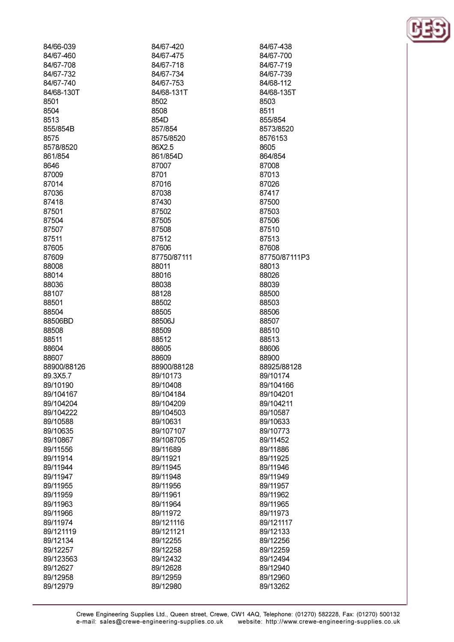| 84/66-039   | 84/67-420   | 84/67-438     |
|-------------|-------------|---------------|
| 84/67-460   | 84/67-475   | 84/67-700     |
| 84/67-708   | 84/67-718   | 84/67-719     |
| 84/67-732   | 84/67-734   | 84/67-739     |
| 84/67-740   | 84/67-753   | 84/68-112     |
| 84/68-130T  | 84/68-131T  | 84/68-135T    |
| 8501        | 8502        | 8503          |
| 8504        | 8508        | 8511          |
| 8513        | 854D        | 855/854       |
| 855/854B    | 857/854     | 8573/8520     |
| 8575        | 8575/8520   | 8576153       |
| 8578/8520   | 86X2.5      | 8605          |
| 861/854     | 861/854D    | 864/854       |
| 8646        | 87007       | 87008         |
| 87009       | 8701        | 87013         |
| 87014       | 87016       | 87026         |
| 87036       | 87038       | 87417         |
| 87418       | 87430       | 87500         |
| 87501       | 87502       | 87503         |
| 87504       | 87505       | 87506         |
| 87507       | 87508       | 87510         |
| 87511       | 87512       | 87513         |
| 87605       | 87606       | 87608         |
| 87609       | 87750/87111 | 87750/87111P3 |
| 88008       | 88011       | 88013         |
| 88014       | 88016       | 88026         |
| 88036       | 88038       | 88039         |
| 88107       | 88128       | 88500         |
| 88501       | 88502       | 88503         |
| 88504       | 88505       | 88506         |
| 88506BD     | 88506J      | 88507         |
| 88508       | 88509       | 88510         |
| 88511       | 88512       | 88513         |
| 88604       | 88605       | 88606         |
| 88607       | 88609       | 88900         |
| 88900/88126 | 88900/88128 | 88925/88128   |
| 89.3X5.7    | 89/10173    | 89/10174      |
| 89/10190    | 89/10408    | 89/104166     |
| 89/104167   | 89/104184   | 89/104201     |
| 89/104204   | 89/104209   | 89/104211     |
| 89/104222   | 89/104503   | 89/10587      |
| 89/10588    | 89/10631    | 89/10633      |
| 89/10635    | 89/107107   | 89/10773      |
| 89/10867    | 89/108705   | 89/11452      |
| 89/11556    | 89/11689    | 89/11886      |
| 89/11914    | 89/11921    | 89/11925      |
| 89/11944    | 89/11945    | 89/11946      |
| 89/11947    | 89/11948    | 89/11949      |
| 89/11955    | 89/11956    | 89/11957      |
| 89/11959    | 89/11961    | 89/11962      |
| 89/11963    | 89/11964    | 89/11965      |
| 89/11966    | 89/11972    | 89/11973      |
| 89/11974    | 89/121116   | 89/121117     |
| 89/121119   | 89/121121   | 89/12133      |
| 89/12134    | 89/12255    | 89/12256      |
| 89/12257    | 89/12258    | 89/12259      |
| 89/123563   | 89/12432    | 89/12494      |
| 89/12627    | 89/12628    | 89/12940      |
| 89/12958    | 89/12959    | 89/12960      |
| 89/12979    | 89/12980    | 89/13262      |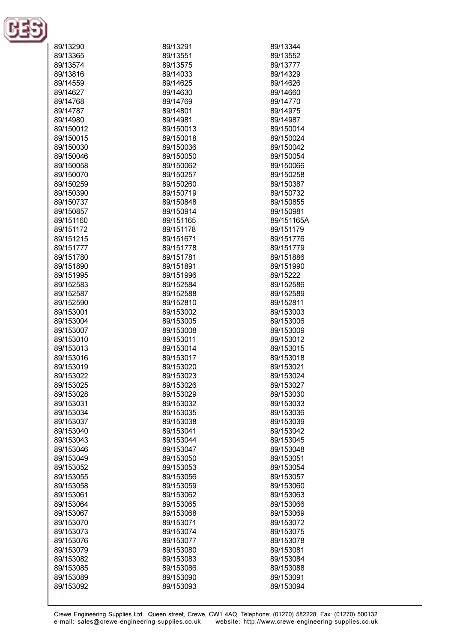

| 89/13290  | 89/13291  | 89/13344   |
|-----------|-----------|------------|
| 89/13365  | 89/13551  | 89/13552   |
| 89/13574  | 89/13575  | 89/13777   |
| 89/13816  | 89/14033  | 89/14329   |
| 89/14559  | 89/14625  | 89/14626   |
| 89/14627  | 89/14630  | 89/14660   |
| 89/14768  | 89/14769  | 89/14770   |
| 89/14787  | 89/14801  | 89/14975   |
| 89/14980  | 89/14981  | 89/14987   |
| 89/150012 | 89/150013 | 89/150014  |
| 89/150015 | 89/150018 | 89/150024  |
| 89/150030 | 89/150036 | 89/150042  |
| 89/150046 | 89/150050 | 89/150054  |
| 89/150058 | 89/150062 | 89/150066  |
| 89/150070 | 89/150257 | 89/150258  |
| 89/150259 | 89/150260 | 89/150387  |
| 89/150390 | 89/150719 | 89/150732  |
| 89/150737 | 89/150848 | 89/150855  |
| 89/150857 | 89/150914 | 89/150981  |
| 89/151160 | 89/151165 | 89/151165A |
| 89/151172 | 89/151178 | 89/151179  |
| 89/151215 | 89/151671 | 89/151776  |
| 89/151777 | 89/151778 | 89/151779  |
| 89/151780 | 89/151781 | 89/151886  |
| 89/151890 | 89/151891 | 89/151990  |
| 89/151995 | 89/151996 | 89/15222   |
| 89/152583 | 89/152584 | 89/152586  |
| 89/152587 | 89/152588 | 89/152589  |
| 89/152590 | 89/152810 | 89/152811  |
| 89/153001 | 89/153002 | 89/153003  |
| 89/153004 | 89/153005 | 89/153006  |
| 89/153007 | 89/153008 | 89/153009  |
| 89/153010 | 89/153011 | 89/153012  |
| 89/153013 | 89/153014 | 89/153015  |
| 89/153016 | 89/153017 | 89/153018  |
| 89/153019 | 89/153020 | 89/153021  |
| 89/153022 | 89/153023 | 89/153024  |
| 89/153025 | 89/153026 | 89/153027  |
| 89/153028 | 89/153029 | 89/153030  |
| 89/153031 | 89/153032 | 89/153033  |
| 89/153034 | 89/153035 | 89/153036  |
| 89/153037 | 89/153038 | 89/153039  |
| 89/153040 | 89/153041 | 89/153042  |
| 89/153043 | 89/153044 | 89/153045  |
| 89/153046 | 89/153047 | 89/153048  |
| 89/153049 | 89/153050 | 89/153051  |
| 89/153052 | 89/153053 | 89/153054  |
| 89/153055 | 89/153056 | 89/153057  |
| 89/153058 | 89/153059 | 89/153060  |
| 89/153061 | 89/153062 | 89/153063  |
| 89/153064 | 89/153065 | 89/153066  |
| 89/153067 | 89/153068 | 89/153069  |
| 89/153070 | 89/153071 | 89/153072  |
| 89/153073 | 89/153074 | 89/153075  |
| 89/153076 | 89/153077 | 89/153078  |
| 89/153079 | 89/153080 | 89/153081  |
| 89/153082 | 89/153083 | 89/153084  |
| 89/153085 | 89/153086 | 89/153088  |
| 89/153089 | 89/153090 | 89/153091  |
| 89/153092 | 89/153093 | 89/153094  |
|           |           |            |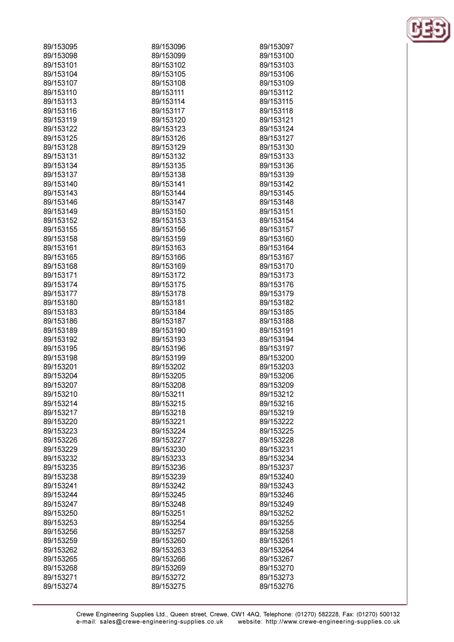| 89/153095 | 89/153096              | 89/153097              |
|-----------|------------------------|------------------------|
| 89/153098 | 89/153099              | 89/153100              |
| 89/153101 | 89/153102              | 89/153103              |
| 89/153104 | 89/153105              | 89/153106              |
| 89/153107 | 89/153108              | 89/153109              |
| 89/153110 | 89/153111              | 89/153112              |
| 89/153113 | 89/153114              | 89/153115              |
| 89/153116 | 89/153117              | 89/153118              |
| 89/153119 | 89/153120              | 89/153121              |
| 89/153122 | 89/153123              | 89/153124              |
| 89/153125 | 89/153126              | 89/153127              |
| 89/153128 | 89/153129              | 89/153130              |
| 89/153131 | 89/153132              | 89/153133              |
| 89/153134 | 89/153135              | 89/153136              |
| 89/153137 | 89/153138              | 89/153139              |
| 89/153140 | 89/153141              | 89/153142              |
| 89/153143 | 89/153144              | 89/153145              |
| 89/153146 | 89/153147              | 89/153148              |
| 89/153149 | 89/153150              | 89/153151              |
| 89/153152 | 89/153153              | 89/153154              |
| 89/153155 | 89/153156              | 89/153157              |
| 89/153158 | 89/153159              | 89/153160              |
| 89/153161 | 89/153163              | 89/153164              |
| 89/153165 | 89/153166              | 89/153167              |
| 89/153168 | 89/153169              | 89/153170              |
| 89/153171 | 89/153172              | 89/153173              |
| 89/153174 | 89/153175              | 89/153176              |
| 89/153177 | 89/153178              | 89/153179              |
| 89/153180 | 89/153181              | 89/153182              |
| 89/153183 | 89/153184              | 89/153185              |
| 89/153186 | 89/153187              | 89/153188              |
| 89/153189 | 89/153190              | 89/153191              |
| 89/153192 | 89/153193              | 89/153194              |
| 89/153195 | 89/153196              | 89/153197              |
| 89/153198 | 89/153199              | 89/153200              |
| 89/153201 | 89/153202              | 89/153203              |
| 89/153204 | 89/153205              | 89/153206              |
| 89/153207 | 89/153208              | 89/153209              |
| 89/153210 |                        |                        |
| 89/153214 | 89/153211<br>89/153215 | 89/153212<br>89/153216 |
| 89/153217 | 89/153218              | 89/153219              |
| 89/153220 | 89/153221              | 89/153222              |
| 89/153223 | 89/153224              | 89/153225              |
| 89/153226 | 89/153227              | 89/153228              |
|           |                        |                        |
| 89/153229 | 89/153230              | 89/153231              |
| 89/153232 | 89/153233              | 89/153234              |
| 89/153235 | 89/153236              | 89/153237              |
| 89/153238 | 89/153239              | 89/153240              |
| 89/153241 | 89/153242              | 89/153243              |
| 89/153244 | 89/153245              | 89/153246              |
| 89/153247 | 89/153248              | 89/153249              |
| 89/153250 | 89/153251              | 89/153252              |
| 89/153253 | 89/153254              | 89/153255              |
| 89/153256 | 89/153257              | 89/153258              |
| 89/153259 | 89/153260              | 89/153261              |
| 89/153262 | 89/153263              | 89/153264              |
| 89/153265 | 89/153266              | 89/153267              |
| 89/153268 | 89/153269              | 89/153270              |
| 89/153271 | 89/153272              | 89/153273              |
| 89/153274 | 89/153275              | 89/153276              |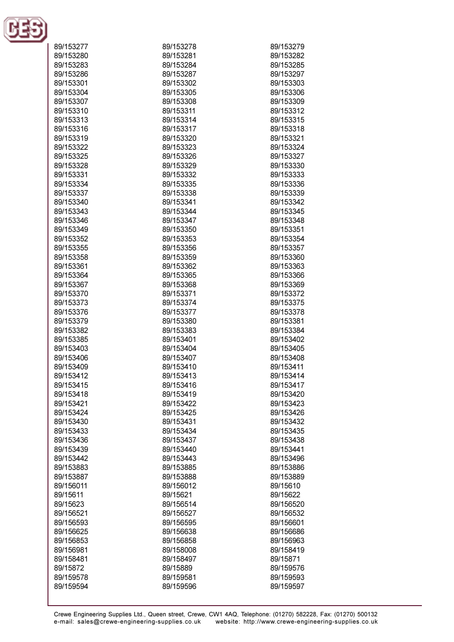

| 89/153277              | 89/153278 | 89/153279 |
|------------------------|-----------|-----------|
| 89/153280              | 89/153281 | 89/153282 |
| 89/153283              | 89/153284 | 89/153285 |
| 89/153286              | 89/153287 | 89/153297 |
| 89/153301              | 89/153302 | 89/153303 |
|                        |           | 89/153306 |
| 89/153304              | 89/153305 |           |
| 89/153307              | 89/153308 | 89/153309 |
| 89/153310              | 89/153311 | 89/153312 |
| 89/153313              | 89/153314 | 89/153315 |
| 89/153316              | 89/153317 | 89/153318 |
| 89/153319              | 89/153320 | 89/153321 |
| 89/153322              | 89/153323 | 89/153324 |
| 89/153325              | 89/153326 | 89/153327 |
| 89/153328              | 89/153329 | 89/153330 |
| 89/153331              | 89/153332 | 89/153333 |
| 89/153334              | 89/153335 | 89/153336 |
| 89/153337              | 89/153338 | 89/153339 |
| 89/153340              | 89/153341 | 89/153342 |
| 89/153343              | 89/153344 | 89/153345 |
| 89/153346              | 89/153347 | 89/153348 |
| 89/153349              | 89/153350 | 89/153351 |
| 89/153352              | 89/153353 | 89/153354 |
| 89/153355              | 89/153356 | 89/153357 |
| 89/153358              | 89/153359 | 89/153360 |
| 89/153361              | 89/153362 | 89/153363 |
| 89/153364              | 89/153365 | 89/153366 |
| 89/153367              | 89/153368 | 89/153369 |
| 89/153370              | 89/153371 | 89/153372 |
| 89/153373              | 89/153374 | 89/153375 |
| 89/153376              | 89/153377 | 89/153378 |
| 89/153379              | 89/153380 | 89/153381 |
| 89/153382              | 89/153383 | 89/153384 |
| 89/153385              | 89/153401 | 89/153402 |
| 89/153403              | 89/153404 | 89/153405 |
| 89/153406              | 89/153407 | 89/153408 |
| 89/153409              | 89/153410 | 89/153411 |
| 89/153412              | 89/153413 | 89/153414 |
| 89/153415              | 89/153416 | 89/153417 |
| 89/153418              | 89/153419 | 89/153420 |
| 89/153421              | 89/153422 | 89/153423 |
| 89/153424              | 89/153425 | 89/153426 |
| 89/153430              | 89/153431 | 89/153432 |
| 89/153433              | 89/153434 | 89/153435 |
| 89/153436              | 89/153437 | 89/153438 |
| 89/153439              | 89/153440 | 89/153441 |
| 89/153442              | 89/153443 | 89/153496 |
| 89/153883              | 89/153885 | 89/153886 |
| 89/153887              | 89/153888 | 89/153889 |
| 89/156011              | 89/156012 | 89/15610  |
| 89/15611               | 89/15621  | 89/15622  |
| 89/15623               | 89/156514 | 89/156520 |
| 89/156521              | 89/156527 | 89/156532 |
| 89/156593              | 89/156595 | 89/156601 |
| 89/156625              | 89/156638 | 89/156686 |
| 89/156853              | 89/156858 | 89/156963 |
| 89/156981              | 89/158008 | 89/158419 |
| 89/158481              | 89/158497 | 89/15871  |
|                        |           |           |
| 89/15872               | 89/15889  | 89/159576 |
| 89/159578<br>89/159594 | 89/159581 | 89/159593 |
|                        | 89/159596 | 89/159597 |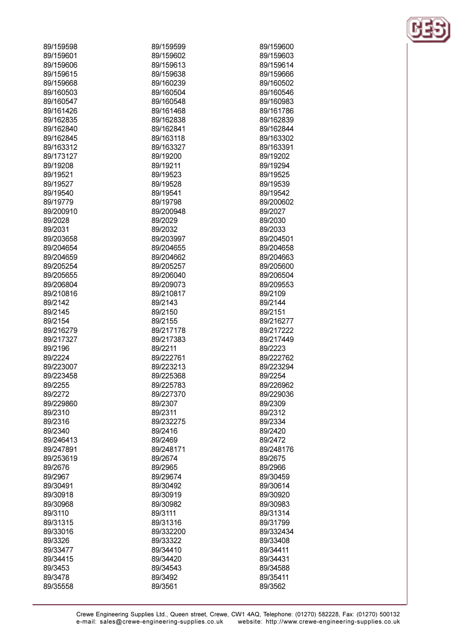| 89/159598 | 89/159599 | 89/159600 |
|-----------|-----------|-----------|
| 89/159601 | 89/159602 | 89/159603 |
| 89/159606 | 89/159613 | 89/159614 |
| 89/159615 | 89/159638 | 89/159666 |
| 89/159668 | 89/160239 | 89/160502 |
| 89/160503 | 89/160504 | 89/160546 |
| 89/160547 | 89/160548 | 89/160983 |
| 89/161426 | 89/161468 | 89/161786 |
| 89/162835 | 89/162838 | 89/162839 |
| 89/162840 | 89/162841 | 89/162844 |
| 89/162845 | 89/163118 | 89/163302 |
| 89/163312 | 89/163327 | 89/163391 |
|           | 89/19200  | 89/19202  |
| 89/173127 |           |           |
| 89/19208  | 89/19211  | 89/19294  |
| 89/19521  | 89/19523  | 89/19525  |
| 89/19527  | 89/19528  | 89/19539  |
| 89/19540  | 89/19541  | 89/19542  |
| 89/19779  | 89/19798  | 89/200602 |
| 89/200910 | 89/200948 | 89/2027   |
| 89/2028   | 89/2029   | 89/2030   |
| 89/2031   | 89/2032   | 89/2033   |
| 89/203658 | 89/203997 | 89/204501 |
| 89/204654 | 89/204655 | 89/204658 |
| 89/204659 | 89/204662 | 89/204663 |
| 89/205254 | 89/205257 | 89/205600 |
| 89/205655 | 89/206040 | 89/206504 |
| 89/206804 | 89/209073 | 89/209553 |
| 89/210816 | 89/210817 | 89/2109   |
| 89/2142   | 89/2143   | 89/2144   |
| 89/2145   | 89/2150   | 89/2151   |
| 89/2154   | 89/2155   | 89/216277 |
| 89/216279 | 89/217178 | 89/217222 |
| 89/217327 | 89/217383 | 89/217449 |
| 89/2196   | 89/2211   | 89/2223   |
| 89/2224   | 89/222761 | 89/222762 |
| 89/223007 | 89/223213 | 89/223294 |
| 89/223458 | 89/225368 | 89/2254   |
| 89/2255   | 89/225783 | 89/226962 |
| 89/2272   | 89/227370 | 89/229036 |
| 89/229860 | 89/2307   | 89/2309   |
|           | 89/2311   |           |
| 89/2310   |           | 89/2312   |
| 89/2316   | 89/232275 | 89/2334   |
| 89/2340   | 89/2416   | 89/2420   |
| 89/246413 | 89/2469   | 89/2472   |
| 89/247891 | 89/248171 | 89/248176 |
| 89/253619 | 89/2674   | 89/2675   |
| 89/2676   | 89/2965   | 89/2966   |
| 89/2967   | 89/29674  | 89/30459  |
| 89/30491  | 89/30492  | 89/30614  |
| 89/30918  | 89/30919  | 89/30920  |
| 89/30968  | 89/30982  | 89/30983  |
| 89/3110   | 89/3111   | 89/31314  |
| 89/31315  | 89/31316  | 89/31799  |
| 89/33016  | 89/332200 | 89/332434 |
| 89/3326   | 89/33322  | 89/33408  |
| 89/33477  | 89/34410  | 89/34411  |
| 89/34415  | 89/34420  | 89/34431  |
| 89/3453   | 89/34543  | 89/34588  |
| 89/3478   | 89/3492   | 89/35411  |
| 89/35558  | 89/3561   | 89/3562   |
|           |           |           |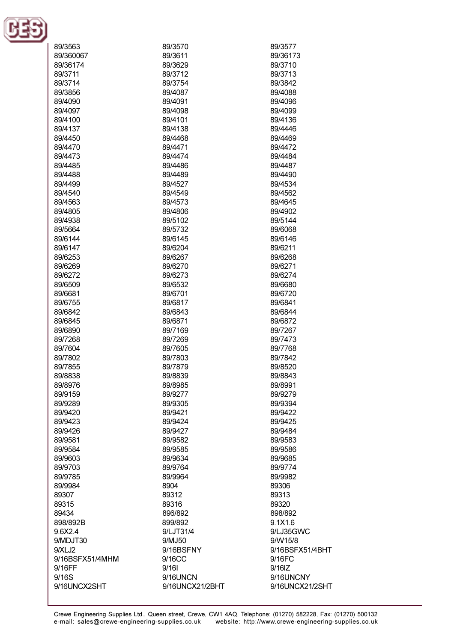

| 89/3563         | 89/3570         | 89/3577         |
|-----------------|-----------------|-----------------|
| 89/360067       | 89/3611         | 89/36173        |
| 89/36174        | 89/3629         | 89/3710         |
| 89/3711         | 89/3712         | 89/3713         |
| 89/3714         | 89/3754         |                 |
|                 |                 | 89/3842         |
| 89/3856         | 89/4087         | 89/4088         |
| 89/4090         | 89/4091         | 89/4096         |
| 89/4097         | 89/4098         | 89/4099         |
| 89/4100         | 89/4101         | 89/4136         |
| 89/4137         | 89/4138         | 89/4446         |
| 89/4450         | 89/4468         | 89/4469         |
| 89/4470         | 89/4471         | 89/4472         |
| 89/4473         | 89/4474         | 89/4484         |
| 89/4485         | 89/4486         | 89/4487         |
| 89/4488         | 89/4489         | 89/4490         |
| 89/4499         | 89/4527         | 89/4534         |
| 89/4540         | 89/4549         | 89/4562         |
| 89/4563         | 89/4573         | 89/4645         |
| 89/4805         | 89/4806         | 89/4902         |
| 89/4938         | 89/5102         | 89/5144         |
| 89/5664         | 89/5732         | 89/6068         |
|                 |                 |                 |
| 89/6144         | 89/6145         | 89/6146         |
| 89/6147         | 89/6204         | 89/6211         |
| 89/6253         | 89/6267         | 89/6268         |
| 89/6269         | 89/6270         | 89/6271         |
| 89/6272         | 89/6273         | 89/6274         |
| 89/6509         | 89/6532         | 89/6680         |
| 89/6681         | 89/6701         | 89/6720         |
| 89/6755         | 89/6817         | 89/6841         |
| 89/6842         | 89/6843         | 89/6844         |
| 89/6845         | 89/6871         | 89/6872         |
| 89/6890         | 89/7169         | 89/7267         |
| 89/7268         | 89/7269         | 89/7473         |
| 89/7604         | 89/7605         | 89/7768         |
| 89/7802         | 89/7803         | 89/7842         |
| 89/7855         | 89/7879         | 89/8520         |
| 89/8838         | 89/8839         | 89/8843         |
|                 |                 |                 |
| 89/8976         | 89/8985         | 89/8991         |
| 89/9159         | 89/9277         | 89/9279         |
| 89/9289         | 89/9305         | 89/9394         |
| 89/9420         | 89/9421         | 89/9422         |
| 89/9423         | 89/9424         | 89/9425         |
| 89/9426         | 89/9427         | 89/9484         |
| 89/9581         | 89/9582         | 89/9583         |
| 89/9584         | 89/9585         | 89/9586         |
| 89/9603         | 89/9634         | 89/9685         |
| 89/9703         | 89/9764         | 89/9774         |
| 89/9785         | 89/9964         | 89/9982         |
| 89/9984         | 8904            | 89306           |
| 89307           | 89312           | 89313           |
| 89315           | 89316           | 89320           |
| 89434           | 896/892         | 898/892         |
| 898/892B        | 899/892         | 9.1X1.6         |
| 9.6X2.4         | 9/LJT31/4       | 9/LJ35GWC       |
| 9/MDJT30        | 9/MJ50          | 9/W15/8         |
|                 |                 |                 |
| 9/XLJ2          | 9/16BSFNY       | 9/16BSFX51/4BHT |
| 9/16BSFX51/4MHM | 9/16CC          | 9/16FC          |
| 9/16FF          | 9/161           | $9/16$ IZ       |
| 9/16S           | 9/16UNCN        | 9/16UNCNY       |
| 9/16UNCX2SHT    | 9/16UNCX21/2BHT | 9/16UNCX21/2SHT |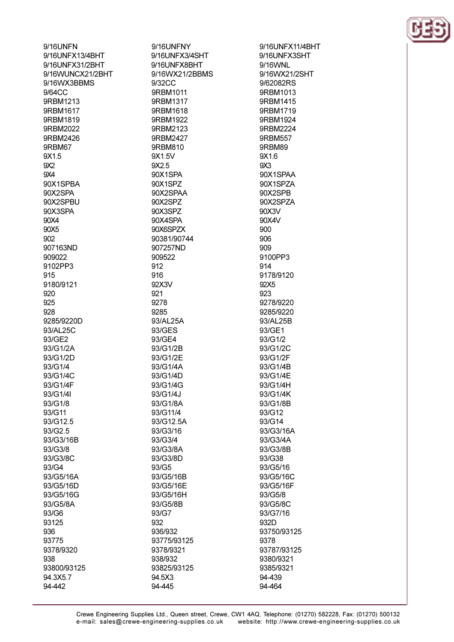9/16UNFN 9/16UNFX13/4BHT 9/16LINEX31/2RHT 9/16WUNCX21/2BHT 9/16WX3BBMS 9/64CC 9RRM1213 9RBM1617 9RBM1819 9RBM2022 9RBM2426 9RBM67 9X1.5  $9X2$  $QX\Delta$ 90X1SPBA 90X2SPA 90X2SPBU 90X3SPA 90X4 90X5 902 907163ND 909022 9102PP3 915 9180/9121 920 925 928 9285/9220D 93/AL25C 93/GE2 93/G1/2A 93/G1/2D 93/G1/4 93/G1/4C 93/G1/4F 93/G1/4I 93/G1/8 93/G11 93/G12.5  $93/G2.5$ 93/G3/16B 93/G3/8 93/G3/8C 93/G4 93/G5/16A 93/G5/16D 93/G5/16G 93/G5/8A 93/G6 93125 936 93775 9378/9320 938 93800/93125 94.3X5.7 94-442

9/16UNFNY 9/16UNFX3/4SHT 9/16LINEX8RHT 9/16WX21/2BBMS 9/32CC 9RBM1011 9RBM1317 9RBM1618 9RBM1922 9RBM2123 9RBM2427 9RBM810 9X1.5V 9X25 90X1SPA 90X1SPZ 90X2SPAA 90X2SPZ 90X3SPZ 90X4SPA 90X6SPZX 90381/90744 907257ND 909522 912 916 92X3V 921 9278 9285 93/AL25A 93/GES 93/GE4 93/G1/2B 93/G1/2E 93/G1/4A 93/G1/4D 93/G1/4G 93/G1/4J 93/G1/8A 93/G11/4 93/G12.5A 93/G3/16 93/G3/4 93/G3/8A 93/G3/8D 93/G5 93/G5/16B 93/G5/16E 93/G5/16H 93/G5/8B 93/G7 932 936/932 93775/93125 9378/9321 938/932 93825/93125 94.5X3

94-445

9/16UNFX11/4BHT 9/16UNFX3SHT  $9/16$ WNI 9/16WX21/2SHT 9/62082RS 9RBM1013 9RRM1415 9RBM1719 9RBM1924 9RBM2224 9RBM557 9RBM89 9X1.6  $9X3$ 90X1SPAA 90X1SPZA 90X2SPB 90X2SPZA 90X3V 90X4V 900  $906$ 909 9100PP3 914 9178/9120 92X5 923 9278/9220 9285/9220 93/AL25B 93/GE1 93/G1/2 93/G1/2C 93/G1/2F 93/G1/4B 93/G1/4E 93/G1/4H 93/G1/4K 93/G1/8B 93/G12 93/G14 93/G3/16A 93/G3/4A 93/G3/8B 93/G38 93/G5/16 93/G5/16C 93/G5/16F 93/G5/8 93/G5/8C 93/G7/16 932D 93750/93125 9378 93787/93125 9380/9321 9385/9321 94-439 94-464

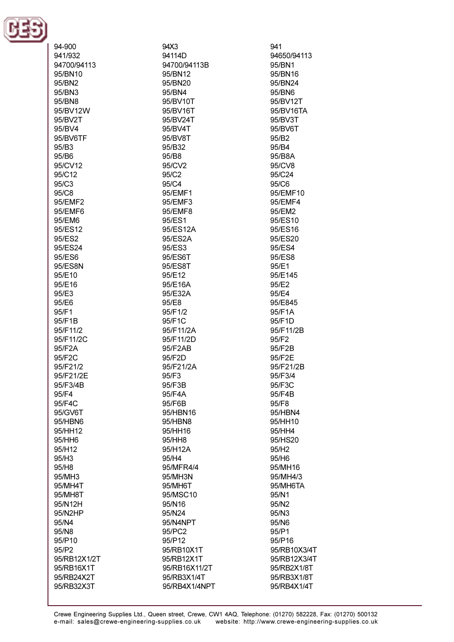

| 94-900<br>941/932        | 94X3<br>94114D               | 941<br>94650/94113         |
|--------------------------|------------------------------|----------------------------|
| 94700/94113              | 94700/94113B                 | 95/BN1                     |
| 95/BN10                  | 95/BN12                      | 95/BN16                    |
| 95/BN2                   | 95/BN20                      | 95/BN24                    |
| 95/BN3<br>95/BN8         | 95/BN4                       | 95/BN6<br>95/BV12T         |
| 95/BV12W                 | 95/BV10T<br>95/BV16T         | 95/BV16TA                  |
| 95/BV2T                  | 95/BV24T                     | 95/BV3T                    |
| 95/BV4                   | 95/BV4T                      | 95/BV6T                    |
| 95/BV6TF                 | 95/BV8T                      | 95/B2                      |
| 95/B3                    | 95/B32                       | 95/B4                      |
| 95/B6                    | 95/B8                        | 95/B8A                     |
| 95/CV12                  | 95/CV2                       | 95/CV8                     |
| 95/C12                   | 95/C2                        | 95/C24                     |
| 95/C3                    | 95/C4                        | 95/C6                      |
| 95/C8                    | 95/EMF1                      | 95/EMF10                   |
| 95/EMF2                  | 95/EMF3                      | 95/EMF4                    |
| 95/EMF6                  | 95/EMF8                      | 95/EM2                     |
| 95/EM6                   | 95/ES1                       | 95/ES10                    |
| 95/ES12                  | 95/ES12A                     | 95/ES16                    |
| 95/ES2                   | 95/ES2A                      | 95/ES20                    |
| 95/ES24                  | 95/ES3                       | 95/ES4                     |
| 95/ES6                   | 95/ES6T                      | 95/ES8                     |
| 95/ES8N                  | 95/ES8T                      | 95/E1                      |
| 95/E10                   | 95/E12                       | 95/E145                    |
| 95/E16                   | 95/E16A                      | 95/E2                      |
| 95/E3                    | 95/E32A                      | 95/E4                      |
| 95/E6                    | 95/E8                        | 95/E845                    |
| 95/F1                    | 95/F1/2                      | 95/F1A                     |
| 95/F1B                   | 95/F1C                       | 95/F1D                     |
| 95/F11/2                 | 95/F11/2A                    | 95/F11/2B                  |
| 95/F11/2C                | 95/F11/2D                    | 95/F2                      |
| 95/F2A                   | 95/F2AB                      | 95/F2B                     |
| 95/F2C<br>95/F21/2       | 95/F2D<br>95/F21/2A          | 95/F2E<br>95/F21/2B        |
| 95/F21/2E                | 95/F3                        | 95/F3/4                    |
| 95/F3/4B                 | 95/F3B                       | 95/F3C                     |
| 95/F4                    | 95/F4A                       | 95/F4B                     |
| 95/F4C                   | 95/F6B                       | 95/F8                      |
| 95/GV6T                  | 95/HBN16                     | 95/HBN4                    |
| 95/HBN6                  | 95/HBN8                      | 95/HH10                    |
| 95/HH12                  | 95/HH16                      | 95/HH4                     |
| 95/HH6                   | 95/HH8                       | 95/HS20                    |
| 95/H12                   | 95/H12A                      | 95/H2                      |
| 95/H3                    | 95/H4                        | 95/H6                      |
| 95/H8                    | 95/MFR4/4                    | 95/MH16                    |
| 95/MH3                   | 95/MH3N                      | 95/MH4/3                   |
| 95/MH4T                  | 95/MH6T                      | 95/MH6TA                   |
| 95/MH8T                  | 95/MSC10                     | 95/N1                      |
| 95/N12H                  | 95/N16                       | 95/N2                      |
| 95/N2HP                  | 95/N24                       | 95/N3                      |
| 95/N4                    | 95/N4NPT                     | 95/N6                      |
| 95/N8                    | 95/PC2                       | 95/P1                      |
| 95/P10                   | 95/P12                       | 95/P16                     |
| 95/P2                    | 95/RB10X1T                   | 95/RB10X3/4T               |
| 95/RB12X1/2T             | 95/RB12X1T                   | 95/RB12X3/4T               |
| 95/RB16X1T               | 95/RB16X11/2T                | 95/RB2X1/8T                |
| 95/RB24X2T<br>95/RB32X3T | 95/RB3X1/4T<br>95/RB4X1/4NPT | 95/RB3X1/8T<br>95/RB4X1/4T |
|                          |                              |                            |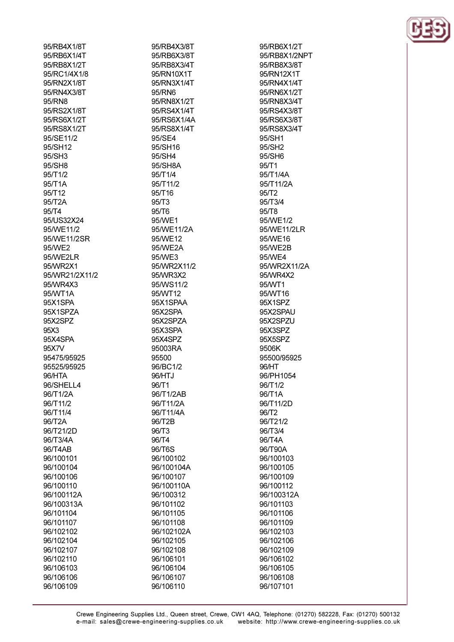95/RB4X1/8T 95/RB6X1/4T 95/RB8X1/2T 95/RC1/4X1/8 95/RN2X1/8T 95/RN4X3/8T 95/RN8 95/RS2X1/8T 95/RS6X1/2T 95/RS8X1/2T 95/SE11/2 95/SH12 95/SH3 95/SH8 95/T1/2 95/T1A 95/T12 95/T2A 95/T4 95/US32X24 95/WE11/2 95/WE11/2SR 95/WE2 95/WE2LR 95/MR2X1 95/WR21/2X11/2 95/WR4X3 95/WT1A 95X1SPA 95X1SPZA 95X2SPZ 95X3 95X4SPA 95X7V 95475/95925 95525/95925 96/HTA 96/SHELL4 96/T1/2A 96/T11/2 96/T11/4 96/T2A 96/T21/2D 96/T3/4A 96/T4AB 96/100101 96/100104 96/100106 96/100110 96/100112A 96/100313A 96/101104 96/101107 96/102102 96/102104 96/102107 96/102110 96/106103 96/106106

96/106109

95/RB4X3/8T 95/RB6X3/8T 95/RB8X3/4T 95/RN10X1T 95/RN3X1/4T 95/RN6 95/RN8X1/2T 95/RS4X1/4T 95/RS6X1/4A 95/RS8X1/4T 95/SE4 95/SH16 95/SH4 95/SH8A 95/T1/4 95/T11/2 95/T16  $95/T3$  $95/T6$ 95/WE1 95/WE11/2A 95/WE12 95/WE2A 95/WE3 95/WR2X11/2 95/WR3X2 95/WS11/2 95/WT12 95X1SPAA 95X2SPA 95X2SPZA 95X3SPA 95X4SPZ 95003RA 95500 96/BC1/2 96/HTJ 96/T1 96/T1/2AB 96/T11/2A 96/T11/4A 96/T2B 96/T3 96/T4 96/T6S 96/100102 96/100104A 96/100107 96/100110A 96/100312 96/101102 96/101105 96/101108 96/102102A 96/102105 96/102108 96/106101 96/106104 96/106107 96/106110

95/RB6X1/2T 95/RB8X1/2NPT 95/RB8X3/8T 95/RN12X1T 95/RN4X1/4T 95/RN6X1/2T 95/RN8X3/4T 95/RS4X3/8T 95/RS6X3/8T 95/RS8X3/4T 95/SH1 95/SH2 95/SH6  $95/T1$ 95/T1/4A 95/T11/2A  $95/T2$ 95/T3/4 95/T8 95/WE1/2 95/WE11/2LR 95/WE16 95/WE2B 95/WE4 95/WR2X11/2A 95/WR4X2 95/WT1 95/WT16 95X1SPZ 95X2SPAU 95X2SPZU 95X3SPZ 95X5SPZ 9506K 95500/95925 96/HT 96/PH1054 96/T1/2 96/T1A 96/T11/2D 96/T2 96/T21/2 96/T3/4 96/T4A 96/T90A 96/100103 96/100105 96/100109 96/100112 96/100312A 96/101103 96/101106 96/101109 96/102103 96/102106 96/102109 96/106102 96/106105 96/106108 96/107101

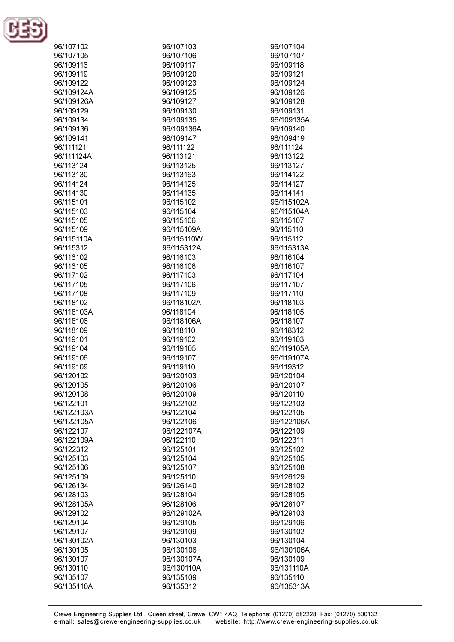

| 96/107102  | 96/107103  | 96/107104  |
|------------|------------|------------|
| 96/107105  | 96/107106  | 96/107107  |
|            |            |            |
| 96/109116  | 96/109117  | 96/109118  |
| 96/109119  | 96/109120  | 96/109121  |
| 96/109122  | 96/109123  | 96/109124  |
| 96/109124A | 96/109125  | 96/109126  |
|            |            |            |
| 96/109126A | 96/109127  | 96/109128  |
| 96/109129  | 96/109130  | 96/109131  |
| 96/109134  | 96/109135  | 96/109135A |
| 96/109136  | 96/109136A | 96/109140  |
|            |            |            |
| 96/109141  | 96/109147  | 96/109419  |
| 96/111121  | 96/111122  | 96/111124  |
| 96/111124A | 96/113121  | 96/113122  |
| 96/113124  | 96/113125  | 96/113127  |
| 96/113130  | 96/113163  | 96/114122  |
|            |            |            |
| 96/114124  | 96/114125  | 96/114127  |
| 96/114130  | 96/114135  | 96/114141  |
| 96/115101  | 96/115102  | 96/115102A |
| 96/115103  | 96/115104  | 96/115104A |
| 96/115105  | 96/115106  | 96/115107  |
|            |            |            |
| 96/115109  | 96/115109A | 96/115110  |
| 96/115110A | 96/115110W | 96/115112  |
| 96/115312  | 96/115312A | 96/115313A |
| 96/116102  | 96/116103  | 96/116104  |
|            |            |            |
| 96/116105  | 96/116106  | 96/116107  |
| 96/117102  | 96/117103  | 96/117104  |
| 96/117105  | 96/117106  | 96/117107  |
| 96/117108  | 96/117109  | 96/117110  |
| 96/118102  | 96/118102A | 96/118103  |
|            |            |            |
| 96/118103A | 96/118104  | 96/118105  |
| 96/118106  | 96/118106A | 96/118107  |
| 96/118109  | 96/118110  | 96/118312  |
| 96/119101  | 96/119102  | 96/119103  |
| 96/119104  | 96/119105  | 96/119105A |
|            |            |            |
| 96/119106  | 96/119107  | 96/119107A |
| 96/119109  | 96/119110  | 96/119312  |
| 96/120102  | 96/120103  | 96/120104  |
| 96/120105  | 96/120106  | 96/120107  |
| 96/120108  | 96/120109  | 96/120110  |
|            |            |            |
| 96/122101  | 96/122102  | 96/122103  |
| 96/122103A | 96/122104  | 96/122105  |
| 96/122105A | 96/122106  | 96/122106A |
| 96/122107  | 96/122107A | 96/122109  |
| 96/122109A | 96/122110  | 96/122311  |
|            |            |            |
| 96/122312  | 96/125101  | 96/125102  |
| 96/125103  | 96/125104  | 96/125105  |
| 96/125106  | 96/125107  | 96/125108  |
| 96/125109  | 96/125110  | 96/126129  |
| 96/126134  | 96/126140  | 96/128102  |
|            |            |            |
| 96/128103  | 96/128104  | 96/128105  |
| 96/128105A | 96/128106  | 96/128107  |
| 96/129102  | 96/129102A | 96/129103  |
| 96/129104  | 96/129105  | 96/129106  |
| 96/129107  | 96/129109  | 96/130102  |
|            |            |            |
| 96/130102A | 96/130103  | 96/130104  |
| 96/130105  | 96/130106  | 96/130106A |
| 96/130107  | 96/130107A | 96/130109  |
| 96/130110  | 96/130110A | 96/131110A |
| 96/135107  | 96/135109  | 96/135110  |
|            |            |            |
| 96/135110A | 96/135312  | 96/135313A |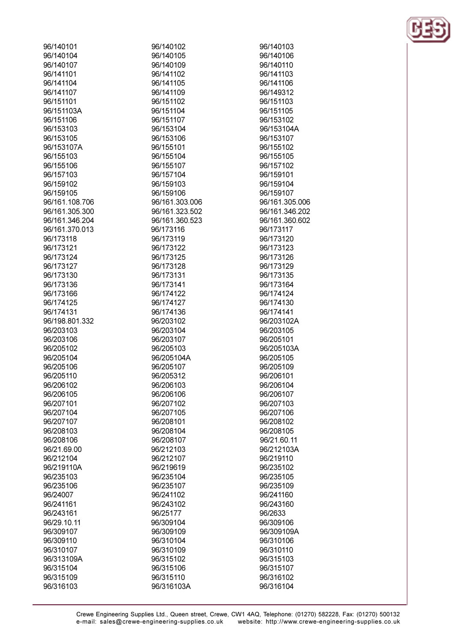| 96/140101      |
|----------------|
|                |
| 96/140104      |
| 96/140107      |
| 96/141101      |
| 96/141104      |
| 96/141107      |
| 96/151101      |
|                |
| 96/151103A     |
| 96/151106      |
| 96/153103      |
| 96/153105      |
| 96/153107A     |
| 96/155103      |
|                |
| 96/155106      |
| 96/157103      |
| 96/159102      |
| 96/159105      |
| 96/161.108.706 |
| 96/161.305.300 |
|                |
| 96/161.346.204 |
| 96/161.370.013 |
| 96/173118      |
| 96/173121      |
| 96/173124      |
| 96/173127      |
|                |
| 96/173130      |
| 96/173136      |
| 96/173166      |
| 96/174125      |
| 96/174131      |
|                |
| 96/198.801.332 |
| 96/203103      |
| 96/203106      |
| 96/205102      |
| 96/205104      |
| 96/205106      |
| 96/205110      |
|                |
| 96/206102      |
| 96/206105      |
| 96/207101      |
| 96/207104      |
| 96/207107      |
| 96/208103      |
|                |
| 96/208106      |
| 96/21.69.00    |
| 96/212104      |
| 96/219110A     |
| 96/235103      |
| 96/235106      |
|                |
| 96/24007       |
| 96/241161      |
| 96/243161      |
| 96/29.10.11    |
| 96/309107      |
|                |
| 96/309110      |
| 96/310107      |
| 96/313109A     |
| 96/315104      |
| 96/315109      |
| 96/316103      |
|                |

| 96/140102      |
|----------------|
| 96/140105      |
| 96/140109      |
| 96/141102      |
| 96/141105      |
| 96/141109      |
| 96/151102      |
|                |
| 96/151104      |
| 96/151107      |
| 96/153104      |
| 96/153106      |
| 96/155101      |
| 96/155104      |
| 96/155107      |
| 96/157104      |
| 96/159103      |
| 96/159106      |
| 96/161.303.006 |
|                |
| 96/161.323.502 |
| 96/161.360.523 |
| 96/173116      |
| 96/173119      |
| 96/173122      |
| 96/173125      |
| 96/173128      |
| 96/173131      |
| 96/173141      |
| 96/174122      |
| 96/174127      |
| 96/174136      |
|                |
| 96/203102      |
| 96/203104      |
| 96/203107      |
| 96/205103      |
| 96/205104A     |
| 96/205107      |
| 96/205312      |
| 96/206103      |
| 96/206106      |
| 96/207102      |
| 96/207105      |
| 96/208101      |
| 96/208104      |
| 96/208107      |
|                |
| 96/212103      |
| 96/212107      |
| 96/219619      |
| 96/235104      |
| 96/235107      |
| 96/241102      |
| 96/243102      |
| 96/25177       |
| 96/309104      |
| 96/309109      |
| 96/310104      |
|                |
| 96/310109      |
| 96/315102      |
| 96/315106      |
| 96/315110      |
| 96/316103A     |

96/140103 96/140106 96/140110 96/141103 96/141106 96/149312 96/151103 96/151105 96/153102 96/153104A 96/153107 96/155102 96/155105 96/157102 96/159101 96/159104 96/159107 96/161.305.006 96/161.346.202 96/161.360.602 96/173117 96/173120 96/173123 96/173126 96/173129 96/173135 96/173164 96/174124 96/174130 96/174141 96/203102A 96/203105 96/205101 96/205103A 96/205105 96/205109 96/206101 96/206104 96/206107 96/207103 96/207106 96/208102 96/208105 96/21.60.11 96/212103A 96/219110 96/235102 96/235105 96/235109 96/241160 96/243160 96/2633 96/309106 96/309109A 96/310106 96/310110 96/315103 96/315107 96/316102 96/316104

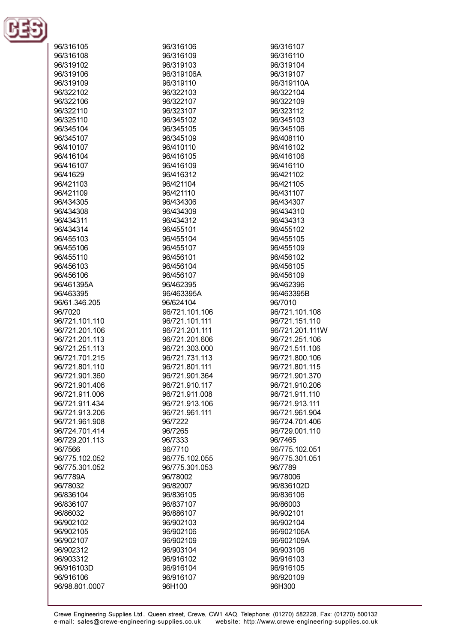

| 96/316105      | 96/316106      | 96/316107       |
|----------------|----------------|-----------------|
| 96/316108      | 96/316109      | 96/316110       |
| 96/319102      | 96/319103      | 96/319104       |
| 96/319106      | 96/319106A     | 96/319107       |
|                | 96/319110      | 96/319110A      |
| 96/319109      |                |                 |
| 96/322102      | 96/322103      | 96/322104       |
| 96/322106      | 96/322107      | 96/322109       |
| 96/322110      | 96/323107      | 96/323112       |
| 96/325110      | 96/345102      | 96/345103       |
| 96/345104      | 96/345105      | 96/345106       |
| 96/345107      | 96/345109      | 96/408110       |
| 96/410107      | 96/410110      | 96/416102       |
| 96/416104      | 96/416105      | 96/416106       |
| 96/416107      | 96/416109      | 96/416110       |
| 96/41629       | 96/416312      | 96/421102       |
| 96/421103      | 96/421104      | 96/421105       |
| 96/421109      | 96/421110      | 96/431107       |
| 96/434305      | 96/434306      | 96/434307       |
| 96/434308      | 96/434309      | 96/434310       |
| 96/434311      | 96/434312      | 96/434313       |
| 96/434314      | 96/455101      | 96/455102       |
|                |                |                 |
| 96/455103      | 96/455104      | 96/455105       |
| 96/455106      | 96/455107      | 96/455109       |
| 96/455110      | 96/456101      | 96/456102       |
| 96/456103      | 96/456104      | 96/456105       |
| 96/456106      | 96/456107      | 96/456109       |
| 96/461395A     | 96/462395      | 96/462396       |
| 96/463395      | 96/463395A     | 96/463395B      |
| 96/61.346.205  | 96/624104      | 96/7010         |
| 96/7020        | 96/721.101.106 | 96/721.101.108  |
| 96/721.101.110 | 96/721.101.111 | 96/721.151.110  |
| 96/721.201.106 | 96/721.201.111 | 96/721.201.111W |
| 96/721.201.113 | 96/721.201.606 | 96/721.251.106  |
| 96/721.251.113 | 96/721.303.000 | 96/721.511.106  |
| 96/721.701.215 | 96/721.731.113 | 96/721.800.106  |
| 96/721.801.110 | 96/721.801.111 | 96/721.801.115  |
| 96/721.901.360 | 96/721.901.364 | 96/721.901.370  |
| 96/721.901.406 | 96/721.910.117 | 96/721.910.206  |
| 96/721.911.006 | 96/721.911.008 | 96/721.911.110  |
| 96/721.911.434 | 96/721.913.106 | 96/721.913.111  |
| 96/721.913.206 | 96/721.961.111 | 96/721.961.904  |
| 96/721.961.908 | 96/7222        | 96/724.701.406  |
| 96/724.701.414 | 96/7265        | 96/729.001.110  |
| 96/729.201.113 | 96/7333        | 96/7465         |
| 96/7566        | 96/7710        | 96/775.102.051  |
| 96/775.102.052 | 96/775.102.055 | 96/775.301.051  |
| 96/775.301.052 | 96/775.301.053 | 96/7789         |
|                |                |                 |
| 96/7789A       | 96/78002       | 96/78006        |
| 96/78032       | 96/82007       | 96/836102D      |
| 96/836104      | 96/836105      | 96/836106       |
| 96/836107      | 96/837107      | 96/86003        |
| 96/86032       | 96/886107      | 96/902101       |
| 96/902102      | 96/902103      | 96/902104       |
| 96/902105      | 96/902106      | 96/902106A      |
| 96/902107      | 96/902109      | 96/902109A      |
| 96/902312      | 96/903104      | 96/903106       |
| 96/903312      | 96/916102      | 96/916103       |
| 96/916103D     | 96/916104      | 96/916105       |
| 96/916106      | 96/916107      | 96/920109       |
| 96/98.801.0007 | 96H100         | 96H300          |
|                |                |                 |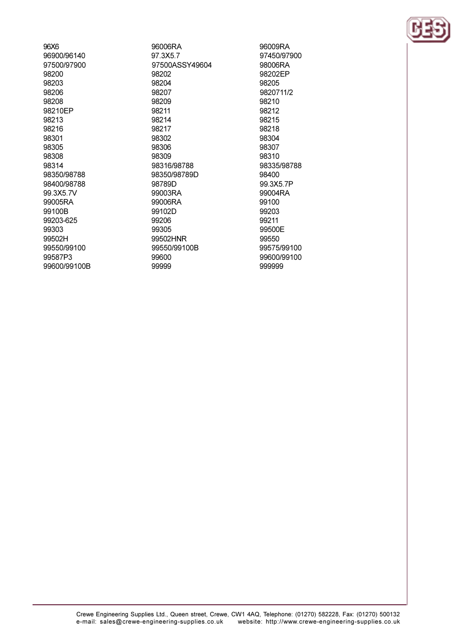96X6 96900/96140 97500/97900 98200 98203 98206 98208 98210EP 98213 98216 98301 98305 98308 98314 98350/98788 98400/98788 99.3X5.7V 99005RA 99100B 99203-625 99303 99502H 99550/99100 99587P3 99600/99100B

96006RA 97.3X5.7 97500ASSY49604 98202 98204 98207 98209 98211 98214 98217 98302 98306 98309 98316/98788 98350/98789D 98789D 99003RA 99006RA 99102D 99206 99305 99502HNR 99550/99100B 99600 99999

96009RA 97450/97900 98006RA 98202EP 98205 9820711/2 98210 98212 98215 98218 98304 98307 98310 98335/98788 98400 99.3X5.7P 99004RA 99100 99203 99211 99500E 99550 99575/99100 99600/99100 999999